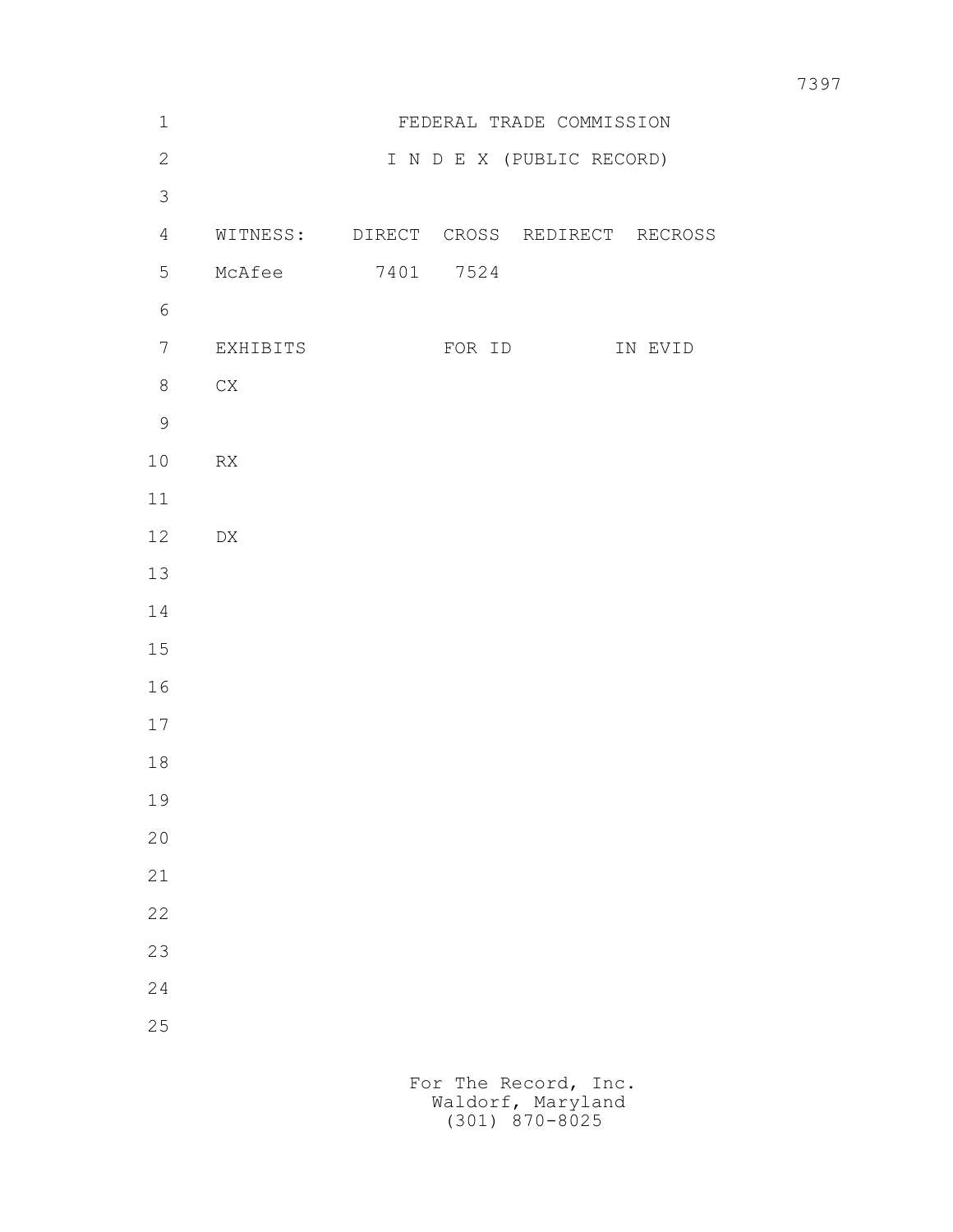| $\mathbf 1$    |                                        |           | FEDERAL TRADE COMMISSION  |         |
|----------------|----------------------------------------|-----------|---------------------------|---------|
| $\mathbf{2}$   |                                        |           | I N D E X (PUBLIC RECORD) |         |
| $\mathfrak{Z}$ |                                        |           |                           |         |
| $\overline{4}$ | WITNESS: DIRECT CROSS REDIRECT RECROSS |           |                           |         |
| 5              | McAfee                                 | 7401 7524 |                           |         |
| $\sqrt{6}$     |                                        |           |                           |         |
| 7              | EXHIBITS                               | FOR ID    |                           | IN EVID |
| 8              | ${\rm CX}$                             |           |                           |         |
| $\overline{9}$ |                                        |           |                           |         |
| 10             | ${\sf RX}$                             |           |                           |         |
| 11             |                                        |           |                           |         |
| 12             | ${\rm D}{\rm X}$                       |           |                           |         |
| 13             |                                        |           |                           |         |
| 14             |                                        |           |                           |         |
| $15$           |                                        |           |                           |         |
| 16             |                                        |           |                           |         |
| 17             |                                        |           |                           |         |
| $1\,8$         |                                        |           |                           |         |
| 19             |                                        |           |                           |         |
| $20$           |                                        |           |                           |         |
| 21             |                                        |           |                           |         |
| 22             |                                        |           |                           |         |
| 23             |                                        |           |                           |         |
| 24             |                                        |           |                           |         |
| 25             |                                        |           |                           |         |
|                |                                        |           |                           |         |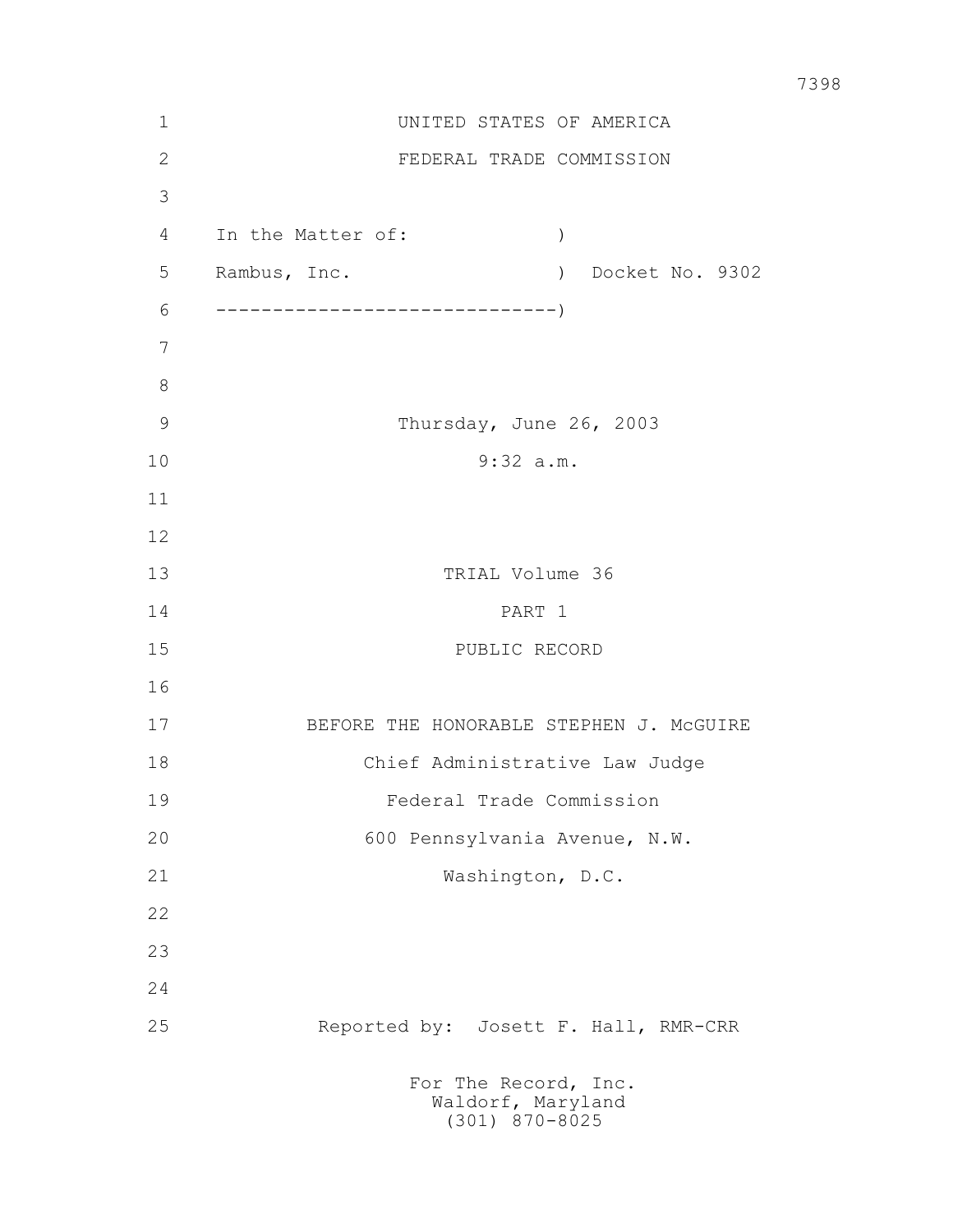| 1             | UNITED STATES OF AMERICA                                      |  |  |
|---------------|---------------------------------------------------------------|--|--|
| $\mathbf{2}$  | FEDERAL TRADE COMMISSION                                      |  |  |
| 3             |                                                               |  |  |
| 4             | In the Matter of:<br>$\left( \right)$                         |  |  |
| 5             | Rambus, Inc.<br>) Docket No. 9302                             |  |  |
| 6             |                                                               |  |  |
| 7             |                                                               |  |  |
| $8\,$         |                                                               |  |  |
| $\mathcal{G}$ | Thursday, June 26, 2003                                       |  |  |
| 10            | 9:32 a.m.                                                     |  |  |
| 11            |                                                               |  |  |
| 12            |                                                               |  |  |
| 13            | TRIAL Volume 36                                               |  |  |
| 14            | PART 1                                                        |  |  |
| 15            | PUBLIC RECORD                                                 |  |  |
| 16            |                                                               |  |  |
| 17            | BEFORE THE HONORABLE STEPHEN J. MCGUIRE                       |  |  |
| 18            | Chief Administrative Law Judge                                |  |  |
| 19            | Federal Trade Commission                                      |  |  |
| 20            | 600 Pennsylvania Avenue, N.W.                                 |  |  |
| 21            | Washington, D.C.                                              |  |  |
| 22            |                                                               |  |  |
| 23            |                                                               |  |  |
| 24            |                                                               |  |  |
| 25            | Reported by: Josett F. Hall, RMR-CRR                          |  |  |
|               | For The Record, Inc.<br>Waldorf, Maryland<br>$(301)$ 870-8025 |  |  |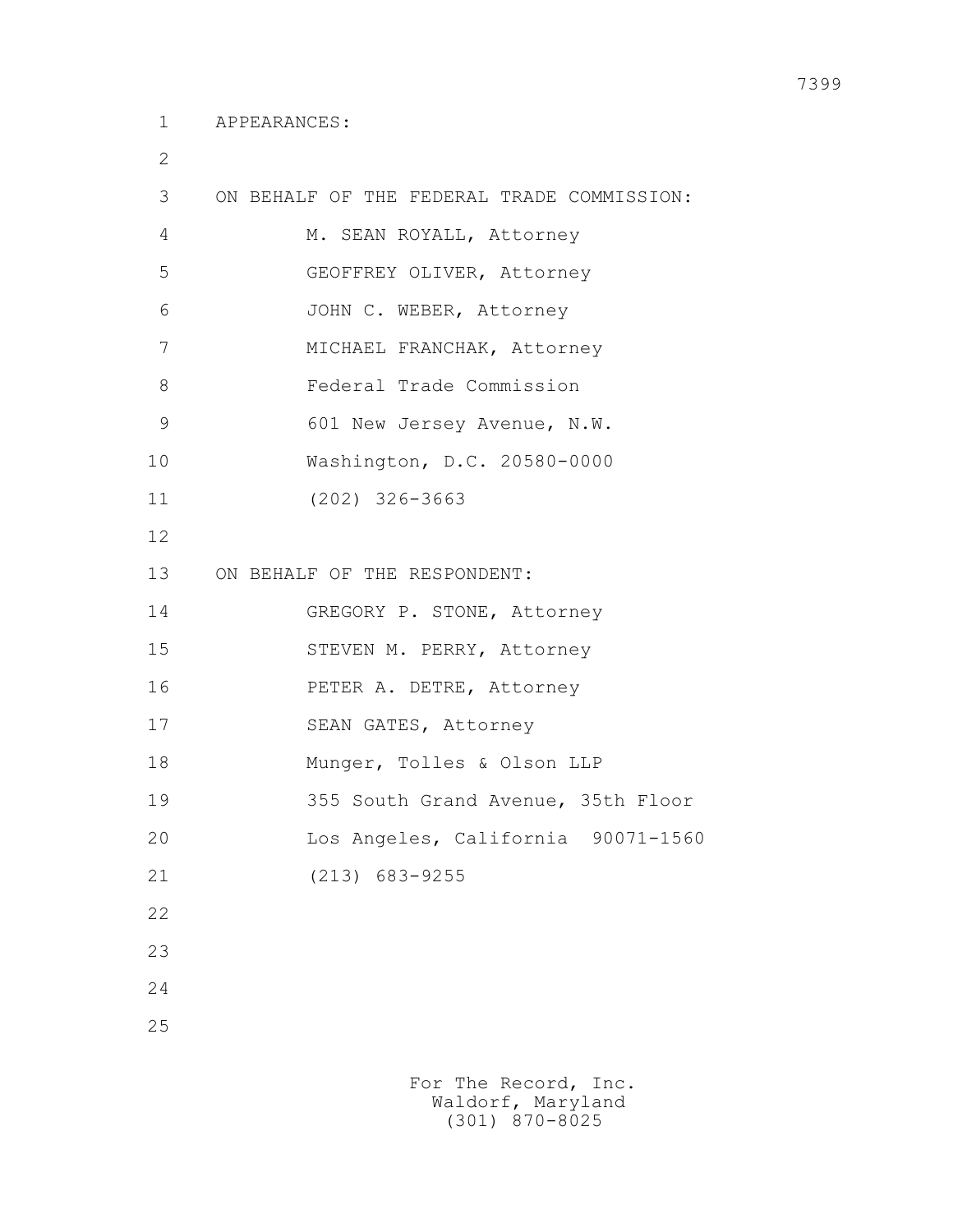2

| 3  | ON BEHALF OF THE FEDERAL TRADE COMMISSION: |
|----|--------------------------------------------|
| 4  | M. SEAN ROYALL, Attorney                   |
| 5  | GEOFFREY OLIVER, Attorney                  |
| 6  | JOHN C. WEBER, Attorney                    |
| 7  | MICHAEL FRANCHAK, Attorney                 |
| 8  | Federal Trade Commission                   |
| 9  | 601 New Jersey Avenue, N.W.                |
| 10 | Washington, D.C. 20580-0000                |
| 11 | $(202)$ 326-3663                           |
| 12 |                                            |
| 13 | ON BEHALF OF THE RESPONDENT:               |
| 14 | GREGORY P. STONE, Attorney                 |
| 15 | STEVEN M. PERRY, Attorney                  |
| 16 | PETER A. DETRE, Attorney                   |
| 17 | SEAN GATES, Attorney                       |
| 18 | Munger, Tolles & Olson LLP                 |
| 19 | 355 South Grand Avenue, 35th Floor         |
| 20 | Los Angeles, California 90071-1560         |
| 21 | $(213) 683 - 9255$                         |
| 22 |                                            |
| 23 |                                            |
| 24 |                                            |
| 25 |                                            |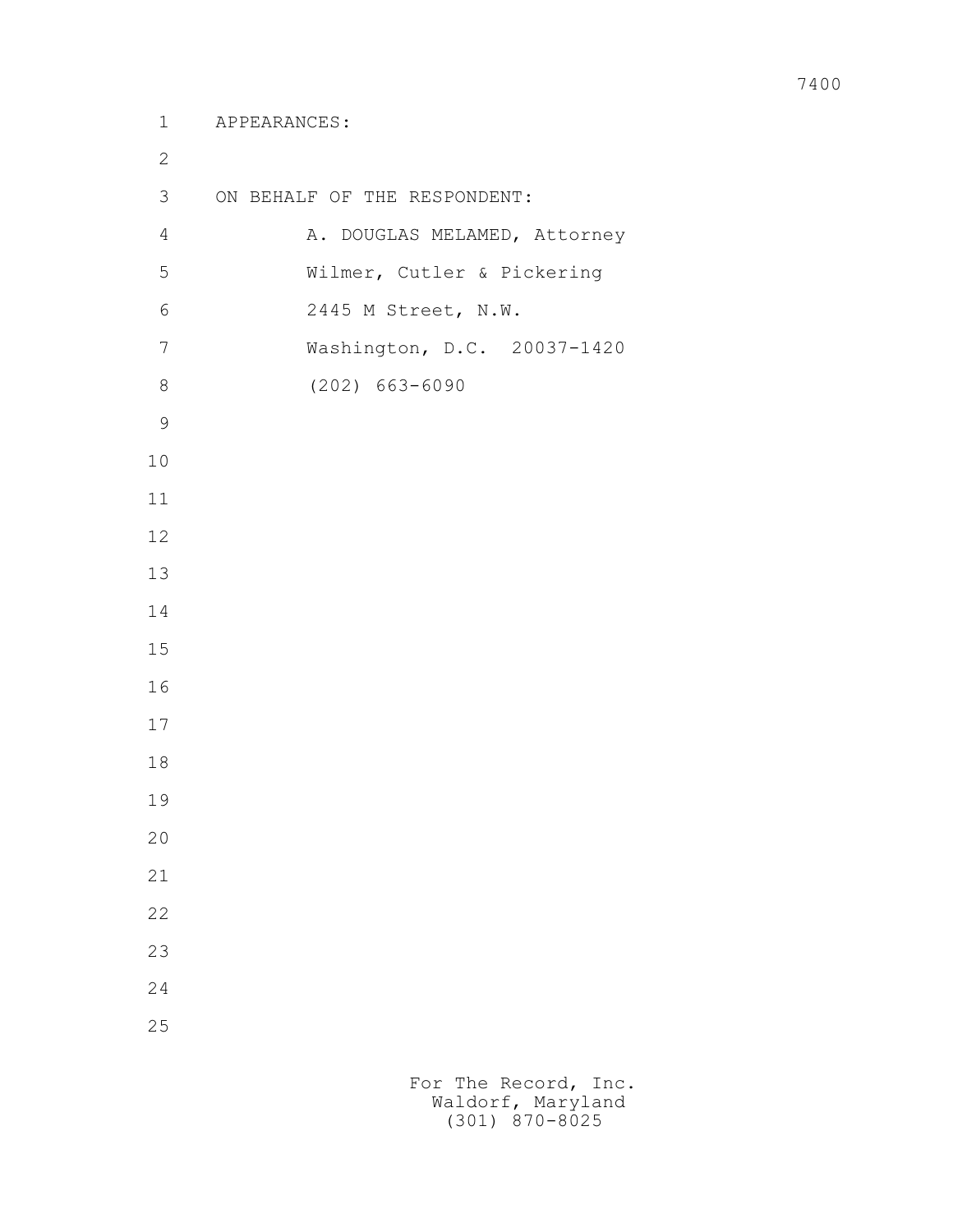| $\mathbf{2}$   |                              |
|----------------|------------------------------|
| 3              | ON BEHALF OF THE RESPONDENT: |
| $\overline{4}$ | A. DOUGLAS MELAMED, Attorney |
| 5              | Wilmer, Cutler & Pickering   |
| $\sqrt{6}$     | 2445 M Street, N.W.          |
| 7              | Washington, D.C. 20037-1420  |
| $\,8\,$        | $(202) 663 - 6090$           |
| $\mathcal{G}$  |                              |
| 10             |                              |
| 11             |                              |
| 12             |                              |
| 13             |                              |
| 14             |                              |
| 15             |                              |
| 16             |                              |
| 17             |                              |
| 18             |                              |
| 19             |                              |
| 20             |                              |
| 21             |                              |
| 22             |                              |
| 23             |                              |
| 24             |                              |
| 25             |                              |
|                |                              |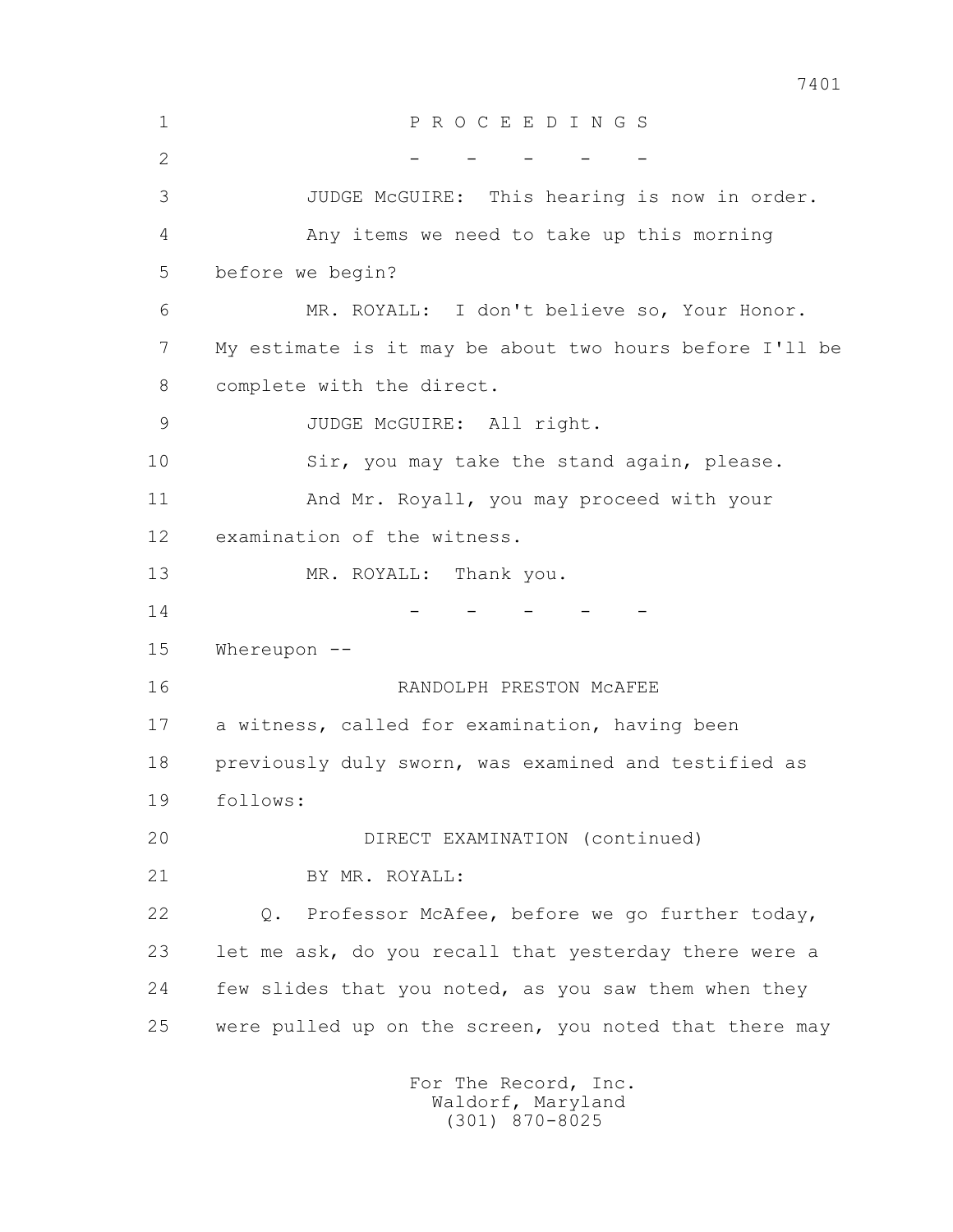1 P R O C E E D I N G S 2 - - - - - - 3 JUDGE McGUIRE: This hearing is now in order. 4 Any items we need to take up this morning 5 before we begin? 6 MR. ROYALL: I don't believe so, Your Honor. 7 My estimate is it may be about two hours before I'll be 8 complete with the direct. 9 JUDGE McGUIRE: All right. 10 Sir, you may take the stand again, please. 11 And Mr. Royall, you may proceed with your 12 examination of the witness. 13 MR. ROYALL: Thank you.  $14$  - - - - - 15 Whereupon -- 16 RANDOLPH PRESTON McAFEE 17 a witness, called for examination, having been 18 previously duly sworn, was examined and testified as 19 follows: 20 DIRECT EXAMINATION (continued) 21 BY MR. ROYALL: 22 Q. Professor McAfee, before we go further today, 23 let me ask, do you recall that yesterday there were a 24 few slides that you noted, as you saw them when they 25 were pulled up on the screen, you noted that there may For The Record, Inc. Waldorf, Maryland

(301) 870-8025

7401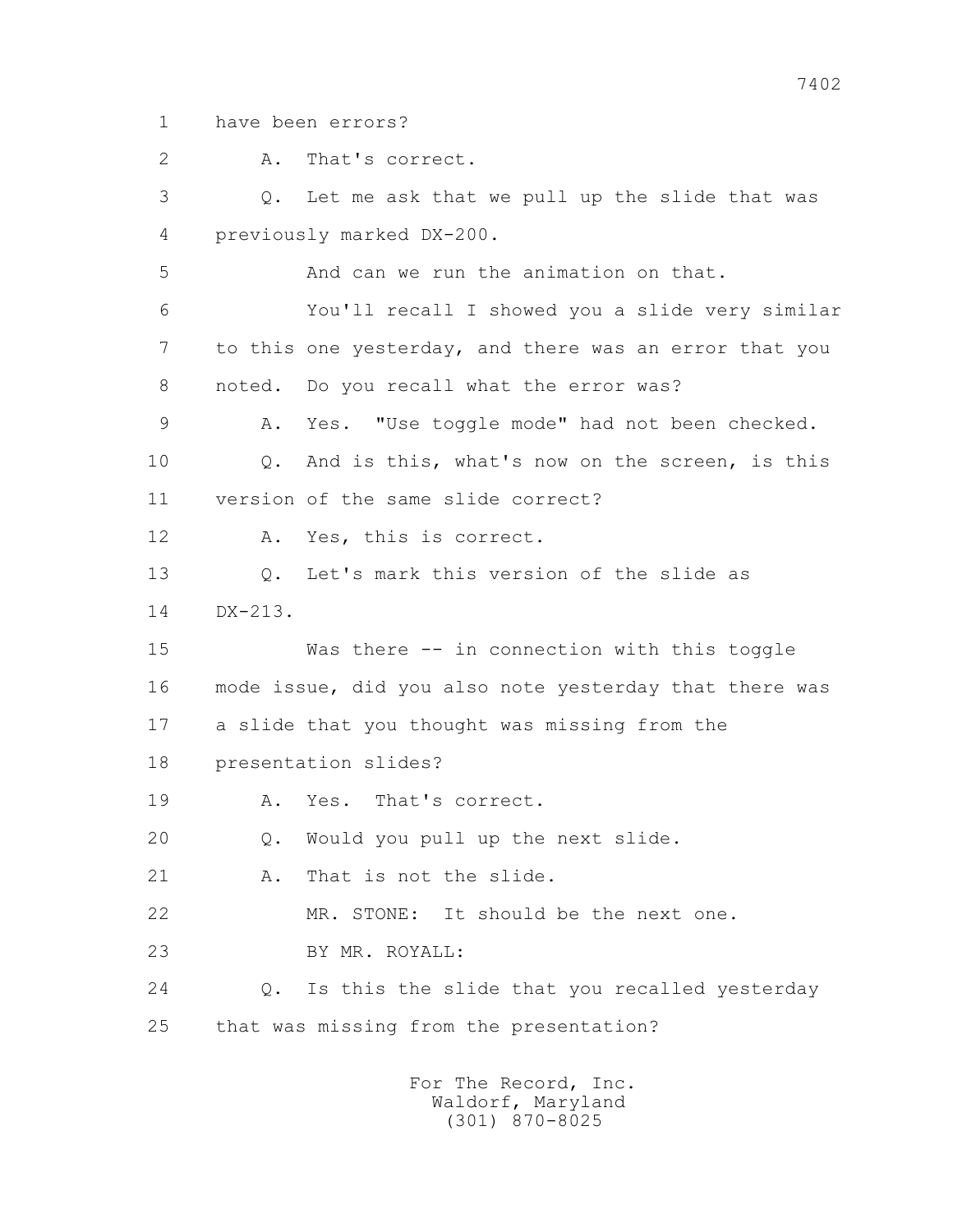1 have been errors?

 2 A. That's correct. 3 Q. Let me ask that we pull up the slide that was 4 previously marked DX-200. 5 And can we run the animation on that. 6 You'll recall I showed you a slide very similar 7 to this one yesterday, and there was an error that you 8 noted. Do you recall what the error was? 9 A. Yes. "Use toggle mode" had not been checked. 10 Q. And is this, what's now on the screen, is this 11 version of the same slide correct? 12 A. Yes, this is correct. 13 Q. Let's mark this version of the slide as 14 DX-213. 15 Was there -- in connection with this toggle 16 mode issue, did you also note yesterday that there was 17 a slide that you thought was missing from the 18 presentation slides? 19 A. Yes. That's correct. 20 Q. Would you pull up the next slide. 21 A. That is not the slide. 22 MR. STONE: It should be the next one. 23 BY MR. ROYALL: 24 Q. Is this the slide that you recalled yesterday 25 that was missing from the presentation?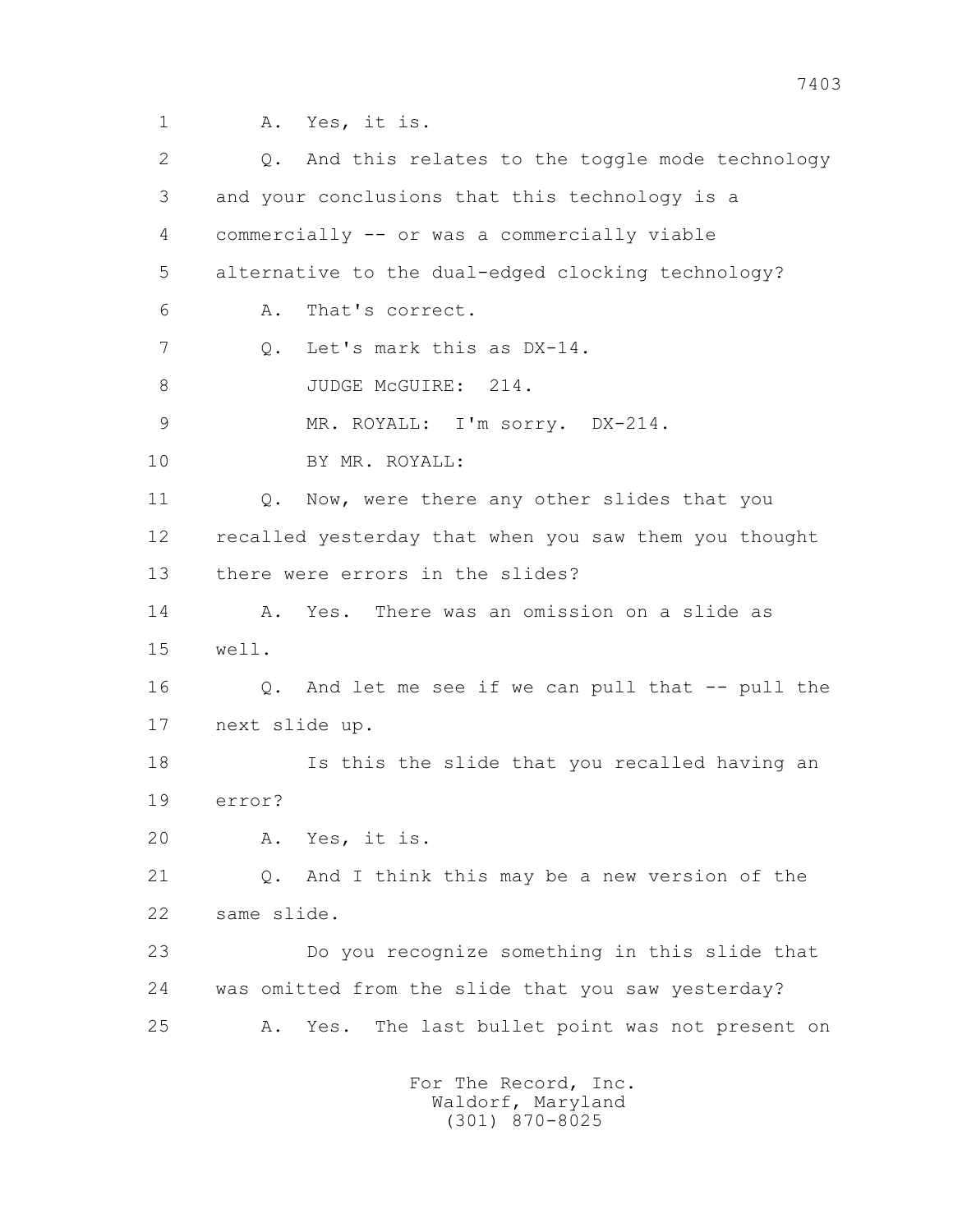1 A. Yes, it is.

| 2  | And this relates to the toggle mode technology<br>Q.   |
|----|--------------------------------------------------------|
| 3  | and your conclusions that this technology is a         |
| 4  | commercially -- or was a commercially viable           |
| 5  | alternative to the dual-edged clocking technology?     |
| 6  | That's correct.<br>Α.                                  |
| 7  | Let's mark this as DX-14.<br>Q.                        |
| 8  | JUDGE McGUIRE: 214.                                    |
| 9  | MR. ROYALL: I'm sorry. DX-214.                         |
| 10 | BY MR. ROYALL:                                         |
| 11 | Now, were there any other slides that you<br>$Q$ .     |
| 12 | recalled yesterday that when you saw them you thought  |
| 13 | there were errors in the slides?                       |
| 14 | Yes. There was an omission on a slide as<br>Α.         |
| 15 | well.                                                  |
| 16 | And let me see if we can pull that -- pull the<br>Q.   |
| 17 | next slide up.                                         |
| 18 | Is this the slide that you recalled having an          |
| 19 | error?                                                 |
| 20 | A. Yes, it is.                                         |
| 21 | And I think this may be a new version of the<br>Q.     |
| 22 | same slide.                                            |
| 23 | Do you recognize something in this slide that          |
| 24 | was omitted from the slide that you saw yesterday?     |
| 25 | The last bullet point was not present on<br>Α.<br>Yes. |
|    | For The Record, Inc.                                   |

Waldorf, Maryland (301) 870-8025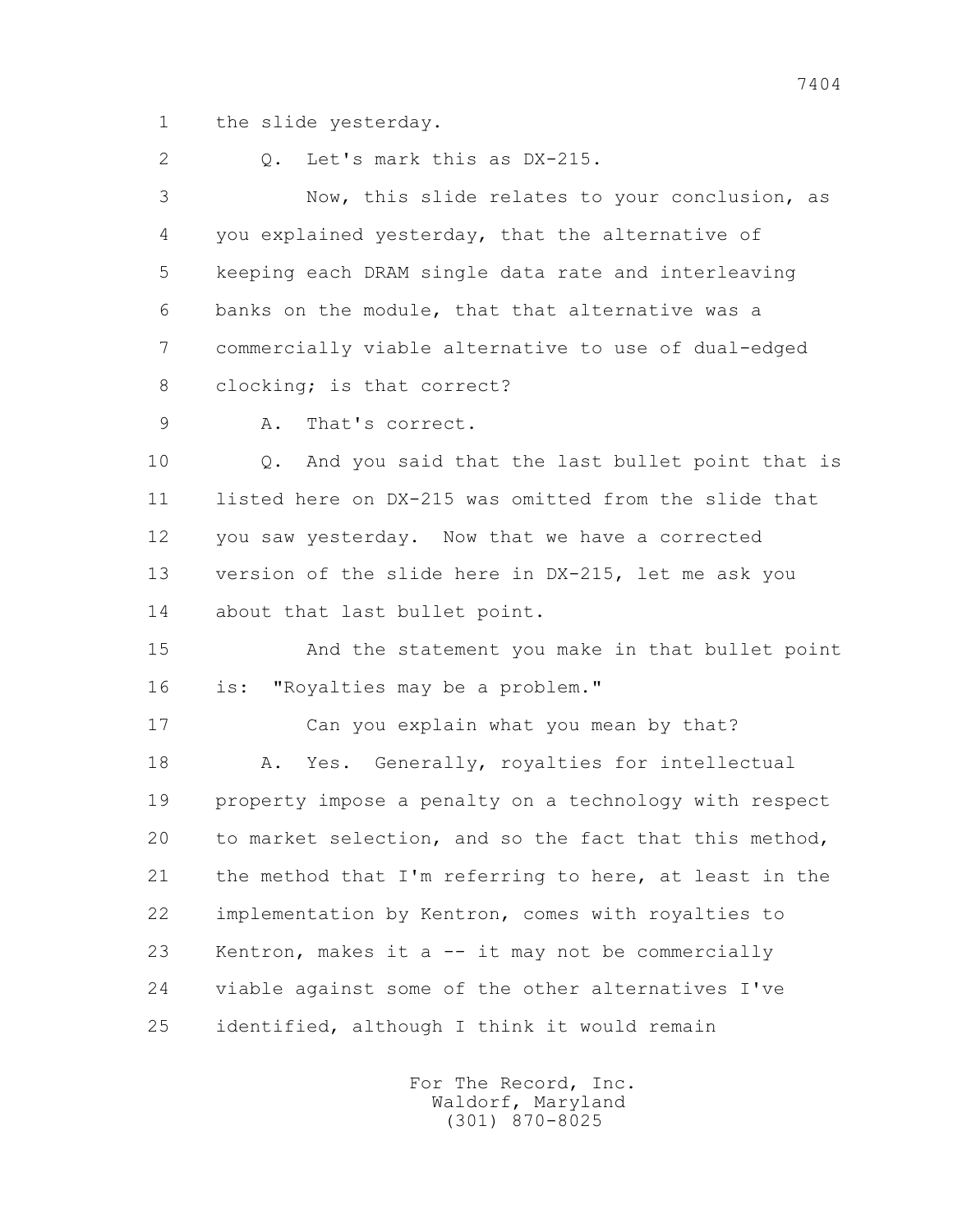1 the slide yesterday.

2 Q. Let's mark this as DX-215.

 3 Now, this slide relates to your conclusion, as 4 you explained yesterday, that the alternative of 5 keeping each DRAM single data rate and interleaving 6 banks on the module, that that alternative was a 7 commercially viable alternative to use of dual-edged 8 clocking; is that correct?

9 A. That's correct.

 10 Q. And you said that the last bullet point that is 11 listed here on DX-215 was omitted from the slide that 12 you saw yesterday. Now that we have a corrected 13 version of the slide here in DX-215, let me ask you 14 about that last bullet point.

 15 And the statement you make in that bullet point 16 is: "Royalties may be a problem."

 17 Can you explain what you mean by that? 18 A. Yes. Generally, royalties for intellectual 19 property impose a penalty on a technology with respect 20 to market selection, and so the fact that this method, 21 the method that I'm referring to here, at least in the 22 implementation by Kentron, comes with royalties to 23 Kentron, makes it a -- it may not be commercially 24 viable against some of the other alternatives I've 25 identified, although I think it would remain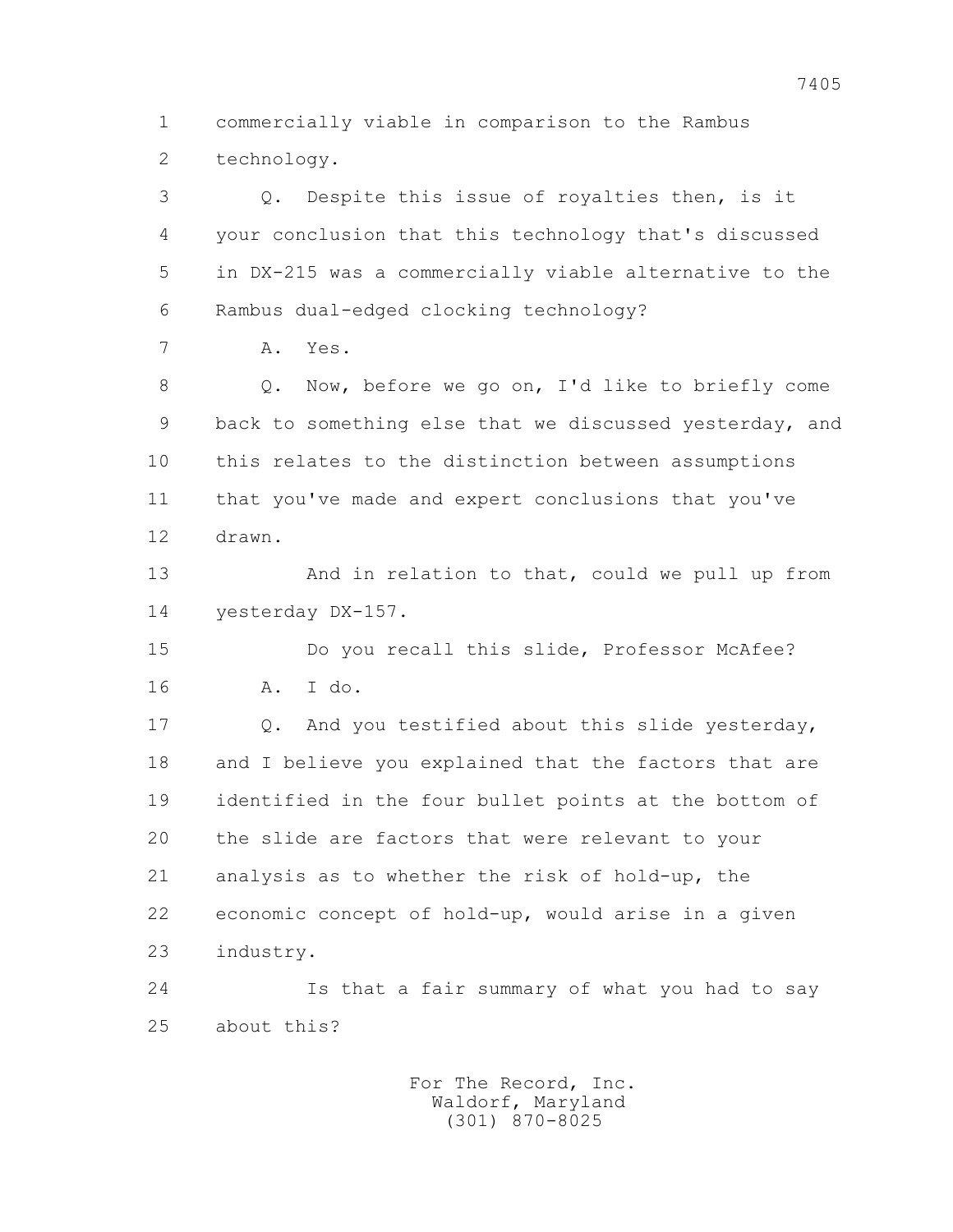1 commercially viable in comparison to the Rambus 2 technology.

 3 Q. Despite this issue of royalties then, is it 4 your conclusion that this technology that's discussed 5 in DX-215 was a commercially viable alternative to the 6 Rambus dual-edged clocking technology?

7 A. Yes.

 8 Q. Now, before we go on, I'd like to briefly come 9 back to something else that we discussed yesterday, and 10 this relates to the distinction between assumptions 11 that you've made and expert conclusions that you've 12 drawn.

13 And in relation to that, could we pull up from 14 yesterday DX-157.

 15 Do you recall this slide, Professor McAfee? 16 A. I do.

 17 Q. And you testified about this slide yesterday, 18 and I believe you explained that the factors that are 19 identified in the four bullet points at the bottom of 20 the slide are factors that were relevant to your 21 analysis as to whether the risk of hold-up, the 22 economic concept of hold-up, would arise in a given 23 industry.

 24 Is that a fair summary of what you had to say 25 about this?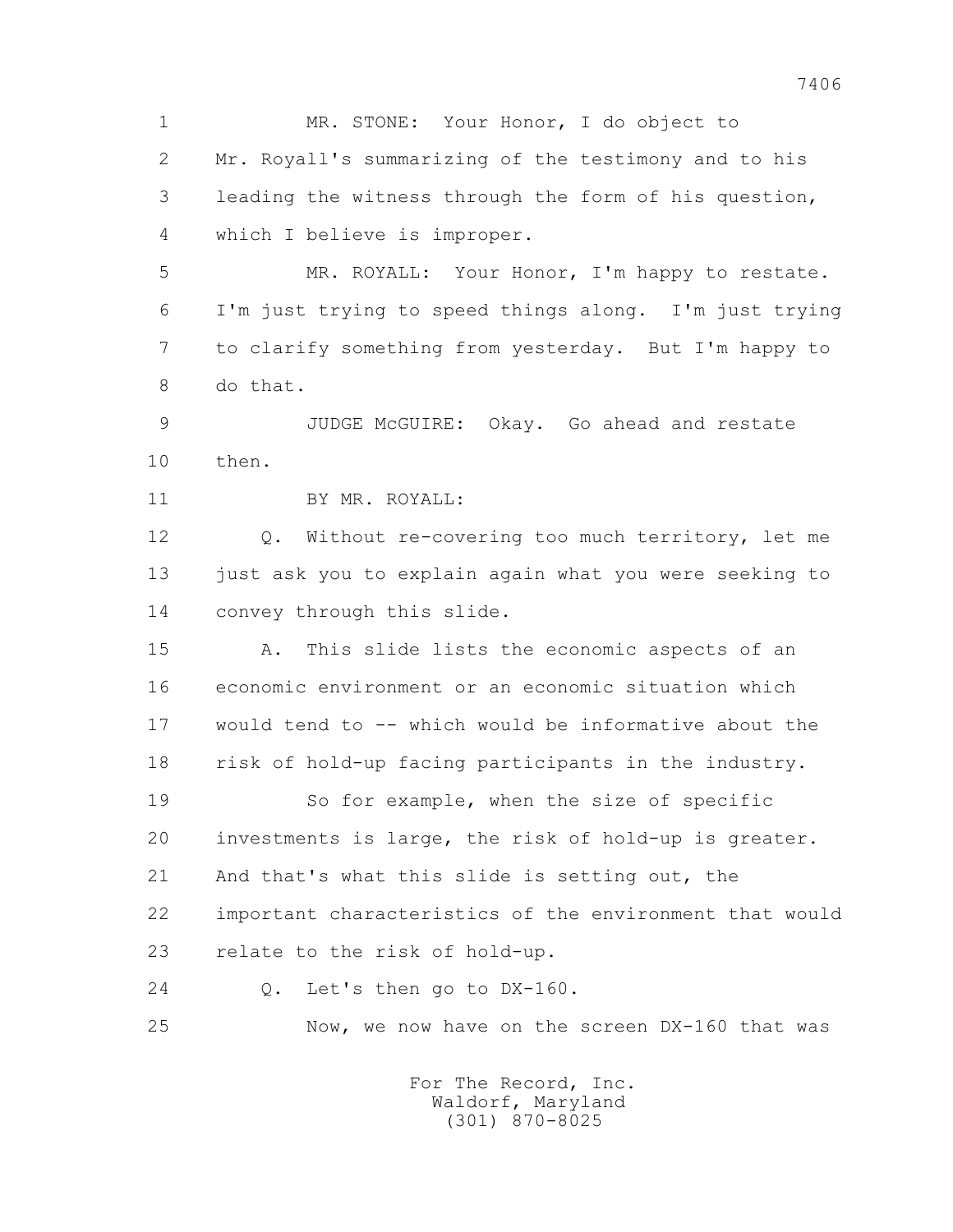1 MR. STONE: Your Honor, I do object to 2 Mr. Royall's summarizing of the testimony and to his 3 leading the witness through the form of his question, 4 which I believe is improper.

 5 MR. ROYALL: Your Honor, I'm happy to restate. 6 I'm just trying to speed things along. I'm just trying 7 to clarify something from yesterday. But I'm happy to 8 do that.

 9 JUDGE McGUIRE: Okay. Go ahead and restate 10 then.

11 BY MR. ROYALL:

 12 Q. Without re-covering too much territory, let me 13 just ask you to explain again what you were seeking to 14 convey through this slide.

 15 A. This slide lists the economic aspects of an 16 economic environment or an economic situation which 17 would tend to -- which would be informative about the 18 risk of hold-up facing participants in the industry.

19 So for example, when the size of specific 20 investments is large, the risk of hold-up is greater. 21 And that's what this slide is setting out, the 22 important characteristics of the environment that would 23 relate to the risk of hold-up.

24 Q. Let's then go to DX-160.

25 Now, we now have on the screen DX-160 that was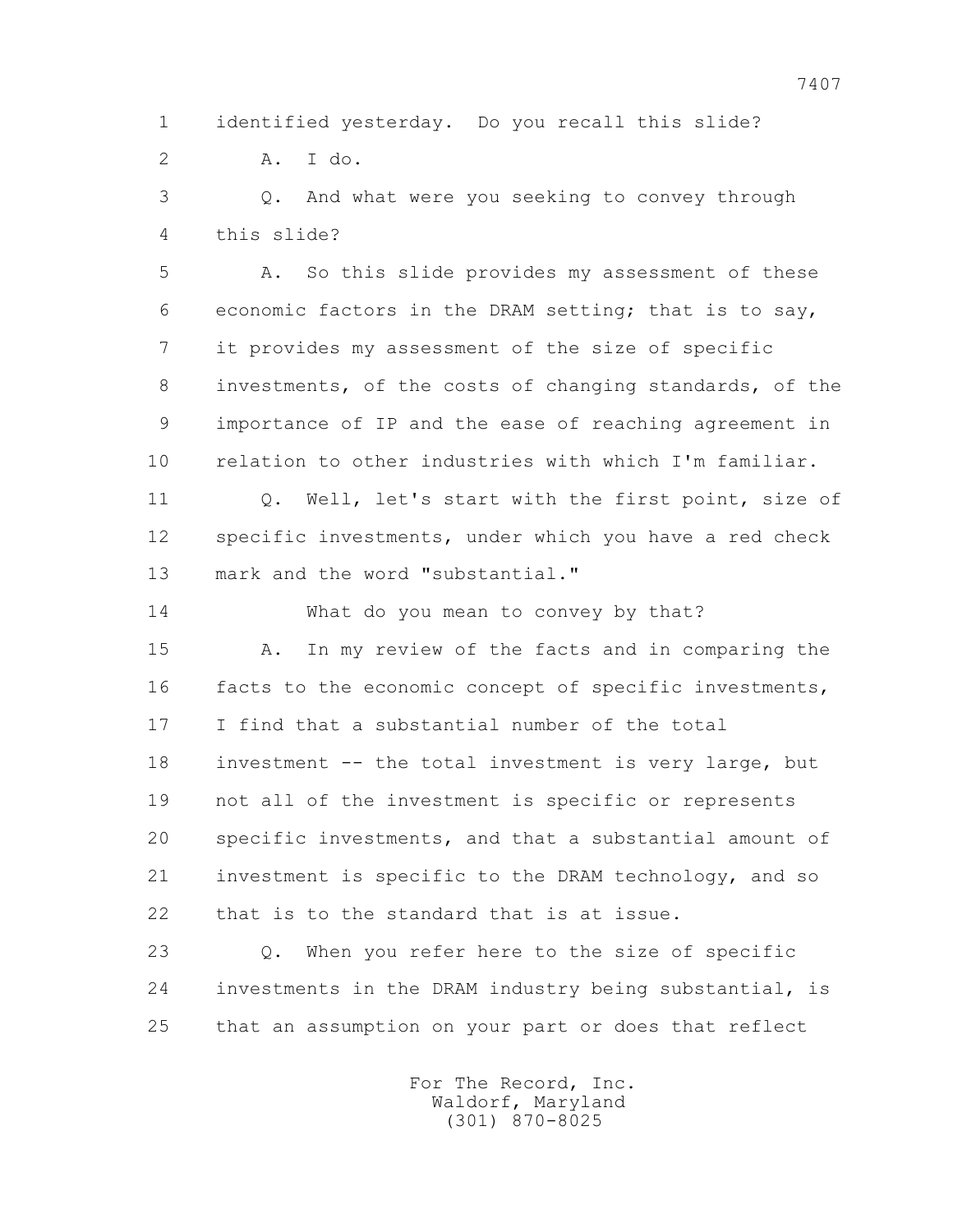1 identified yesterday. Do you recall this slide?

2 A. I do.

 3 Q. And what were you seeking to convey through 4 this slide?

 5 A. So this slide provides my assessment of these 6 economic factors in the DRAM setting; that is to say, 7 it provides my assessment of the size of specific 8 investments, of the costs of changing standards, of the 9 importance of IP and the ease of reaching agreement in 10 relation to other industries with which I'm familiar.

11 0. Well, let's start with the first point, size of 12 specific investments, under which you have a red check 13 mark and the word "substantial."

14 What do you mean to convey by that?

 15 A. In my review of the facts and in comparing the 16 facts to the economic concept of specific investments, 17 I find that a substantial number of the total 18 investment -- the total investment is very large, but 19 not all of the investment is specific or represents 20 specific investments, and that a substantial amount of 21 investment is specific to the DRAM technology, and so 22 that is to the standard that is at issue.

 23 Q. When you refer here to the size of specific 24 investments in the DRAM industry being substantial, is 25 that an assumption on your part or does that reflect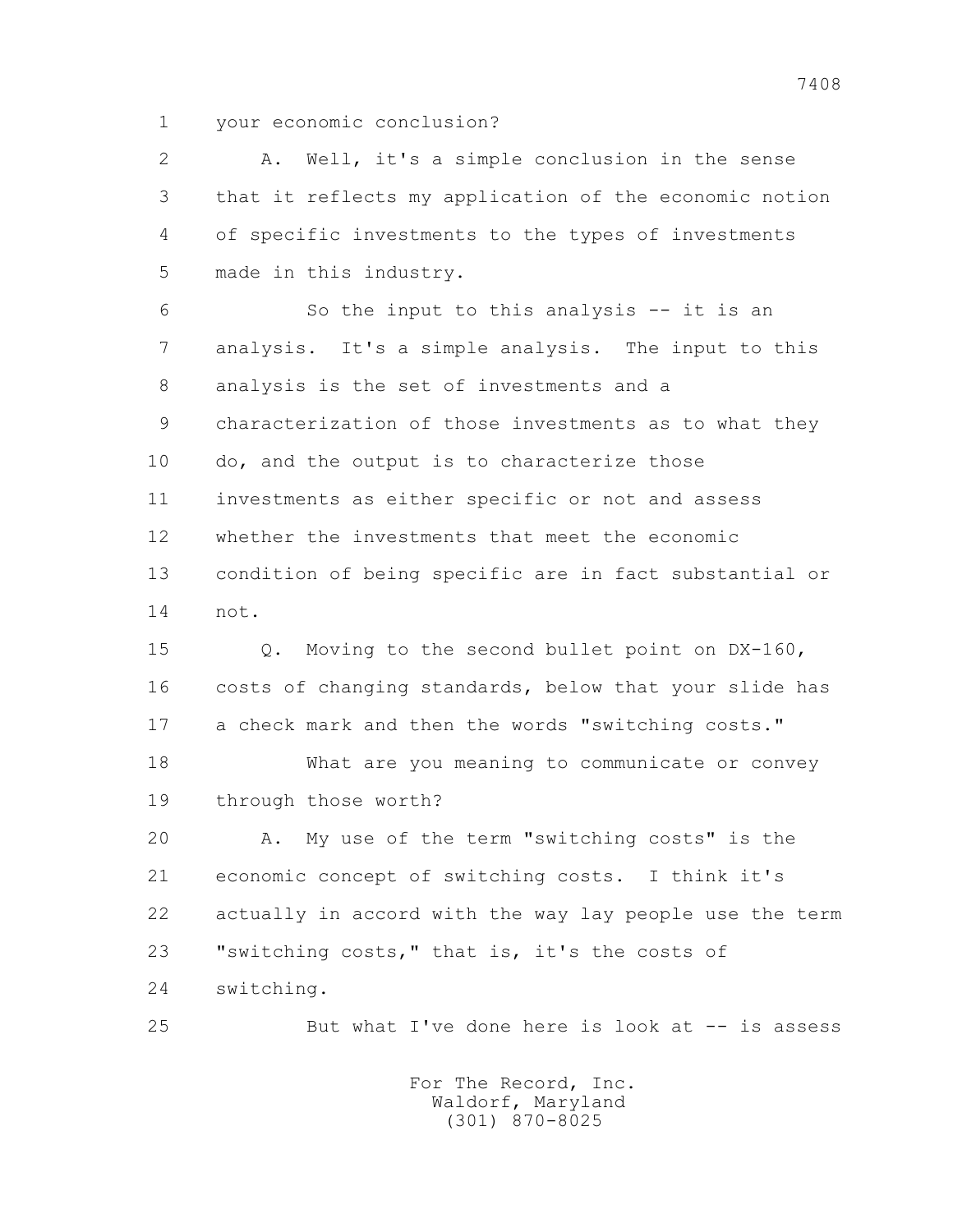1 your economic conclusion?

 2 A. Well, it's a simple conclusion in the sense 3 that it reflects my application of the economic notion 4 of specific investments to the types of investments 5 made in this industry.

 6 So the input to this analysis -- it is an 7 analysis. It's a simple analysis. The input to this 8 analysis is the set of investments and a 9 characterization of those investments as to what they 10 do, and the output is to characterize those 11 investments as either specific or not and assess 12 whether the investments that meet the economic 13 condition of being specific are in fact substantial or 14 not.

 15 Q. Moving to the second bullet point on DX-160, 16 costs of changing standards, below that your slide has 17 a check mark and then the words "switching costs."

 18 What are you meaning to communicate or convey 19 through those worth?

 20 A. My use of the term "switching costs" is the 21 economic concept of switching costs. I think it's 22 actually in accord with the way lay people use the term 23 "switching costs," that is, it's the costs of 24 switching.

25 But what I've done here is look at -- is assess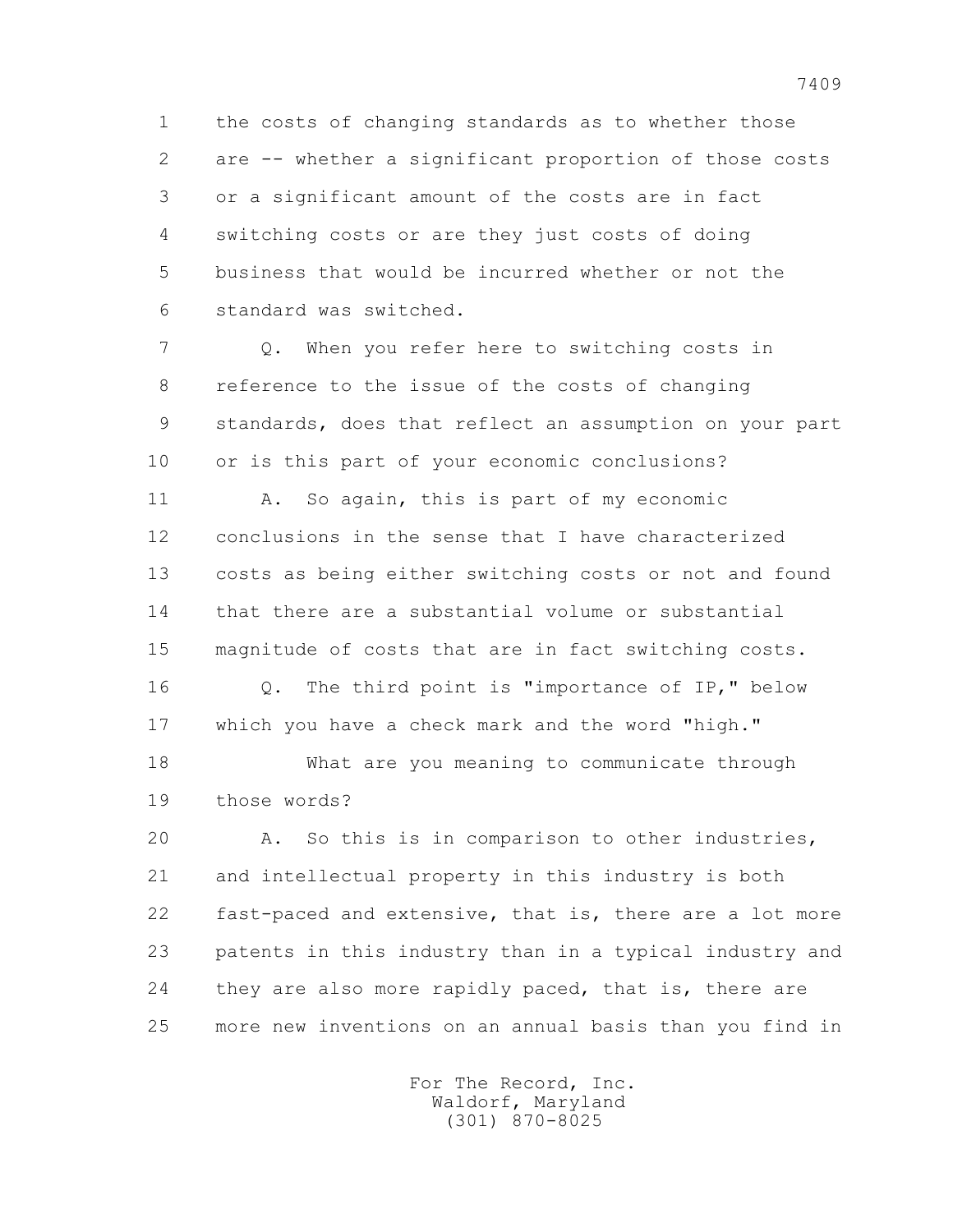1 the costs of changing standards as to whether those 2 are -- whether a significant proportion of those costs 3 or a significant amount of the costs are in fact 4 switching costs or are they just costs of doing 5 business that would be incurred whether or not the 6 standard was switched.

 7 Q. When you refer here to switching costs in 8 reference to the issue of the costs of changing 9 standards, does that reflect an assumption on your part 10 or is this part of your economic conclusions?

11 A. So again, this is part of my economic 12 conclusions in the sense that I have characterized 13 costs as being either switching costs or not and found 14 that there are a substantial volume or substantial 15 magnitude of costs that are in fact switching costs. 16 Q. The third point is "importance of IP," below 17 which you have a check mark and the word "high."

18 What are you meaning to communicate through

19 those words?

 20 A. So this is in comparison to other industries, 21 and intellectual property in this industry is both 22 fast-paced and extensive, that is, there are a lot more 23 patents in this industry than in a typical industry and 24 they are also more rapidly paced, that is, there are 25 more new inventions on an annual basis than you find in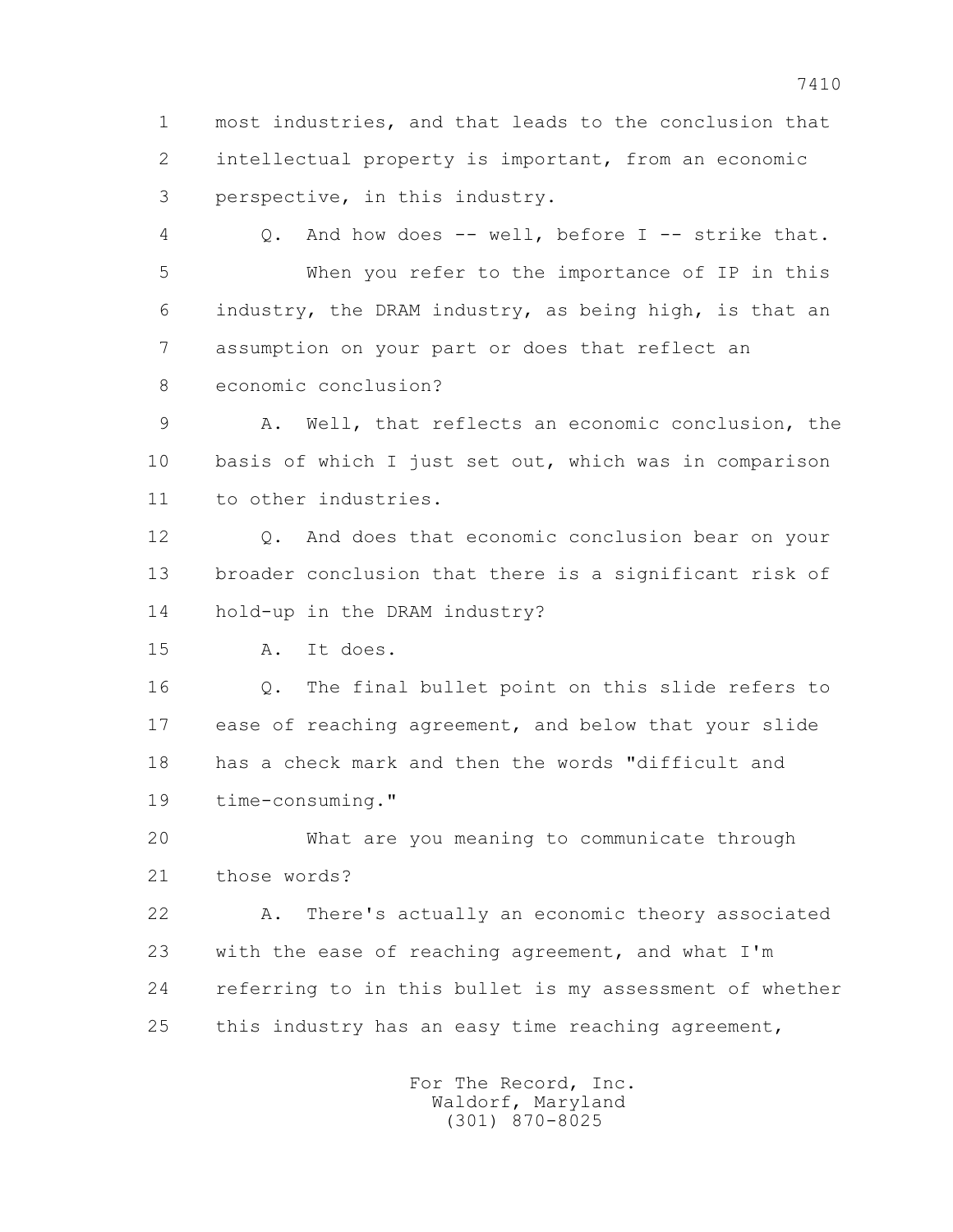1 most industries, and that leads to the conclusion that 2 intellectual property is important, from an economic 3 perspective, in this industry.

 4 Q. And how does -- well, before I -- strike that. 5 When you refer to the importance of IP in this 6 industry, the DRAM industry, as being high, is that an 7 assumption on your part or does that reflect an 8 economic conclusion?

 9 A. Well, that reflects an economic conclusion, the 10 basis of which I just set out, which was in comparison 11 to other industries.

 12 Q. And does that economic conclusion bear on your 13 broader conclusion that there is a significant risk of 14 hold-up in the DRAM industry?

15 A. It does.

 16 Q. The final bullet point on this slide refers to 17 ease of reaching agreement, and below that your slide 18 has a check mark and then the words "difficult and 19 time-consuming."

 20 What are you meaning to communicate through 21 those words?

 22 A. There's actually an economic theory associated 23 with the ease of reaching agreement, and what I'm 24 referring to in this bullet is my assessment of whether 25 this industry has an easy time reaching agreement,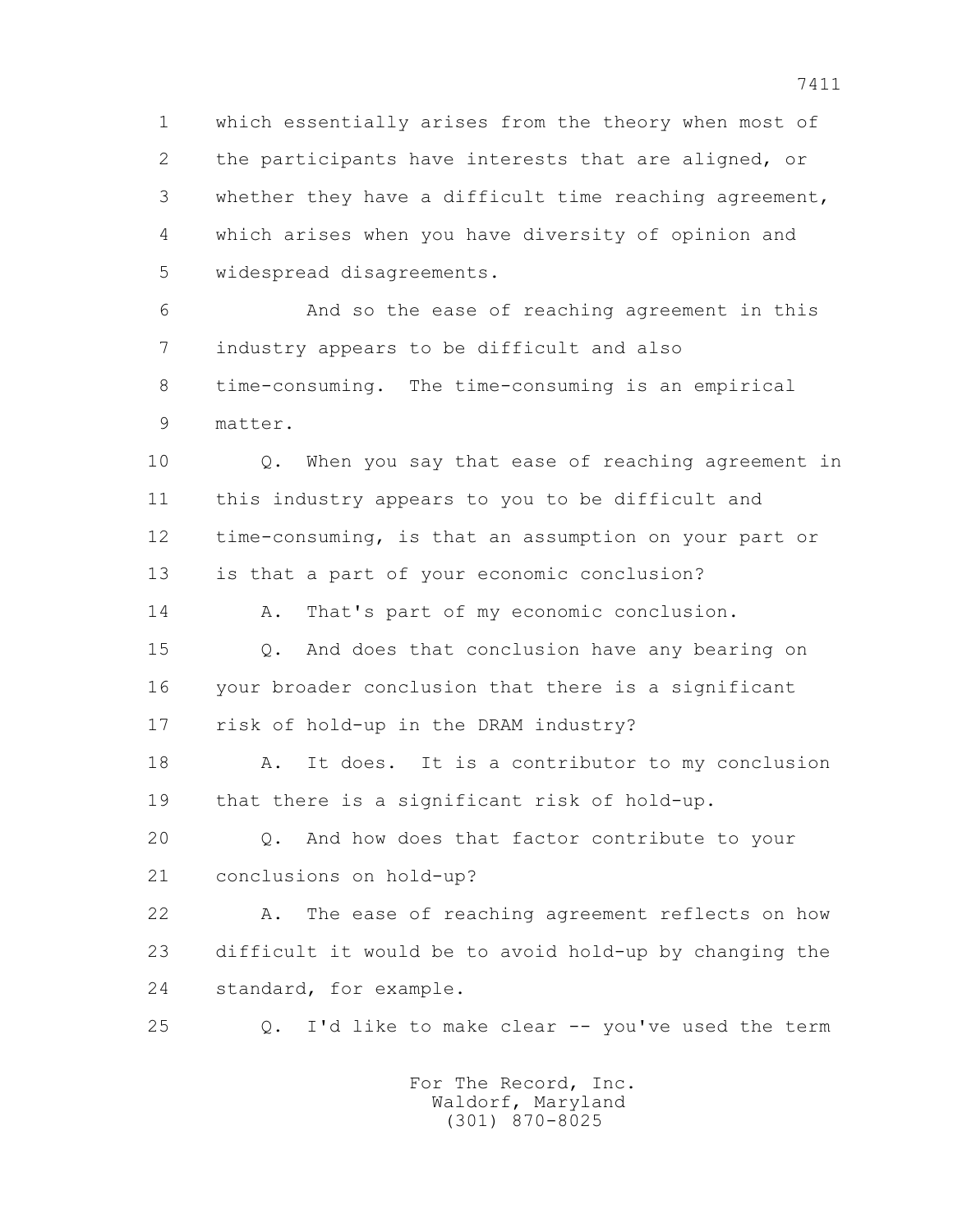1 which essentially arises from the theory when most of 2 the participants have interests that are aligned, or 3 whether they have a difficult time reaching agreement, 4 which arises when you have diversity of opinion and 5 widespread disagreements.

 6 And so the ease of reaching agreement in this 7 industry appears to be difficult and also 8 time-consuming. The time-consuming is an empirical 9 matter.

 10 Q. When you say that ease of reaching agreement in 11 this industry appears to you to be difficult and 12 time-consuming, is that an assumption on your part or 13 is that a part of your economic conclusion?

14 A. That's part of my economic conclusion.

 15 Q. And does that conclusion have any bearing on 16 your broader conclusion that there is a significant 17 risk of hold-up in the DRAM industry?

18 A. It does. It is a contributor to my conclusion 19 that there is a significant risk of hold-up.

 20 Q. And how does that factor contribute to your 21 conclusions on hold-up?

 22 A. The ease of reaching agreement reflects on how 23 difficult it would be to avoid hold-up by changing the 24 standard, for example.

25 Q. I'd like to make clear -- you've used the term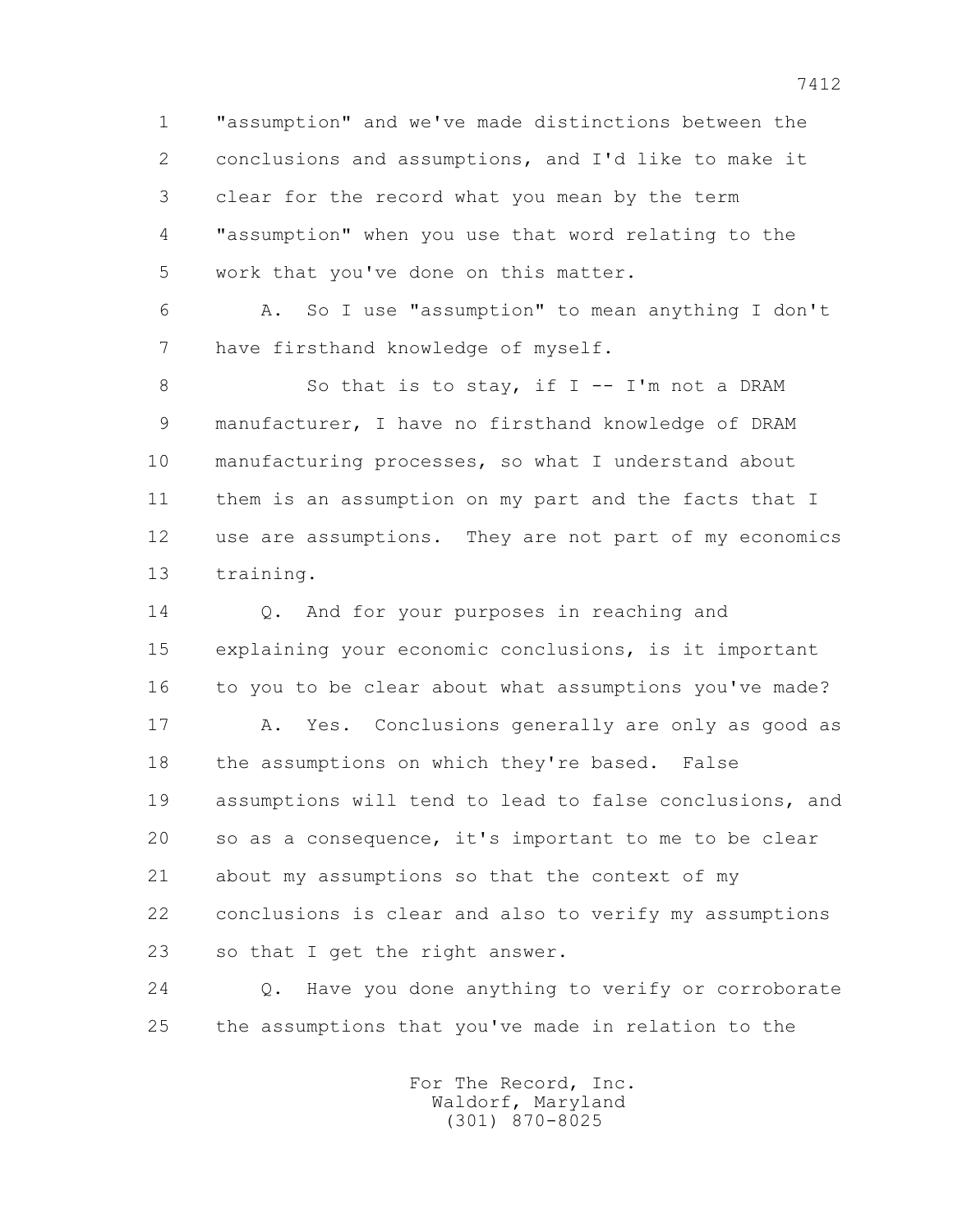1 "assumption" and we've made distinctions between the 2 conclusions and assumptions, and I'd like to make it 3 clear for the record what you mean by the term 4 "assumption" when you use that word relating to the 5 work that you've done on this matter.

 6 A. So I use "assumption" to mean anything I don't 7 have firsthand knowledge of myself.

8 So that is to stay, if I -- I'm not a DRAM 9 manufacturer, I have no firsthand knowledge of DRAM 10 manufacturing processes, so what I understand about 11 them is an assumption on my part and the facts that I 12 use are assumptions. They are not part of my economics 13 training.

 14 Q. And for your purposes in reaching and 15 explaining your economic conclusions, is it important 16 to you to be clear about what assumptions you've made?

 17 A. Yes. Conclusions generally are only as good as 18 the assumptions on which they're based. False 19 assumptions will tend to lead to false conclusions, and 20 so as a consequence, it's important to me to be clear 21 about my assumptions so that the context of my 22 conclusions is clear and also to verify my assumptions 23 so that I get the right answer.

 24 Q. Have you done anything to verify or corroborate 25 the assumptions that you've made in relation to the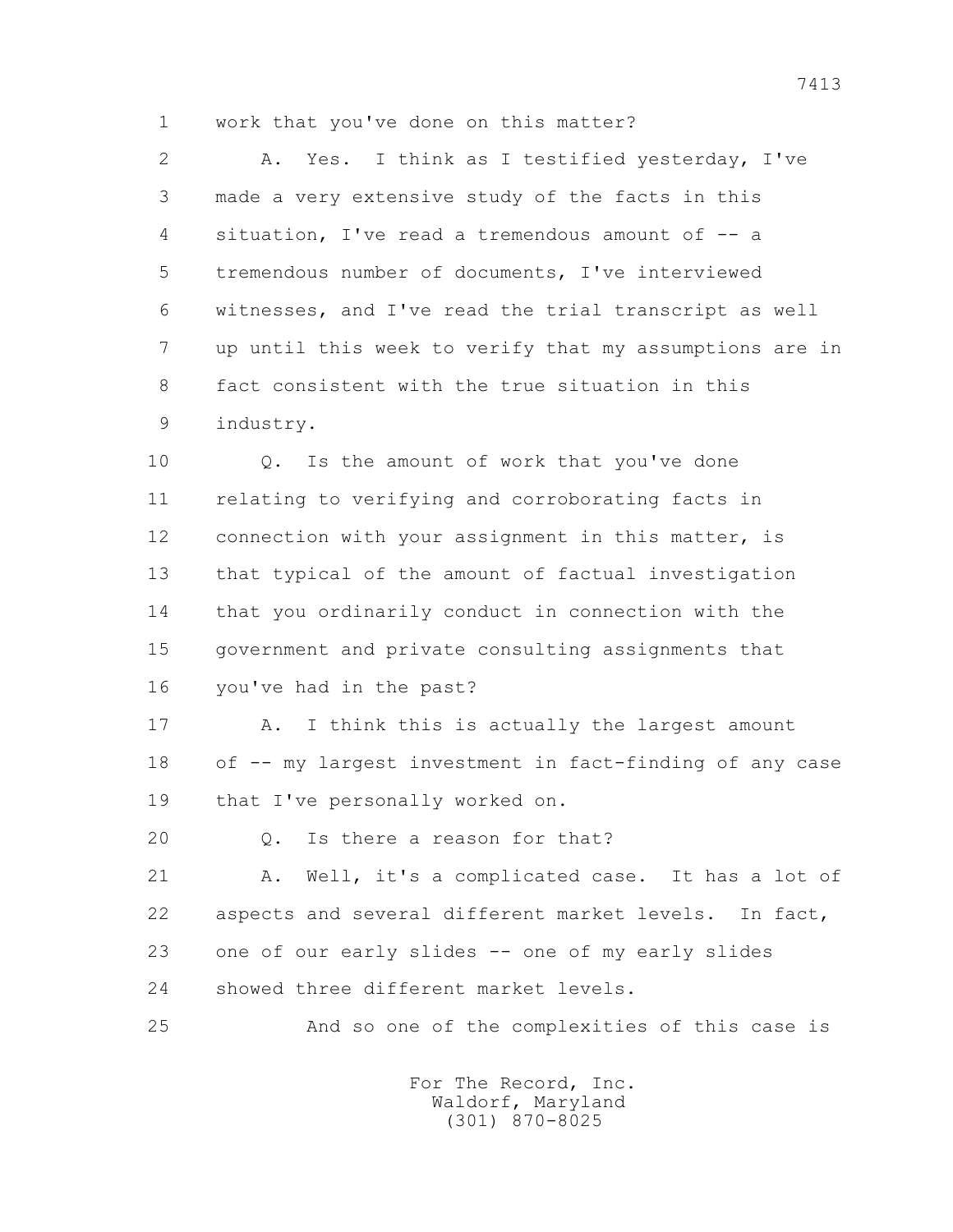1 work that you've done on this matter?

 2 A. Yes. I think as I testified yesterday, I've 3 made a very extensive study of the facts in this 4 situation, I've read a tremendous amount of -- a 5 tremendous number of documents, I've interviewed 6 witnesses, and I've read the trial transcript as well 7 up until this week to verify that my assumptions are in 8 fact consistent with the true situation in this 9 industry.

 10 Q. Is the amount of work that you've done 11 relating to verifying and corroborating facts in 12 connection with your assignment in this matter, is 13 that typical of the amount of factual investigation 14 that you ordinarily conduct in connection with the 15 government and private consulting assignments that 16 you've had in the past?

17 A. I think this is actually the largest amount 18 of -- my largest investment in fact-finding of any case 19 that I've personally worked on.

20 0. Is there a reason for that?

 21 A. Well, it's a complicated case. It has a lot of 22 aspects and several different market levels. In fact, 23 one of our early slides -- one of my early slides 24 showed three different market levels.

25 And so one of the complexities of this case is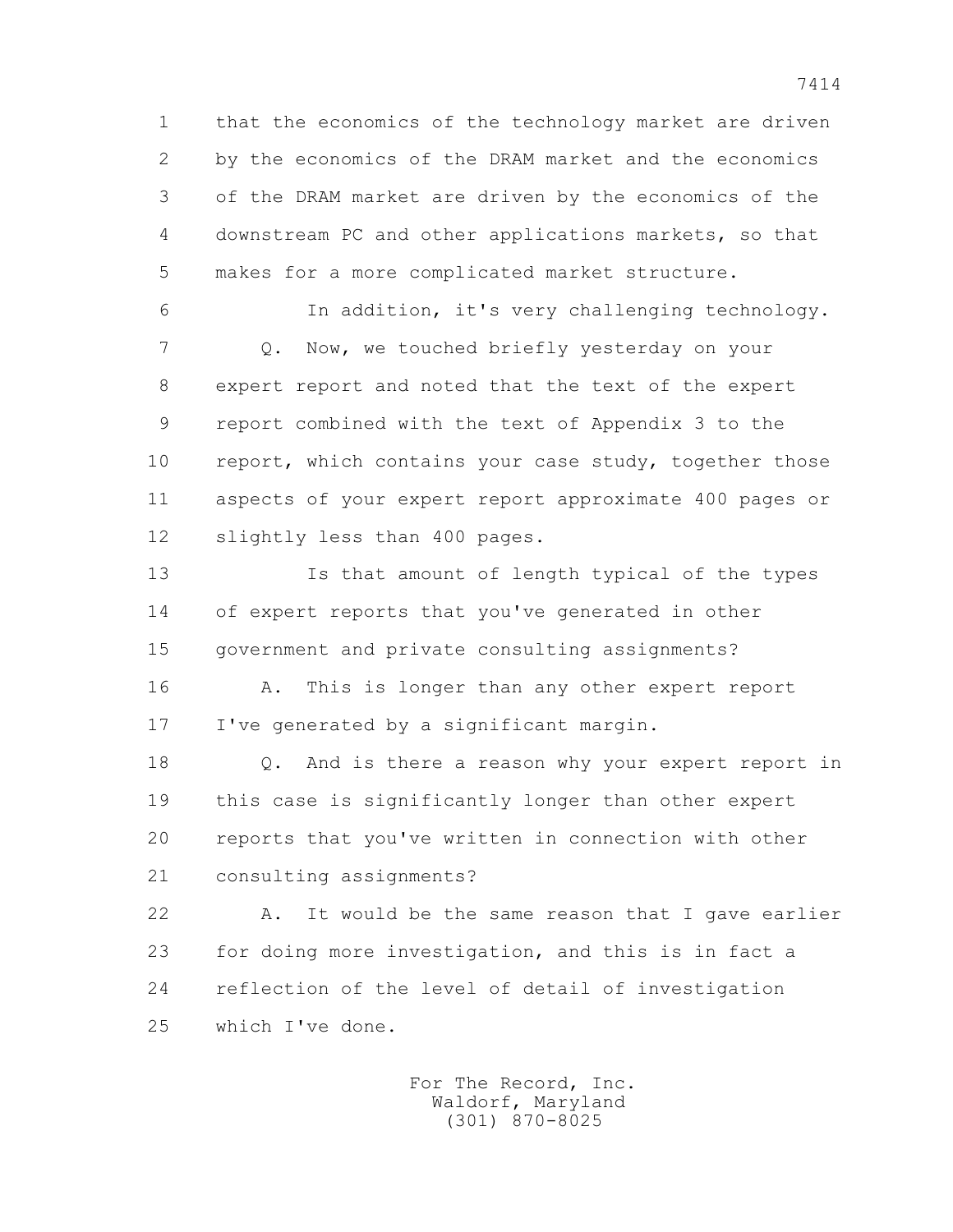1 that the economics of the technology market are driven 2 by the economics of the DRAM market and the economics 3 of the DRAM market are driven by the economics of the 4 downstream PC and other applications markets, so that 5 makes for a more complicated market structure.

 6 In addition, it's very challenging technology. 7 Q. Now, we touched briefly yesterday on your 8 expert report and noted that the text of the expert 9 report combined with the text of Appendix 3 to the 10 report, which contains your case study, together those 11 aspects of your expert report approximate 400 pages or 12 slightly less than 400 pages.

 13 Is that amount of length typical of the types 14 of expert reports that you've generated in other 15 government and private consulting assignments?

 16 A. This is longer than any other expert report 17 I've generated by a significant margin.

 18 Q. And is there a reason why your expert report in 19 this case is significantly longer than other expert 20 reports that you've written in connection with other 21 consulting assignments?

 22 A. It would be the same reason that I gave earlier 23 for doing more investigation, and this is in fact a 24 reflection of the level of detail of investigation 25 which I've done.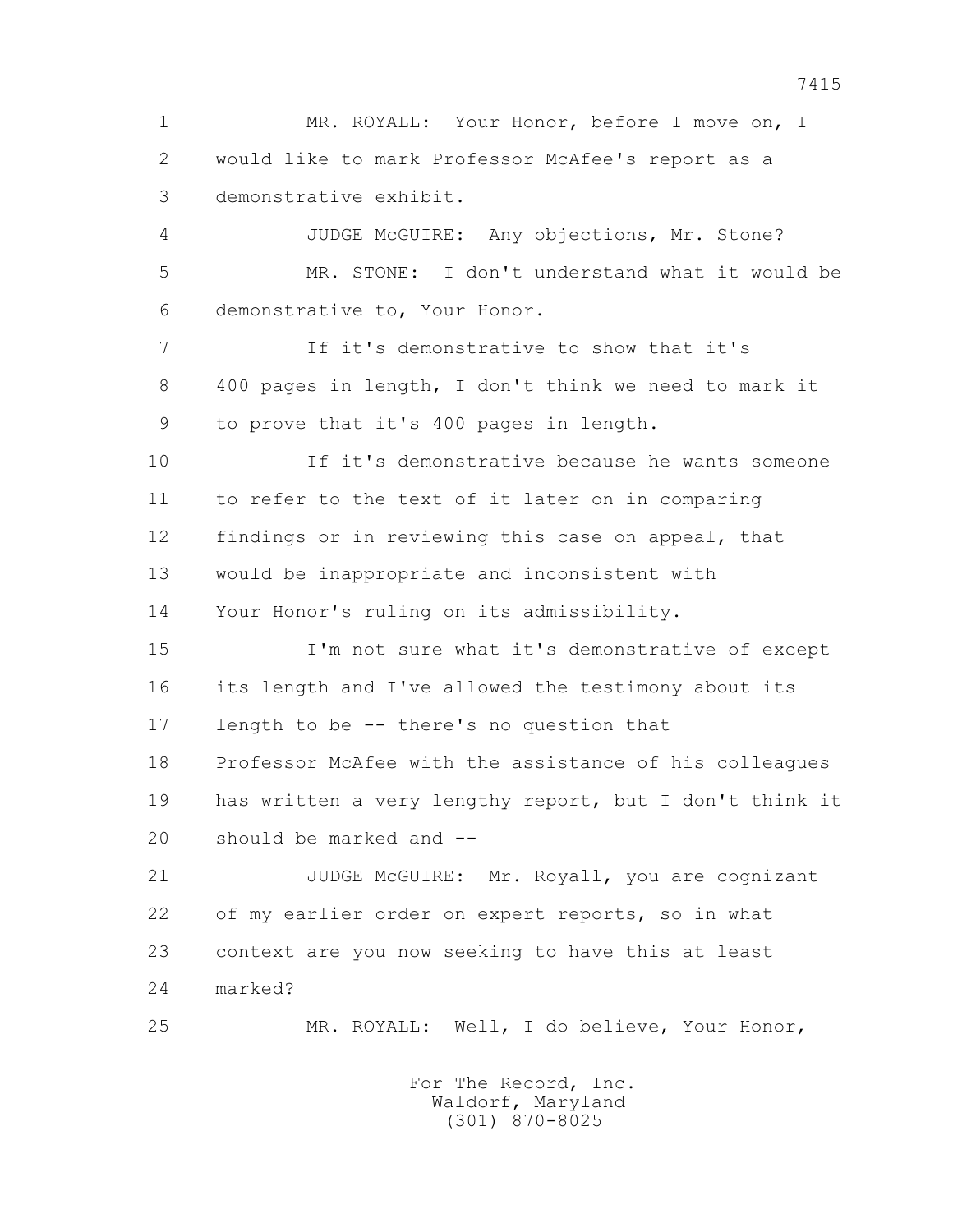1 MR. ROYALL: Your Honor, before I move on, I 2 would like to mark Professor McAfee's report as a 3 demonstrative exhibit.

 4 JUDGE McGUIRE: Any objections, Mr. Stone? 5 MR. STONE: I don't understand what it would be 6 demonstrative to, Your Honor.

 7 If it's demonstrative to show that it's 8 400 pages in length, I don't think we need to mark it 9 to prove that it's 400 pages in length.

 10 If it's demonstrative because he wants someone 11 to refer to the text of it later on in comparing 12 findings or in reviewing this case on appeal, that 13 would be inappropriate and inconsistent with 14 Your Honor's ruling on its admissibility.

 15 I'm not sure what it's demonstrative of except 16 its length and I've allowed the testimony about its 17 length to be -- there's no question that 18 Professor McAfee with the assistance of his colleagues 19 has written a very lengthy report, but I don't think it 20 should be marked and --

 21 JUDGE McGUIRE: Mr. Royall, you are cognizant 22 of my earlier order on expert reports, so in what 23 context are you now seeking to have this at least 24 marked?

25 MR. ROYALL: Well, I do believe, Your Honor,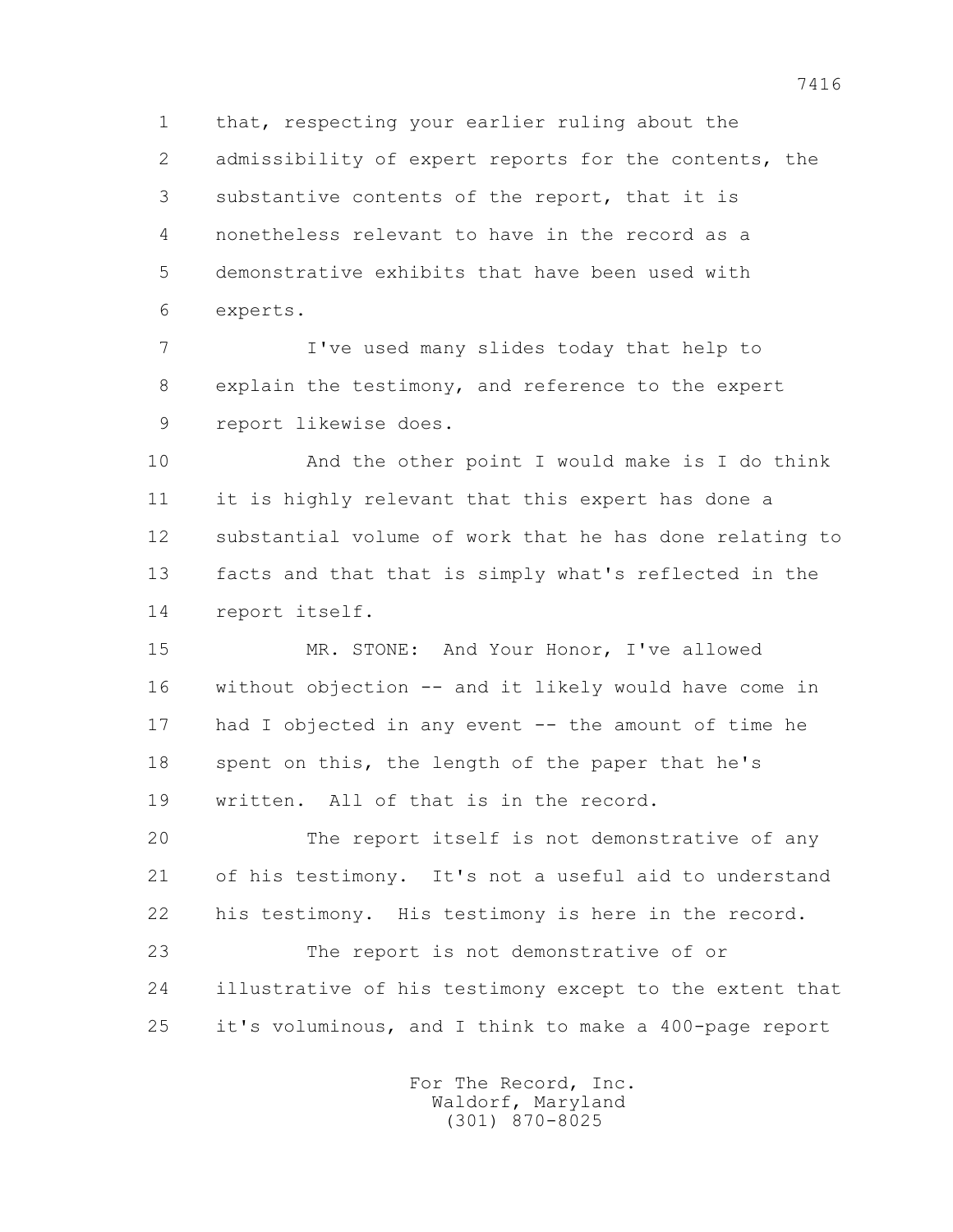1 that, respecting your earlier ruling about the 2 admissibility of expert reports for the contents, the 3 substantive contents of the report, that it is 4 nonetheless relevant to have in the record as a 5 demonstrative exhibits that have been used with 6 experts.

 7 I've used many slides today that help to 8 explain the testimony, and reference to the expert 9 report likewise does.

 10 And the other point I would make is I do think 11 it is highly relevant that this expert has done a 12 substantial volume of work that he has done relating to 13 facts and that that is simply what's reflected in the 14 report itself.

 15 MR. STONE: And Your Honor, I've allowed 16 without objection -- and it likely would have come in 17 had I objected in any event -- the amount of time he 18 spent on this, the length of the paper that he's 19 written. All of that is in the record.

 20 The report itself is not demonstrative of any 21 of his testimony. It's not a useful aid to understand 22 his testimony. His testimony is here in the record.

 23 The report is not demonstrative of or 24 illustrative of his testimony except to the extent that 25 it's voluminous, and I think to make a 400-page report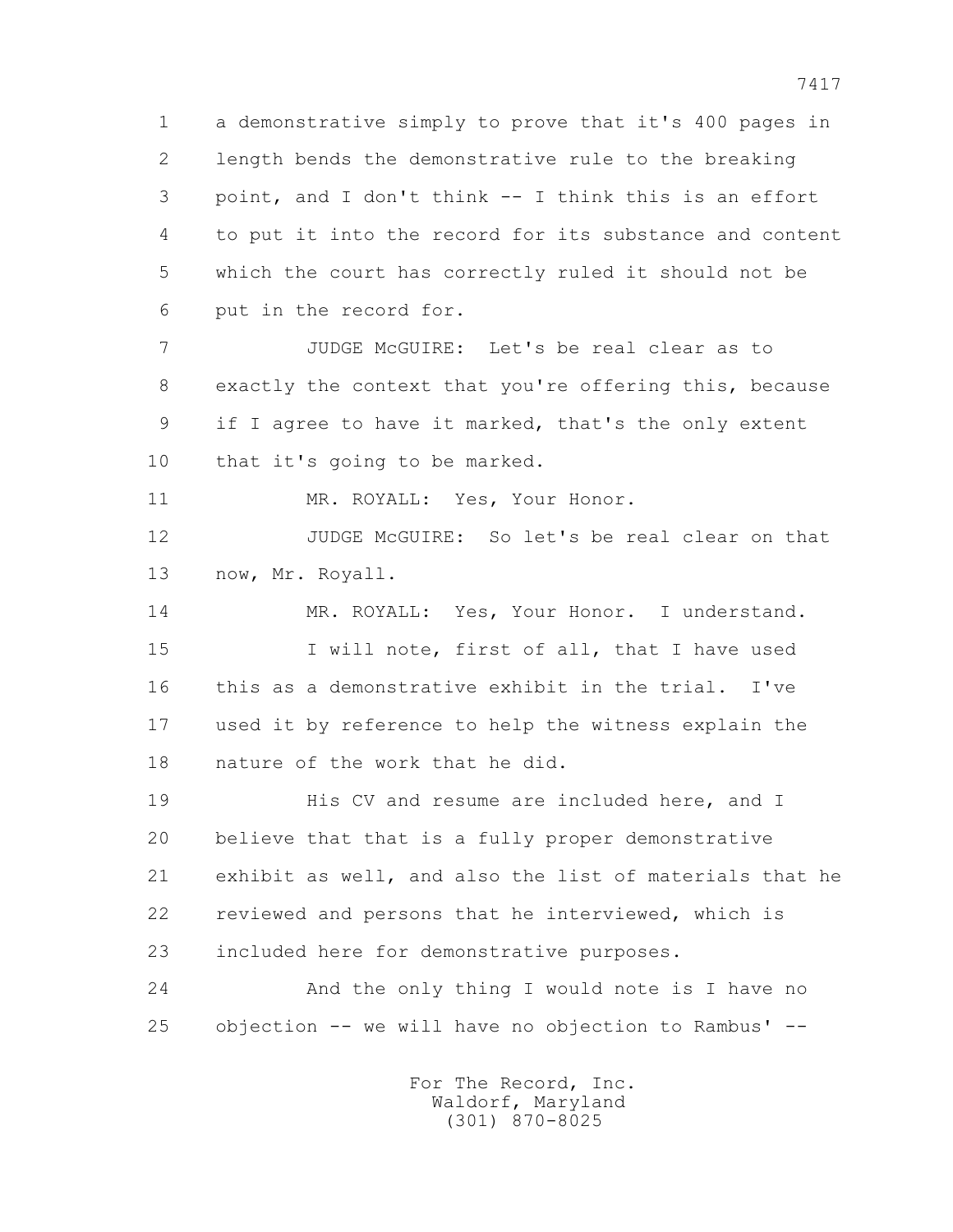1 a demonstrative simply to prove that it's 400 pages in 2 length bends the demonstrative rule to the breaking 3 point, and I don't think -- I think this is an effort 4 to put it into the record for its substance and content 5 which the court has correctly ruled it should not be 6 put in the record for.

 7 JUDGE McGUIRE: Let's be real clear as to 8 exactly the context that you're offering this, because 9 if I agree to have it marked, that's the only extent 10 that it's going to be marked.

11 MR. ROYALL: Yes, Your Honor.

 12 JUDGE McGUIRE: So let's be real clear on that 13 now, Mr. Royall.

 14 MR. ROYALL: Yes, Your Honor. I understand. 15 I will note, first of all, that I have used 16 this as a demonstrative exhibit in the trial. I've 17 used it by reference to help the witness explain the 18 nature of the work that he did.

19 **His CV** and resume are included here, and I 20 believe that that is a fully proper demonstrative 21 exhibit as well, and also the list of materials that he 22 reviewed and persons that he interviewed, which is 23 included here for demonstrative purposes.

 24 And the only thing I would note is I have no 25 objection -- we will have no objection to Rambus' --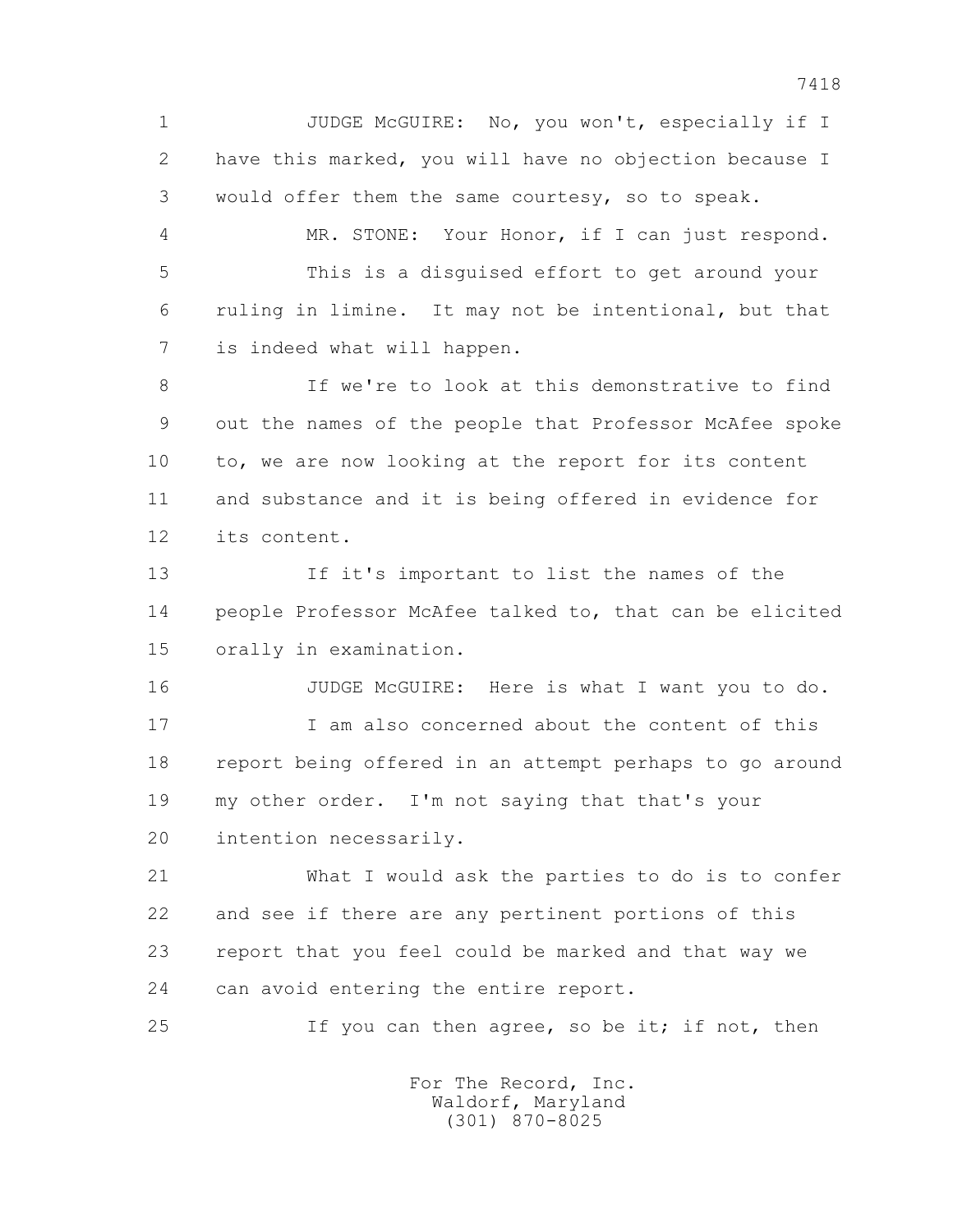1 JUDGE McGUIRE: No, you won't, especially if I 2 have this marked, you will have no objection because I 3 would offer them the same courtesy, so to speak.

 4 MR. STONE: Your Honor, if I can just respond. 5 This is a disguised effort to get around your 6 ruling in limine. It may not be intentional, but that 7 is indeed what will happen.

 8 If we're to look at this demonstrative to find 9 out the names of the people that Professor McAfee spoke 10 to, we are now looking at the report for its content 11 and substance and it is being offered in evidence for 12 its content.

 13 If it's important to list the names of the 14 people Professor McAfee talked to, that can be elicited 15 orally in examination.

16 JUDGE McGUIRE: Here is what I want you to do.

 17 I am also concerned about the content of this 18 report being offered in an attempt perhaps to go around 19 my other order. I'm not saying that that's your 20 intention necessarily.

 21 What I would ask the parties to do is to confer 22 and see if there are any pertinent portions of this 23 report that you feel could be marked and that way we 24 can avoid entering the entire report.

25 If you can then agree, so be it; if not, then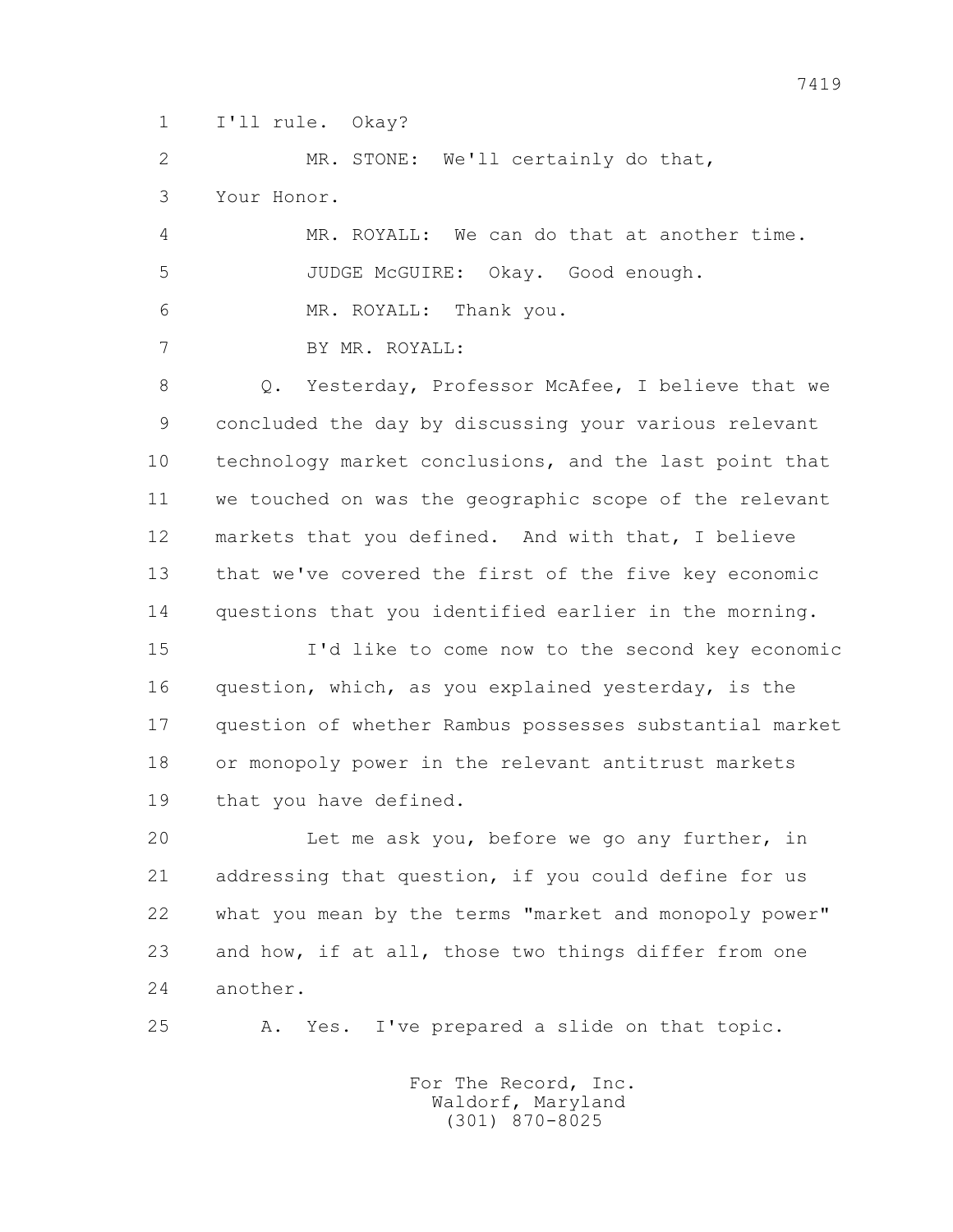1 I'll rule. Okay?

 2 MR. STONE: We'll certainly do that, 3 Your Honor.

 4 MR. ROYALL: We can do that at another time. 5 JUDGE McGUIRE: Okay. Good enough. 6 MR. ROYALL: Thank you.

7 BY MR. ROYALL:

 8 Q. Yesterday, Professor McAfee, I believe that we 9 concluded the day by discussing your various relevant 10 technology market conclusions, and the last point that 11 we touched on was the geographic scope of the relevant 12 markets that you defined. And with that, I believe 13 that we've covered the first of the five key economic 14 questions that you identified earlier in the morning.

 15 I'd like to come now to the second key economic 16 question, which, as you explained yesterday, is the 17 question of whether Rambus possesses substantial market 18 or monopoly power in the relevant antitrust markets 19 that you have defined.

 20 Let me ask you, before we go any further, in 21 addressing that question, if you could define for us 22 what you mean by the terms "market and monopoly power" 23 and how, if at all, those two things differ from one 24 another.

25 A. Yes. I've prepared a slide on that topic.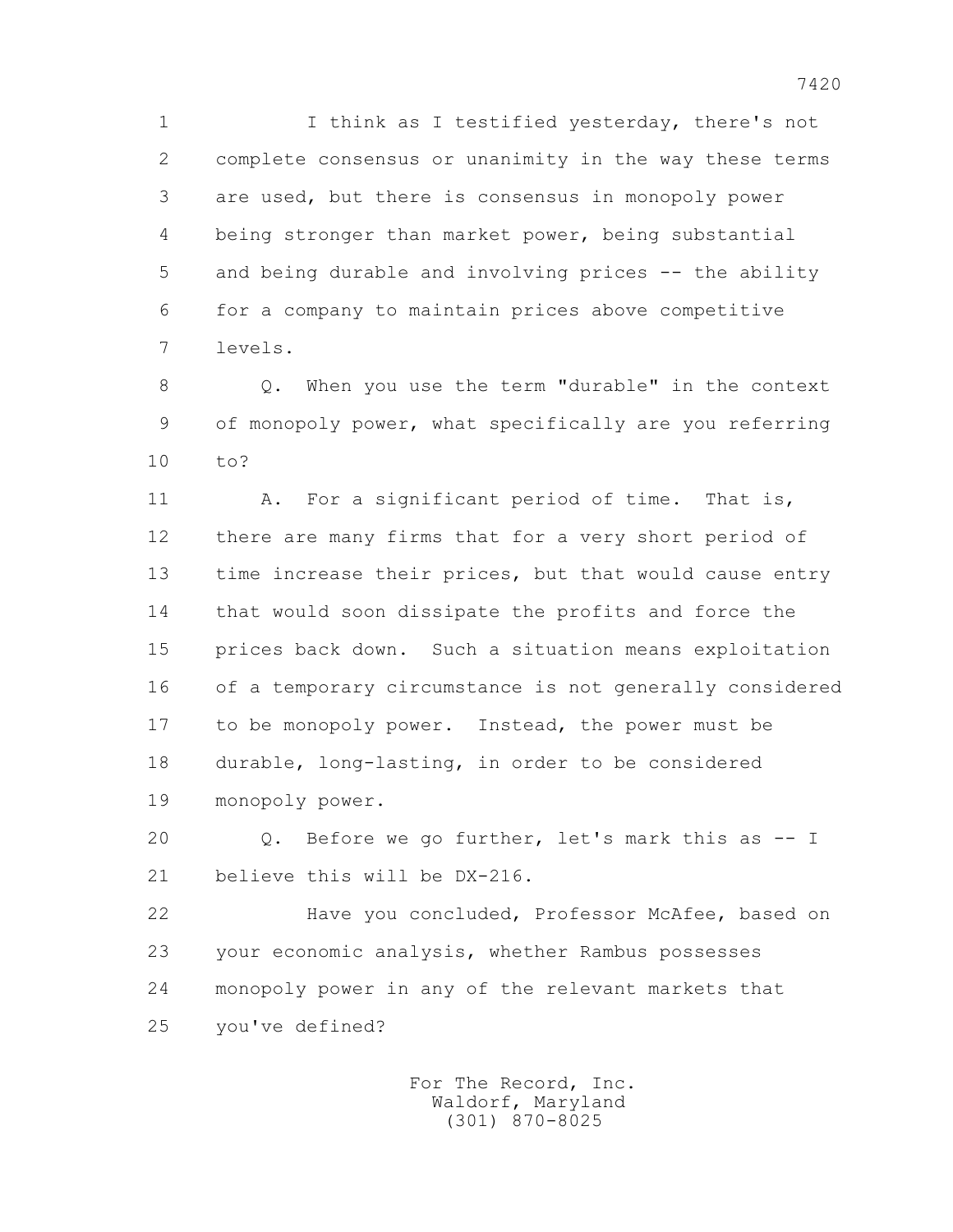1 I think as I testified yesterday, there's not 2 complete consensus or unanimity in the way these terms 3 are used, but there is consensus in monopoly power 4 being stronger than market power, being substantial 5 and being durable and involving prices -- the ability 6 for a company to maintain prices above competitive 7 levels.

 8 Q. When you use the term "durable" in the context 9 of monopoly power, what specifically are you referring 10 to?

11 A. For a significant period of time. That is, 12 there are many firms that for a very short period of 13 time increase their prices, but that would cause entry 14 that would soon dissipate the profits and force the 15 prices back down. Such a situation means exploitation 16 of a temporary circumstance is not generally considered 17 to be monopoly power. Instead, the power must be 18 durable, long-lasting, in order to be considered 19 monopoly power.

 20 Q. Before we go further, let's mark this as -- I 21 believe this will be DX-216.

 22 Have you concluded, Professor McAfee, based on 23 your economic analysis, whether Rambus possesses 24 monopoly power in any of the relevant markets that 25 you've defined?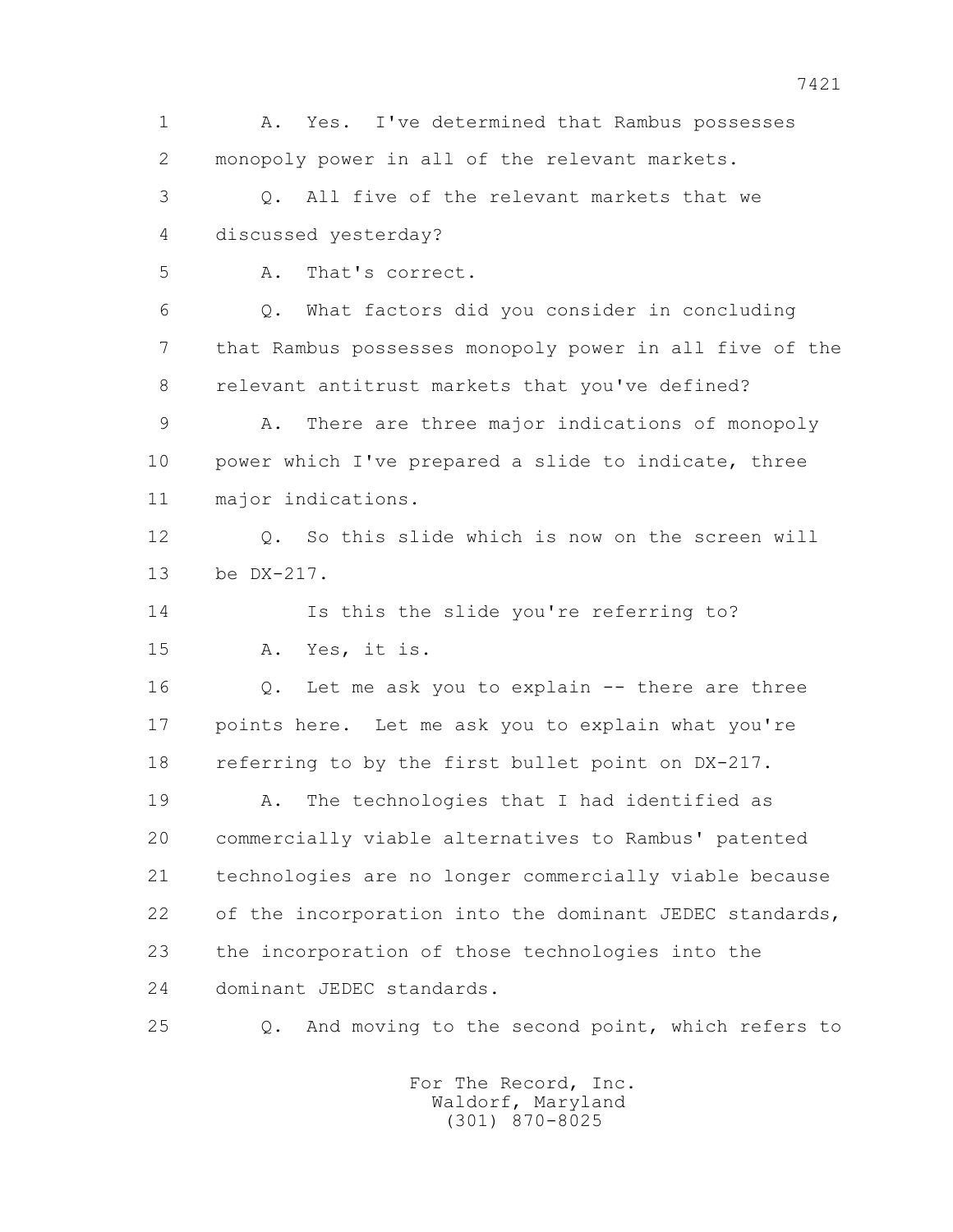1 A. Yes. I've determined that Rambus possesses 2 monopoly power in all of the relevant markets. 3 Q. All five of the relevant markets that we 4 discussed yesterday? 5 A. That's correct. 6 Q. What factors did you consider in concluding 7 that Rambus possesses monopoly power in all five of the 8 relevant antitrust markets that you've defined? 9 A. There are three major indications of monopoly 10 power which I've prepared a slide to indicate, three 11 major indications. 12 Q. So this slide which is now on the screen will 13 be DX-217. 14 Is this the slide you're referring to? 15 A. Yes, it is. 16 Q. Let me ask you to explain -- there are three 17 points here. Let me ask you to explain what you're 18 referring to by the first bullet point on DX-217. 19 A. The technologies that I had identified as 20 commercially viable alternatives to Rambus' patented 21 technologies are no longer commercially viable because 22 of the incorporation into the dominant JEDEC standards, 23 the incorporation of those technologies into the 24 dominant JEDEC standards. 25 Q. And moving to the second point, which refers to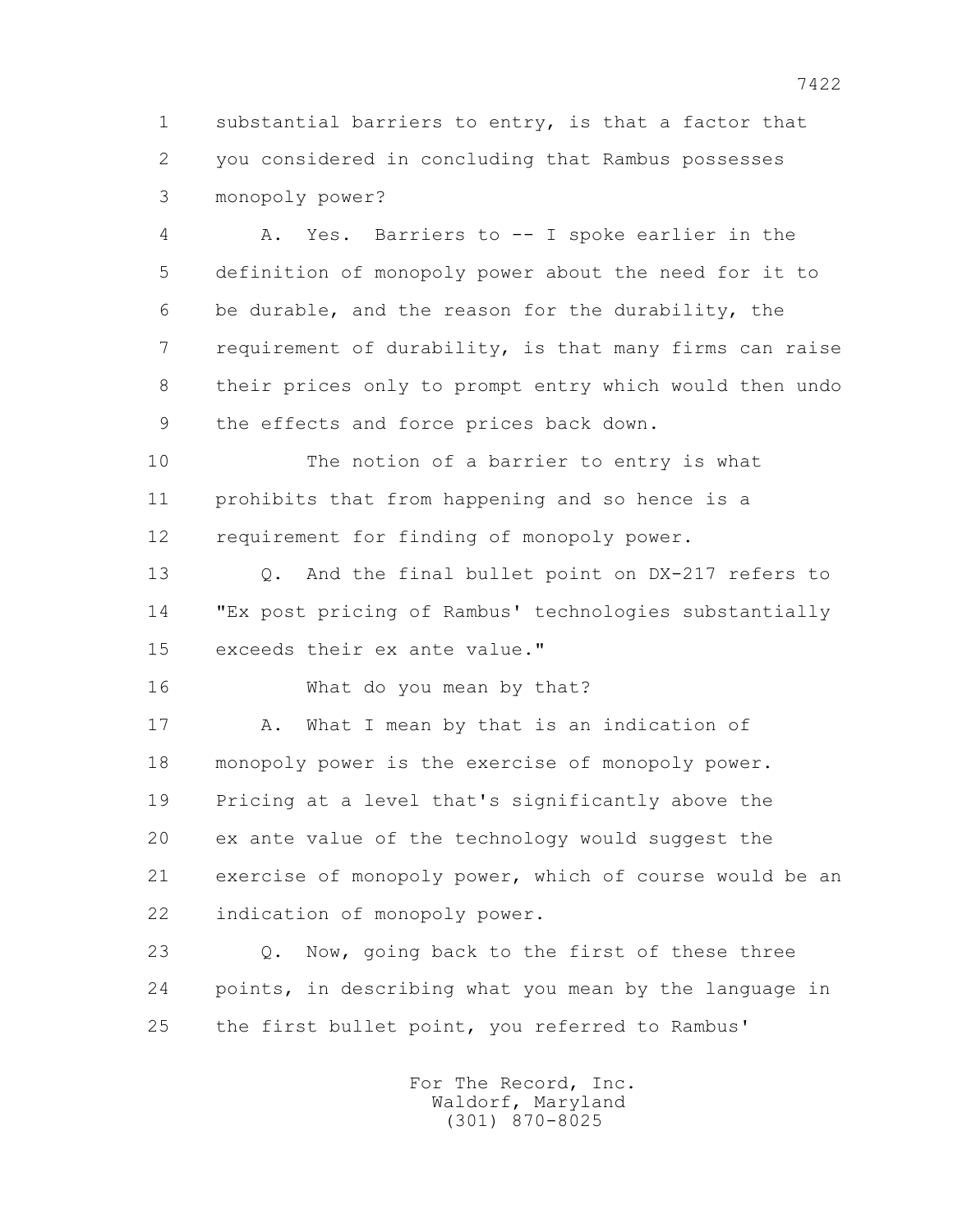1 substantial barriers to entry, is that a factor that 2 you considered in concluding that Rambus possesses 3 monopoly power?

 4 A. Yes. Barriers to -- I spoke earlier in the 5 definition of monopoly power about the need for it to 6 be durable, and the reason for the durability, the 7 requirement of durability, is that many firms can raise 8 their prices only to prompt entry which would then undo 9 the effects and force prices back down.

 10 The notion of a barrier to entry is what 11 prohibits that from happening and so hence is a 12 requirement for finding of monopoly power.

 13 Q. And the final bullet point on DX-217 refers to 14 "Ex post pricing of Rambus' technologies substantially 15 exceeds their ex ante value."

16 What do you mean by that?

17 A. What I mean by that is an indication of 18 monopoly power is the exercise of monopoly power. 19 Pricing at a level that's significantly above the 20 ex ante value of the technology would suggest the 21 exercise of monopoly power, which of course would be an 22 indication of monopoly power.

 23 Q. Now, going back to the first of these three 24 points, in describing what you mean by the language in 25 the first bullet point, you referred to Rambus'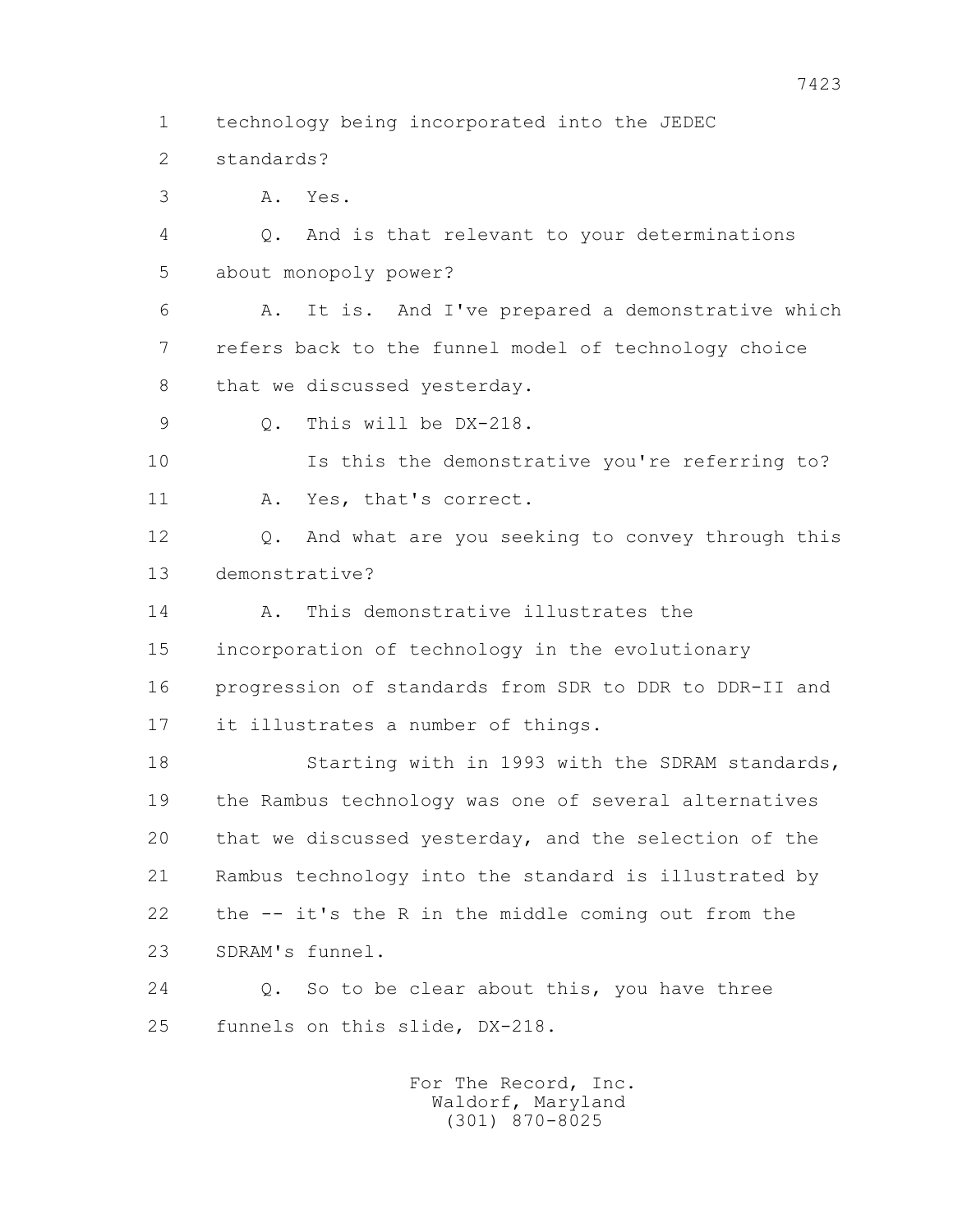1 technology being incorporated into the JEDEC

2 standards?

3 A. Yes.

 4 Q. And is that relevant to your determinations 5 about monopoly power?

 6 A. It is. And I've prepared a demonstrative which 7 refers back to the funnel model of technology choice 8 that we discussed yesterday.

9 0. This will be DX-218.

 10 Is this the demonstrative you're referring to? 11 A. Yes, that's correct.

 12 Q. And what are you seeking to convey through this 13 demonstrative?

14 A. This demonstrative illustrates the

 15 incorporation of technology in the evolutionary 16 progression of standards from SDR to DDR to DDR-II and 17 it illustrates a number of things.

18 Starting with in 1993 with the SDRAM standards, 19 the Rambus technology was one of several alternatives 20 that we discussed yesterday, and the selection of the 21 Rambus technology into the standard is illustrated by 22 the -- it's the R in the middle coming out from the 23 SDRAM's funnel.

 24 Q. So to be clear about this, you have three 25 funnels on this slide, DX-218.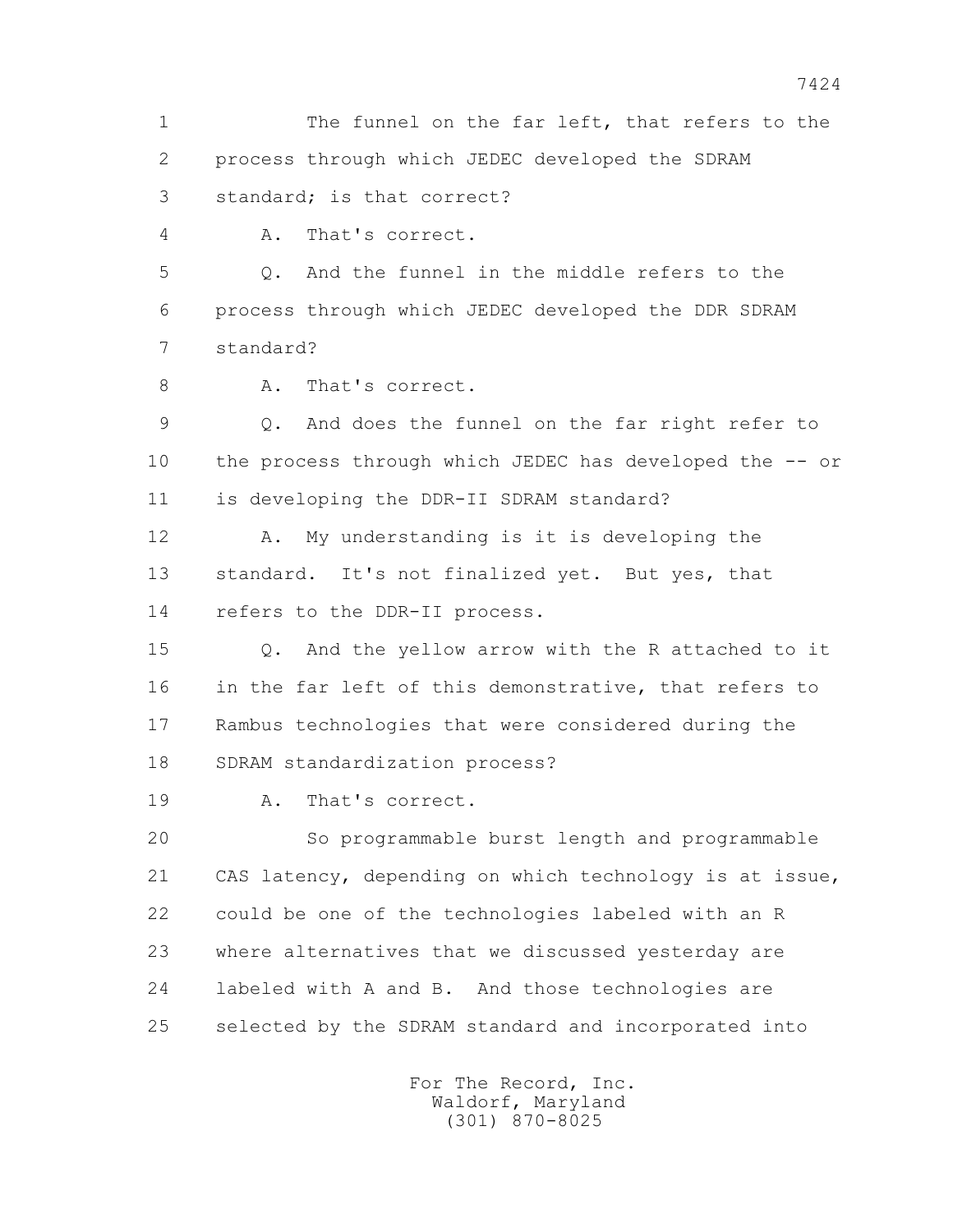1 The funnel on the far left, that refers to the 2 process through which JEDEC developed the SDRAM 3 standard; is that correct? 4 A. That's correct. 5 Q. And the funnel in the middle refers to the 6 process through which JEDEC developed the DDR SDRAM 7 standard? 8 A. That's correct. 9 Q. And does the funnel on the far right refer to 10 the process through which JEDEC has developed the -- or 11 is developing the DDR-II SDRAM standard? 12 A. My understanding is it is developing the 13 standard. It's not finalized yet. But yes, that 14 refers to the DDR-II process. 15 Q. And the yellow arrow with the R attached to it 16 in the far left of this demonstrative, that refers to 17 Rambus technologies that were considered during the 18 SDRAM standardization process? 19 A. That's correct. 20 So programmable burst length and programmable 21 CAS latency, depending on which technology is at issue, 22 could be one of the technologies labeled with an R 23 where alternatives that we discussed yesterday are 24 labeled with A and B. And those technologies are 25 selected by the SDRAM standard and incorporated into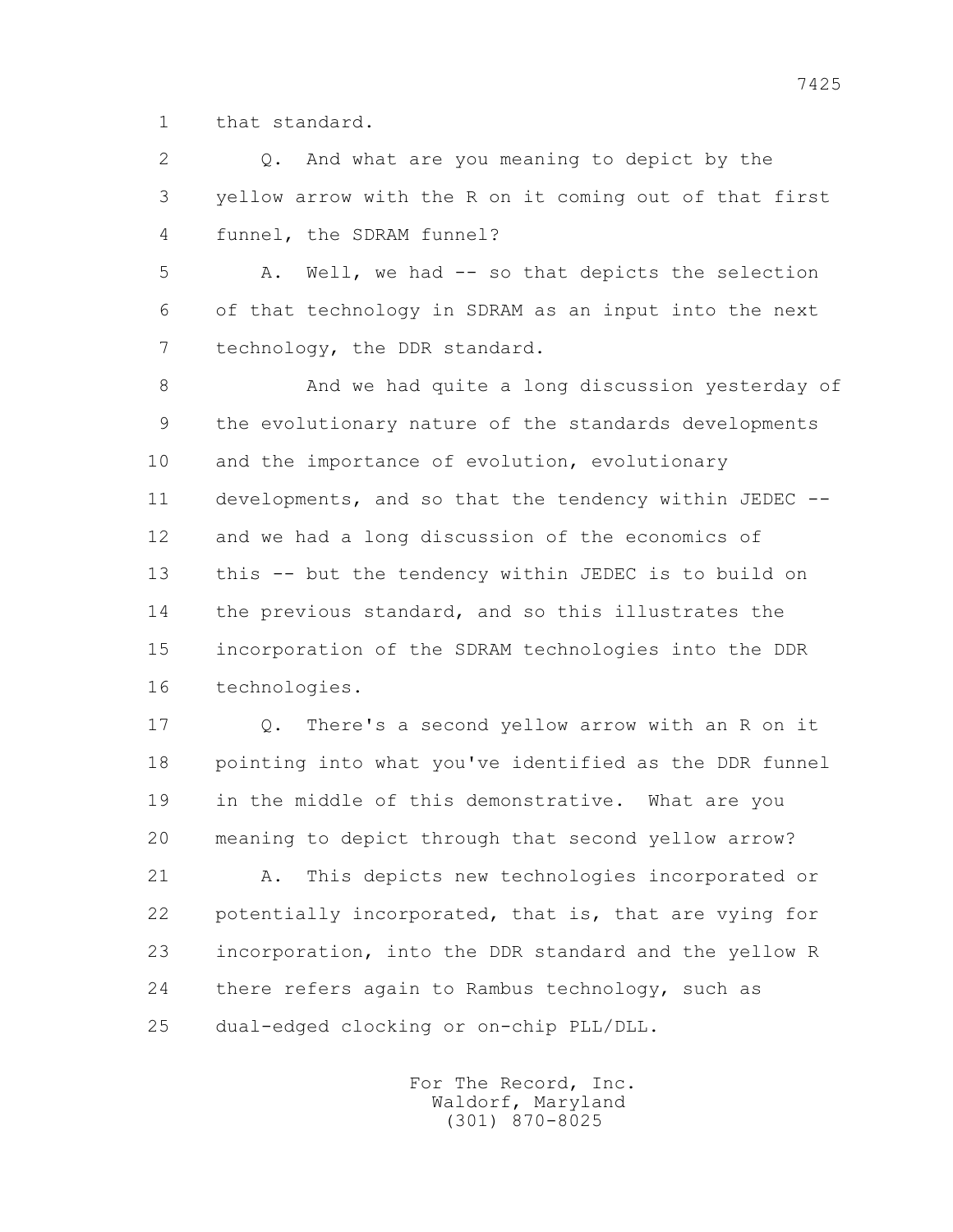1 that standard.

 2 Q. And what are you meaning to depict by the 3 yellow arrow with the R on it coming out of that first 4 funnel, the SDRAM funnel?

 5 A. Well, we had -- so that depicts the selection 6 of that technology in SDRAM as an input into the next 7 technology, the DDR standard.

 8 And we had quite a long discussion yesterday of 9 the evolutionary nature of the standards developments 10 and the importance of evolution, evolutionary 11 developments, and so that the tendency within JEDEC -- 12 and we had a long discussion of the economics of 13 this -- but the tendency within JEDEC is to build on 14 the previous standard, and so this illustrates the 15 incorporation of the SDRAM technologies into the DDR 16 technologies.

 17 Q. There's a second yellow arrow with an R on it 18 pointing into what you've identified as the DDR funnel 19 in the middle of this demonstrative. What are you 20 meaning to depict through that second yellow arrow?

 21 A. This depicts new technologies incorporated or 22 potentially incorporated, that is, that are vying for 23 incorporation, into the DDR standard and the yellow R 24 there refers again to Rambus technology, such as 25 dual-edged clocking or on-chip PLL/DLL.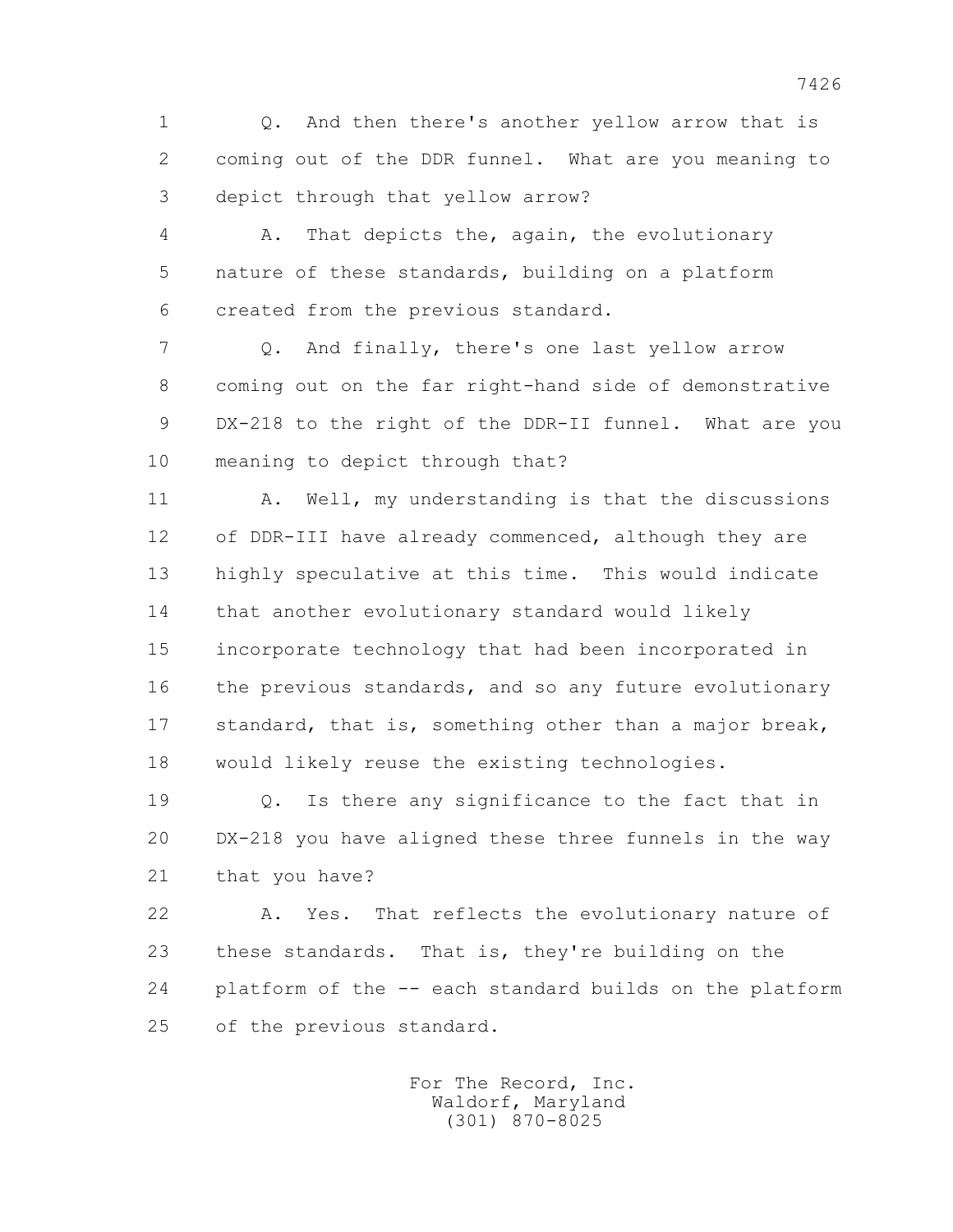1 Q. And then there's another yellow arrow that is 2 coming out of the DDR funnel. What are you meaning to 3 depict through that yellow arrow?

 4 A. That depicts the, again, the evolutionary 5 nature of these standards, building on a platform 6 created from the previous standard.

 7 Q. And finally, there's one last yellow arrow 8 coming out on the far right-hand side of demonstrative 9 DX-218 to the right of the DDR-II funnel. What are you 10 meaning to depict through that?

11 A. Well, my understanding is that the discussions 12 of DDR-III have already commenced, although they are 13 highly speculative at this time. This would indicate 14 that another evolutionary standard would likely 15 incorporate technology that had been incorporated in 16 the previous standards, and so any future evolutionary 17 standard, that is, something other than a major break, 18 would likely reuse the existing technologies.

 19 Q. Is there any significance to the fact that in 20 DX-218 you have aligned these three funnels in the way 21 that you have?

 22 A. Yes. That reflects the evolutionary nature of 23 these standards. That is, they're building on the 24 platform of the -- each standard builds on the platform 25 of the previous standard.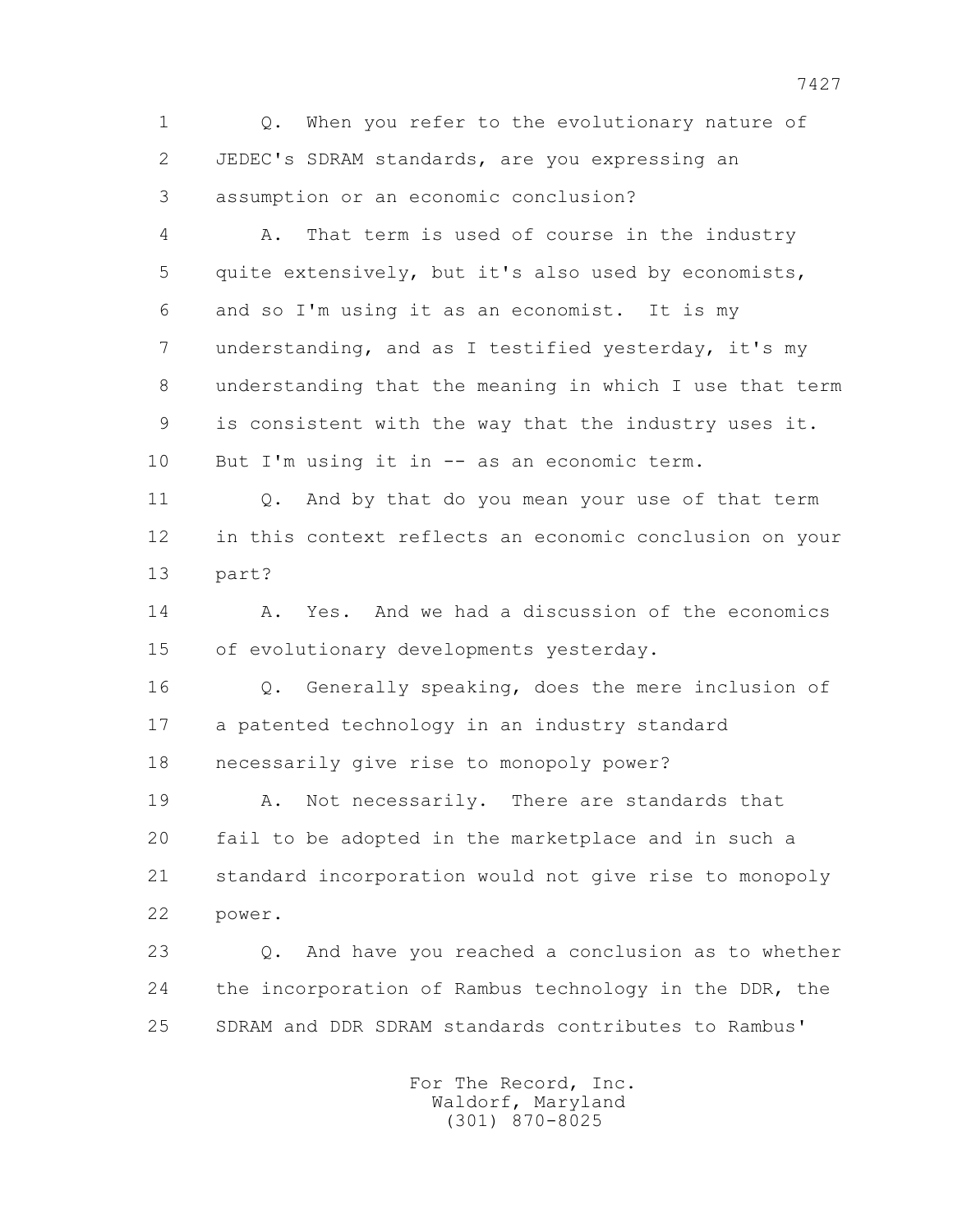1 Q. When you refer to the evolutionary nature of 2 JEDEC's SDRAM standards, are you expressing an 3 assumption or an economic conclusion?

 4 A. That term is used of course in the industry 5 quite extensively, but it's also used by economists, 6 and so I'm using it as an economist. It is my 7 understanding, and as I testified yesterday, it's my 8 understanding that the meaning in which I use that term 9 is consistent with the way that the industry uses it. 10 But I'm using it in -- as an economic term.

11 0. And by that do you mean your use of that term 12 in this context reflects an economic conclusion on your 13 part?

 14 A. Yes. And we had a discussion of the economics 15 of evolutionary developments yesterday.

 16 Q. Generally speaking, does the mere inclusion of 17 a patented technology in an industry standard 18 necessarily give rise to monopoly power?

 19 A. Not necessarily. There are standards that 20 fail to be adopted in the marketplace and in such a 21 standard incorporation would not give rise to monopoly 22 power.

 23 Q. And have you reached a conclusion as to whether 24 the incorporation of Rambus technology in the DDR, the 25 SDRAM and DDR SDRAM standards contributes to Rambus'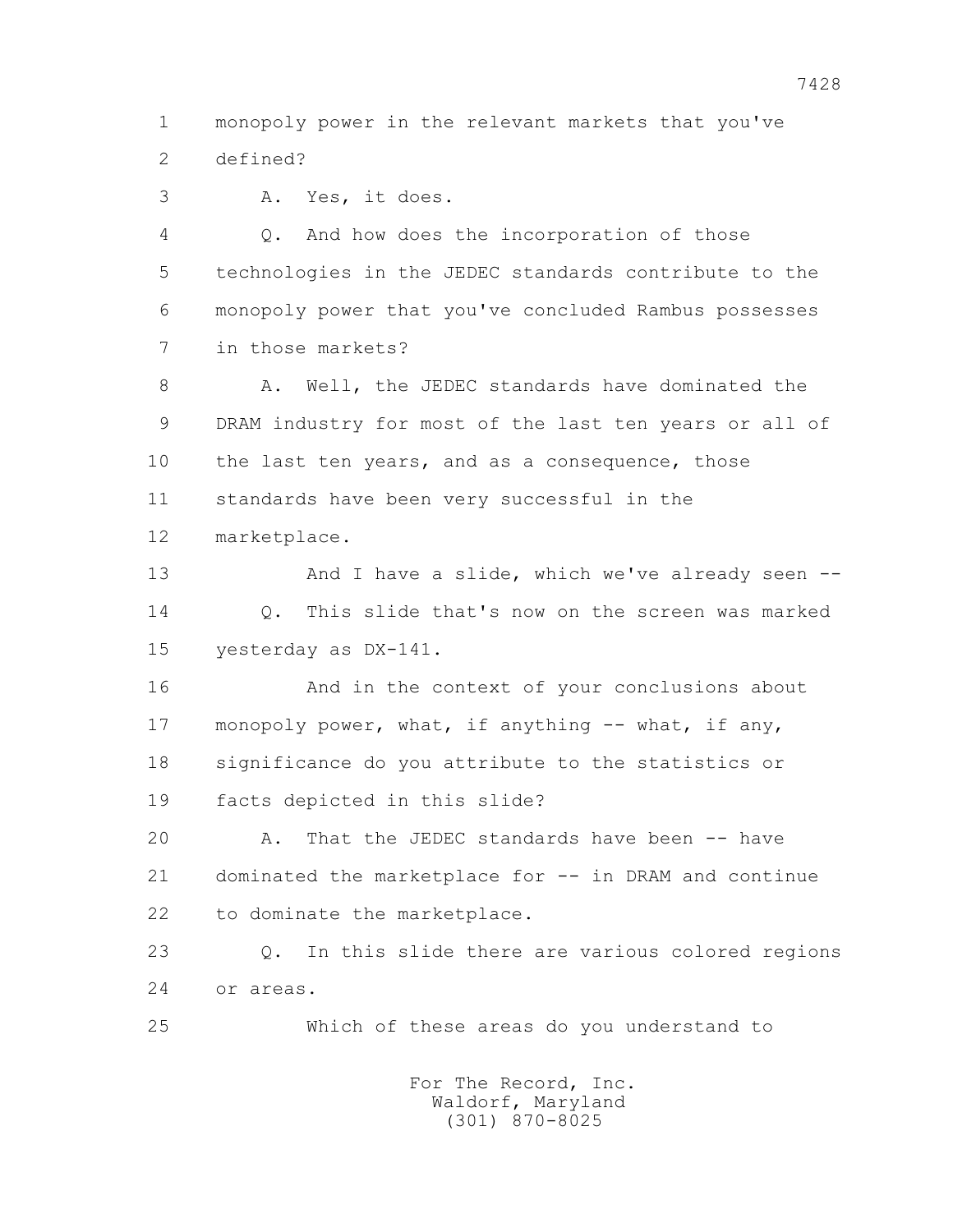1 monopoly power in the relevant markets that you've 2 defined?

3 A. Yes, it does.

 4 Q. And how does the incorporation of those 5 technologies in the JEDEC standards contribute to the 6 monopoly power that you've concluded Rambus possesses 7 in those markets?

8 A. Well, the JEDEC standards have dominated the 9 DRAM industry for most of the last ten years or all of 10 the last ten years, and as a consequence, those 11 standards have been very successful in the 12 marketplace.

13 And I have a slide, which we've already seen -- 14 Q. This slide that's now on the screen was marked 15 yesterday as DX-141.

 16 And in the context of your conclusions about 17 monopoly power, what, if anything -- what, if any, 18 significance do you attribute to the statistics or 19 facts depicted in this slide?

 20 A. That the JEDEC standards have been -- have 21 dominated the marketplace for -- in DRAM and continue 22 to dominate the marketplace.

 23 Q. In this slide there are various colored regions 24 or areas.

25 Which of these areas do you understand to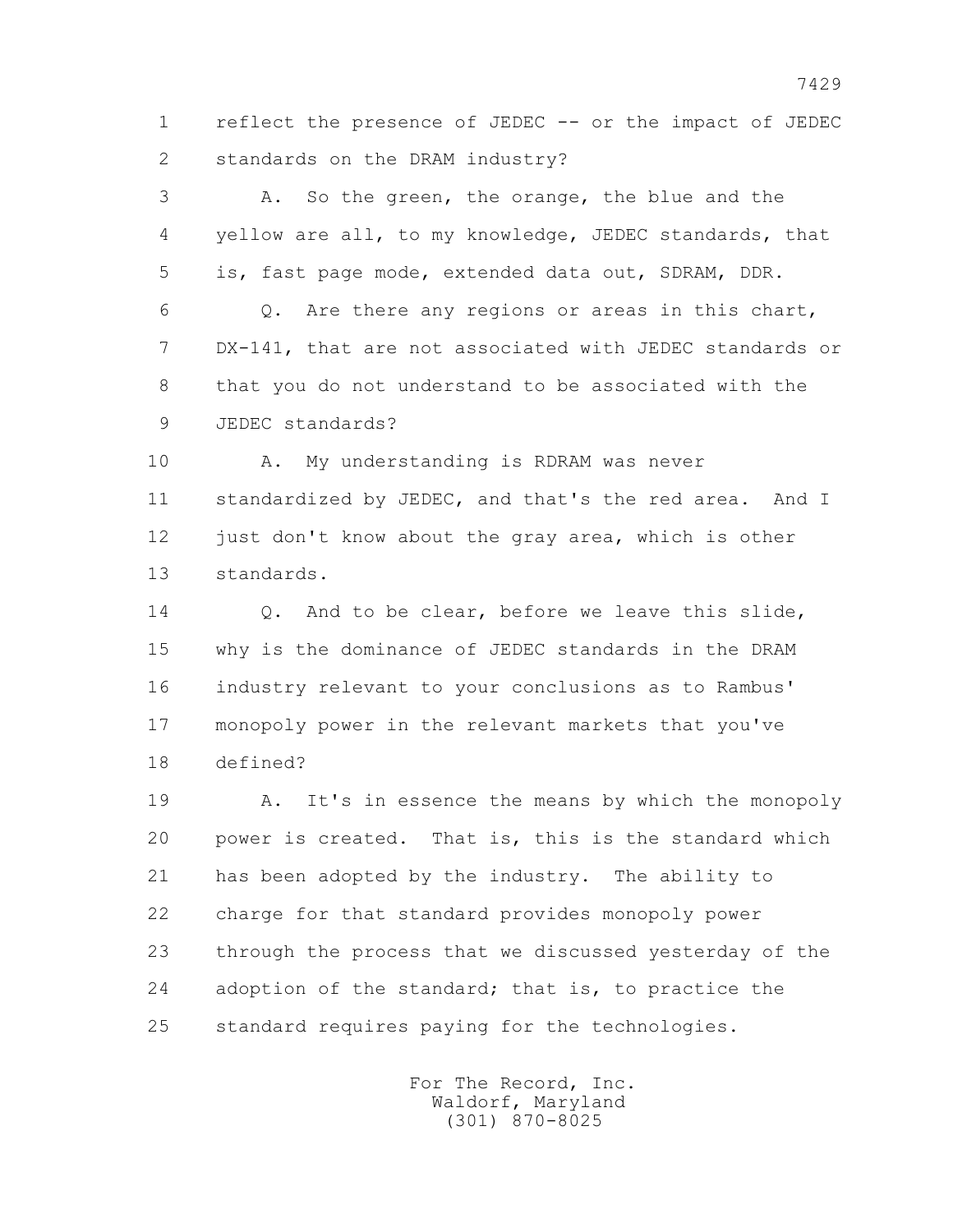1 reflect the presence of JEDEC -- or the impact of JEDEC 2 standards on the DRAM industry?

 3 A. So the green, the orange, the blue and the 4 yellow are all, to my knowledge, JEDEC standards, that 5 is, fast page mode, extended data out, SDRAM, DDR. 6 Q. Are there any regions or areas in this chart, 7 DX-141, that are not associated with JEDEC standards or 8 that you do not understand to be associated with the 9 JEDEC standards?

 10 A. My understanding is RDRAM was never 11 standardized by JEDEC, and that's the red area. And I 12 just don't know about the gray area, which is other 13 standards.

14 0. And to be clear, before we leave this slide, 15 why is the dominance of JEDEC standards in the DRAM 16 industry relevant to your conclusions as to Rambus' 17 monopoly power in the relevant markets that you've 18 defined?

 19 A. It's in essence the means by which the monopoly 20 power is created. That is, this is the standard which 21 has been adopted by the industry. The ability to 22 charge for that standard provides monopoly power 23 through the process that we discussed yesterday of the 24 adoption of the standard; that is, to practice the 25 standard requires paying for the technologies.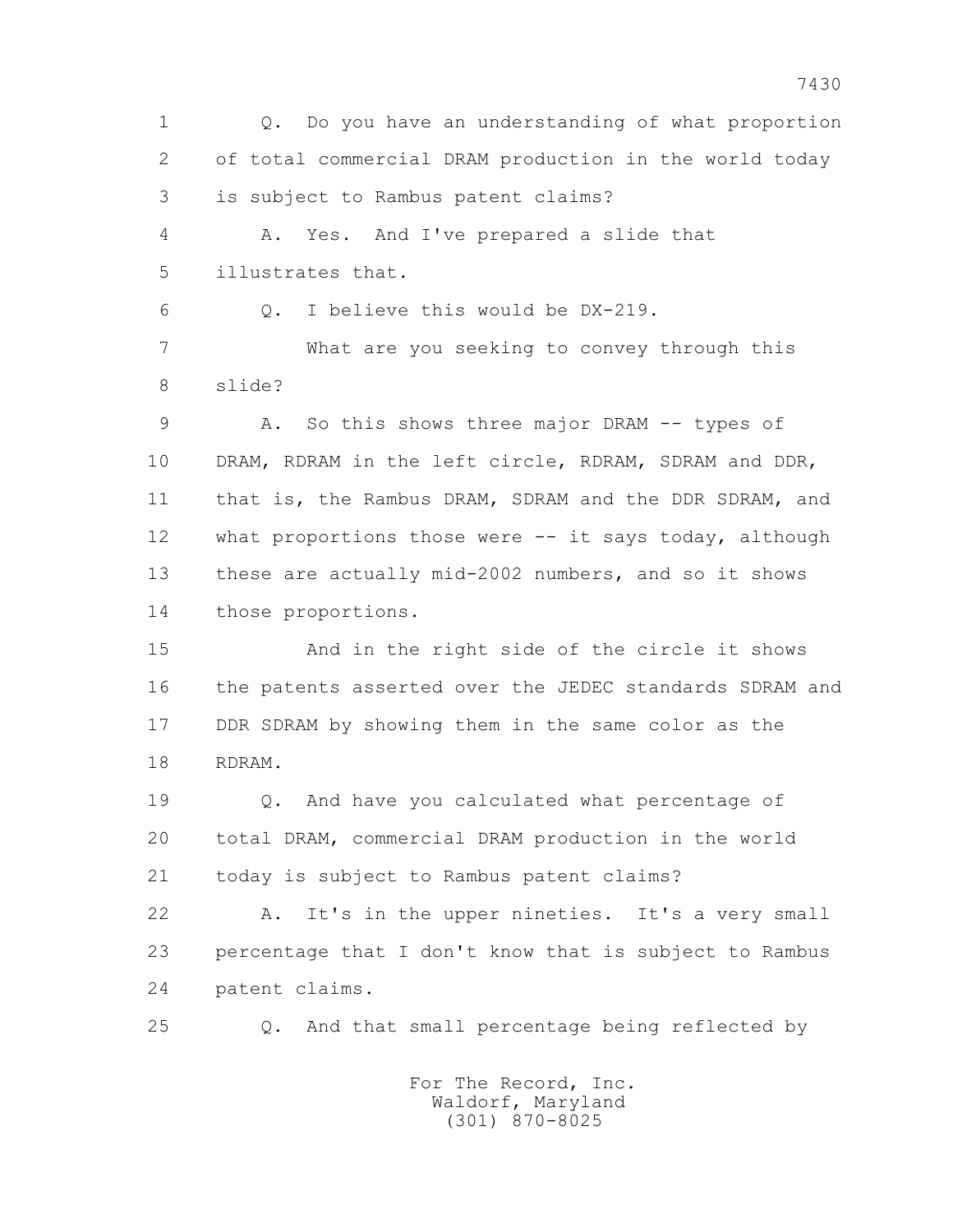1 Q. Do you have an understanding of what proportion 2 of total commercial DRAM production in the world today 3 is subject to Rambus patent claims? 4 A. Yes. And I've prepared a slide that 5 illustrates that. 6 Q. I believe this would be DX-219. 7 What are you seeking to convey through this 8 slide? 9 A. So this shows three major DRAM -- types of 10 DRAM, RDRAM in the left circle, RDRAM, SDRAM and DDR, 11 that is, the Rambus DRAM, SDRAM and the DDR SDRAM, and 12 what proportions those were -- it says today, although 13 these are actually mid-2002 numbers, and so it shows 14 those proportions. 15 And in the right side of the circle it shows 16 the patents asserted over the JEDEC standards SDRAM and 17 DDR SDRAM by showing them in the same color as the 18 RDRAM. 19 Q. And have you calculated what percentage of 20 total DRAM, commercial DRAM production in the world 21 today is subject to Rambus patent claims? 22 A. It's in the upper nineties. It's a very small 23 percentage that I don't know that is subject to Rambus 24 patent claims. 25 Q. And that small percentage being reflected by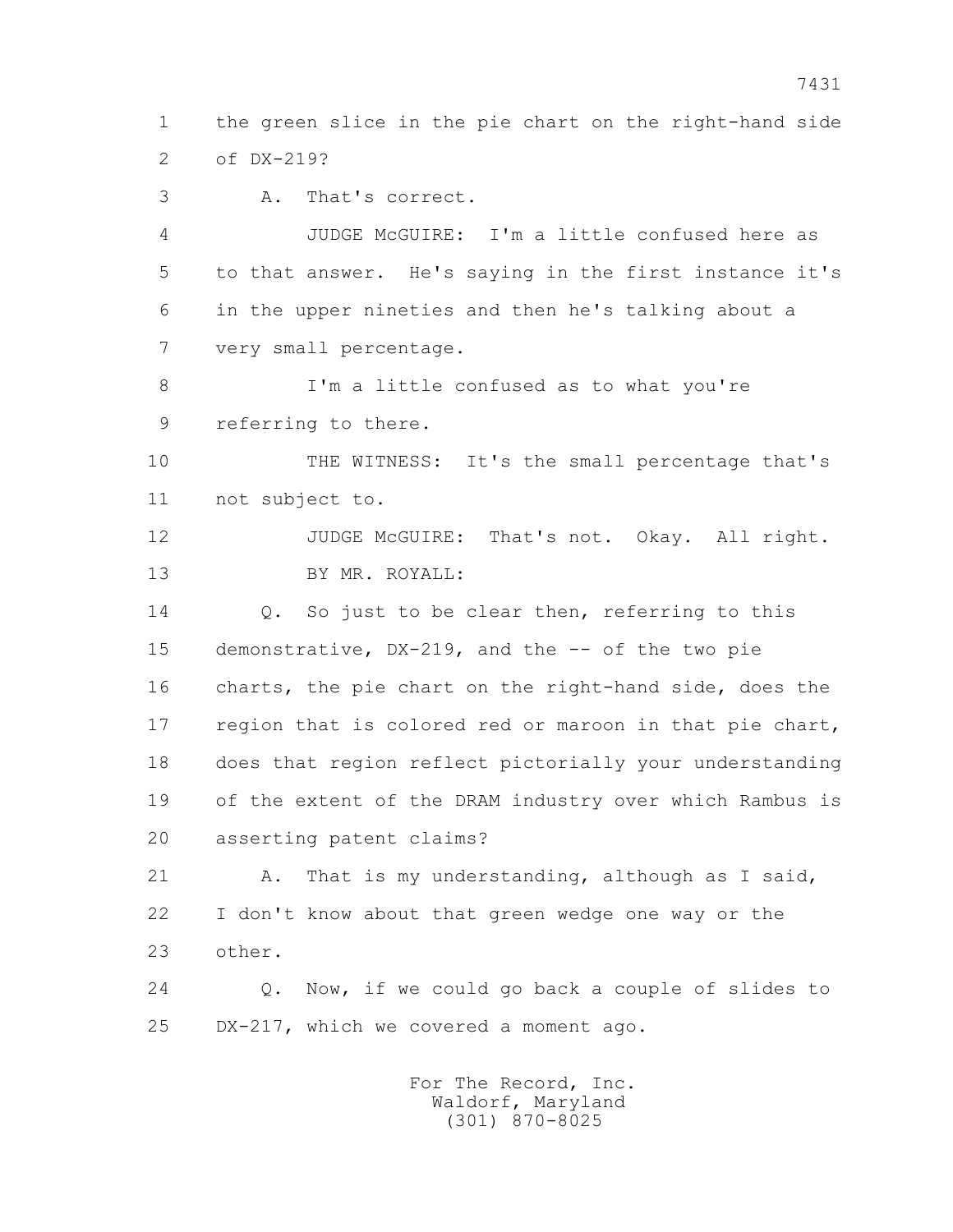1 the green slice in the pie chart on the right-hand side 2 of DX-219?

3 A. That's correct.

 4 JUDGE McGUIRE: I'm a little confused here as 5 to that answer. He's saying in the first instance it's 6 in the upper nineties and then he's talking about a 7 very small percentage.

 8 I'm a little confused as to what you're 9 referring to there.

 10 THE WITNESS: It's the small percentage that's 11 not subject to.

12 JUDGE McGUIRE: That's not. Okay. All right. 13 BY MR. ROYALL:

14 0. So just to be clear then, referring to this 15 demonstrative, DX-219, and the -- of the two pie 16 charts, the pie chart on the right-hand side, does the 17 region that is colored red or maroon in that pie chart, 18 does that region reflect pictorially your understanding 19 of the extent of the DRAM industry over which Rambus is 20 asserting patent claims?

 21 A. That is my understanding, although as I said, 22 I don't know about that green wedge one way or the 23 other.

 24 Q. Now, if we could go back a couple of slides to 25 DX-217, which we covered a moment ago.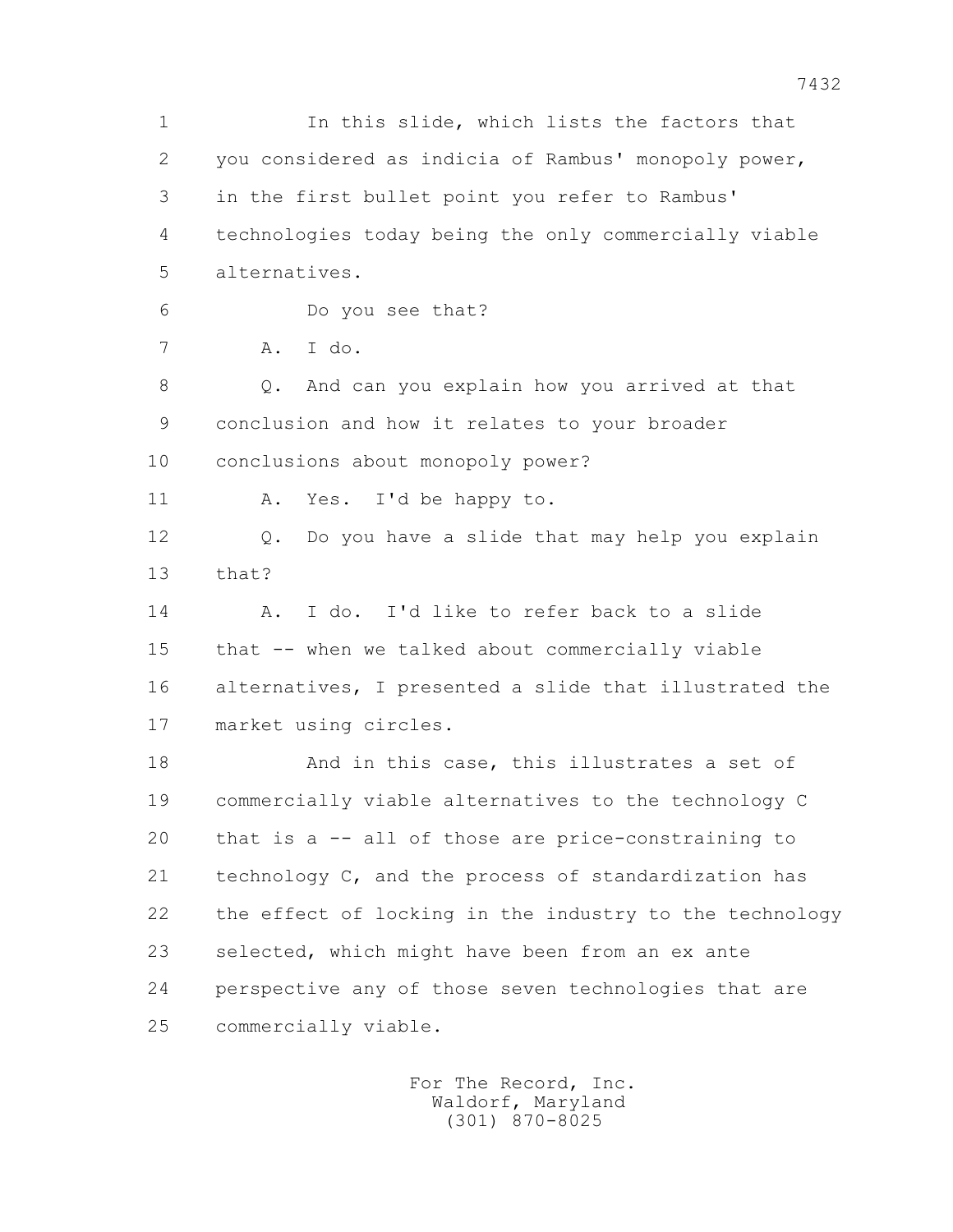1 In this slide, which lists the factors that 2 you considered as indicia of Rambus' monopoly power, 3 in the first bullet point you refer to Rambus' 4 technologies today being the only commercially viable 5 alternatives. 6 Do you see that? 7 A. I do. 8 Q. And can you explain how you arrived at that 9 conclusion and how it relates to your broader 10 conclusions about monopoly power? 11 A. Yes. I'd be happy to. 12 Q. Do you have a slide that may help you explain 13 that? 14 A. I do. I'd like to refer back to a slide 15 that -- when we talked about commercially viable 16 alternatives, I presented a slide that illustrated the 17 market using circles. 18 And in this case, this illustrates a set of 19 commercially viable alternatives to the technology C 20 that is a -- all of those are price-constraining to 21 technology C, and the process of standardization has 22 the effect of locking in the industry to the technology 23 selected, which might have been from an ex ante 24 perspective any of those seven technologies that are 25 commercially viable.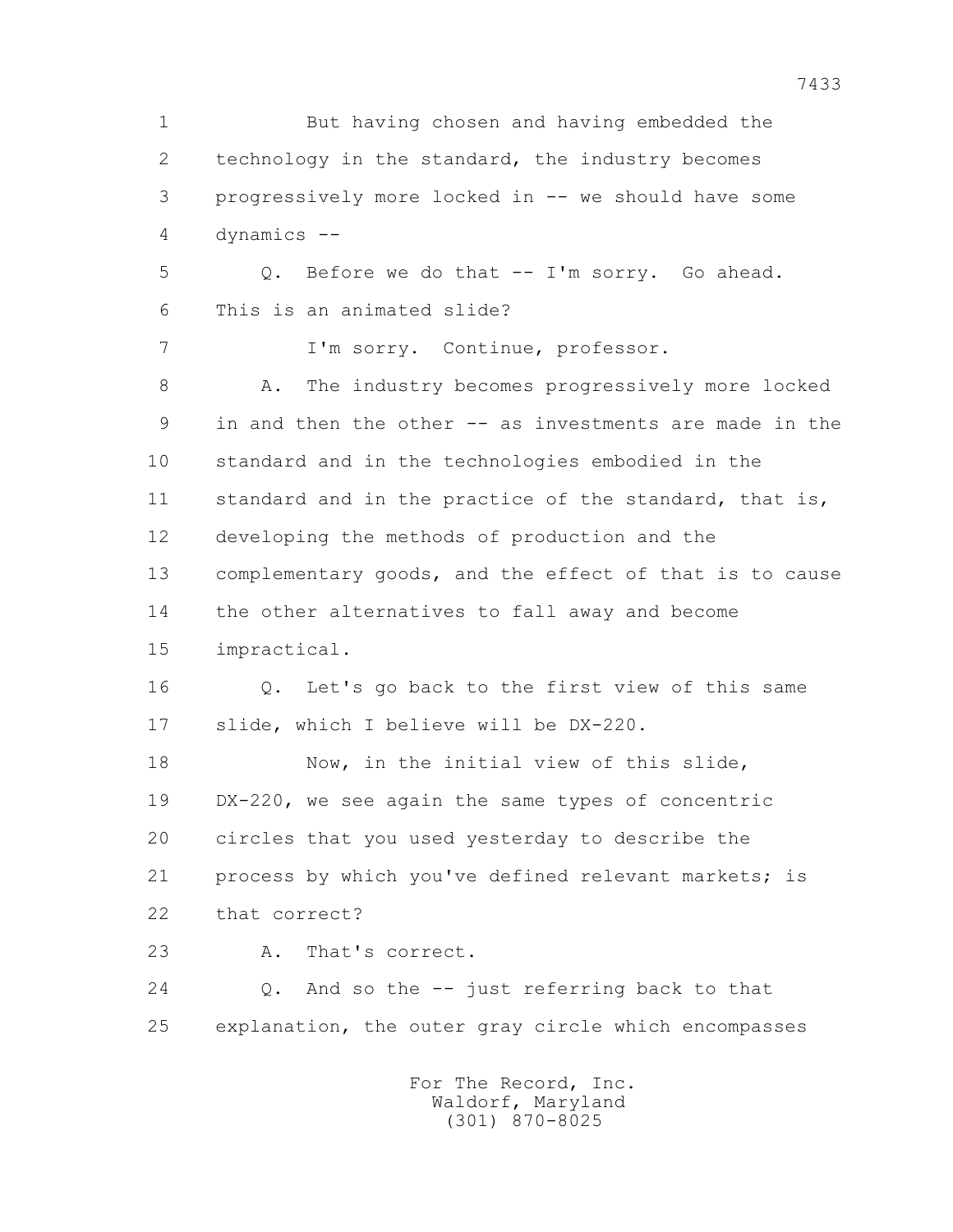1 But having chosen and having embedded the 2 technology in the standard, the industry becomes 3 progressively more locked in -- we should have some 4 dynamics -- 5 Q. Before we do that -- I'm sorry. Go ahead. 6 This is an animated slide? 7 I'm sorry. Continue, professor. 8 A. The industry becomes progressively more locked 9 in and then the other -- as investments are made in the 10 standard and in the technologies embodied in the 11 standard and in the practice of the standard, that is, 12 developing the methods of production and the 13 complementary goods, and the effect of that is to cause 14 the other alternatives to fall away and become 15 impractical. 16 Q. Let's go back to the first view of this same 17 slide, which I believe will be DX-220. 18 Now, in the initial view of this slide, 19 DX-220, we see again the same types of concentric 20 circles that you used yesterday to describe the 21 process by which you've defined relevant markets; is 22 that correct? 23 A. That's correct. 24 Q. And so the -- just referring back to that 25 explanation, the outer gray circle which encompasses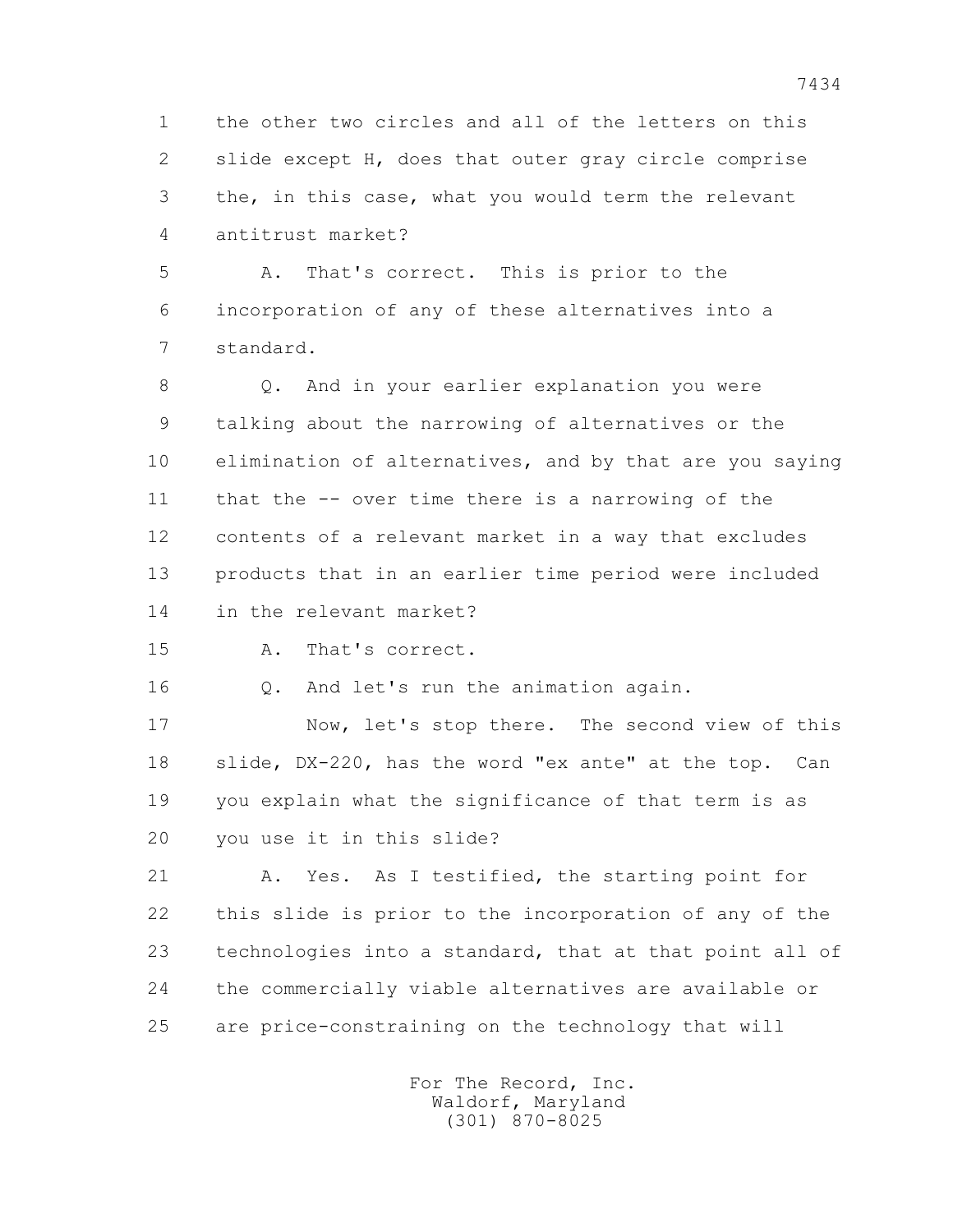1 the other two circles and all of the letters on this 2 slide except H, does that outer gray circle comprise 3 the, in this case, what you would term the relevant 4 antitrust market?

 5 A. That's correct. This is prior to the 6 incorporation of any of these alternatives into a 7 standard.

 8 Q. And in your earlier explanation you were 9 talking about the narrowing of alternatives or the 10 elimination of alternatives, and by that are you saying 11 that the -- over time there is a narrowing of the 12 contents of a relevant market in a way that excludes 13 products that in an earlier time period were included 14 in the relevant market?

15 A. That's correct.

16 Q. And let's run the animation again.

 17 Now, let's stop there. The second view of this 18 slide, DX-220, has the word "ex ante" at the top. Can 19 you explain what the significance of that term is as 20 you use it in this slide?

 21 A. Yes. As I testified, the starting point for 22 this slide is prior to the incorporation of any of the 23 technologies into a standard, that at that point all of 24 the commercially viable alternatives are available or 25 are price-constraining on the technology that will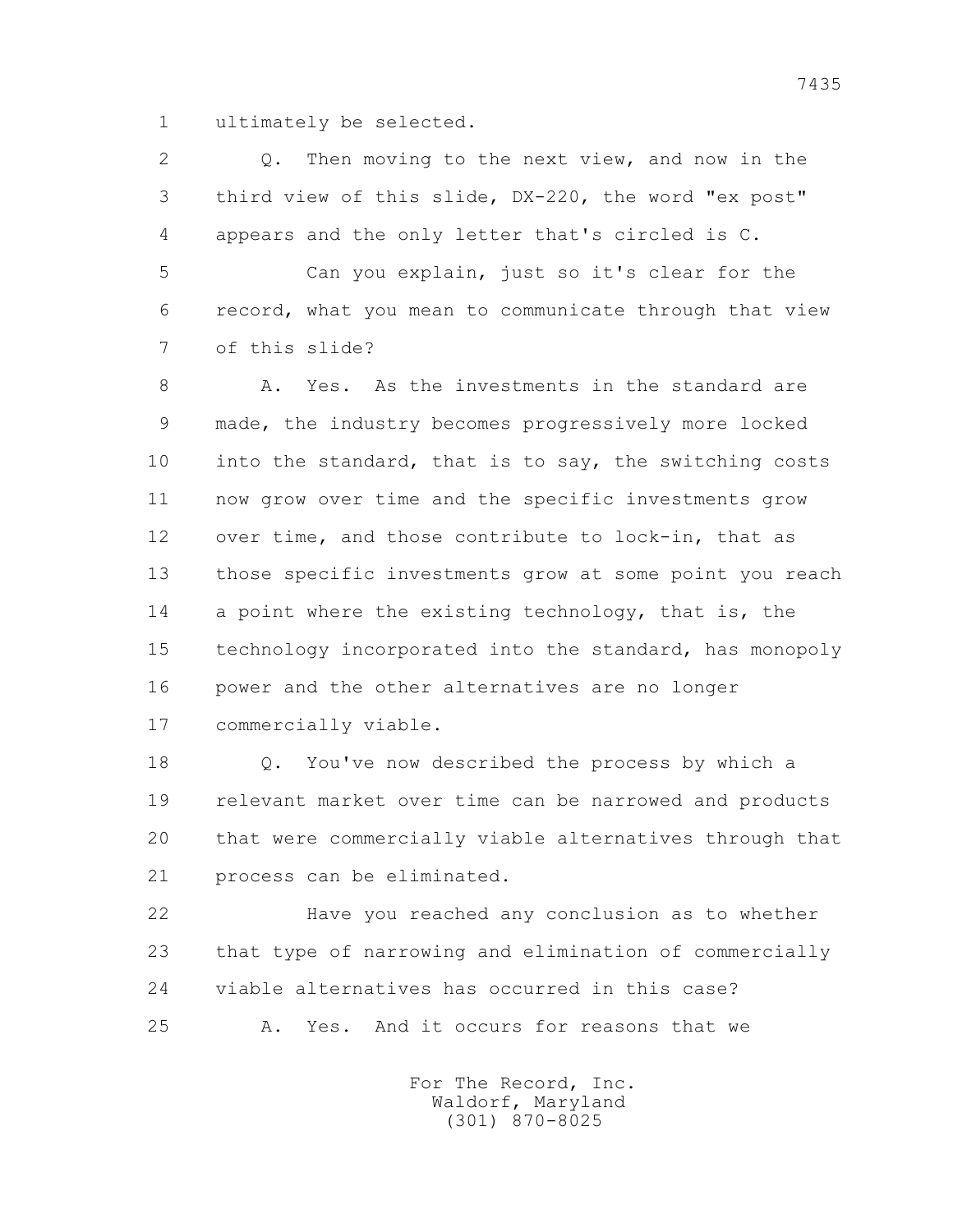1 ultimately be selected.

 2 Q. Then moving to the next view, and now in the 3 third view of this slide, DX-220, the word "ex post" 4 appears and the only letter that's circled is C.

 5 Can you explain, just so it's clear for the 6 record, what you mean to communicate through that view 7 of this slide?

 8 A. Yes. As the investments in the standard are 9 made, the industry becomes progressively more locked 10 into the standard, that is to say, the switching costs 11 now grow over time and the specific investments grow 12 over time, and those contribute to lock-in, that as 13 those specific investments grow at some point you reach 14 a point where the existing technology, that is, the 15 technology incorporated into the standard, has monopoly 16 power and the other alternatives are no longer 17 commercially viable.

 18 Q. You've now described the process by which a 19 relevant market over time can be narrowed and products 20 that were commercially viable alternatives through that 21 process can be eliminated.

 22 Have you reached any conclusion as to whether 23 that type of narrowing and elimination of commercially 24 viable alternatives has occurred in this case? 25 A. Yes. And it occurs for reasons that we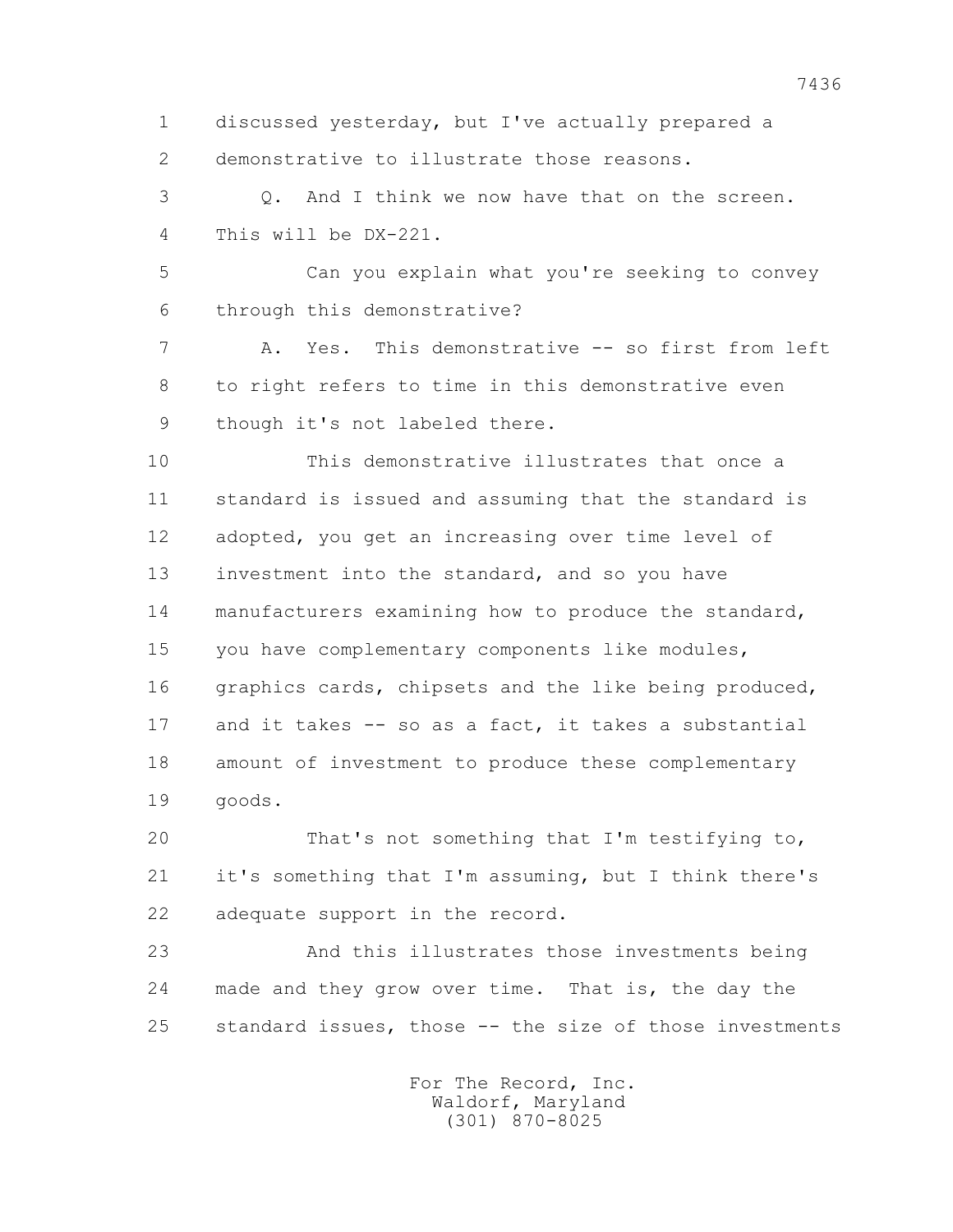1 discussed yesterday, but I've actually prepared a 2 demonstrative to illustrate those reasons.

 3 Q. And I think we now have that on the screen. 4 This will be DX-221.

 5 Can you explain what you're seeking to convey 6 through this demonstrative?

 7 A. Yes. This demonstrative -- so first from left 8 to right refers to time in this demonstrative even 9 though it's not labeled there.

 10 This demonstrative illustrates that once a 11 standard is issued and assuming that the standard is 12 adopted, you get an increasing over time level of 13 investment into the standard, and so you have 14 manufacturers examining how to produce the standard, 15 you have complementary components like modules, 16 graphics cards, chipsets and the like being produced, 17 and it takes -- so as a fact, it takes a substantial 18 amount of investment to produce these complementary 19 goods.

 20 That's not something that I'm testifying to, 21 it's something that I'm assuming, but I think there's 22 adequate support in the record.

 23 And this illustrates those investments being 24 made and they grow over time. That is, the day the 25 standard issues, those -- the size of those investments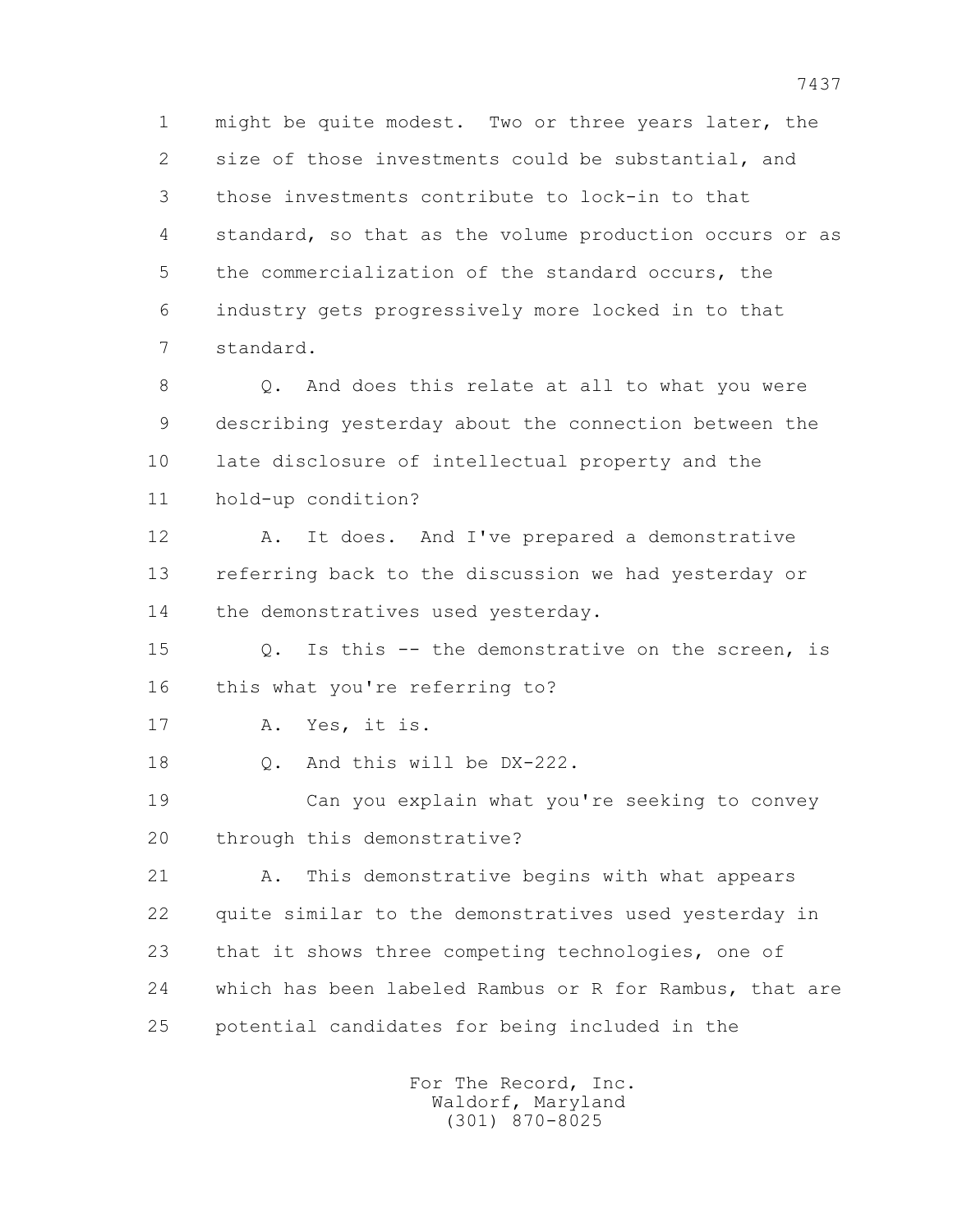1 might be quite modest. Two or three years later, the 2 size of those investments could be substantial, and 3 those investments contribute to lock-in to that 4 standard, so that as the volume production occurs or as 5 the commercialization of the standard occurs, the 6 industry gets progressively more locked in to that 7 standard.

8 0. And does this relate at all to what you were 9 describing yesterday about the connection between the 10 late disclosure of intellectual property and the 11 hold-up condition?

 12 A. It does. And I've prepared a demonstrative 13 referring back to the discussion we had yesterday or 14 the demonstratives used yesterday.

 15 Q. Is this -- the demonstrative on the screen, is 16 this what you're referring to?

17 A. Yes, it is.

18 Q. And this will be DX-222.

 19 Can you explain what you're seeking to convey 20 through this demonstrative?

 21 A. This demonstrative begins with what appears 22 quite similar to the demonstratives used yesterday in 23 that it shows three competing technologies, one of 24 which has been labeled Rambus or R for Rambus, that are 25 potential candidates for being included in the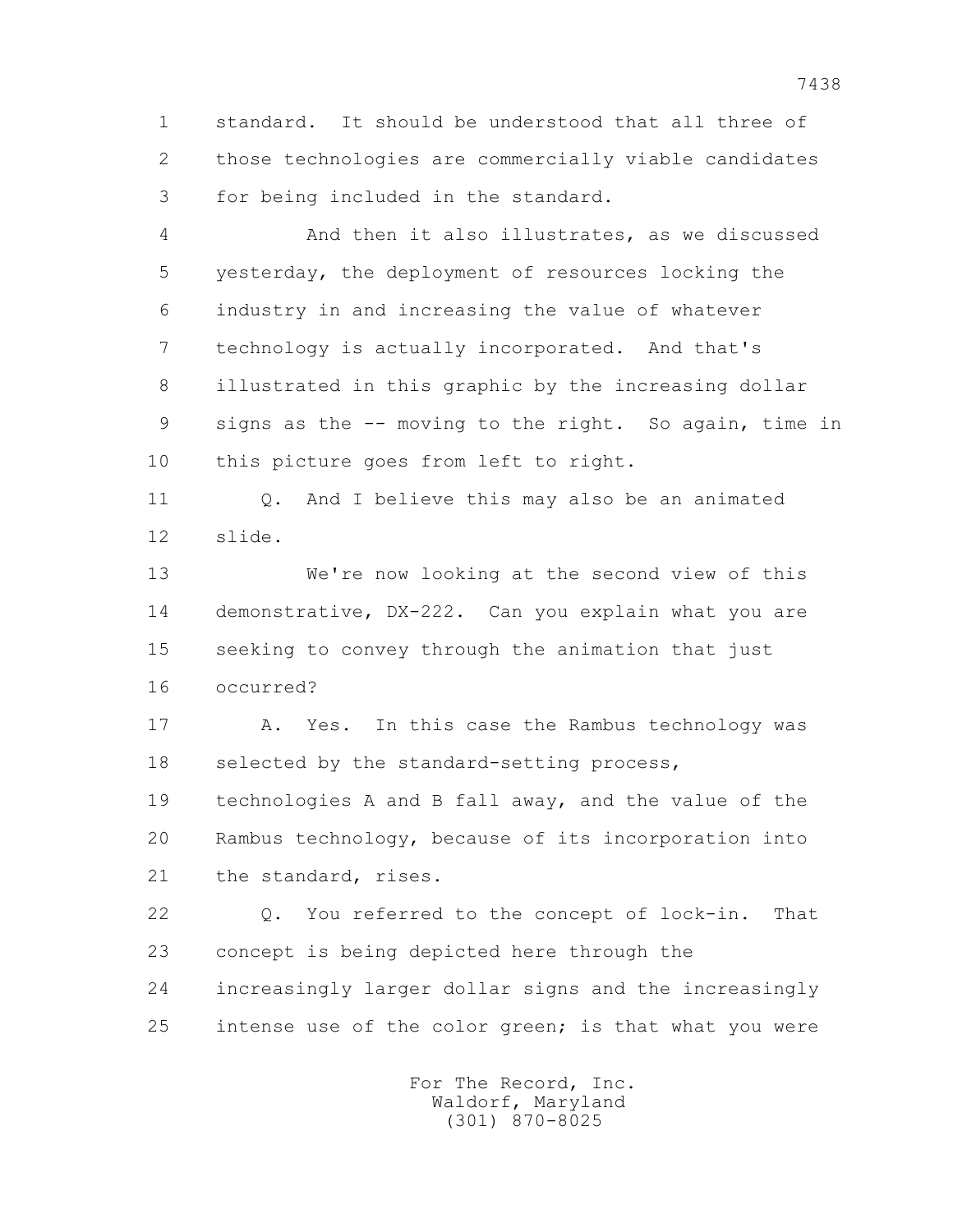1 standard. It should be understood that all three of 2 those technologies are commercially viable candidates 3 for being included in the standard.

 4 And then it also illustrates, as we discussed 5 yesterday, the deployment of resources locking the 6 industry in and increasing the value of whatever 7 technology is actually incorporated. And that's 8 illustrated in this graphic by the increasing dollar 9 signs as the -- moving to the right. So again, time in 10 this picture goes from left to right.

 11 Q. And I believe this may also be an animated 12 slide.

 13 We're now looking at the second view of this 14 demonstrative, DX-222. Can you explain what you are 15 seeking to convey through the animation that just 16 occurred?

17 A. Yes. In this case the Rambus technology was 18 selected by the standard-setting process,

 19 technologies A and B fall away, and the value of the 20 Rambus technology, because of its incorporation into 21 the standard, rises.

 22 Q. You referred to the concept of lock-in. That 23 concept is being depicted here through the 24 increasingly larger dollar signs and the increasingly 25 intense use of the color green; is that what you were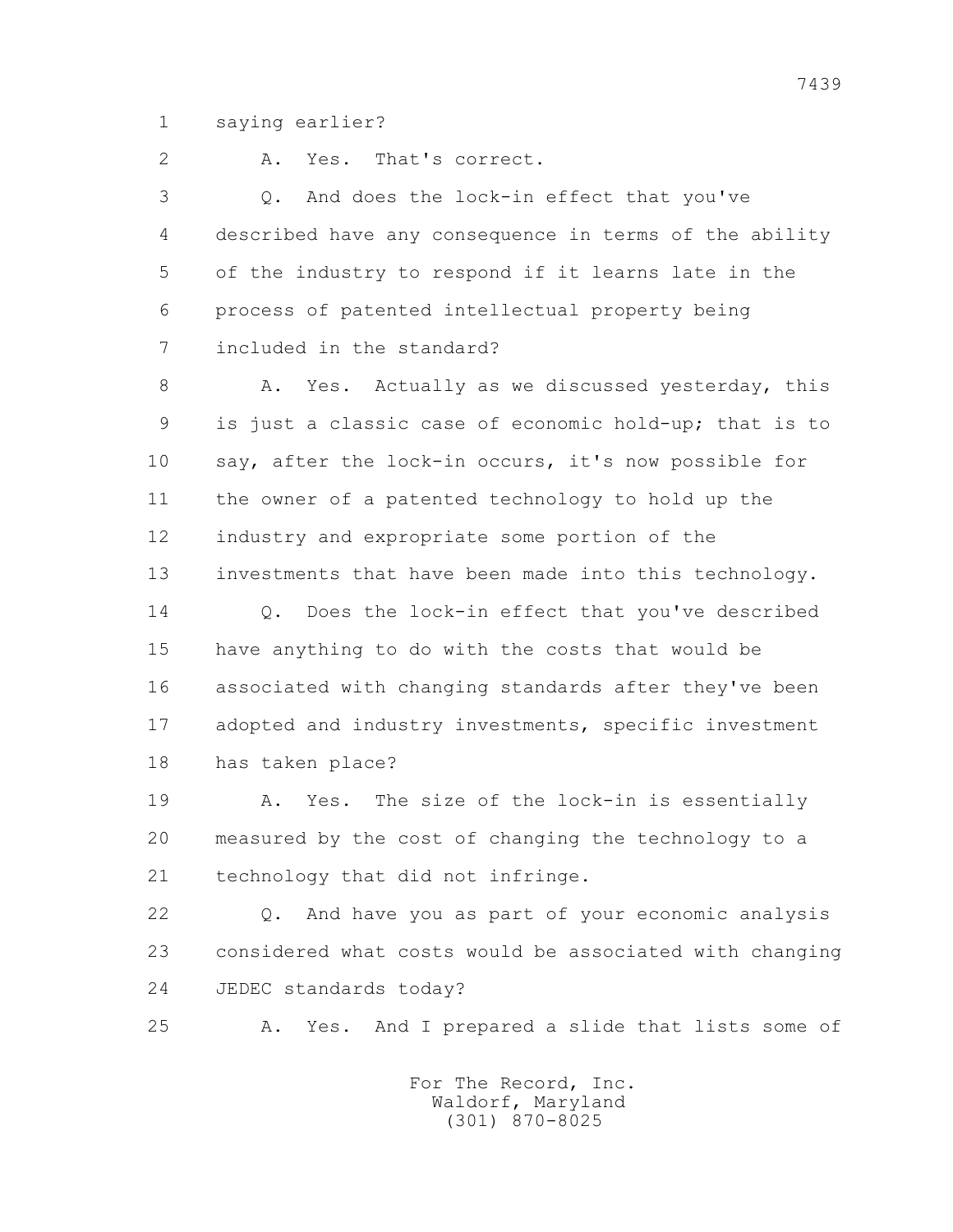1 saying earlier?

2 A. Yes. That's correct.

 3 Q. And does the lock-in effect that you've 4 described have any consequence in terms of the ability 5 of the industry to respond if it learns late in the 6 process of patented intellectual property being 7 included in the standard?

8 A. Yes. Actually as we discussed yesterday, this 9 is just a classic case of economic hold-up; that is to 10 say, after the lock-in occurs, it's now possible for 11 the owner of a patented technology to hold up the 12 industry and expropriate some portion of the 13 investments that have been made into this technology.

14 0. Does the lock-in effect that you've described 15 have anything to do with the costs that would be 16 associated with changing standards after they've been 17 adopted and industry investments, specific investment 18 has taken place?

 19 A. Yes. The size of the lock-in is essentially 20 measured by the cost of changing the technology to a 21 technology that did not infringe.

 22 Q. And have you as part of your economic analysis 23 considered what costs would be associated with changing 24 JEDEC standards today?

25 A. Yes. And I prepared a slide that lists some of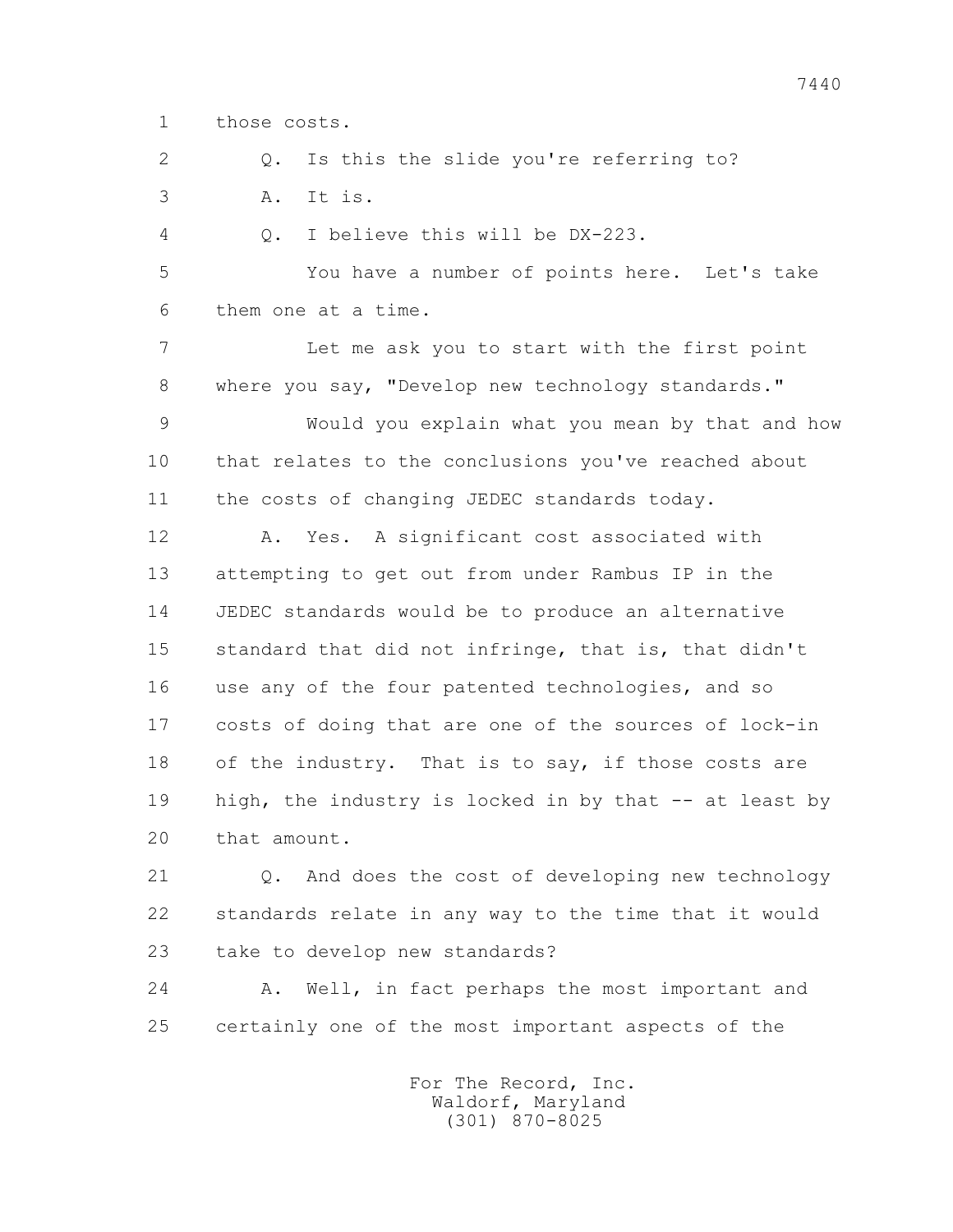1 those costs.

2 0. Is this the slide you're referring to? 3 A. It is.

4 Q. I believe this will be DX-223.

 5 You have a number of points here. Let's take 6 them one at a time.

 7 Let me ask you to start with the first point 8 where you say, "Develop new technology standards."

 9 Would you explain what you mean by that and how 10 that relates to the conclusions you've reached about 11 the costs of changing JEDEC standards today.

 12 A. Yes. A significant cost associated with 13 attempting to get out from under Rambus IP in the 14 JEDEC standards would be to produce an alternative 15 standard that did not infringe, that is, that didn't 16 use any of the four patented technologies, and so 17 costs of doing that are one of the sources of lock-in 18 of the industry. That is to say, if those costs are 19 high, the industry is locked in by that -- at least by 20 that amount.

 21 Q. And does the cost of developing new technology 22 standards relate in any way to the time that it would 23 take to develop new standards?

 24 A. Well, in fact perhaps the most important and 25 certainly one of the most important aspects of the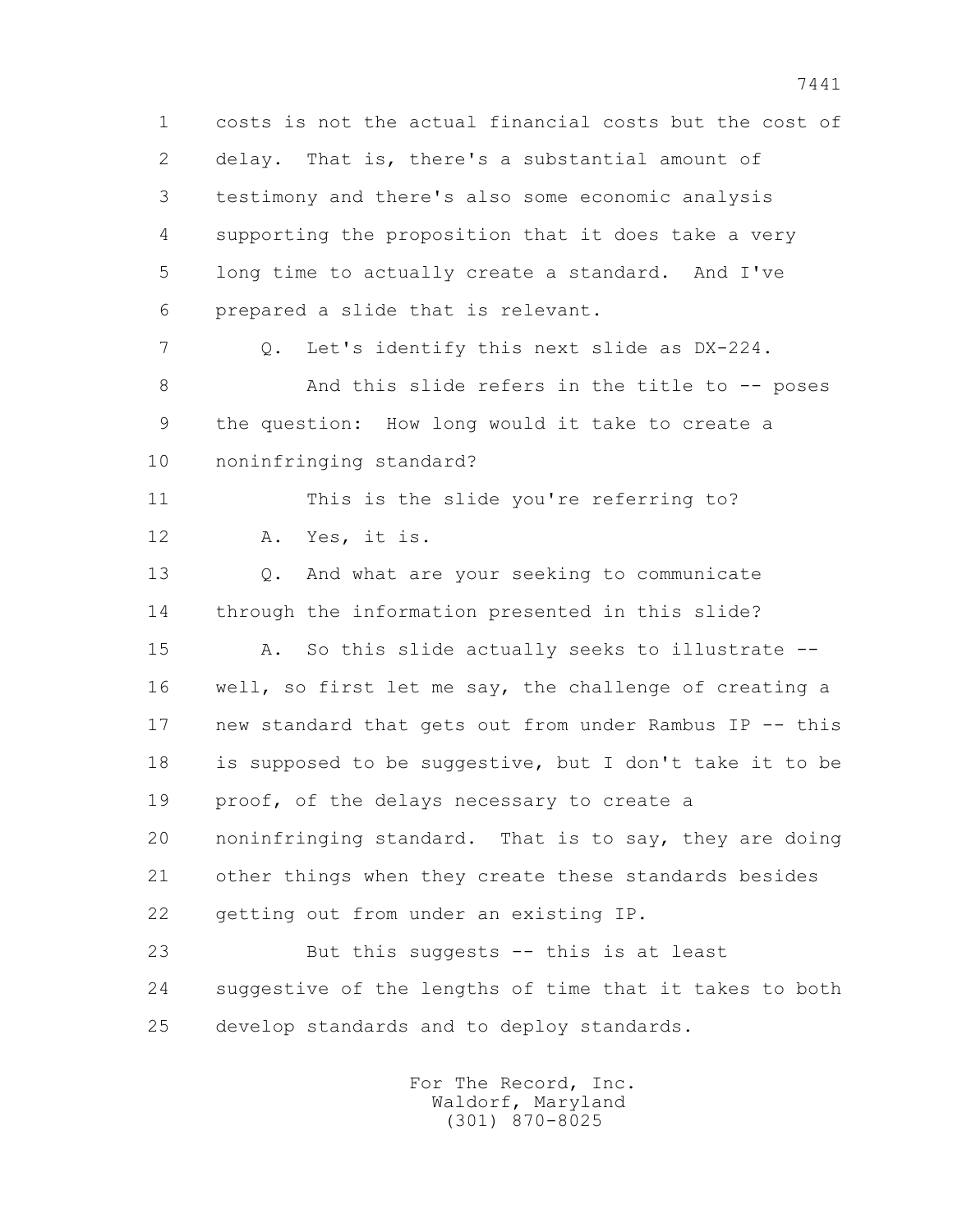1 costs is not the actual financial costs but the cost of 2 delay. That is, there's a substantial amount of 3 testimony and there's also some economic analysis 4 supporting the proposition that it does take a very 5 long time to actually create a standard. And I've 6 prepared a slide that is relevant. 7 Q. Let's identify this next slide as DX-224. 8 And this slide refers in the title to -- poses 9 the question: How long would it take to create a 10 noninfringing standard? 11 This is the slide you're referring to? 12 A. Yes, it is. 13 Q. And what are your seeking to communicate 14 through the information presented in this slide? 15 A. So this slide actually seeks to illustrate -- 16 well, so first let me say, the challenge of creating a 17 new standard that gets out from under Rambus IP -- this 18 is supposed to be suggestive, but I don't take it to be 19 proof, of the delays necessary to create a 20 noninfringing standard. That is to say, they are doing 21 other things when they create these standards besides 22 getting out from under an existing IP. 23 But this suggests -- this is at least 24 suggestive of the lengths of time that it takes to both 25 develop standards and to deploy standards.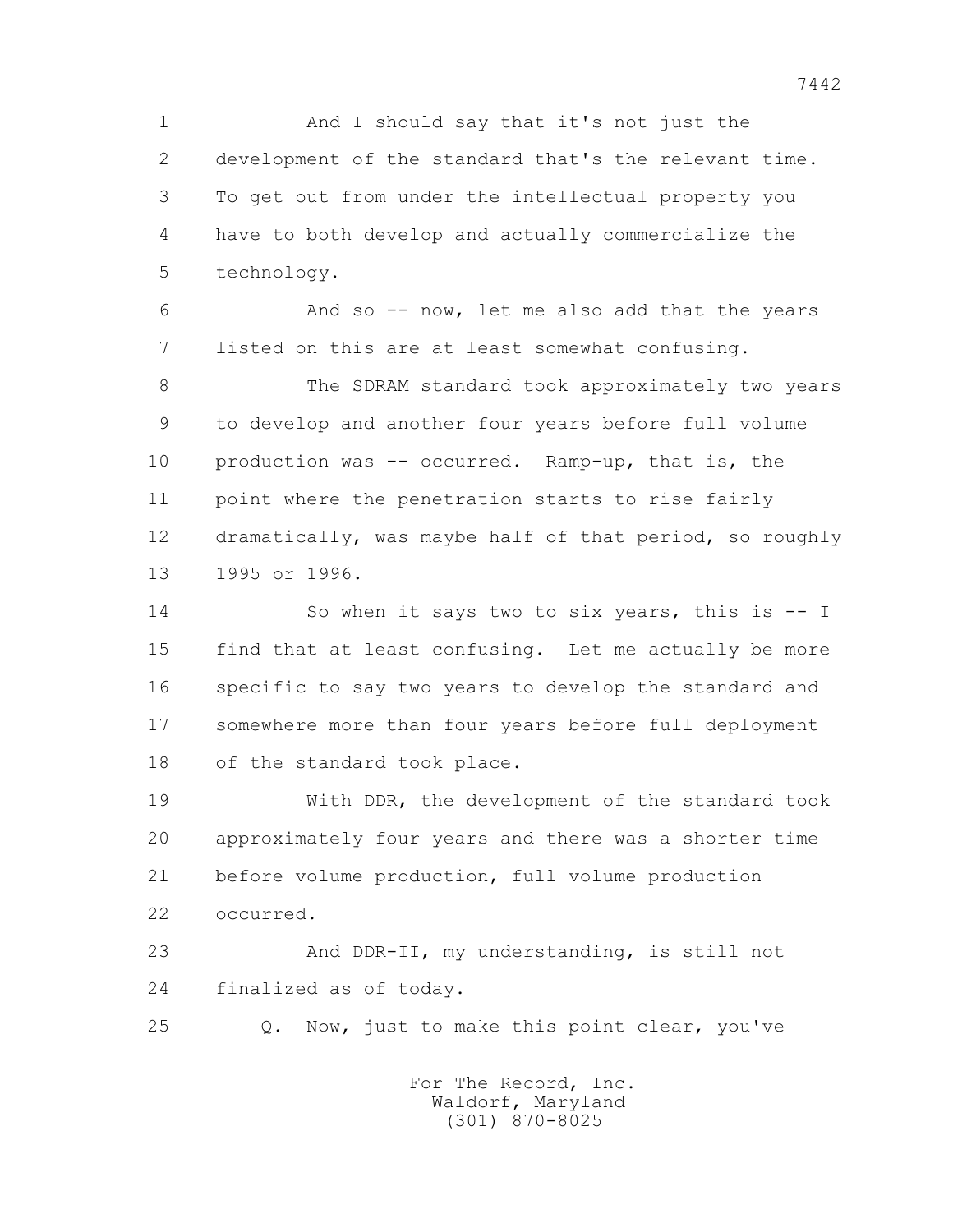1 And I should say that it's not just the 2 development of the standard that's the relevant time. 3 To get out from under the intellectual property you 4 have to both develop and actually commercialize the 5 technology.

 6 And so -- now, let me also add that the years 7 listed on this are at least somewhat confusing.

 8 The SDRAM standard took approximately two years 9 to develop and another four years before full volume 10 production was -- occurred. Ramp-up, that is, the 11 point where the penetration starts to rise fairly 12 dramatically, was maybe half of that period, so roughly 13 1995 or 1996.

 14 So when it says two to six years, this is -- I 15 find that at least confusing. Let me actually be more 16 specific to say two years to develop the standard and 17 somewhere more than four years before full deployment 18 of the standard took place.

 19 With DDR, the development of the standard took 20 approximately four years and there was a shorter time 21 before volume production, full volume production 22 occurred.

 23 And DDR-II, my understanding, is still not 24 finalized as of today.

25 Q. Now, just to make this point clear, you've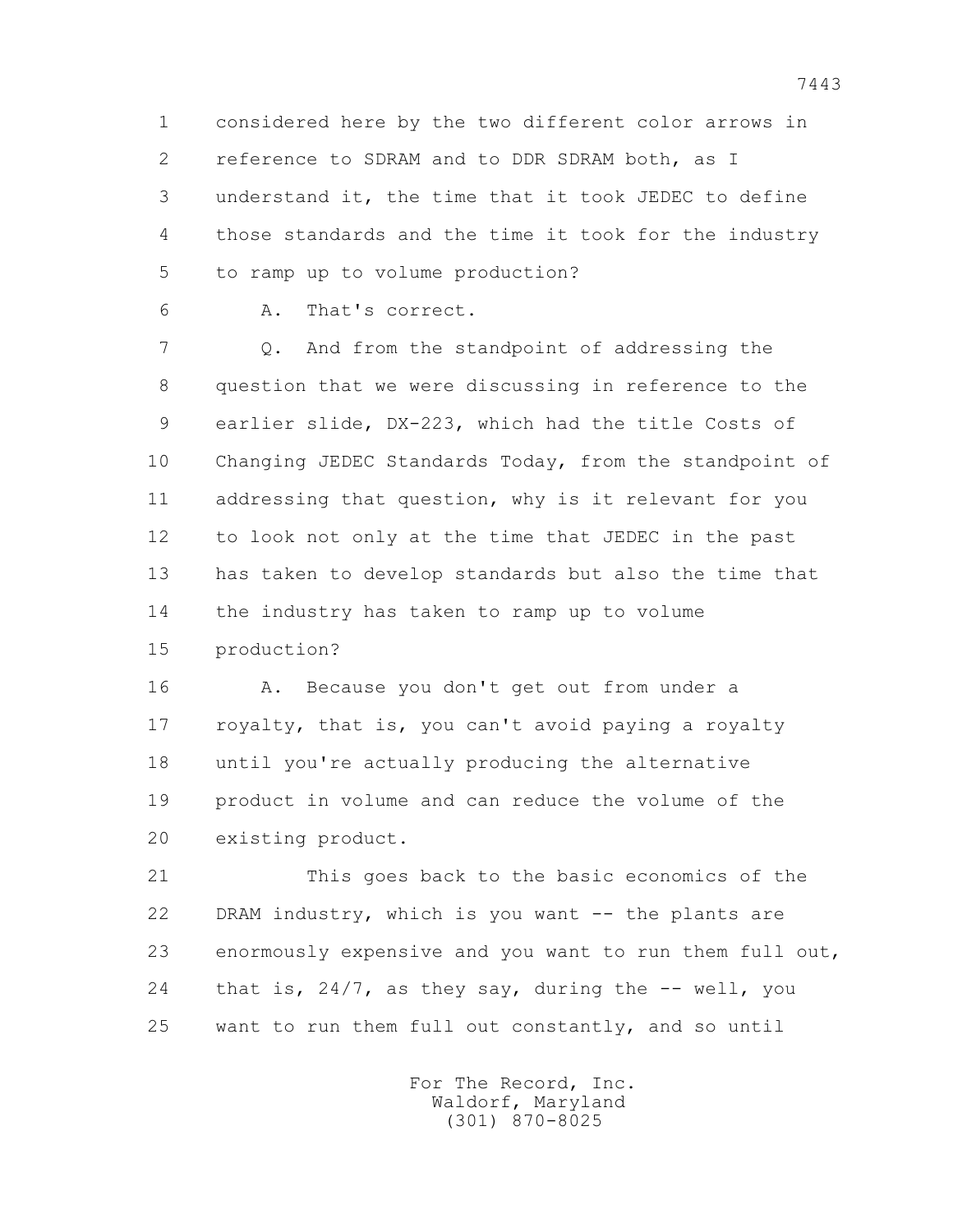1 considered here by the two different color arrows in 2 reference to SDRAM and to DDR SDRAM both, as I 3 understand it, the time that it took JEDEC to define 4 those standards and the time it took for the industry 5 to ramp up to volume production?

6 A. That's correct.

 7 Q. And from the standpoint of addressing the 8 question that we were discussing in reference to the 9 earlier slide, DX-223, which had the title Costs of 10 Changing JEDEC Standards Today, from the standpoint of 11 addressing that question, why is it relevant for you 12 to look not only at the time that JEDEC in the past 13 has taken to develop standards but also the time that 14 the industry has taken to ramp up to volume 15 production?

 16 A. Because you don't get out from under a 17 royalty, that is, you can't avoid paying a royalty 18 until you're actually producing the alternative 19 product in volume and can reduce the volume of the 20 existing product.

 21 This goes back to the basic economics of the 22 DRAM industry, which is you want -- the plants are 23 enormously expensive and you want to run them full out, 24 that is, 24/7, as they say, during the -- well, you 25 want to run them full out constantly, and so until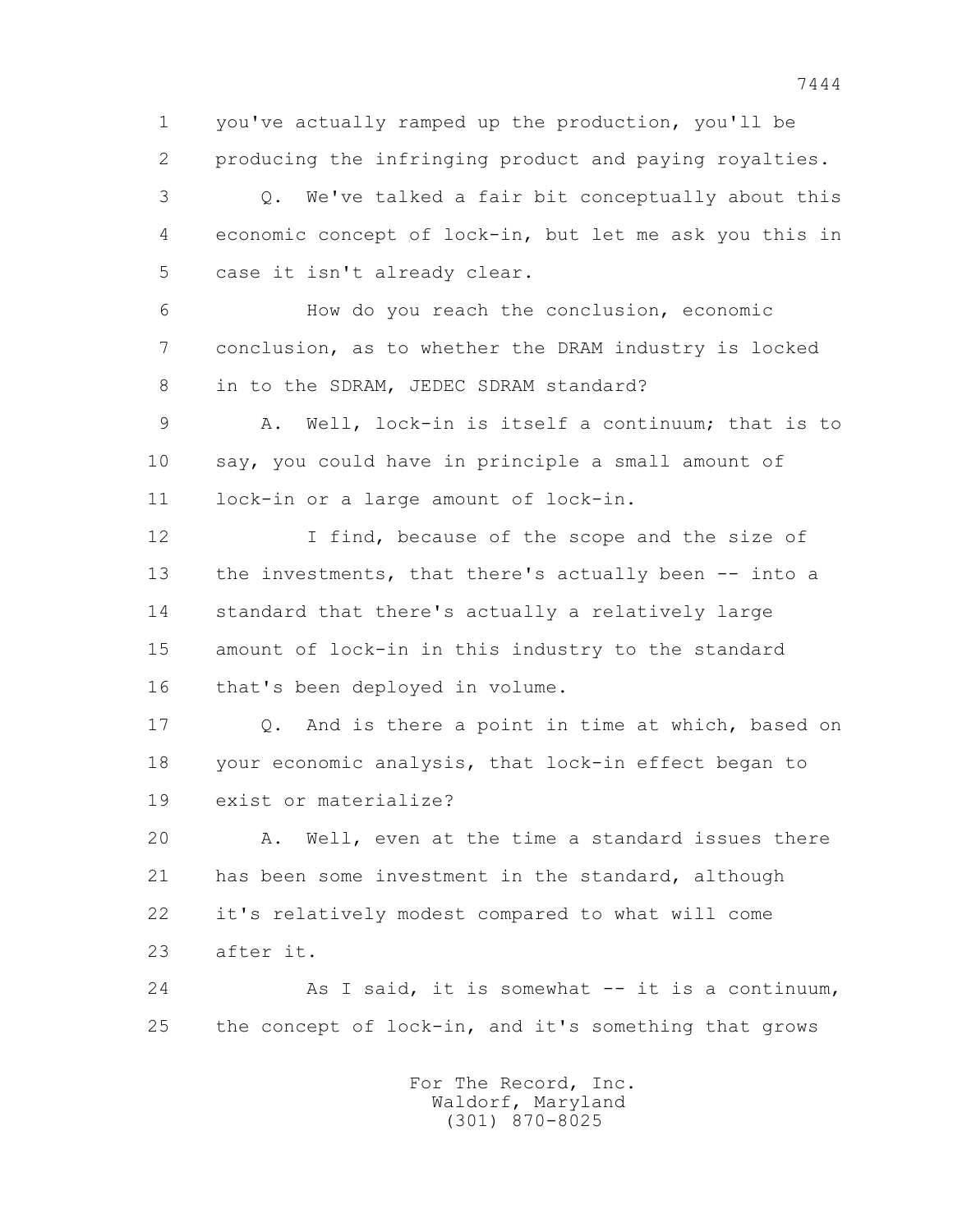1 you've actually ramped up the production, you'll be 2 producing the infringing product and paying royalties.

 3 Q. We've talked a fair bit conceptually about this 4 economic concept of lock-in, but let me ask you this in 5 case it isn't already clear.

 6 How do you reach the conclusion, economic 7 conclusion, as to whether the DRAM industry is locked 8 in to the SDRAM, JEDEC SDRAM standard?

 9 A. Well, lock-in is itself a continuum; that is to 10 say, you could have in principle a small amount of 11 lock-in or a large amount of lock-in.

12 I find, because of the scope and the size of 13 the investments, that there's actually been -- into a 14 standard that there's actually a relatively large 15 amount of lock-in in this industry to the standard 16 that's been deployed in volume.

 17 Q. And is there a point in time at which, based on 18 your economic analysis, that lock-in effect began to 19 exist or materialize?

 20 A. Well, even at the time a standard issues there 21 has been some investment in the standard, although 22 it's relatively modest compared to what will come 23 after it.

 24 As I said, it is somewhat -- it is a continuum, 25 the concept of lock-in, and it's something that grows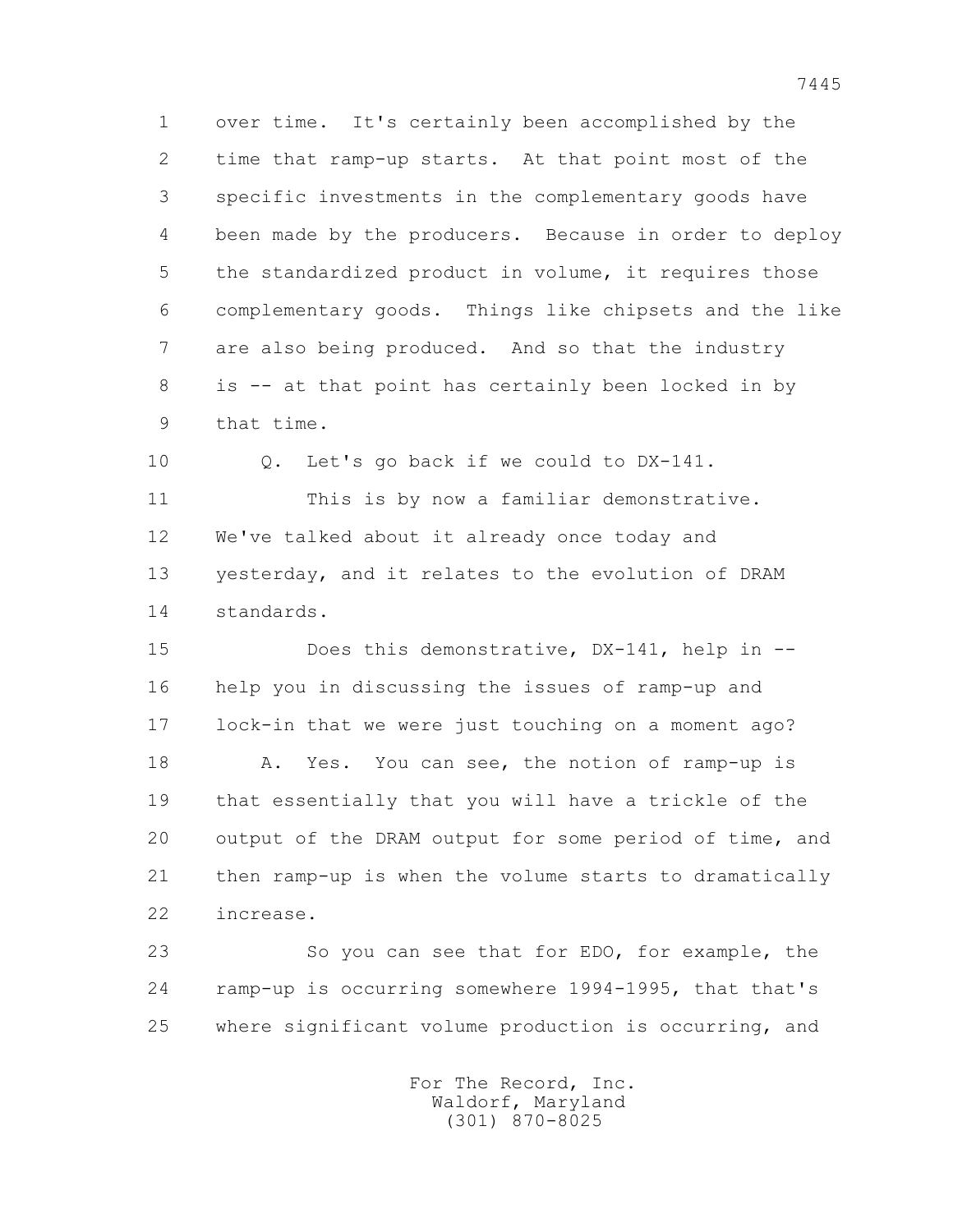1 over time. It's certainly been accomplished by the 2 time that ramp-up starts. At that point most of the 3 specific investments in the complementary goods have 4 been made by the producers. Because in order to deploy 5 the standardized product in volume, it requires those 6 complementary goods. Things like chipsets and the like 7 are also being produced. And so that the industry 8 is -- at that point has certainly been locked in by 9 that time.

10 Q. Let's go back if we could to DX-141.

 11 This is by now a familiar demonstrative. 12 We've talked about it already once today and 13 yesterday, and it relates to the evolution of DRAM 14 standards.

15 Does this demonstrative, DX-141, help in -- 16 help you in discussing the issues of ramp-up and 17 lock-in that we were just touching on a moment ago? 18 A. Yes. You can see, the notion of ramp-up is 19 that essentially that you will have a trickle of the 20 output of the DRAM output for some period of time, and 21 then ramp-up is when the volume starts to dramatically 22 increase.

 23 So you can see that for EDO, for example, the 24 ramp-up is occurring somewhere 1994-1995, that that's 25 where significant volume production is occurring, and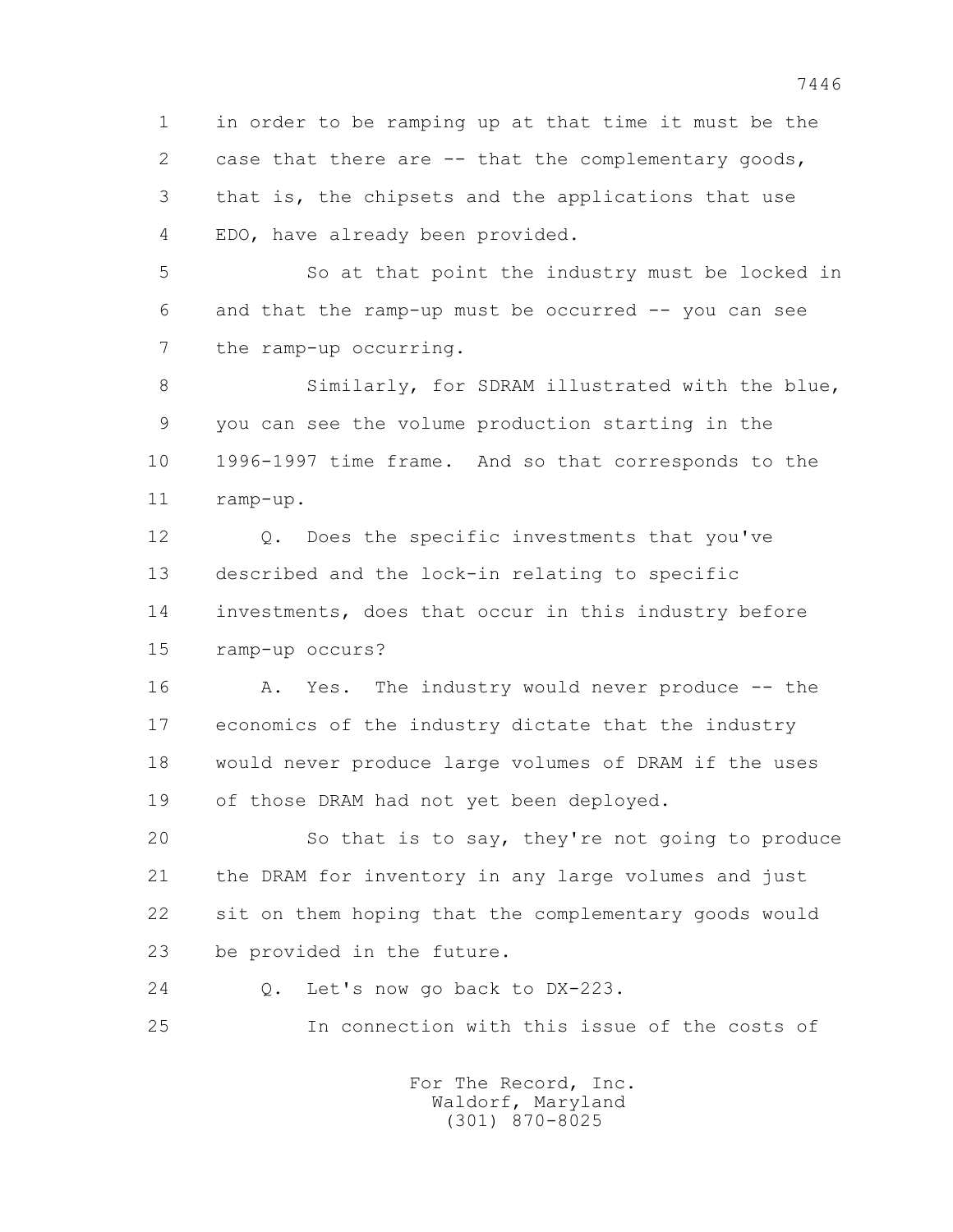1 in order to be ramping up at that time it must be the 2 case that there are -- that the complementary goods, 3 that is, the chipsets and the applications that use 4 EDO, have already been provided.

 5 So at that point the industry must be locked in 6 and that the ramp-up must be occurred -- you can see 7 the ramp-up occurring.

8 Similarly, for SDRAM illustrated with the blue, 9 you can see the volume production starting in the 10 1996-1997 time frame. And so that corresponds to the 11 ramp-up.

 12 Q. Does the specific investments that you've 13 described and the lock-in relating to specific 14 investments, does that occur in this industry before 15 ramp-up occurs?

16 A. Yes. The industry would never produce -- the 17 economics of the industry dictate that the industry 18 would never produce large volumes of DRAM if the uses 19 of those DRAM had not yet been deployed.

 20 So that is to say, they're not going to produce 21 the DRAM for inventory in any large volumes and just 22 sit on them hoping that the complementary goods would 23 be provided in the future.

24 Q. Let's now go back to DX-223.

25 In connection with this issue of the costs of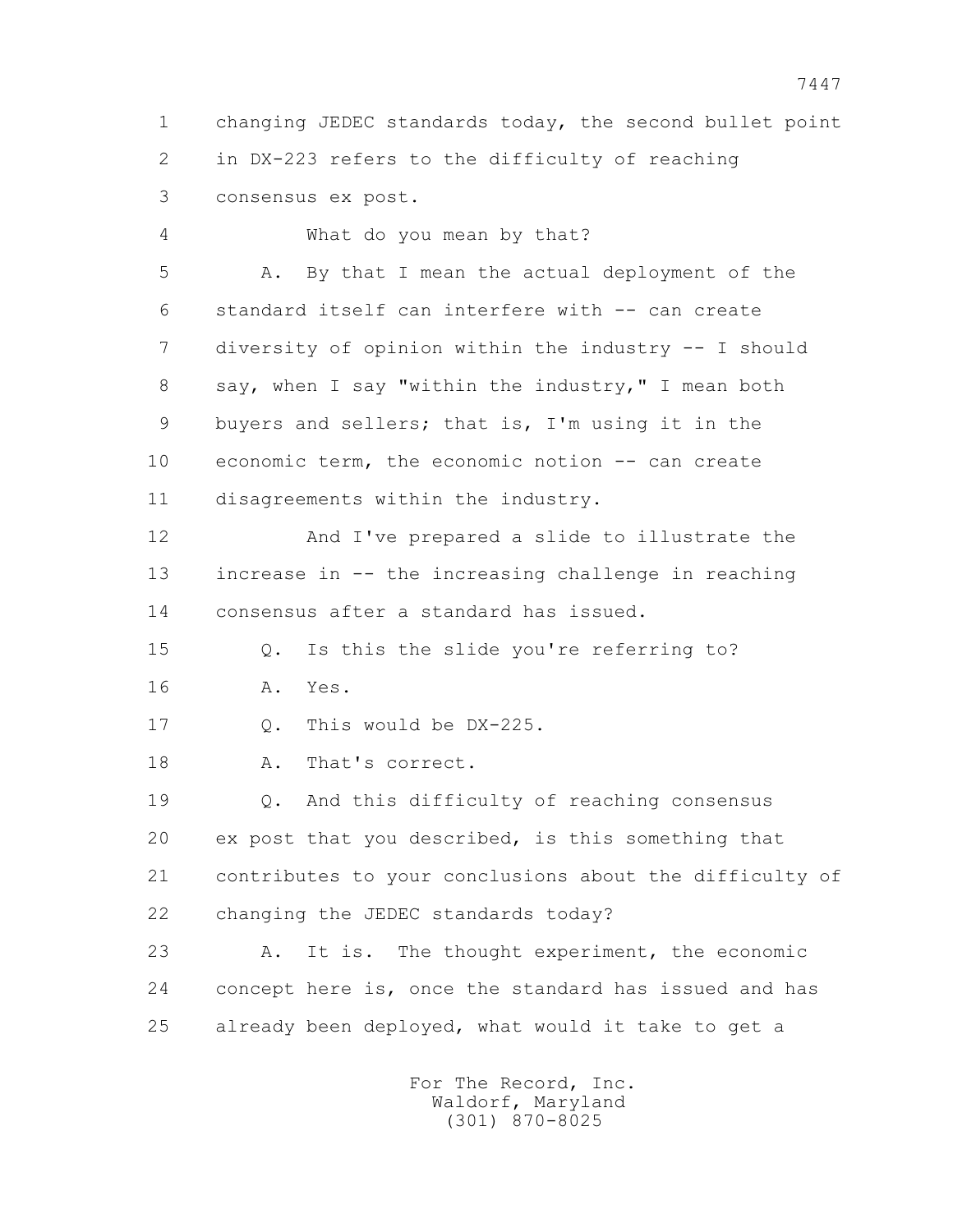1 changing JEDEC standards today, the second bullet point 2 in DX-223 refers to the difficulty of reaching 3 consensus ex post.

 4 What do you mean by that? 5 A. By that I mean the actual deployment of the 6 standard itself can interfere with -- can create 7 diversity of opinion within the industry -- I should 8 say, when I say "within the industry," I mean both 9 buyers and sellers; that is, I'm using it in the 10 economic term, the economic notion -- can create 11 disagreements within the industry.

 12 And I've prepared a slide to illustrate the 13 increase in -- the increasing challenge in reaching 14 consensus after a standard has issued.

 15 Q. Is this the slide you're referring to? 16 A. Yes.

17 Q. This would be DX-225.

18 A. That's correct.

 19 Q. And this difficulty of reaching consensus 20 ex post that you described, is this something that 21 contributes to your conclusions about the difficulty of 22 changing the JEDEC standards today?

 23 A. It is. The thought experiment, the economic 24 concept here is, once the standard has issued and has 25 already been deployed, what would it take to get a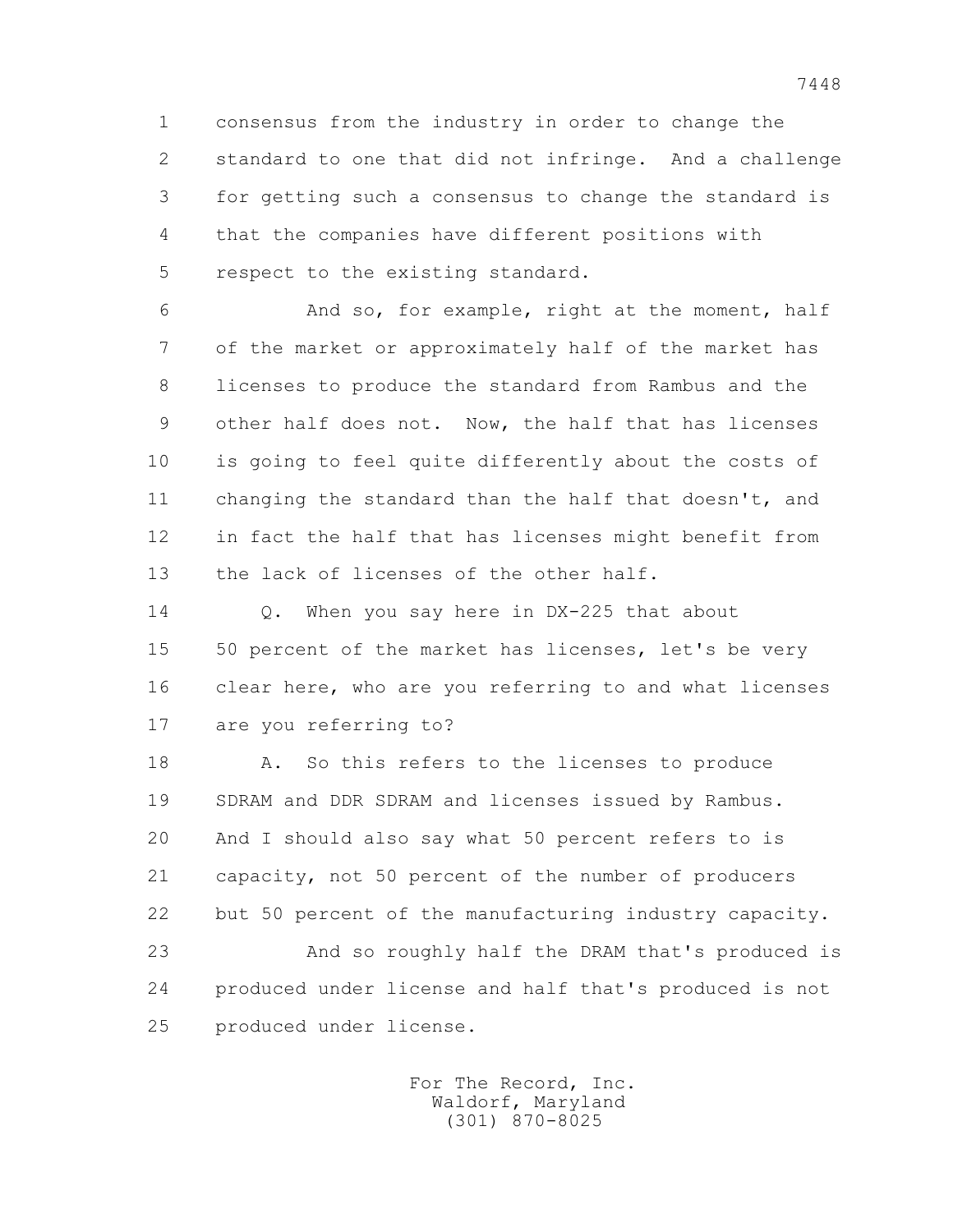1 consensus from the industry in order to change the 2 standard to one that did not infringe. And a challenge 3 for getting such a consensus to change the standard is 4 that the companies have different positions with 5 respect to the existing standard.

 6 And so, for example, right at the moment, half 7 of the market or approximately half of the market has 8 licenses to produce the standard from Rambus and the 9 other half does not. Now, the half that has licenses 10 is going to feel quite differently about the costs of 11 changing the standard than the half that doesn't, and 12 in fact the half that has licenses might benefit from 13 the lack of licenses of the other half.

14 0. When you say here in DX-225 that about 15 50 percent of the market has licenses, let's be very 16 clear here, who are you referring to and what licenses 17 are you referring to?

18 A. So this refers to the licenses to produce 19 SDRAM and DDR SDRAM and licenses issued by Rambus. 20 And I should also say what 50 percent refers to is 21 capacity, not 50 percent of the number of producers 22 but 50 percent of the manufacturing industry capacity. 23 And so roughly half the DRAM that's produced is 24 produced under license and half that's produced is not

25 produced under license.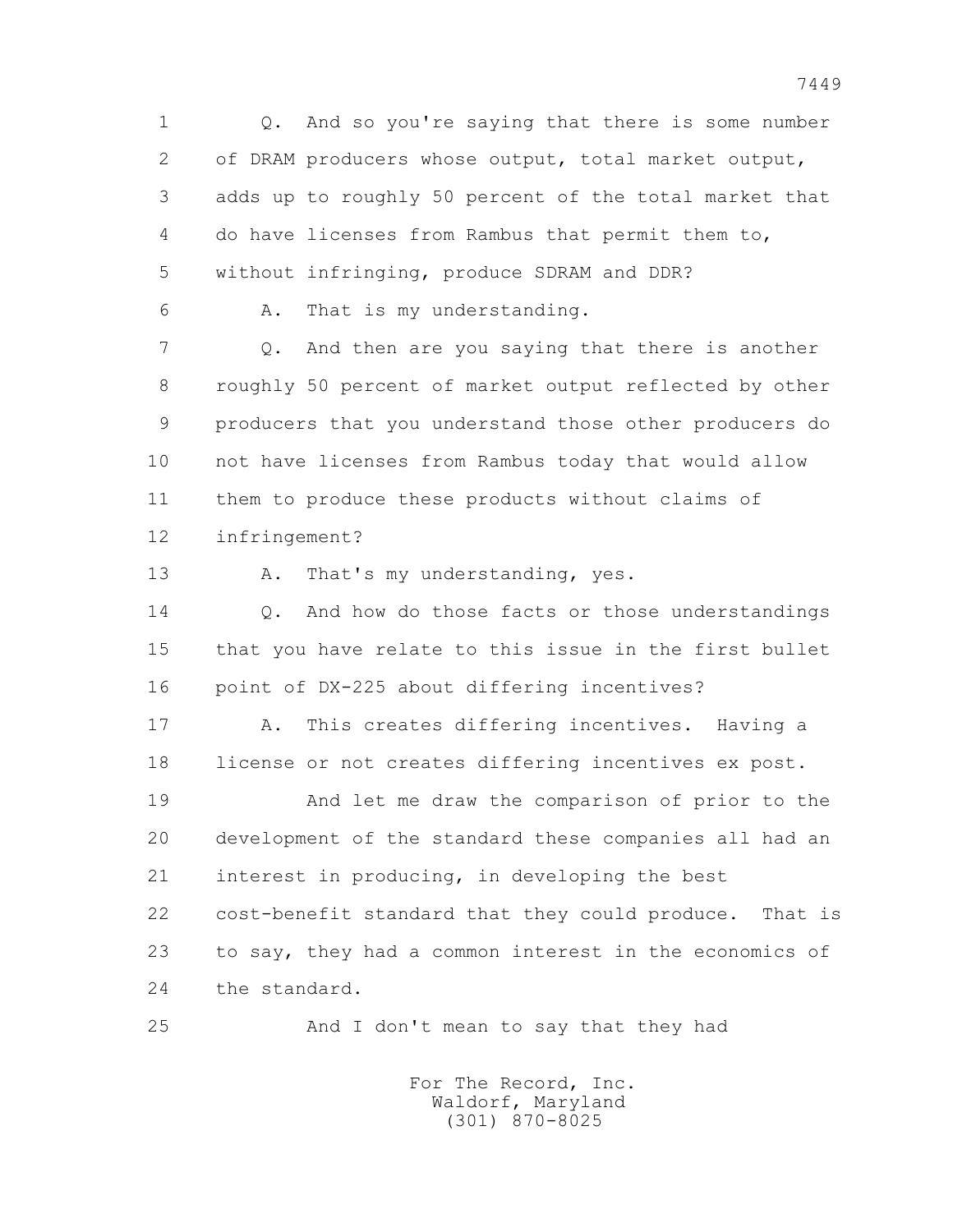1 Q. And so you're saying that there is some number 2 of DRAM producers whose output, total market output, 3 adds up to roughly 50 percent of the total market that 4 do have licenses from Rambus that permit them to, 5 without infringing, produce SDRAM and DDR? 6 A. That is my understanding. 7 Q. And then are you saying that there is another 8 roughly 50 percent of market output reflected by other 9 producers that you understand those other producers do 10 not have licenses from Rambus today that would allow 11 them to produce these products without claims of 12 infringement? 13 A. That's my understanding, yes. 14 0. And how do those facts or those understandings 15 that you have relate to this issue in the first bullet 16 point of DX-225 about differing incentives? 17 A. This creates differing incentives. Having a 18 license or not creates differing incentives ex post. 19 And let me draw the comparison of prior to the 20 development of the standard these companies all had an 21 interest in producing, in developing the best 22 cost-benefit standard that they could produce. That is 23 to say, they had a common interest in the economics of 24 the standard. 25 And I don't mean to say that they had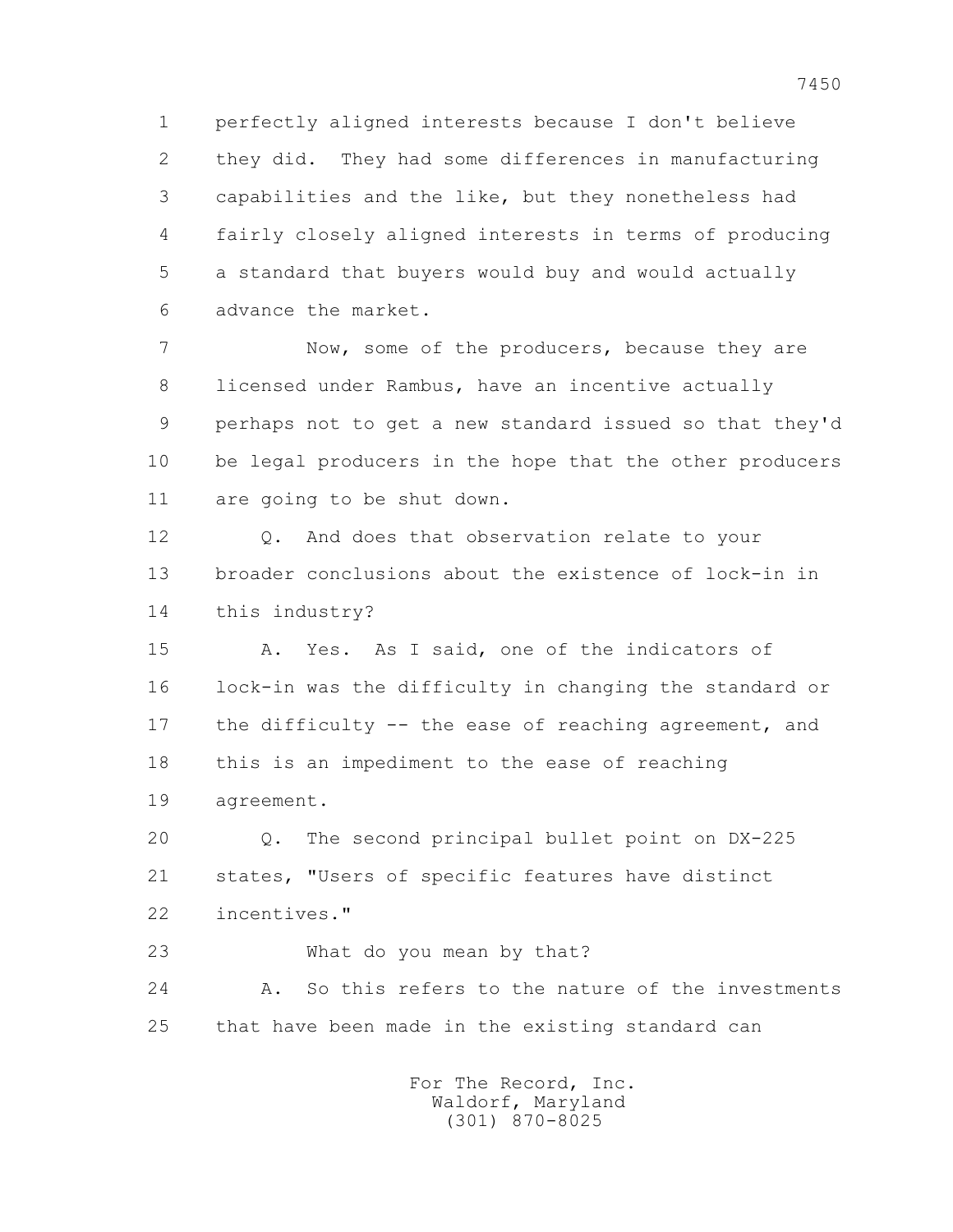1 perfectly aligned interests because I don't believe 2 they did. They had some differences in manufacturing 3 capabilities and the like, but they nonetheless had 4 fairly closely aligned interests in terms of producing 5 a standard that buyers would buy and would actually 6 advance the market.

 7 Now, some of the producers, because they are 8 licensed under Rambus, have an incentive actually 9 perhaps not to get a new standard issued so that they'd 10 be legal producers in the hope that the other producers 11 are going to be shut down.

 12 Q. And does that observation relate to your 13 broader conclusions about the existence of lock-in in 14 this industry?

 15 A. Yes. As I said, one of the indicators of 16 lock-in was the difficulty in changing the standard or 17 the difficulty -- the ease of reaching agreement, and 18 this is an impediment to the ease of reaching 19 agreement.

 20 Q. The second principal bullet point on DX-225 21 states, "Users of specific features have distinct 22 incentives."

23 What do you mean by that?

 24 A. So this refers to the nature of the investments 25 that have been made in the existing standard can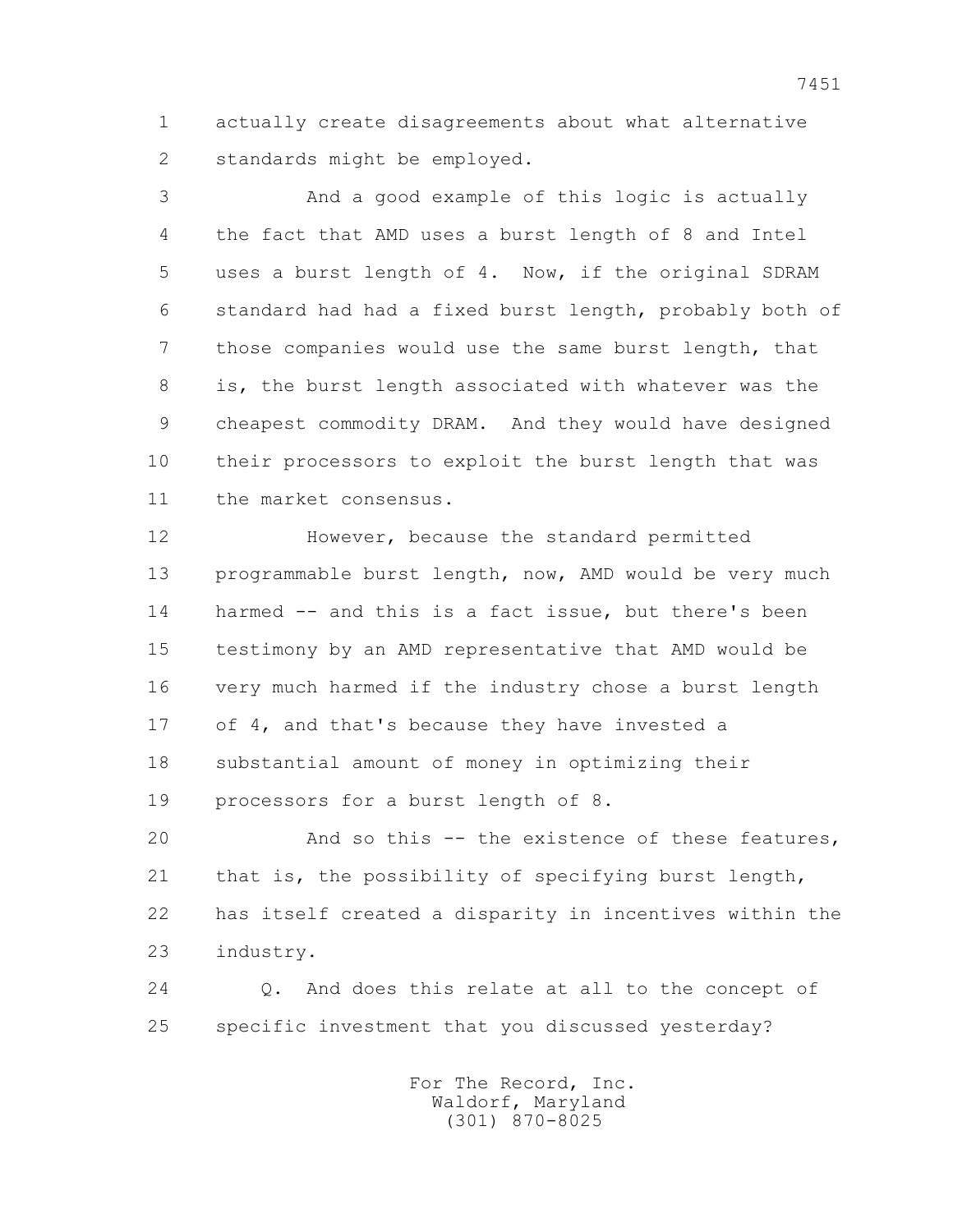1 actually create disagreements about what alternative 2 standards might be employed.

 3 And a good example of this logic is actually 4 the fact that AMD uses a burst length of 8 and Intel 5 uses a burst length of 4. Now, if the original SDRAM 6 standard had had a fixed burst length, probably both of 7 those companies would use the same burst length, that 8 is, the burst length associated with whatever was the 9 cheapest commodity DRAM. And they would have designed 10 their processors to exploit the burst length that was 11 the market consensus.

 12 However, because the standard permitted 13 programmable burst length, now, AMD would be very much 14 harmed -- and this is a fact issue, but there's been 15 testimony by an AMD representative that AMD would be 16 very much harmed if the industry chose a burst length 17 of 4, and that's because they have invested a 18 substantial amount of money in optimizing their 19 processors for a burst length of 8.

 20 And so this -- the existence of these features, 21 that is, the possibility of specifying burst length, 22 has itself created a disparity in incentives within the 23 industry.

 24 Q. And does this relate at all to the concept of 25 specific investment that you discussed yesterday?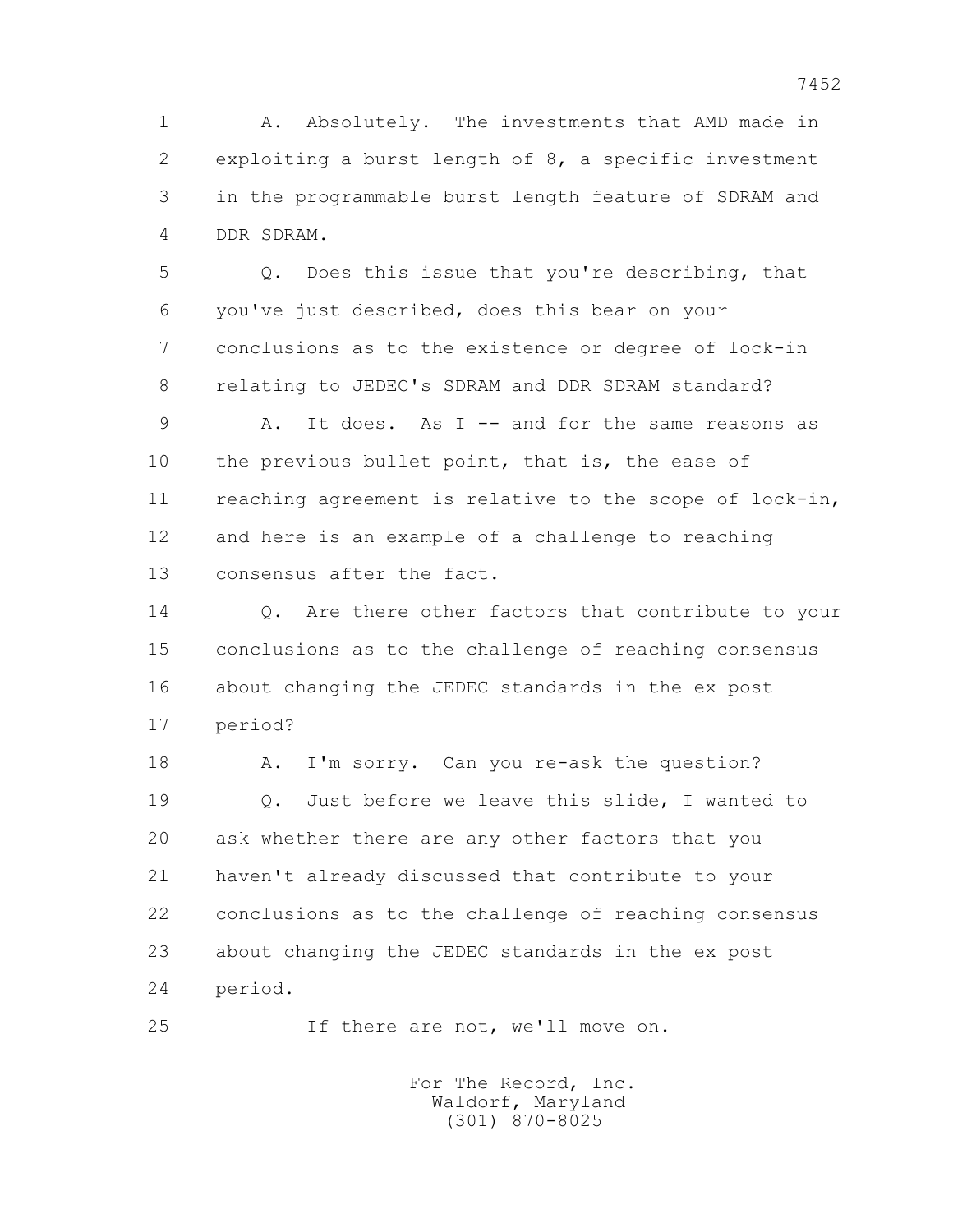1 A. Absolutely. The investments that AMD made in 2 exploiting a burst length of 8, a specific investment 3 in the programmable burst length feature of SDRAM and 4 DDR SDRAM.

 5 Q. Does this issue that you're describing, that 6 you've just described, does this bear on your 7 conclusions as to the existence or degree of lock-in 8 relating to JEDEC's SDRAM and DDR SDRAM standard?

 9 A. It does. As I -- and for the same reasons as 10 the previous bullet point, that is, the ease of 11 reaching agreement is relative to the scope of lock-in, 12 and here is an example of a challenge to reaching 13 consensus after the fact.

14 0. Are there other factors that contribute to your 15 conclusions as to the challenge of reaching consensus 16 about changing the JEDEC standards in the ex post 17 period?

18 A. I'm sorry. Can you re-ask the question? 19 Q. Just before we leave this slide, I wanted to 20 ask whether there are any other factors that you 21 haven't already discussed that contribute to your 22 conclusions as to the challenge of reaching consensus 23 about changing the JEDEC standards in the ex post 24 period.

25 If there are not, we'll move on.

 For The Record, Inc. Waldorf, Maryland (301) 870-8025

7452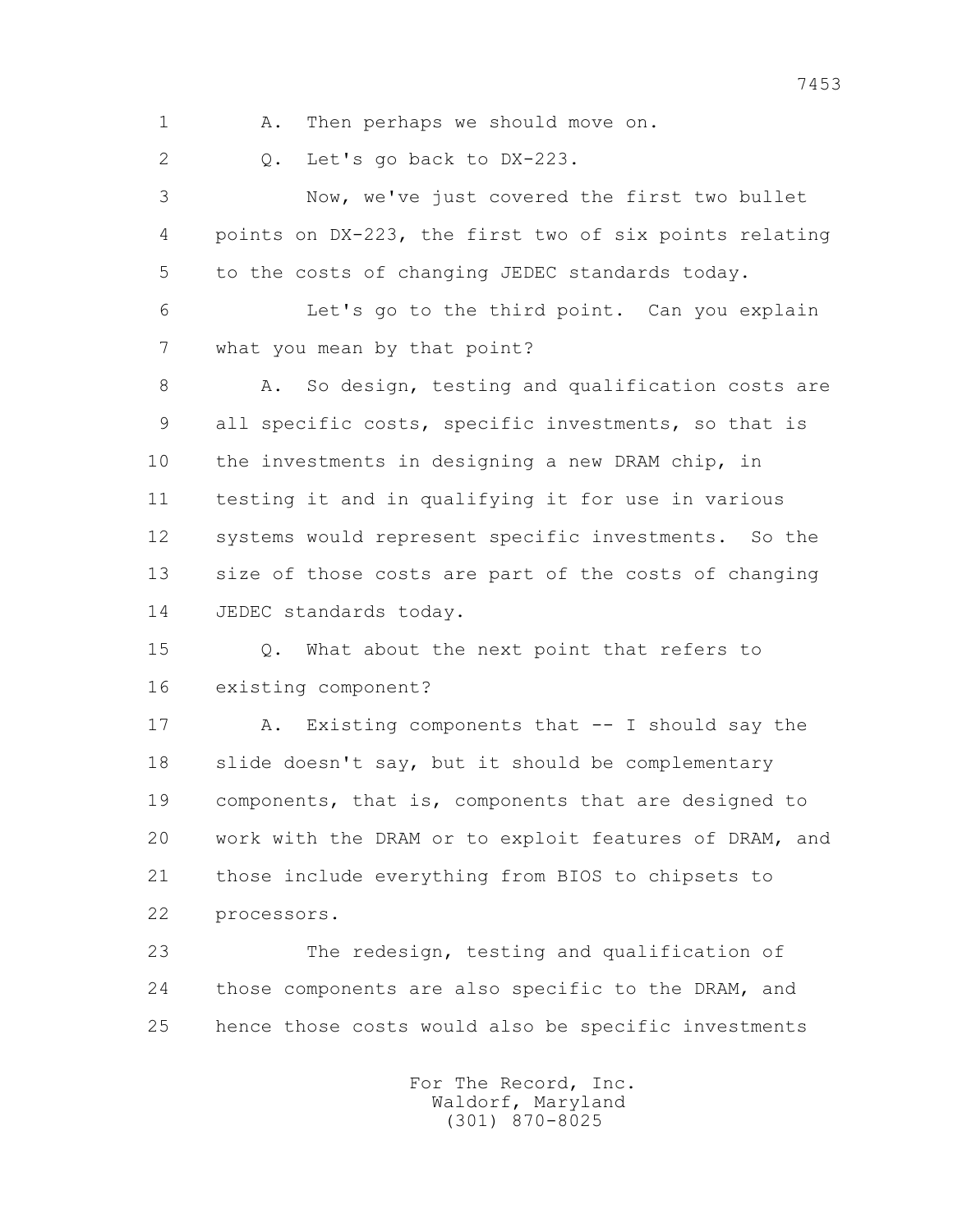1 A. Then perhaps we should move on.

2 0. Let's go back to DX-223.

 3 Now, we've just covered the first two bullet 4 points on DX-223, the first two of six points relating 5 to the costs of changing JEDEC standards today.

 6 Let's go to the third point. Can you explain 7 what you mean by that point?

8 A. So design, testing and qualification costs are 9 all specific costs, specific investments, so that is 10 the investments in designing a new DRAM chip, in 11 testing it and in qualifying it for use in various 12 systems would represent specific investments. So the 13 size of those costs are part of the costs of changing 14 JEDEC standards today.

 15 Q. What about the next point that refers to 16 existing component?

 17 A. Existing components that -- I should say the 18 slide doesn't say, but it should be complementary 19 components, that is, components that are designed to 20 work with the DRAM or to exploit features of DRAM, and 21 those include everything from BIOS to chipsets to 22 processors.

 23 The redesign, testing and qualification of 24 those components are also specific to the DRAM, and 25 hence those costs would also be specific investments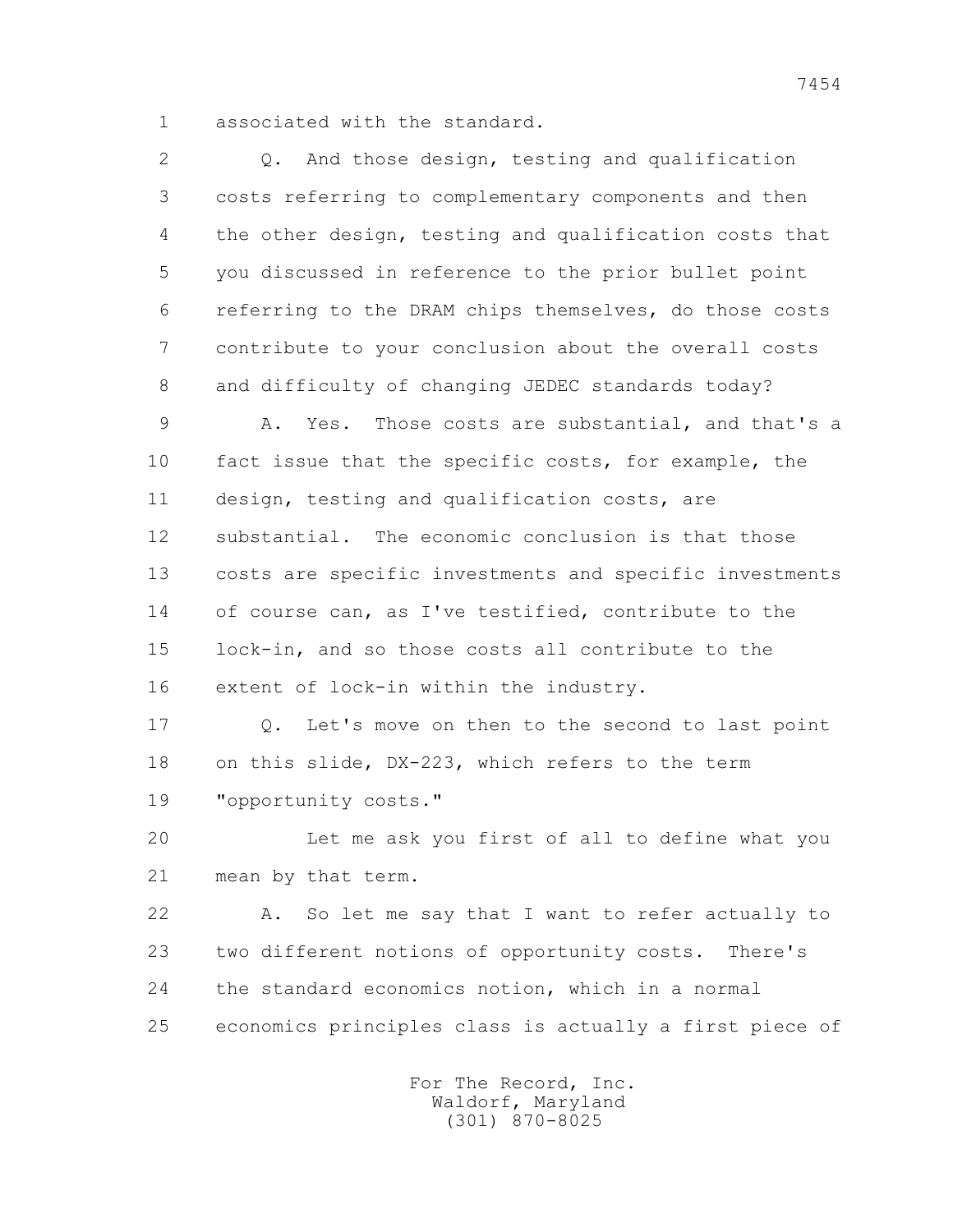1 associated with the standard.

| 2  | And those design, testing and qualification<br>Q.       |
|----|---------------------------------------------------------|
| 3  | costs referring to complementary components and then    |
| 4  | the other design, testing and qualification costs that  |
| 5  | you discussed in reference to the prior bullet point    |
| 6  | referring to the DRAM chips themselves, do those costs  |
| 7  | contribute to your conclusion about the overall costs   |
| 8  | and difficulty of changing JEDEC standards today?       |
| 9  | Yes. Those costs are substantial, and that's a<br>Α.    |
| 10 | fact issue that the specific costs, for example, the    |
| 11 | design, testing and qualification costs, are            |
| 12 | substantial. The economic conclusion is that those      |
| 13 | costs are specific investments and specific investments |
| 14 | of course can, as I've testified, contribute to the     |
| 15 | lock-in, and so those costs all contribute to the       |
| 16 | extent of lock-in within the industry.                  |
| 17 | Let's move on then to the second to last point<br>Q.    |
| 18 | on this slide, DX-223, which refers to the term         |
| 19 | "opportunity costs."                                    |
| 20 | Let me ask you first of all to define what you          |
| 21 | mean by that term.                                      |
| 22 | So let me say that I want to refer actually to<br>Α.    |
| 23 | two different notions of opportunity costs. There's     |
| 24 | the standard economics notion, which in a normal        |
| 25 | economics principles class is actually a first piece of |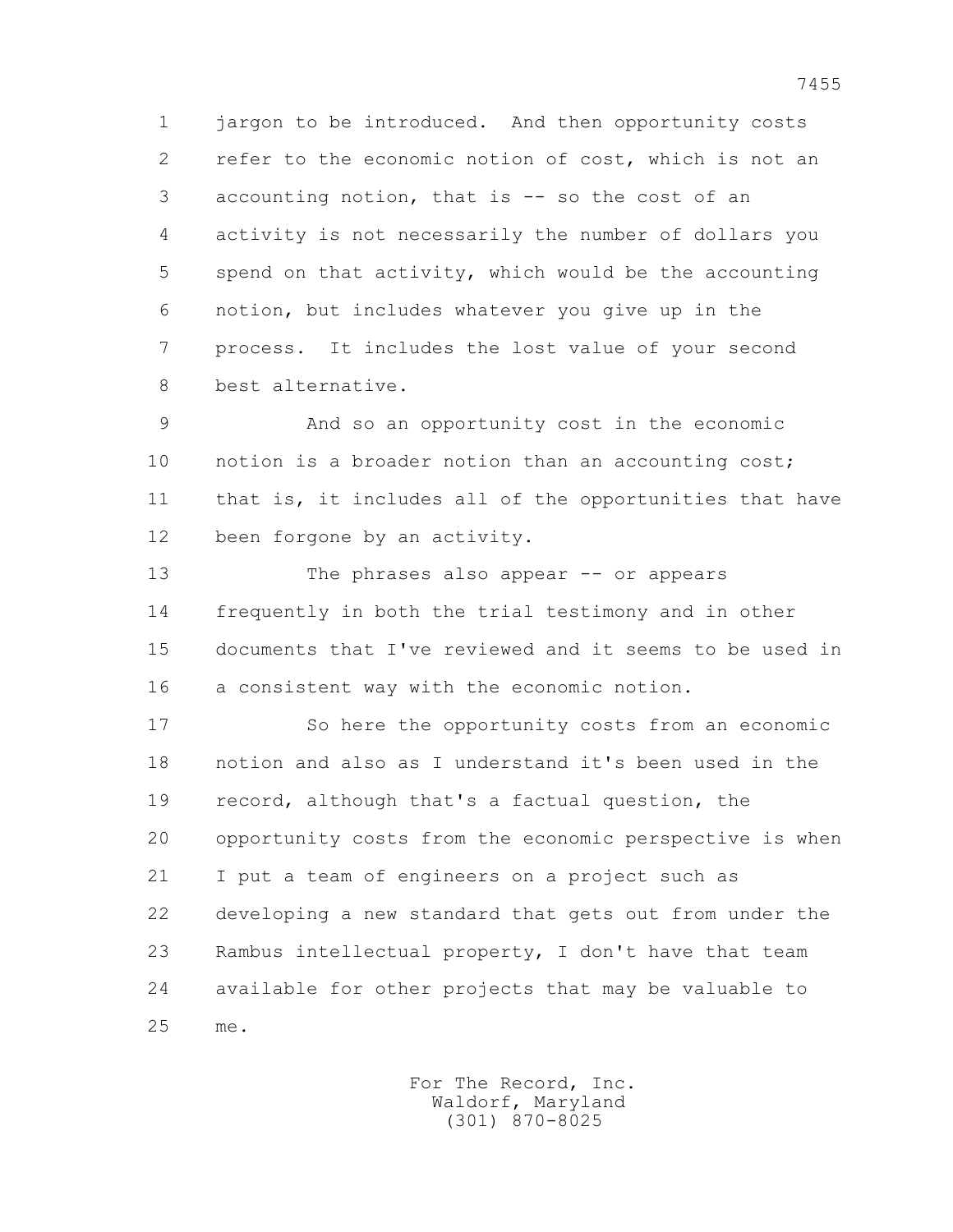1 jargon to be introduced. And then opportunity costs 2 refer to the economic notion of cost, which is not an 3 accounting notion, that is -- so the cost of an 4 activity is not necessarily the number of dollars you 5 spend on that activity, which would be the accounting 6 notion, but includes whatever you give up in the 7 process. It includes the lost value of your second 8 best alternative.

 9 And so an opportunity cost in the economic 10 notion is a broader notion than an accounting cost; 11 that is, it includes all of the opportunities that have 12 been forgone by an activity.

 13 The phrases also appear -- or appears 14 frequently in both the trial testimony and in other 15 documents that I've reviewed and it seems to be used in 16 a consistent way with the economic notion.

 17 So here the opportunity costs from an economic 18 notion and also as I understand it's been used in the 19 record, although that's a factual question, the 20 opportunity costs from the economic perspective is when 21 I put a team of engineers on a project such as 22 developing a new standard that gets out from under the 23 Rambus intellectual property, I don't have that team 24 available for other projects that may be valuable to 25 me.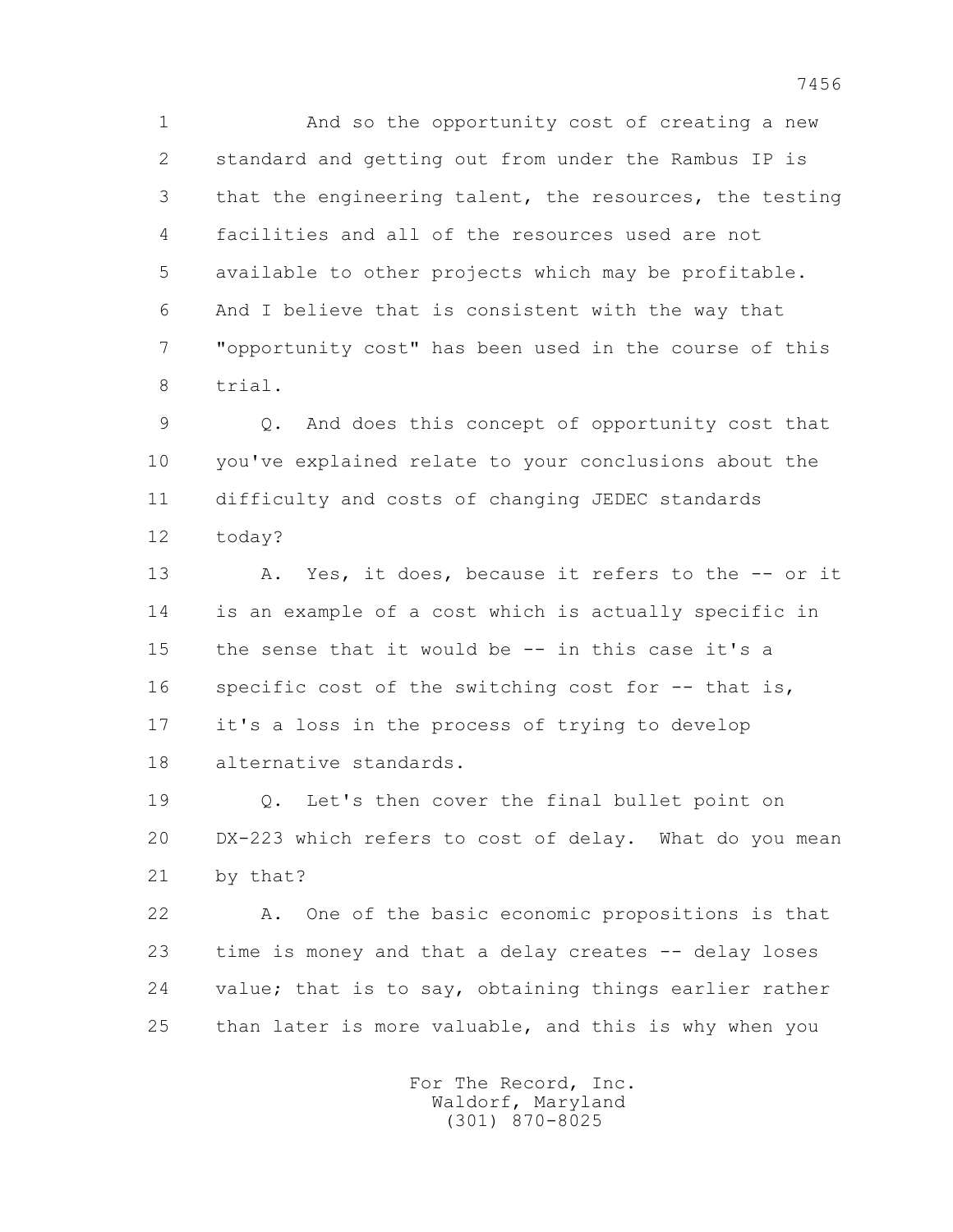1 And so the opportunity cost of creating a new 2 standard and getting out from under the Rambus IP is 3 that the engineering talent, the resources, the testing 4 facilities and all of the resources used are not 5 available to other projects which may be profitable. 6 And I believe that is consistent with the way that 7 "opportunity cost" has been used in the course of this 8 trial.

 9 Q. And does this concept of opportunity cost that 10 you've explained relate to your conclusions about the 11 difficulty and costs of changing JEDEC standards 12 today?

 13 A. Yes, it does, because it refers to the -- or it 14 is an example of a cost which is actually specific in 15 the sense that it would be -- in this case it's a 16 specific cost of the switching cost for -- that is, 17 it's a loss in the process of trying to develop 18 alternative standards.

 19 Q. Let's then cover the final bullet point on 20 DX-223 which refers to cost of delay. What do you mean 21 by that?

 22 A. One of the basic economic propositions is that 23 time is money and that a delay creates -- delay loses 24 value; that is to say, obtaining things earlier rather 25 than later is more valuable, and this is why when you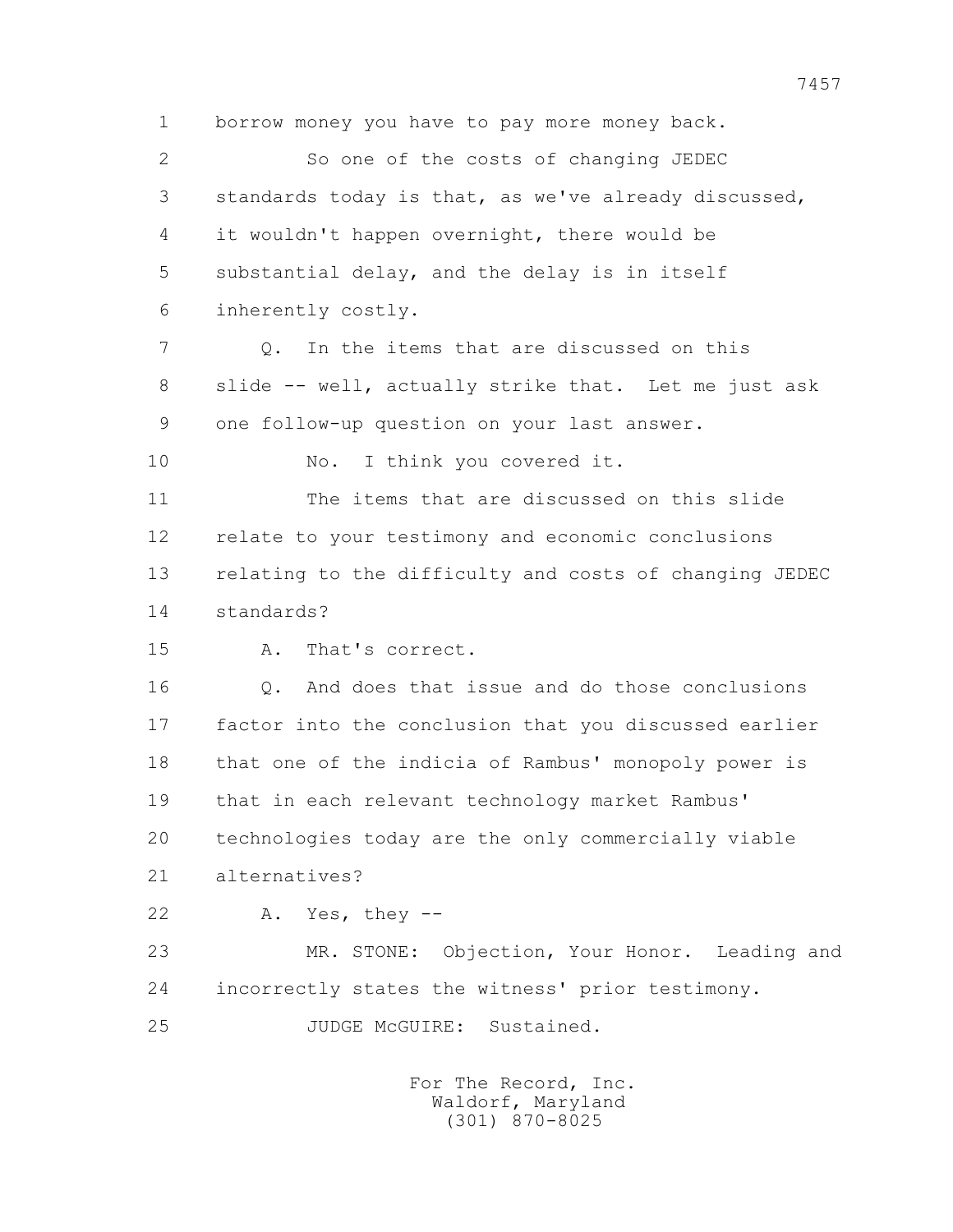1 borrow money you have to pay more money back.

 2 So one of the costs of changing JEDEC 3 standards today is that, as we've already discussed, 4 it wouldn't happen overnight, there would be 5 substantial delay, and the delay is in itself 6 inherently costly.

 7 Q. In the items that are discussed on this 8 slide -- well, actually strike that. Let me just ask 9 one follow-up question on your last answer.

10 No. I think you covered it.

 11 The items that are discussed on this slide 12 relate to your testimony and economic conclusions 13 relating to the difficulty and costs of changing JEDEC 14 standards?

15 A. That's correct.

16 0. And does that issue and do those conclusions 17 factor into the conclusion that you discussed earlier 18 that one of the indicia of Rambus' monopoly power is 19 that in each relevant technology market Rambus' 20 technologies today are the only commercially viable 21 alternatives?

22 A. Yes, they --

 23 MR. STONE: Objection, Your Honor. Leading and 24 incorrectly states the witness' prior testimony.

25 JUDGE McGUIRE: Sustained.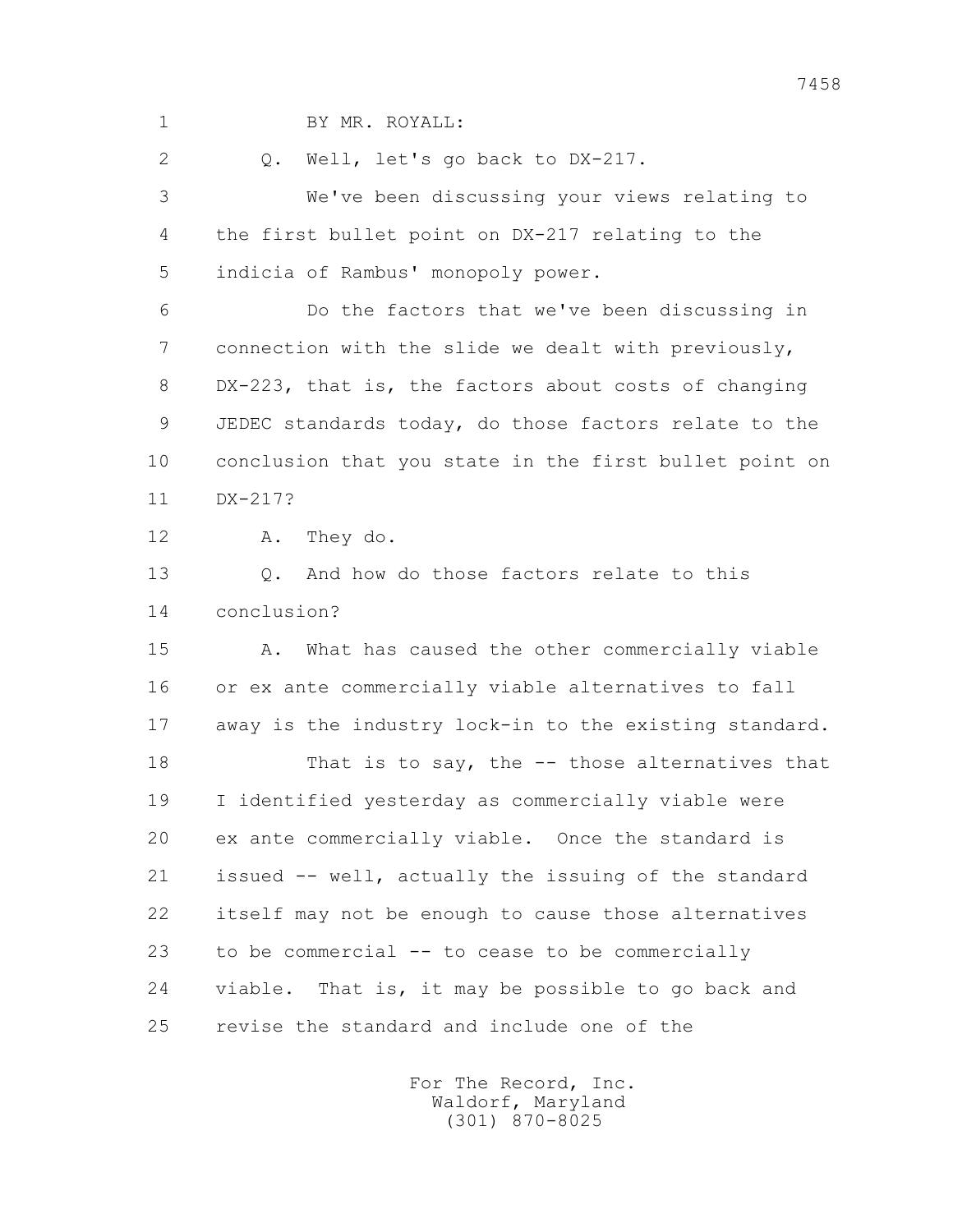1 BY MR. ROYALL: 2 0. Well, let's go back to DX-217. 3 We've been discussing your views relating to 4 the first bullet point on DX-217 relating to the 5 indicia of Rambus' monopoly power. 6 Do the factors that we've been discussing in 7 connection with the slide we dealt with previously, 8 DX-223, that is, the factors about costs of changing 9 JEDEC standards today, do those factors relate to the 10 conclusion that you state in the first bullet point on 11 DX-217? 12 A. They do. 13 Q. And how do those factors relate to this 14 conclusion? 15 A. What has caused the other commercially viable 16 or ex ante commercially viable alternatives to fall 17 away is the industry lock-in to the existing standard. 18 That is to say, the -- those alternatives that 19 I identified yesterday as commercially viable were 20 ex ante commercially viable. Once the standard is 21 issued -- well, actually the issuing of the standard 22 itself may not be enough to cause those alternatives 23 to be commercial -- to cease to be commercially 24 viable. That is, it may be possible to go back and 25 revise the standard and include one of the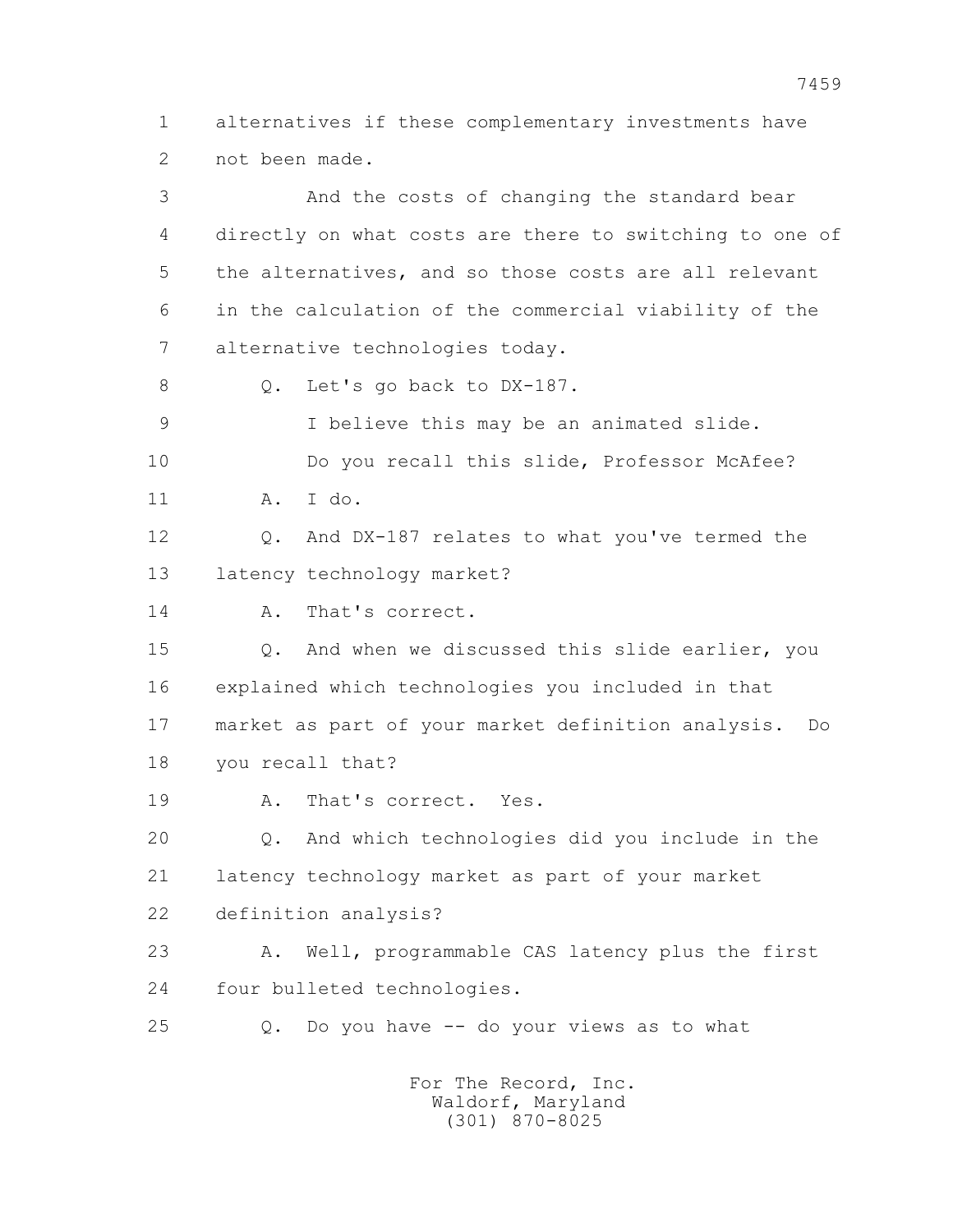1 alternatives if these complementary investments have 2 not been made.

 3 And the costs of changing the standard bear 4 directly on what costs are there to switching to one of 5 the alternatives, and so those costs are all relevant 6 in the calculation of the commercial viability of the 7 alternative technologies today. 8 O. Let's go back to DX-187. 9 I believe this may be an animated slide. 10 Do you recall this slide, Professor McAfee? 11 A. I do. 12 Q. And DX-187 relates to what you've termed the 13 latency technology market? 14 A. That's correct. 15 Q. And when we discussed this slide earlier, you 16 explained which technologies you included in that 17 market as part of your market definition analysis. Do 18 you recall that? 19 A. That's correct. Yes. 20 Q. And which technologies did you include in the 21 latency technology market as part of your market 22 definition analysis? 23 A. Well, programmable CAS latency plus the first 24 four bulleted technologies. 25 Q. Do you have -- do your views as to what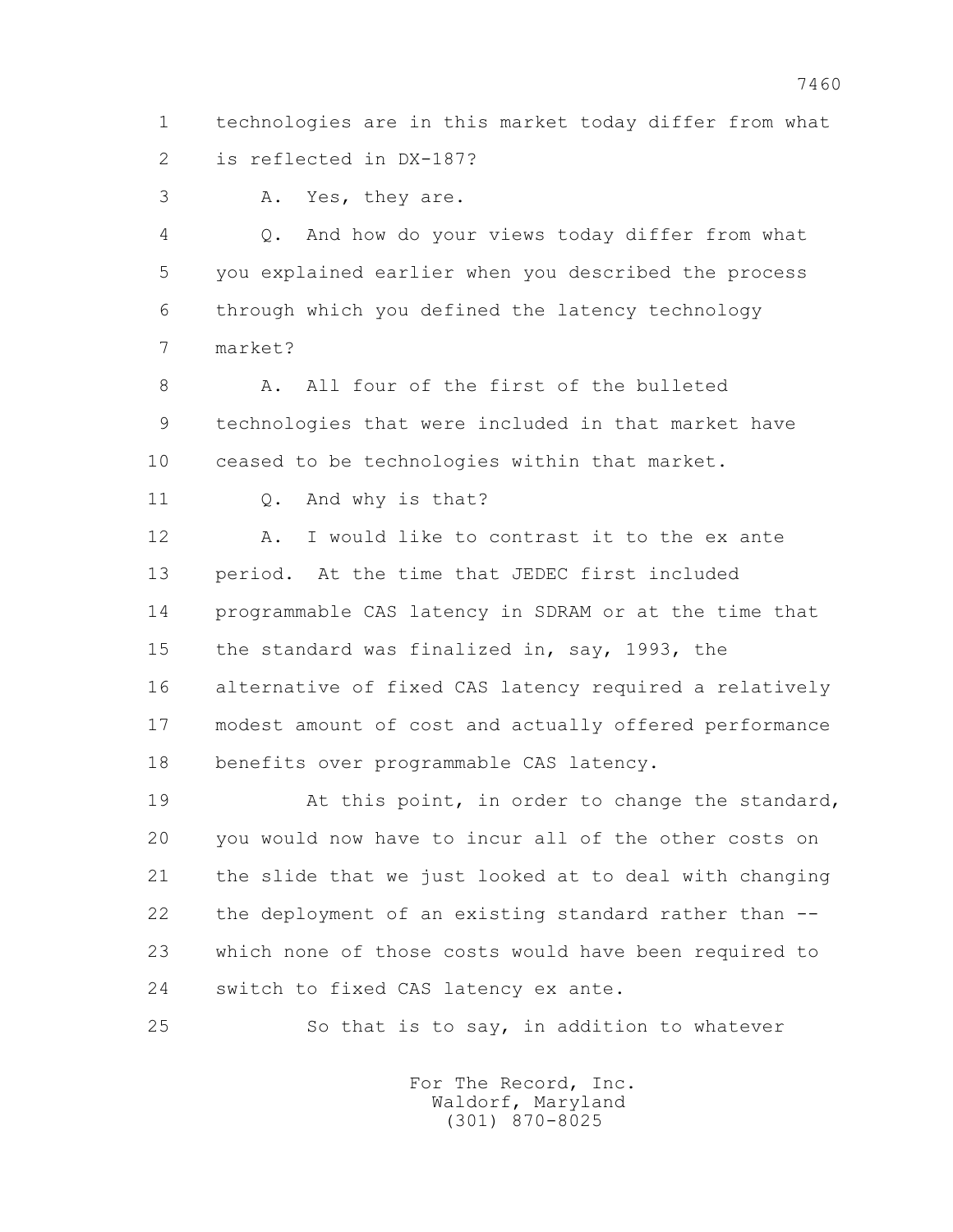1 technologies are in this market today differ from what 2 is reflected in DX-187?

3 A. Yes, they are.

 4 Q. And how do your views today differ from what 5 you explained earlier when you described the process 6 through which you defined the latency technology 7 market?

 8 A. All four of the first of the bulleted 9 technologies that were included in that market have 10 ceased to be technologies within that market.

11 Q. And why is that?

12 A. I would like to contrast it to the ex ante 13 period. At the time that JEDEC first included 14 programmable CAS latency in SDRAM or at the time that 15 the standard was finalized in, say, 1993, the 16 alternative of fixed CAS latency required a relatively 17 modest amount of cost and actually offered performance 18 benefits over programmable CAS latency.

19 At this point, in order to change the standard, 20 you would now have to incur all of the other costs on 21 the slide that we just looked at to deal with changing 22 the deployment of an existing standard rather than -- 23 which none of those costs would have been required to 24 switch to fixed CAS latency ex ante.

25 So that is to say, in addition to whatever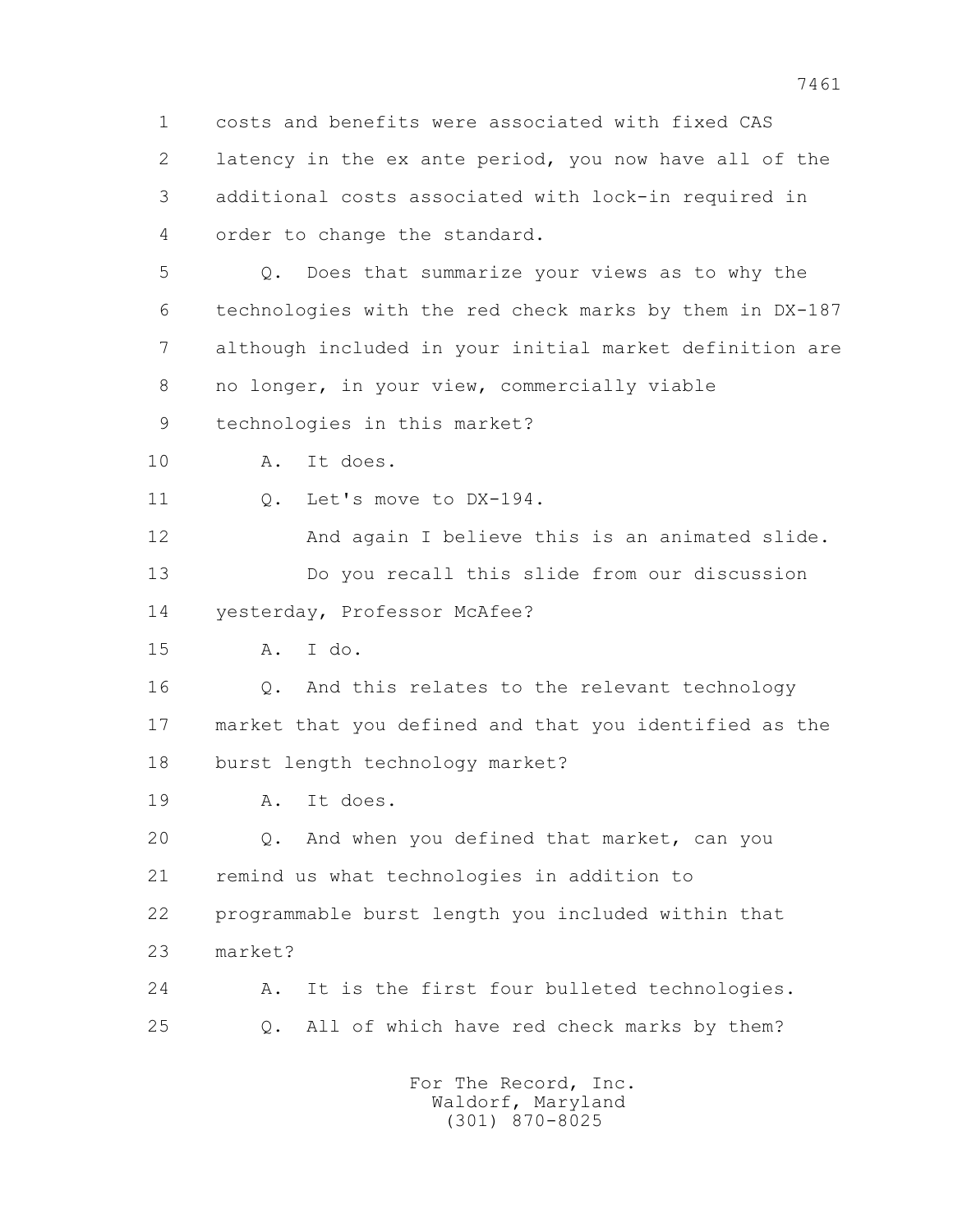1 costs and benefits were associated with fixed CAS 2 latency in the ex ante period, you now have all of the 3 additional costs associated with lock-in required in 4 order to change the standard.

 5 Q. Does that summarize your views as to why the 6 technologies with the red check marks by them in DX-187 7 although included in your initial market definition are 8 no longer, in your view, commercially viable

9 technologies in this market?

10 A. It does.

11 0. Let's move to DX-194.

 12 And again I believe this is an animated slide. 13 Do you recall this slide from our discussion 14 yesterday, Professor McAfee?

15 A. I do.

 16 Q. And this relates to the relevant technology 17 market that you defined and that you identified as the 18 burst length technology market?

19 A. It does.

 20 Q. And when you defined that market, can you 21 remind us what technologies in addition to 22 programmable burst length you included within that 23 market?

 24 A. It is the first four bulleted technologies. 25 Q. All of which have red check marks by them?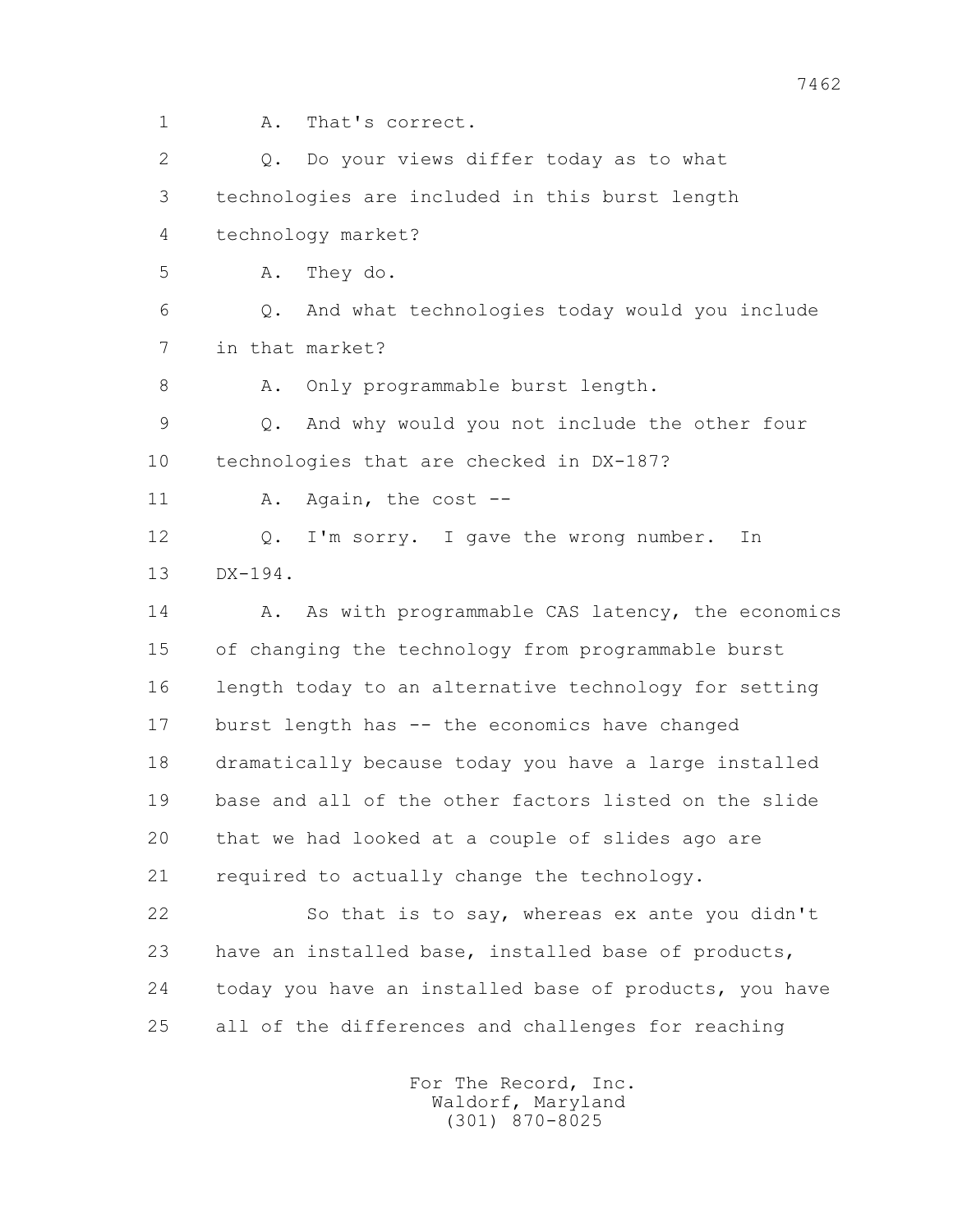- 
- 1 A. That's correct.

 2 Q. Do your views differ today as to what 3 technologies are included in this burst length 4 technology market? 5 A. They do. 6 Q. And what technologies today would you include 7 in that market? 8 A. Only programmable burst length. 9 Q. And why would you not include the other four 10 technologies that are checked in DX-187? 11 A. Again, the cost -- 12 Q. I'm sorry. I gave the wrong number. In 13 DX-194. 14 A. As with programmable CAS latency, the economics 15 of changing the technology from programmable burst 16 length today to an alternative technology for setting 17 burst length has -- the economics have changed 18 dramatically because today you have a large installed 19 base and all of the other factors listed on the slide 20 that we had looked at a couple of slides ago are 21 required to actually change the technology. 22 So that is to say, whereas ex ante you didn't 23 have an installed base, installed base of products, 24 today you have an installed base of products, you have 25 all of the differences and challenges for reaching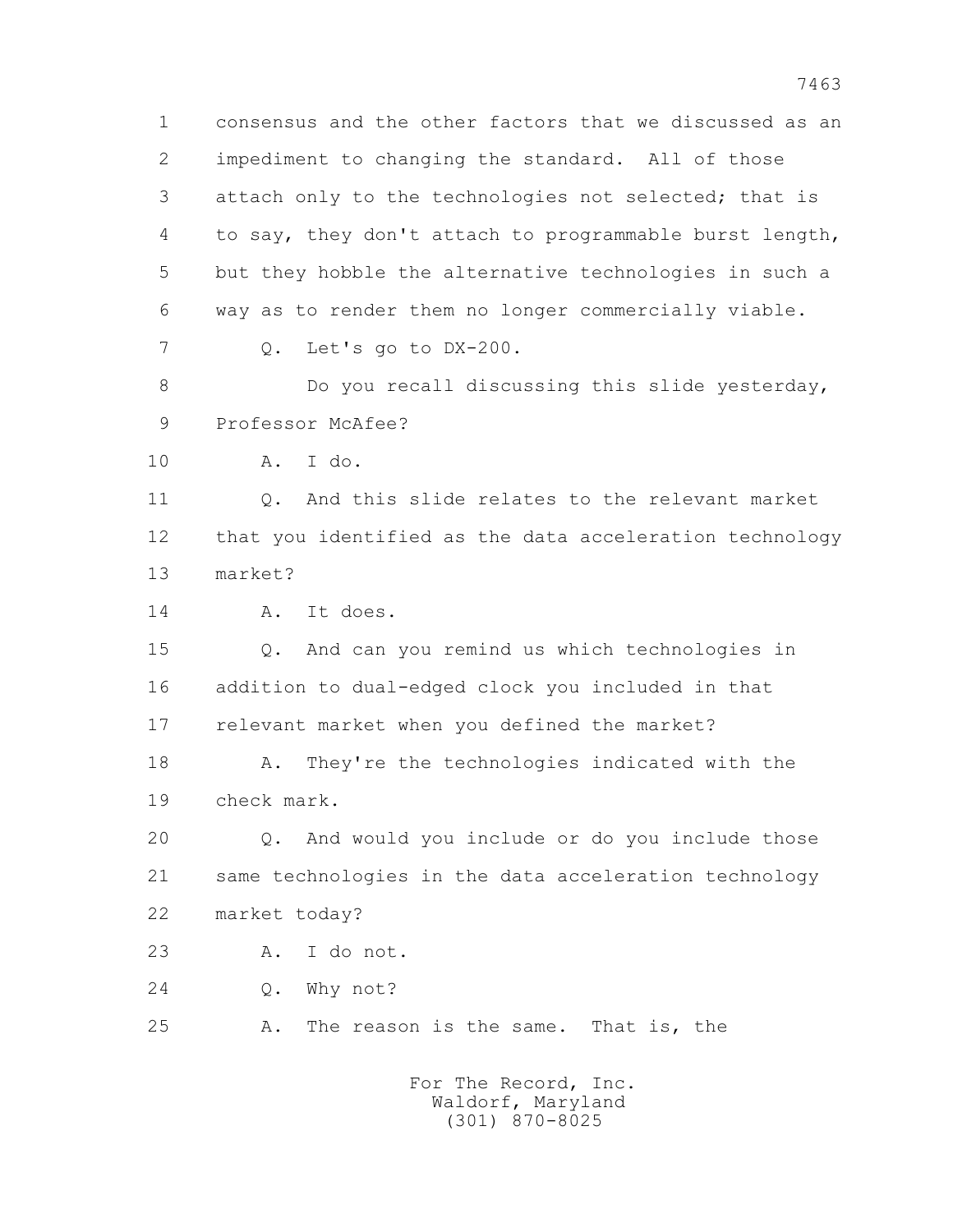1 consensus and the other factors that we discussed as an 2 impediment to changing the standard. All of those 3 attach only to the technologies not selected; that is 4 to say, they don't attach to programmable burst length, 5 but they hobble the alternative technologies in such a 6 way as to render them no longer commercially viable. 7 Q. Let's go to DX-200. 8 Do you recall discussing this slide yesterday, 9 Professor McAfee? 10 A. I do. 11 Q. And this slide relates to the relevant market 12 that you identified as the data acceleration technology 13 market?

14 A. It does.

 15 Q. And can you remind us which technologies in 16 addition to dual-edged clock you included in that 17 relevant market when you defined the market?

 18 A. They're the technologies indicated with the 19 check mark.

 20 Q. And would you include or do you include those 21 same technologies in the data acceleration technology 22 market today?

23 A. I do not.

24 Q. Why not?

25 A. The reason is the same. That is, the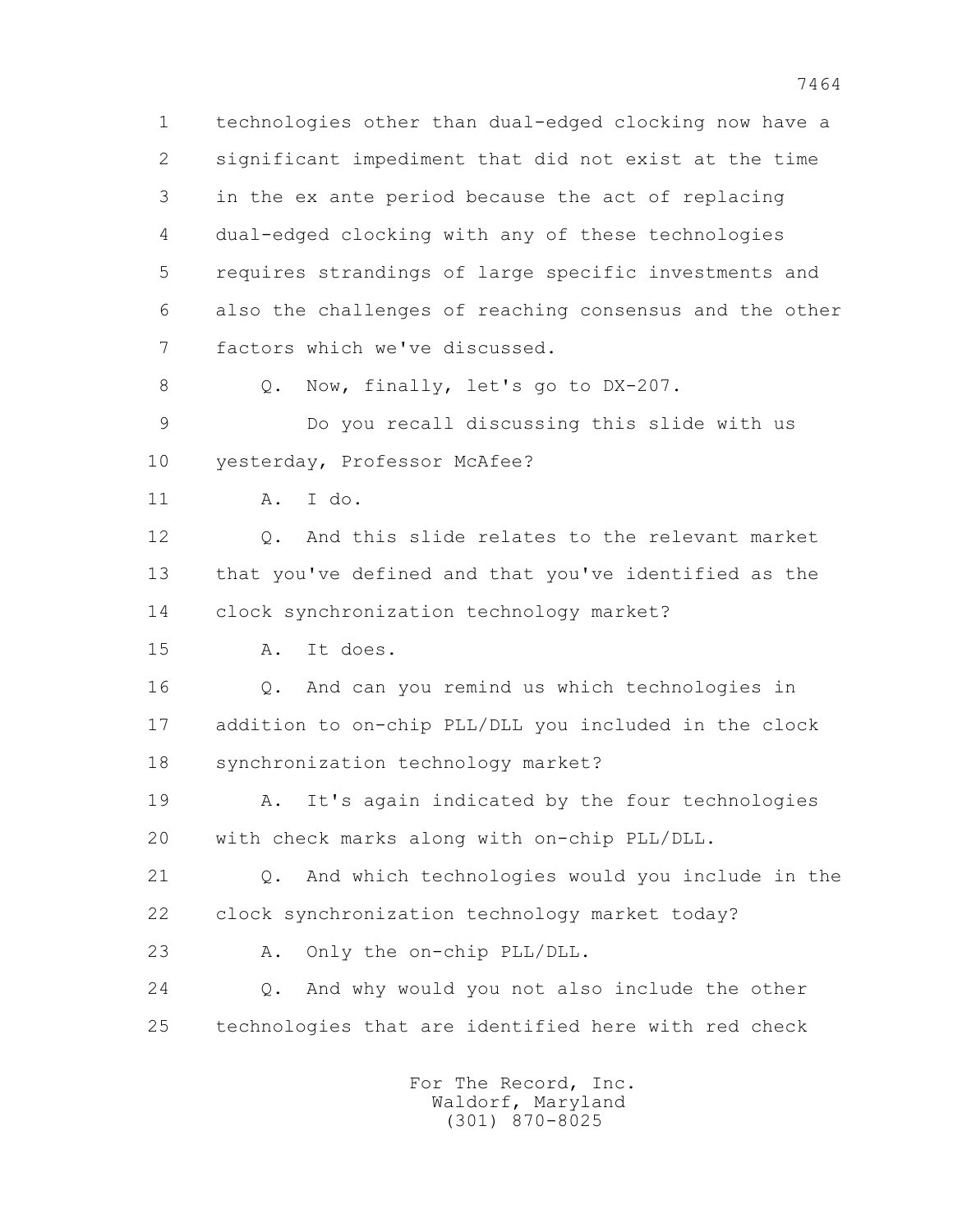1 technologies other than dual-edged clocking now have a 2 significant impediment that did not exist at the time 3 in the ex ante period because the act of replacing 4 dual-edged clocking with any of these technologies 5 requires strandings of large specific investments and 6 also the challenges of reaching consensus and the other 7 factors which we've discussed.

8 Q. Now, finally, let's go to DX-207.

 9 Do you recall discussing this slide with us 10 yesterday, Professor McAfee?

11 A. I do.

 12 Q. And this slide relates to the relevant market 13 that you've defined and that you've identified as the 14 clock synchronization technology market?

15 A. It does.

 16 Q. And can you remind us which technologies in 17 addition to on-chip PLL/DLL you included in the clock 18 synchronization technology market?

 19 A. It's again indicated by the four technologies 20 with check marks along with on-chip PLL/DLL.

 21 Q. And which technologies would you include in the 22 clock synchronization technology market today?

23 A. Only the on-chip PLL/DLL.

 24 Q. And why would you not also include the other 25 technologies that are identified here with red check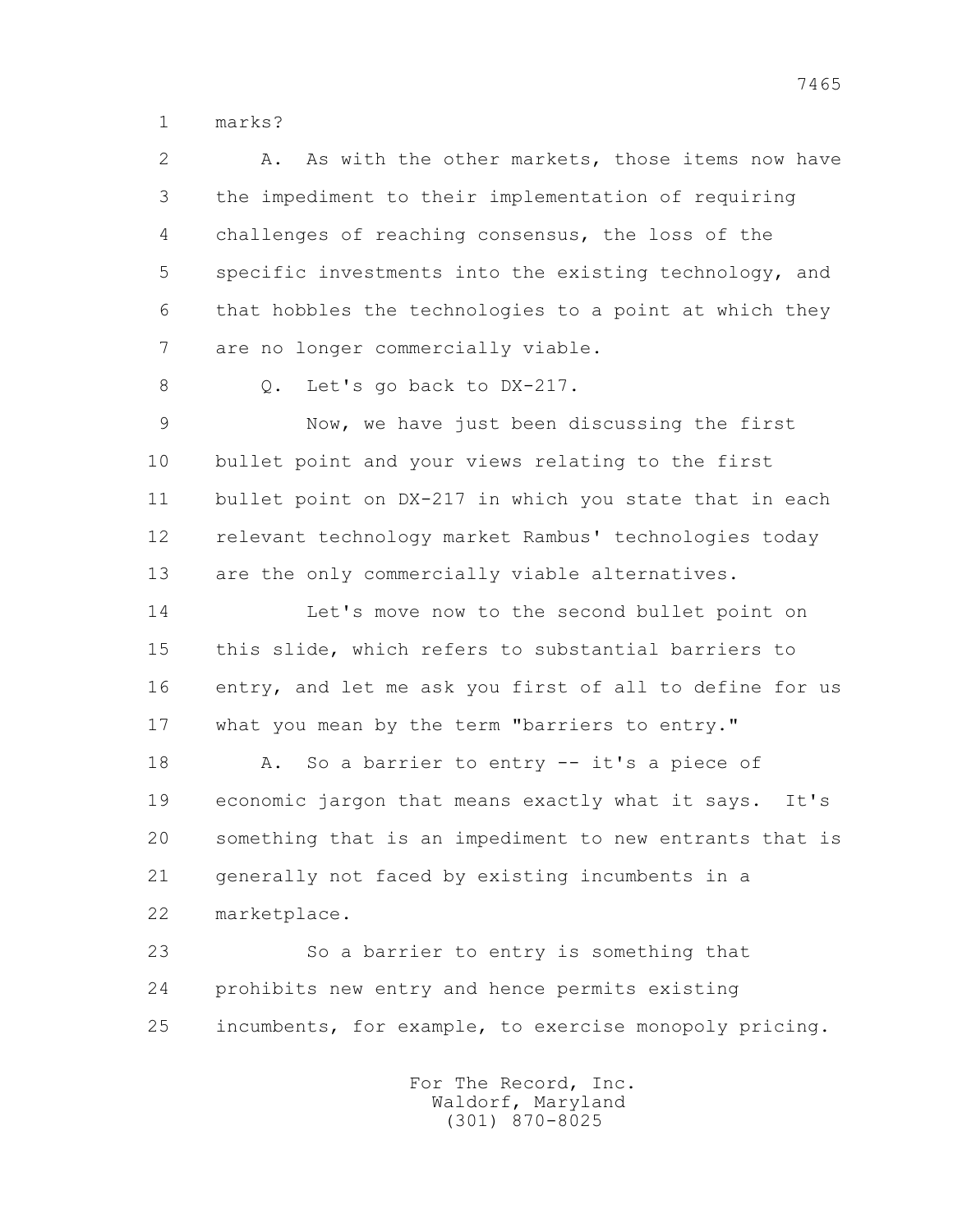1 marks?

| $\overline{2}$ | As with the other markets, those items now have<br>Α.    |
|----------------|----------------------------------------------------------|
| 3              | the impediment to their implementation of requiring      |
| 4              | challenges of reaching consensus, the loss of the        |
| 5              | specific investments into the existing technology, and   |
| 6              | that hobbles the technologies to a point at which they   |
| 7              | are no longer commercially viable.                       |
| 8              | Let's go back to DX-217.<br>Q.                           |
| 9              | Now, we have just been discussing the first              |
| 10             | bullet point and your views relating to the first        |
| 11             | bullet point on DX-217 in which you state that in each   |
| 12             | relevant technology market Rambus' technologies today    |
| 13             | are the only commercially viable alternatives.           |
| 14             | Let's move now to the second bullet point on             |
| 15             | this slide, which refers to substantial barriers to      |
| 16             | entry, and let me ask you first of all to define for us  |
| 17             | what you mean by the term "barriers to entry."           |
| 18             | So a barrier to entry -- it's a piece of<br>Α.           |
| 19             | economic jargon that means exactly what it says.<br>It's |
| 20             | something that is an impediment to new entrants that is  |
| 21             | generally not faced by existing incumbents in a          |
| 22             | marketplace.                                             |
| 23             | So a barrier to entry is something that                  |
| 24             | prohibits new entry and hence permits existing           |
| 25             | incumbents, for example, to exercise monopoly pricing.   |
|                |                                                          |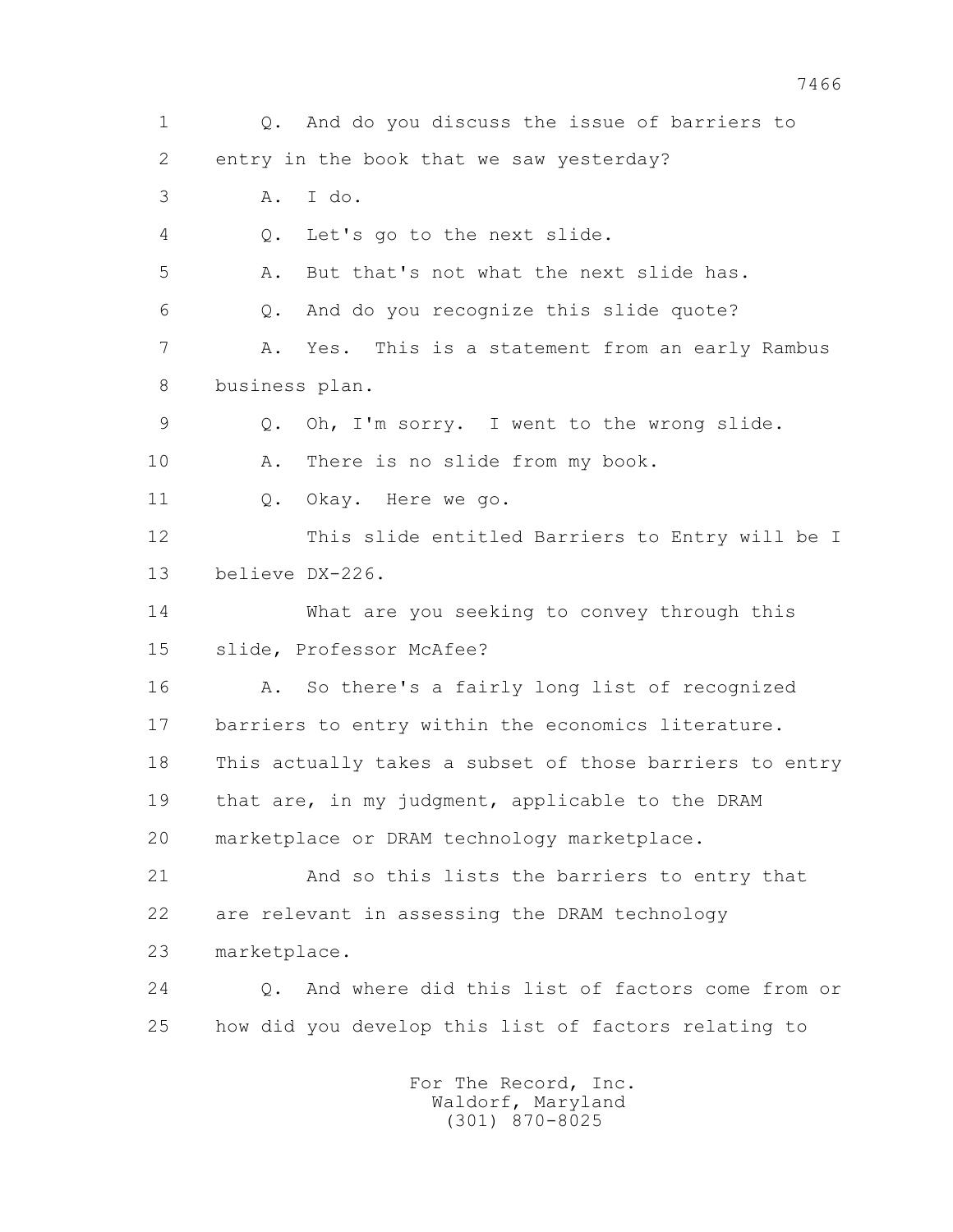1 Q. And do you discuss the issue of barriers to 2 entry in the book that we saw yesterday? 3 A. I do. 4 Q. Let's go to the next slide. 5 A. But that's not what the next slide has. 6 Q. And do you recognize this slide quote? 7 A. Yes. This is a statement from an early Rambus 8 business plan. 9 Q. Oh, I'm sorry. I went to the wrong slide. 10 A. There is no slide from my book. 11 0. Okay. Here we go. 12 This slide entitled Barriers to Entry will be I 13 believe DX-226. 14 What are you seeking to convey through this 15 slide, Professor McAfee? 16 A. So there's a fairly long list of recognized 17 barriers to entry within the economics literature. 18 This actually takes a subset of those barriers to entry 19 that are, in my judgment, applicable to the DRAM 20 marketplace or DRAM technology marketplace. 21 And so this lists the barriers to entry that 22 are relevant in assessing the DRAM technology 23 marketplace. 24 Q. And where did this list of factors come from or 25 how did you develop this list of factors relating to For The Record, Inc. Waldorf, Maryland (301) 870-8025

7466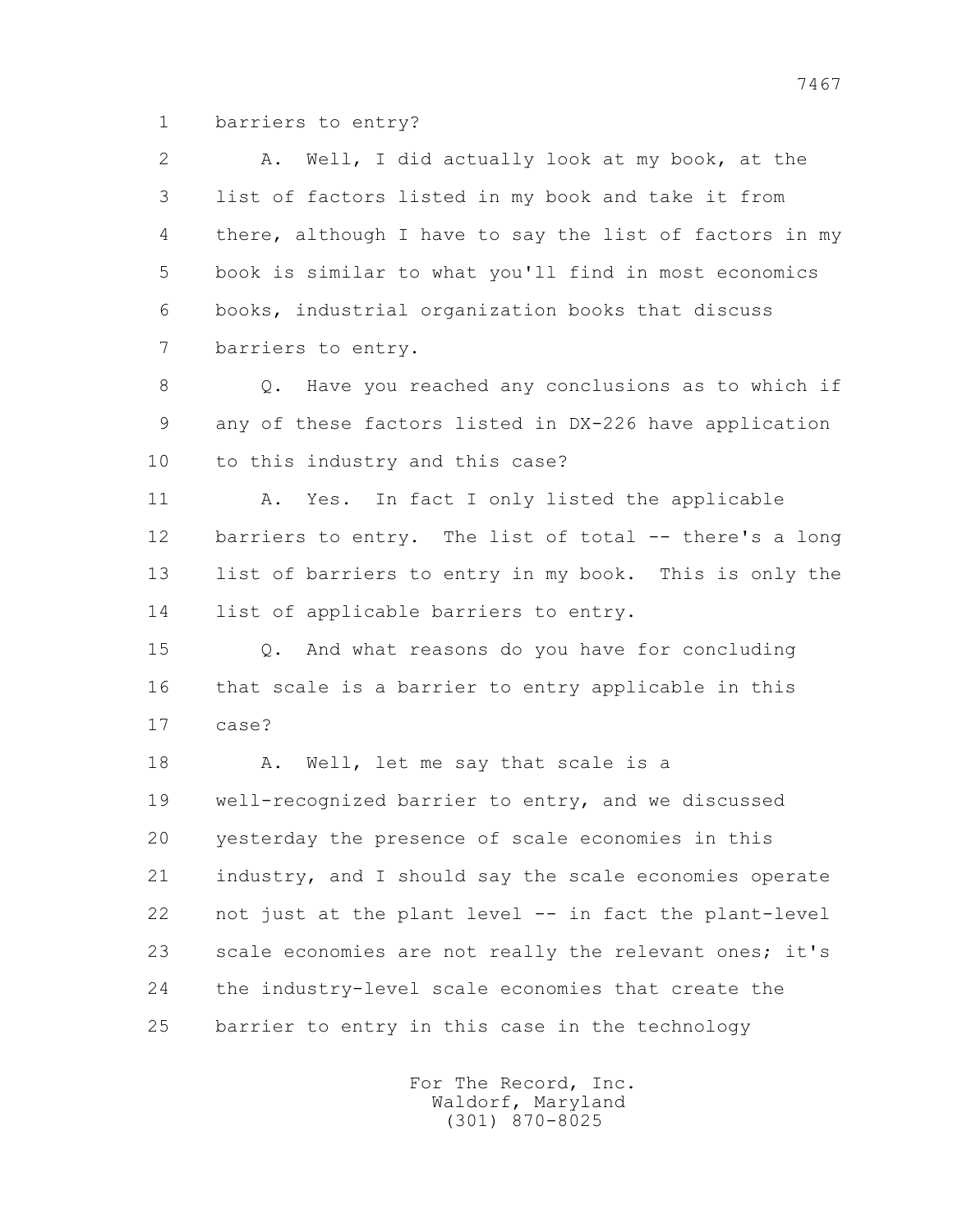1 barriers to entry?

 2 A. Well, I did actually look at my book, at the 3 list of factors listed in my book and take it from 4 there, although I have to say the list of factors in my 5 book is similar to what you'll find in most economics 6 books, industrial organization books that discuss 7 barriers to entry. 8 Q. Have you reached any conclusions as to which if 9 any of these factors listed in DX-226 have application 10 to this industry and this case? 11 A. Yes. In fact I only listed the applicable 12 barriers to entry. The list of total -- there's a long 13 list of barriers to entry in my book. This is only the 14 list of applicable barriers to entry. 15 Q. And what reasons do you have for concluding 16 that scale is a barrier to entry applicable in this 17 case? 18 A. Well, let me say that scale is a 19 well-recognized barrier to entry, and we discussed 20 yesterday the presence of scale economies in this 21 industry, and I should say the scale economies operate 22 not just at the plant level -- in fact the plant-level 23 scale economies are not really the relevant ones; it's 24 the industry-level scale economies that create the 25 barrier to entry in this case in the technology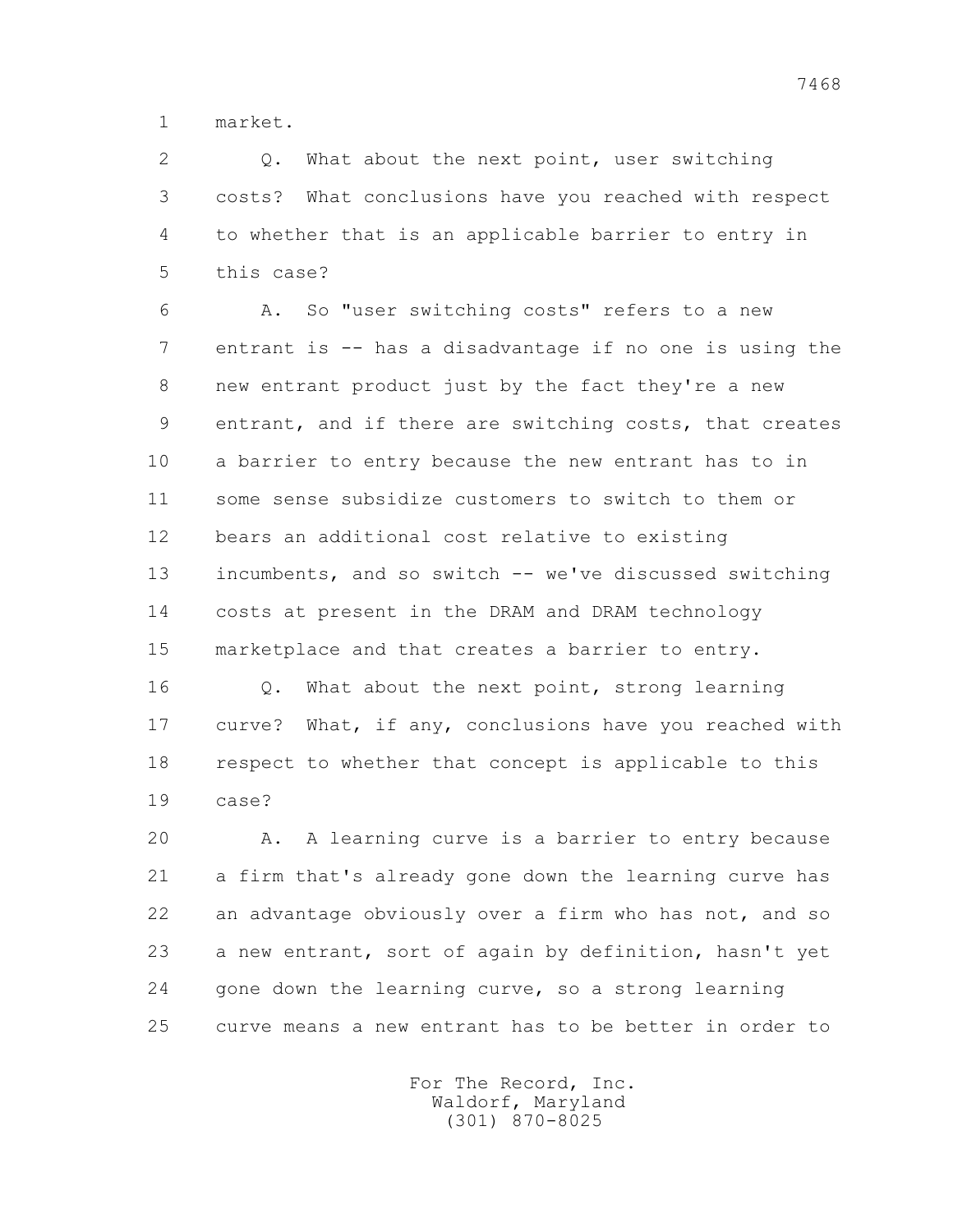1 market.

 2 Q. What about the next point, user switching 3 costs? What conclusions have you reached with respect 4 to whether that is an applicable barrier to entry in 5 this case?

 6 A. So "user switching costs" refers to a new 7 entrant is -- has a disadvantage if no one is using the 8 new entrant product just by the fact they're a new 9 entrant, and if there are switching costs, that creates 10 a barrier to entry because the new entrant has to in 11 some sense subsidize customers to switch to them or 12 bears an additional cost relative to existing 13 incumbents, and so switch -- we've discussed switching 14 costs at present in the DRAM and DRAM technology 15 marketplace and that creates a barrier to entry.

16 0. What about the next point, strong learning 17 curve? What, if any, conclusions have you reached with 18 respect to whether that concept is applicable to this 19 case?

 20 A. A learning curve is a barrier to entry because 21 a firm that's already gone down the learning curve has 22 an advantage obviously over a firm who has not, and so 23 a new entrant, sort of again by definition, hasn't yet 24 gone down the learning curve, so a strong learning 25 curve means a new entrant has to be better in order to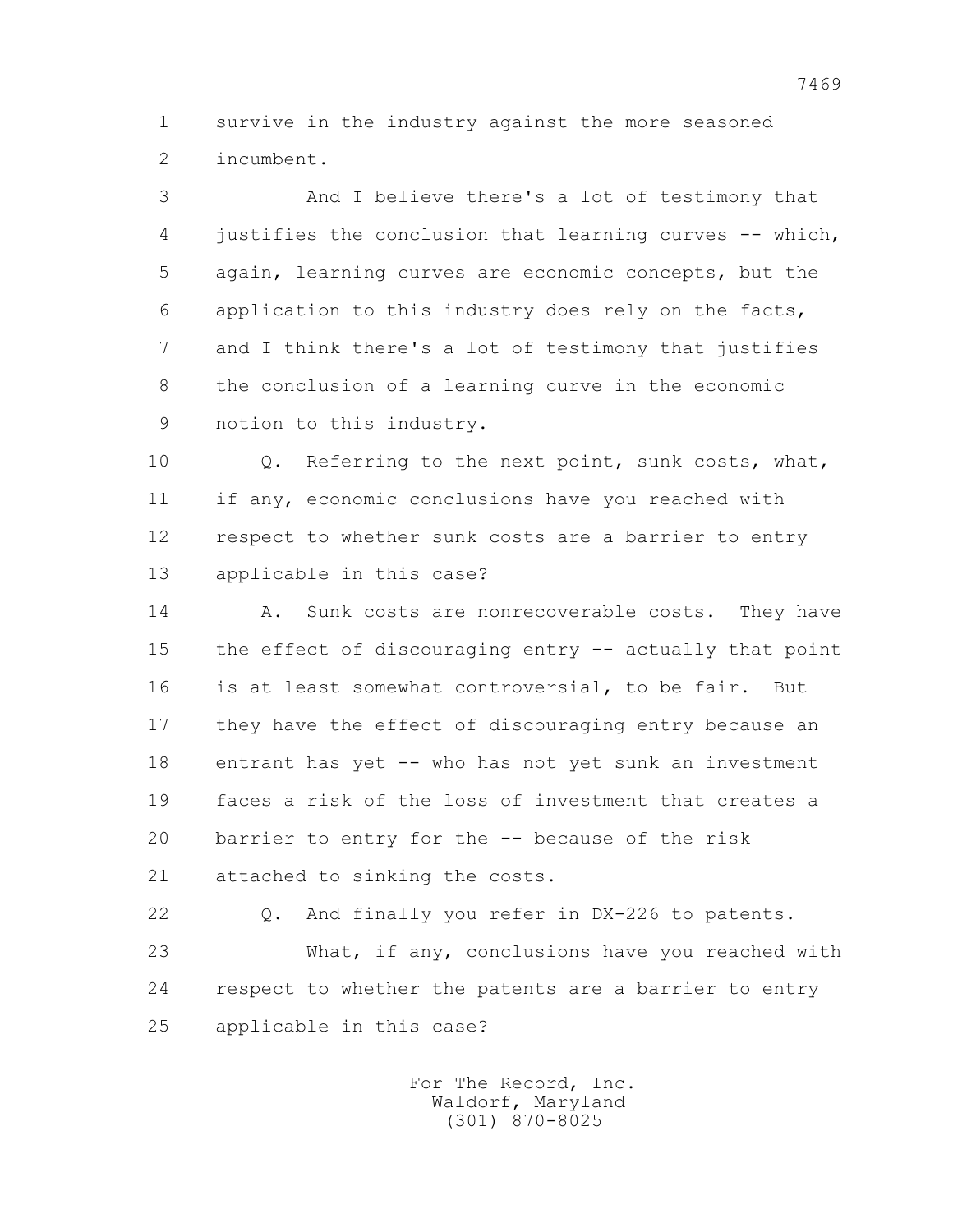1 survive in the industry against the more seasoned 2 incumbent.

 3 And I believe there's a lot of testimony that 4 justifies the conclusion that learning curves -- which, 5 again, learning curves are economic concepts, but the 6 application to this industry does rely on the facts, 7 and I think there's a lot of testimony that justifies 8 the conclusion of a learning curve in the economic 9 notion to this industry.

 10 Q. Referring to the next point, sunk costs, what, 11 if any, economic conclusions have you reached with 12 respect to whether sunk costs are a barrier to entry 13 applicable in this case?

 14 A. Sunk costs are nonrecoverable costs. They have 15 the effect of discouraging entry -- actually that point 16 is at least somewhat controversial, to be fair. But 17 they have the effect of discouraging entry because an 18 entrant has yet -- who has not yet sunk an investment 19 faces a risk of the loss of investment that creates a 20 barrier to entry for the -- because of the risk 21 attached to sinking the costs.

 22 Q. And finally you refer in DX-226 to patents. 23 What, if any, conclusions have you reached with 24 respect to whether the patents are a barrier to entry 25 applicable in this case?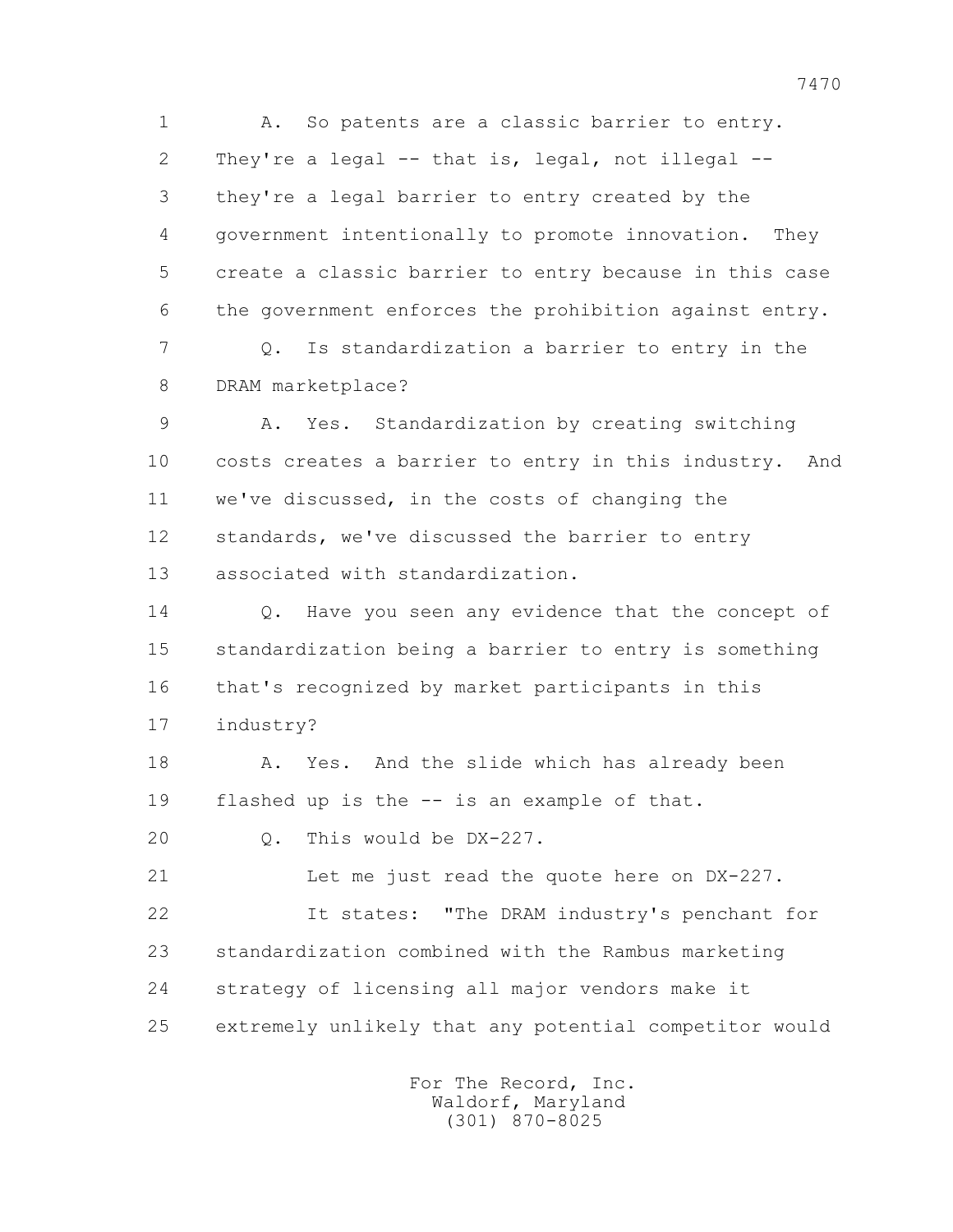1 A. So patents are a classic barrier to entry. 2 They're a legal -- that is, legal, not illegal -- 3 they're a legal barrier to entry created by the 4 government intentionally to promote innovation. They 5 create a classic barrier to entry because in this case 6 the government enforces the prohibition against entry.

 7 Q. Is standardization a barrier to entry in the 8 DRAM marketplace?

 9 A. Yes. Standardization by creating switching 10 costs creates a barrier to entry in this industry. And 11 we've discussed, in the costs of changing the 12 standards, we've discussed the barrier to entry 13 associated with standardization.

14 0. Have you seen any evidence that the concept of 15 standardization being a barrier to entry is something 16 that's recognized by market participants in this 17 industry?

18 A. Yes. And the slide which has already been 19 flashed up is the -- is an example of that.

20 Q. This would be DX-227.

 21 Let me just read the quote here on DX-227. 22 It states: "The DRAM industry's penchant for 23 standardization combined with the Rambus marketing 24 strategy of licensing all major vendors make it 25 extremely unlikely that any potential competitor would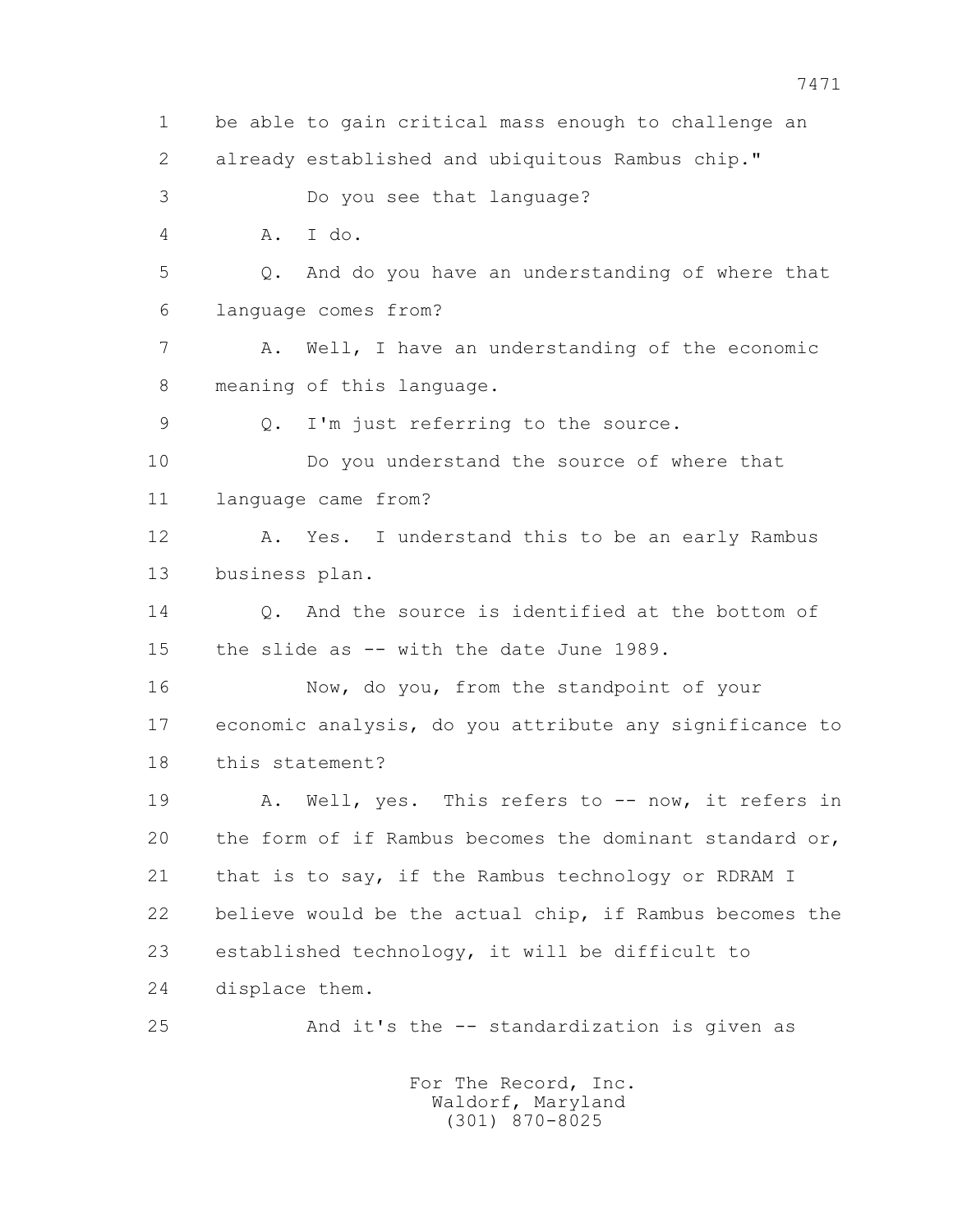1 be able to gain critical mass enough to challenge an 2 already established and ubiquitous Rambus chip." 3 Do you see that language? 4 A. I do. 5 Q. And do you have an understanding of where that 6 language comes from? 7 A. Well, I have an understanding of the economic 8 meaning of this language. 9 Q. I'm just referring to the source. 10 Do you understand the source of where that 11 language came from? 12 A. Yes. I understand this to be an early Rambus 13 business plan. 14 Q. And the source is identified at the bottom of 15 the slide as -- with the date June 1989. 16 Now, do you, from the standpoint of your 17 economic analysis, do you attribute any significance to 18 this statement? 19 A. Well, yes. This refers to -- now, it refers in 20 the form of if Rambus becomes the dominant standard or, 21 that is to say, if the Rambus technology or RDRAM I 22 believe would be the actual chip, if Rambus becomes the 23 established technology, it will be difficult to 24 displace them. 25 And it's the -- standardization is given as For The Record, Inc.

 Waldorf, Maryland (301) 870-8025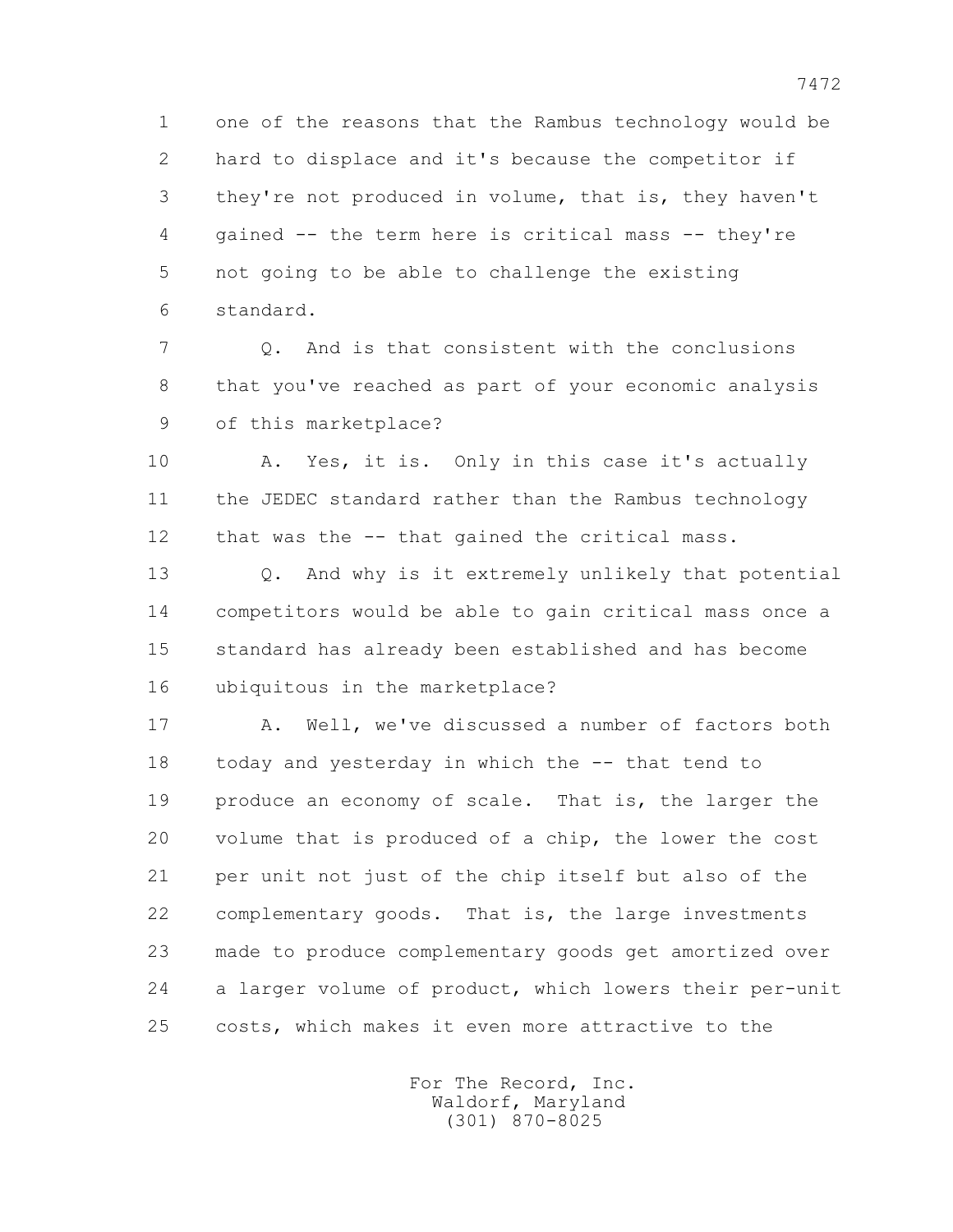1 one of the reasons that the Rambus technology would be 2 hard to displace and it's because the competitor if 3 they're not produced in volume, that is, they haven't 4 gained -- the term here is critical mass -- they're 5 not going to be able to challenge the existing 6 standard.

 7 Q. And is that consistent with the conclusions 8 that you've reached as part of your economic analysis 9 of this marketplace?

 10 A. Yes, it is. Only in this case it's actually 11 the JEDEC standard rather than the Rambus technology 12 that was the -- that gained the critical mass.

 13 Q. And why is it extremely unlikely that potential 14 competitors would be able to gain critical mass once a 15 standard has already been established and has become 16 ubiquitous in the marketplace?

 17 A. Well, we've discussed a number of factors both 18 today and yesterday in which the -- that tend to 19 produce an economy of scale. That is, the larger the 20 volume that is produced of a chip, the lower the cost 21 per unit not just of the chip itself but also of the 22 complementary goods. That is, the large investments 23 made to produce complementary goods get amortized over 24 a larger volume of product, which lowers their per-unit 25 costs, which makes it even more attractive to the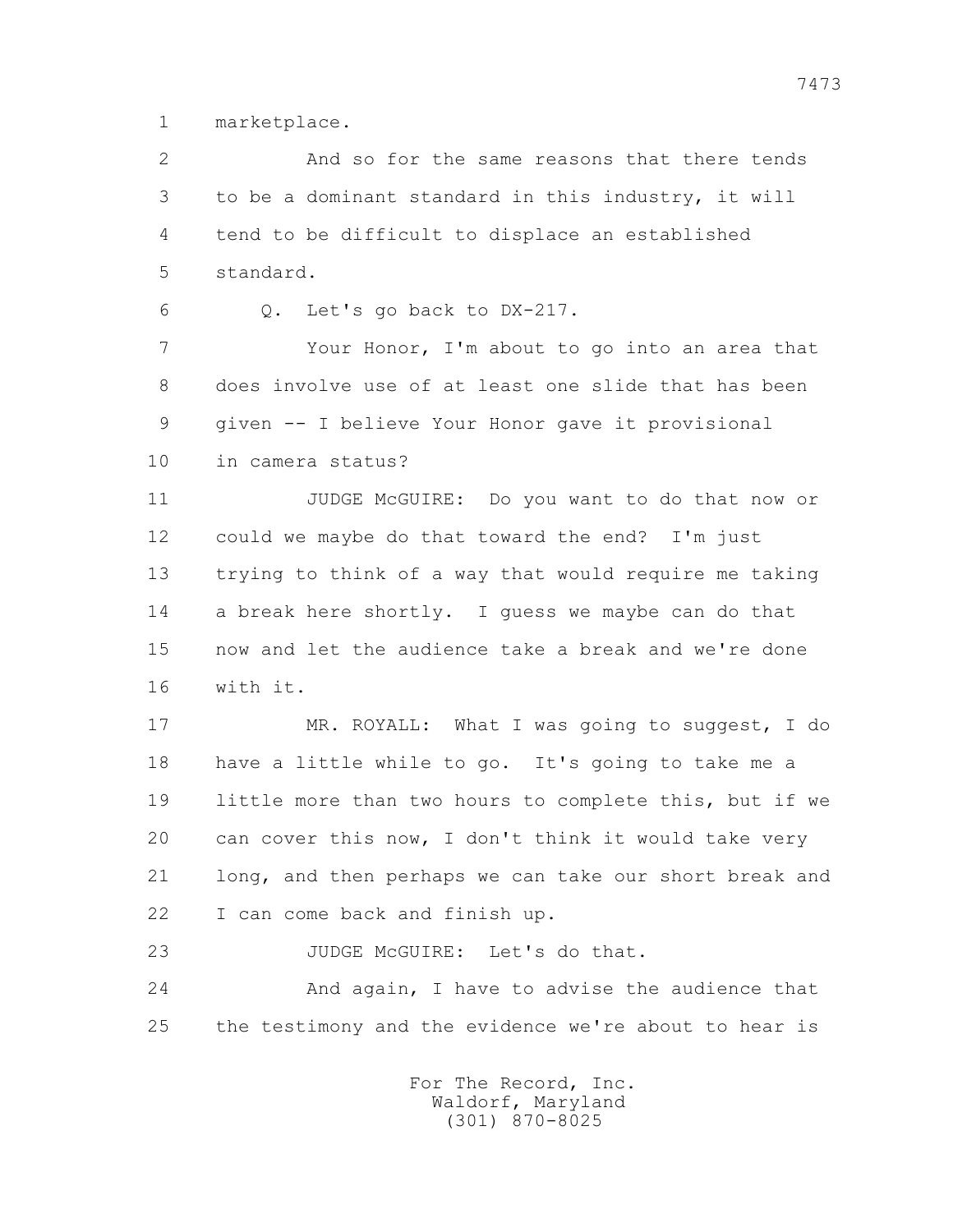1 marketplace.

 2 And so for the same reasons that there tends 3 to be a dominant standard in this industry, it will 4 tend to be difficult to displace an established 5 standard.

6 Q. Let's go back to DX-217.

 7 Your Honor, I'm about to go into an area that 8 does involve use of at least one slide that has been 9 given -- I believe Your Honor gave it provisional 10 in camera status?

 11 JUDGE McGUIRE: Do you want to do that now or 12 could we maybe do that toward the end? I'm just 13 trying to think of a way that would require me taking 14 a break here shortly. I guess we maybe can do that 15 now and let the audience take a break and we're done 16 with it.

 17 MR. ROYALL: What I was going to suggest, I do 18 have a little while to go. It's going to take me a 19 little more than two hours to complete this, but if we 20 can cover this now, I don't think it would take very 21 long, and then perhaps we can take our short break and 22 I can come back and finish up.

23 JUDGE McGUIRE: Let's do that.

 24 And again, I have to advise the audience that 25 the testimony and the evidence we're about to hear is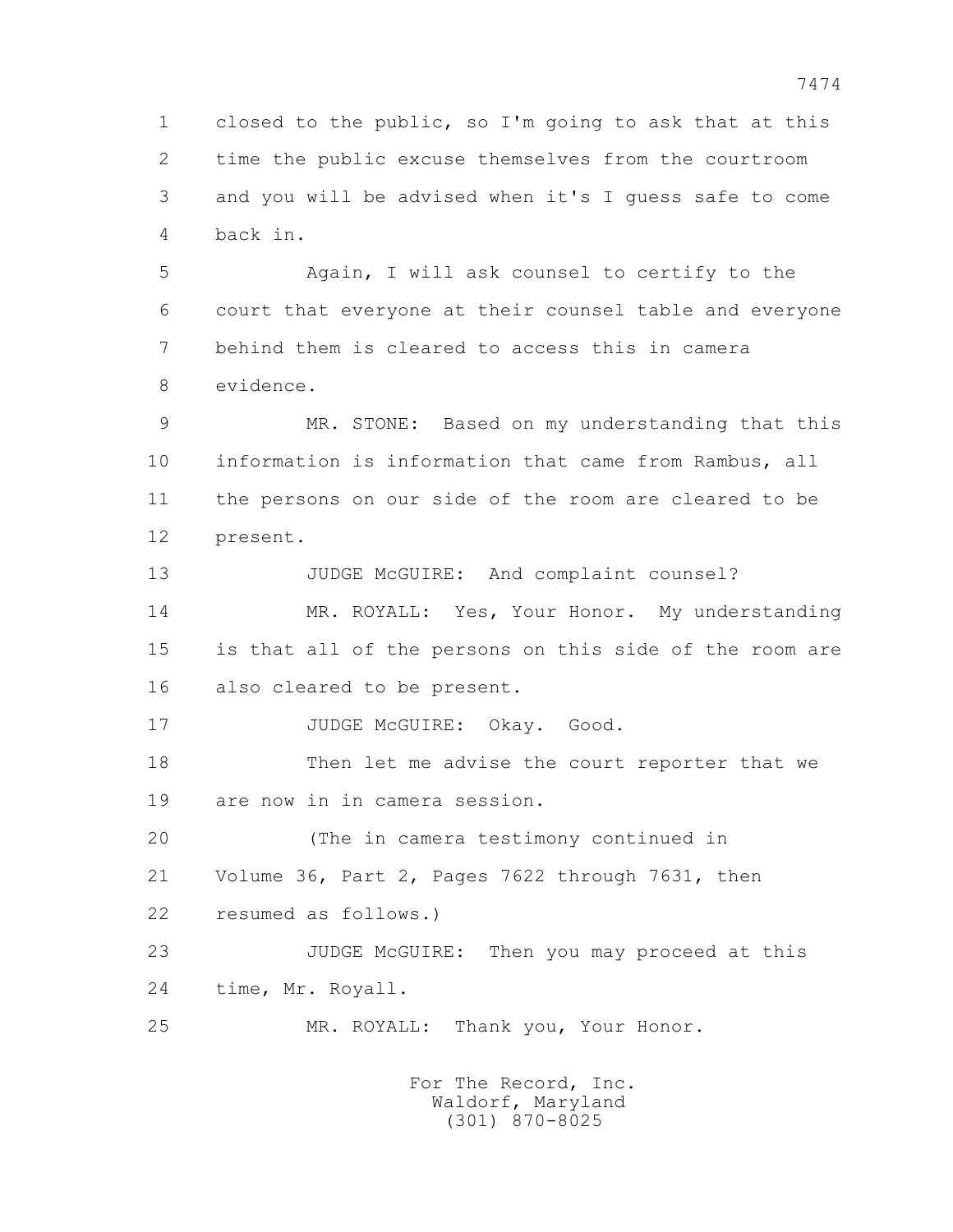1 closed to the public, so I'm going to ask that at this 2 time the public excuse themselves from the courtroom 3 and you will be advised when it's I guess safe to come 4 back in.

 5 Again, I will ask counsel to certify to the 6 court that everyone at their counsel table and everyone 7 behind them is cleared to access this in camera 8 evidence.

 9 MR. STONE: Based on my understanding that this 10 information is information that came from Rambus, all 11 the persons on our side of the room are cleared to be 12 present.

13 JUDGE McGUIRE: And complaint counsel? 14 MR. ROYALL: Yes, Your Honor. My understanding 15 is that all of the persons on this side of the room are 16 also cleared to be present.

17 JUDGE McGUIRE: Okay. Good.

 18 Then let me advise the court reporter that we 19 are now in in camera session.

 20 (The in camera testimony continued in 21 Volume 36, Part 2, Pages 7622 through 7631, then 22 resumed as follows.)

 23 JUDGE McGUIRE: Then you may proceed at this 24 time, Mr. Royall.

25 MR. ROYALL: Thank you, Your Honor.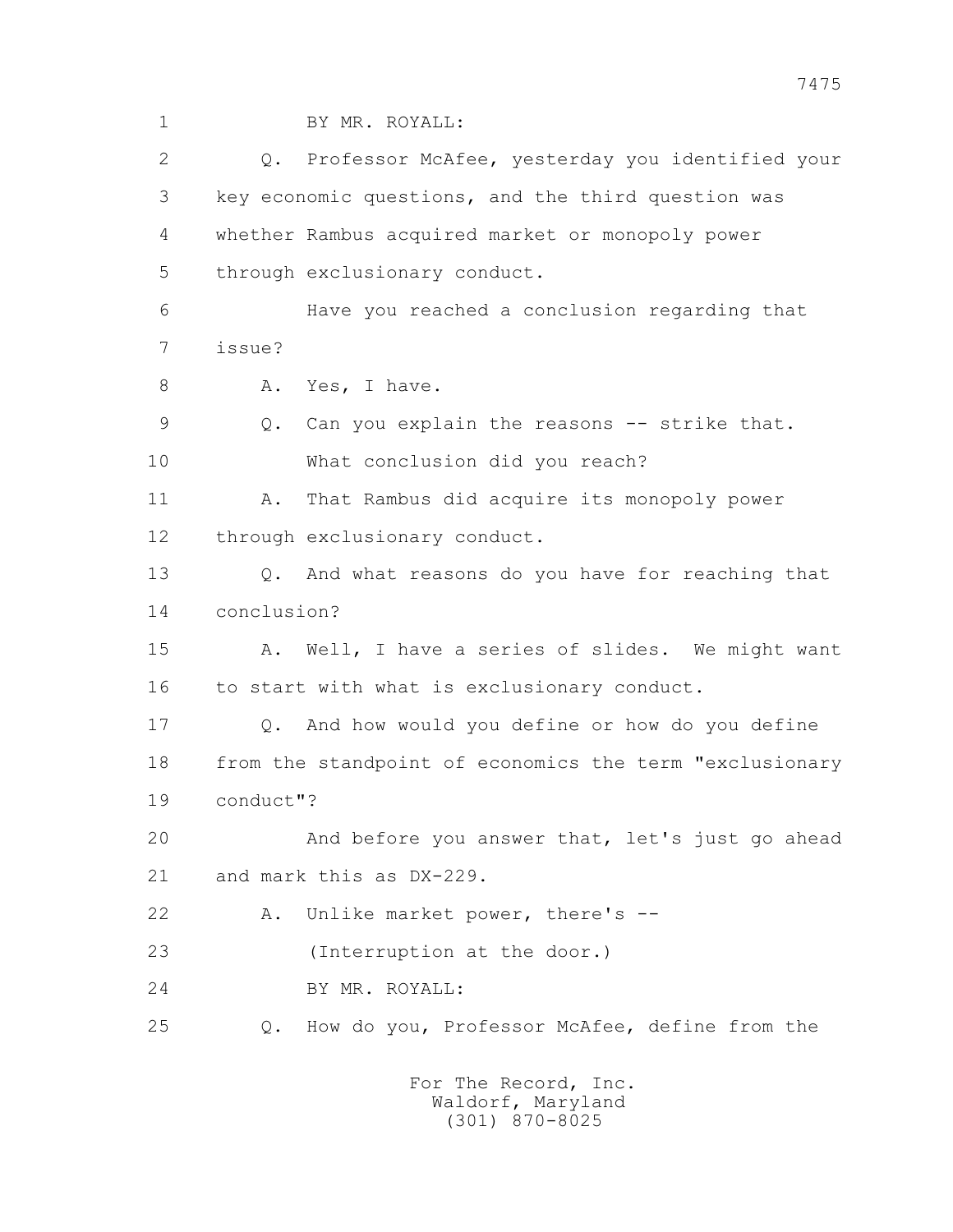1 BY MR. ROYALL: 2 Q. Professor McAfee, yesterday you identified your 3 key economic questions, and the third question was 4 whether Rambus acquired market or monopoly power 5 through exclusionary conduct. 6 Have you reached a conclusion regarding that 7 issue? 8 A. Yes, I have. 9 Q. Can you explain the reasons -- strike that. 10 What conclusion did you reach? 11 A. That Rambus did acquire its monopoly power 12 through exclusionary conduct. 13 Q. And what reasons do you have for reaching that 14 conclusion? 15 A. Well, I have a series of slides. We might want 16 to start with what is exclusionary conduct. 17 Q. And how would you define or how do you define 18 from the standpoint of economics the term "exclusionary 19 conduct"? 20 And before you answer that, let's just go ahead 21 and mark this as DX-229. 22 A. Unlike market power, there's -- 23 (Interruption at the door.) 24 BY MR. ROYALL: 25 Q. How do you, Professor McAfee, define from the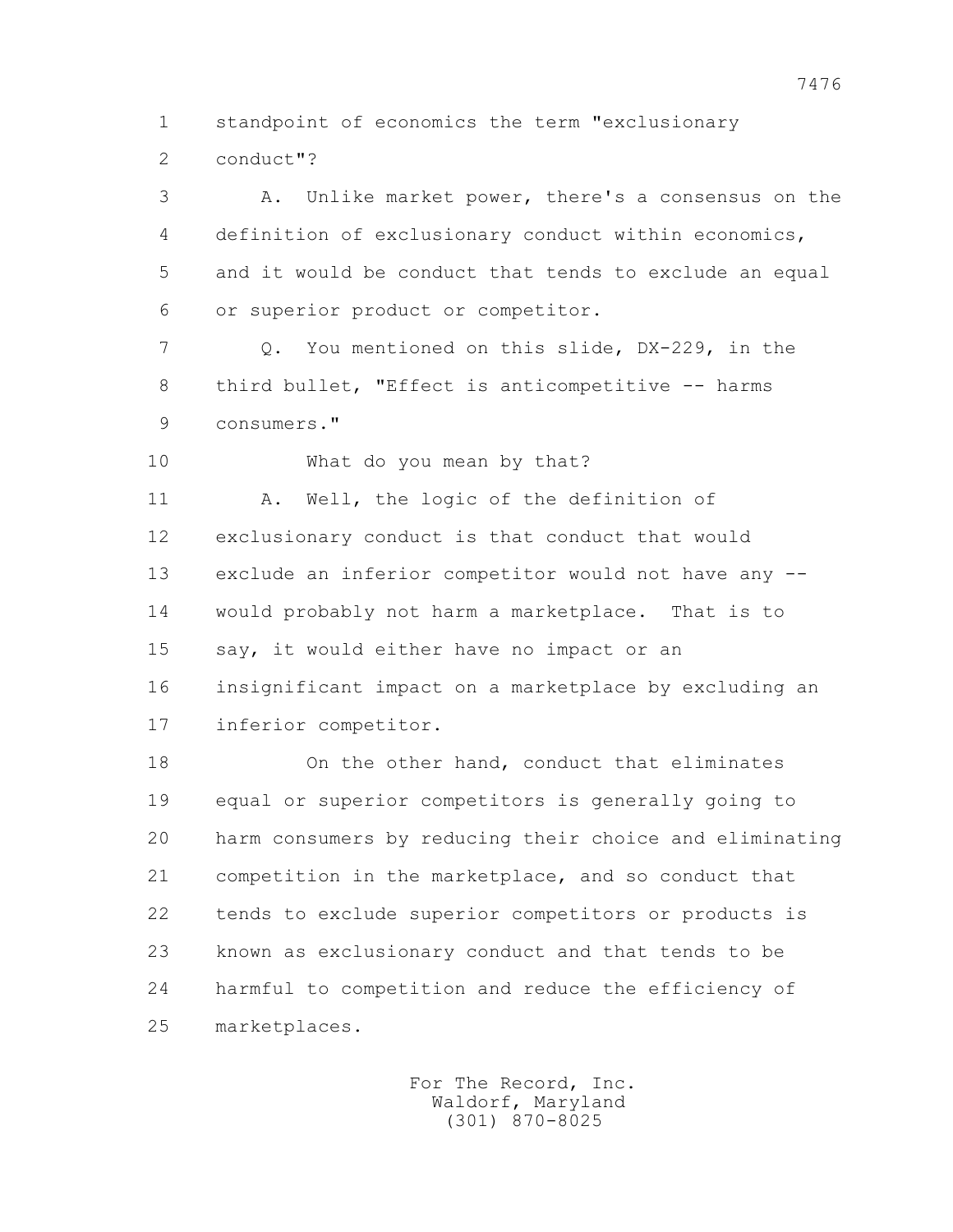1 standpoint of economics the term "exclusionary

2 conduct"?

 3 A. Unlike market power, there's a consensus on the 4 definition of exclusionary conduct within economics, 5 and it would be conduct that tends to exclude an equal 6 or superior product or competitor.

 7 Q. You mentioned on this slide, DX-229, in the 8 third bullet, "Effect is anticompetitive -- harms 9 consumers."

10 What do you mean by that?

 11 A. Well, the logic of the definition of 12 exclusionary conduct is that conduct that would 13 exclude an inferior competitor would not have any -- 14 would probably not harm a marketplace. That is to 15 say, it would either have no impact or an 16 insignificant impact on a marketplace by excluding an 17 inferior competitor.

 18 On the other hand, conduct that eliminates 19 equal or superior competitors is generally going to 20 harm consumers by reducing their choice and eliminating 21 competition in the marketplace, and so conduct that 22 tends to exclude superior competitors or products is 23 known as exclusionary conduct and that tends to be 24 harmful to competition and reduce the efficiency of 25 marketplaces.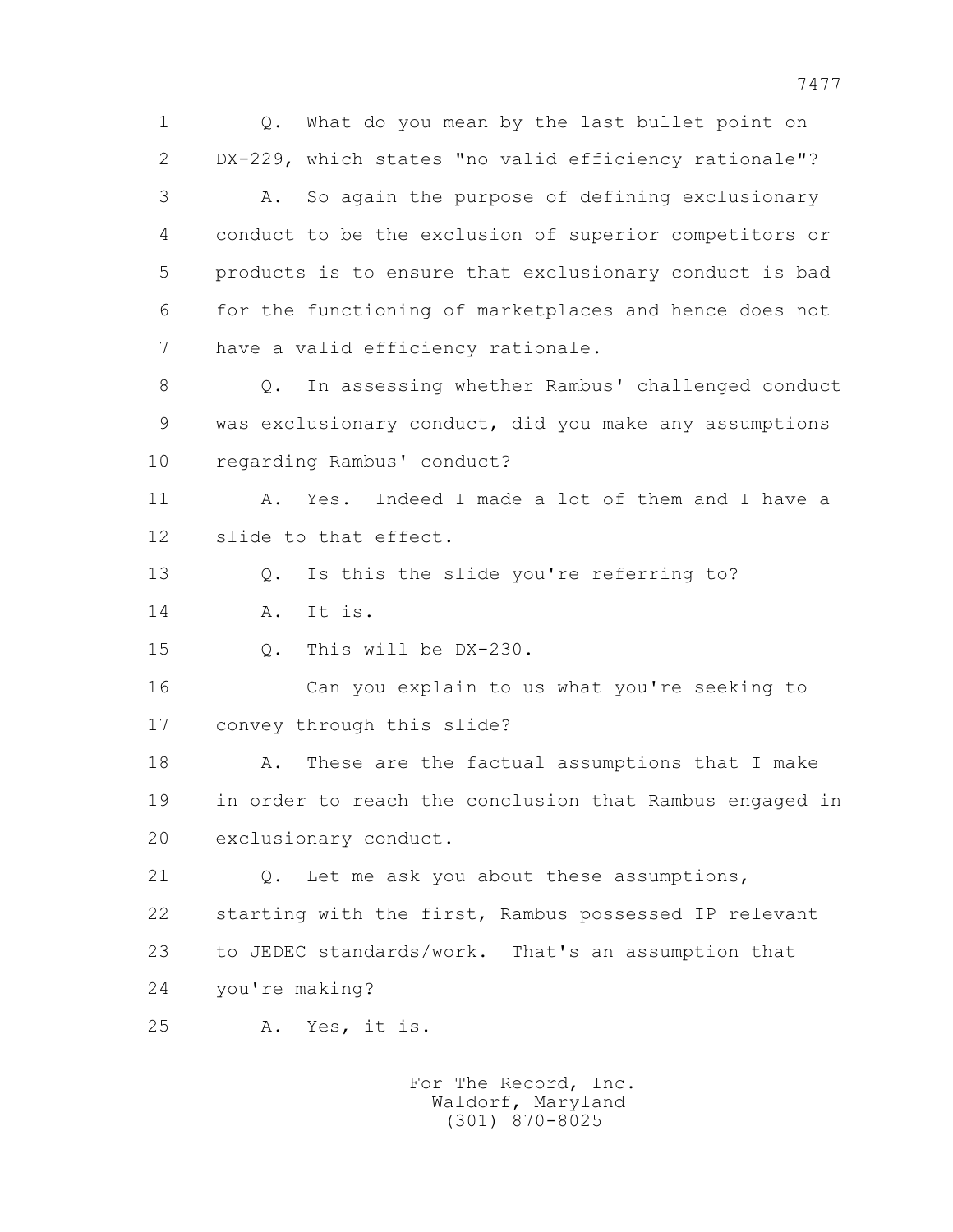7477 1 Q. What do you mean by the last bullet point on 2 DX-229, which states "no valid efficiency rationale"? 3 A. So again the purpose of defining exclusionary 4 conduct to be the exclusion of superior competitors or 5 products is to ensure that exclusionary conduct is bad 6 for the functioning of marketplaces and hence does not 7 have a valid efficiency rationale. 8 Q. In assessing whether Rambus' challenged conduct 9 was exclusionary conduct, did you make any assumptions 10 regarding Rambus' conduct? 11 A. Yes. Indeed I made a lot of them and I have a 12 slide to that effect. 13 Q. Is this the slide you're referring to? 14 A. It is. 15 Q. This will be DX-230. 16 Can you explain to us what you're seeking to 17 convey through this slide? 18 A. These are the factual assumptions that I make 19 in order to reach the conclusion that Rambus engaged in 20 exclusionary conduct.

> 21 Q. Let me ask you about these assumptions, 22 starting with the first, Rambus possessed IP relevant 23 to JEDEC standards/work. That's an assumption that 24 you're making?

25 A. Yes, it is.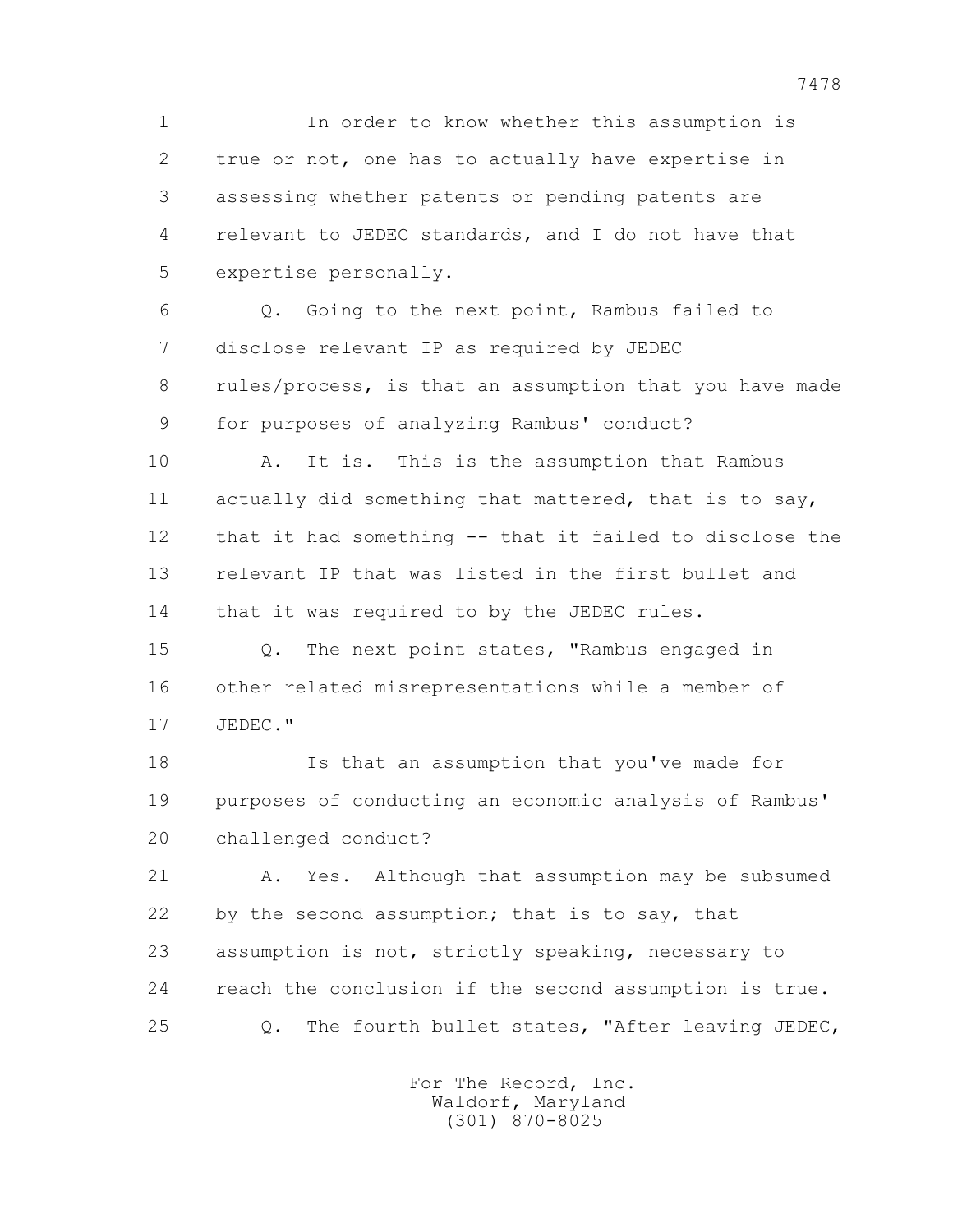1 In order to know whether this assumption is 2 true or not, one has to actually have expertise in 3 assessing whether patents or pending patents are 4 relevant to JEDEC standards, and I do not have that 5 expertise personally.

 6 Q. Going to the next point, Rambus failed to 7 disclose relevant IP as required by JEDEC 8 rules/process, is that an assumption that you have made 9 for purposes of analyzing Rambus' conduct?

 10 A. It is. This is the assumption that Rambus 11 actually did something that mattered, that is to say, 12 that it had something -- that it failed to disclose the 13 relevant IP that was listed in the first bullet and 14 that it was required to by the JEDEC rules.

 15 Q. The next point states, "Rambus engaged in 16 other related misrepresentations while a member of 17 JEDEC."

 18 Is that an assumption that you've made for 19 purposes of conducting an economic analysis of Rambus' 20 challenged conduct?

 21 A. Yes. Although that assumption may be subsumed 22 by the second assumption; that is to say, that 23 assumption is not, strictly speaking, necessary to 24 reach the conclusion if the second assumption is true. 25 Q. The fourth bullet states, "After leaving JEDEC,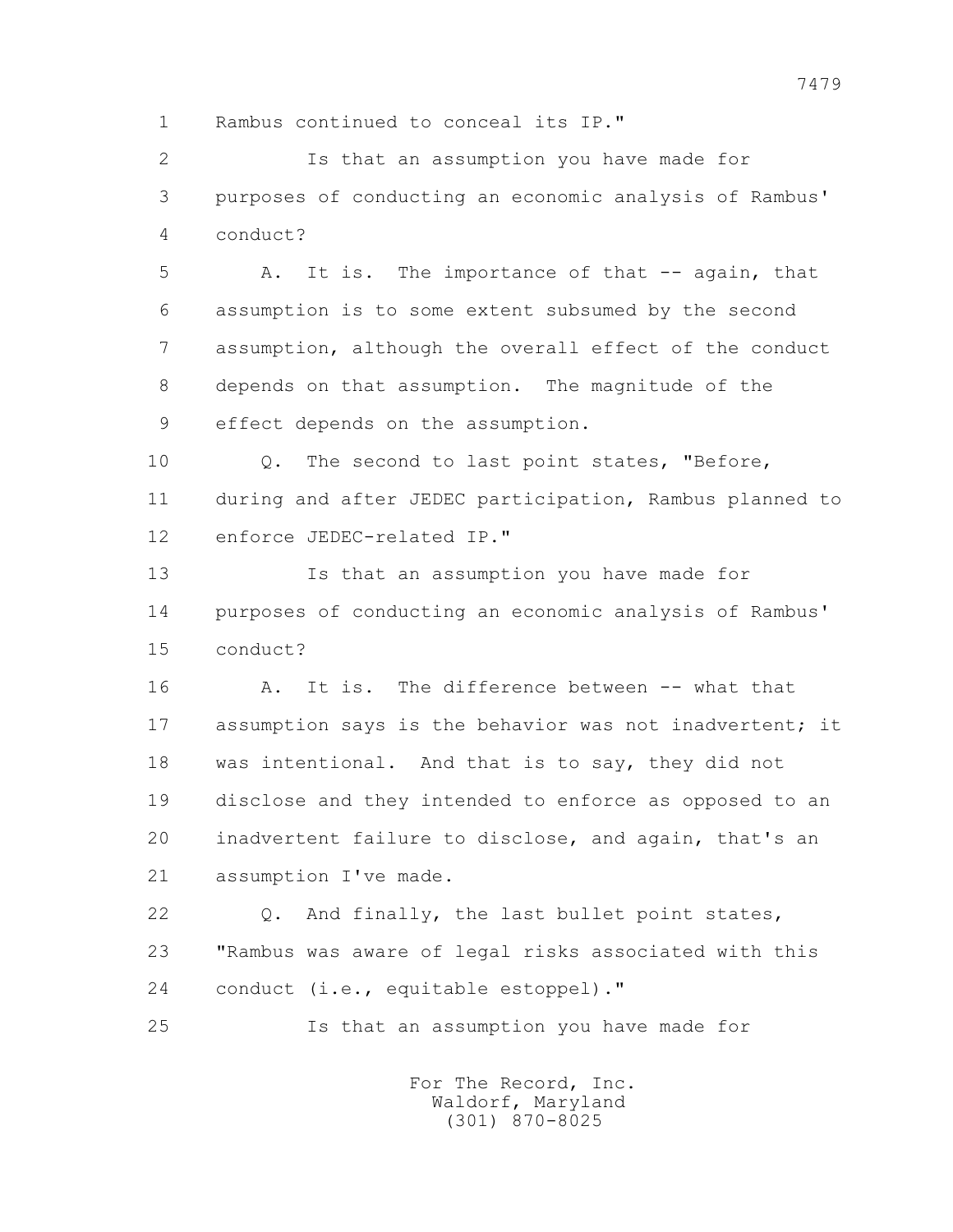1 Rambus continued to conceal its IP."

 2 Is that an assumption you have made for 3 purposes of conducting an economic analysis of Rambus' 4 conduct?

 5 A. It is. The importance of that -- again, that 6 assumption is to some extent subsumed by the second 7 assumption, although the overall effect of the conduct 8 depends on that assumption. The magnitude of the 9 effect depends on the assumption.

 10 Q. The second to last point states, "Before, 11 during and after JEDEC participation, Rambus planned to 12 enforce JEDEC-related IP."

 13 Is that an assumption you have made for 14 purposes of conducting an economic analysis of Rambus' 15 conduct?

 16 A. It is. The difference between -- what that 17 assumption says is the behavior was not inadvertent; it 18 was intentional. And that is to say, they did not 19 disclose and they intended to enforce as opposed to an 20 inadvertent failure to disclose, and again, that's an 21 assumption I've made.

 22 Q. And finally, the last bullet point states, 23 "Rambus was aware of legal risks associated with this 24 conduct (i.e., equitable estoppel)."

25 Is that an assumption you have made for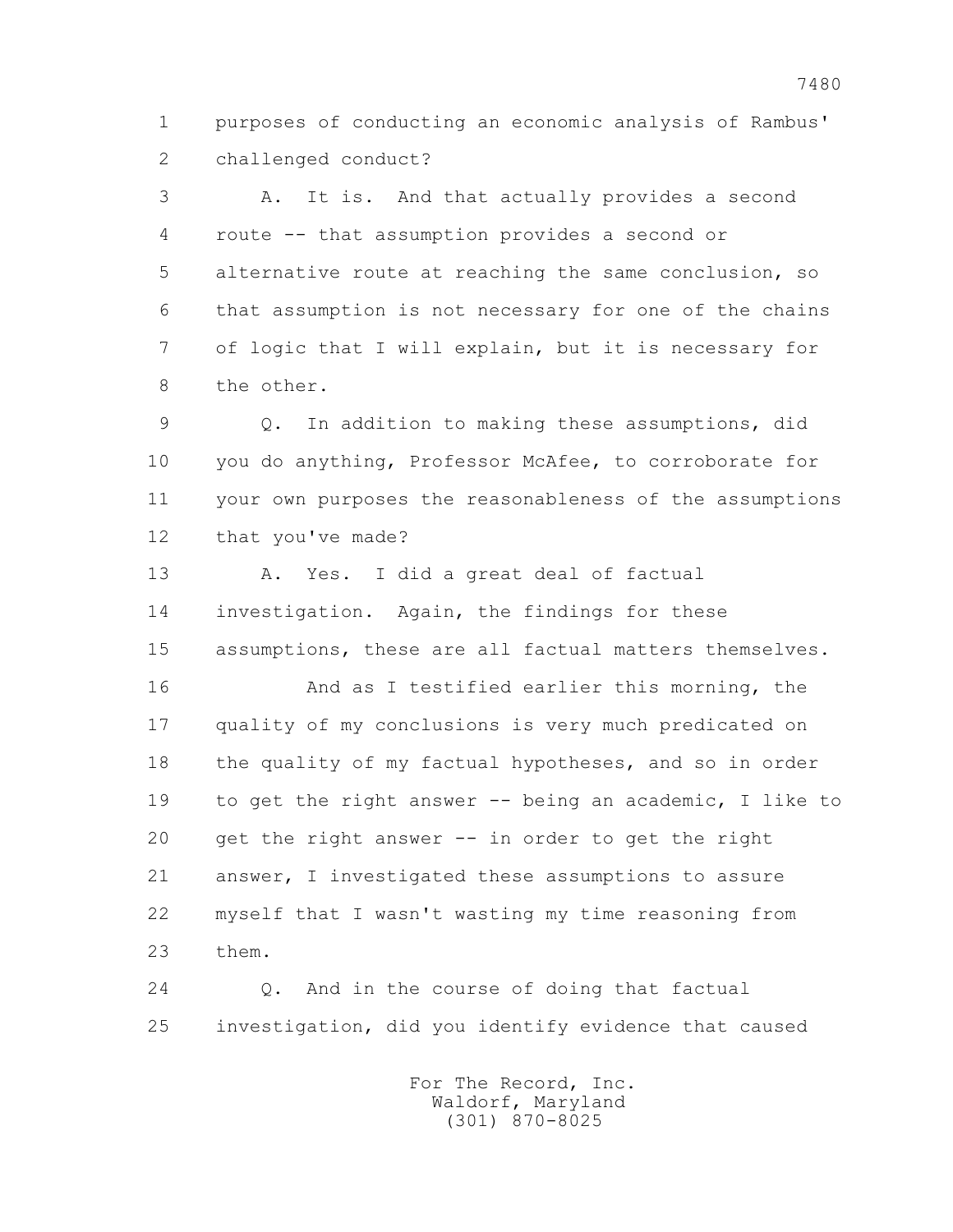1 purposes of conducting an economic analysis of Rambus' 2 challenged conduct?

 3 A. It is. And that actually provides a second 4 route -- that assumption provides a second or 5 alternative route at reaching the same conclusion, so 6 that assumption is not necessary for one of the chains 7 of logic that I will explain, but it is necessary for 8 the other.

 9 Q. In addition to making these assumptions, did 10 you do anything, Professor McAfee, to corroborate for 11 your own purposes the reasonableness of the assumptions 12 that you've made?

 13 A. Yes. I did a great deal of factual 14 investigation. Again, the findings for these 15 assumptions, these are all factual matters themselves.

 16 And as I testified earlier this morning, the 17 quality of my conclusions is very much predicated on 18 the quality of my factual hypotheses, and so in order 19 to get the right answer -- being an academic, I like to 20 get the right answer -- in order to get the right 21 answer, I investigated these assumptions to assure 22 myself that I wasn't wasting my time reasoning from 23 them.

 24 Q. And in the course of doing that factual 25 investigation, did you identify evidence that caused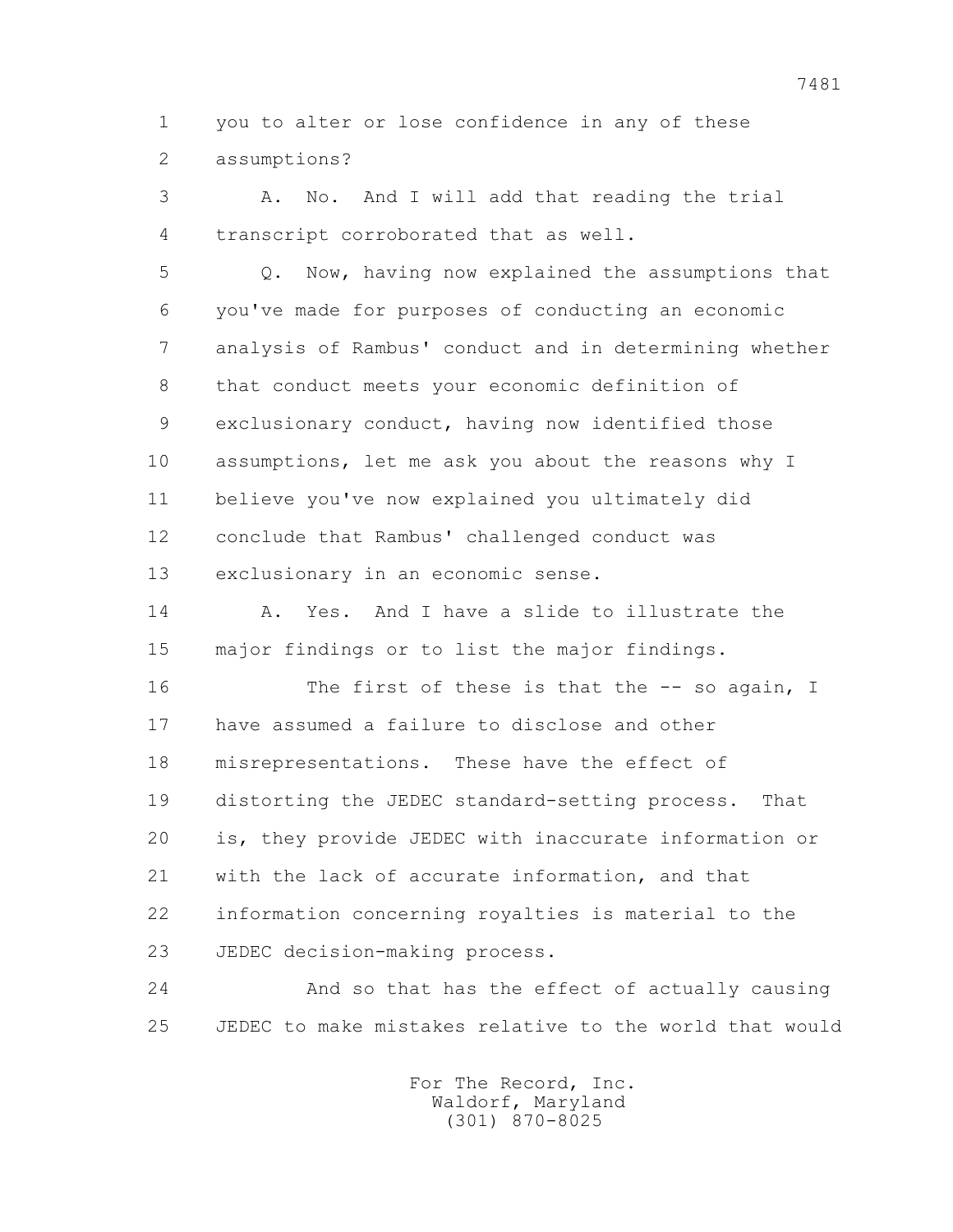1 you to alter or lose confidence in any of these 2 assumptions?

 3 A. No. And I will add that reading the trial 4 transcript corroborated that as well. 5 Q. Now, having now explained the assumptions that 6 you've made for purposes of conducting an economic 7 analysis of Rambus' conduct and in determining whether 8 that conduct meets your economic definition of 9 exclusionary conduct, having now identified those 10 assumptions, let me ask you about the reasons why I 11 believe you've now explained you ultimately did 12 conclude that Rambus' challenged conduct was 13 exclusionary in an economic sense. 14 A. Yes. And I have a slide to illustrate the

15 major findings or to list the major findings.

16 The first of these is that the -- so again, I 17 have assumed a failure to disclose and other 18 misrepresentations. These have the effect of 19 distorting the JEDEC standard-setting process. That 20 is, they provide JEDEC with inaccurate information or 21 with the lack of accurate information, and that 22 information concerning royalties is material to the 23 JEDEC decision-making process.

 24 And so that has the effect of actually causing 25 JEDEC to make mistakes relative to the world that would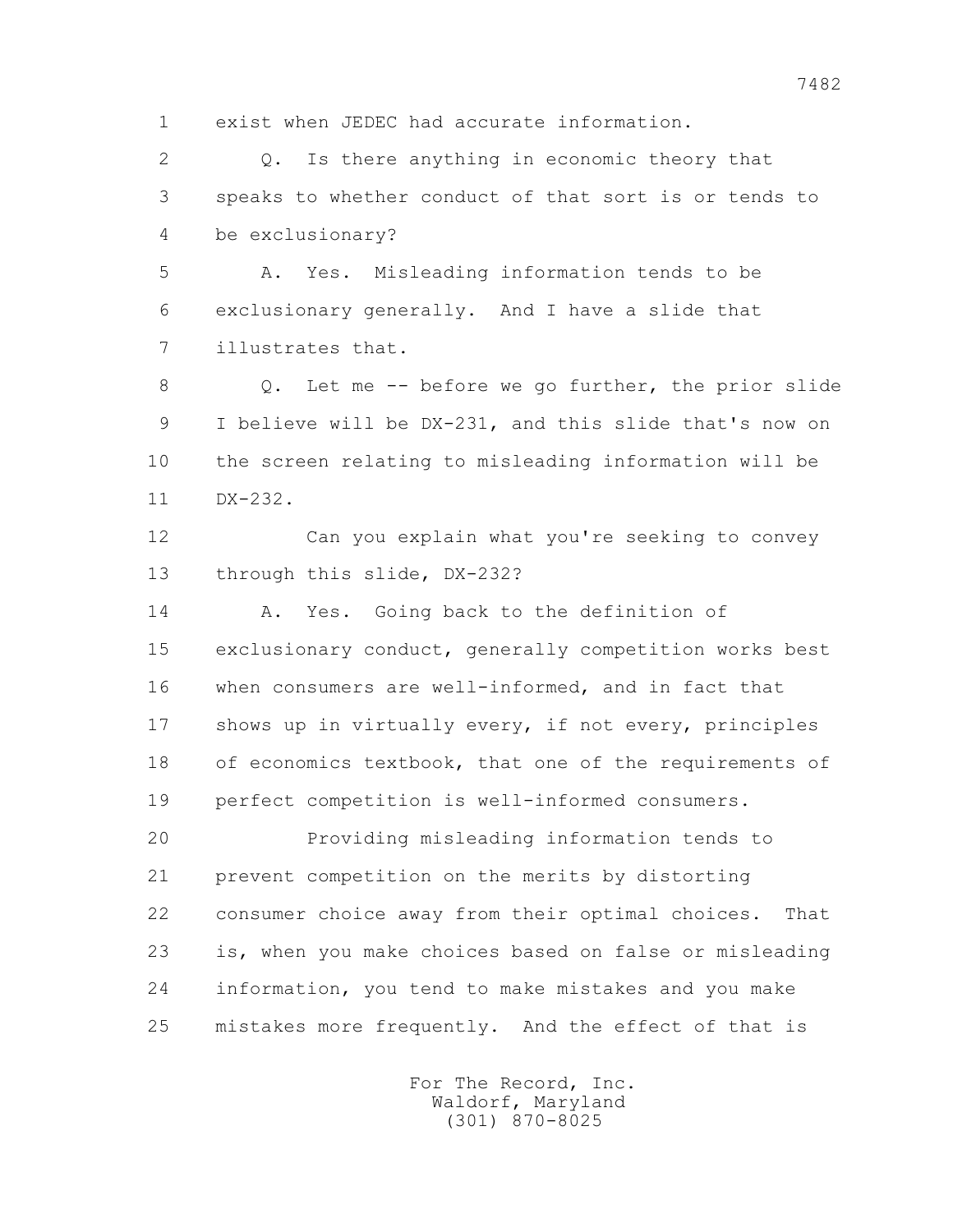1 exist when JEDEC had accurate information.

 2 Q. Is there anything in economic theory that 3 speaks to whether conduct of that sort is or tends to 4 be exclusionary?

 5 A. Yes. Misleading information tends to be 6 exclusionary generally. And I have a slide that 7 illustrates that.

 8 Q. Let me -- before we go further, the prior slide 9 I believe will be DX-231, and this slide that's now on 10 the screen relating to misleading information will be 11 DX-232.

 12 Can you explain what you're seeking to convey 13 through this slide, DX-232?

 14 A. Yes. Going back to the definition of 15 exclusionary conduct, generally competition works best 16 when consumers are well-informed, and in fact that 17 shows up in virtually every, if not every, principles 18 of economics textbook, that one of the requirements of 19 perfect competition is well-informed consumers.

 20 Providing misleading information tends to 21 prevent competition on the merits by distorting 22 consumer choice away from their optimal choices. That 23 is, when you make choices based on false or misleading 24 information, you tend to make mistakes and you make 25 mistakes more frequently. And the effect of that is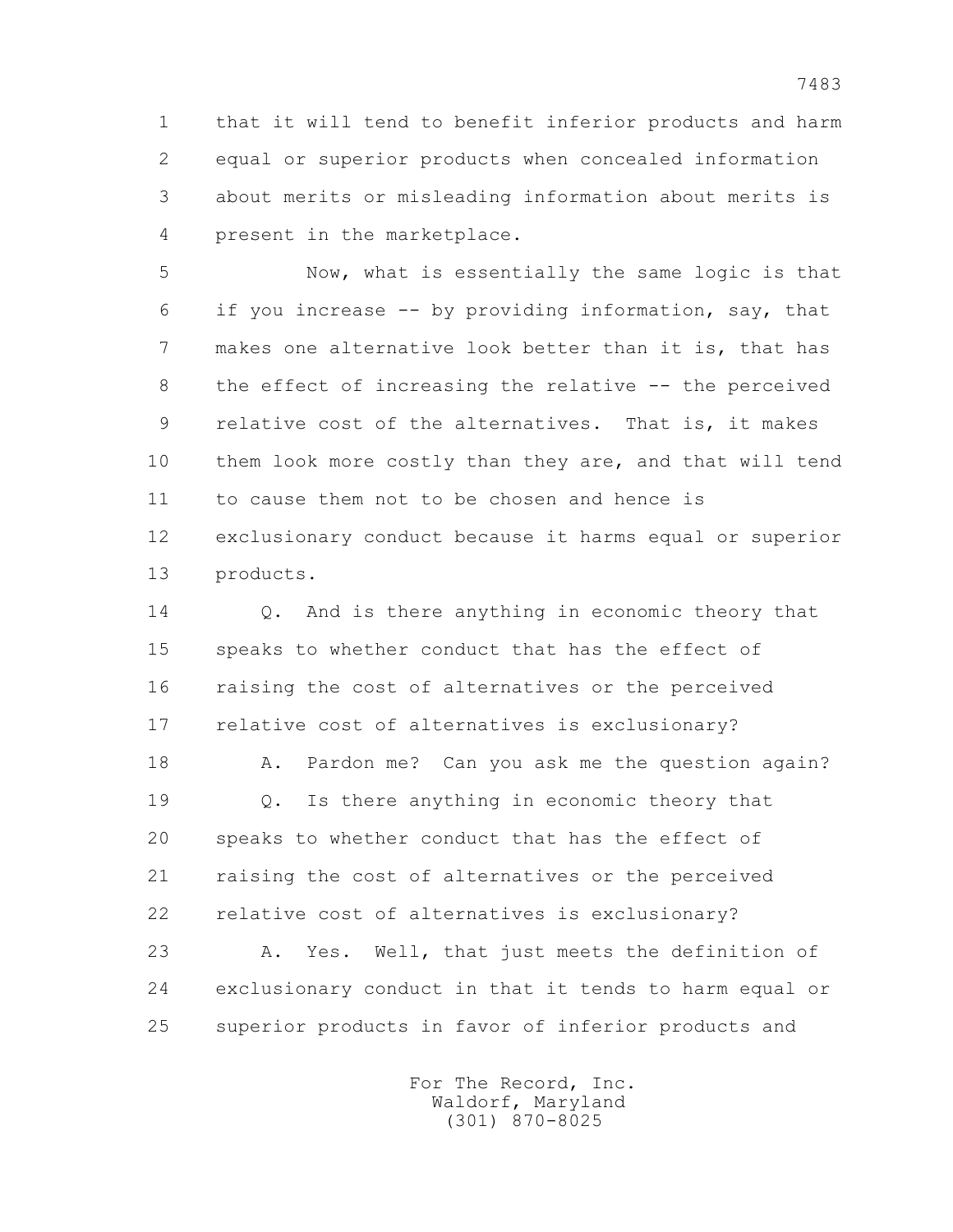1 that it will tend to benefit inferior products and harm 2 equal or superior products when concealed information 3 about merits or misleading information about merits is 4 present in the marketplace.

 5 Now, what is essentially the same logic is that 6 if you increase -- by providing information, say, that 7 makes one alternative look better than it is, that has 8 the effect of increasing the relative -- the perceived 9 relative cost of the alternatives. That is, it makes 10 them look more costly than they are, and that will tend 11 to cause them not to be chosen and hence is 12 exclusionary conduct because it harms equal or superior 13 products.

14 0. And is there anything in economic theory that 15 speaks to whether conduct that has the effect of 16 raising the cost of alternatives or the perceived 17 relative cost of alternatives is exclusionary?

18 A. Pardon me? Can you ask me the question again? 19 Q. Is there anything in economic theory that 20 speaks to whether conduct that has the effect of 21 raising the cost of alternatives or the perceived 22 relative cost of alternatives is exclusionary?

 23 A. Yes. Well, that just meets the definition of 24 exclusionary conduct in that it tends to harm equal or 25 superior products in favor of inferior products and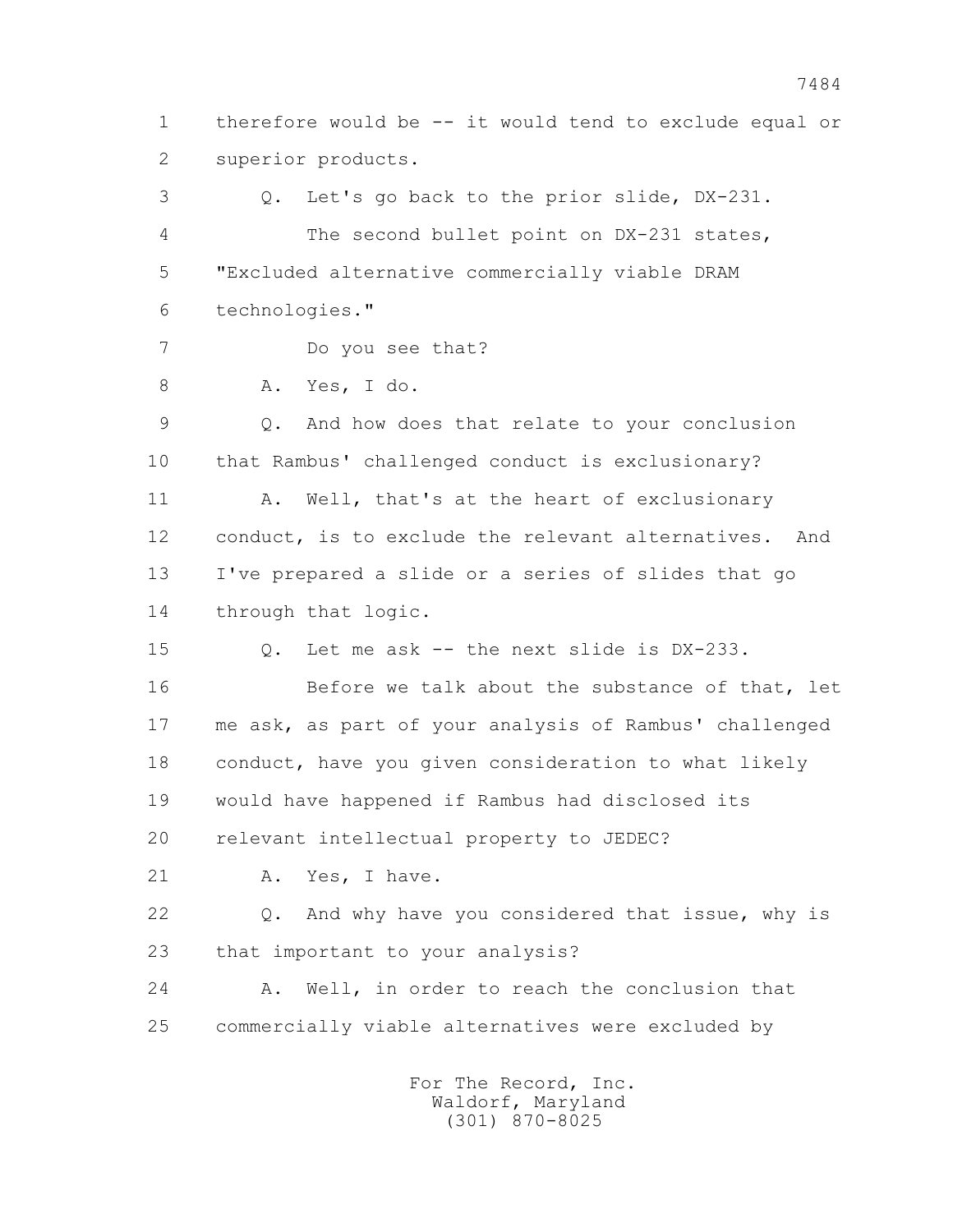1 therefore would be -- it would tend to exclude equal or 2 superior products.

 3 Q. Let's go back to the prior slide, DX-231. 4 The second bullet point on DX-231 states, 5 "Excluded alternative commercially viable DRAM 6 technologies." 7 Do you see that? 8 A. Yes, I do. 9 Q. And how does that relate to your conclusion 10 that Rambus' challenged conduct is exclusionary? 11 A. Well, that's at the heart of exclusionary 12 conduct, is to exclude the relevant alternatives. And 13 I've prepared a slide or a series of slides that go 14 through that logic. 15 Q. Let me ask -- the next slide is DX-233. 16 Before we talk about the substance of that, let 17 me ask, as part of your analysis of Rambus' challenged 18 conduct, have you given consideration to what likely 19 would have happened if Rambus had disclosed its 20 relevant intellectual property to JEDEC? 21 A. Yes, I have. 22 Q. And why have you considered that issue, why is 23 that important to your analysis? 24 A. Well, in order to reach the conclusion that 25 commercially viable alternatives were excluded by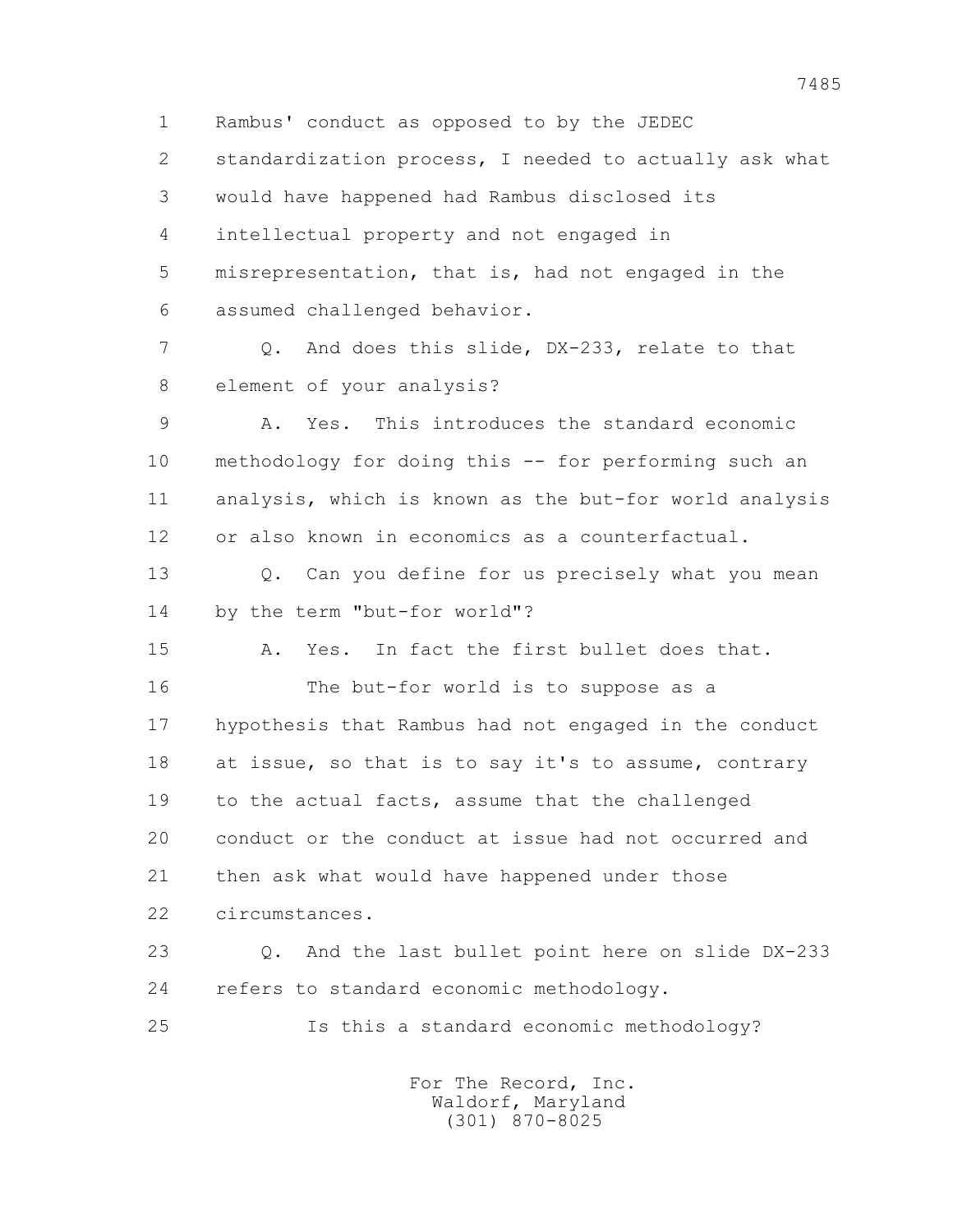1 Rambus' conduct as opposed to by the JEDEC 2 standardization process, I needed to actually ask what 3 would have happened had Rambus disclosed its 4 intellectual property and not engaged in 5 misrepresentation, that is, had not engaged in the 6 assumed challenged behavior. 7 Q. And does this slide, DX-233, relate to that 8 element of your analysis? 9 A. Yes. This introduces the standard economic 10 methodology for doing this -- for performing such an 11 analysis, which is known as the but-for world analysis 12 or also known in economics as a counterfactual. 13 0. Can you define for us precisely what you mean 14 by the term "but-for world"? 15 A. Yes. In fact the first bullet does that. 16 The but-for world is to suppose as a 17 hypothesis that Rambus had not engaged in the conduct 18 at issue, so that is to say it's to assume, contrary 19 to the actual facts, assume that the challenged 20 conduct or the conduct at issue had not occurred and 21 then ask what would have happened under those 22 circumstances. 23 Q. And the last bullet point here on slide DX-233 24 refers to standard economic methodology. 25 Is this a standard economic methodology?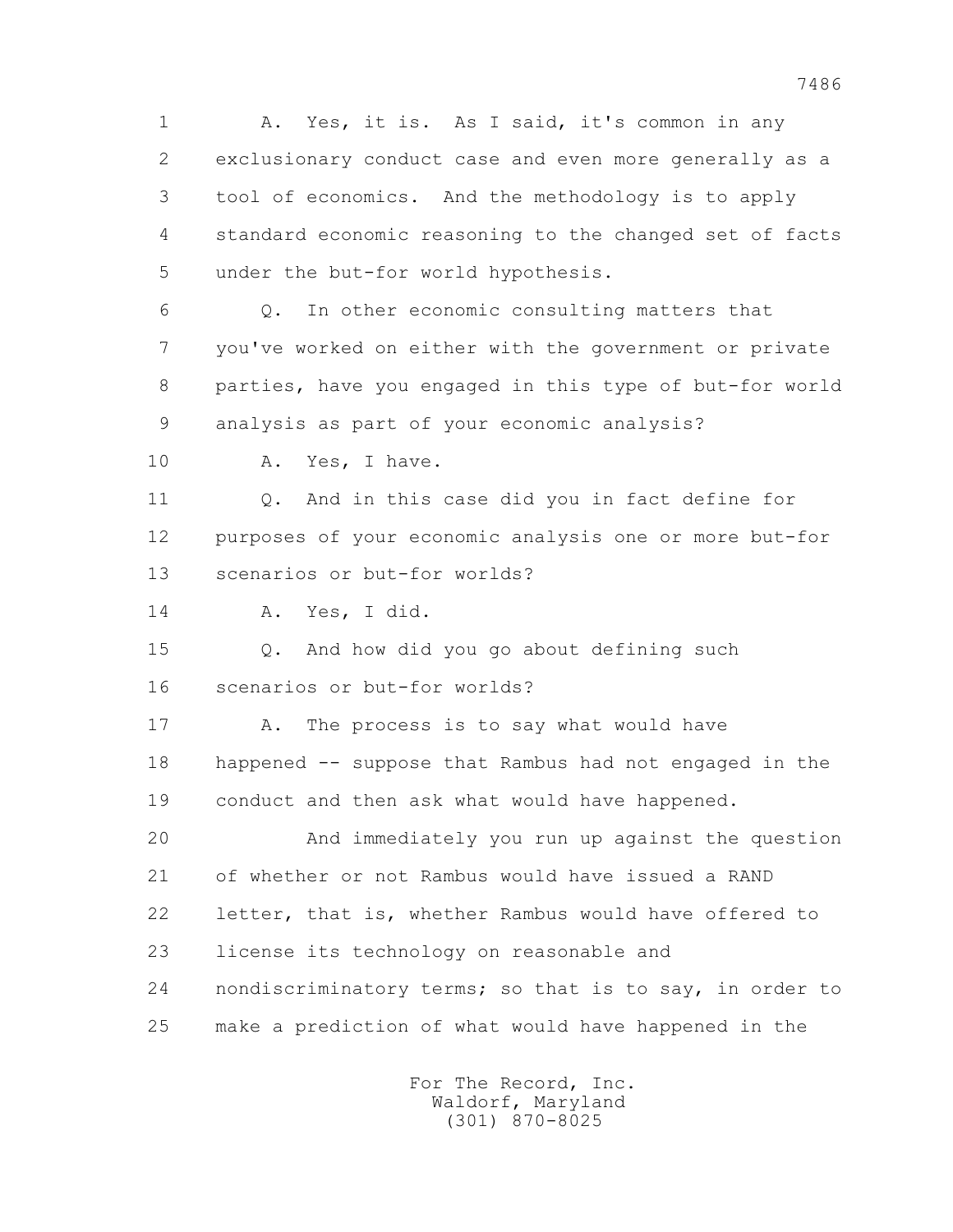1 A. Yes, it is. As I said, it's common in any 2 exclusionary conduct case and even more generally as a 3 tool of economics. And the methodology is to apply 4 standard economic reasoning to the changed set of facts 5 under the but-for world hypothesis. 6 Q. In other economic consulting matters that

 7 you've worked on either with the government or private 8 parties, have you engaged in this type of but-for world 9 analysis as part of your economic analysis?

10 A. Yes, I have.

 11 Q. And in this case did you in fact define for 12 purposes of your economic analysis one or more but-for 13 scenarios or but-for worlds?

14 A. Yes, I did.

 15 Q. And how did you go about defining such 16 scenarios or but-for worlds?

17 A. The process is to say what would have 18 happened -- suppose that Rambus had not engaged in the 19 conduct and then ask what would have happened.

 20 And immediately you run up against the question 21 of whether or not Rambus would have issued a RAND 22 letter, that is, whether Rambus would have offered to 23 license its technology on reasonable and 24 nondiscriminatory terms; so that is to say, in order to 25 make a prediction of what would have happened in the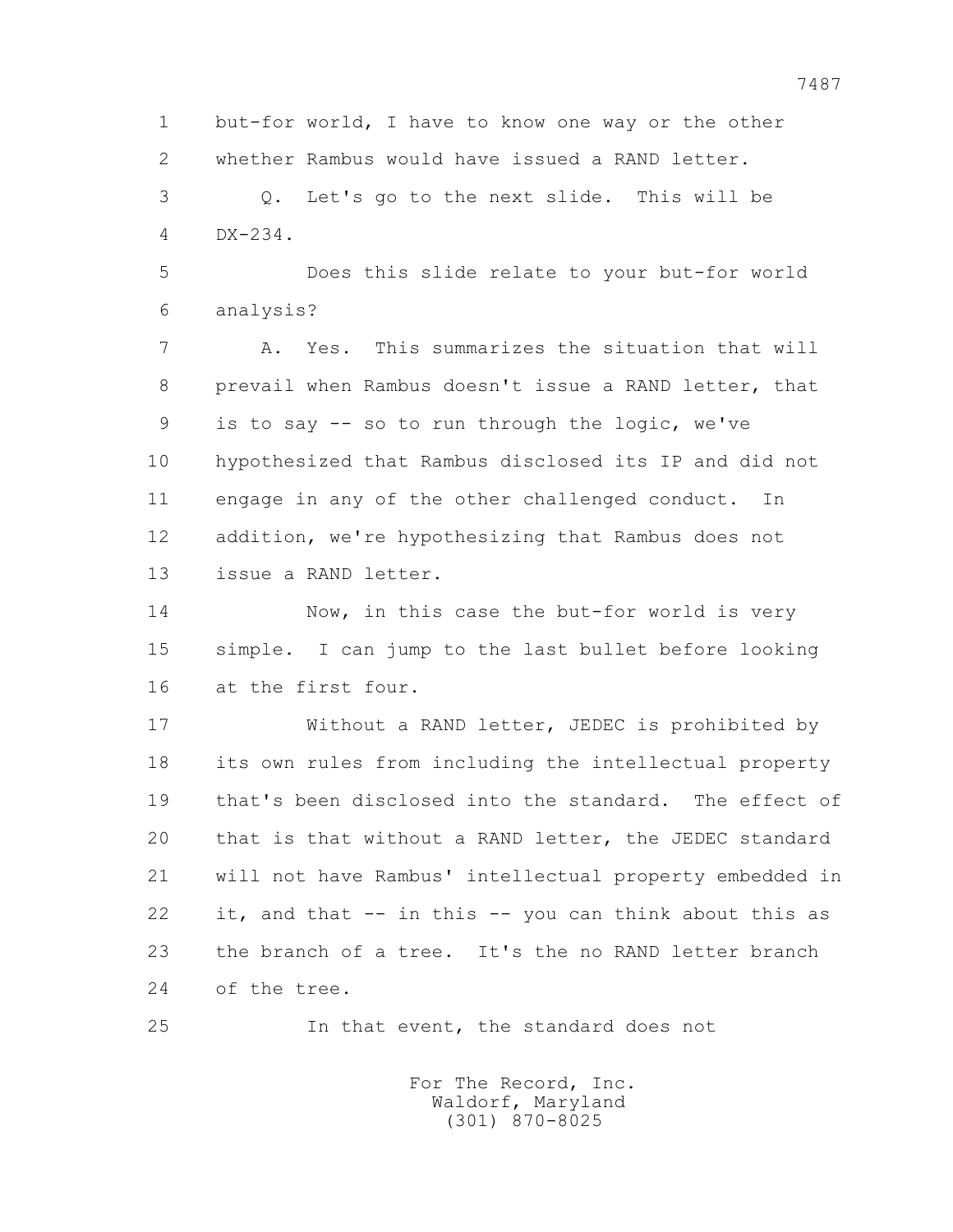1 but-for world, I have to know one way or the other 2 whether Rambus would have issued a RAND letter. 3 Q. Let's go to the next slide. This will be 4 DX-234.

 5 Does this slide relate to your but-for world 6 analysis?

 7 A. Yes. This summarizes the situation that will 8 prevail when Rambus doesn't issue a RAND letter, that 9 is to say -- so to run through the logic, we've 10 hypothesized that Rambus disclosed its IP and did not 11 engage in any of the other challenged conduct. In 12 addition, we're hypothesizing that Rambus does not 13 issue a RAND letter.

 14 Now, in this case the but-for world is very 15 simple. I can jump to the last bullet before looking 16 at the first four.

 17 Without a RAND letter, JEDEC is prohibited by 18 its own rules from including the intellectual property 19 that's been disclosed into the standard. The effect of 20 that is that without a RAND letter, the JEDEC standard 21 will not have Rambus' intellectual property embedded in 22 it, and that -- in this -- you can think about this as 23 the branch of a tree. It's the no RAND letter branch 24 of the tree.

25 In that event, the standard does not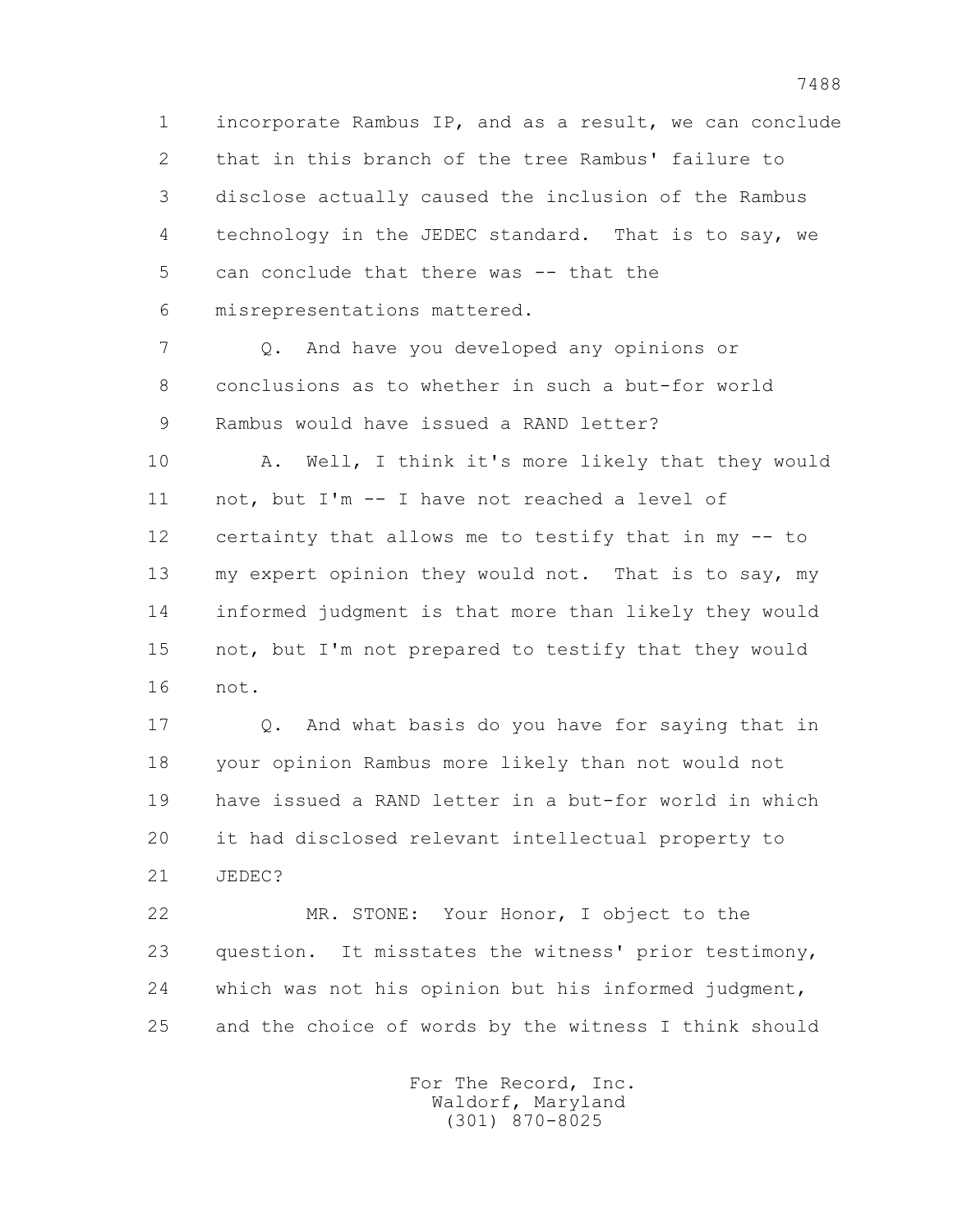1 incorporate Rambus IP, and as a result, we can conclude 2 that in this branch of the tree Rambus' failure to 3 disclose actually caused the inclusion of the Rambus 4 technology in the JEDEC standard. That is to say, we 5 can conclude that there was -- that the 6 misrepresentations mattered.

 7 Q. And have you developed any opinions or 8 conclusions as to whether in such a but-for world 9 Rambus would have issued a RAND letter?

 10 A. Well, I think it's more likely that they would 11 not, but I'm -- I have not reached a level of 12 certainty that allows me to testify that in my -- to 13 my expert opinion they would not. That is to say, my 14 informed judgment is that more than likely they would 15 not, but I'm not prepared to testify that they would 16 not.

 17 Q. And what basis do you have for saying that in 18 your opinion Rambus more likely than not would not 19 have issued a RAND letter in a but-for world in which 20 it had disclosed relevant intellectual property to 21 JEDEC?

 22 MR. STONE: Your Honor, I object to the 23 question. It misstates the witness' prior testimony, 24 which was not his opinion but his informed judgment, 25 and the choice of words by the witness I think should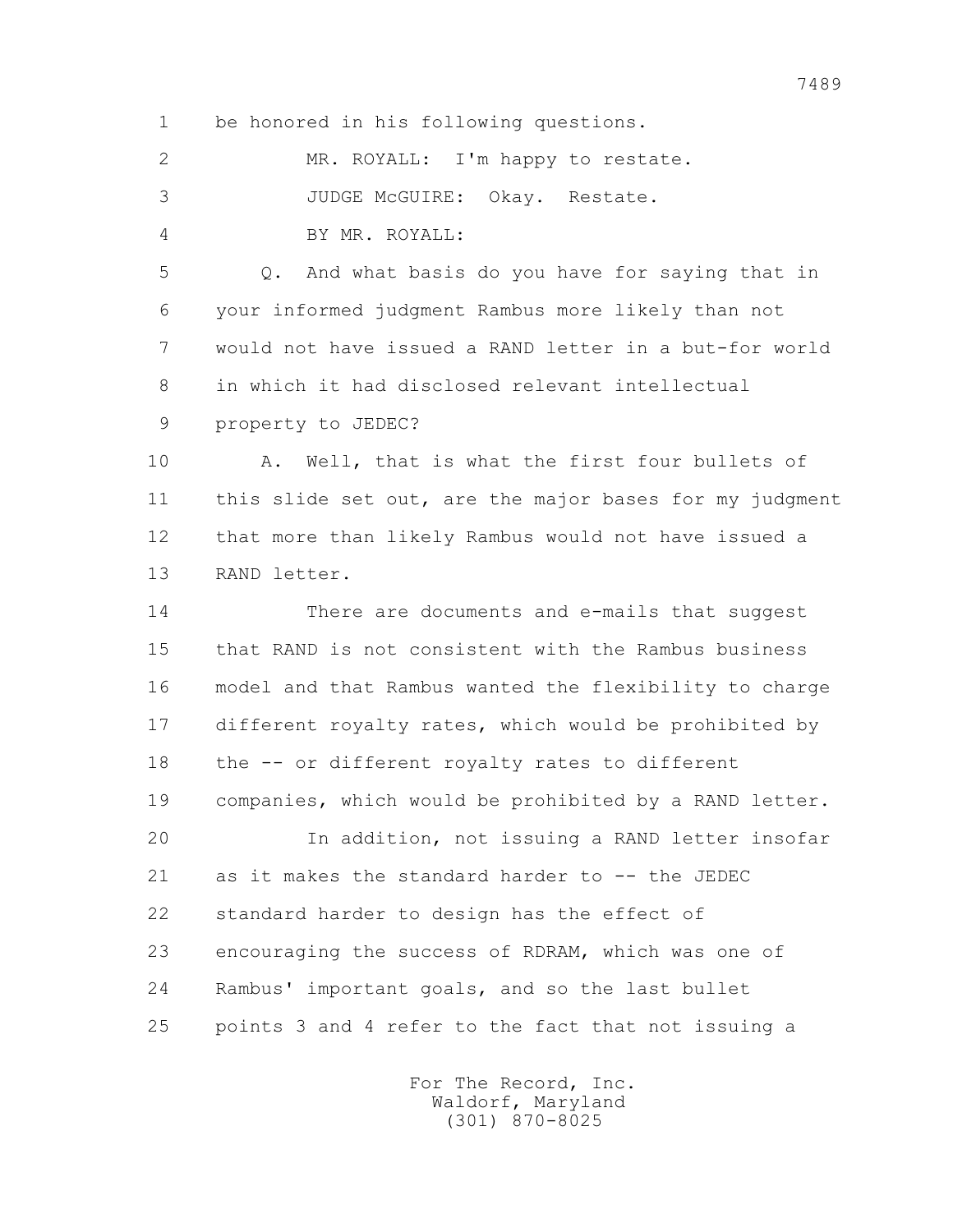1 be honored in his following questions.

| MR. ROYALL: I'm happy to restate. |  |
|-----------------------------------|--|
| JUDGE McGUIRE: Okay. Restate.     |  |
| BY MR. ROYALL:                    |  |

 5 Q. And what basis do you have for saying that in 6 your informed judgment Rambus more likely than not 7 would not have issued a RAND letter in a but-for world 8 in which it had disclosed relevant intellectual

9 property to JEDEC?

 10 A. Well, that is what the first four bullets of 11 this slide set out, are the major bases for my judgment 12 that more than likely Rambus would not have issued a 13 RAND letter.

 14 There are documents and e-mails that suggest 15 that RAND is not consistent with the Rambus business 16 model and that Rambus wanted the flexibility to charge 17 different royalty rates, which would be prohibited by 18 the -- or different royalty rates to different 19 companies, which would be prohibited by a RAND letter.

 20 In addition, not issuing a RAND letter insofar 21 as it makes the standard harder to -- the JEDEC 22 standard harder to design has the effect of 23 encouraging the success of RDRAM, which was one of 24 Rambus' important goals, and so the last bullet 25 points 3 and 4 refer to the fact that not issuing a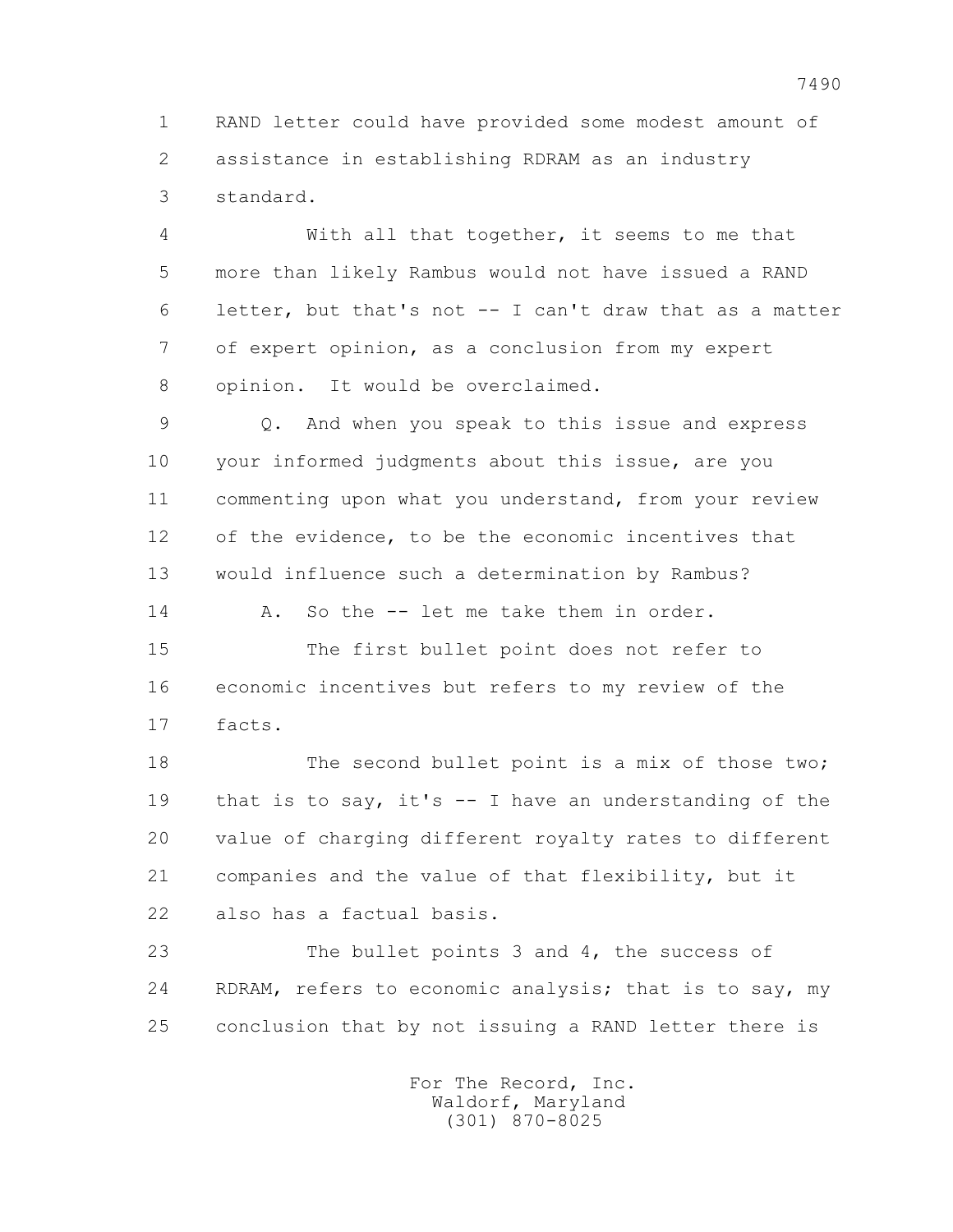1 RAND letter could have provided some modest amount of 2 assistance in establishing RDRAM as an industry 3 standard.

 4 With all that together, it seems to me that 5 more than likely Rambus would not have issued a RAND 6 letter, but that's not -- I can't draw that as a matter 7 of expert opinion, as a conclusion from my expert 8 opinion. It would be overclaimed.

 9 Q. And when you speak to this issue and express 10 your informed judgments about this issue, are you 11 commenting upon what you understand, from your review 12 of the evidence, to be the economic incentives that 13 would influence such a determination by Rambus?

14 A. So the -- let me take them in order.

 15 The first bullet point does not refer to 16 economic incentives but refers to my review of the 17 facts.

18 The second bullet point is a mix of those two; 19 that is to say, it's -- I have an understanding of the 20 value of charging different royalty rates to different 21 companies and the value of that flexibility, but it 22 also has a factual basis.

 23 The bullet points 3 and 4, the success of 24 RDRAM, refers to economic analysis; that is to say, my 25 conclusion that by not issuing a RAND letter there is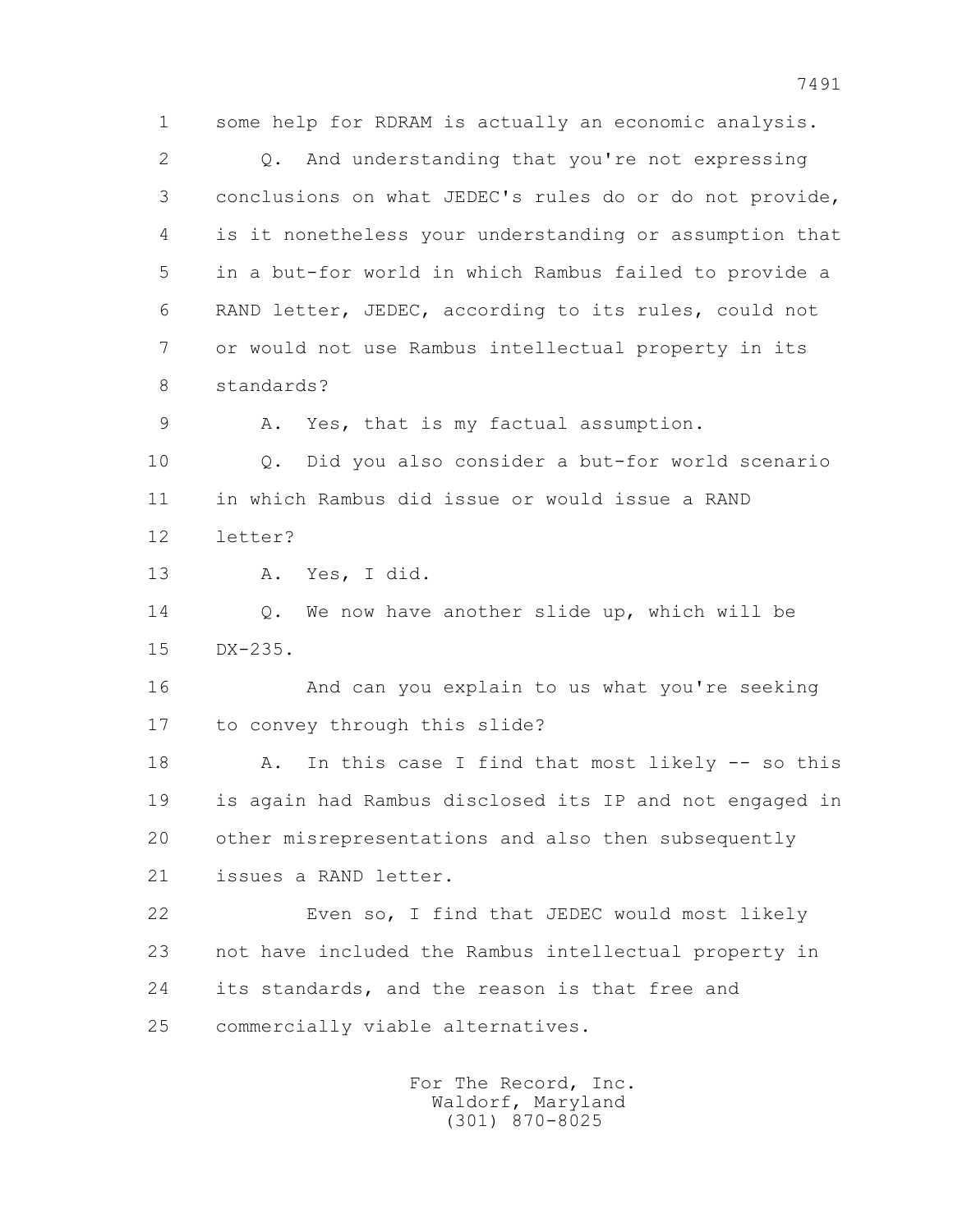1 some help for RDRAM is actually an economic analysis.

2 0. And understanding that you're not expressing 3 conclusions on what JEDEC's rules do or do not provide, 4 is it nonetheless your understanding or assumption that 5 in a but-for world in which Rambus failed to provide a 6 RAND letter, JEDEC, according to its rules, could not 7 or would not use Rambus intellectual property in its 8 standards?

9 A. Yes, that is my factual assumption.

 10 Q. Did you also consider a but-for world scenario 11 in which Rambus did issue or would issue a RAND 12 letter?

13 A. Yes, I did.

 14 Q. We now have another slide up, which will be 15 DX-235.

 16 And can you explain to us what you're seeking 17 to convey through this slide?

18 A. In this case I find that most likely -- so this 19 is again had Rambus disclosed its IP and not engaged in 20 other misrepresentations and also then subsequently 21 issues a RAND letter.

 22 Even so, I find that JEDEC would most likely 23 not have included the Rambus intellectual property in 24 its standards, and the reason is that free and 25 commercially viable alternatives.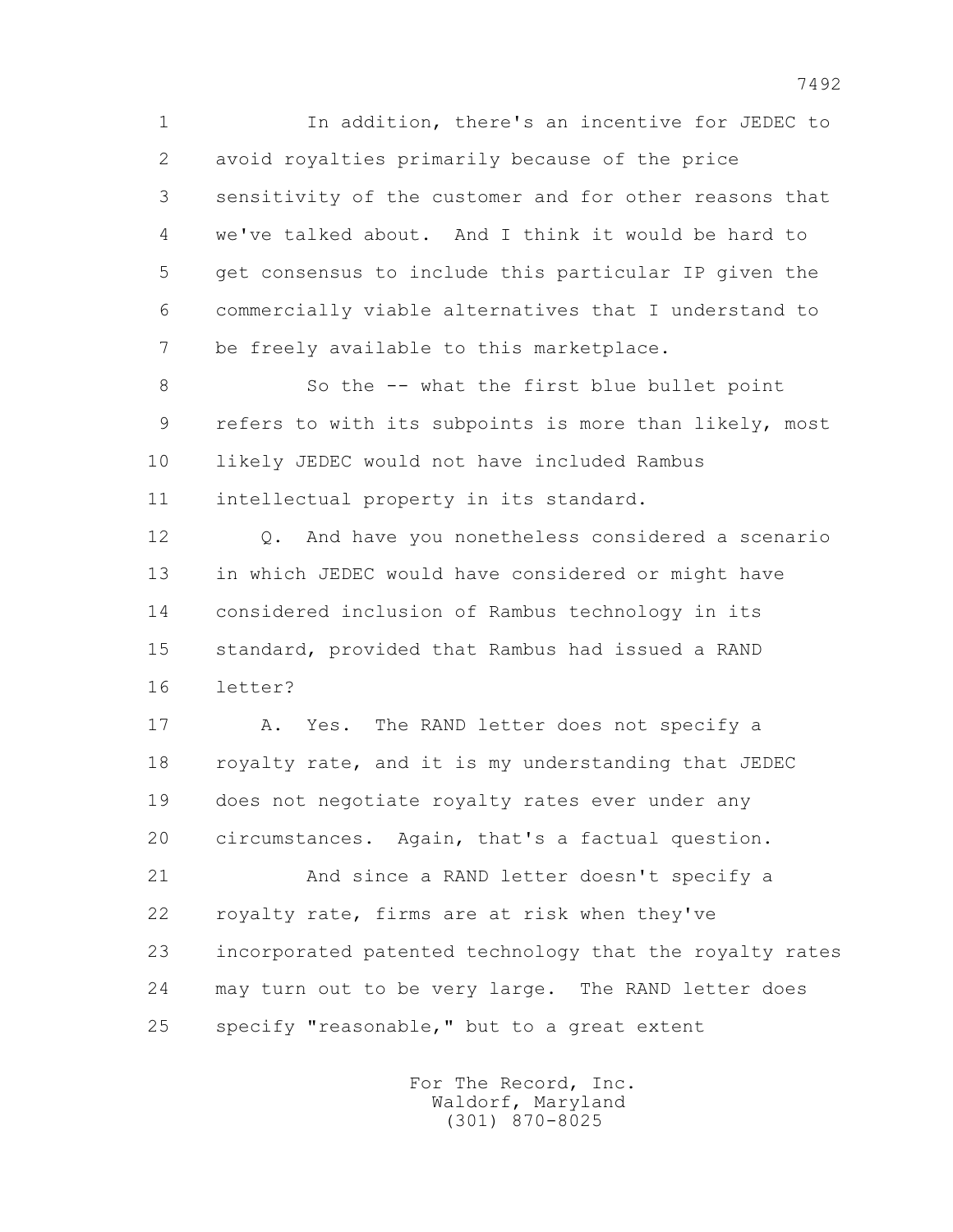1 In addition, there's an incentive for JEDEC to 2 avoid royalties primarily because of the price 3 sensitivity of the customer and for other reasons that 4 we've talked about. And I think it would be hard to 5 get consensus to include this particular IP given the 6 commercially viable alternatives that I understand to 7 be freely available to this marketplace.

 8 So the -- what the first blue bullet point 9 refers to with its subpoints is more than likely, most 10 likely JEDEC would not have included Rambus 11 intellectual property in its standard.

 12 Q. And have you nonetheless considered a scenario 13 in which JEDEC would have considered or might have 14 considered inclusion of Rambus technology in its 15 standard, provided that Rambus had issued a RAND 16 letter?

17 A. Yes. The RAND letter does not specify a 18 royalty rate, and it is my understanding that JEDEC 19 does not negotiate royalty rates ever under any 20 circumstances. Again, that's a factual question.

 21 And since a RAND letter doesn't specify a 22 royalty rate, firms are at risk when they've 23 incorporated patented technology that the royalty rates 24 may turn out to be very large. The RAND letter does 25 specify "reasonable," but to a great extent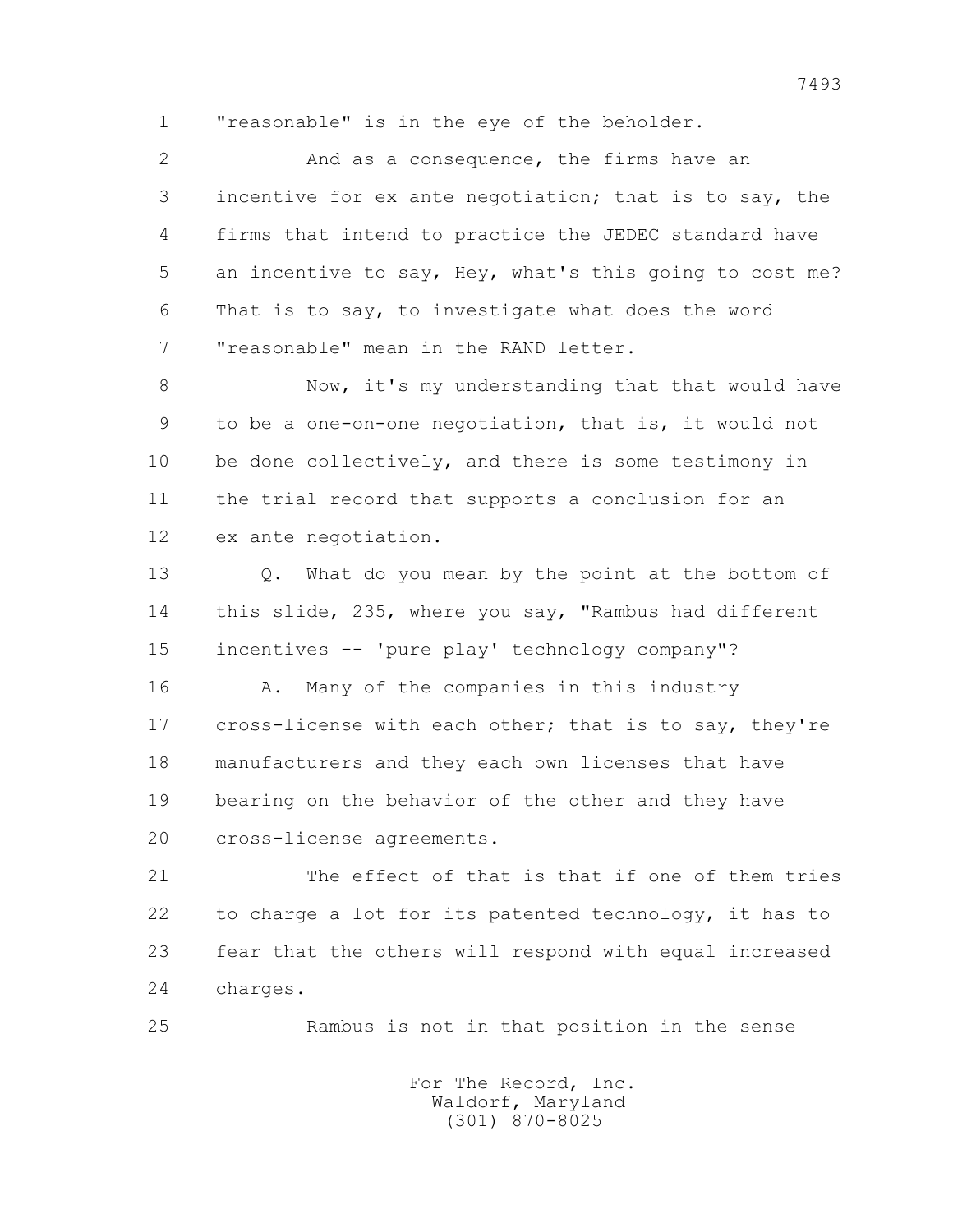1 "reasonable" is in the eye of the beholder.

 2 And as a consequence, the firms have an 3 incentive for ex ante negotiation; that is to say, the 4 firms that intend to practice the JEDEC standard have 5 an incentive to say, Hey, what's this going to cost me? 6 That is to say, to investigate what does the word 7 "reasonable" mean in the RAND letter.

 8 Now, it's my understanding that that would have 9 to be a one-on-one negotiation, that is, it would not 10 be done collectively, and there is some testimony in 11 the trial record that supports a conclusion for an 12 ex ante negotiation.

 13 Q. What do you mean by the point at the bottom of 14 this slide, 235, where you say, "Rambus had different 15 incentives -- 'pure play' technology company"? 16 A. Many of the companies in this industry 17 cross-license with each other; that is to say, they're 18 manufacturers and they each own licenses that have 19 bearing on the behavior of the other and they have 20 cross-license agreements.

 21 The effect of that is that if one of them tries 22 to charge a lot for its patented technology, it has to 23 fear that the others will respond with equal increased 24 charges.

25 Rambus is not in that position in the sense

 For The Record, Inc. Waldorf, Maryland (301) 870-8025

7493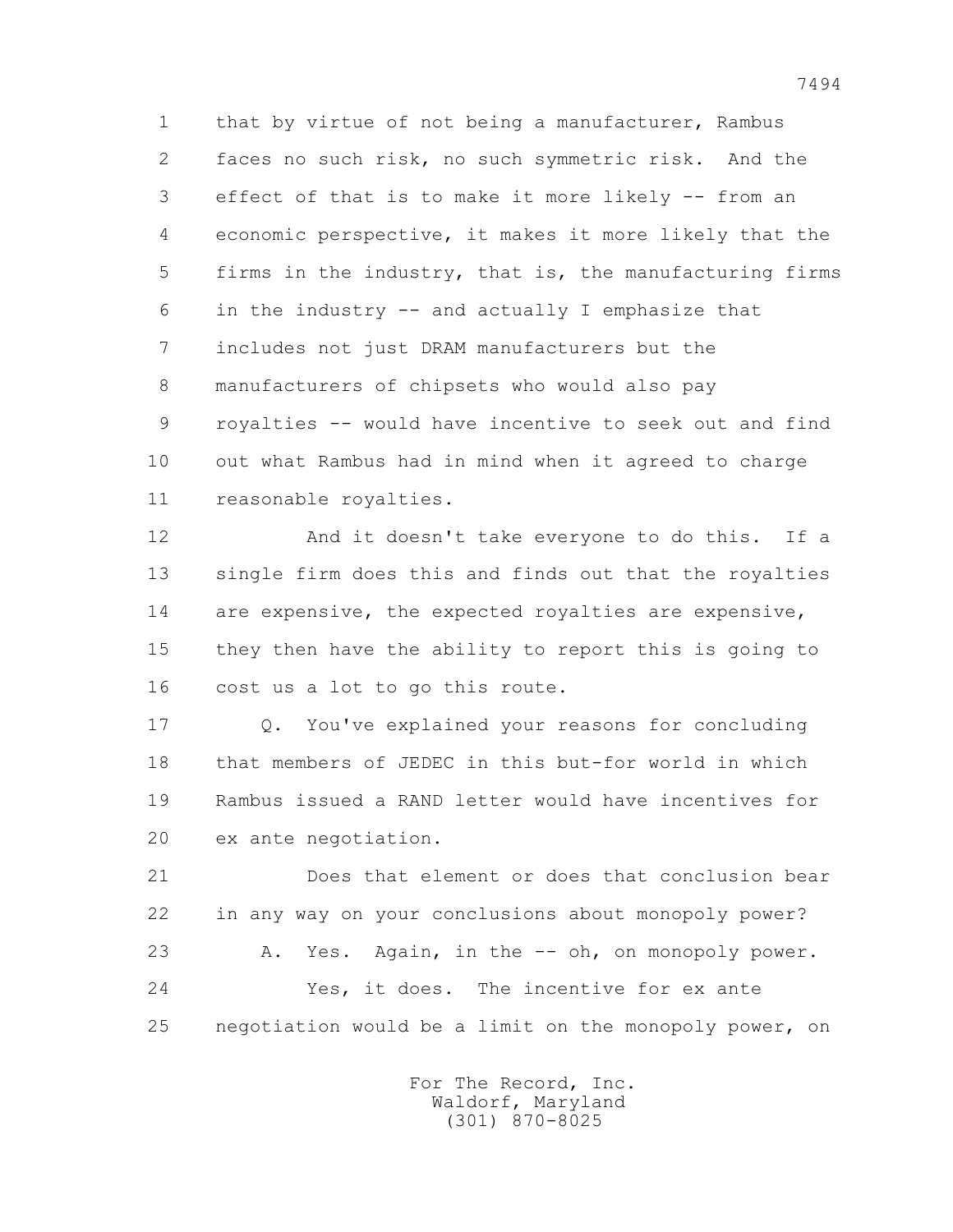1 that by virtue of not being a manufacturer, Rambus 2 faces no such risk, no such symmetric risk. And the 3 effect of that is to make it more likely -- from an 4 economic perspective, it makes it more likely that the 5 firms in the industry, that is, the manufacturing firms 6 in the industry -- and actually I emphasize that 7 includes not just DRAM manufacturers but the 8 manufacturers of chipsets who would also pay 9 royalties -- would have incentive to seek out and find 10 out what Rambus had in mind when it agreed to charge 11 reasonable royalties.

 12 And it doesn't take everyone to do this. If a 13 single firm does this and finds out that the royalties 14 are expensive, the expected royalties are expensive, 15 they then have the ability to report this is going to 16 cost us a lot to go this route.

 17 Q. You've explained your reasons for concluding 18 that members of JEDEC in this but-for world in which 19 Rambus issued a RAND letter would have incentives for 20 ex ante negotiation.

 21 Does that element or does that conclusion bear 22 in any way on your conclusions about monopoly power? 23 A. Yes. Again, in the -- oh, on monopoly power. 24 Yes, it does. The incentive for ex ante 25 negotiation would be a limit on the monopoly power, on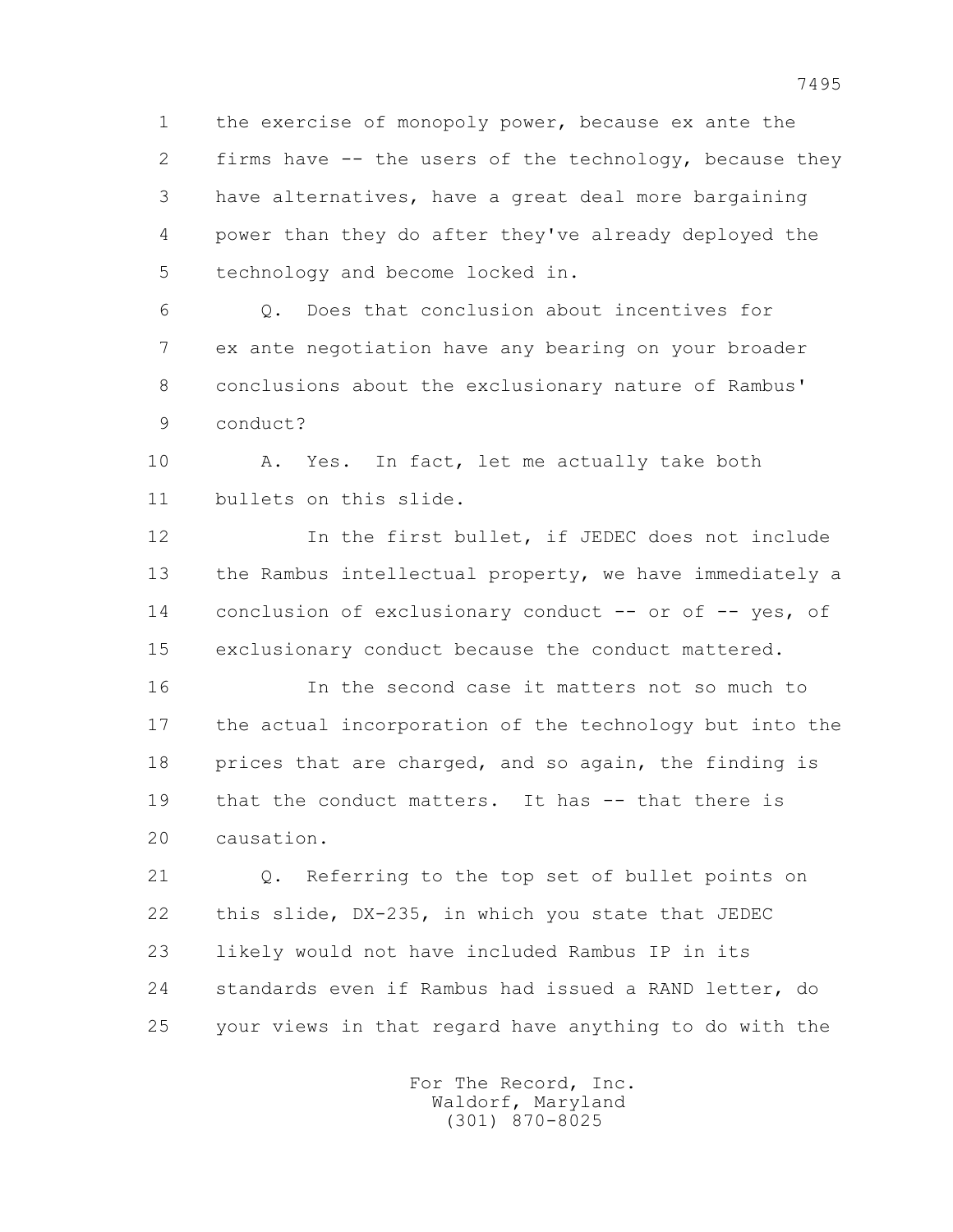1 the exercise of monopoly power, because ex ante the 2 firms have -- the users of the technology, because they 3 have alternatives, have a great deal more bargaining 4 power than they do after they've already deployed the 5 technology and become locked in.

 6 Q. Does that conclusion about incentives for 7 ex ante negotiation have any bearing on your broader 8 conclusions about the exclusionary nature of Rambus' 9 conduct?

 10 A. Yes. In fact, let me actually take both 11 bullets on this slide.

 12 In the first bullet, if JEDEC does not include 13 the Rambus intellectual property, we have immediately a 14 conclusion of exclusionary conduct -- or of -- yes, of 15 exclusionary conduct because the conduct mattered.

 16 In the second case it matters not so much to 17 the actual incorporation of the technology but into the 18 prices that are charged, and so again, the finding is 19 that the conduct matters. It has -- that there is 20 causation.

 21 Q. Referring to the top set of bullet points on 22 this slide, DX-235, in which you state that JEDEC 23 likely would not have included Rambus IP in its 24 standards even if Rambus had issued a RAND letter, do 25 your views in that regard have anything to do with the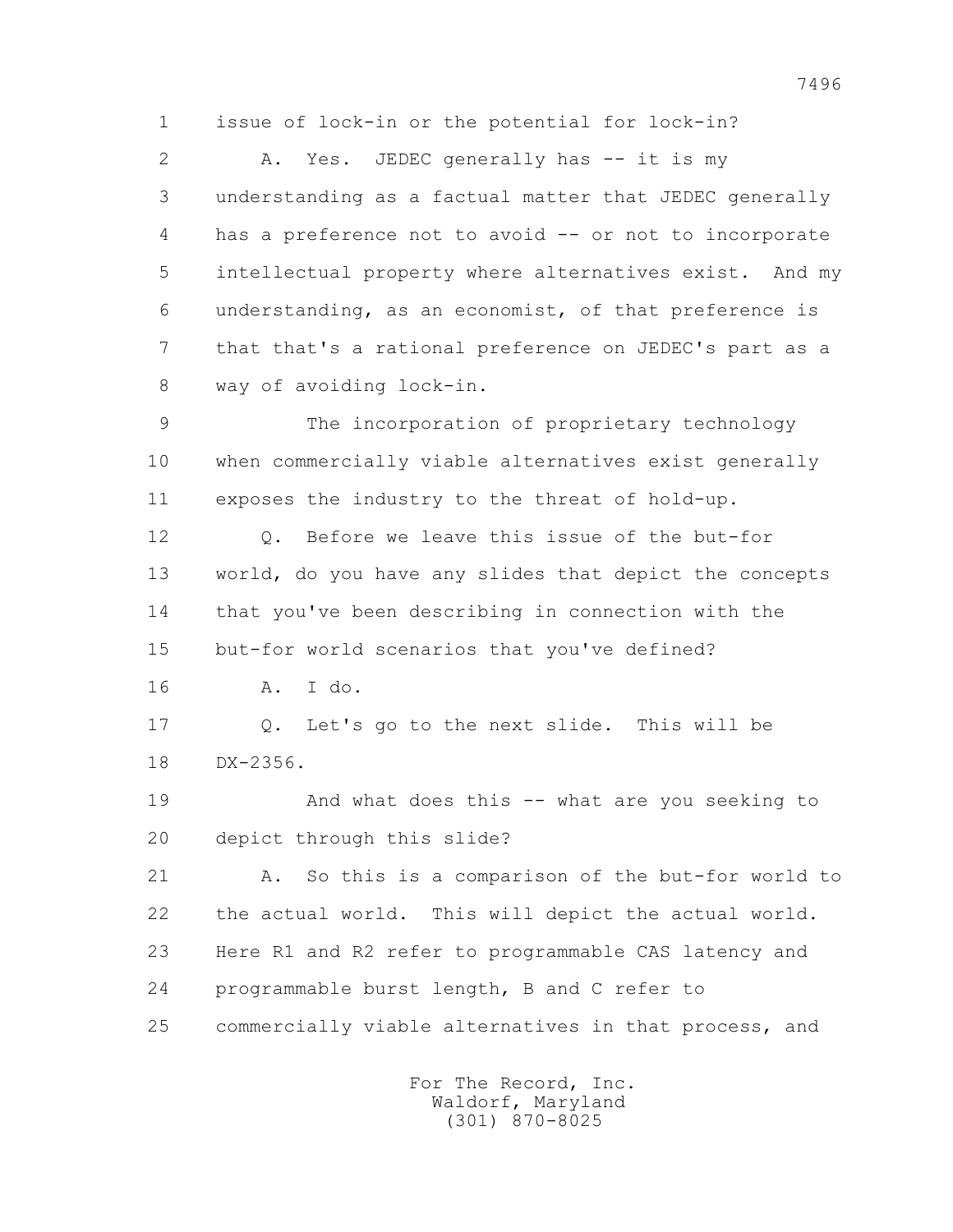1 issue of lock-in or the potential for lock-in?

2 A. Yes. JEDEC generally has -- it is my 3 understanding as a factual matter that JEDEC generally 4 has a preference not to avoid -- or not to incorporate 5 intellectual property where alternatives exist. And my 6 understanding, as an economist, of that preference is 7 that that's a rational preference on JEDEC's part as a 8 way of avoiding lock-in.

 9 The incorporation of proprietary technology 10 when commercially viable alternatives exist generally 11 exposes the industry to the threat of hold-up.

12 0. Before we leave this issue of the but-for 13 world, do you have any slides that depict the concepts 14 that you've been describing in connection with the 15 but-for world scenarios that you've defined?

16 A. I do.

 17 Q. Let's go to the next slide. This will be 18 DX-2356.

 19 And what does this -- what are you seeking to 20 depict through this slide?

 21 A. So this is a comparison of the but-for world to 22 the actual world. This will depict the actual world. 23 Here R1 and R2 refer to programmable CAS latency and 24 programmable burst length, B and C refer to 25 commercially viable alternatives in that process, and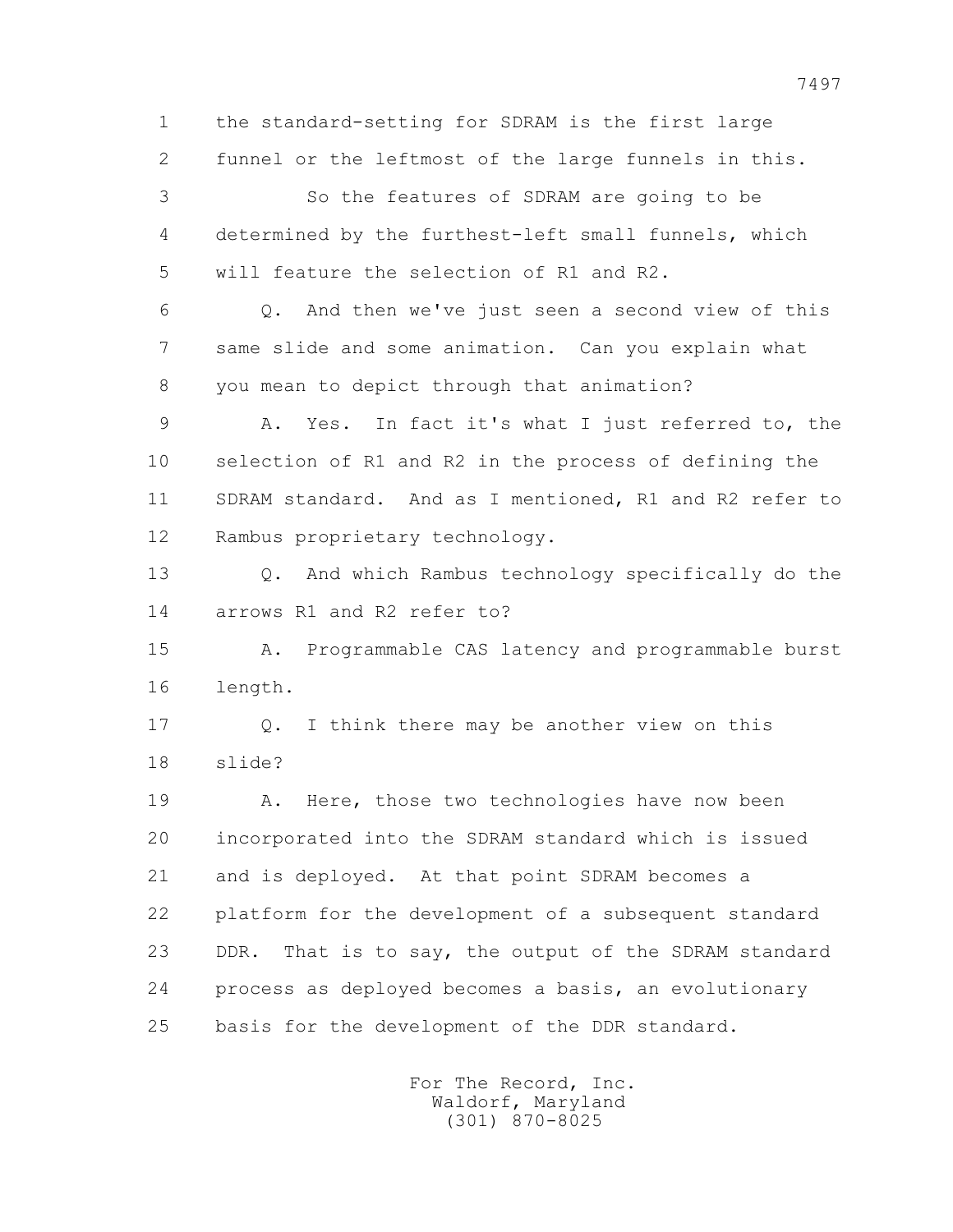1 the standard-setting for SDRAM is the first large 2 funnel or the leftmost of the large funnels in this. 3 So the features of SDRAM are going to be 4 determined by the furthest-left small funnels, which 5 will feature the selection of R1 and R2. 6 Q. And then we've just seen a second view of this 7 same slide and some animation. Can you explain what 8 you mean to depict through that animation? 9 A. Yes. In fact it's what I just referred to, the 10 selection of R1 and R2 in the process of defining the 11 SDRAM standard. And as I mentioned, R1 and R2 refer to 12 Rambus proprietary technology. 13 Q. And which Rambus technology specifically do the 14 arrows R1 and R2 refer to? 15 A. Programmable CAS latency and programmable burst 16 length. 17 Q. I think there may be another view on this 18 slide? 19 A. Here, those two technologies have now been 20 incorporated into the SDRAM standard which is issued 21 and is deployed. At that point SDRAM becomes a 22 platform for the development of a subsequent standard 23 DDR. That is to say, the output of the SDRAM standard 24 process as deployed becomes a basis, an evolutionary 25 basis for the development of the DDR standard.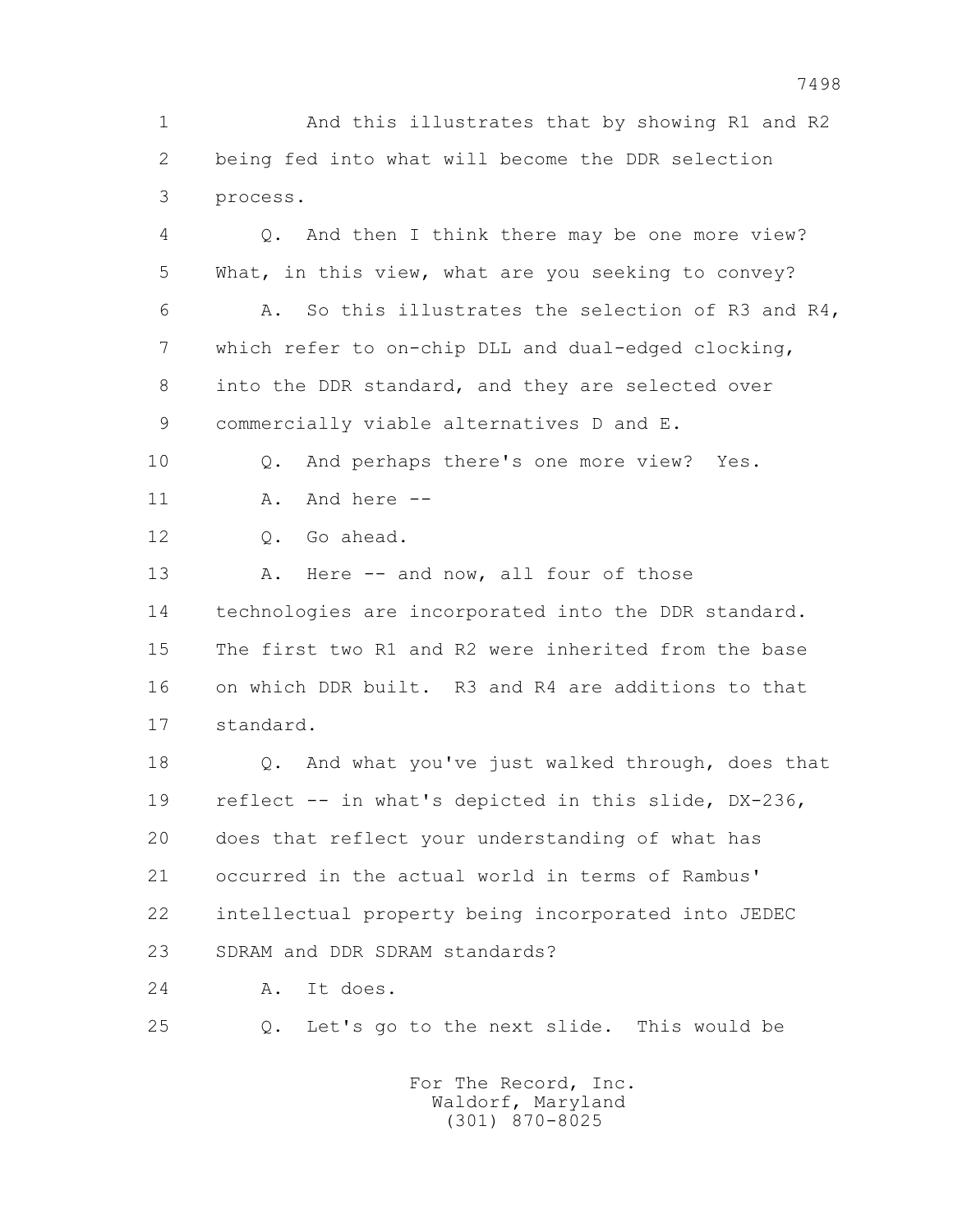1 And this illustrates that by showing R1 and R2 2 being fed into what will become the DDR selection 3 process.

 4 Q. And then I think there may be one more view? 5 What, in this view, what are you seeking to convey? 6 A. So this illustrates the selection of R3 and R4, 7 which refer to on-chip DLL and dual-edged clocking, 8 into the DDR standard, and they are selected over 9 commercially viable alternatives D and E. 10 Q. And perhaps there's one more view? Yes. 11 A. And here -- 12 Q. Go ahead. 13 A. Here -- and now, all four of those 14 technologies are incorporated into the DDR standard. 15 The first two R1 and R2 were inherited from the base 16 on which DDR built. R3 and R4 are additions to that 17 standard.

 18 Q. And what you've just walked through, does that 19 reflect -- in what's depicted in this slide, DX-236, 20 does that reflect your understanding of what has 21 occurred in the actual world in terms of Rambus' 22 intellectual property being incorporated into JEDEC 23 SDRAM and DDR SDRAM standards?

24 A. It does.

25 Q. Let's go to the next slide. This would be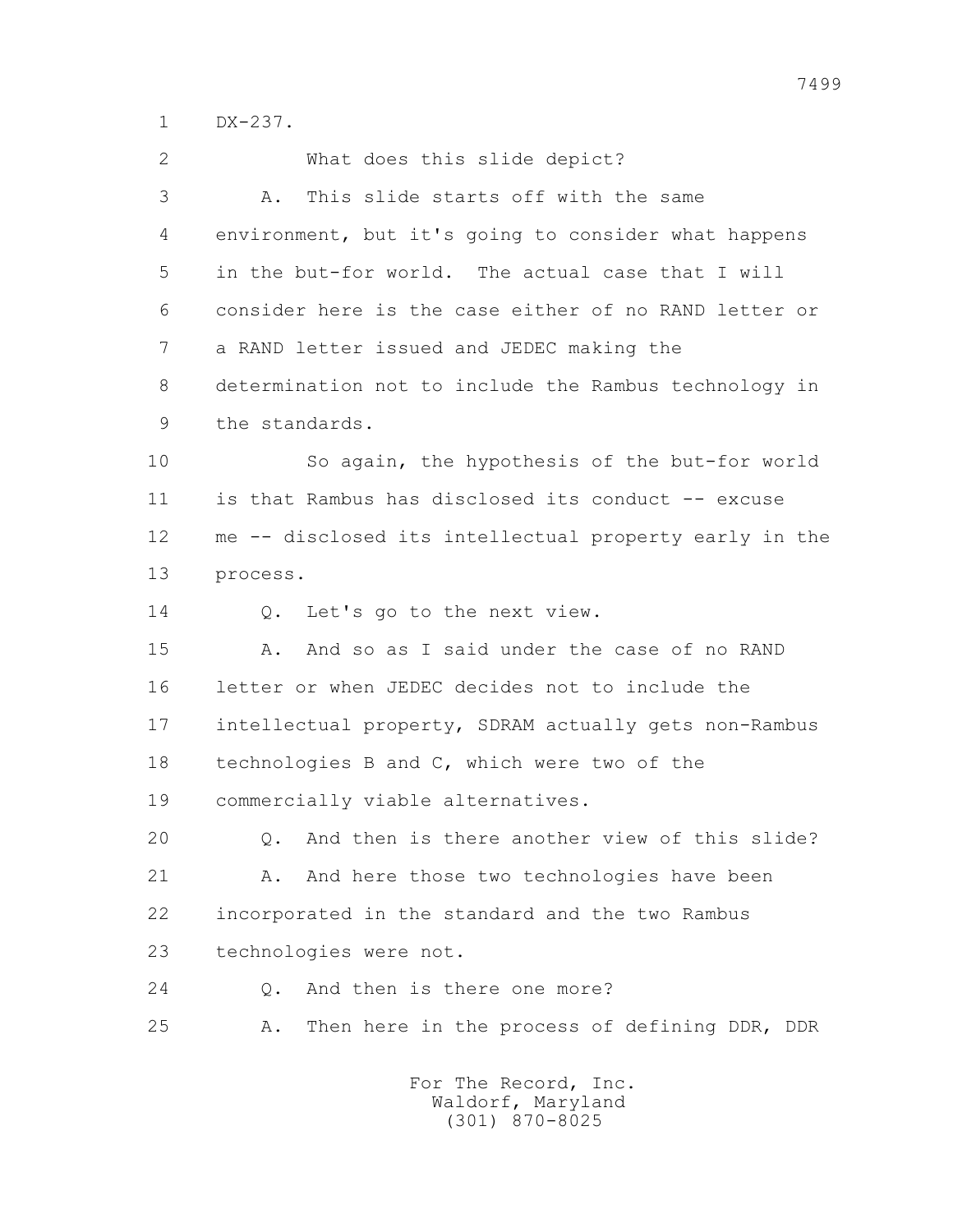1 DX-237.

| $\overline{2}$ | What does this slide depict?                           |
|----------------|--------------------------------------------------------|
| 3              | This slide starts off with the same<br>Α.              |
| 4              | environment, but it's going to consider what happens   |
| 5              | in the but-for world. The actual case that I will      |
| 6              | consider here is the case either of no RAND letter or  |
| 7              | a RAND letter issued and JEDEC making the              |
| 8              | determination not to include the Rambus technology in  |
| 9              | the standards.                                         |
| 10             | So again, the hypothesis of the but-for world          |
| 11             | is that Rambus has disclosed its conduct -- excuse     |
| 12             | me -- disclosed its intellectual property early in the |
| 13             | process.                                               |
| 14             | Let's go to the next view.<br>Q.                       |
| 15             | And so as I said under the case of no RAND<br>Α.       |
| 16             | letter or when JEDEC decides not to include the        |
| 17             | intellectual property, SDRAM actually gets non-Rambus  |
| 18             | technologies B and C, which were two of the            |
| 19             | commercially viable alternatives.                      |
| 20             | And then is there another view of this slide?<br>Q.    |
| 21             | And here those two technologies have been<br>Α.        |
| 22             | incorporated in the standard and the two Rambus        |
| 23             | technologies were not.                                 |
| 24             | And then is there one more?<br>$Q$ .                   |
| 25             | Then here in the process of defining DDR, DDR<br>Α.    |
|                |                                                        |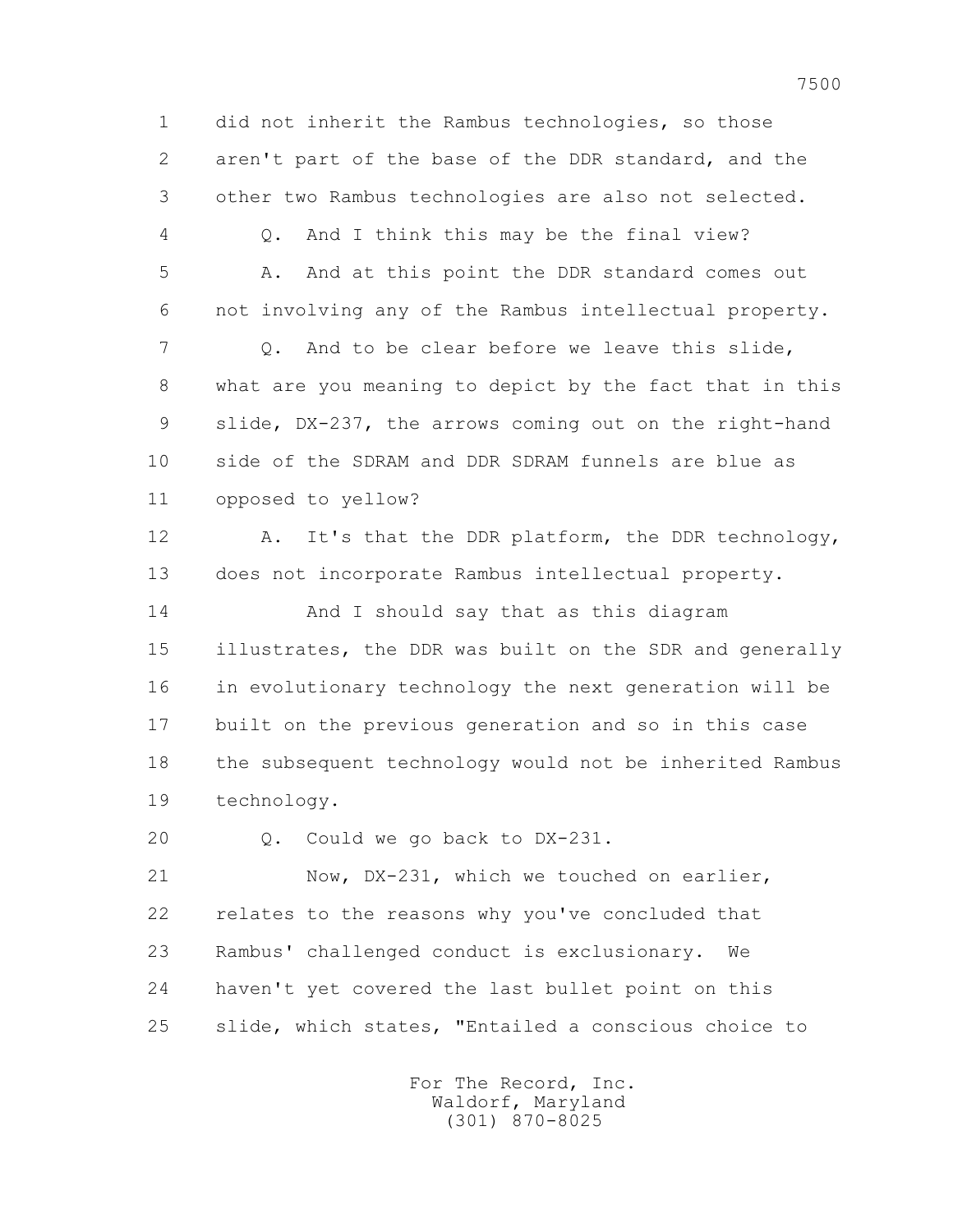1 did not inherit the Rambus technologies, so those 2 aren't part of the base of the DDR standard, and the 3 other two Rambus technologies are also not selected. 4 Q. And I think this may be the final view? 5 A. And at this point the DDR standard comes out 6 not involving any of the Rambus intellectual property. 7 Q. And to be clear before we leave this slide, 8 what are you meaning to depict by the fact that in this 9 slide, DX-237, the arrows coming out on the right-hand 10 side of the SDRAM and DDR SDRAM funnels are blue as 11 opposed to yellow? 12 A. It's that the DDR platform, the DDR technology, 13 does not incorporate Rambus intellectual property. 14 And I should say that as this diagram 15 illustrates, the DDR was built on the SDR and generally 16 in evolutionary technology the next generation will be 17 built on the previous generation and so in this case 18 the subsequent technology would not be inherited Rambus 19 technology. 20 Q. Could we go back to DX-231. 21 Now, DX-231, which we touched on earlier, 22 relates to the reasons why you've concluded that 23 Rambus' challenged conduct is exclusionary. We 24 haven't yet covered the last bullet point on this

25 slide, which states, "Entailed a conscious choice to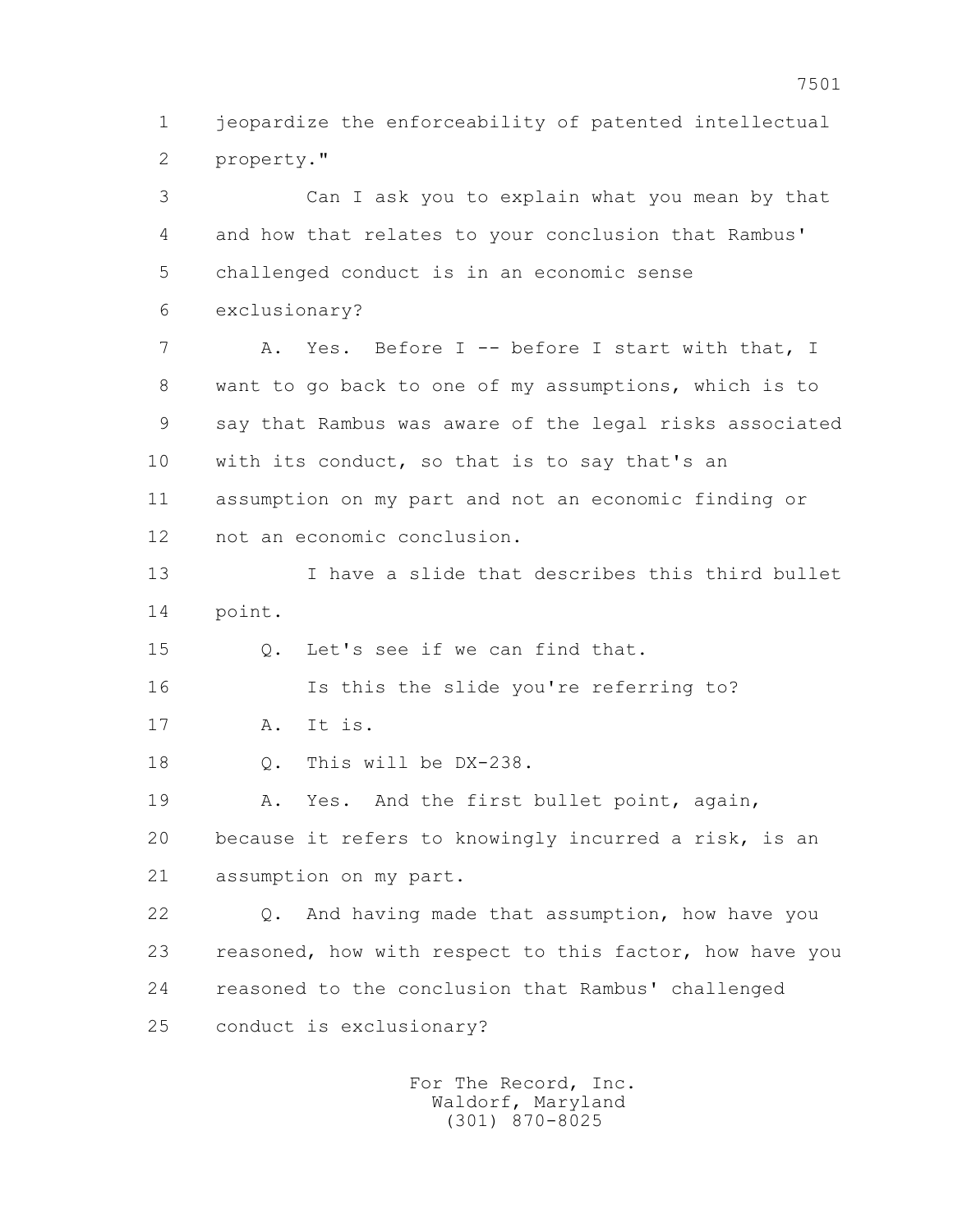1 jeopardize the enforceability of patented intellectual 2 property."

 3 Can I ask you to explain what you mean by that 4 and how that relates to your conclusion that Rambus' 5 challenged conduct is in an economic sense 6 exclusionary? 7 A. Yes. Before I -- before I start with that, I 8 want to go back to one of my assumptions, which is to 9 say that Rambus was aware of the legal risks associated 10 with its conduct, so that is to say that's an 11 assumption on my part and not an economic finding or 12 not an economic conclusion. 13 I have a slide that describes this third bullet 14 point. 15 Q. Let's see if we can find that. 16 Is this the slide you're referring to? 17 A. It is. 18 Q. This will be DX-238. 19 A. Yes. And the first bullet point, again, 20 because it refers to knowingly incurred a risk, is an 21 assumption on my part. 22 Q. And having made that assumption, how have you 23 reasoned, how with respect to this factor, how have you 24 reasoned to the conclusion that Rambus' challenged 25 conduct is exclusionary?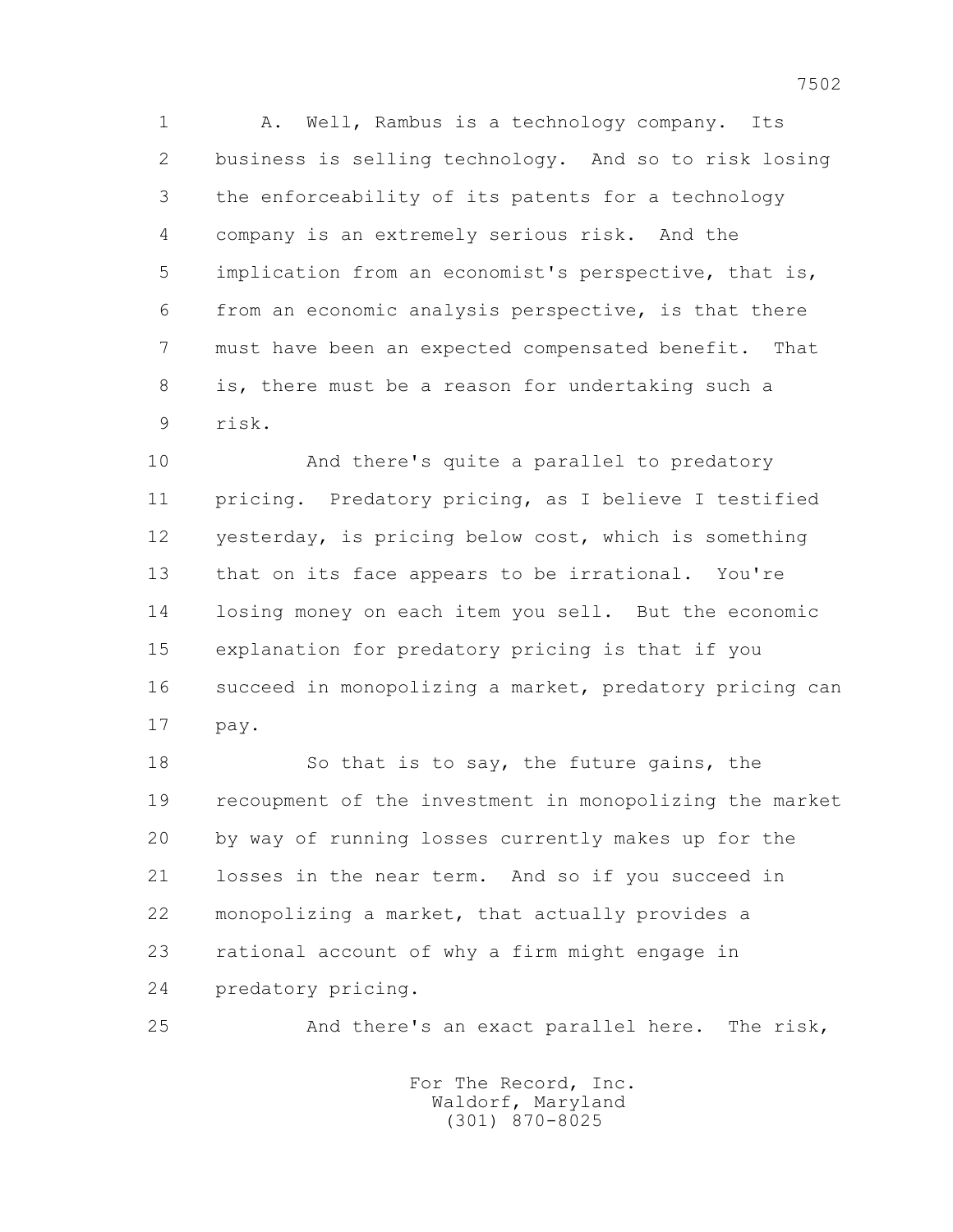1 A. Well, Rambus is a technology company. Its 2 business is selling technology. And so to risk losing 3 the enforceability of its patents for a technology 4 company is an extremely serious risk. And the 5 implication from an economist's perspective, that is, 6 from an economic analysis perspective, is that there 7 must have been an expected compensated benefit. That 8 is, there must be a reason for undertaking such a 9 risk.

 10 And there's quite a parallel to predatory 11 pricing. Predatory pricing, as I believe I testified 12 yesterday, is pricing below cost, which is something 13 that on its face appears to be irrational. You're 14 losing money on each item you sell. But the economic 15 explanation for predatory pricing is that if you 16 succeed in monopolizing a market, predatory pricing can 17 pay.

18 So that is to say, the future gains, the 19 recoupment of the investment in monopolizing the market 20 by way of running losses currently makes up for the 21 losses in the near term. And so if you succeed in 22 monopolizing a market, that actually provides a 23 rational account of why a firm might engage in 24 predatory pricing.

25 And there's an exact parallel here. The risk,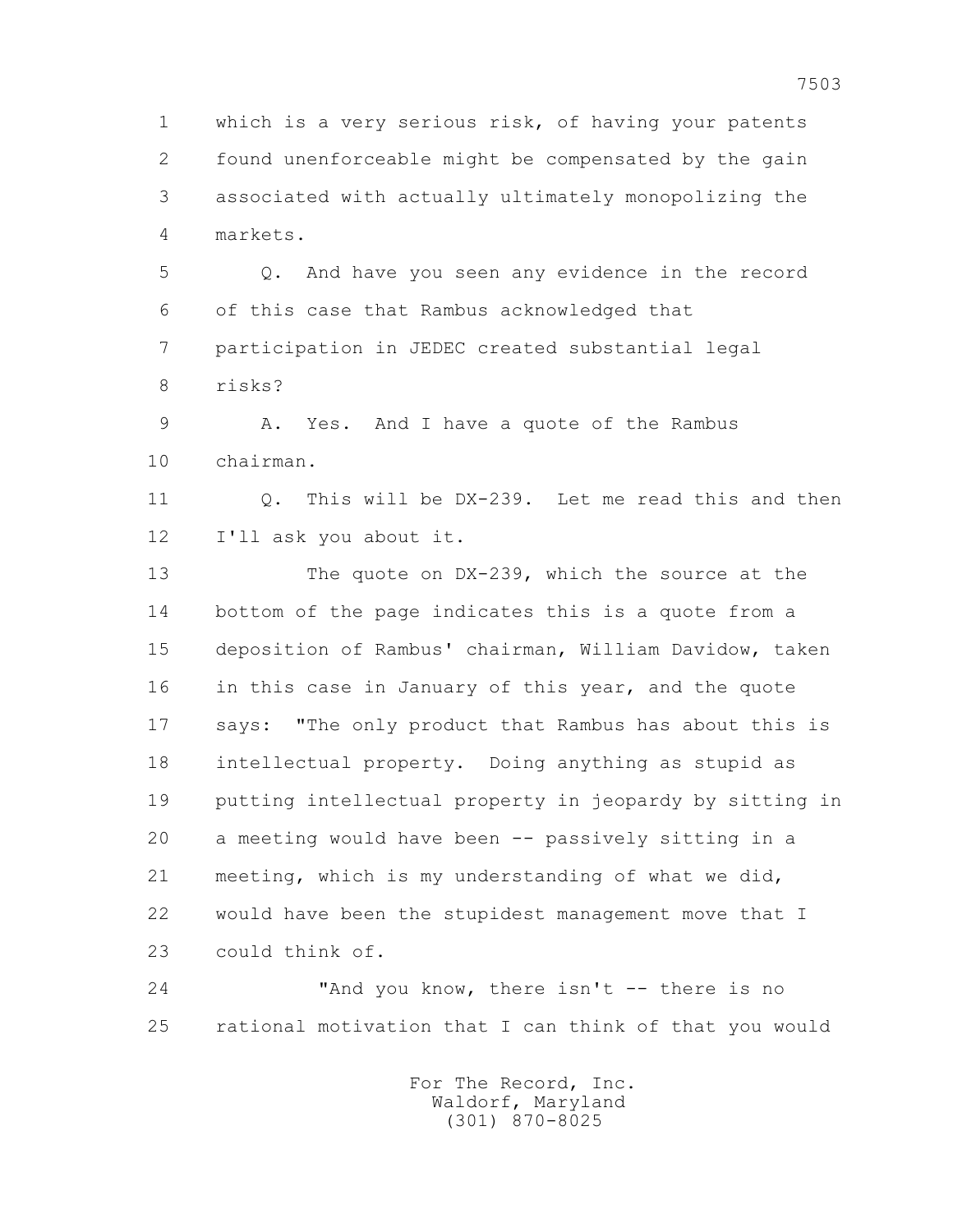1 which is a very serious risk, of having your patents 2 found unenforceable might be compensated by the gain 3 associated with actually ultimately monopolizing the 4 markets.

 5 Q. And have you seen any evidence in the record 6 of this case that Rambus acknowledged that 7 participation in JEDEC created substantial legal 8 risks?

 9 A. Yes. And I have a quote of the Rambus 10 chairman.

 11 Q. This will be DX-239. Let me read this and then 12 I'll ask you about it.

 13 The quote on DX-239, which the source at the 14 bottom of the page indicates this is a quote from a 15 deposition of Rambus' chairman, William Davidow, taken 16 in this case in January of this year, and the quote 17 says: "The only product that Rambus has about this is 18 intellectual property. Doing anything as stupid as 19 putting intellectual property in jeopardy by sitting in 20 a meeting would have been -- passively sitting in a 21 meeting, which is my understanding of what we did, 22 would have been the stupidest management move that I 23 could think of.

 24 "And you know, there isn't -- there is no 25 rational motivation that I can think of that you would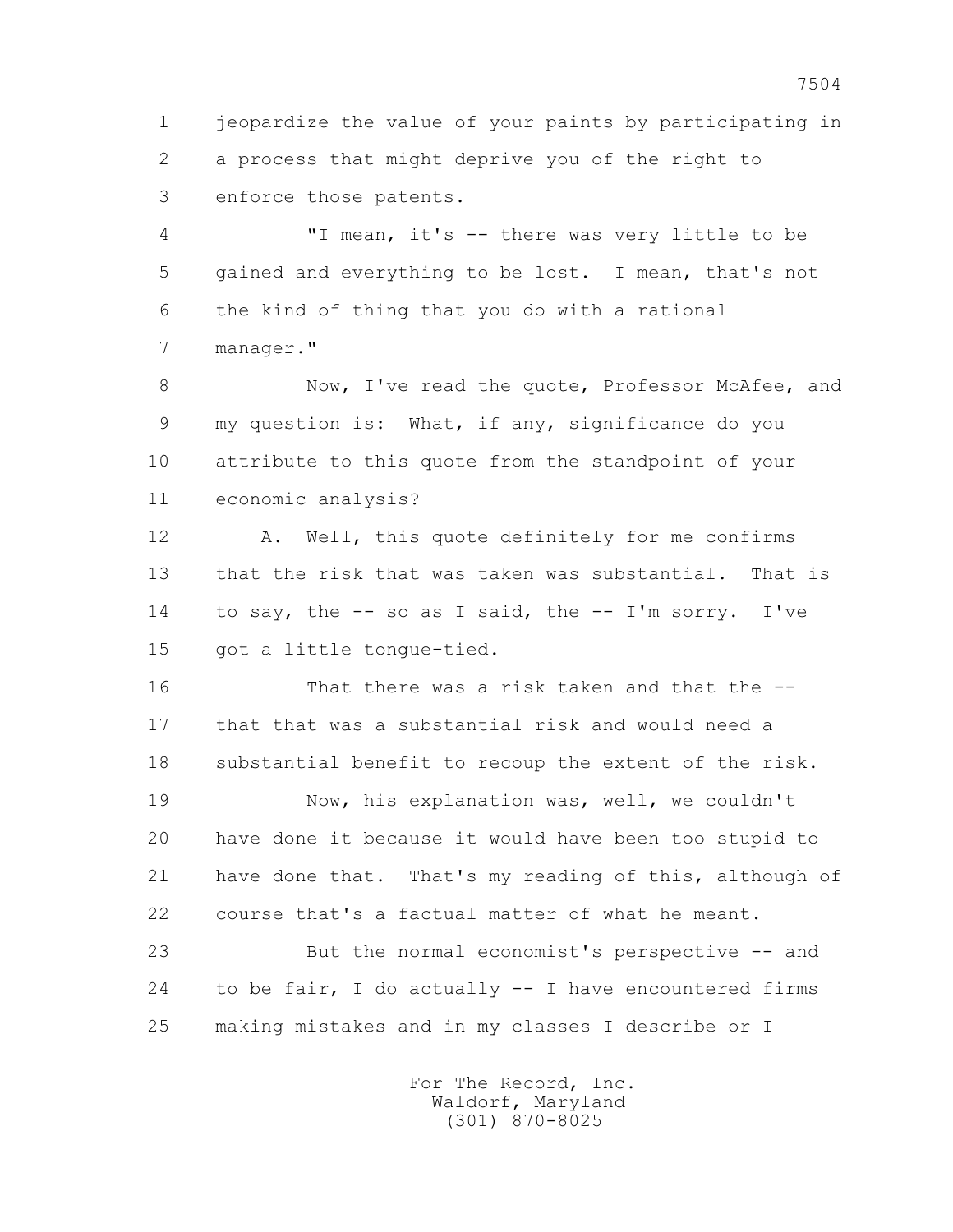1 jeopardize the value of your paints by participating in 2 a process that might deprive you of the right to 3 enforce those patents.

 4 "I mean, it's -- there was very little to be 5 gained and everything to be lost. I mean, that's not 6 the kind of thing that you do with a rational 7 manager."

8 Now, I've read the quote, Professor McAfee, and 9 my question is: What, if any, significance do you 10 attribute to this quote from the standpoint of your 11 economic analysis?

12 A. Well, this quote definitely for me confirms 13 that the risk that was taken was substantial. That is 14 to say, the -- so as I said, the -- I'm sorry. I've 15 got a little tongue-tied.

 16 That there was a risk taken and that the -- 17 that that was a substantial risk and would need a 18 substantial benefit to recoup the extent of the risk.

 19 Now, his explanation was, well, we couldn't 20 have done it because it would have been too stupid to 21 have done that. That's my reading of this, although of 22 course that's a factual matter of what he meant.

 23 But the normal economist's perspective -- and 24 to be fair, I do actually -- I have encountered firms 25 making mistakes and in my classes I describe or I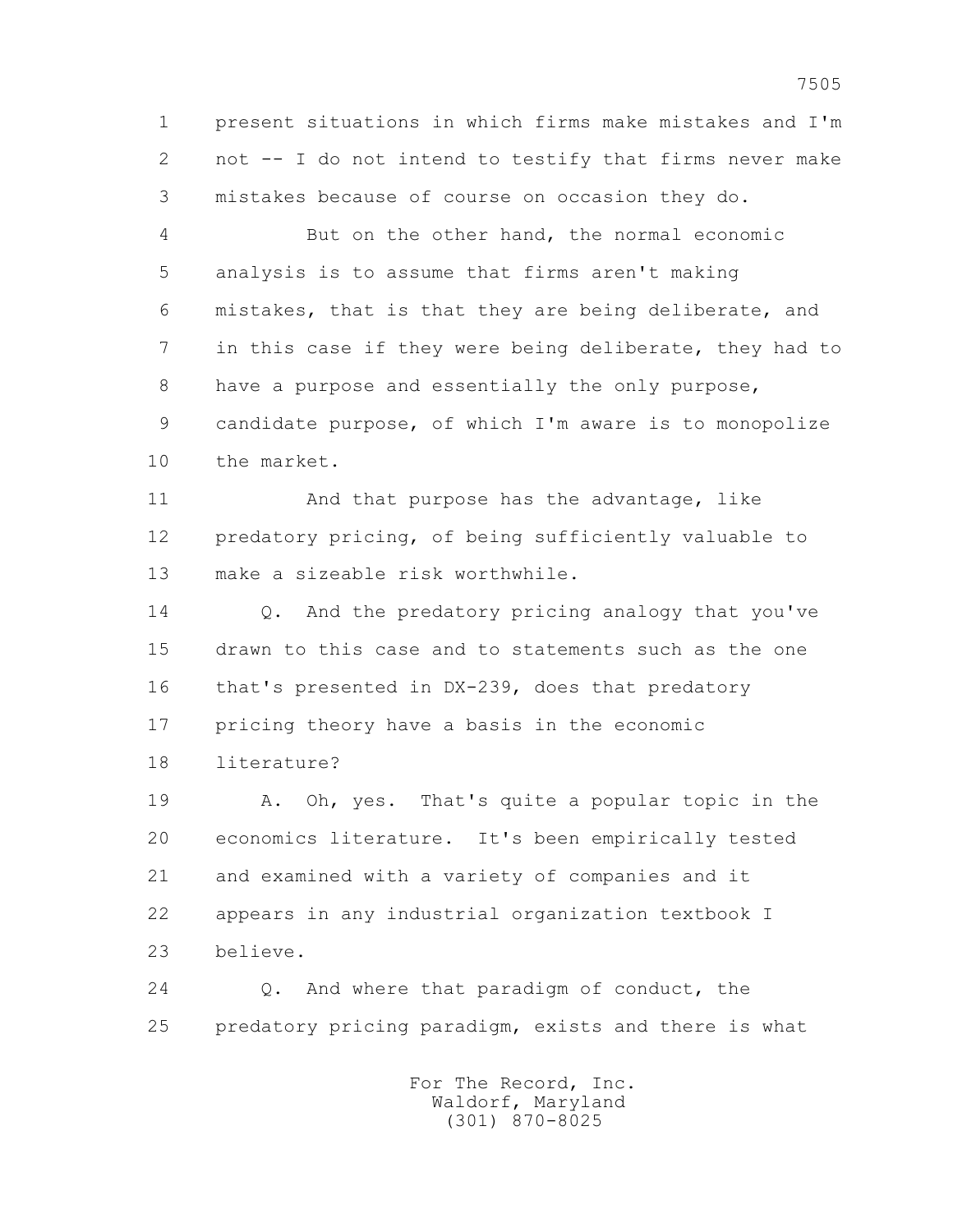1 present situations in which firms make mistakes and I'm 2 not -- I do not intend to testify that firms never make 3 mistakes because of course on occasion they do.

 4 But on the other hand, the normal economic 5 analysis is to assume that firms aren't making 6 mistakes, that is that they are being deliberate, and 7 in this case if they were being deliberate, they had to 8 have a purpose and essentially the only purpose, 9 candidate purpose, of which I'm aware is to monopolize 10 the market.

 11 And that purpose has the advantage, like 12 predatory pricing, of being sufficiently valuable to 13 make a sizeable risk worthwhile.

14 0. And the predatory pricing analogy that you've 15 drawn to this case and to statements such as the one 16 that's presented in DX-239, does that predatory 17 pricing theory have a basis in the economic

18 literature?

 19 A. Oh, yes. That's quite a popular topic in the 20 economics literature. It's been empirically tested 21 and examined with a variety of companies and it 22 appears in any industrial organization textbook I 23 believe.

 24 Q. And where that paradigm of conduct, the 25 predatory pricing paradigm, exists and there is what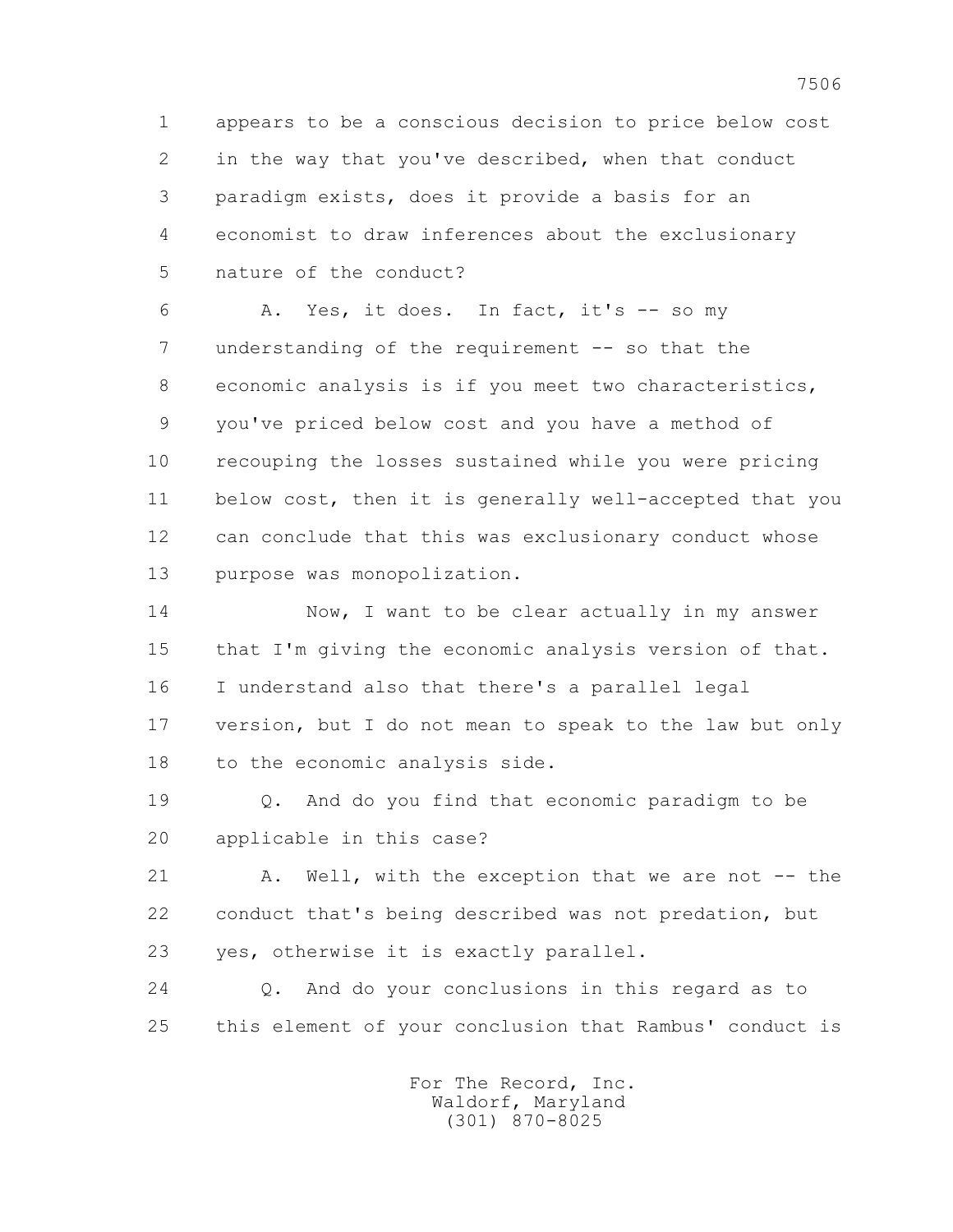1 appears to be a conscious decision to price below cost 2 in the way that you've described, when that conduct 3 paradigm exists, does it provide a basis for an 4 economist to draw inferences about the exclusionary 5 nature of the conduct?

 6 A. Yes, it does. In fact, it's -- so my 7 understanding of the requirement -- so that the 8 economic analysis is if you meet two characteristics, 9 you've priced below cost and you have a method of 10 recouping the losses sustained while you were pricing 11 below cost, then it is generally well-accepted that you 12 can conclude that this was exclusionary conduct whose 13 purpose was monopolization.

14 Now, I want to be clear actually in my answer 15 that I'm giving the economic analysis version of that. 16 I understand also that there's a parallel legal 17 version, but I do not mean to speak to the law but only 18 to the economic analysis side.

 19 Q. And do you find that economic paradigm to be 20 applicable in this case?

21 A. Well, with the exception that we are not -- the 22 conduct that's being described was not predation, but 23 yes, otherwise it is exactly parallel.

 24 Q. And do your conclusions in this regard as to 25 this element of your conclusion that Rambus' conduct is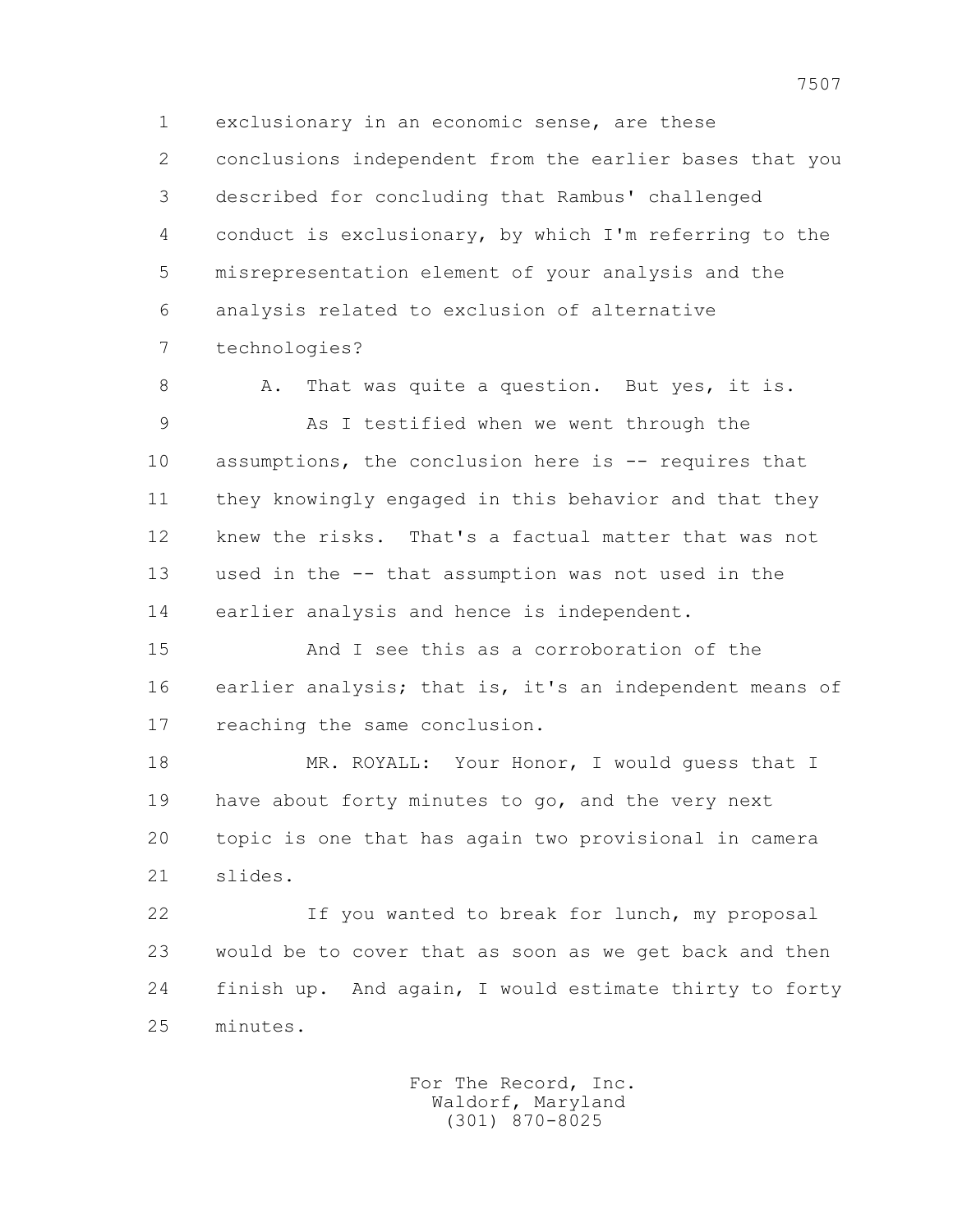1 exclusionary in an economic sense, are these 2 conclusions independent from the earlier bases that you 3 described for concluding that Rambus' challenged 4 conduct is exclusionary, by which I'm referring to the 5 misrepresentation element of your analysis and the 6 analysis related to exclusion of alternative 7 technologies?

8 A. That was quite a question. But yes, it is. 9 As I testified when we went through the 10 assumptions, the conclusion here is -- requires that 11 they knowingly engaged in this behavior and that they 12 knew the risks. That's a factual matter that was not 13 used in the -- that assumption was not used in the 14 earlier analysis and hence is independent.

 15 And I see this as a corroboration of the 16 earlier analysis; that is, it's an independent means of 17 reaching the same conclusion.

18 MR. ROYALL: Your Honor, I would quess that I 19 have about forty minutes to go, and the very next 20 topic is one that has again two provisional in camera 21 slides.

 22 If you wanted to break for lunch, my proposal 23 would be to cover that as soon as we get back and then 24 finish up. And again, I would estimate thirty to forty 25 minutes.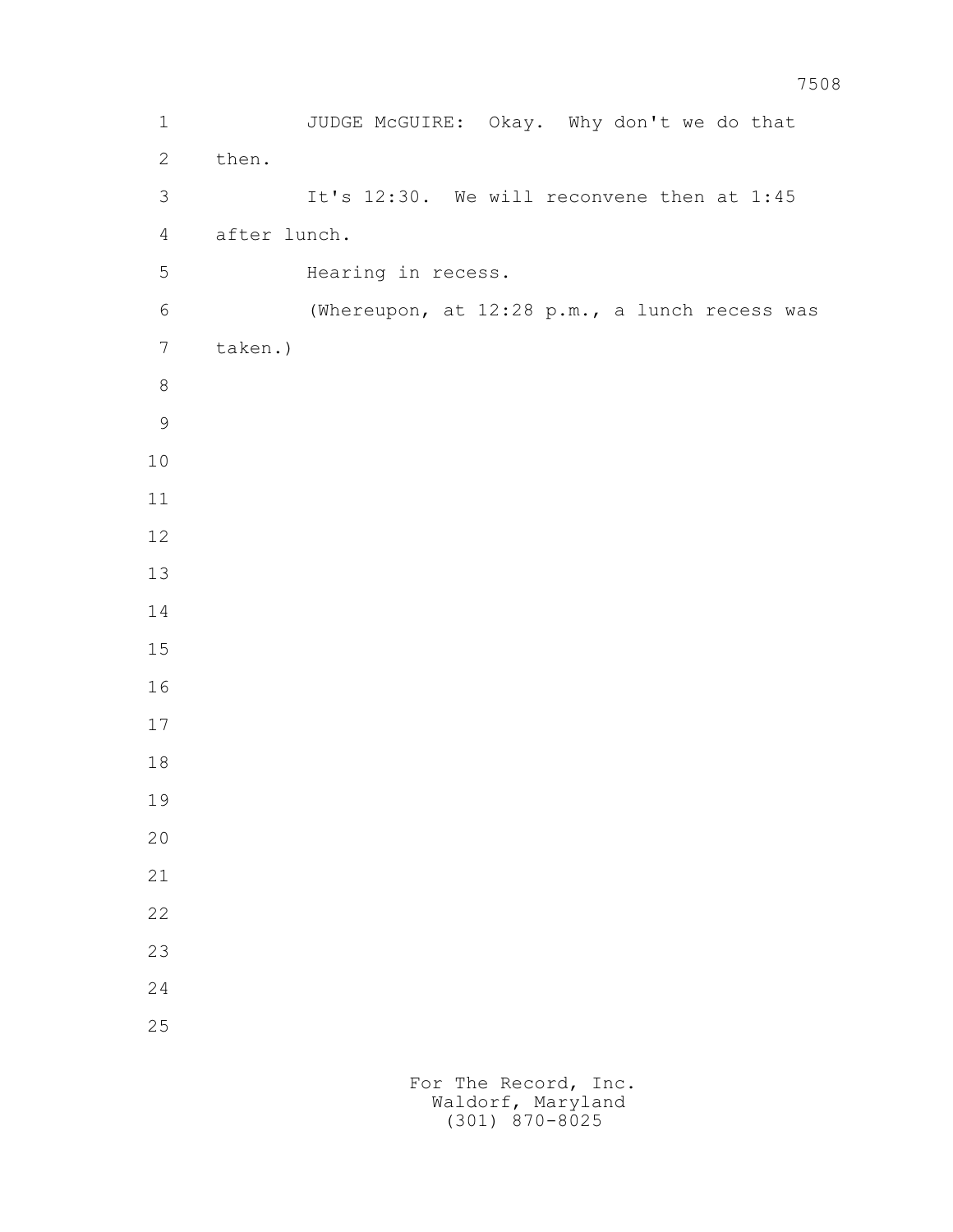1 JUDGE McGUIRE: Okay. Why don't we do that 2 then. 3 It's 12:30. We will reconvene then at 1:45 4 after lunch. 5 Hearing in recess. 6 (Whereupon, at 12:28 p.m., a lunch recess was 7 taken.)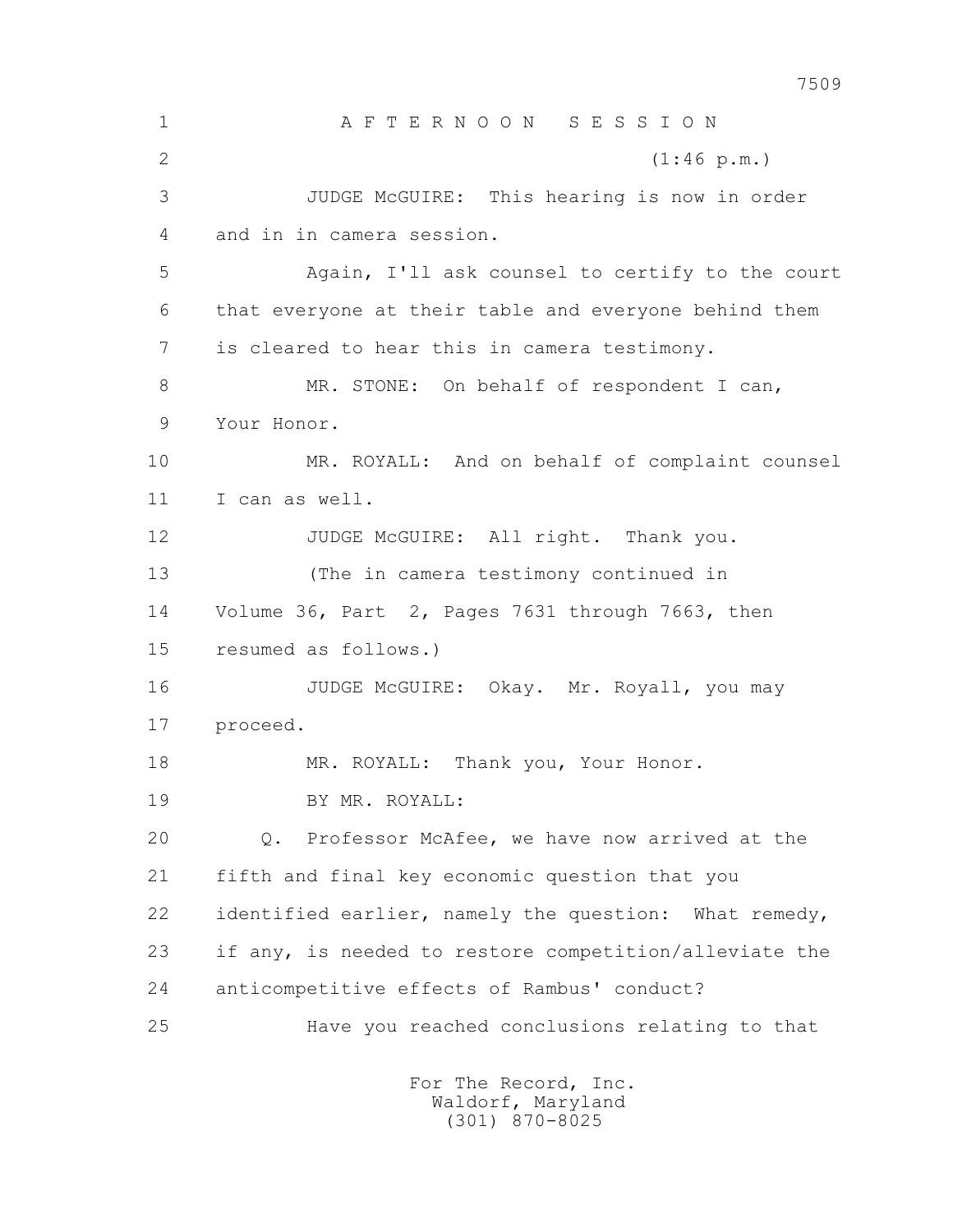7509 1 A F T E R N O O N S E S S I O N 2 (1:46 p.m.) 3 JUDGE McGUIRE: This hearing is now in order 4 and in in camera session. 5 Again, I'll ask counsel to certify to the court 6 that everyone at their table and everyone behind them 7 is cleared to hear this in camera testimony. 8 MR. STONE: On behalf of respondent I can, 9 Your Honor. 10 MR. ROYALL: And on behalf of complaint counsel 11 I can as well. 12 JUDGE McGUIRE: All right. Thank you. 13 (The in camera testimony continued in 14 Volume 36, Part 2, Pages 7631 through 7663, then 15 resumed as follows.) 16 JUDGE McGUIRE: Okay. Mr. Royall, you may 17 proceed. 18 MR. ROYALL: Thank you, Your Honor. 19 BY MR. ROYALL: 20 Q. Professor McAfee, we have now arrived at the 21 fifth and final key economic question that you 22 identified earlier, namely the question: What remedy, 23 if any, is needed to restore competition/alleviate the 24 anticompetitive effects of Rambus' conduct? 25 Have you reached conclusions relating to that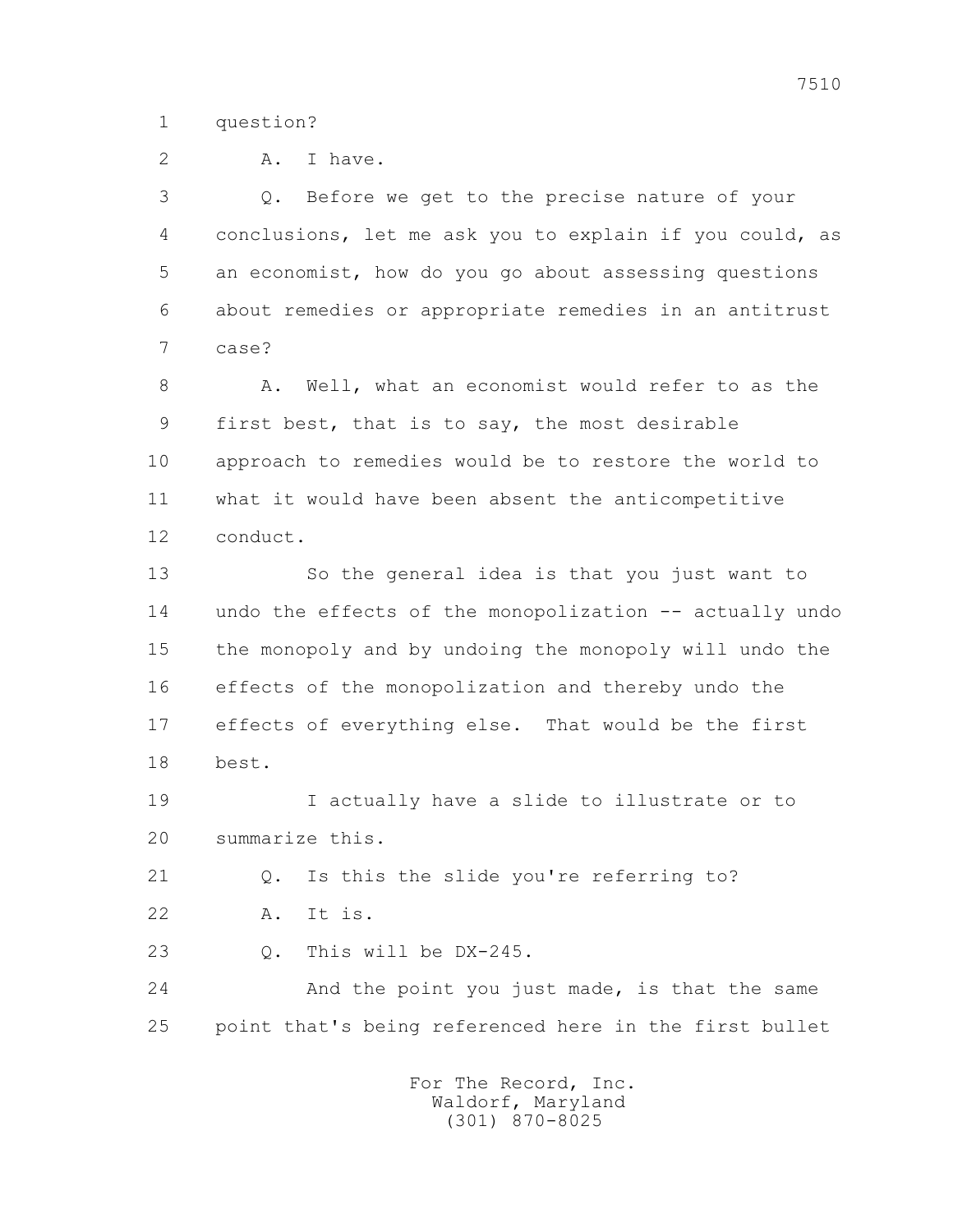1 question?

2 A. I have.

 3 Q. Before we get to the precise nature of your 4 conclusions, let me ask you to explain if you could, as 5 an economist, how do you go about assessing questions 6 about remedies or appropriate remedies in an antitrust 7 case?

 8 A. Well, what an economist would refer to as the 9 first best, that is to say, the most desirable 10 approach to remedies would be to restore the world to 11 what it would have been absent the anticompetitive 12 conduct.

 13 So the general idea is that you just want to 14 undo the effects of the monopolization -- actually undo 15 the monopoly and by undoing the monopoly will undo the 16 effects of the monopolization and thereby undo the 17 effects of everything else. That would be the first 18 best.

 19 I actually have a slide to illustrate or to 20 summarize this.

21 Q. Is this the slide you're referring to?

22 A. It is.

23 Q. This will be DX-245.

 24 And the point you just made, is that the same 25 point that's being referenced here in the first bullet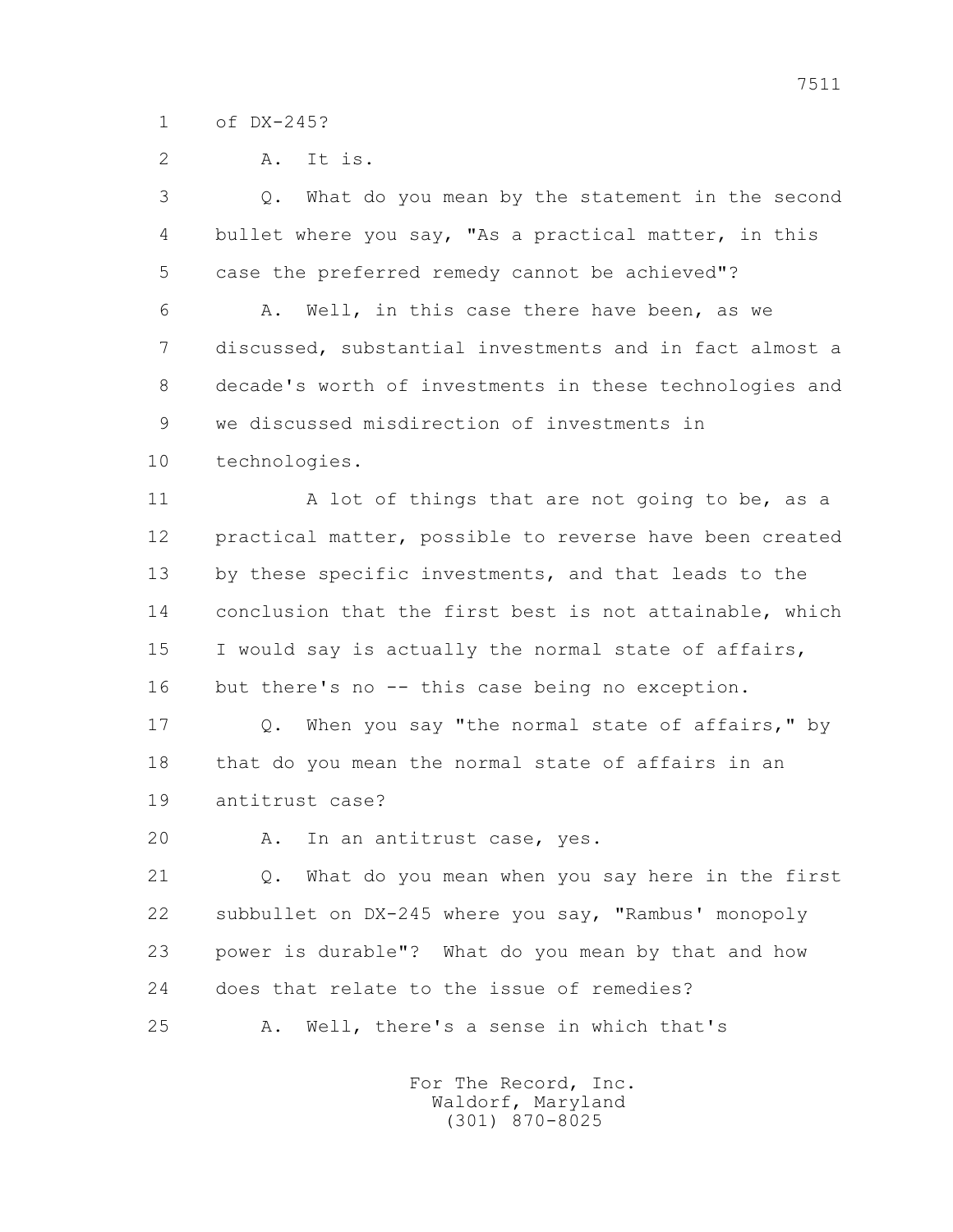1 of DX-245?

2 A. It is.

 3 Q. What do you mean by the statement in the second 4 bullet where you say, "As a practical matter, in this 5 case the preferred remedy cannot be achieved"? 6 A. Well, in this case there have been, as we 7 discussed, substantial investments and in fact almost a 8 decade's worth of investments in these technologies and 9 we discussed misdirection of investments in 10 technologies. 11 A lot of things that are not going to be, as a 12 practical matter, possible to reverse have been created 13 by these specific investments, and that leads to the 14 conclusion that the first best is not attainable, which 15 I would say is actually the normal state of affairs, 16 but there's no -- this case being no exception. 17 Q. When you say "the normal state of affairs," by 18 that do you mean the normal state of affairs in an 19 antitrust case? 20 A. In an antitrust case, yes. 21 Q. What do you mean when you say here in the first 22 subbullet on DX-245 where you say, "Rambus' monopoly 23 power is durable"? What do you mean by that and how 24 does that relate to the issue of remedies? 25 A. Well, there's a sense in which that's For The Record, Inc.

 Waldorf, Maryland (301) 870-8025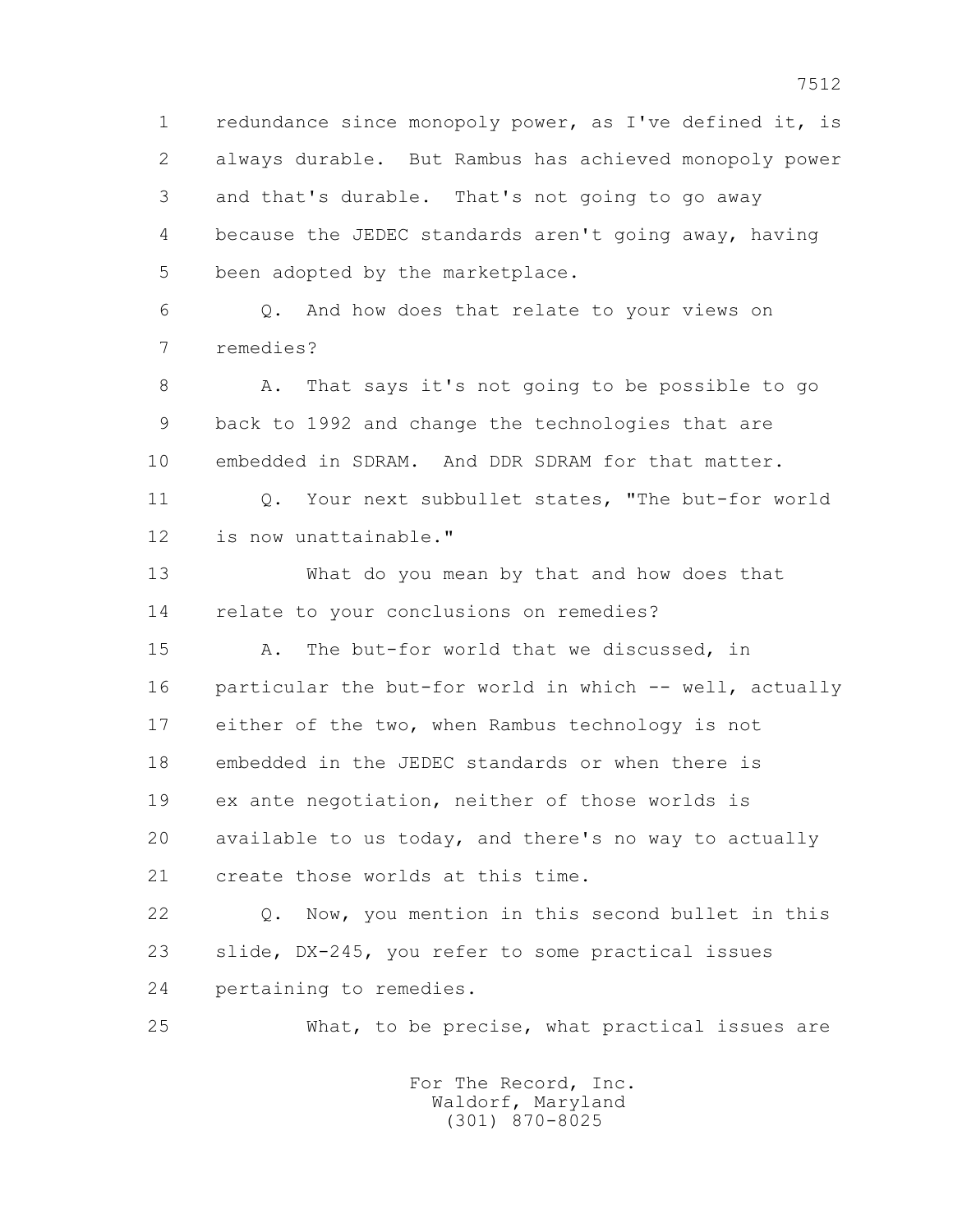1 redundance since monopoly power, as I've defined it, is 2 always durable. But Rambus has achieved monopoly power 3 and that's durable. That's not going to go away 4 because the JEDEC standards aren't going away, having 5 been adopted by the marketplace. 6 Q. And how does that relate to your views on

7 remedies?

 8 A. That says it's not going to be possible to go 9 back to 1992 and change the technologies that are 10 embedded in SDRAM. And DDR SDRAM for that matter.

11 0. Your next subbullet states, "The but-for world 12 is now unattainable."

 13 What do you mean by that and how does that 14 relate to your conclusions on remedies?

 15 A. The but-for world that we discussed, in 16 particular the but-for world in which -- well, actually 17 either of the two, when Rambus technology is not 18 embedded in the JEDEC standards or when there is 19 ex ante negotiation, neither of those worlds is 20 available to us today, and there's no way to actually 21 create those worlds at this time.

 22 Q. Now, you mention in this second bullet in this 23 slide, DX-245, you refer to some practical issues 24 pertaining to remedies.

25 What, to be precise, what practical issues are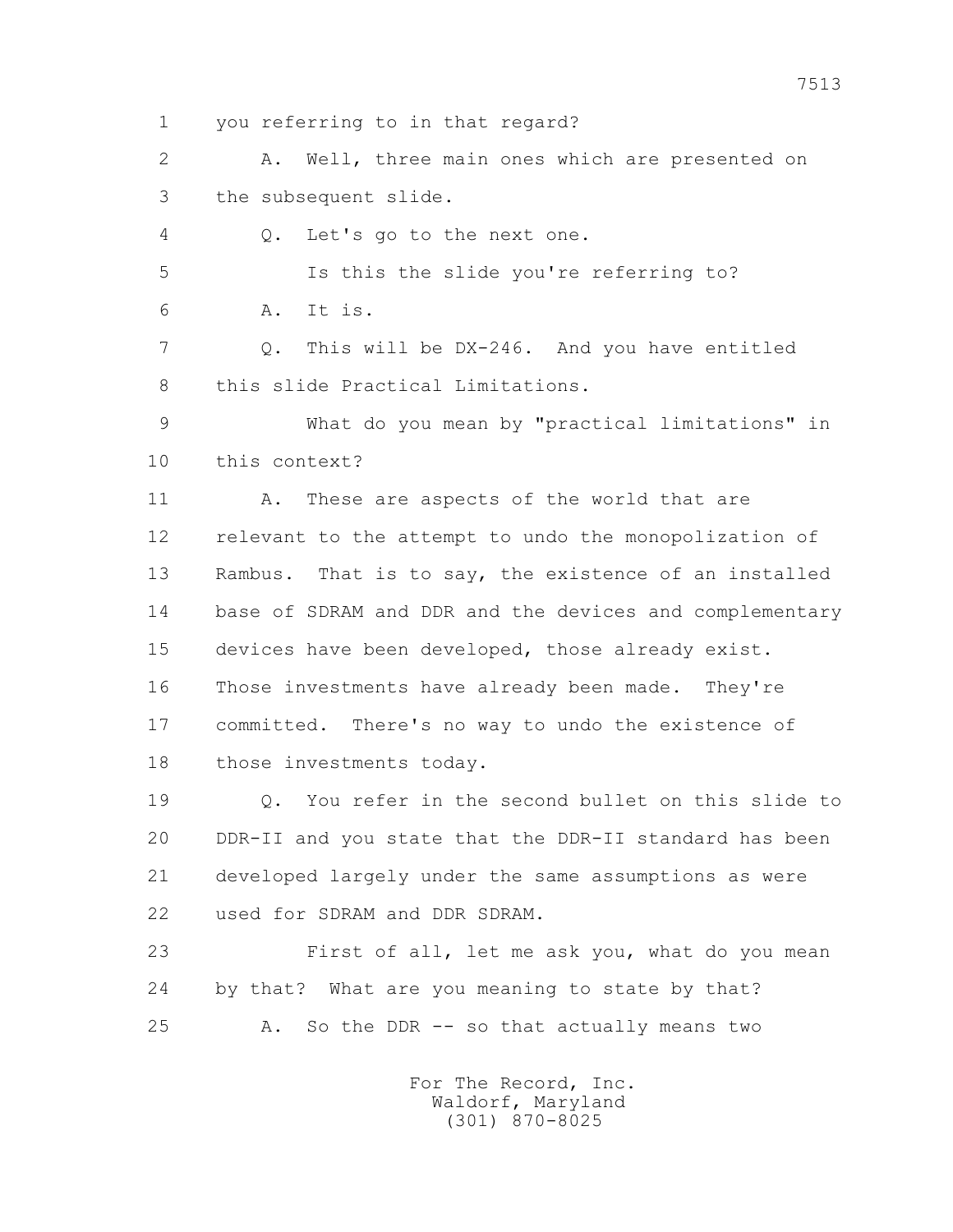1 you referring to in that regard?

 2 A. Well, three main ones which are presented on 3 the subsequent slide.

4 Q. Let's go to the next one.

 5 Is this the slide you're referring to? 6 A. It is.

 7 Q. This will be DX-246. And you have entitled 8 this slide Practical Limitations.

 9 What do you mean by "practical limitations" in 10 this context?

11 A. These are aspects of the world that are 12 relevant to the attempt to undo the monopolization of 13 Rambus. That is to say, the existence of an installed 14 base of SDRAM and DDR and the devices and complementary 15 devices have been developed, those already exist. 16 Those investments have already been made. They're 17 committed. There's no way to undo the existence of 18 those investments today.

 19 Q. You refer in the second bullet on this slide to 20 DDR-II and you state that the DDR-II standard has been 21 developed largely under the same assumptions as were 22 used for SDRAM and DDR SDRAM.

 23 First of all, let me ask you, what do you mean 24 by that? What are you meaning to state by that? 25 A. So the DDR -- so that actually means two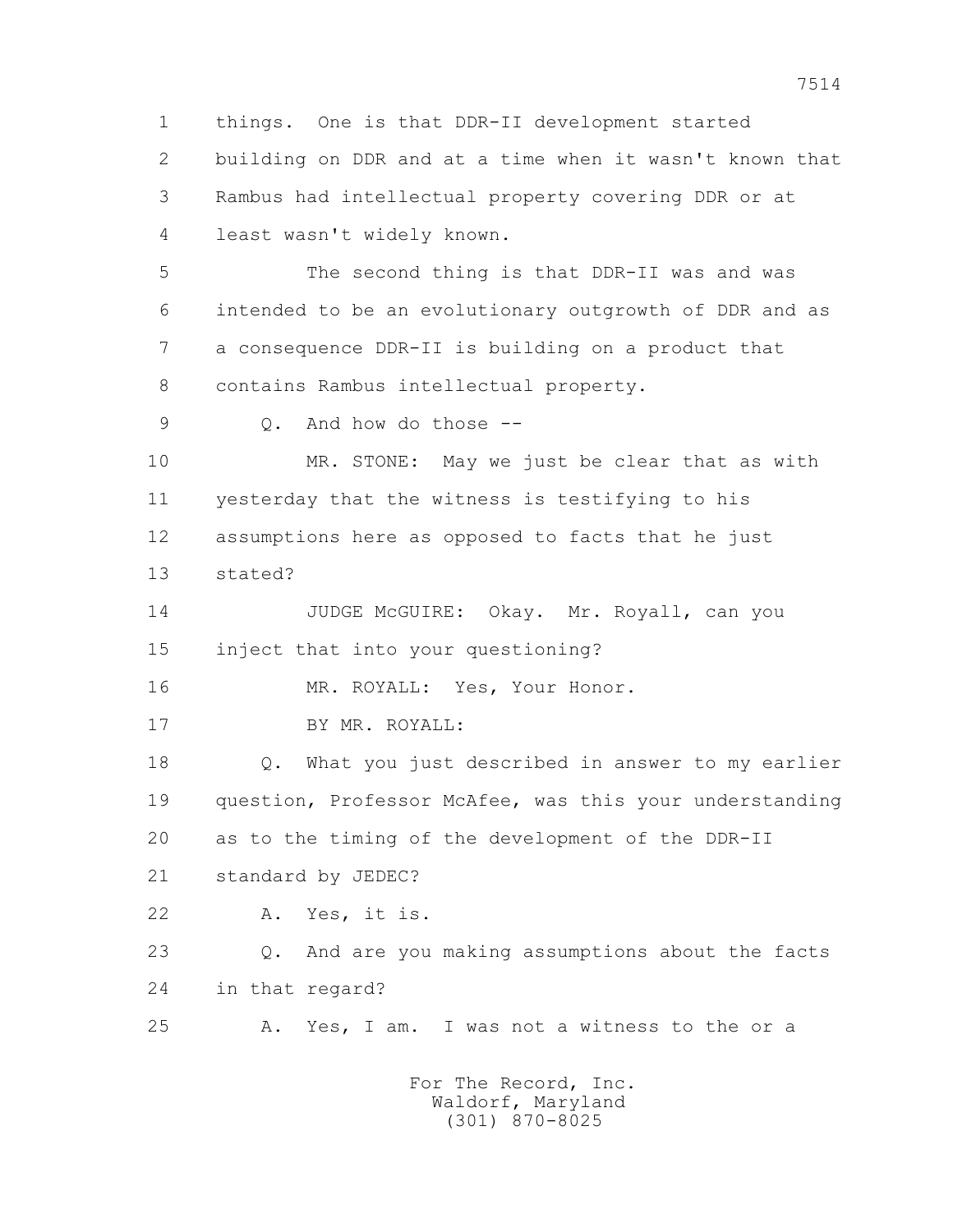1 things. One is that DDR-II development started 2 building on DDR and at a time when it wasn't known that 3 Rambus had intellectual property covering DDR or at 4 least wasn't widely known. 5 The second thing is that DDR-II was and was 6 intended to be an evolutionary outgrowth of DDR and as 7 a consequence DDR-II is building on a product that 8 contains Rambus intellectual property. 9 Q. And how do those -- 10 MR. STONE: May we just be clear that as with 11 yesterday that the witness is testifying to his 12 assumptions here as opposed to facts that he just 13 stated? 14 JUDGE McGUIRE: Okay. Mr. Royall, can you 15 inject that into your questioning? 16 MR. ROYALL: Yes, Your Honor. 17 BY MR. ROYALL: 18 Q. What you just described in answer to my earlier 19 question, Professor McAfee, was this your understanding 20 as to the timing of the development of the DDR-II 21 standard by JEDEC? 22 A. Yes, it is. 23 Q. And are you making assumptions about the facts 24 in that regard?

> For The Record, Inc. Waldorf, Maryland (301) 870-8025

25 A. Yes, I am. I was not a witness to the or a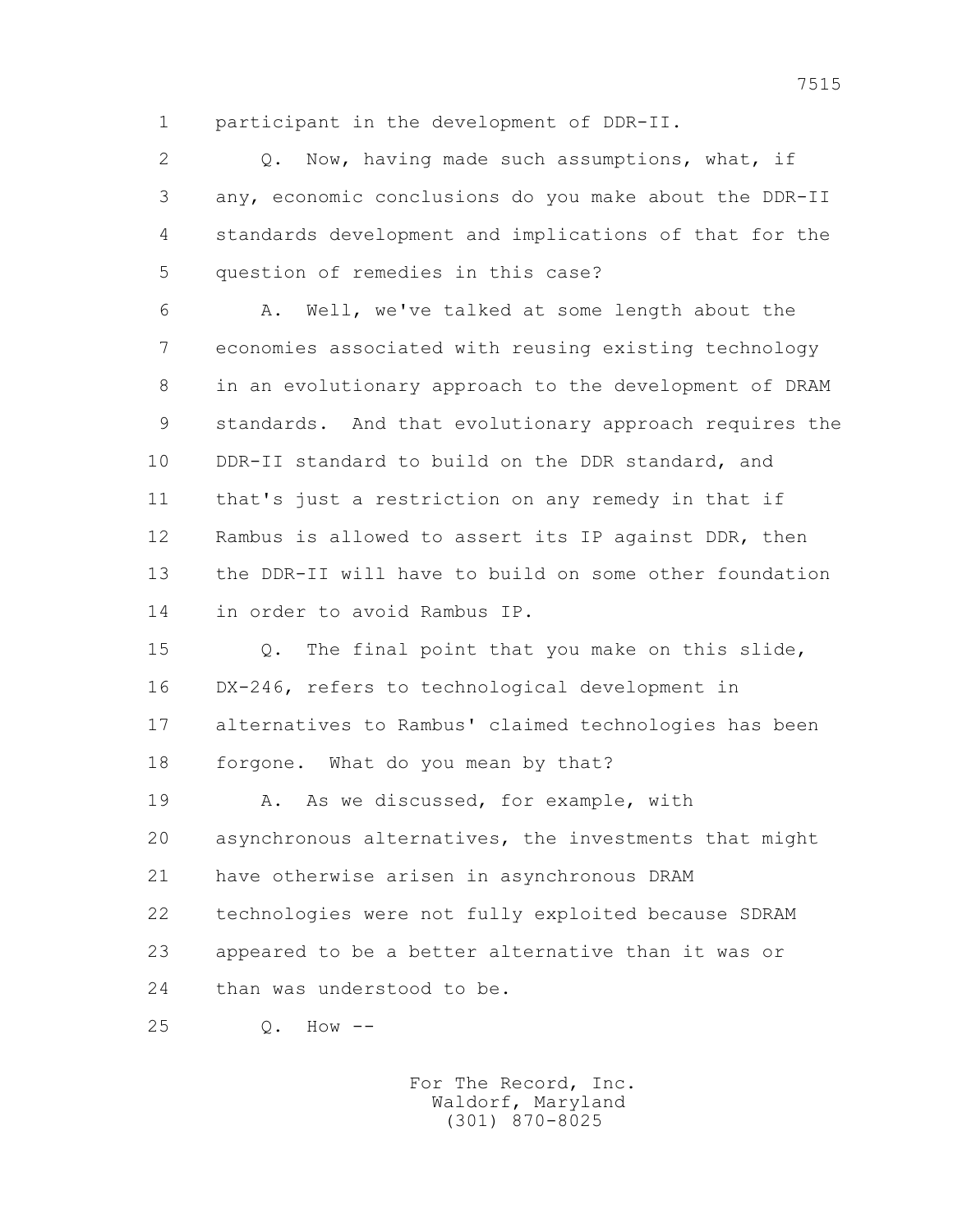1 participant in the development of DDR-II.

2 0. Now, having made such assumptions, what, if 3 any, economic conclusions do you make about the DDR-II 4 standards development and implications of that for the 5 question of remedies in this case?

 6 A. Well, we've talked at some length about the 7 economies associated with reusing existing technology 8 in an evolutionary approach to the development of DRAM 9 standards. And that evolutionary approach requires the 10 DDR-II standard to build on the DDR standard, and 11 that's just a restriction on any remedy in that if 12 Rambus is allowed to assert its IP against DDR, then 13 the DDR-II will have to build on some other foundation 14 in order to avoid Rambus IP.

 15 Q. The final point that you make on this slide, 16 DX-246, refers to technological development in 17 alternatives to Rambus' claimed technologies has been 18 forgone. What do you mean by that?

 19 A. As we discussed, for example, with 20 asynchronous alternatives, the investments that might 21 have otherwise arisen in asynchronous DRAM 22 technologies were not fully exploited because SDRAM 23 appeared to be a better alternative than it was or 24 than was understood to be.

25 Q. How --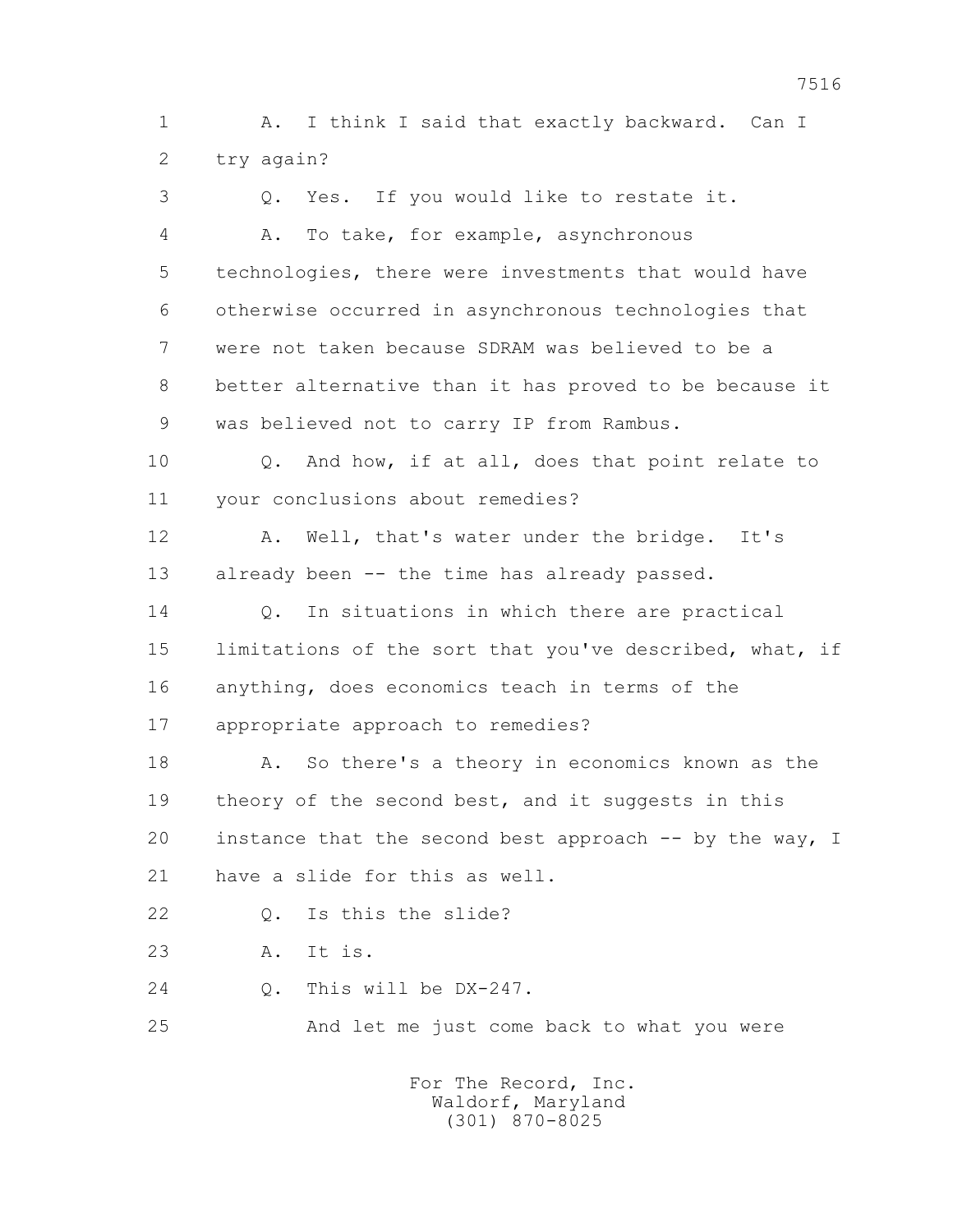1 A. I think I said that exactly backward. Can I 2 try again?

 3 Q. Yes. If you would like to restate it. 4 A. To take, for example, asynchronous 5 technologies, there were investments that would have 6 otherwise occurred in asynchronous technologies that 7 were not taken because SDRAM was believed to be a 8 better alternative than it has proved to be because it 9 was believed not to carry IP from Rambus. 10 Q. And how, if at all, does that point relate to 11 your conclusions about remedies? 12 A. Well, that's water under the bridge. It's 13 already been -- the time has already passed. 14 0. In situations in which there are practical 15 limitations of the sort that you've described, what, if 16 anything, does economics teach in terms of the 17 appropriate approach to remedies? 18 A. So there's a theory in economics known as the 19 theory of the second best, and it suggests in this 20 instance that the second best approach -- by the way, I 21 have a slide for this as well. 22 Q. Is this the slide? 23 A. It is. 24 Q. This will be DX-247. 25 And let me just come back to what you were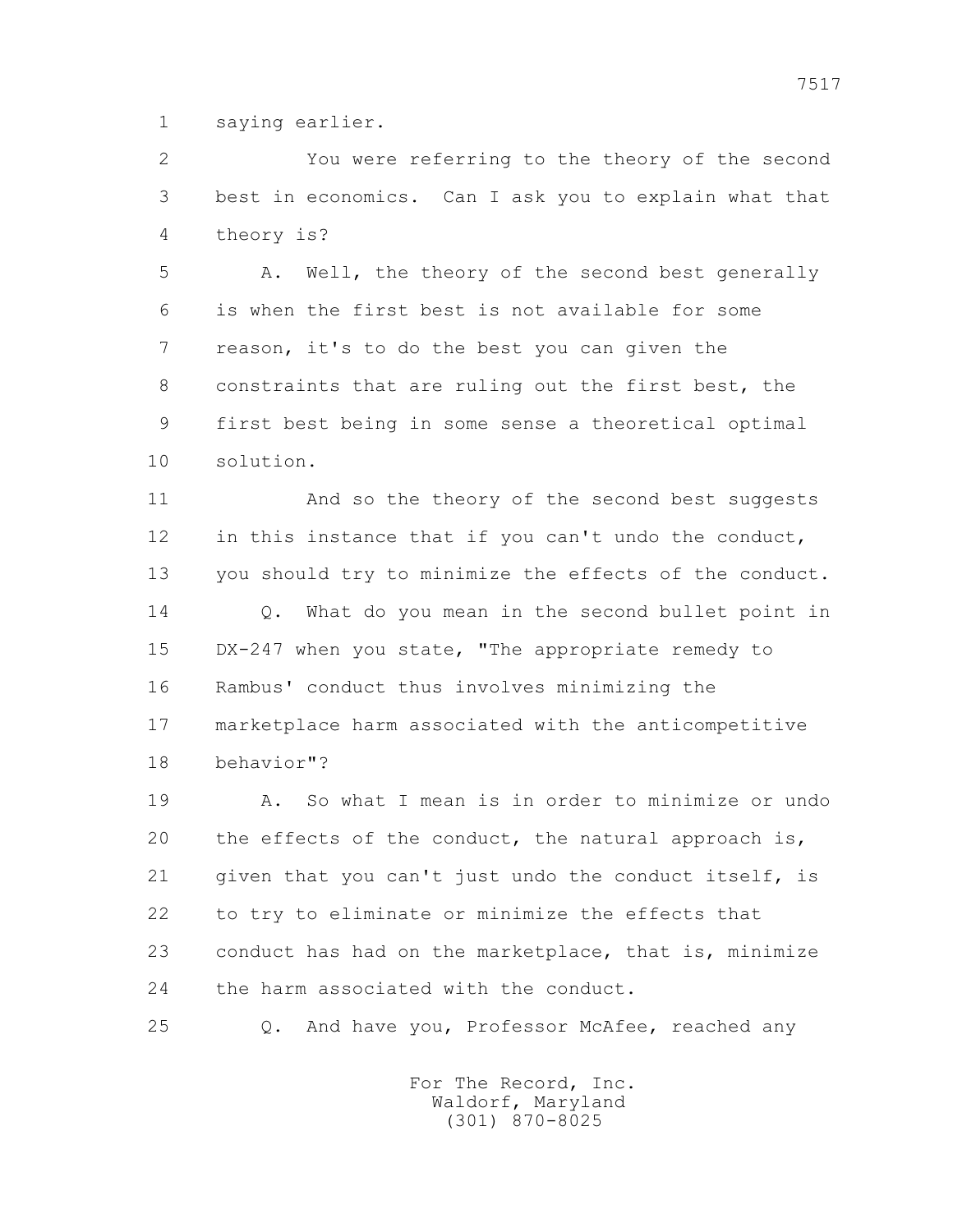1 saying earlier.

 2 You were referring to the theory of the second 3 best in economics. Can I ask you to explain what that 4 theory is?

 5 A. Well, the theory of the second best generally 6 is when the first best is not available for some 7 reason, it's to do the best you can given the 8 constraints that are ruling out the first best, the 9 first best being in some sense a theoretical optimal 10 solution.

 11 And so the theory of the second best suggests 12 in this instance that if you can't undo the conduct, 13 you should try to minimize the effects of the conduct. 14 0. What do you mean in the second bullet point in 15 DX-247 when you state, "The appropriate remedy to 16 Rambus' conduct thus involves minimizing the 17 marketplace harm associated with the anticompetitive 18 behavior"?

 19 A. So what I mean is in order to minimize or undo 20 the effects of the conduct, the natural approach is, 21 given that you can't just undo the conduct itself, is 22 to try to eliminate or minimize the effects that 23 conduct has had on the marketplace, that is, minimize 24 the harm associated with the conduct.

25 Q. And have you, Professor McAfee, reached any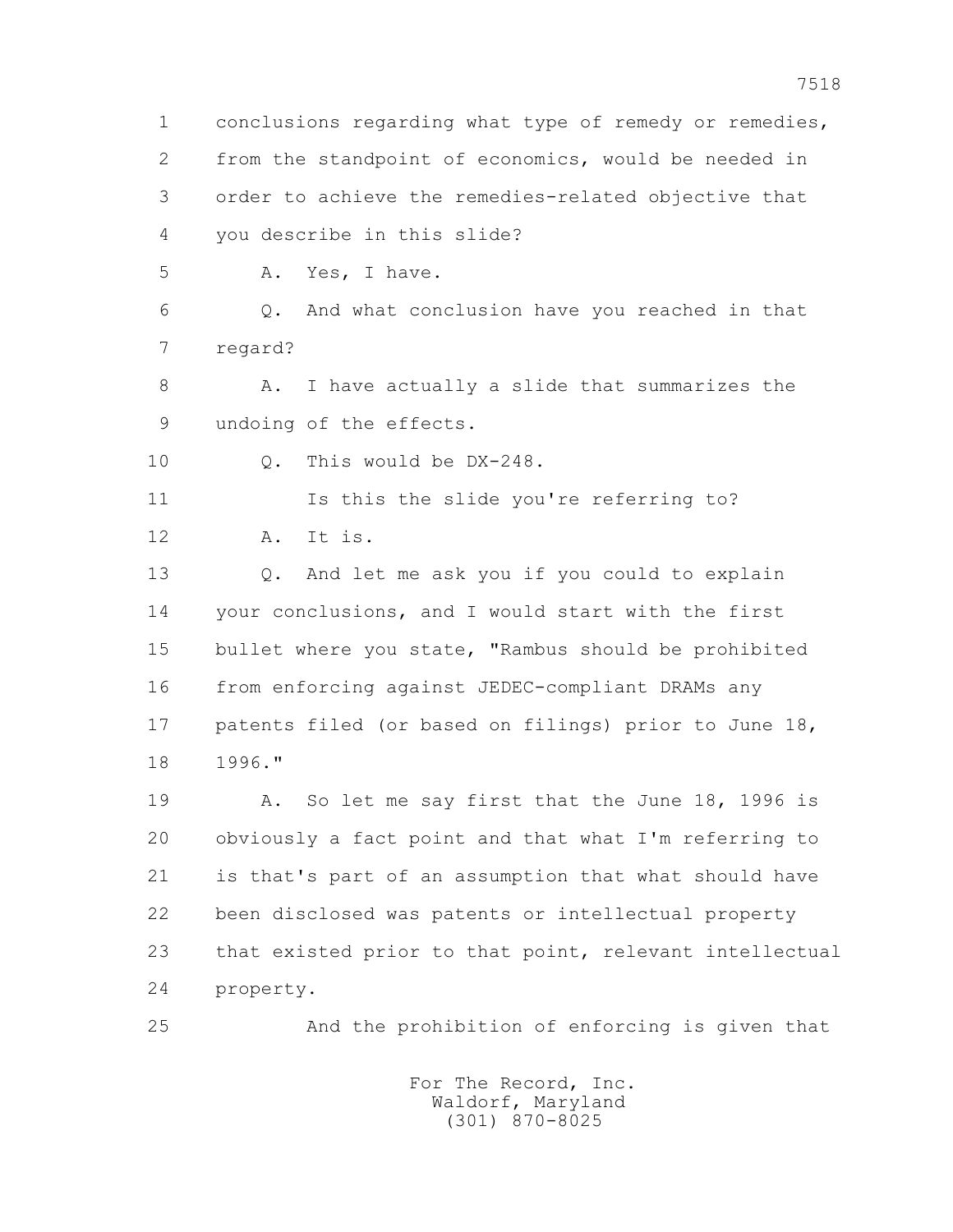1 conclusions regarding what type of remedy or remedies, 2 from the standpoint of economics, would be needed in 3 order to achieve the remedies-related objective that 4 you describe in this slide? 5 A. Yes, I have. 6 Q. And what conclusion have you reached in that 7 regard? 8 A. I have actually a slide that summarizes the 9 undoing of the effects. 10 Q. This would be DX-248. 11 Is this the slide you're referring to? 12 A. It is. 13 Q. And let me ask you if you could to explain 14 your conclusions, and I would start with the first 15 bullet where you state, "Rambus should be prohibited 16 from enforcing against JEDEC-compliant DRAMs any 17 patents filed (or based on filings) prior to June 18, 18 1996." 19 A. So let me say first that the June 18, 1996 is 20 obviously a fact point and that what I'm referring to 21 is that's part of an assumption that what should have 22 been disclosed was patents or intellectual property 23 that existed prior to that point, relevant intellectual 24 property. 25 And the prohibition of enforcing is given that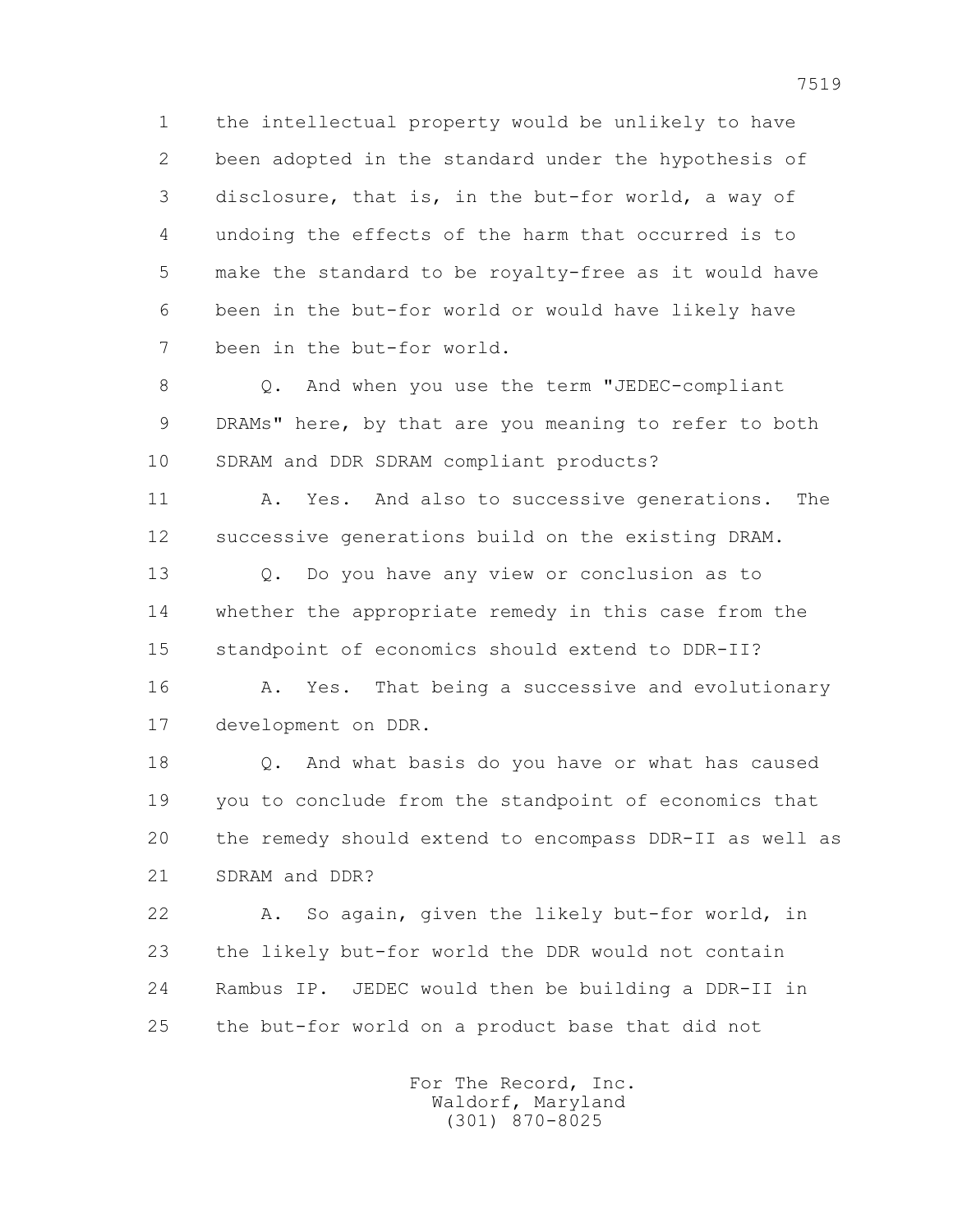1 the intellectual property would be unlikely to have 2 been adopted in the standard under the hypothesis of 3 disclosure, that is, in the but-for world, a way of 4 undoing the effects of the harm that occurred is to 5 make the standard to be royalty-free as it would have 6 been in the but-for world or would have likely have 7 been in the but-for world.

 8 Q. And when you use the term "JEDEC-compliant 9 DRAMs" here, by that are you meaning to refer to both 10 SDRAM and DDR SDRAM compliant products?

11 A. Yes. And also to successive generations. The 12 successive generations build on the existing DRAM.

 13 Q. Do you have any view or conclusion as to 14 whether the appropriate remedy in this case from the 15 standpoint of economics should extend to DDR-II?

16 A. Yes. That being a successive and evolutionary 17 development on DDR.

 18 Q. And what basis do you have or what has caused 19 you to conclude from the standpoint of economics that 20 the remedy should extend to encompass DDR-II as well as 21 SDRAM and DDR?

 22 A. So again, given the likely but-for world, in 23 the likely but-for world the DDR would not contain 24 Rambus IP. JEDEC would then be building a DDR-II in 25 the but-for world on a product base that did not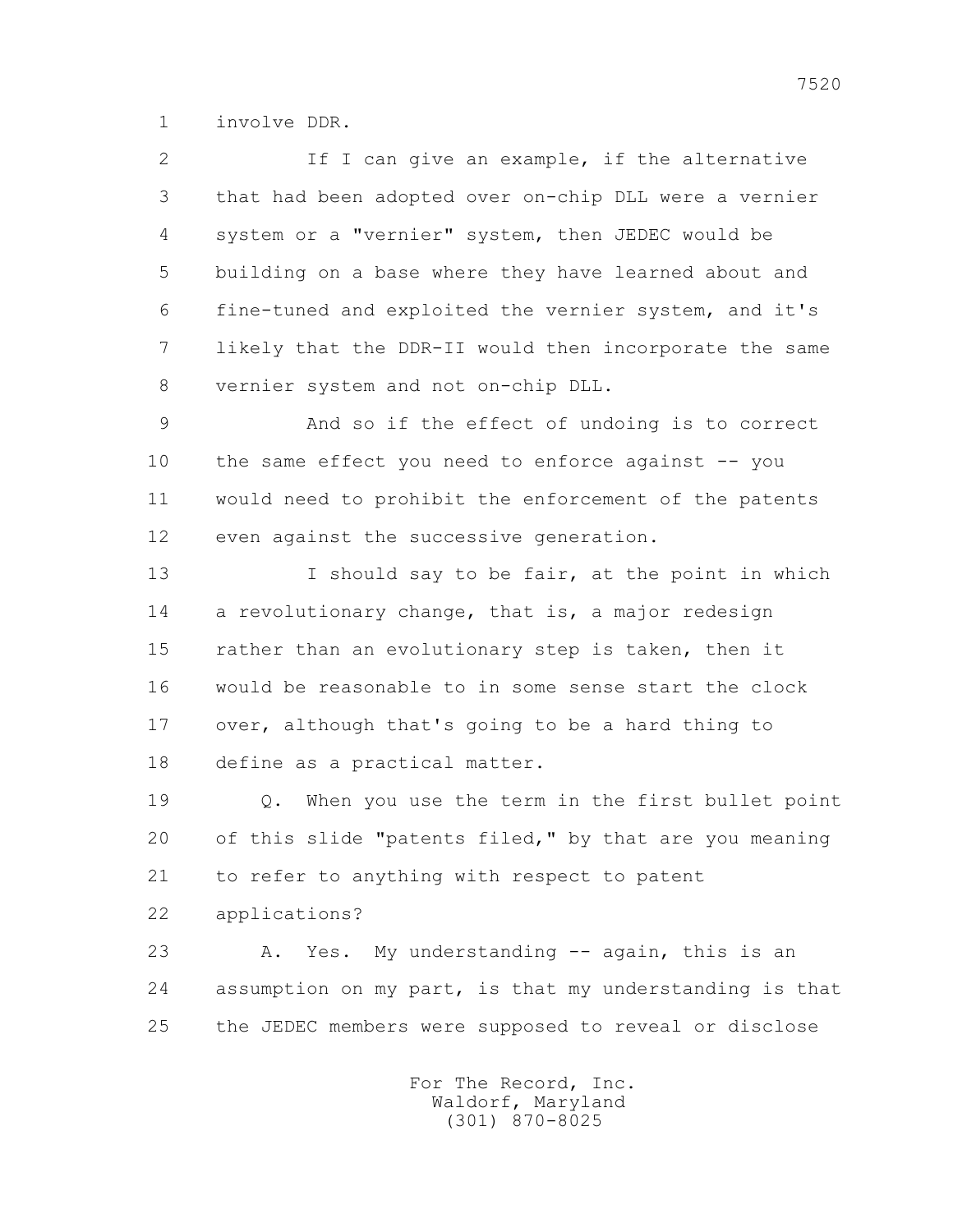1 involve DDR.

 2 If I can give an example, if the alternative 3 that had been adopted over on-chip DLL were a vernier 4 system or a "vernier" system, then JEDEC would be 5 building on a base where they have learned about and 6 fine-tuned and exploited the vernier system, and it's 7 likely that the DDR-II would then incorporate the same 8 vernier system and not on-chip DLL.

 9 And so if the effect of undoing is to correct 10 the same effect you need to enforce against -- you 11 would need to prohibit the enforcement of the patents 12 even against the successive generation.

 13 I should say to be fair, at the point in which 14 a revolutionary change, that is, a major redesign 15 rather than an evolutionary step is taken, then it 16 would be reasonable to in some sense start the clock 17 over, although that's going to be a hard thing to 18 define as a practical matter.

 19 Q. When you use the term in the first bullet point 20 of this slide "patents filed," by that are you meaning 21 to refer to anything with respect to patent 22 applications?

 23 A. Yes. My understanding -- again, this is an 24 assumption on my part, is that my understanding is that 25 the JEDEC members were supposed to reveal or disclose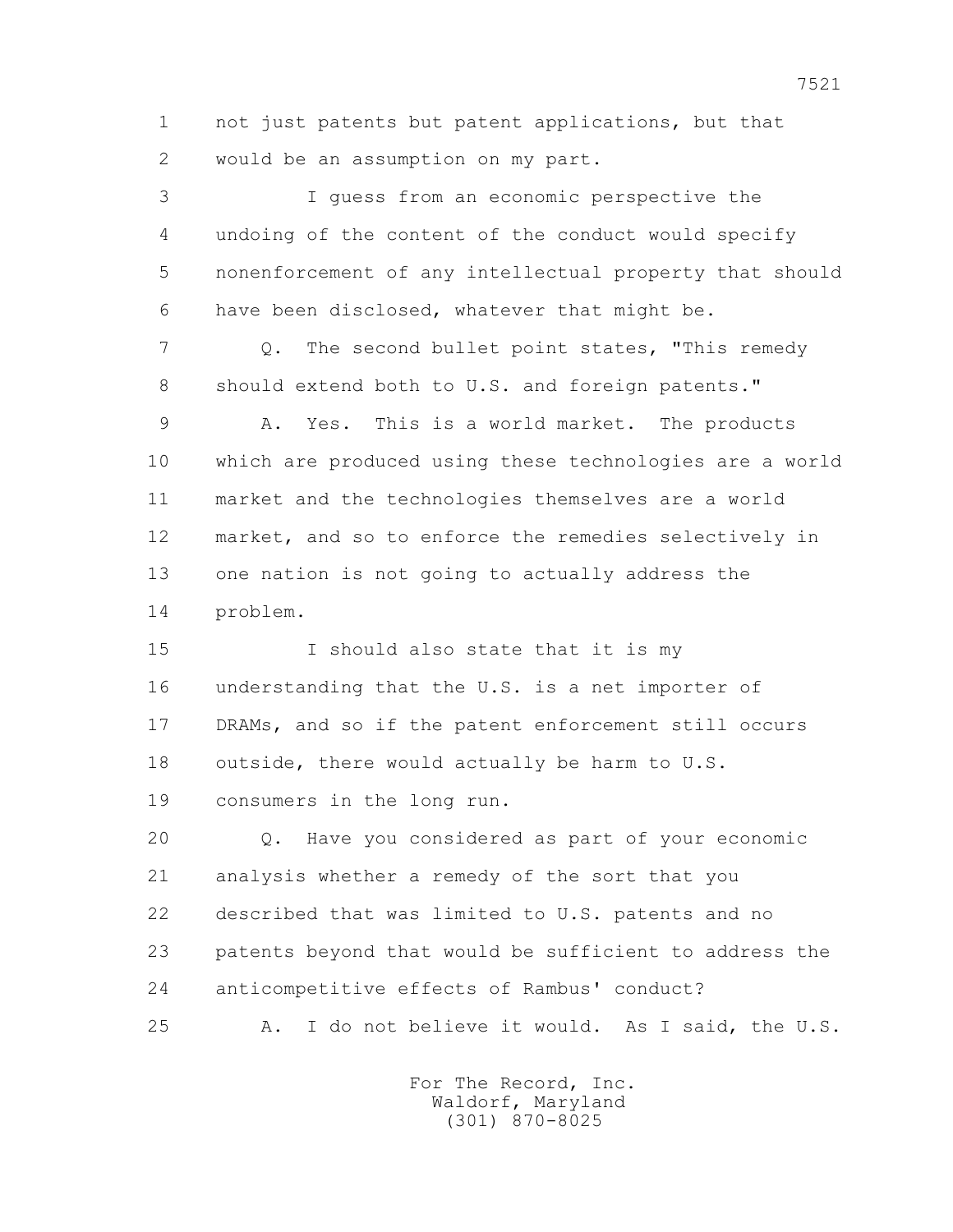1 not just patents but patent applications, but that 2 would be an assumption on my part.

 3 I guess from an economic perspective the 4 undoing of the content of the conduct would specify 5 nonenforcement of any intellectual property that should 6 have been disclosed, whatever that might be. 7 Q. The second bullet point states, "This remedy 8 should extend both to U.S. and foreign patents." 9 A. Yes. This is a world market. The products 10 which are produced using these technologies are a world 11 market and the technologies themselves are a world 12 market, and so to enforce the remedies selectively in 13 one nation is not going to actually address the 14 problem. 15 I should also state that it is my 16 understanding that the U.S. is a net importer of 17 DRAMs, and so if the patent enforcement still occurs 18 outside, there would actually be harm to U.S. 19 consumers in the long run.

 20 Q. Have you considered as part of your economic 21 analysis whether a remedy of the sort that you 22 described that was limited to U.S. patents and no 23 patents beyond that would be sufficient to address the 24 anticompetitive effects of Rambus' conduct? 25 A. I do not believe it would. As I said, the U.S.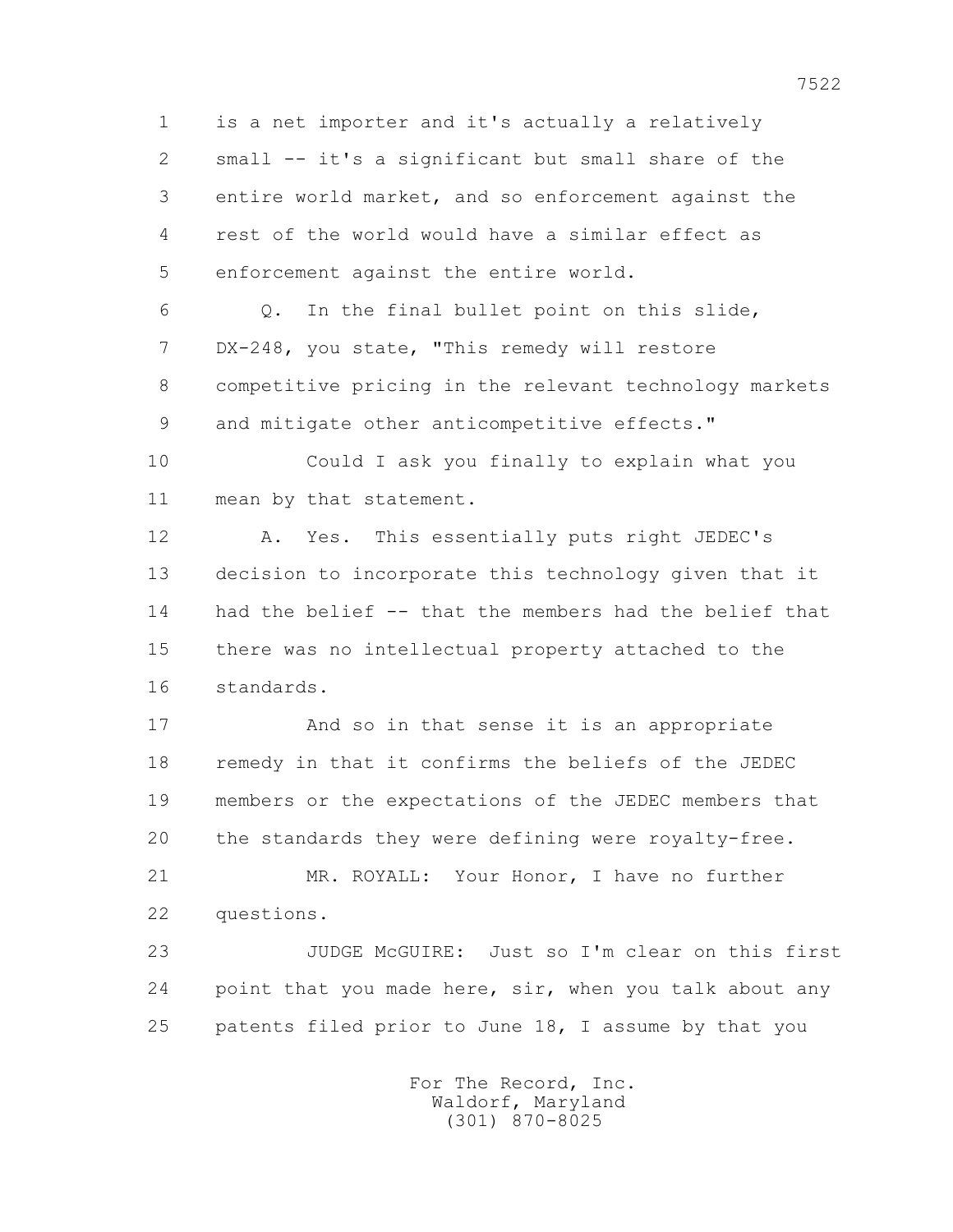1 is a net importer and it's actually a relatively 2 small -- it's a significant but small share of the 3 entire world market, and so enforcement against the 4 rest of the world would have a similar effect as 5 enforcement against the entire world.

 6 Q. In the final bullet point on this slide, 7 DX-248, you state, "This remedy will restore 8 competitive pricing in the relevant technology markets 9 and mitigate other anticompetitive effects."

 10 Could I ask you finally to explain what you 11 mean by that statement.

 12 A. Yes. This essentially puts right JEDEC's 13 decision to incorporate this technology given that it 14 had the belief -- that the members had the belief that 15 there was no intellectual property attached to the 16 standards.

 17 And so in that sense it is an appropriate 18 remedy in that it confirms the beliefs of the JEDEC 19 members or the expectations of the JEDEC members that 20 the standards they were defining were royalty-free.

 21 MR. ROYALL: Your Honor, I have no further 22 questions.

 23 JUDGE McGUIRE: Just so I'm clear on this first 24 point that you made here, sir, when you talk about any 25 patents filed prior to June 18, I assume by that you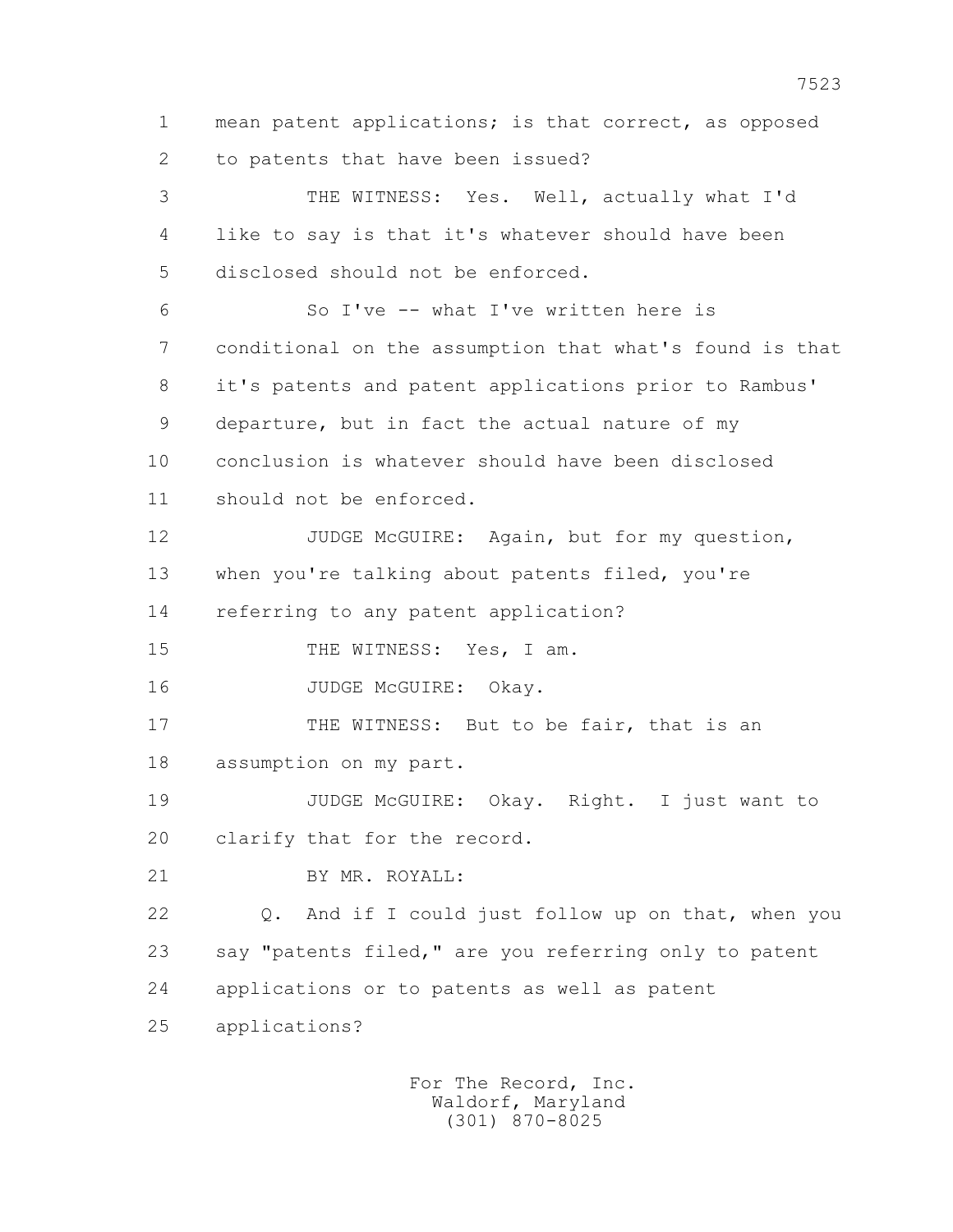1 mean patent applications; is that correct, as opposed 2 to patents that have been issued? 3 THE WITNESS: Yes. Well, actually what I'd 4 like to say is that it's whatever should have been 5 disclosed should not be enforced. 6 So I've -- what I've written here is 7 conditional on the assumption that what's found is that 8 it's patents and patent applications prior to Rambus' 9 departure, but in fact the actual nature of my 10 conclusion is whatever should have been disclosed 11 should not be enforced. 12 JUDGE McGUIRE: Again, but for my question, 13 when you're talking about patents filed, you're 14 referring to any patent application? 15 THE WITNESS: Yes, I am. 16 JUDGE McGUIRE: Okay. 17 THE WITNESS: But to be fair, that is an 18 assumption on my part. 19 JUDGE McGUIRE: Okay. Right. I just want to 20 clarify that for the record. 21 BY MR. ROYALL: 22 Q. And if I could just follow up on that, when you 23 say "patents filed," are you referring only to patent 24 applications or to patents as well as patent 25 applications?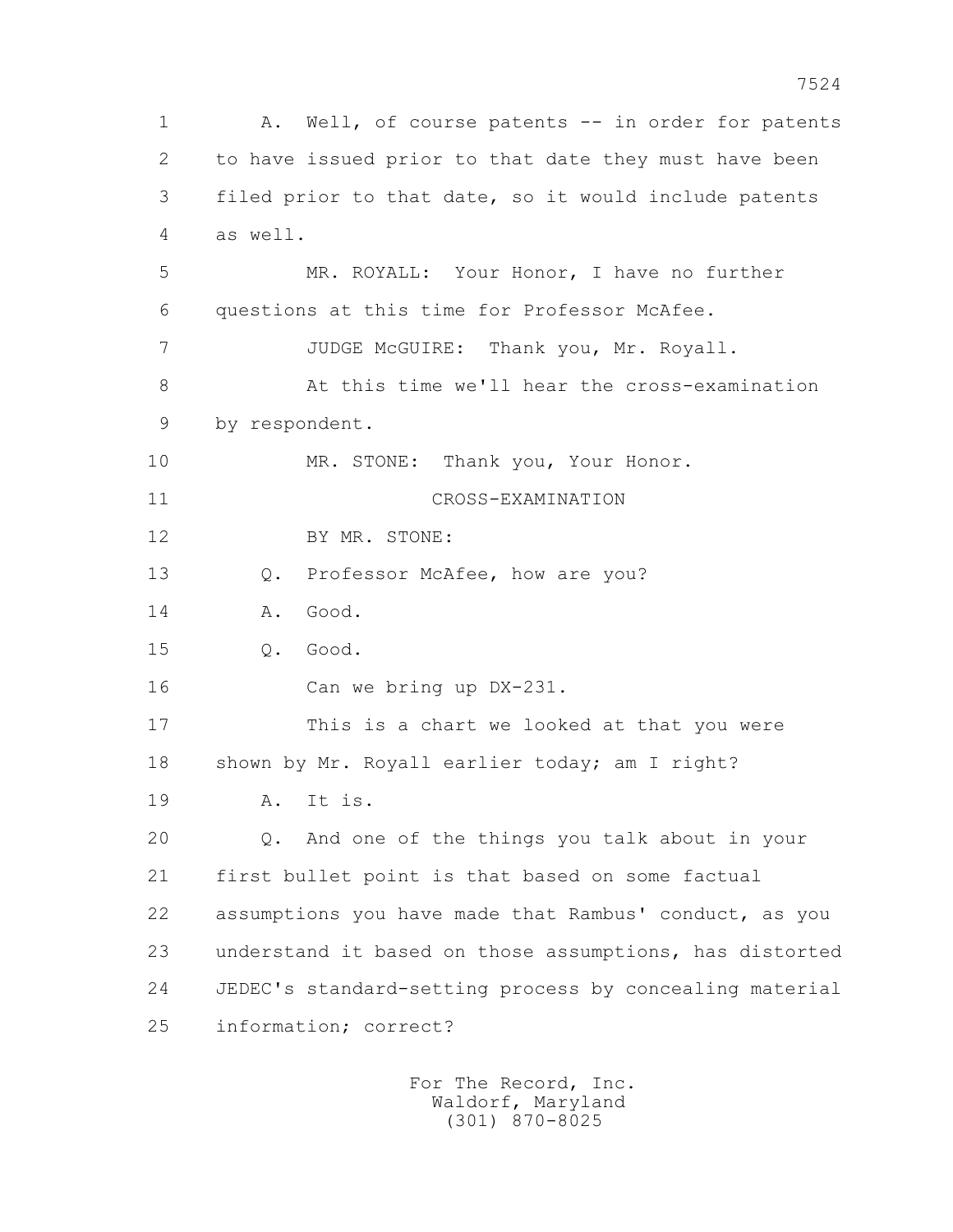1 A. Well, of course patents -- in order for patents 2 to have issued prior to that date they must have been 3 filed prior to that date, so it would include patents 4 as well. 5 MR. ROYALL: Your Honor, I have no further 6 questions at this time for Professor McAfee. 7 JUDGE McGUIRE: Thank you, Mr. Royall. 8 At this time we'll hear the cross-examination 9 by respondent. 10 MR. STONE: Thank you, Your Honor. 11 CROSS-EXAMINATION 12 BY MR. STONE: 13 Q. Professor McAfee, how are you? 14 A. Good. 15 Q. Good. 16 Can we bring up DX-231. 17 This is a chart we looked at that you were 18 shown by Mr. Royall earlier today; am I right? 19 A. It is. 20 Q. And one of the things you talk about in your 21 first bullet point is that based on some factual 22 assumptions you have made that Rambus' conduct, as you 23 understand it based on those assumptions, has distorted 24 JEDEC's standard-setting process by concealing material 25 information; correct?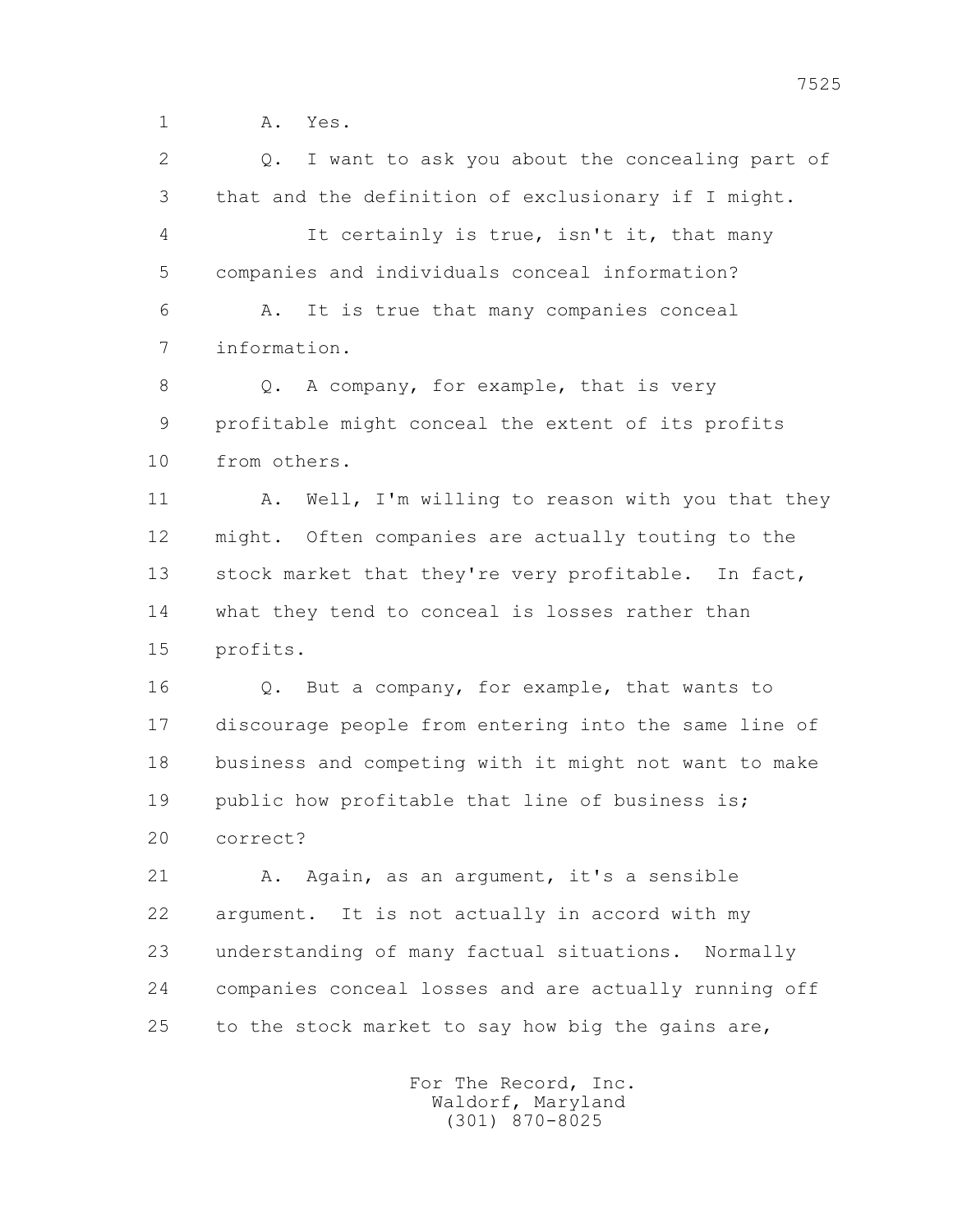1 **A.** Yes.

 2 Q. I want to ask you about the concealing part of 3 that and the definition of exclusionary if I might. 4 It certainly is true, isn't it, that many 5 companies and individuals conceal information? 6 A. It is true that many companies conceal 7 information. 8 Q. A company, for example, that is very 9 profitable might conceal the extent of its profits 10 from others. 11 A. Well, I'm willing to reason with you that they 12 might. Often companies are actually touting to the 13 stock market that they're very profitable. In fact, 14 what they tend to conceal is losses rather than 15 profits. 16 Q. But a company, for example, that wants to 17 discourage people from entering into the same line of 18 business and competing with it might not want to make 19 public how profitable that line of business is; 20 correct? 21 A. Again, as an argument, it's a sensible 22 argument. It is not actually in accord with my 23 understanding of many factual situations. Normally 24 companies conceal losses and are actually running off 25 to the stock market to say how big the gains are,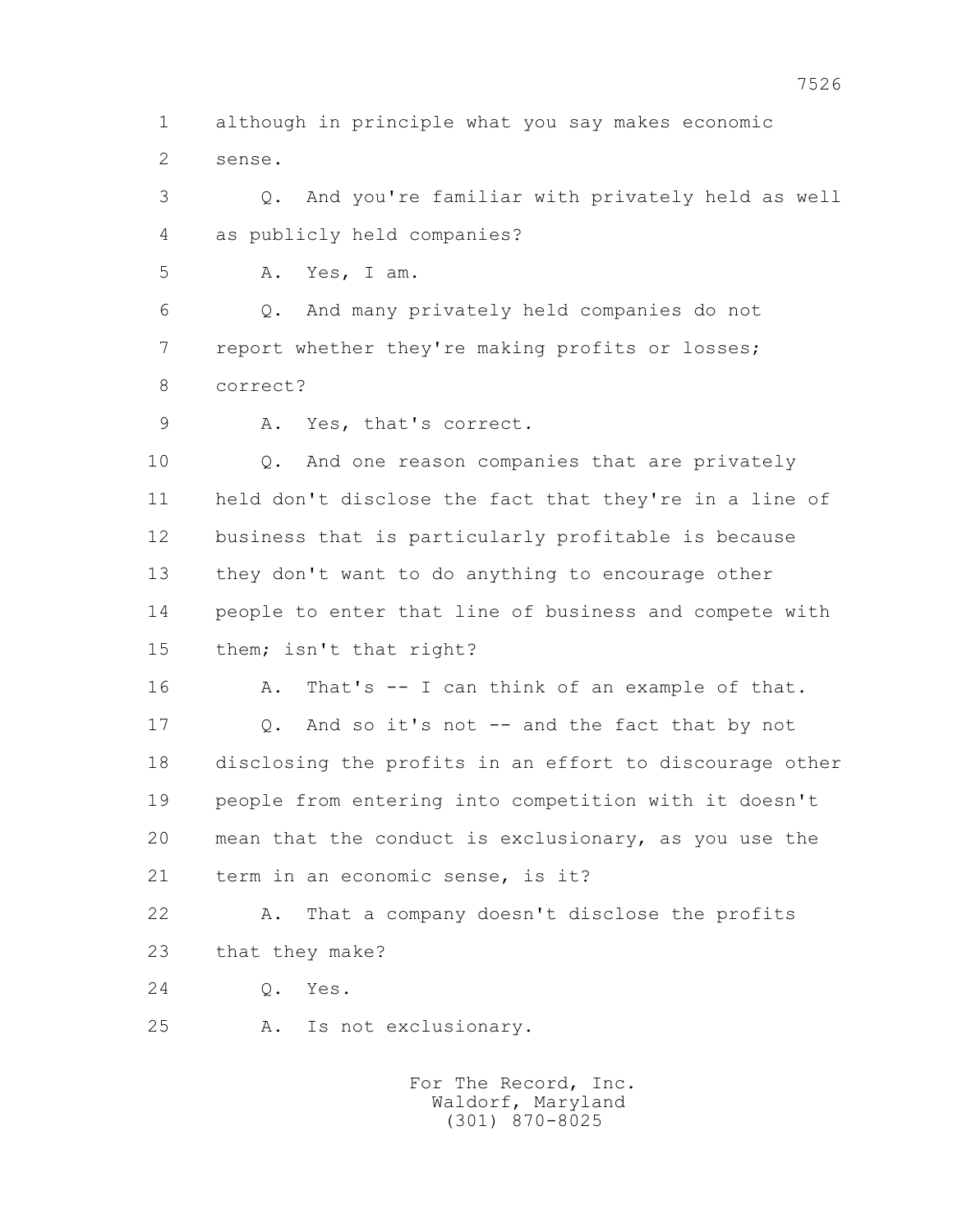1 although in principle what you say makes economic 2 sense.

 3 Q. And you're familiar with privately held as well 4 as publicly held companies?

5 A. Yes, I am.

 6 Q. And many privately held companies do not 7 report whether they're making profits or losses; 8 correct?

9 A. Yes, that's correct.

 10 Q. And one reason companies that are privately 11 held don't disclose the fact that they're in a line of 12 business that is particularly profitable is because 13 they don't want to do anything to encourage other 14 people to enter that line of business and compete with 15 them; isn't that right?

16 A. That's -- I can think of an example of that.

 17 Q. And so it's not -- and the fact that by not 18 disclosing the profits in an effort to discourage other 19 people from entering into competition with it doesn't 20 mean that the conduct is exclusionary, as you use the 21 term in an economic sense, is it?

 22 A. That a company doesn't disclose the profits 23 that they make?

24 Q. Yes.

25 A. Is not exclusionary.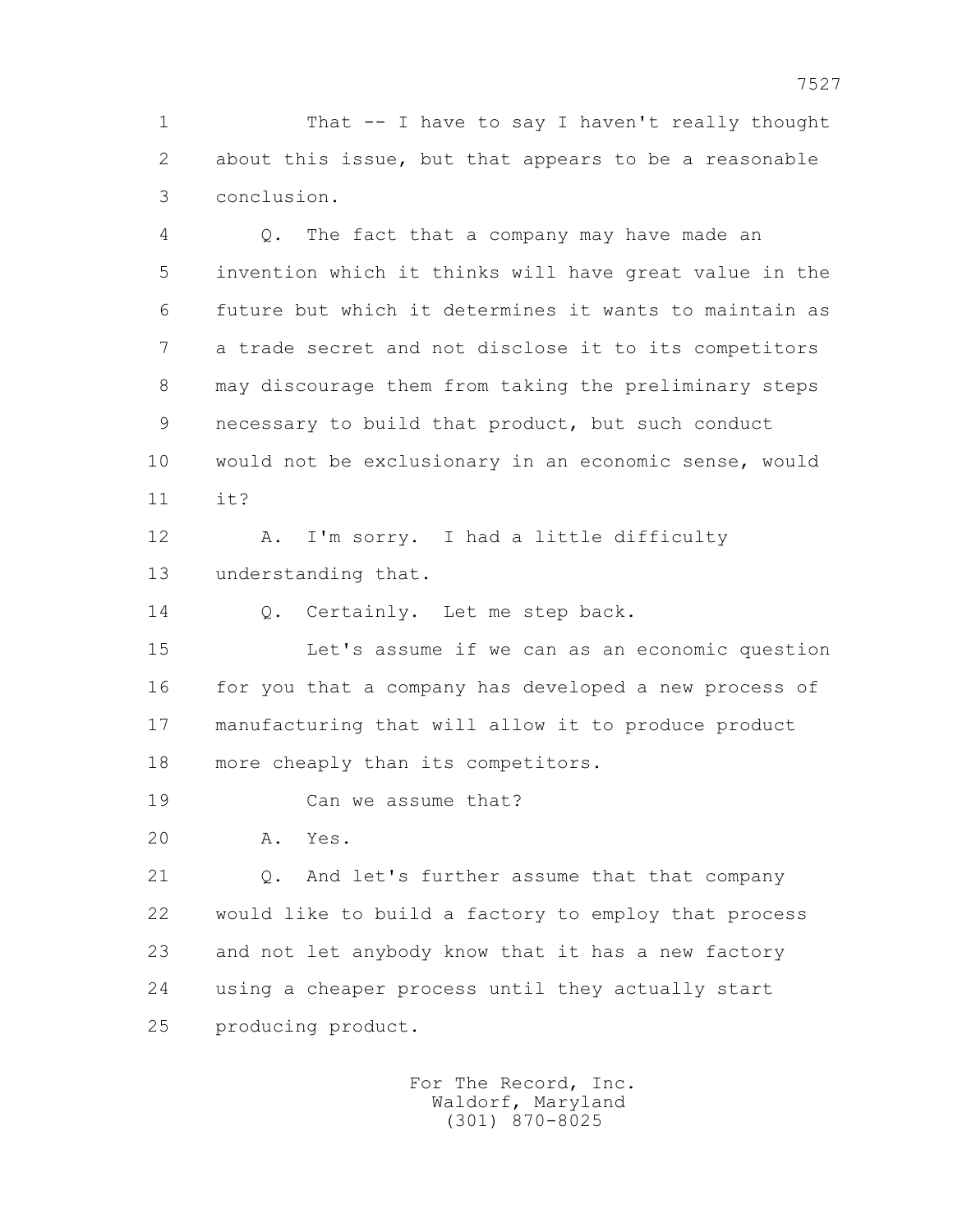1 That -- I have to say I haven't really thought 2 about this issue, but that appears to be a reasonable 3 conclusion.

 4 Q. The fact that a company may have made an 5 invention which it thinks will have great value in the 6 future but which it determines it wants to maintain as 7 a trade secret and not disclose it to its competitors 8 may discourage them from taking the preliminary steps 9 necessary to build that product, but such conduct 10 would not be exclusionary in an economic sense, would 11 it?

 12 A. I'm sorry. I had a little difficulty 13 understanding that.

14 0. Certainly. Let me step back.

 15 Let's assume if we can as an economic question 16 for you that a company has developed a new process of 17 manufacturing that will allow it to produce product 18 more cheaply than its competitors.

19 Can we assume that?

20 A. Yes.

 21 Q. And let's further assume that that company 22 would like to build a factory to employ that process 23 and not let anybody know that it has a new factory 24 using a cheaper process until they actually start 25 producing product.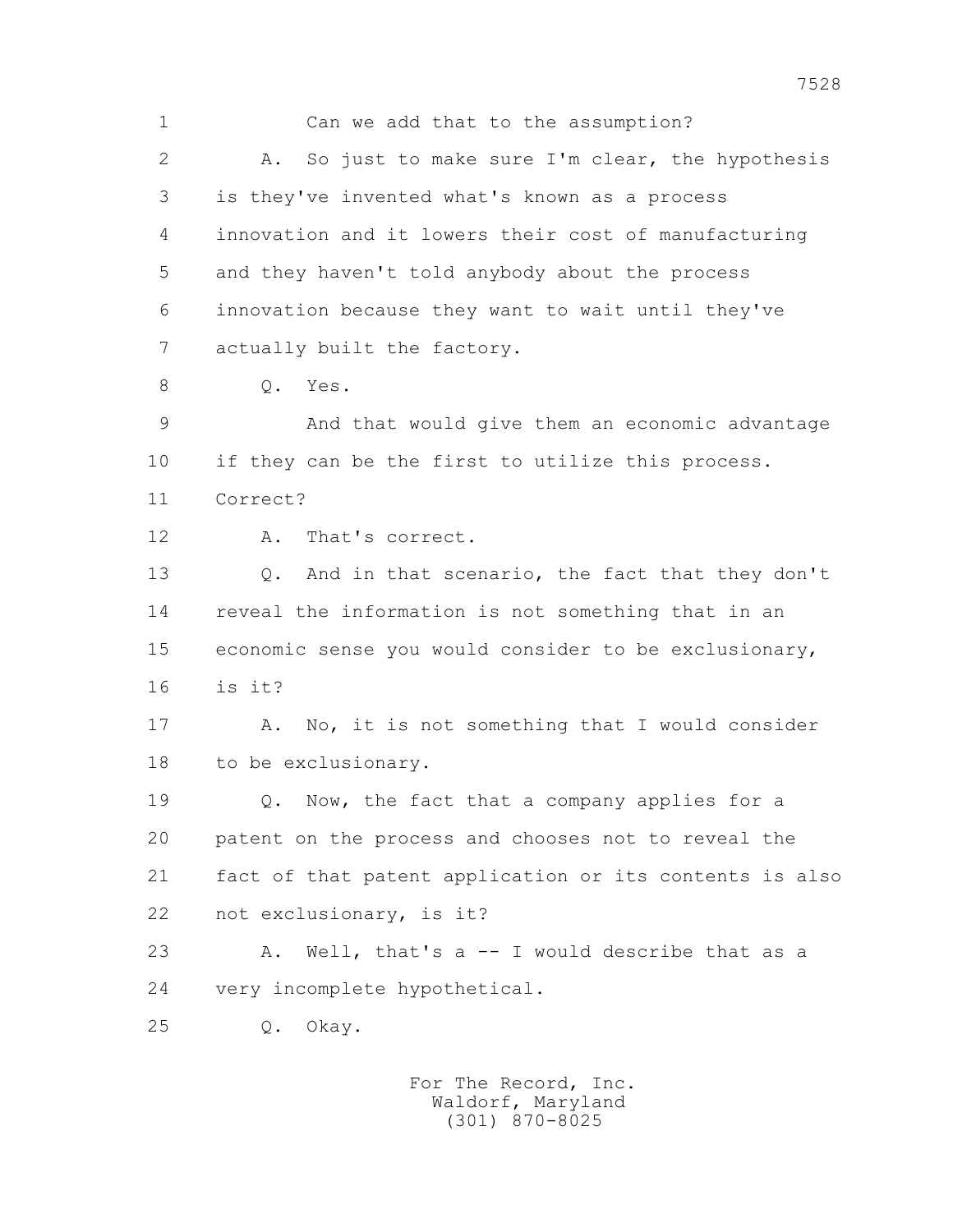1 Can we add that to the assumption? 2 A. So just to make sure I'm clear, the hypothesis 3 is they've invented what's known as a process 4 innovation and it lowers their cost of manufacturing 5 and they haven't told anybody about the process 6 innovation because they want to wait until they've 7 actually built the factory. 8 0. Yes. 9 And that would give them an economic advantage 10 if they can be the first to utilize this process. 11 Correct? 12 A. That's correct. 13 Q. And in that scenario, the fact that they don't 14 reveal the information is not something that in an 15 economic sense you would consider to be exclusionary, 16 is it? 17 A. No, it is not something that I would consider 18 to be exclusionary. 19 0. Now, the fact that a company applies for a 20 patent on the process and chooses not to reveal the 21 fact of that patent application or its contents is also 22 not exclusionary, is it? 23 A. Well, that's a -- I would describe that as a 24 very incomplete hypothetical. 25 Q. Okay.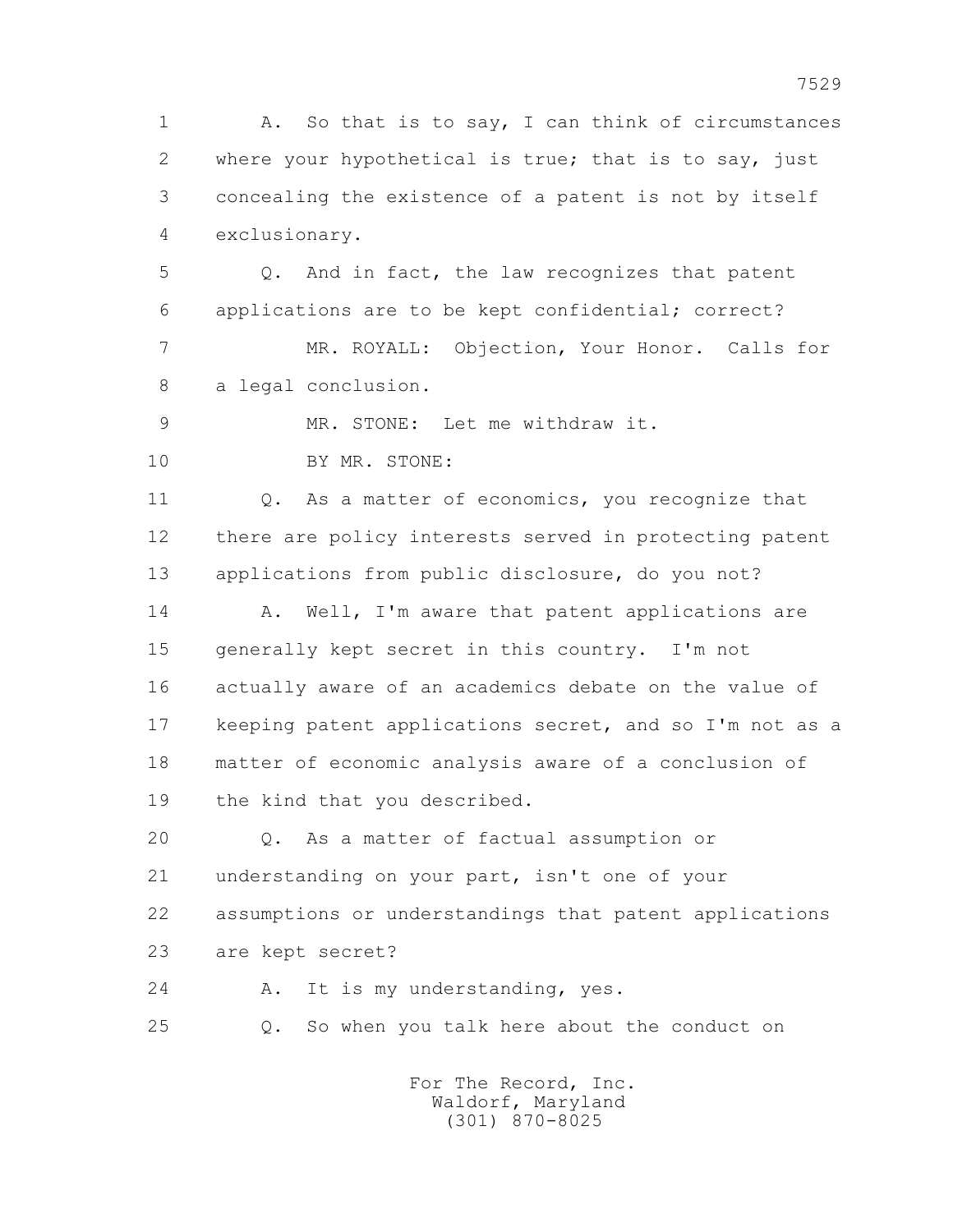1 A. So that is to say, I can think of circumstances 2 where your hypothetical is true; that is to say, just 3 concealing the existence of a patent is not by itself 4 exclusionary. 5 Q. And in fact, the law recognizes that patent 6 applications are to be kept confidential; correct? 7 MR. ROYALL: Objection, Your Honor. Calls for 8 a legal conclusion. 9 MR. STONE: Let me withdraw it. 10 BY MR. STONE: 11 0. As a matter of economics, you recognize that 12 there are policy interests served in protecting patent 13 applications from public disclosure, do you not? 14 A. Well, I'm aware that patent applications are 15 generally kept secret in this country. I'm not 16 actually aware of an academics debate on the value of 17 keeping patent applications secret, and so I'm not as a 18 matter of economic analysis aware of a conclusion of 19 the kind that you described. 20 Q. As a matter of factual assumption or 21 understanding on your part, isn't one of your 22 assumptions or understandings that patent applications 23 are kept secret? 24 A. It is my understanding, yes. 25 Q. So when you talk here about the conduct on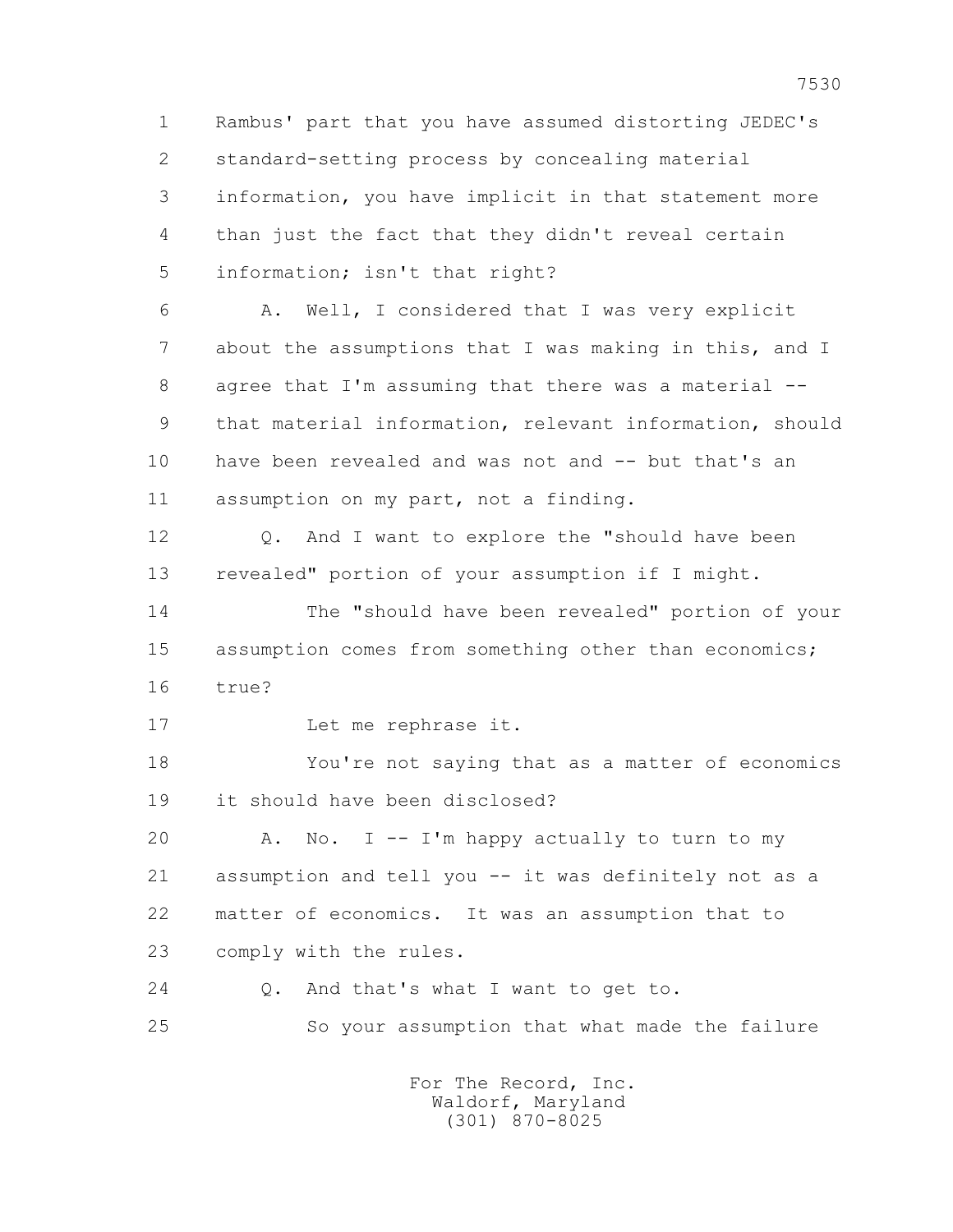1 Rambus' part that you have assumed distorting JEDEC's 2 standard-setting process by concealing material 3 information, you have implicit in that statement more 4 than just the fact that they didn't reveal certain 5 information; isn't that right? 6 A. Well, I considered that I was very explicit 7 about the assumptions that I was making in this, and I 8 agree that I'm assuming that there was a material -- 9 that material information, relevant information, should 10 have been revealed and was not and -- but that's an 11 assumption on my part, not a finding. 12 Q. And I want to explore the "should have been 13 revealed" portion of your assumption if I might. 14 The "should have been revealed" portion of your 15 assumption comes from something other than economics; 16 true? 17 Let me rephrase it. 18 You're not saying that as a matter of economics 19 it should have been disclosed? 20 A. No. I -- I'm happy actually to turn to my 21 assumption and tell you -- it was definitely not as a 22 matter of economics. It was an assumption that to 23 comply with the rules. 24 O. And that's what I want to get to. 25 So your assumption that what made the failure For The Record, Inc.

 Waldorf, Maryland (301) 870-8025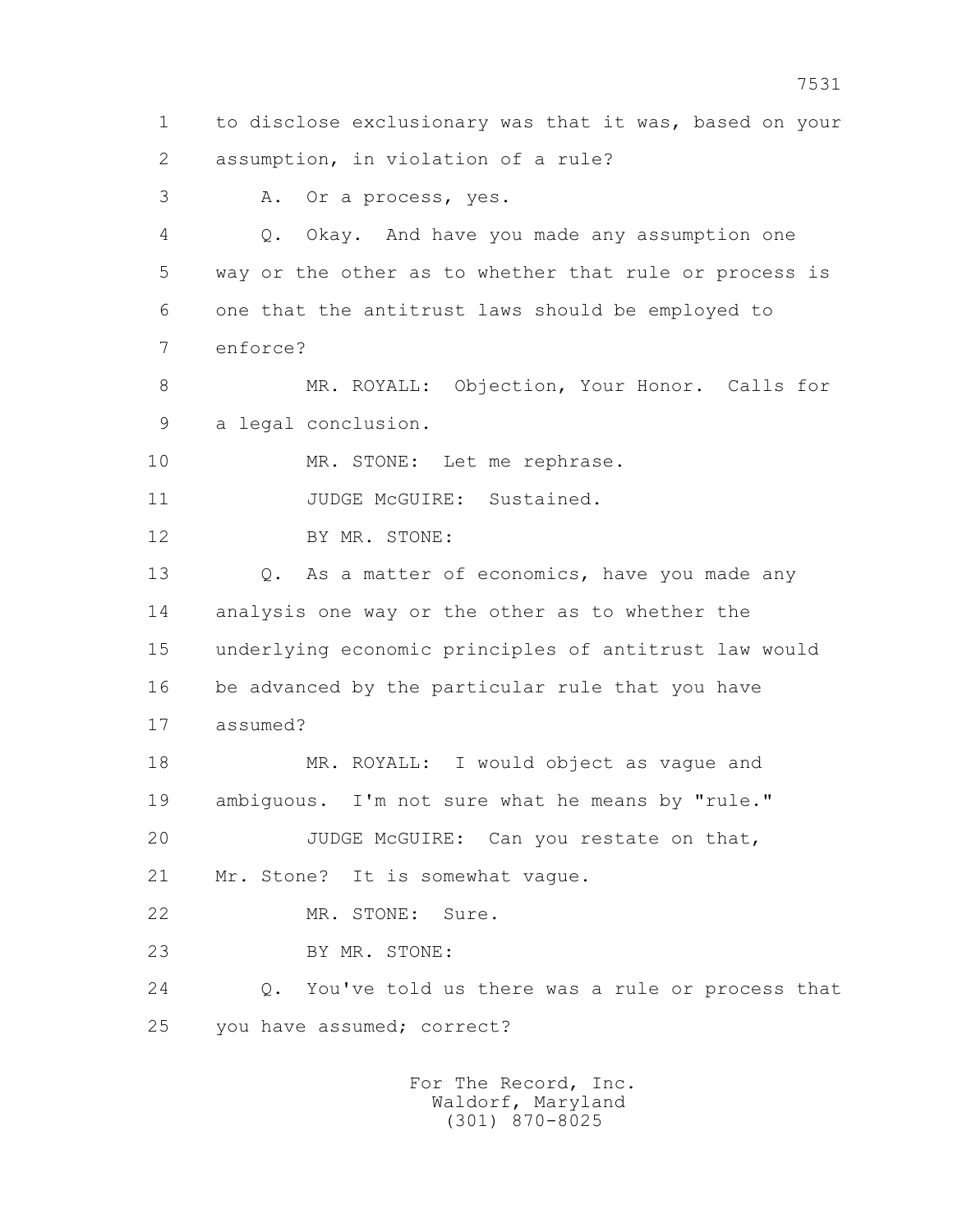1 to disclose exclusionary was that it was, based on your 2 assumption, in violation of a rule? 3 A. Or a process, yes. 4 Q. Okay. And have you made any assumption one 5 way or the other as to whether that rule or process is 6 one that the antitrust laws should be employed to 7 enforce? 8 MR. ROYALL: Objection, Your Honor. Calls for 9 a legal conclusion. 10 MR. STONE: Let me rephrase. 11 JUDGE McGUIRE: Sustained. 12 BY MR. STONE: 13 0. As a matter of economics, have you made any 14 analysis one way or the other as to whether the 15 underlying economic principles of antitrust law would 16 be advanced by the particular rule that you have 17 assumed? 18 MR. ROYALL: I would object as vague and 19 ambiguous. I'm not sure what he means by "rule." 20 JUDGE McGUIRE: Can you restate on that, 21 Mr. Stone? It is somewhat vague. 22 MR. STONE: Sure. 23 BY MR. STONE: 24 Q. You've told us there was a rule or process that 25 you have assumed; correct?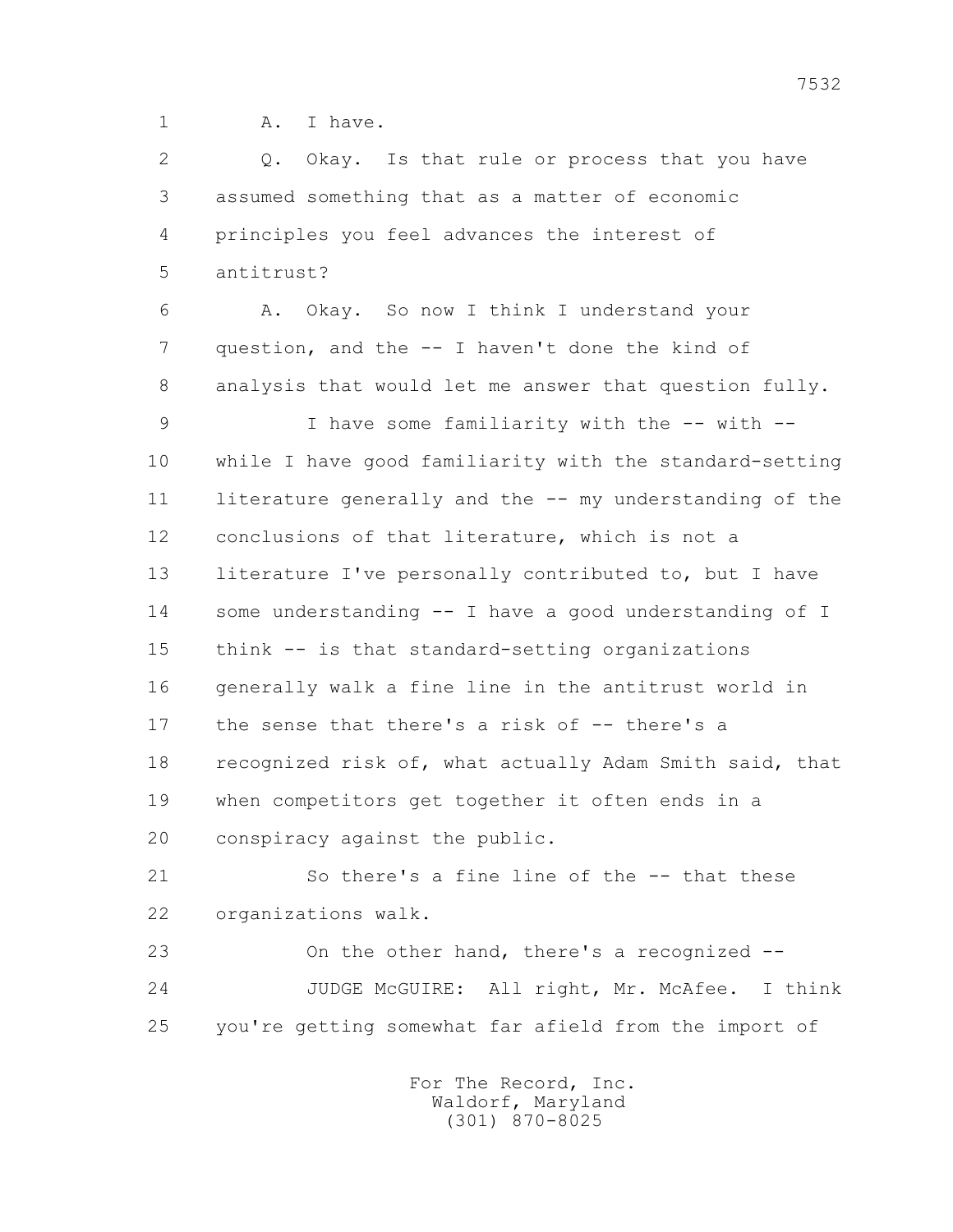1 A. I have.

2 0. Okay. Is that rule or process that you have 3 assumed something that as a matter of economic 4 principles you feel advances the interest of 5 antitrust? 6 A. Okay. So now I think I understand your

 7 question, and the -- I haven't done the kind of 8 analysis that would let me answer that question fully.

 9 I have some familiarity with the -- with -- 10 while I have good familiarity with the standard-setting 11 literature generally and the -- my understanding of the 12 conclusions of that literature, which is not a 13 literature I've personally contributed to, but I have 14 some understanding -- I have a good understanding of I 15 think -- is that standard-setting organizations 16 generally walk a fine line in the antitrust world in 17 the sense that there's a risk of -- there's a 18 recognized risk of, what actually Adam Smith said, that 19 when competitors get together it often ends in a 20 conspiracy against the public.

 21 So there's a fine line of the -- that these 22 organizations walk.

 23 On the other hand, there's a recognized -- 24 JUDGE McGUIRE: All right, Mr. McAfee. I think 25 you're getting somewhat far afield from the import of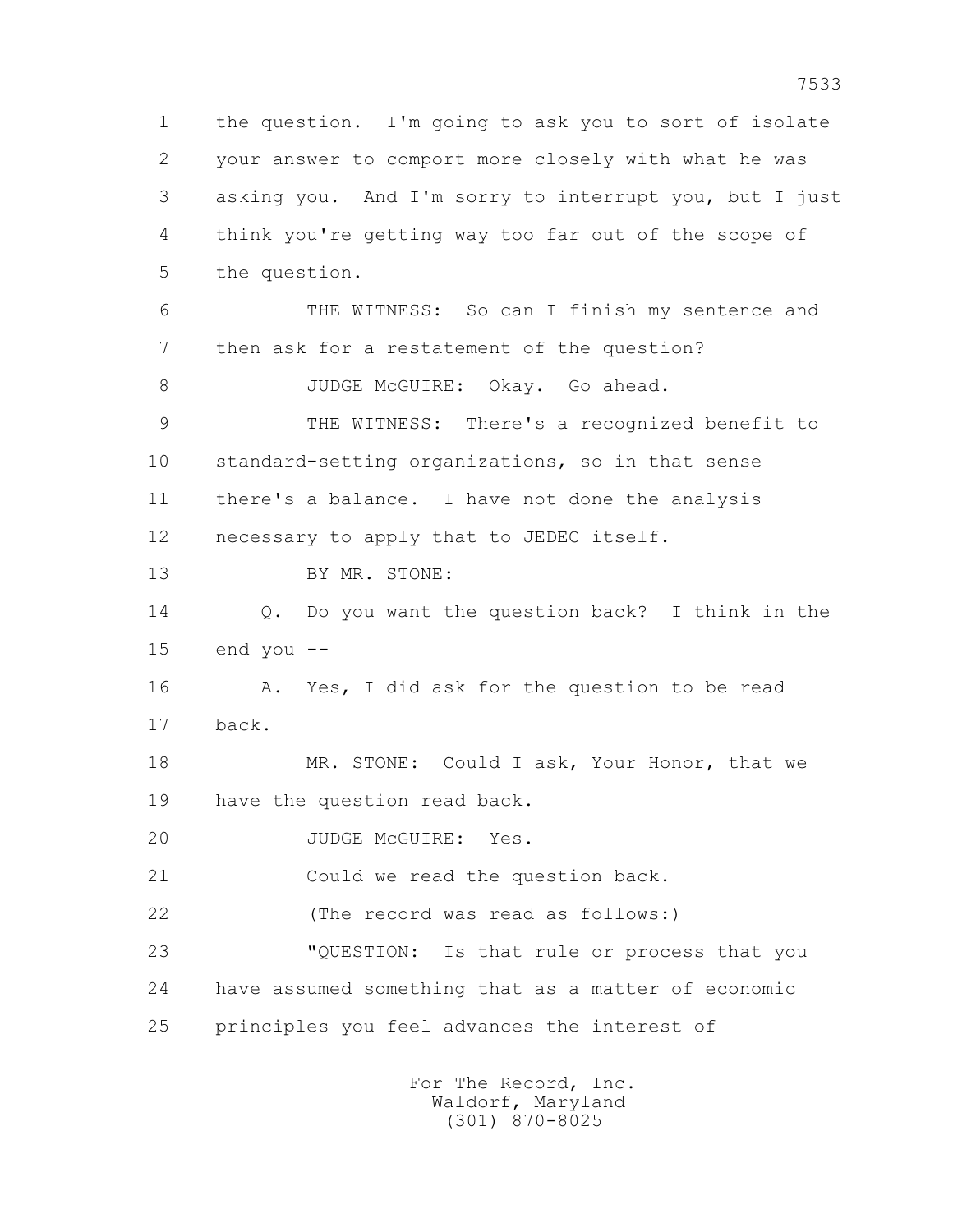1 the question. I'm going to ask you to sort of isolate 2 your answer to comport more closely with what he was 3 asking you. And I'm sorry to interrupt you, but I just 4 think you're getting way too far out of the scope of 5 the question. 6 THE WITNESS: So can I finish my sentence and 7 then ask for a restatement of the question? 8 JUDGE McGUIRE: Okay. Go ahead. 9 THE WITNESS: There's a recognized benefit to 10 standard-setting organizations, so in that sense 11 there's a balance. I have not done the analysis 12 necessary to apply that to JEDEC itself. 13 BY MR. STONE: 14 Q. Do you want the question back? I think in the 15 end you -- 16 A. Yes, I did ask for the question to be read 17 back. 18 MR. STONE: Could I ask, Your Honor, that we 19 have the question read back. 20 JUDGE McGUIRE: Yes. 21 Could we read the question back. 22 (The record was read as follows:) 23 "QUESTION: Is that rule or process that you 24 have assumed something that as a matter of economic 25 principles you feel advances the interest of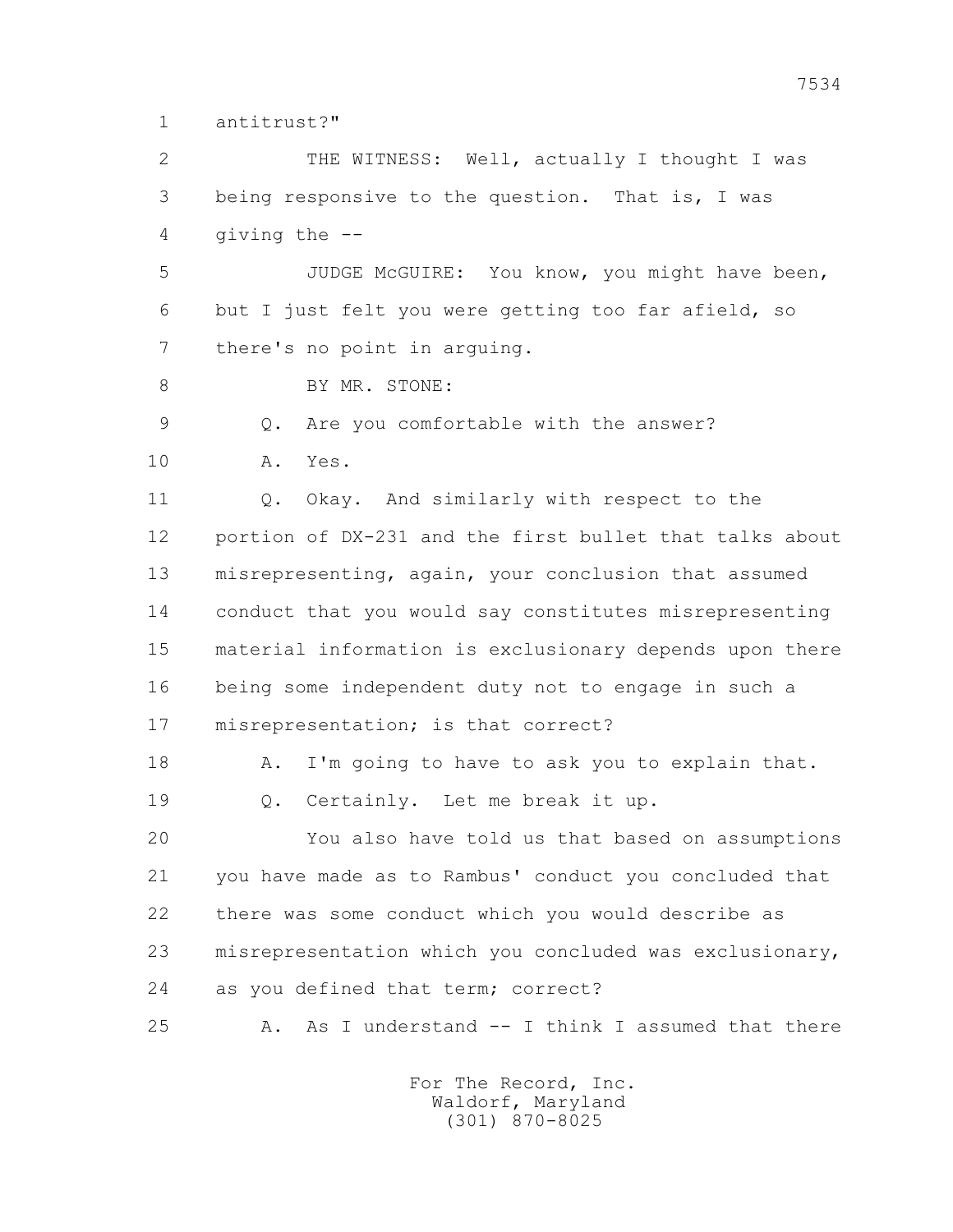1 antitrust?"

 2 THE WITNESS: Well, actually I thought I was 3 being responsive to the question. That is, I was 4 giving the --

 5 JUDGE McGUIRE: You know, you might have been, 6 but I just felt you were getting too far afield, so 7 there's no point in arguing.

8 BY MR. STONE:

9 Q. Are you comfortable with the answer?

10 A. Yes.

11 0. Okay. And similarly with respect to the 12 portion of DX-231 and the first bullet that talks about 13 misrepresenting, again, your conclusion that assumed 14 conduct that you would say constitutes misrepresenting 15 material information is exclusionary depends upon there 16 being some independent duty not to engage in such a 17 misrepresentation; is that correct?

18 A. I'm going to have to ask you to explain that. 19 Q. Certainly. Let me break it up.

 20 You also have told us that based on assumptions 21 you have made as to Rambus' conduct you concluded that 22 there was some conduct which you would describe as 23 misrepresentation which you concluded was exclusionary, 24 as you defined that term; correct?

25 A. As I understand -- I think I assumed that there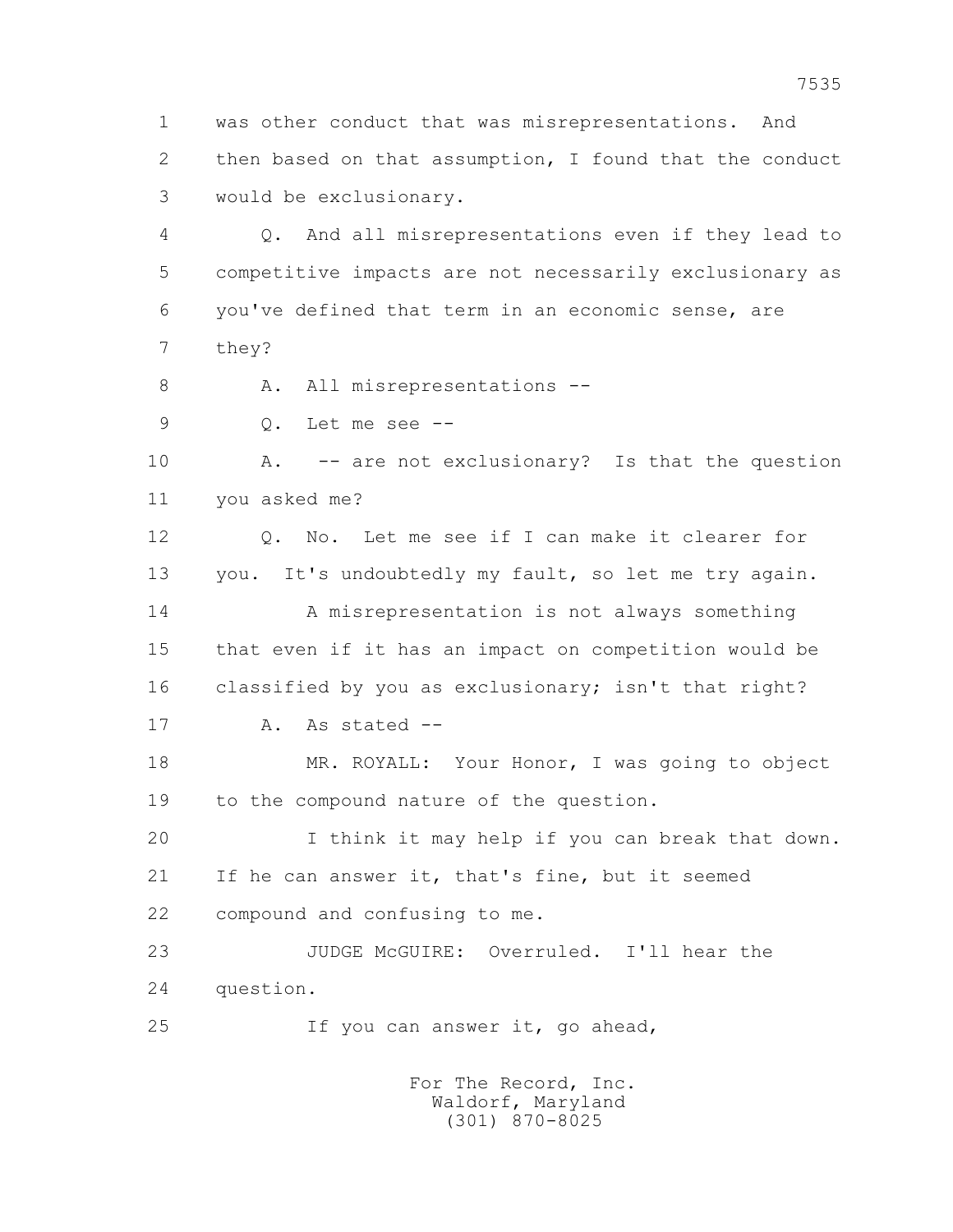1 was other conduct that was misrepresentations. And 2 then based on that assumption, I found that the conduct 3 would be exclusionary.

 4 Q. And all misrepresentations even if they lead to 5 competitive impacts are not necessarily exclusionary as 6 you've defined that term in an economic sense, are 7 they?

8 A. All misrepresentations --

9 Q. Let me see --

 10 A. -- are not exclusionary? Is that the question 11 you asked me?

 12 Q. No. Let me see if I can make it clearer for 13 you. It's undoubtedly my fault, so let me try again. 14 A misrepresentation is not always something 15 that even if it has an impact on competition would be 16 classified by you as exclusionary; isn't that right? 17 A. As stated --

 18 MR. ROYALL: Your Honor, I was going to object 19 to the compound nature of the question.

 20 I think it may help if you can break that down. 21 If he can answer it, that's fine, but it seemed 22 compound and confusing to me.

 23 JUDGE McGUIRE: Overruled. I'll hear the 24 question.

25 If you can answer it, go ahead,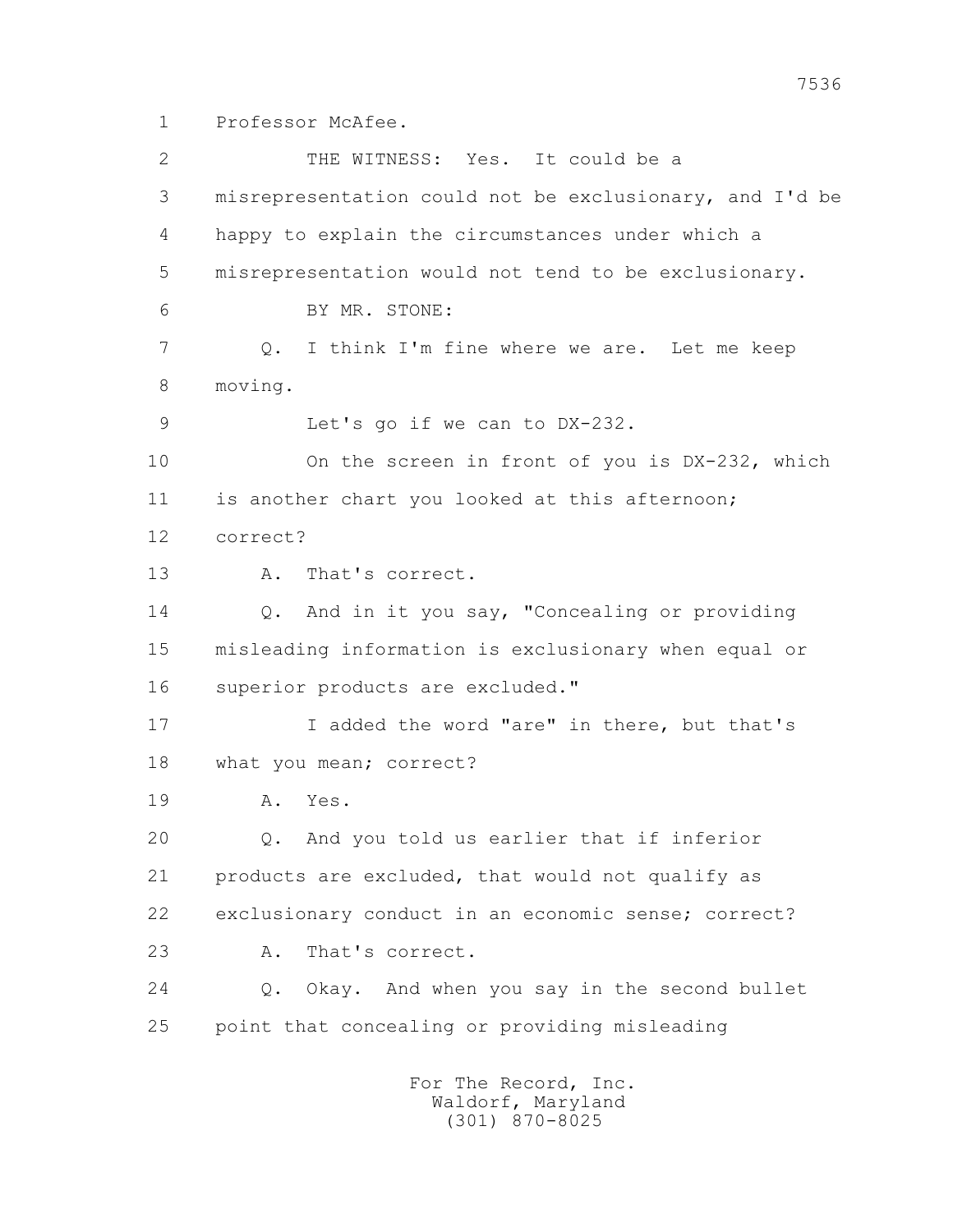1 Professor McAfee.

 2 THE WITNESS: Yes. It could be a 3 misrepresentation could not be exclusionary, and I'd be 4 happy to explain the circumstances under which a 5 misrepresentation would not tend to be exclusionary. 6 BY MR. STONE: 7 Q. I think I'm fine where we are. Let me keep 8 moving. 9 Let's go if we can to DX-232. 10 On the screen in front of you is DX-232, which 11 is another chart you looked at this afternoon; 12 correct? 13 A. That's correct. 14 Q. And in it you say, "Concealing or providing 15 misleading information is exclusionary when equal or 16 superior products are excluded." 17 17 I added the word "are" in there, but that's 18 what you mean; correct? 19 A. Yes. 20 Q. And you told us earlier that if inferior 21 products are excluded, that would not qualify as 22 exclusionary conduct in an economic sense; correct? 23 A. That's correct. 24 Q. Okay. And when you say in the second bullet 25 point that concealing or providing misleading For The Record, Inc.

 Waldorf, Maryland (301) 870-8025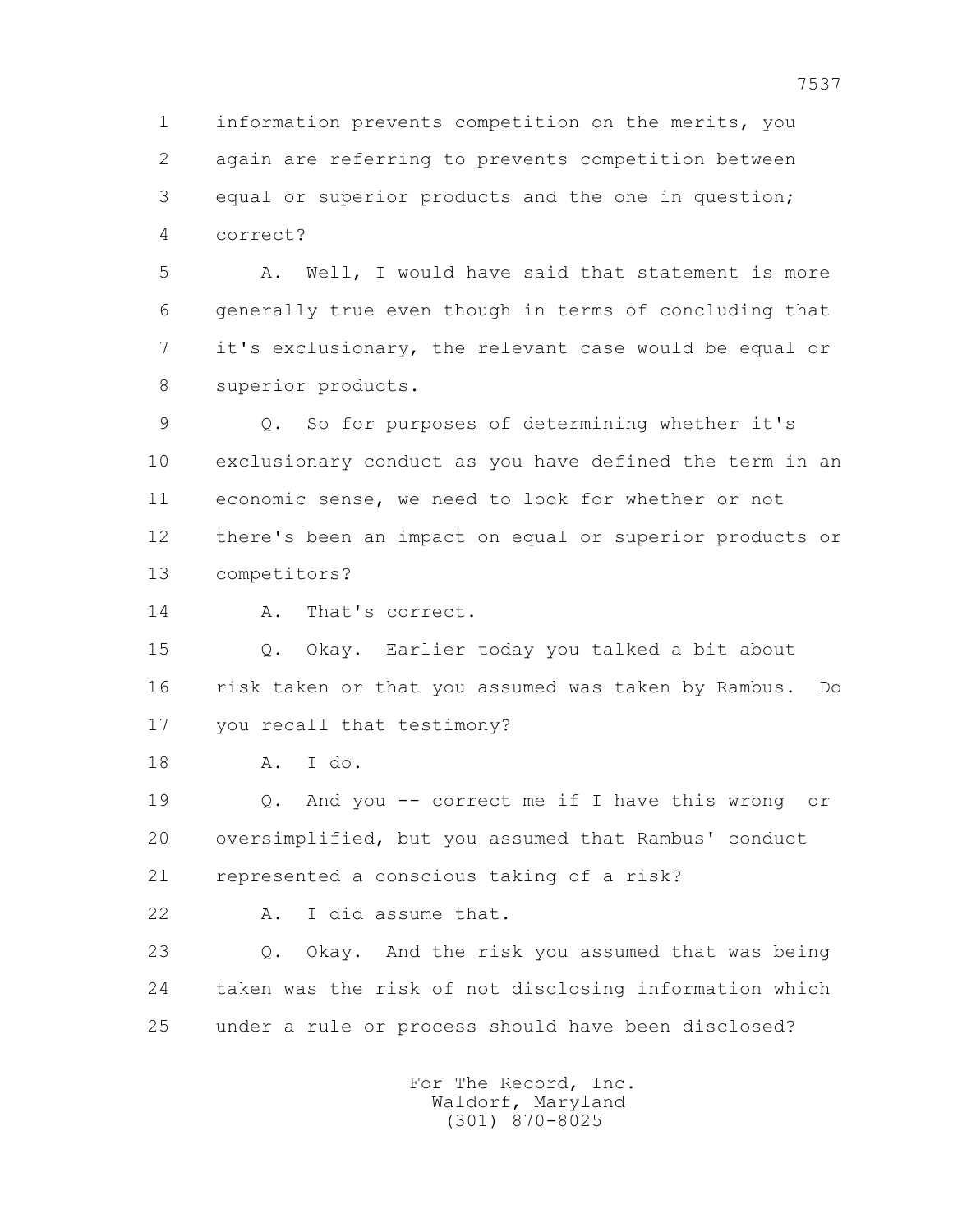1 information prevents competition on the merits, you 2 again are referring to prevents competition between 3 equal or superior products and the one in question; 4 correct?

 5 A. Well, I would have said that statement is more 6 generally true even though in terms of concluding that 7 it's exclusionary, the relevant case would be equal or 8 superior products.

 9 Q. So for purposes of determining whether it's 10 exclusionary conduct as you have defined the term in an 11 economic sense, we need to look for whether or not 12 there's been an impact on equal or superior products or 13 competitors?

14 A. That's correct.

 15 Q. Okay. Earlier today you talked a bit about 16 risk taken or that you assumed was taken by Rambus. Do 17 you recall that testimony?

18 A. I do.

 19 Q. And you -- correct me if I have this wrong or 20 oversimplified, but you assumed that Rambus' conduct 21 represented a conscious taking of a risk?

22 A. I did assume that.

 23 Q. Okay. And the risk you assumed that was being 24 taken was the risk of not disclosing information which 25 under a rule or process should have been disclosed?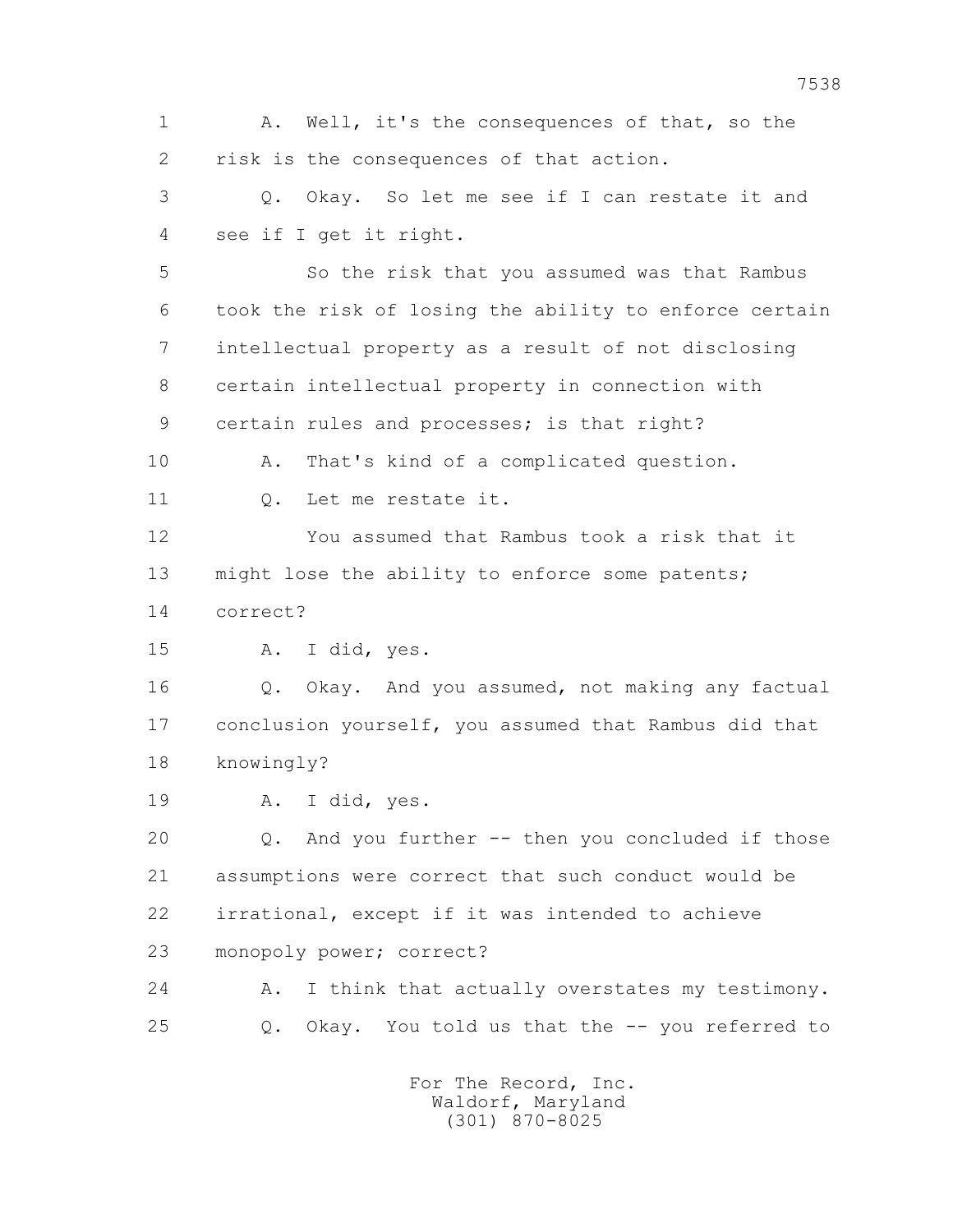1 A. Well, it's the consequences of that, so the 2 risk is the consequences of that action.

 3 Q. Okay. So let me see if I can restate it and 4 see if I get it right.

 5 So the risk that you assumed was that Rambus 6 took the risk of losing the ability to enforce certain 7 intellectual property as a result of not disclosing 8 certain intellectual property in connection with 9 certain rules and processes; is that right?

 10 A. That's kind of a complicated question. 11 Q. Let me restate it.

 12 You assumed that Rambus took a risk that it 13 might lose the ability to enforce some patents; 14 correct?

15 A. I did, yes.

 16 Q. Okay. And you assumed, not making any factual 17 conclusion yourself, you assumed that Rambus did that 18 knowingly?

19 A. I did, yes.

 20 Q. And you further -- then you concluded if those 21 assumptions were correct that such conduct would be 22 irrational, except if it was intended to achieve 23 monopoly power; correct?

24 A. I think that actually overstates my testimony. 25 Q. Okay. You told us that the -- you referred to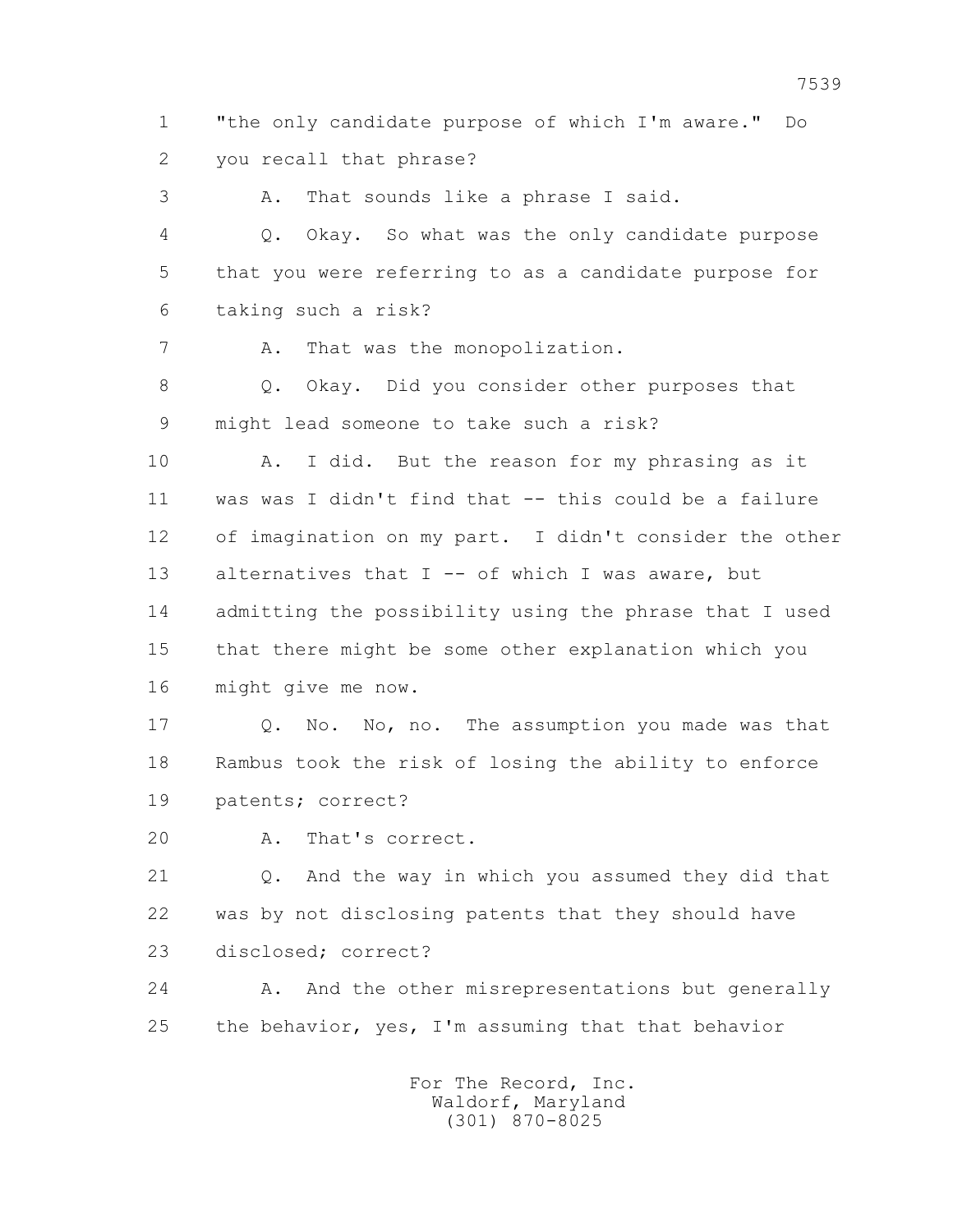1 "the only candidate purpose of which I'm aware." Do 2 you recall that phrase?

3 A. That sounds like a phrase I said.

 4 Q. Okay. So what was the only candidate purpose 5 that you were referring to as a candidate purpose for 6 taking such a risk?

7 A. That was the monopolization.

 8 Q. Okay. Did you consider other purposes that 9 might lead someone to take such a risk?

 10 A. I did. But the reason for my phrasing as it 11 was was I didn't find that -- this could be a failure 12 of imagination on my part. I didn't consider the other 13 alternatives that I -- of which I was aware, but 14 admitting the possibility using the phrase that I used 15 that there might be some other explanation which you 16 might give me now.

 17 Q. No. No, no. The assumption you made was that 18 Rambus took the risk of losing the ability to enforce 19 patents; correct?

20 A. That's correct.

 21 Q. And the way in which you assumed they did that 22 was by not disclosing patents that they should have 23 disclosed; correct?

 24 A. And the other misrepresentations but generally 25 the behavior, yes, I'm assuming that that behavior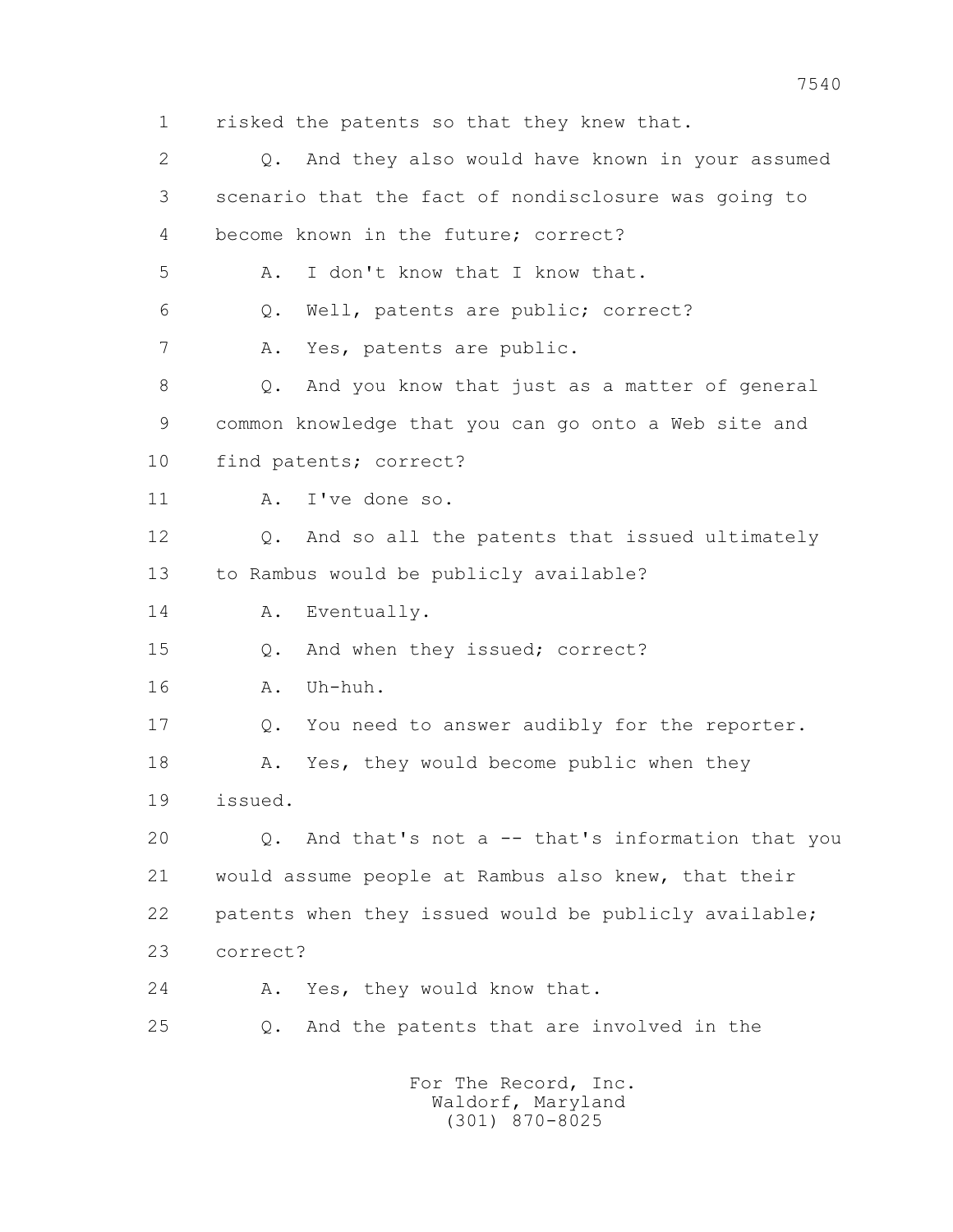- 
- 1 risked the patents so that they knew that.

 2 Q. And they also would have known in your assumed 3 scenario that the fact of nondisclosure was going to 4 become known in the future; correct? 5 A. I don't know that I know that. 6 Q. Well, patents are public; correct? 7 A. Yes, patents are public. 8 Q. And you know that just as a matter of general 9 common knowledge that you can go onto a Web site and 10 find patents; correct? 11 A. I've done so. 12 Q. And so all the patents that issued ultimately 13 to Rambus would be publicly available? 14 A. Eventually. 15 Q. And when they issued; correct? 16 A. Uh-huh. 17 Q. You need to answer audibly for the reporter. 18 A. Yes, they would become public when they 19 issued. 20 Q. And that's not a -- that's information that you 21 would assume people at Rambus also knew, that their 22 patents when they issued would be publicly available; 23 correct? 24 A. Yes, they would know that. 25 Q. And the patents that are involved in the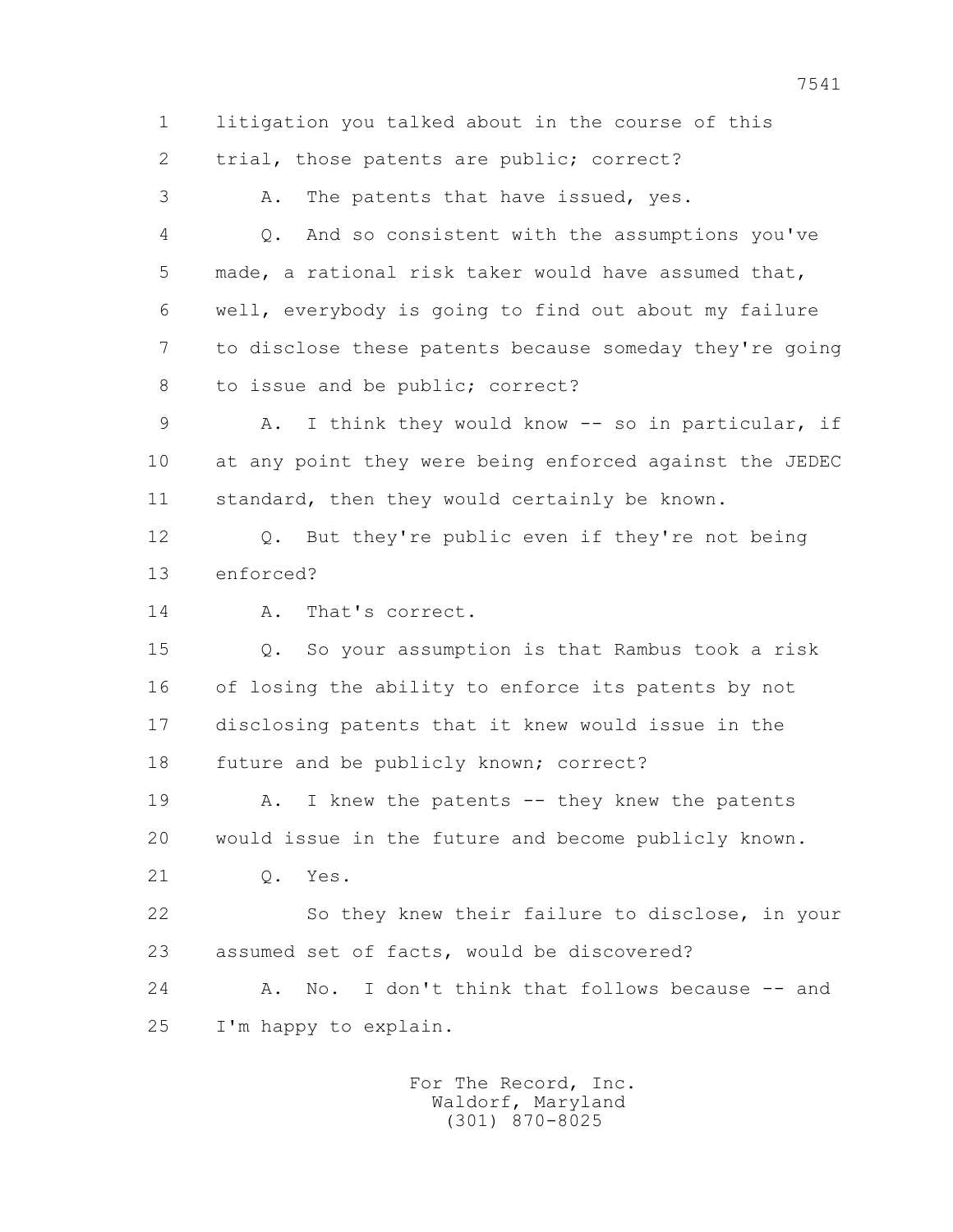1 litigation you talked about in the course of this 2 trial, those patents are public; correct?

3 A. The patents that have issued, yes.

 4 Q. And so consistent with the assumptions you've 5 made, a rational risk taker would have assumed that, 6 well, everybody is going to find out about my failure 7 to disclose these patents because someday they're going 8 to issue and be public; correct?

 9 A. I think they would know -- so in particular, if 10 at any point they were being enforced against the JEDEC 11 standard, then they would certainly be known.

 12 Q. But they're public even if they're not being 13 enforced?

14 A. That's correct.

 15 Q. So your assumption is that Rambus took a risk 16 of losing the ability to enforce its patents by not 17 disclosing patents that it knew would issue in the 18 future and be publicly known; correct?

19 A. I knew the patents -- they knew the patents 20 would issue in the future and become publicly known.

21 Q. Yes.

 22 So they knew their failure to disclose, in your 23 assumed set of facts, would be discovered?

 24 A. No. I don't think that follows because -- and 25 I'm happy to explain.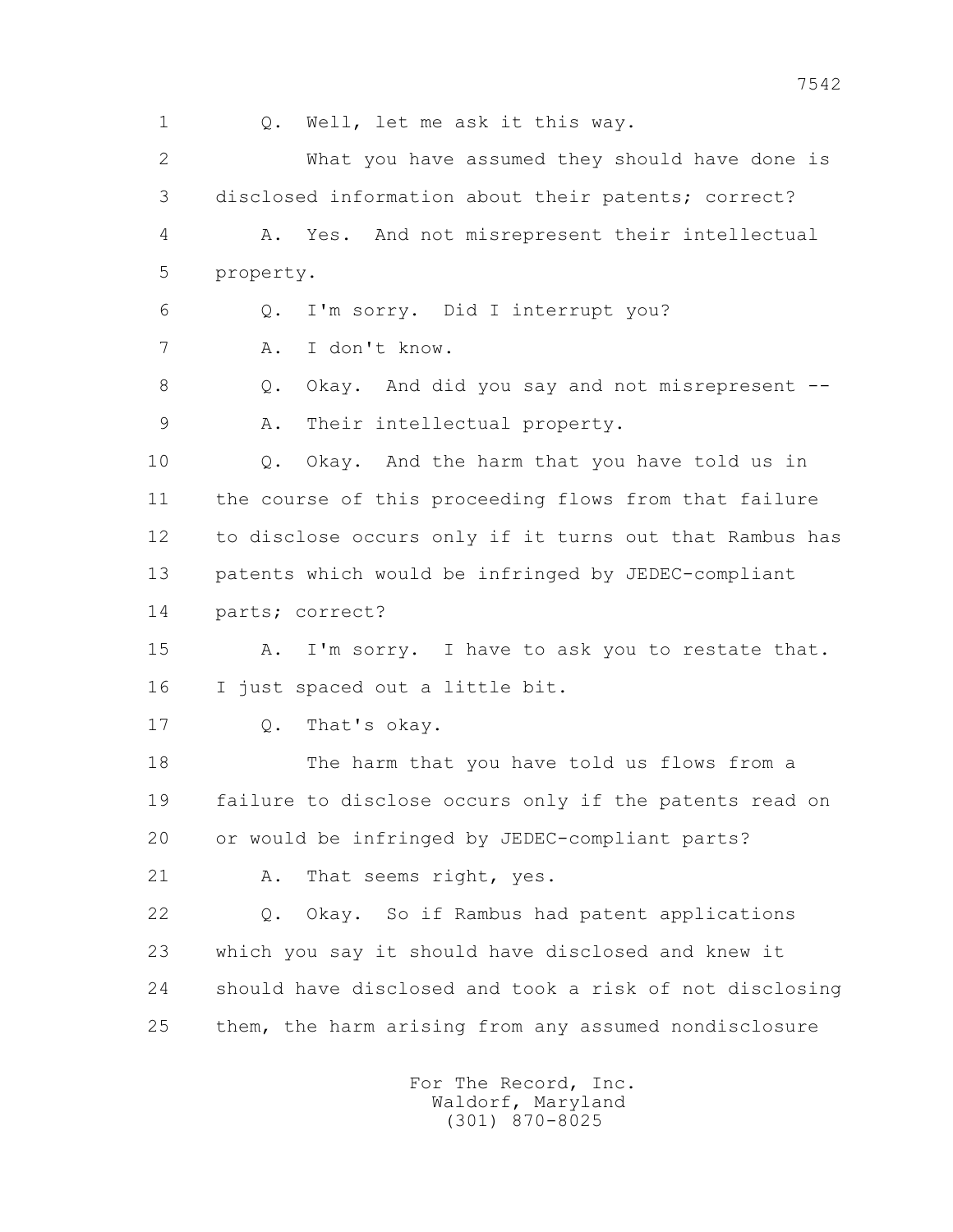1 Q. Well, let me ask it this way.

 2 What you have assumed they should have done is 3 disclosed information about their patents; correct? 4 A. Yes. And not misrepresent their intellectual 5 property. 6 Q. I'm sorry. Did I interrupt you? 7 A. I don't know. 8 Q. Okay. And did you say and not misrepresent -- 9 A. Their intellectual property. 10 Q. Okay. And the harm that you have told us in 11 the course of this proceeding flows from that failure

 12 to disclose occurs only if it turns out that Rambus has 13 patents which would be infringed by JEDEC-compliant

14 parts; correct?

15 A. I'm sorry. I have to ask you to restate that. 16 I just spaced out a little bit.

17 Q. That's okay.

 18 The harm that you have told us flows from a 19 failure to disclose occurs only if the patents read on 20 or would be infringed by JEDEC-compliant parts?

21 A. That seems right, yes.

 22 Q. Okay. So if Rambus had patent applications 23 which you say it should have disclosed and knew it 24 should have disclosed and took a risk of not disclosing 25 them, the harm arising from any assumed nondisclosure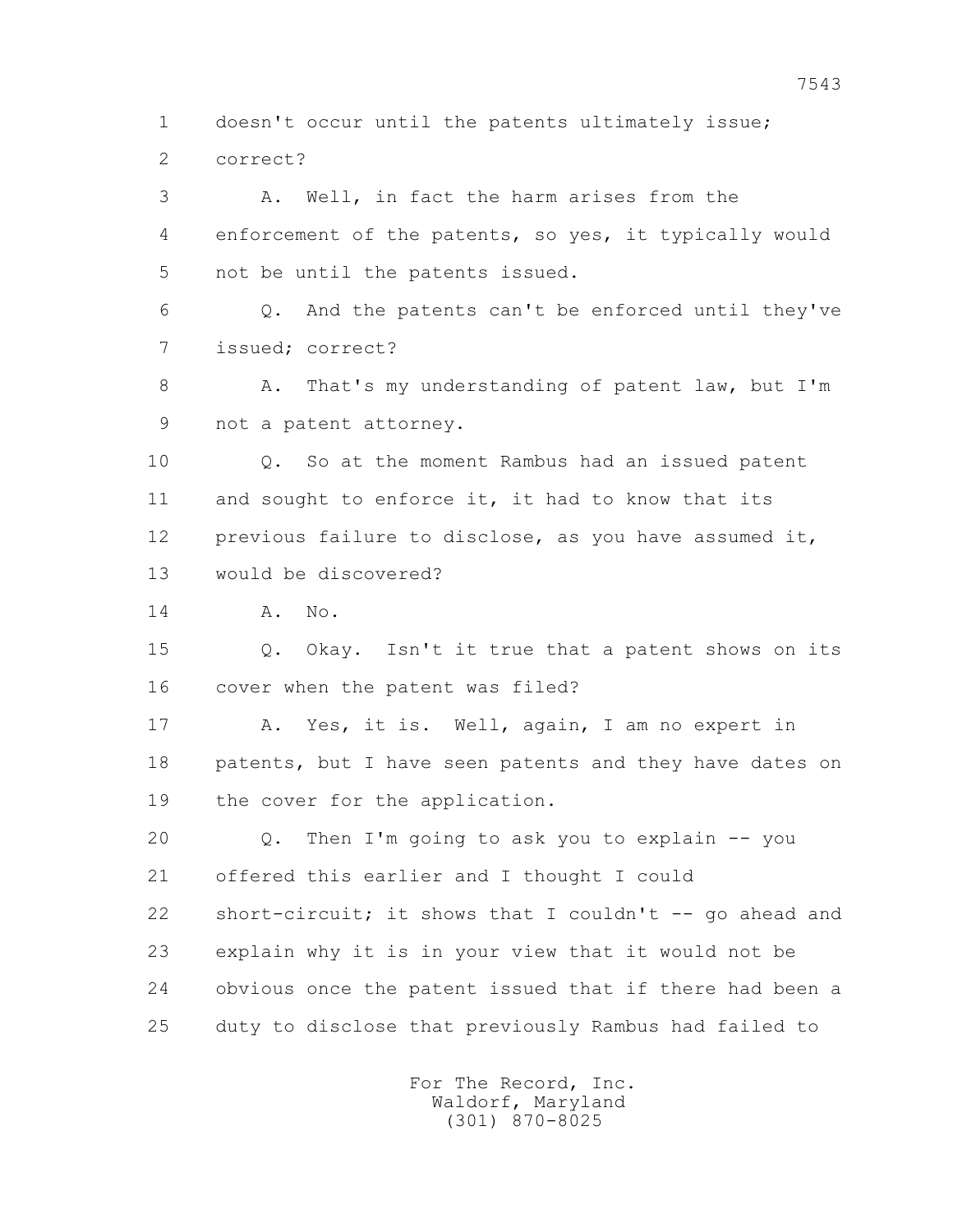1 doesn't occur until the patents ultimately issue; 2 correct?

 3 A. Well, in fact the harm arises from the 4 enforcement of the patents, so yes, it typically would 5 not be until the patents issued. 6 Q. And the patents can't be enforced until they've 7 issued; correct? 8 A. That's my understanding of patent law, but I'm

9 not a patent attorney.

 10 Q. So at the moment Rambus had an issued patent 11 and sought to enforce it, it had to know that its 12 previous failure to disclose, as you have assumed it, 13 would be discovered?

14 A. No.

 15 Q. Okay. Isn't it true that a patent shows on its 16 cover when the patent was filed?

 17 A. Yes, it is. Well, again, I am no expert in 18 patents, but I have seen patents and they have dates on 19 the cover for the application.

 20 Q. Then I'm going to ask you to explain -- you 21 offered this earlier and I thought I could 22 short-circuit; it shows that I couldn't -- go ahead and 23 explain why it is in your view that it would not be 24 obvious once the patent issued that if there had been a 25 duty to disclose that previously Rambus had failed to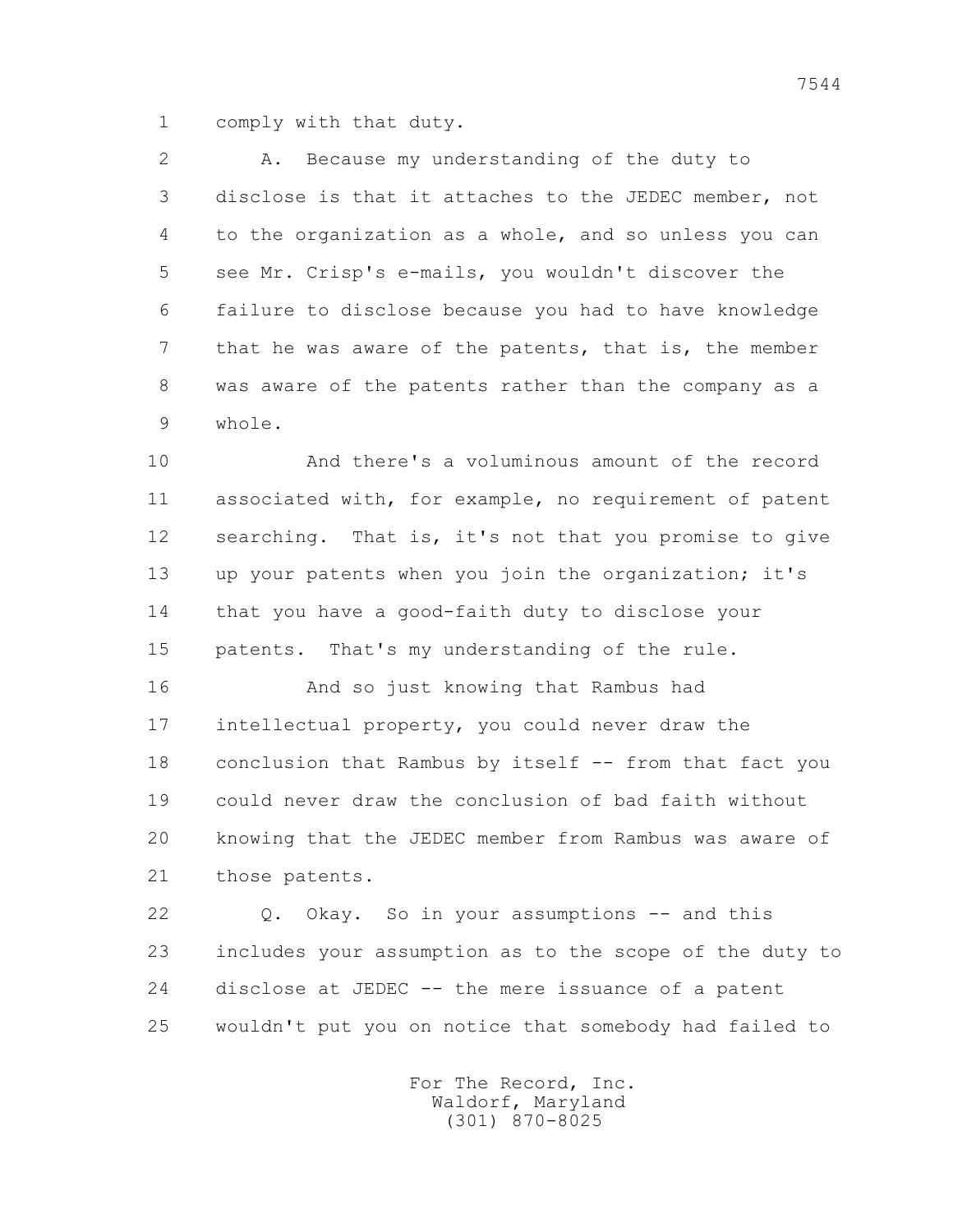1 comply with that duty.

 2 A. Because my understanding of the duty to 3 disclose is that it attaches to the JEDEC member, not 4 to the organization as a whole, and so unless you can 5 see Mr. Crisp's e-mails, you wouldn't discover the 6 failure to disclose because you had to have knowledge 7 that he was aware of the patents, that is, the member 8 was aware of the patents rather than the company as a 9 whole.

 10 And there's a voluminous amount of the record 11 associated with, for example, no requirement of patent 12 searching. That is, it's not that you promise to give 13 up your patents when you join the organization; it's 14 that you have a good-faith duty to disclose your 15 patents. That's my understanding of the rule.

 16 And so just knowing that Rambus had 17 intellectual property, you could never draw the 18 conclusion that Rambus by itself -- from that fact you 19 could never draw the conclusion of bad faith without 20 knowing that the JEDEC member from Rambus was aware of 21 those patents.

 22 Q. Okay. So in your assumptions -- and this 23 includes your assumption as to the scope of the duty to 24 disclose at JEDEC -- the mere issuance of a patent 25 wouldn't put you on notice that somebody had failed to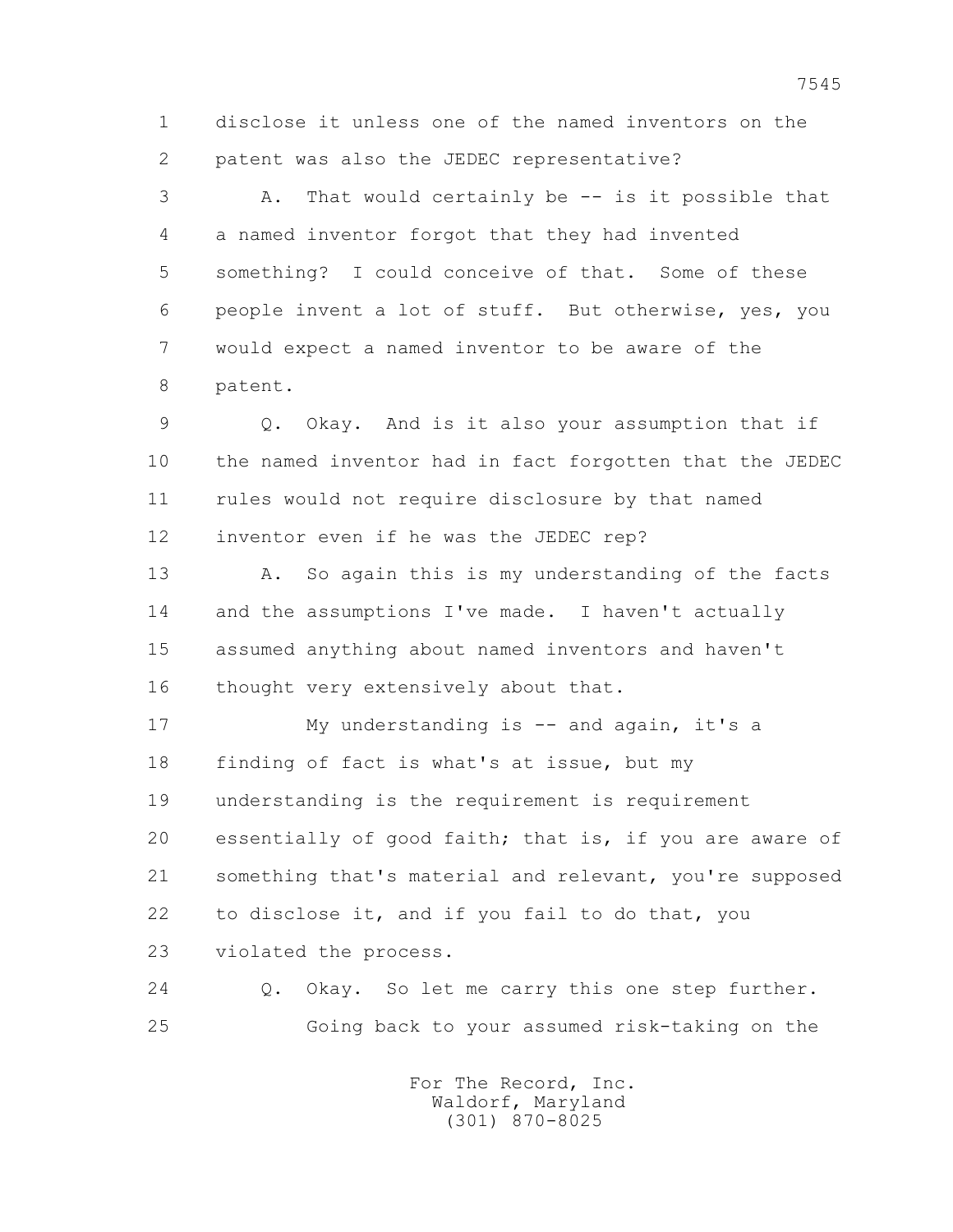1 disclose it unless one of the named inventors on the 2 patent was also the JEDEC representative?

 3 A. That would certainly be -- is it possible that 4 a named inventor forgot that they had invented 5 something? I could conceive of that. Some of these 6 people invent a lot of stuff. But otherwise, yes, you 7 would expect a named inventor to be aware of the 8 patent.

 9 Q. Okay. And is it also your assumption that if 10 the named inventor had in fact forgotten that the JEDEC 11 rules would not require disclosure by that named 12 inventor even if he was the JEDEC rep?

13 A. So again this is my understanding of the facts 14 and the assumptions I've made. I haven't actually 15 assumed anything about named inventors and haven't 16 thought very extensively about that.

17 My understanding is -- and again, it's a 18 finding of fact is what's at issue, but my 19 understanding is the requirement is requirement 20 essentially of good faith; that is, if you are aware of 21 something that's material and relevant, you're supposed 22 to disclose it, and if you fail to do that, you 23 violated the process.

 24 Q. Okay. So let me carry this one step further. 25 Going back to your assumed risk-taking on the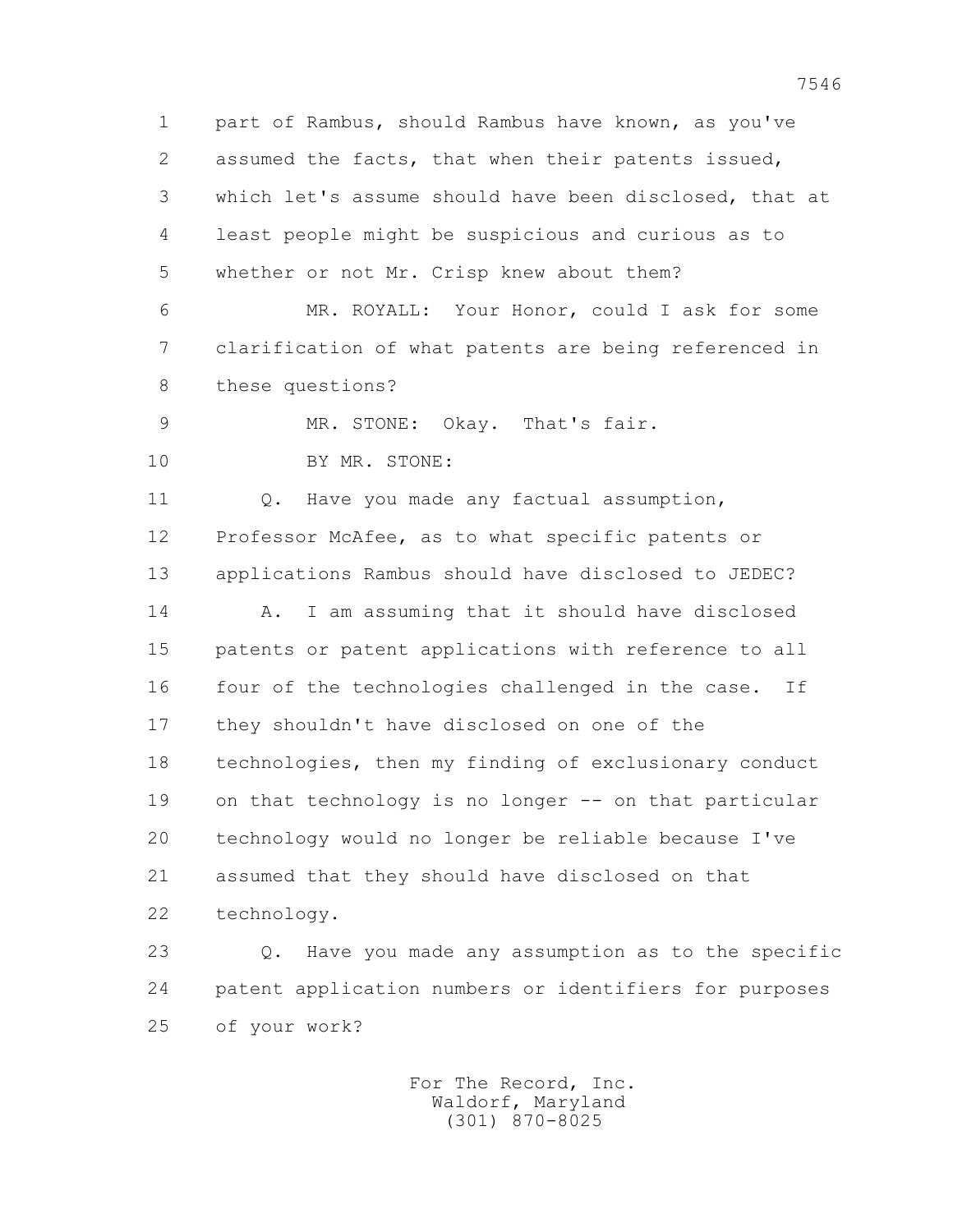1 part of Rambus, should Rambus have known, as you've 2 assumed the facts, that when their patents issued, 3 which let's assume should have been disclosed, that at 4 least people might be suspicious and curious as to 5 whether or not Mr. Crisp knew about them? 6 MR. ROYALL: Your Honor, could I ask for some 7 clarification of what patents are being referenced in 8 these questions? 9 MR. STONE: Okay. That's fair. 10 BY MR. STONE: 11 Q. Have you made any factual assumption, 12 Professor McAfee, as to what specific patents or 13 applications Rambus should have disclosed to JEDEC? 14 A. I am assuming that it should have disclosed 15 patents or patent applications with reference to all 16 four of the technologies challenged in the case. If 17 they shouldn't have disclosed on one of the 18 technologies, then my finding of exclusionary conduct 19 on that technology is no longer -- on that particular 20 technology would no longer be reliable because I've 21 assumed that they should have disclosed on that 22 technology. 23 Q. Have you made any assumption as to the specific 24 patent application numbers or identifiers for purposes

25 of your work?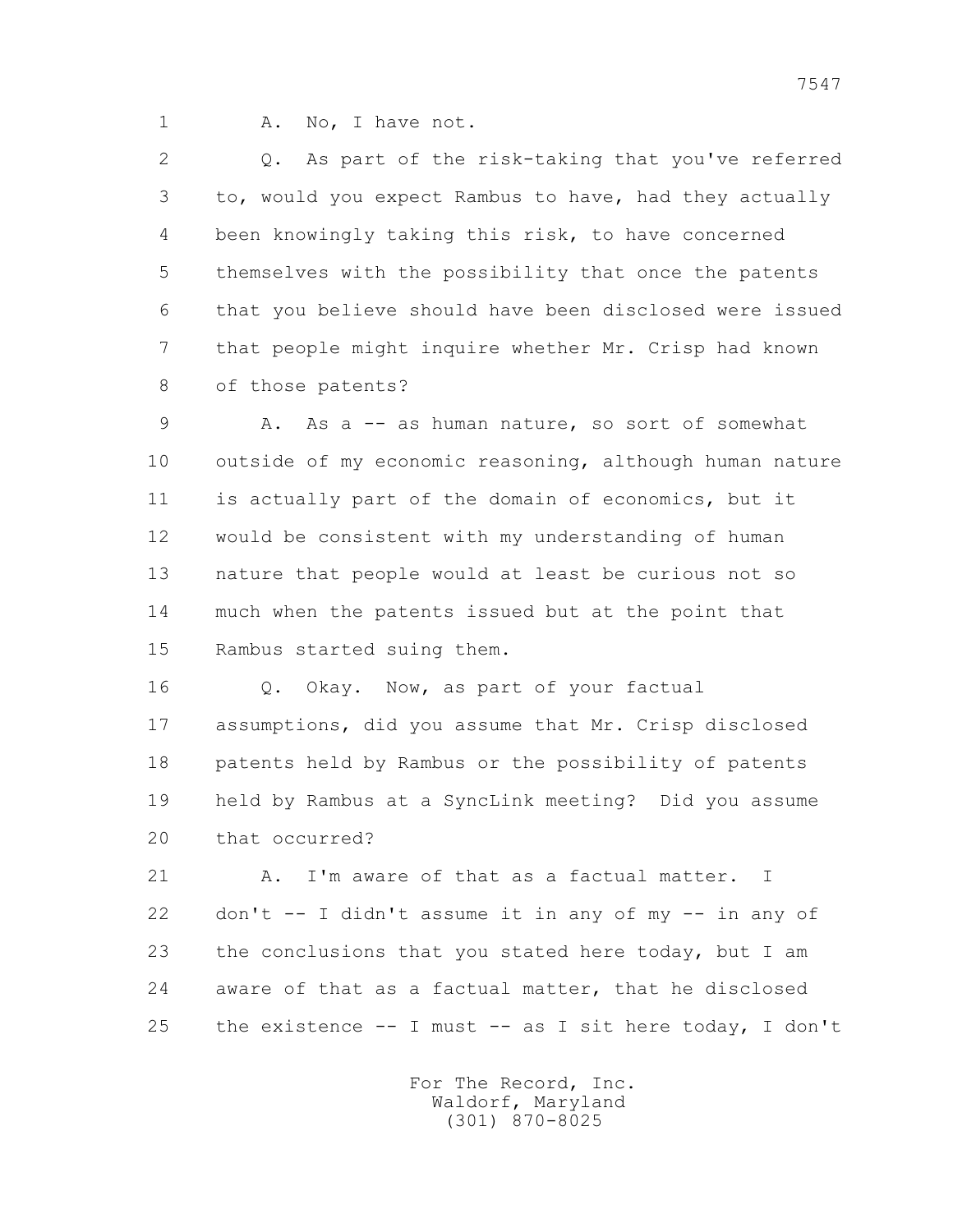1 A. No, I have not.

 2 Q. As part of the risk-taking that you've referred 3 to, would you expect Rambus to have, had they actually 4 been knowingly taking this risk, to have concerned 5 themselves with the possibility that once the patents 6 that you believe should have been disclosed were issued 7 that people might inquire whether Mr. Crisp had known 8 of those patents?

 9 A. As a -- as human nature, so sort of somewhat 10 outside of my economic reasoning, although human nature 11 is actually part of the domain of economics, but it 12 would be consistent with my understanding of human 13 nature that people would at least be curious not so 14 much when the patents issued but at the point that 15 Rambus started suing them.

 16 Q. Okay. Now, as part of your factual 17 assumptions, did you assume that Mr. Crisp disclosed 18 patents held by Rambus or the possibility of patents 19 held by Rambus at a SyncLink meeting? Did you assume 20 that occurred?

21 A. I'm aware of that as a factual matter. I 22 don't -- I didn't assume it in any of my -- in any of 23 the conclusions that you stated here today, but I am 24 aware of that as a factual matter, that he disclosed 25 the existence -- I must -- as I sit here today, I don't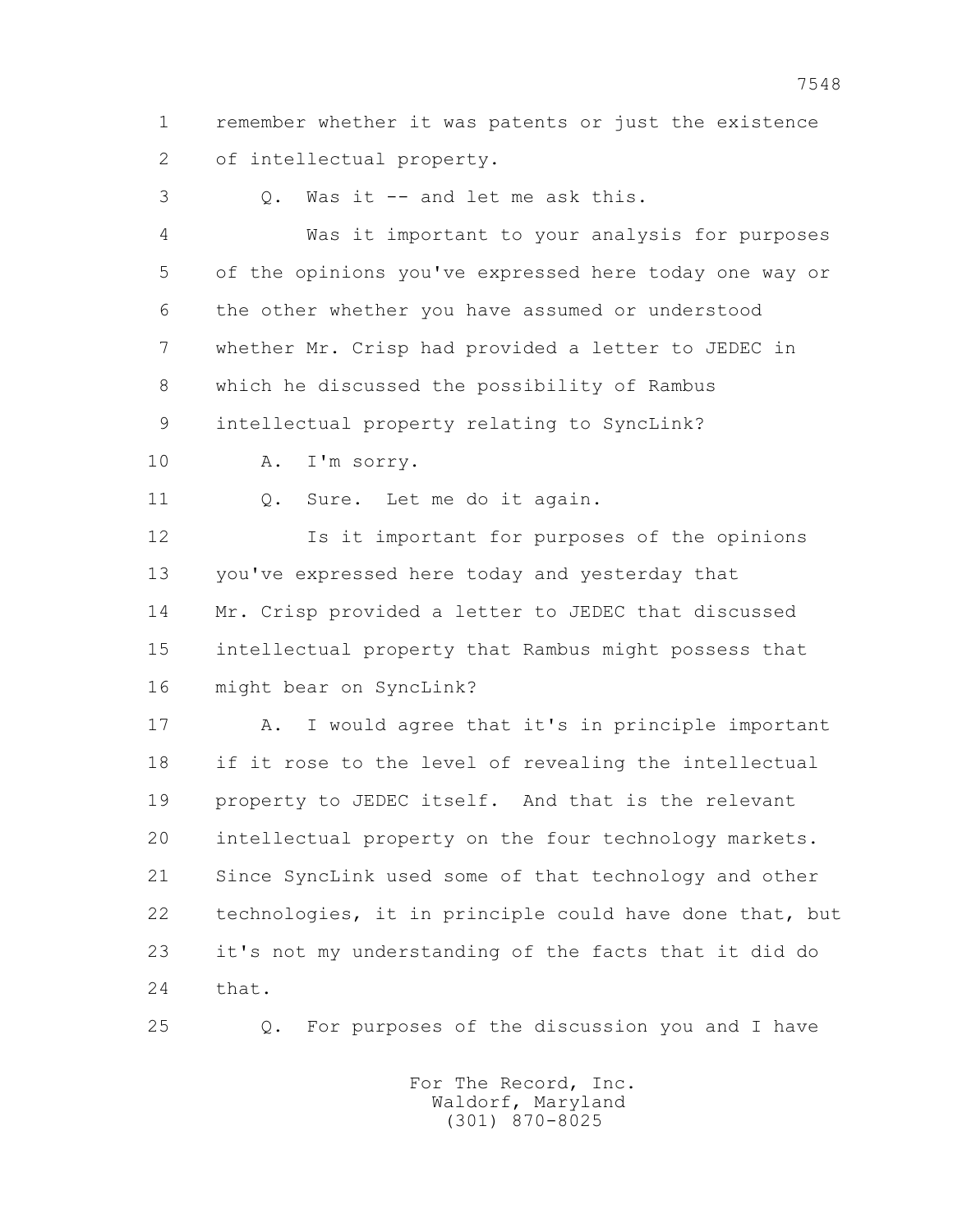1 remember whether it was patents or just the existence 2 of intellectual property.

3 Q. Was it -- and let me ask this.

 4 Was it important to your analysis for purposes 5 of the opinions you've expressed here today one way or 6 the other whether you have assumed or understood 7 whether Mr. Crisp had provided a letter to JEDEC in 8 which he discussed the possibility of Rambus 9 intellectual property relating to SyncLink?

10 A. I'm sorry.

11 0. Sure. Let me do it again.

 12 Is it important for purposes of the opinions 13 you've expressed here today and yesterday that 14 Mr. Crisp provided a letter to JEDEC that discussed 15 intellectual property that Rambus might possess that 16 might bear on SyncLink?

 17 A. I would agree that it's in principle important 18 if it rose to the level of revealing the intellectual 19 property to JEDEC itself. And that is the relevant 20 intellectual property on the four technology markets. 21 Since SyncLink used some of that technology and other 22 technologies, it in principle could have done that, but 23 it's not my understanding of the facts that it did do 24 that.

25 Q. For purposes of the discussion you and I have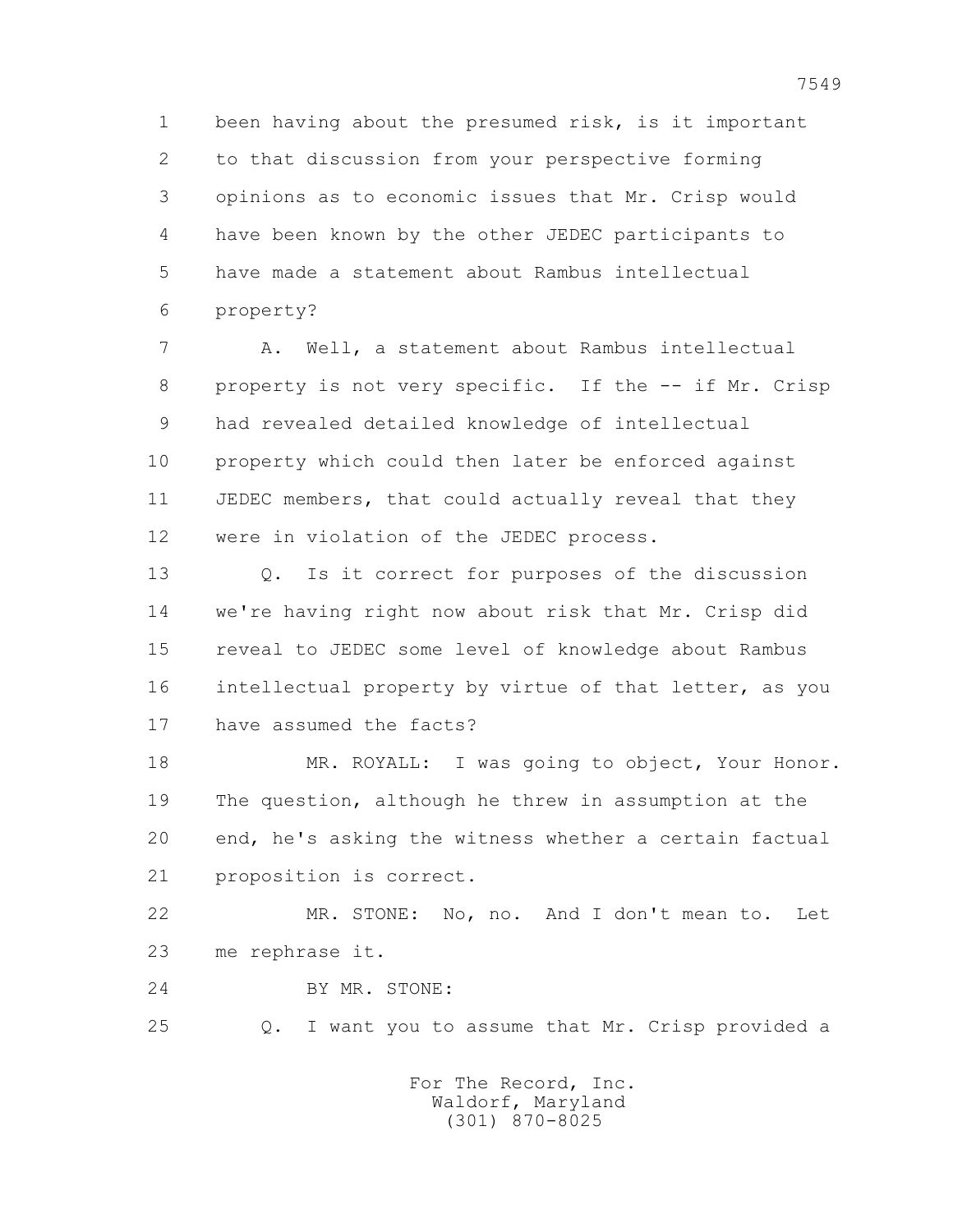1 been having about the presumed risk, is it important 2 to that discussion from your perspective forming 3 opinions as to economic issues that Mr. Crisp would 4 have been known by the other JEDEC participants to 5 have made a statement about Rambus intellectual 6 property?

 7 A. Well, a statement about Rambus intellectual 8 property is not very specific. If the -- if Mr. Crisp 9 had revealed detailed knowledge of intellectual 10 property which could then later be enforced against 11 JEDEC members, that could actually reveal that they 12 were in violation of the JEDEC process.

 13 Q. Is it correct for purposes of the discussion 14 we're having right now about risk that Mr. Crisp did 15 reveal to JEDEC some level of knowledge about Rambus 16 intellectual property by virtue of that letter, as you 17 have assumed the facts?

18 MR. ROYALL: I was going to object, Your Honor. 19 The question, although he threw in assumption at the 20 end, he's asking the witness whether a certain factual 21 proposition is correct.

 22 MR. STONE: No, no. And I don't mean to. Let 23 me rephrase it.

24 BY MR. STONE:

25 Q. I want you to assume that Mr. Crisp provided a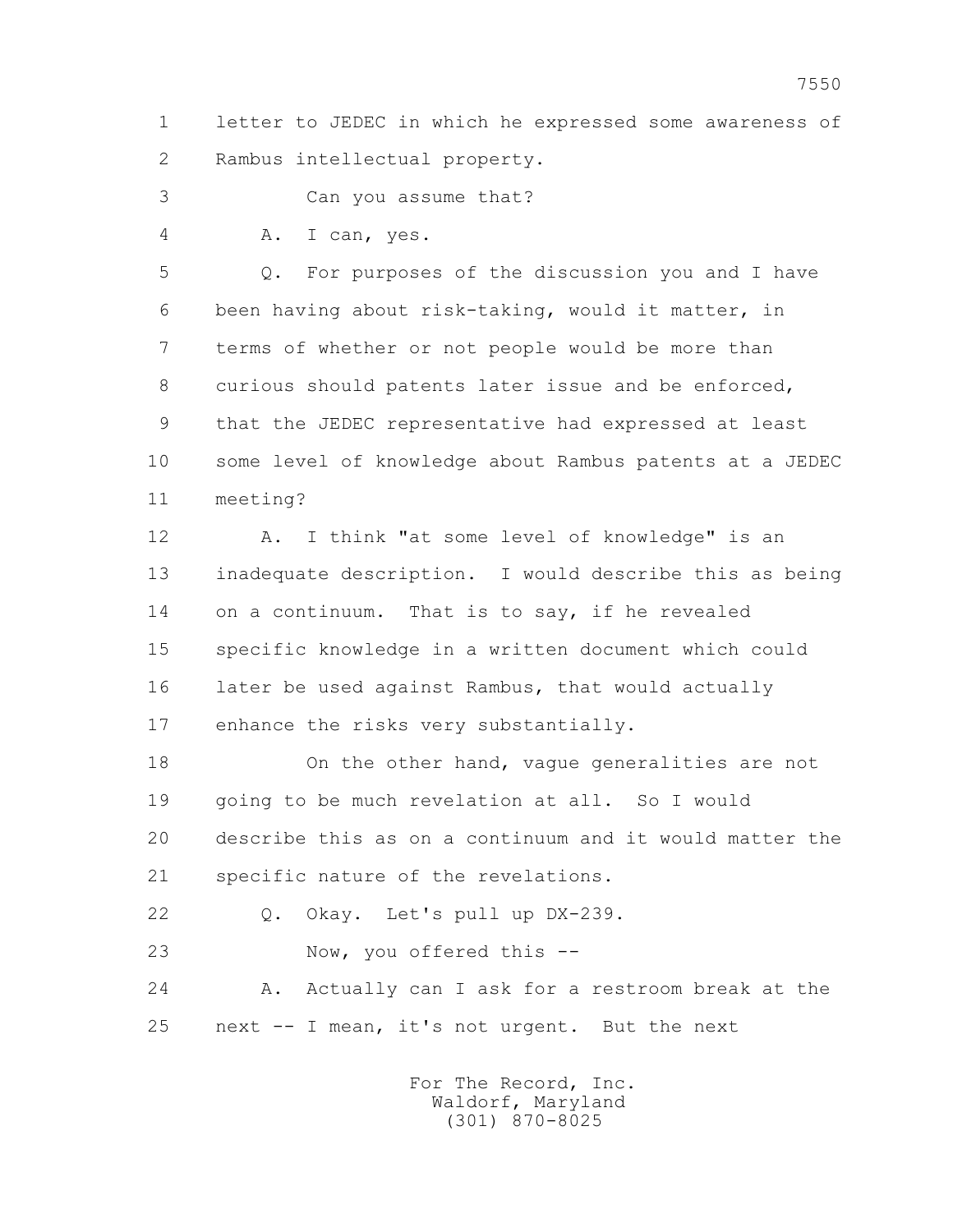1 letter to JEDEC in which he expressed some awareness of 2 Rambus intellectual property.

3 Can you assume that?

4 A. I can, yes.

 5 Q. For purposes of the discussion you and I have 6 been having about risk-taking, would it matter, in 7 terms of whether or not people would be more than 8 curious should patents later issue and be enforced, 9 that the JEDEC representative had expressed at least 10 some level of knowledge about Rambus patents at a JEDEC 11 meeting?

 12 A. I think "at some level of knowledge" is an 13 inadequate description. I would describe this as being 14 on a continuum. That is to say, if he revealed 15 specific knowledge in a written document which could 16 later be used against Rambus, that would actually 17 enhance the risks very substantially.

 18 On the other hand, vague generalities are not 19 going to be much revelation at all. So I would 20 describe this as on a continuum and it would matter the 21 specific nature of the revelations.

22 Q. Okay. Let's pull up DX-239.

23 Now, you offered this --

 24 A. Actually can I ask for a restroom break at the 25 next -- I mean, it's not urgent. But the next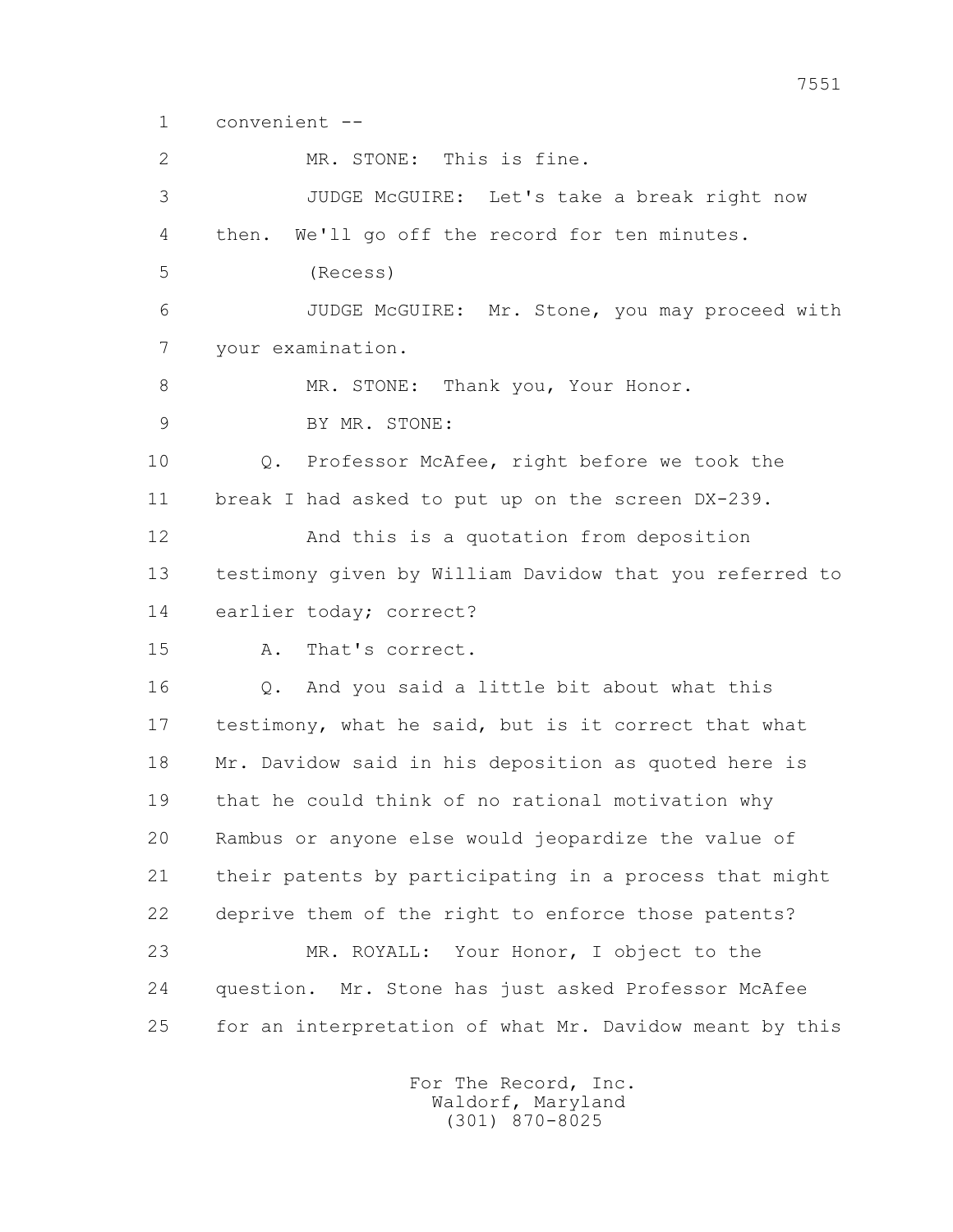```
 1 convenient --
```
 2 MR. STONE: This is fine. 3 JUDGE McGUIRE: Let's take a break right now 4 then. We'll go off the record for ten minutes. 5 (Recess) 6 JUDGE McGUIRE: Mr. Stone, you may proceed with 7 your examination. 8 MR. STONE: Thank you, Your Honor. 9 BY MR. STONE: 10 Q. Professor McAfee, right before we took the 11 break I had asked to put up on the screen DX-239. 12 And this is a quotation from deposition 13 testimony given by William Davidow that you referred to 14 earlier today; correct? 15 A. That's correct. 16 Q. And you said a little bit about what this 17 testimony, what he said, but is it correct that what 18 Mr. Davidow said in his deposition as quoted here is 19 that he could think of no rational motivation why 20 Rambus or anyone else would jeopardize the value of 21 their patents by participating in a process that might 22 deprive them of the right to enforce those patents? 23 MR. ROYALL: Your Honor, I object to the 24 question. Mr. Stone has just asked Professor McAfee 25 for an interpretation of what Mr. Davidow meant by this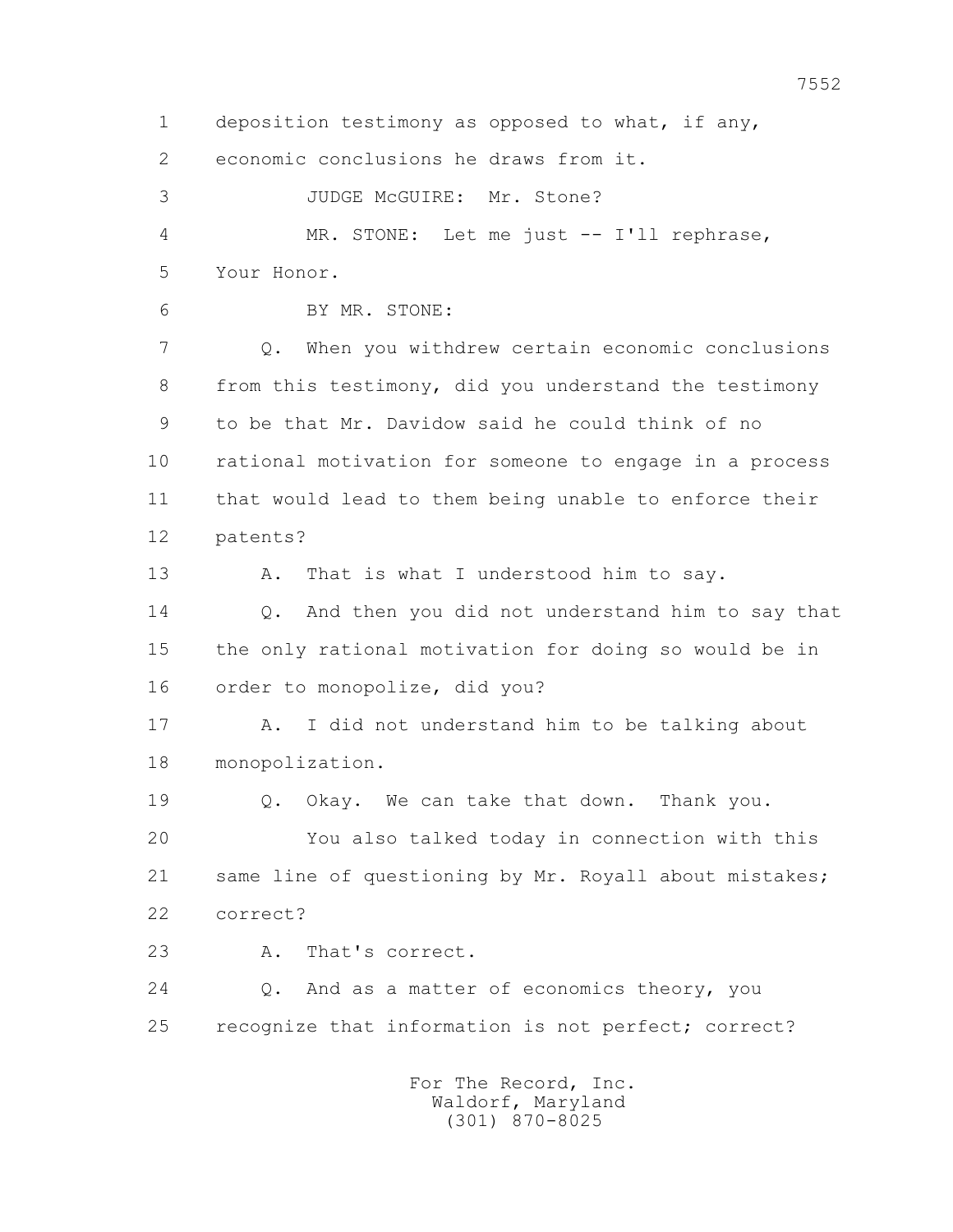1 deposition testimony as opposed to what, if any, 2 economic conclusions he draws from it. 3 JUDGE McGUIRE: Mr. Stone? 4 MR. STONE: Let me just -- I'll rephrase, 5 Your Honor. 6 BY MR. STONE: 7 Q. When you withdrew certain economic conclusions 8 from this testimony, did you understand the testimony 9 to be that Mr. Davidow said he could think of no 10 rational motivation for someone to engage in a process 11 that would lead to them being unable to enforce their 12 patents? 13 A. That is what I understood him to say. 14 Q. And then you did not understand him to say that 15 the only rational motivation for doing so would be in 16 order to monopolize, did you? 17 A. I did not understand him to be talking about 18 monopolization. 19 Q. Okay. We can take that down. Thank you. 20 You also talked today in connection with this 21 same line of questioning by Mr. Royall about mistakes; 22 correct? 23 A. That's correct. 24 Q. And as a matter of economics theory, you 25 recognize that information is not perfect; correct? For The Record, Inc. Waldorf, Maryland

(301) 870-8025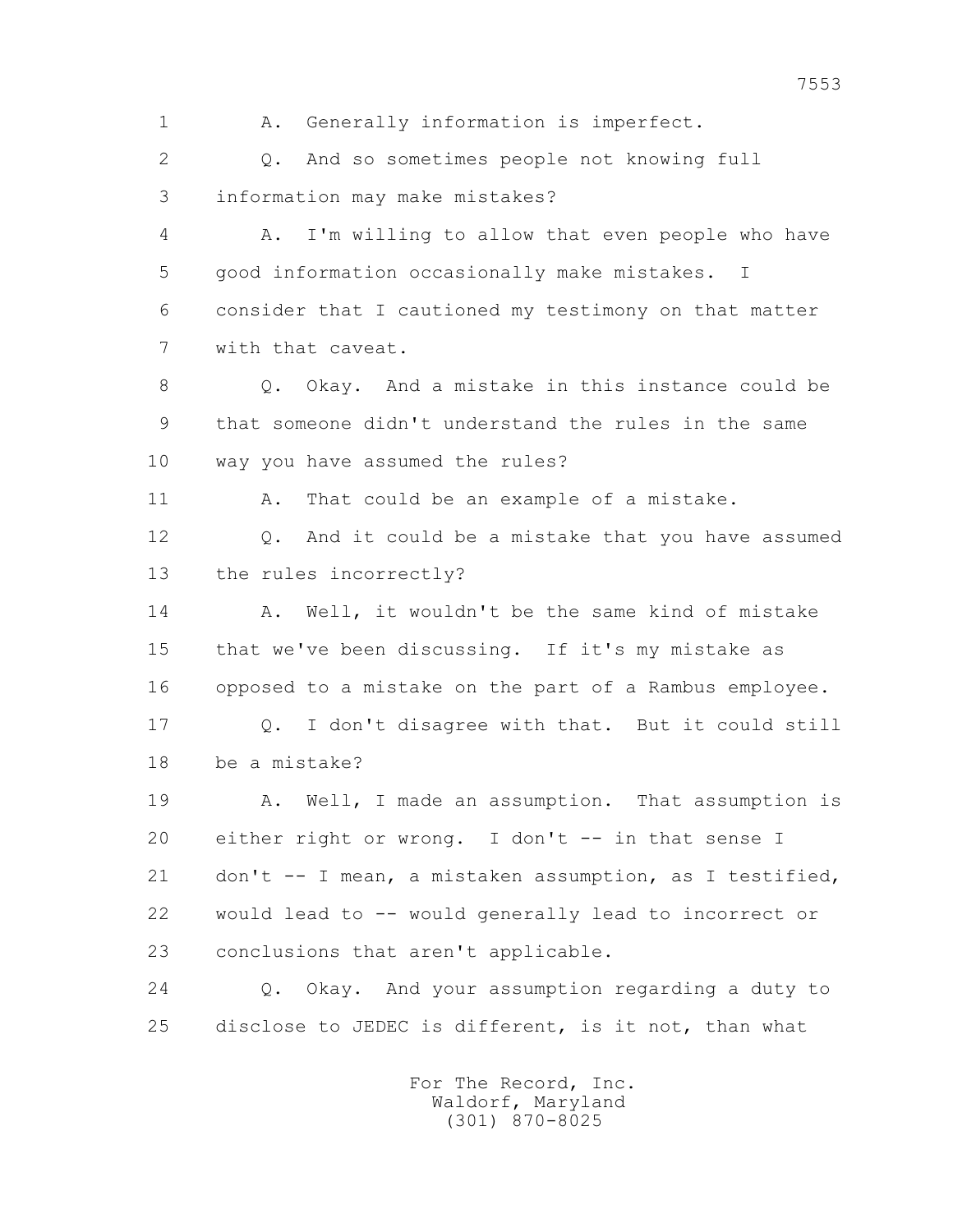1 A. Generally information is imperfect. 2 Q. And so sometimes people not knowing full 3 information may make mistakes? 4 A. I'm willing to allow that even people who have 5 good information occasionally make mistakes. I 6 consider that I cautioned my testimony on that matter 7 with that caveat. 8 Q. Okay. And a mistake in this instance could be 9 that someone didn't understand the rules in the same 10 way you have assumed the rules? 11 A. That could be an example of a mistake. 12 Q. And it could be a mistake that you have assumed 13 the rules incorrectly? 14 A. Well, it wouldn't be the same kind of mistake 15 that we've been discussing. If it's my mistake as 16 opposed to a mistake on the part of a Rambus employee. 17 Q. I don't disagree with that. But it could still 18 be a mistake? 19 A. Well, I made an assumption. That assumption is 20 either right or wrong. I don't -- in that sense I 21 don't -- I mean, a mistaken assumption, as I testified, 22 would lead to -- would generally lead to incorrect or 23 conclusions that aren't applicable. 24 Q. Okay. And your assumption regarding a duty to 25 disclose to JEDEC is different, is it not, than what For The Record, Inc. Waldorf, Maryland

(301) 870-8025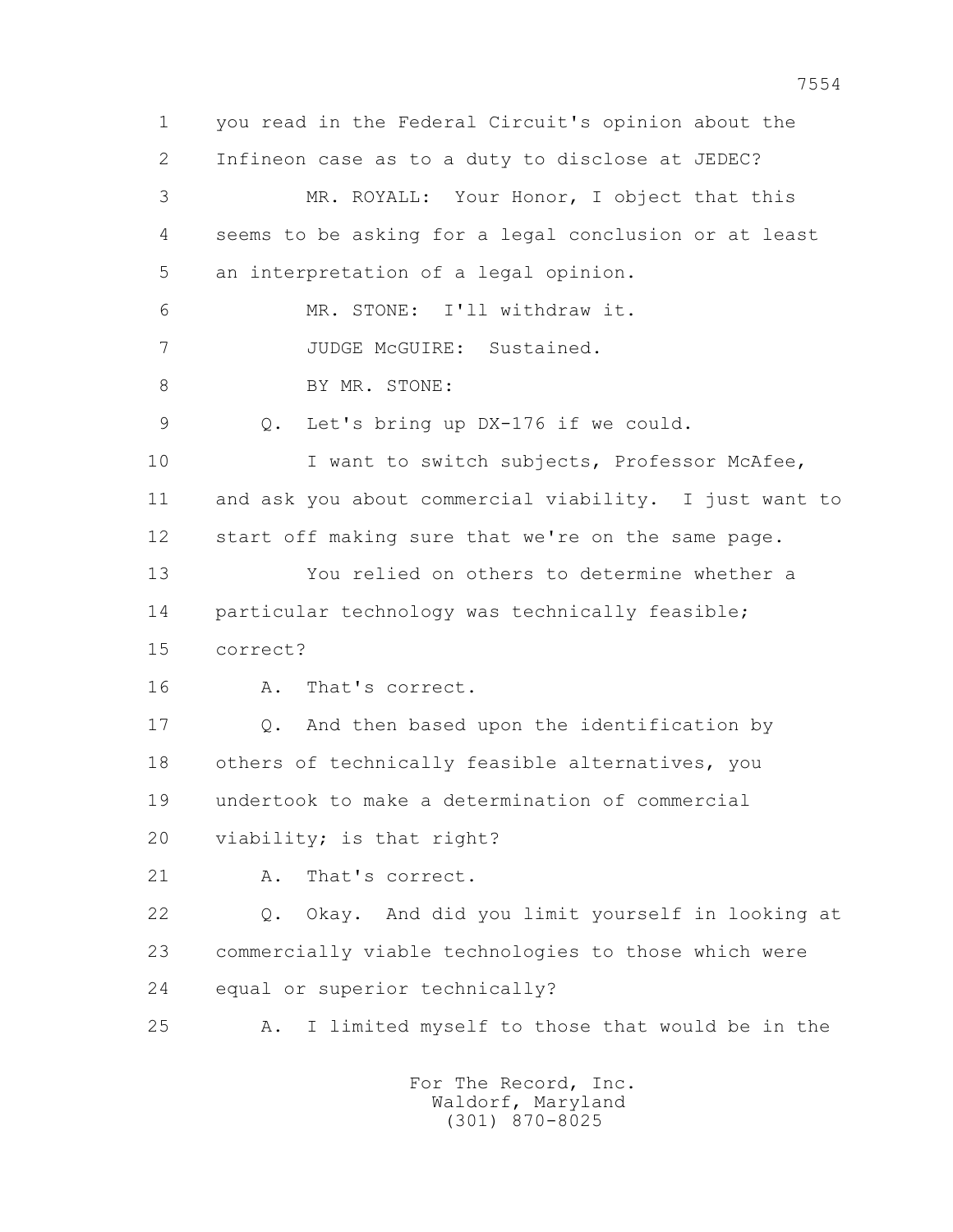1 you read in the Federal Circuit's opinion about the 2 Infineon case as to a duty to disclose at JEDEC? 3 MR. ROYALL: Your Honor, I object that this 4 seems to be asking for a legal conclusion or at least 5 an interpretation of a legal opinion. 6 MR. STONE: I'll withdraw it. 7 JUDGE McGUIRE: Sustained. 8 BY MR. STONE: 9 Q. Let's bring up DX-176 if we could. 10 I want to switch subjects, Professor McAfee, 11 and ask you about commercial viability. I just want to 12 start off making sure that we're on the same page. 13 You relied on others to determine whether a 14 particular technology was technically feasible; 15 correct? 16 A. That's correct. 17 Q. And then based upon the identification by 18 others of technically feasible alternatives, you 19 undertook to make a determination of commercial 20 viability; is that right? 21 A. That's correct. 22 Q. Okay. And did you limit yourself in looking at 23 commercially viable technologies to those which were 24 equal or superior technically? 25 A. I limited myself to those that would be in the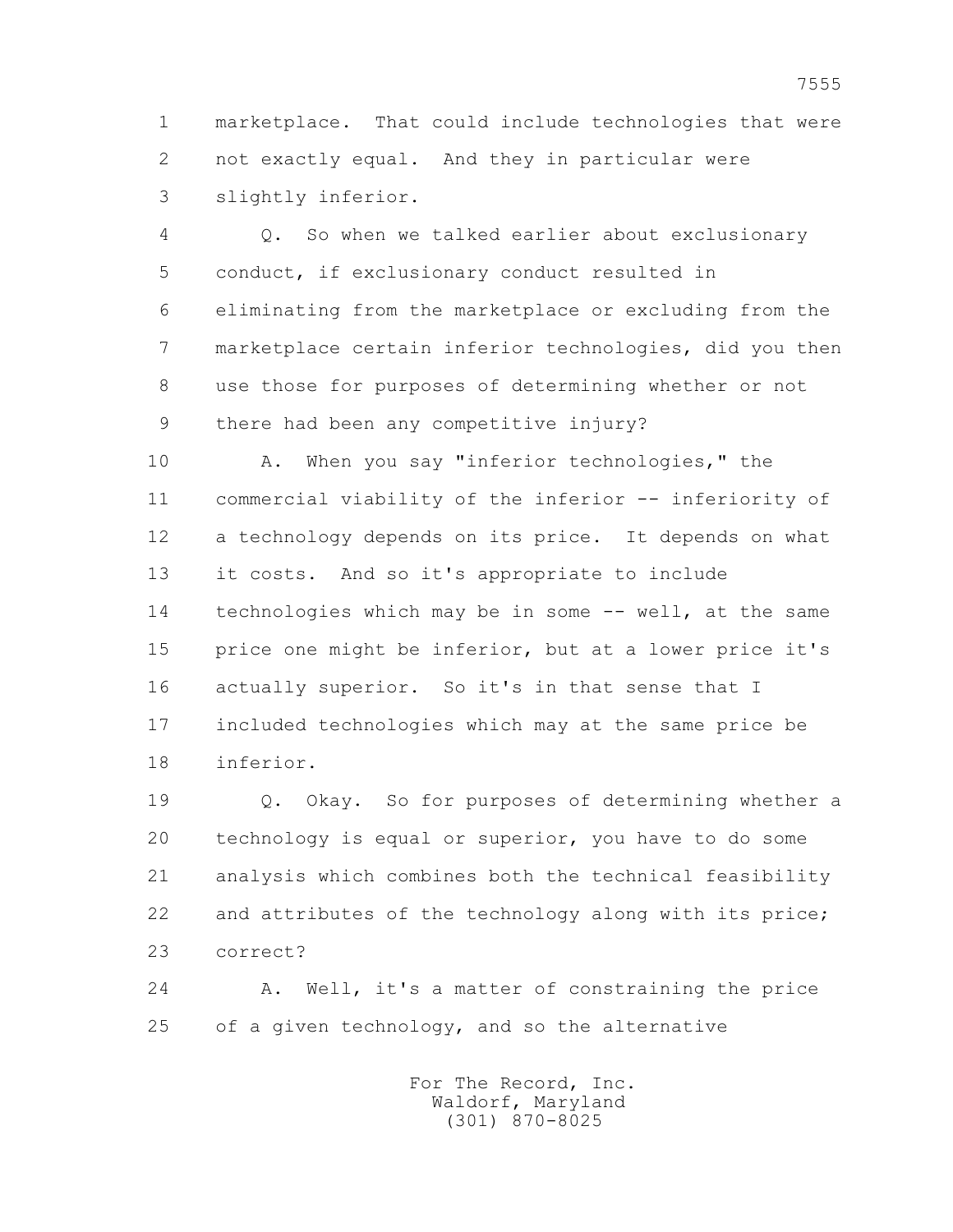1 marketplace. That could include technologies that were 2 not exactly equal. And they in particular were 3 slightly inferior.

 4 Q. So when we talked earlier about exclusionary 5 conduct, if exclusionary conduct resulted in 6 eliminating from the marketplace or excluding from the 7 marketplace certain inferior technologies, did you then 8 use those for purposes of determining whether or not 9 there had been any competitive injury?

 10 A. When you say "inferior technologies," the 11 commercial viability of the inferior -- inferiority of 12 a technology depends on its price. It depends on what 13 it costs. And so it's appropriate to include 14 technologies which may be in some -- well, at the same 15 price one might be inferior, but at a lower price it's 16 actually superior. So it's in that sense that I 17 included technologies which may at the same price be 18 inferior.

 19 Q. Okay. So for purposes of determining whether a 20 technology is equal or superior, you have to do some 21 analysis which combines both the technical feasibility 22 and attributes of the technology along with its price; 23 correct?

 24 A. Well, it's a matter of constraining the price 25 of a given technology, and so the alternative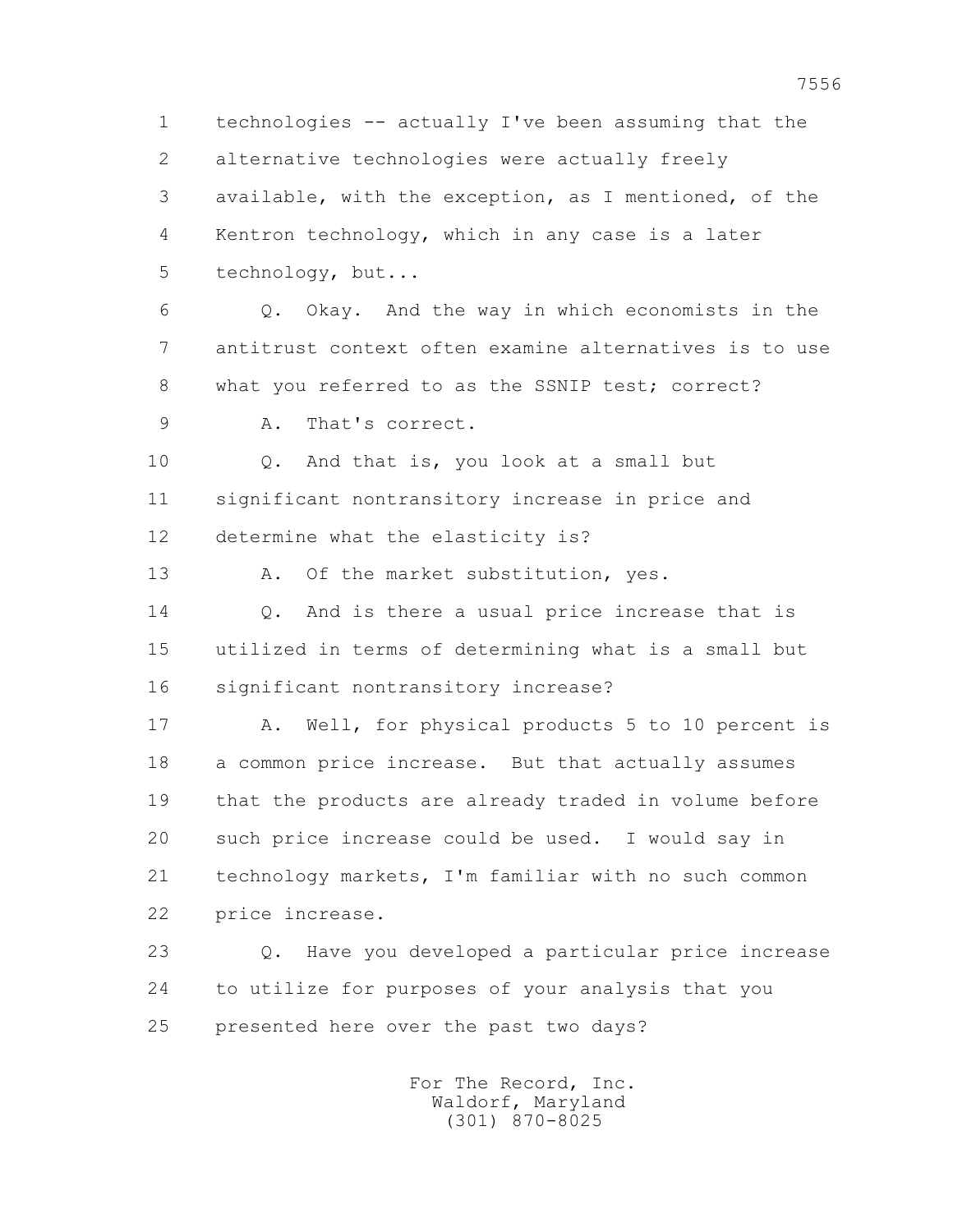1 technologies -- actually I've been assuming that the 2 alternative technologies were actually freely 3 available, with the exception, as I mentioned, of the 4 Kentron technology, which in any case is a later 5 technology, but... 6 Q. Okay. And the way in which economists in the 7 antitrust context often examine alternatives is to use 8 what you referred to as the SSNIP test; correct?

9 A. That's correct.

 10 Q. And that is, you look at a small but 11 significant nontransitory increase in price and 12 determine what the elasticity is?

13 A. Of the market substitution, yes.

14 0. And is there a usual price increase that is 15 utilized in terms of determining what is a small but 16 significant nontransitory increase?

 17 A. Well, for physical products 5 to 10 percent is 18 a common price increase. But that actually assumes 19 that the products are already traded in volume before 20 such price increase could be used. I would say in 21 technology markets, I'm familiar with no such common 22 price increase.

 23 Q. Have you developed a particular price increase 24 to utilize for purposes of your analysis that you 25 presented here over the past two days?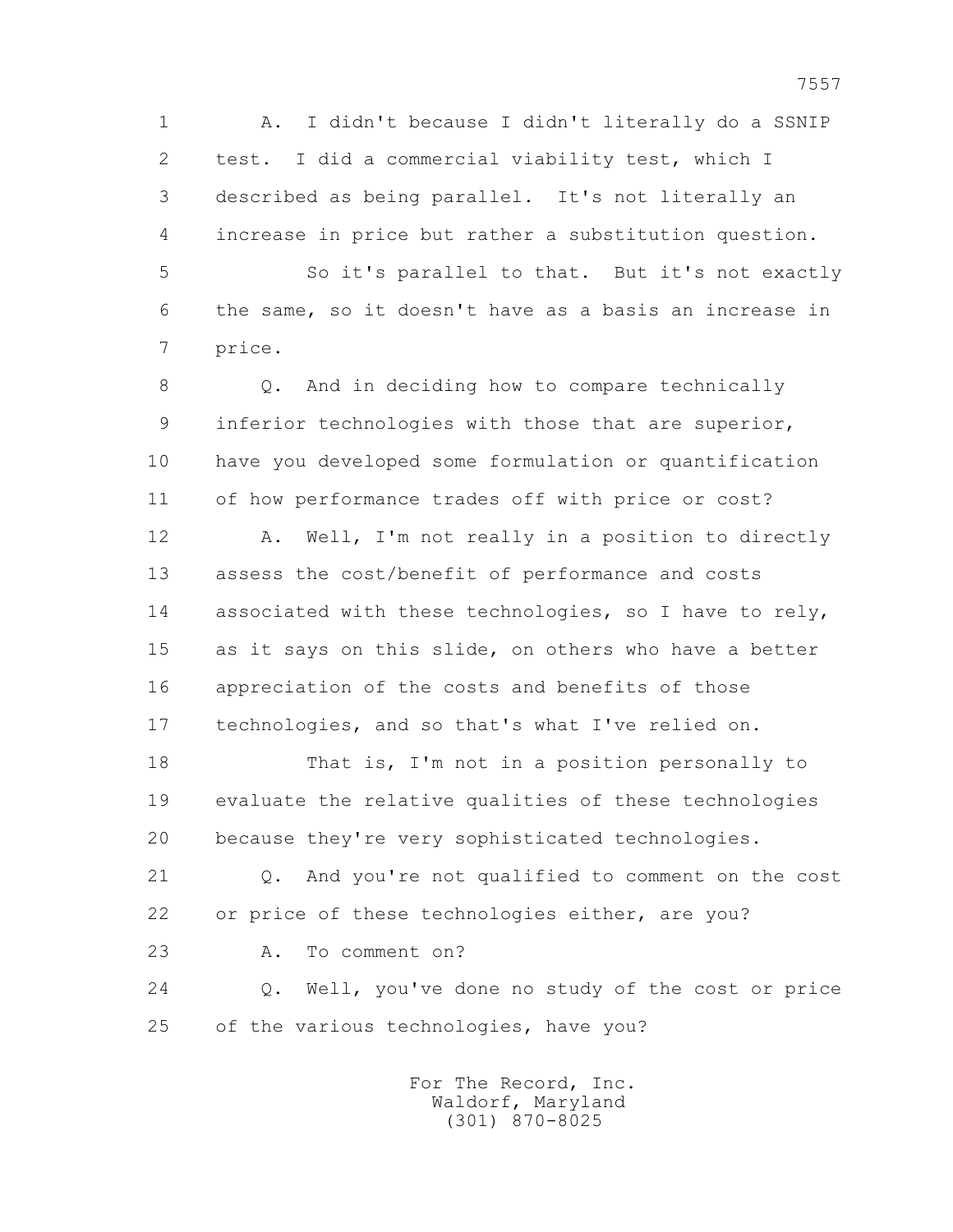1 A. I didn't because I didn't literally do a SSNIP 2 test. I did a commercial viability test, which I 3 described as being parallel. It's not literally an 4 increase in price but rather a substitution question.

 5 So it's parallel to that. But it's not exactly 6 the same, so it doesn't have as a basis an increase in 7 price.

 8 Q. And in deciding how to compare technically 9 inferior technologies with those that are superior, 10 have you developed some formulation or quantification 11 of how performance trades off with price or cost?

 12 A. Well, I'm not really in a position to directly 13 assess the cost/benefit of performance and costs 14 associated with these technologies, so I have to rely, 15 as it says on this slide, on others who have a better 16 appreciation of the costs and benefits of those 17 technologies, and so that's what I've relied on.

 18 That is, I'm not in a position personally to 19 evaluate the relative qualities of these technologies 20 because they're very sophisticated technologies.

 21 Q. And you're not qualified to comment on the cost 22 or price of these technologies either, are you?

23 A. To comment on?

 24 Q. Well, you've done no study of the cost or price 25 of the various technologies, have you?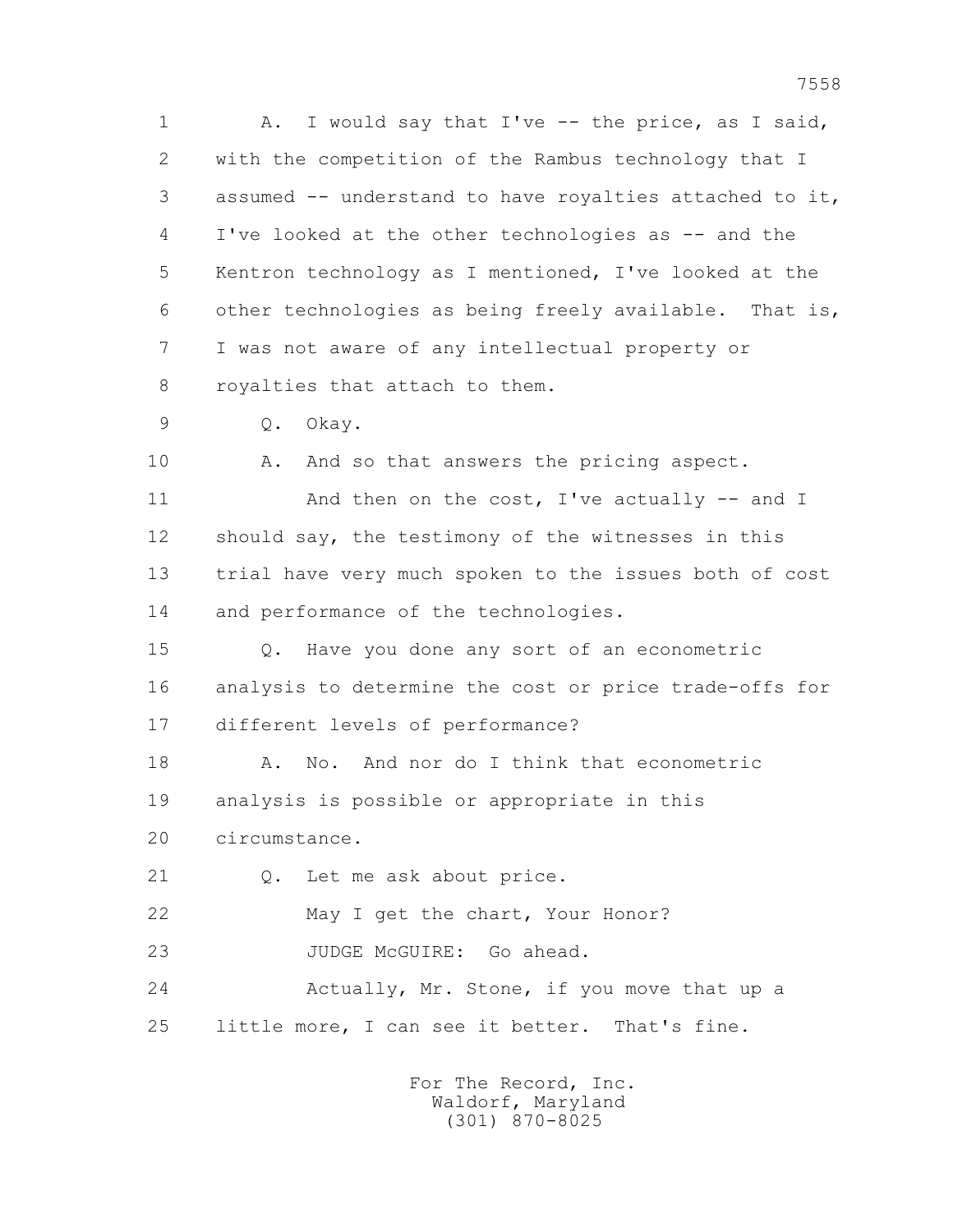1 A. I would say that I've -- the price, as I said, 2 with the competition of the Rambus technology that I 3 assumed -- understand to have royalties attached to it, 4 I've looked at the other technologies as -- and the 5 Kentron technology as I mentioned, I've looked at the 6 other technologies as being freely available. That is, 7 I was not aware of any intellectual property or 8 royalties that attach to them.

9 Q. Okay.

10 A. And so that answers the pricing aspect.

11 And then on the cost, I've actually -- and I 12 should say, the testimony of the witnesses in this 13 trial have very much spoken to the issues both of cost 14 and performance of the technologies.

 15 Q. Have you done any sort of an econometric 16 analysis to determine the cost or price trade-offs for 17 different levels of performance?

18 A. No. And nor do I think that econometric 19 analysis is possible or appropriate in this

20 circumstance.

21 Q. Let me ask about price.

22 May I get the chart, Your Honor?

23 JUDGE McGUIRE: Go ahead.

 24 Actually, Mr. Stone, if you move that up a 25 little more, I can see it better. That's fine.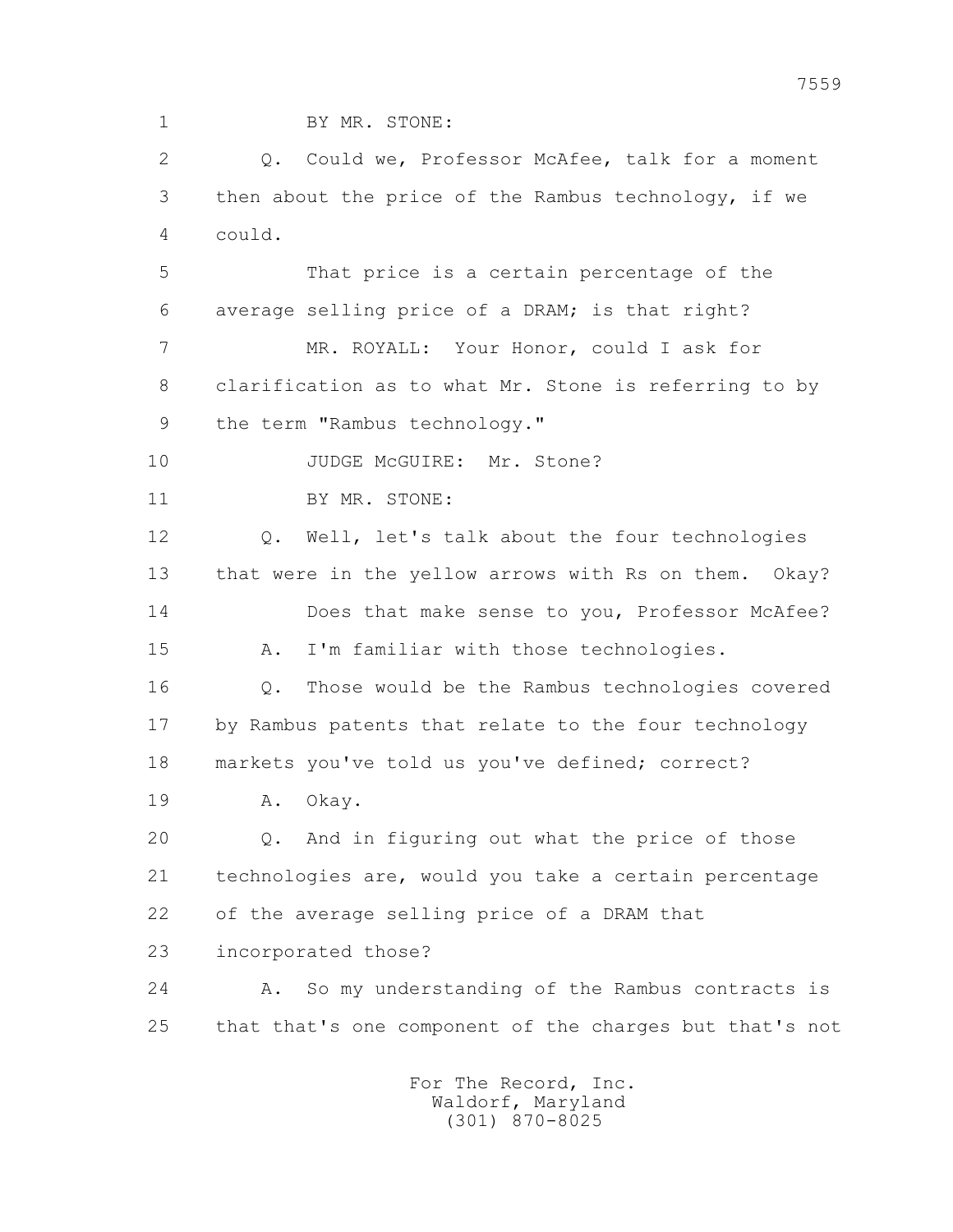1 BY MR. STONE: 2 Q. Could we, Professor McAfee, talk for a moment 3 then about the price of the Rambus technology, if we 4 could. 5 That price is a certain percentage of the 6 average selling price of a DRAM; is that right? 7 MR. ROYALL: Your Honor, could I ask for 8 clarification as to what Mr. Stone is referring to by 9 the term "Rambus technology." 10 JUDGE McGUIRE: Mr. Stone? 11 BY MR. STONE: 12 Q. Well, let's talk about the four technologies 13 that were in the yellow arrows with Rs on them. Okay? 14 Does that make sense to you, Professor McAfee? 15 A. I'm familiar with those technologies. 16 Q. Those would be the Rambus technologies covered 17 by Rambus patents that relate to the four technology 18 markets you've told us you've defined; correct? 19 A. Okay. 20 Q. And in figuring out what the price of those 21 technologies are, would you take a certain percentage 22 of the average selling price of a DRAM that 23 incorporated those? 24 A. So my understanding of the Rambus contracts is 25 that that's one component of the charges but that's not For The Record, Inc. Waldorf, Maryland

(301) 870-8025

7559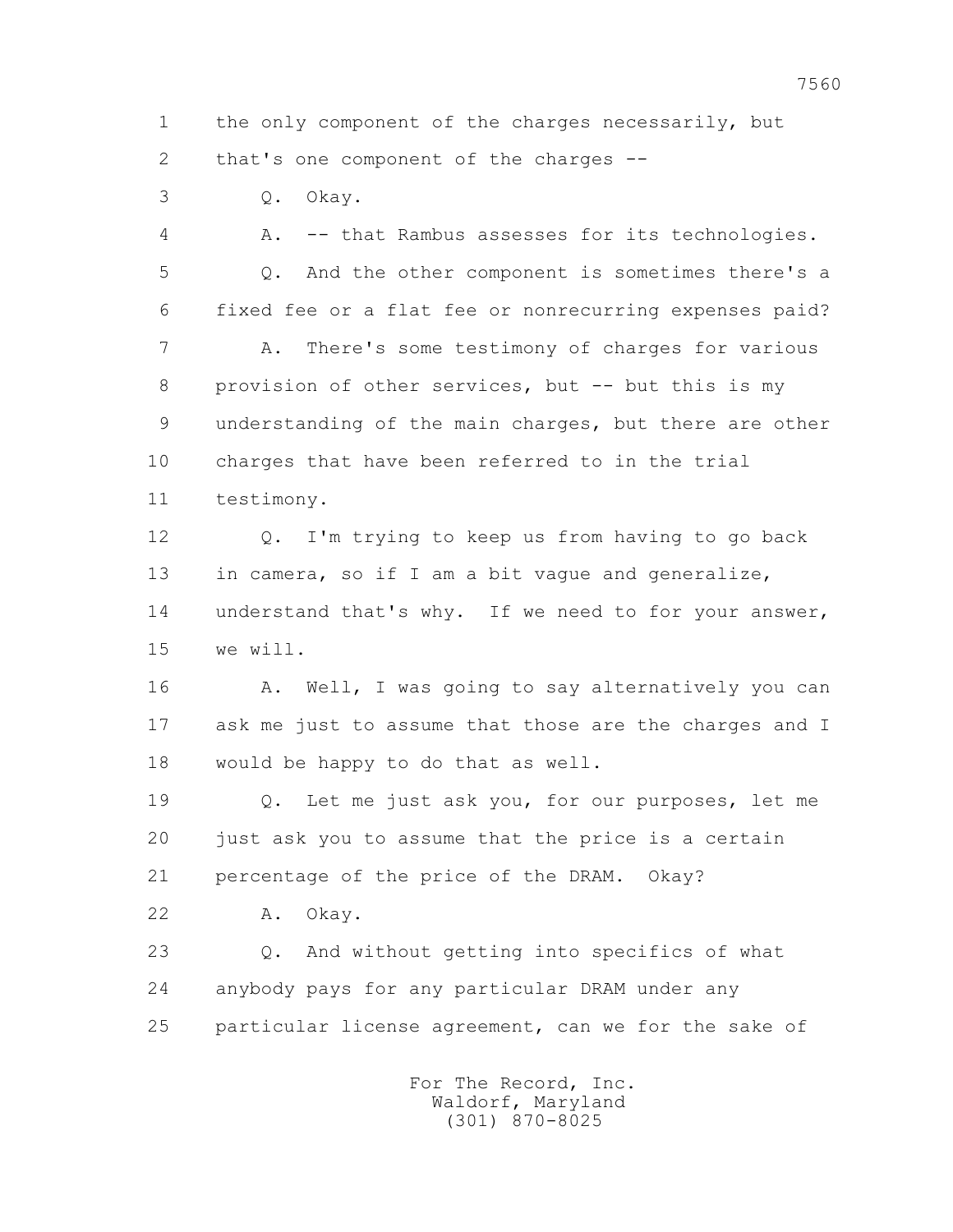1 the only component of the charges necessarily, but 2 that's one component of the charges --

3 Q. Okay.

 4 A. -- that Rambus assesses for its technologies. 5 Q. And the other component is sometimes there's a 6 fixed fee or a flat fee or nonrecurring expenses paid? 7 A. There's some testimony of charges for various 8 provision of other services, but -- but this is my 9 understanding of the main charges, but there are other 10 charges that have been referred to in the trial 11 testimony.

 12 Q. I'm trying to keep us from having to go back 13 in camera, so if I am a bit vague and generalize, 14 understand that's why. If we need to for your answer, 15 we will.

16 A. Well, I was going to say alternatively you can 17 ask me just to assume that those are the charges and I 18 would be happy to do that as well.

 19 Q. Let me just ask you, for our purposes, let me 20 just ask you to assume that the price is a certain 21 percentage of the price of the DRAM. Okay?

22 A. Okay.

 23 Q. And without getting into specifics of what 24 anybody pays for any particular DRAM under any 25 particular license agreement, can we for the sake of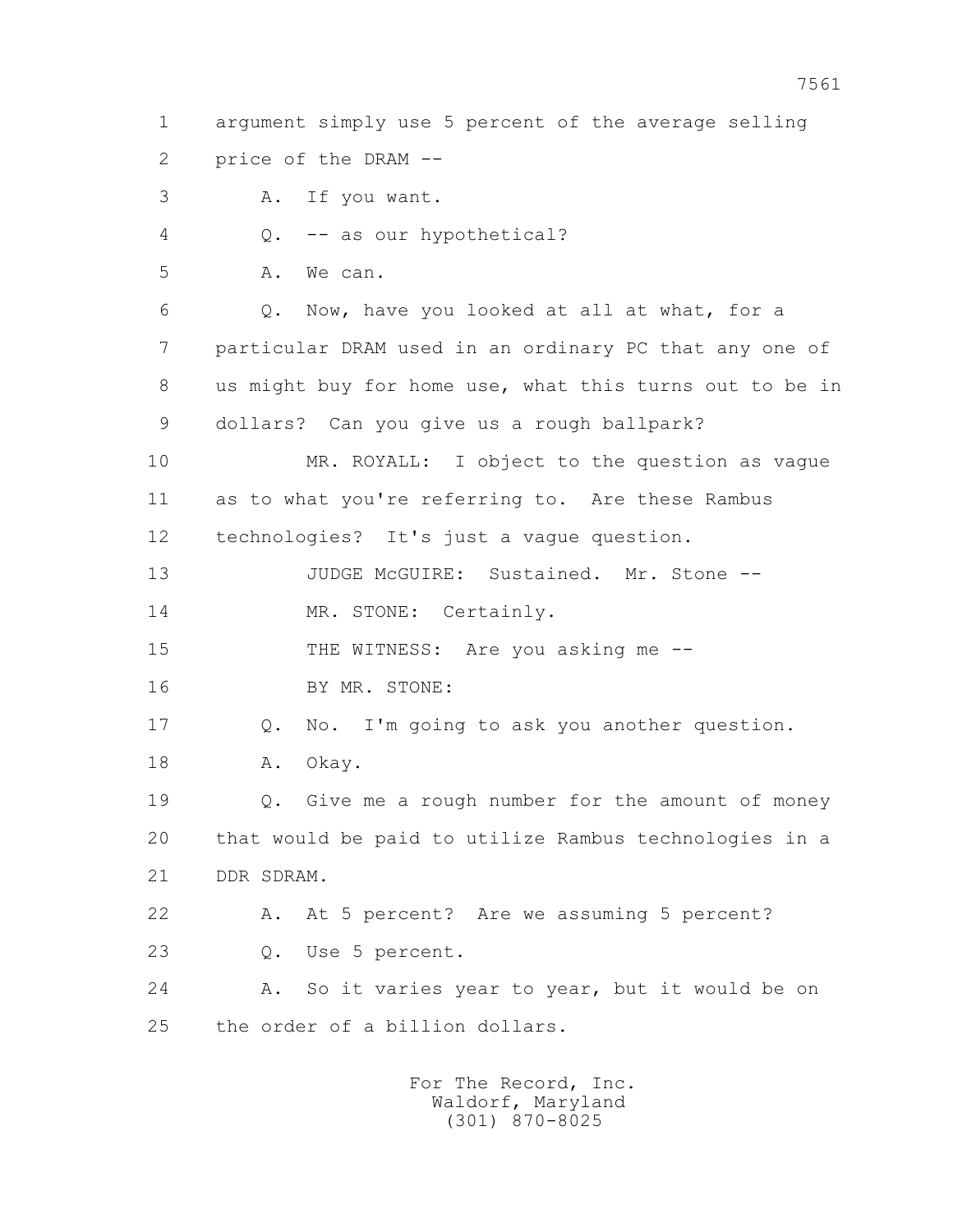1 argument simply use 5 percent of the average selling 2 price of the DRAM --

3 A. If you want.

4 Q. -- as our hypothetical?

5 A. We can.

 6 Q. Now, have you looked at all at what, for a 7 particular DRAM used in an ordinary PC that any one of 8 us might buy for home use, what this turns out to be in 9 dollars? Can you give us a rough ballpark?

 10 MR. ROYALL: I object to the question as vague 11 as to what you're referring to. Are these Rambus 12 technologies? It's just a vague question.

13 JUDGE McGUIRE: Sustained. Mr. Stone --14 MR. STONE: Certainly.

15 THE WITNESS: Are you asking me --

16 BY MR. STONE:

 17 Q. No. I'm going to ask you another question. 18 A. Okay.

 19 Q. Give me a rough number for the amount of money 20 that would be paid to utilize Rambus technologies in a 21 DDR SDRAM.

 22 A. At 5 percent? Are we assuming 5 percent? 23 Q. Use 5 percent.

 24 A. So it varies year to year, but it would be on 25 the order of a billion dollars.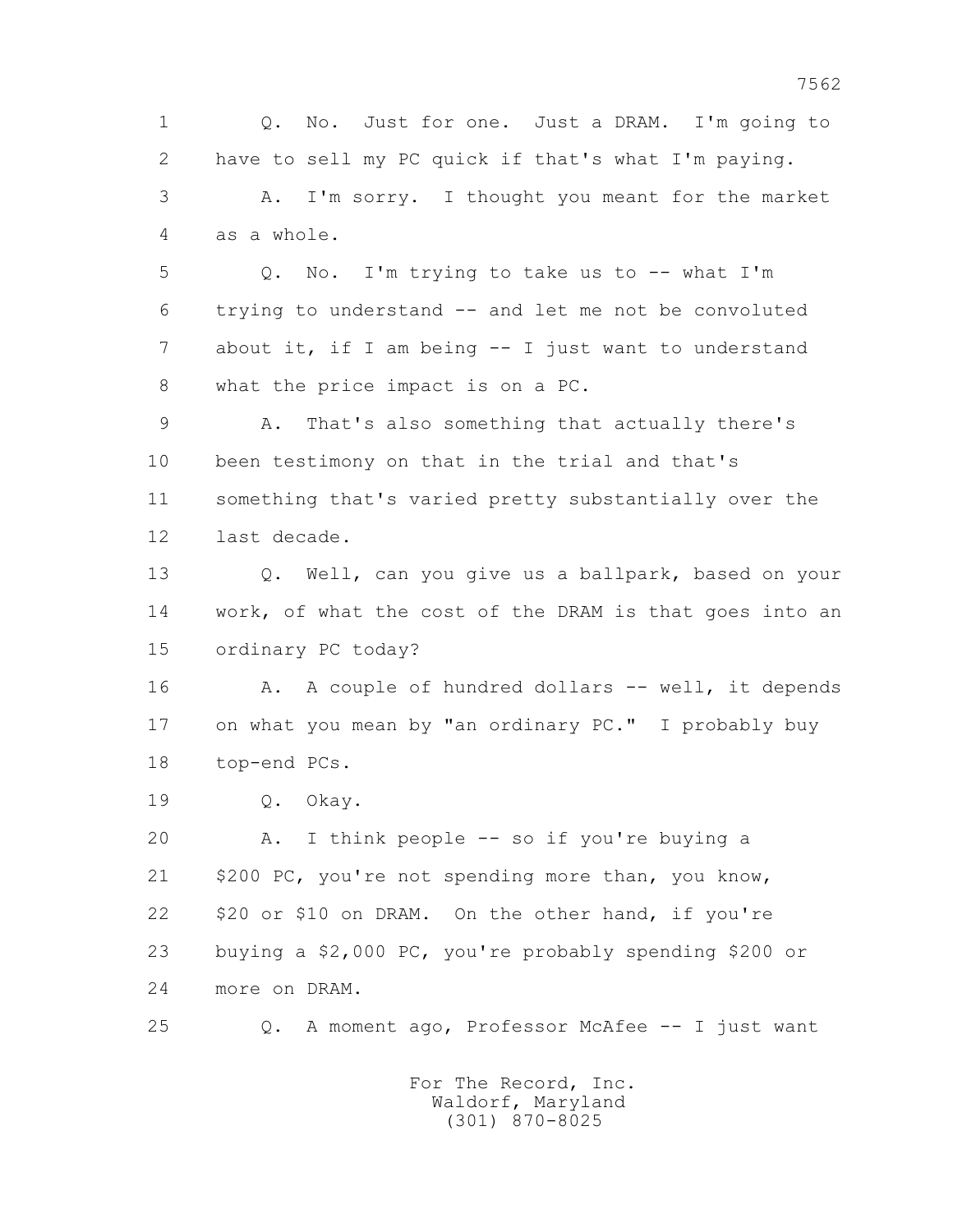1 Q. No. Just for one. Just a DRAM. I'm going to 2 have to sell my PC quick if that's what I'm paying. 3 A. I'm sorry. I thought you meant for the market 4 as a whole. 5 Q. No. I'm trying to take us to -- what I'm 6 trying to understand -- and let me not be convoluted 7 about it, if I am being -- I just want to understand 8 what the price impact is on a PC. 9 A. That's also something that actually there's 10 been testimony on that in the trial and that's 11 something that's varied pretty substantially over the 12 last decade. 13 Q. Well, can you give us a ballpark, based on your 14 work, of what the cost of the DRAM is that goes into an 15 ordinary PC today? 16 A. A couple of hundred dollars -- well, it depends 17 on what you mean by "an ordinary PC." I probably buy 18 top-end PCs. 19 Q. Okay. 20 A. I think people -- so if you're buying a 21 \$200 PC, you're not spending more than, you know, 22 \$20 or \$10 on DRAM. On the other hand, if you're 23 buying a \$2,000 PC, you're probably spending \$200 or 24 more on DRAM. 25 Q. A moment ago, Professor McAfee -- I just want For The Record, Inc. Waldorf, Maryland (301) 870-8025

7562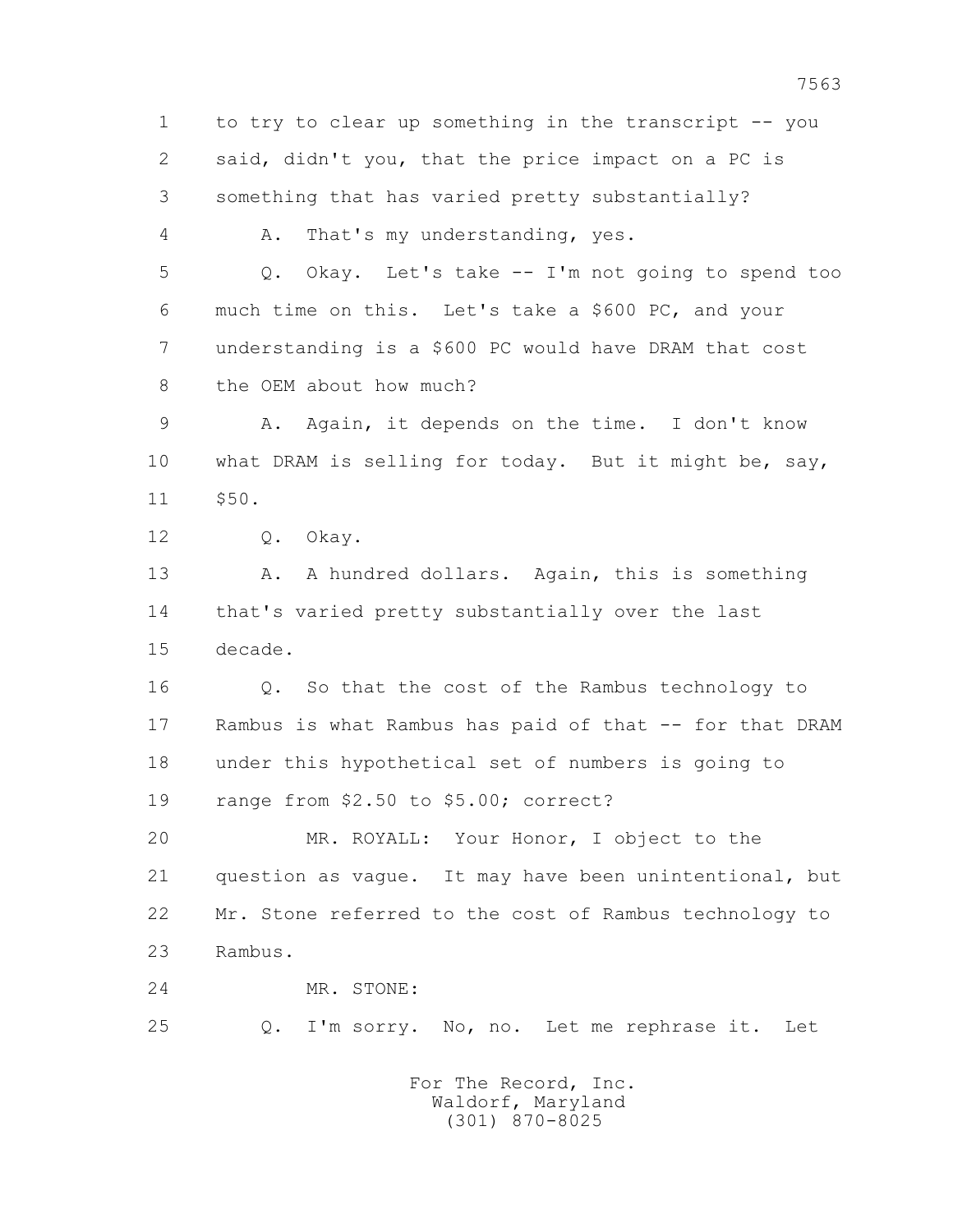1 to try to clear up something in the transcript -- you 2 said, didn't you, that the price impact on a PC is 3 something that has varied pretty substantially? 4 A. That's my understanding, yes. 5 Q. Okay. Let's take -- I'm not going to spend too 6 much time on this. Let's take a \$600 PC, and your 7 understanding is a \$600 PC would have DRAM that cost 8 the OEM about how much? 9 A. Again, it depends on the time. I don't know 10 what DRAM is selling for today. But it might be, say, 11 \$50. 12 Q. Okay. 13 A. A hundred dollars. Again, this is something 14 that's varied pretty substantially over the last 15 decade. 16 Q. So that the cost of the Rambus technology to 17 Rambus is what Rambus has paid of that -- for that DRAM 18 under this hypothetical set of numbers is going to 19 range from \$2.50 to \$5.00; correct? 20 MR. ROYALL: Your Honor, I object to the 21 question as vague. It may have been unintentional, but 22 Mr. Stone referred to the cost of Rambus technology to 23 Rambus. 24 MR. STONE: 25 Q. I'm sorry. No, no. Let me rephrase it. Let For The Record, Inc.

 Waldorf, Maryland (301) 870-8025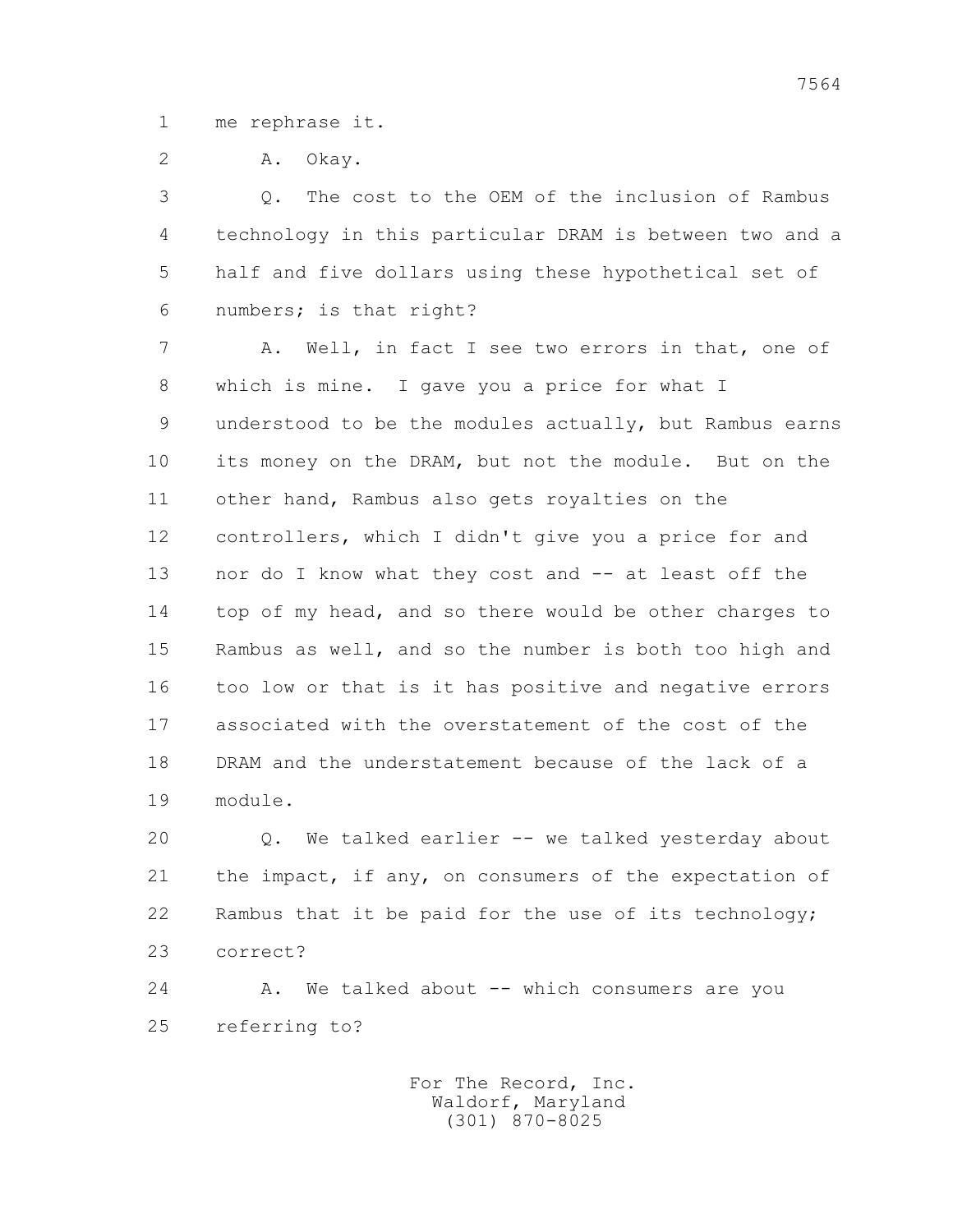1 me rephrase it.

2 A. Okay.

 3 Q. The cost to the OEM of the inclusion of Rambus 4 technology in this particular DRAM is between two and a 5 half and five dollars using these hypothetical set of 6 numbers; is that right?

 7 A. Well, in fact I see two errors in that, one of 8 which is mine. I gave you a price for what I 9 understood to be the modules actually, but Rambus earns 10 its money on the DRAM, but not the module. But on the 11 other hand, Rambus also gets royalties on the 12 controllers, which I didn't give you a price for and 13 nor do I know what they cost and -- at least off the 14 top of my head, and so there would be other charges to 15 Rambus as well, and so the number is both too high and 16 too low or that is it has positive and negative errors 17 associated with the overstatement of the cost of the 18 DRAM and the understatement because of the lack of a 19 module.

 20 Q. We talked earlier -- we talked yesterday about 21 the impact, if any, on consumers of the expectation of 22 Rambus that it be paid for the use of its technology; 23 correct?

 24 A. We talked about -- which consumers are you 25 referring to?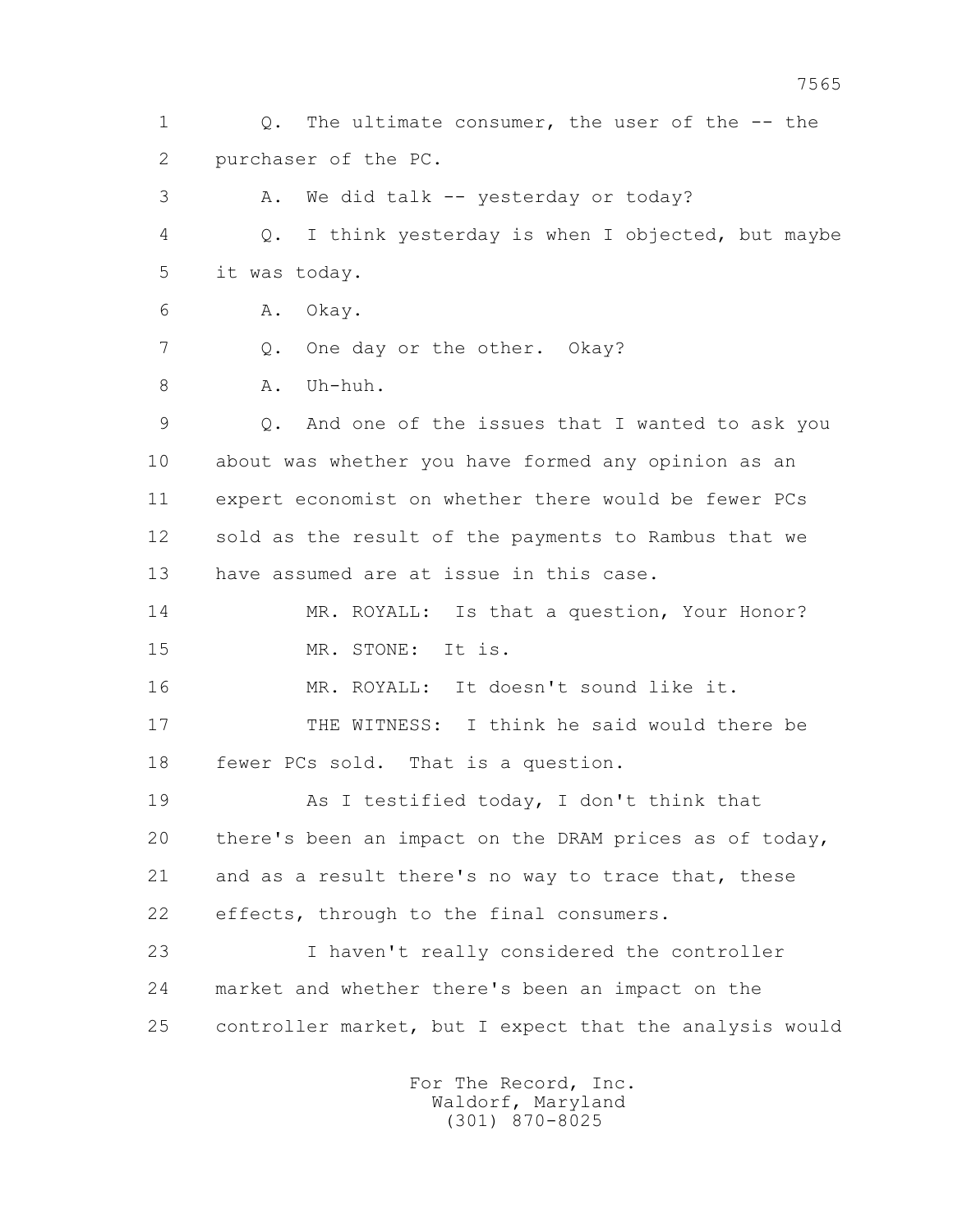1 Q. The ultimate consumer, the user of the -- the 2 purchaser of the PC. 3 A. We did talk -- yesterday or today? 4 Q. I think yesterday is when I objected, but maybe 5 it was today. 6 A. Okay. 7 Q. One day or the other. Okay? 8 A. Uh-huh. 9 Q. And one of the issues that I wanted to ask you 10 about was whether you have formed any opinion as an 11 expert economist on whether there would be fewer PCs 12 sold as the result of the payments to Rambus that we 13 have assumed are at issue in this case. 14 MR. ROYALL: Is that a question, Your Honor? 15 MR. STONE: It is. 16 MR. ROYALL: It doesn't sound like it. 17 THE WITNESS: I think he said would there be 18 fewer PCs sold. That is a question. 19 As I testified today, I don't think that 20 there's been an impact on the DRAM prices as of today, 21 and as a result there's no way to trace that, these 22 effects, through to the final consumers. 23 I haven't really considered the controller 24 market and whether there's been an impact on the 25 controller market, but I expect that the analysis would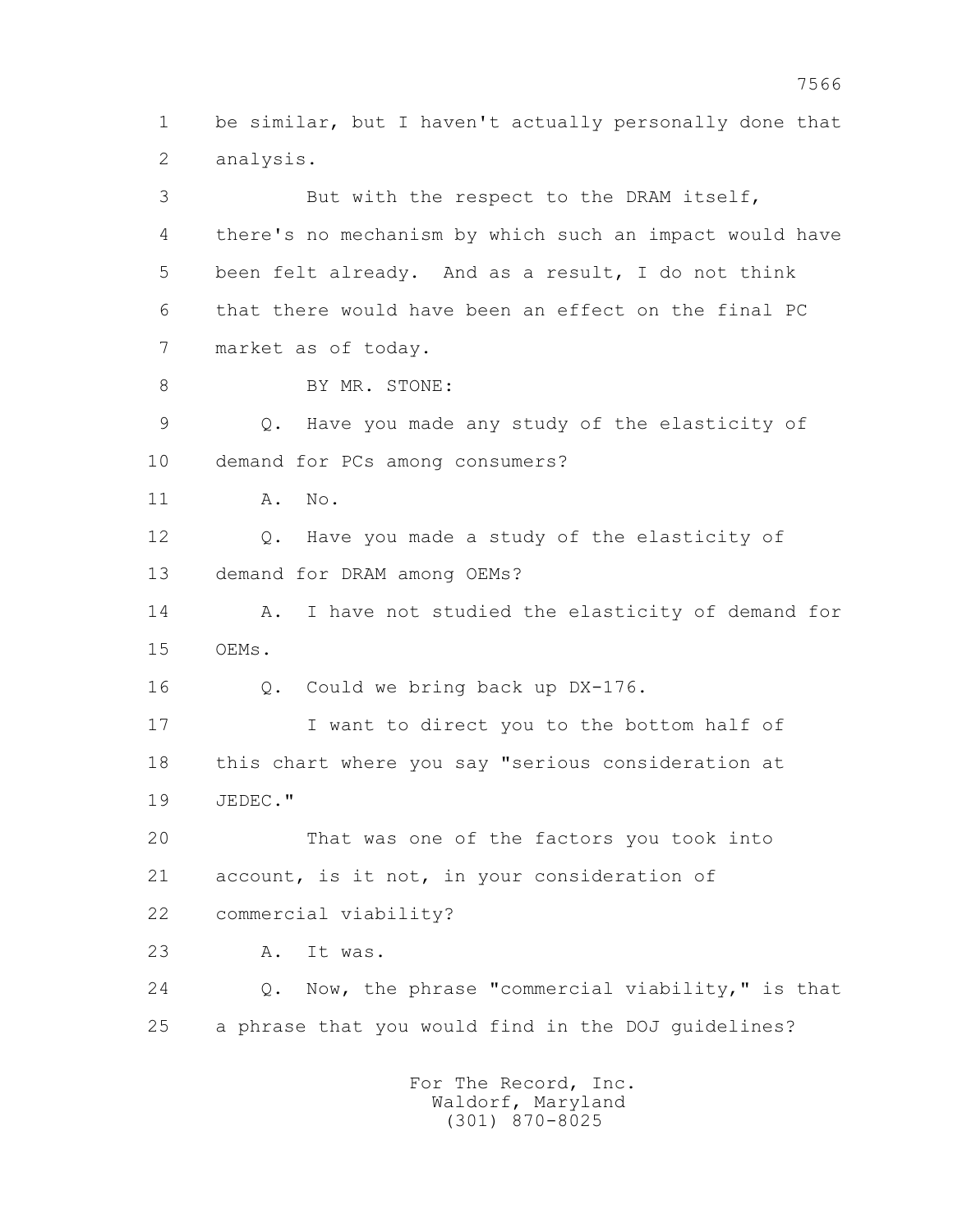1 be similar, but I haven't actually personally done that 2 analysis. 3 But with the respect to the DRAM itself, 4 there's no mechanism by which such an impact would have 5 been felt already. And as a result, I do not think 6 that there would have been an effect on the final PC 7 market as of today. 8 BY MR. STONE: 9 Q. Have you made any study of the elasticity of 10 demand for PCs among consumers? 11 A. No. 12 Q. Have you made a study of the elasticity of 13 demand for DRAM among OEMs? 14 A. I have not studied the elasticity of demand for 15 OEMs. 16 Q. Could we bring back up DX-176. 17 I want to direct you to the bottom half of 18 this chart where you say "serious consideration at 19 JEDEC." 20 That was one of the factors you took into 21 account, is it not, in your consideration of 22 commercial viability? 23 A. It was. 24 Q. Now, the phrase "commercial viability," is that 25 a phrase that you would find in the DOJ guidelines?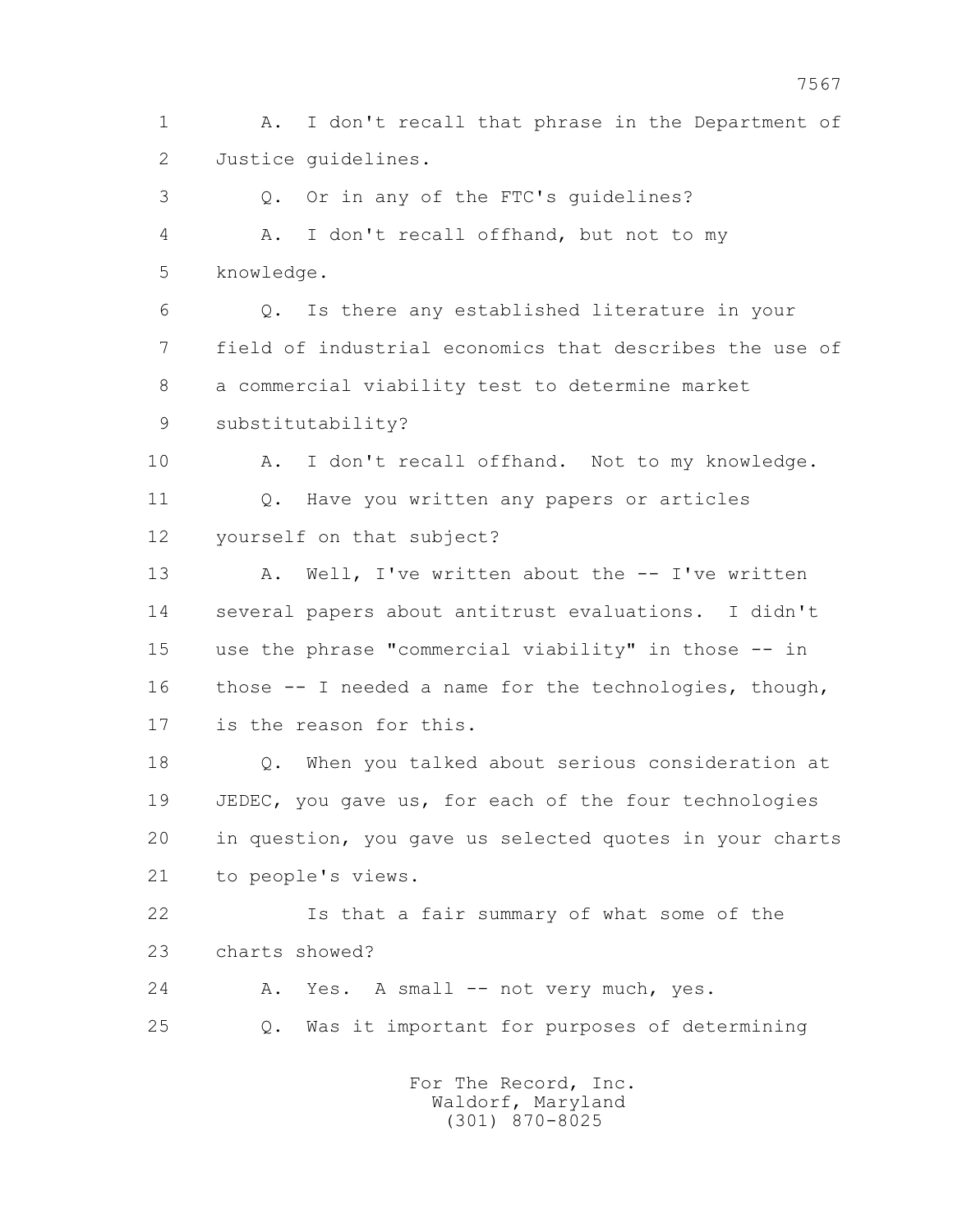1 A. I don't recall that phrase in the Department of 2 Justice guidelines.

 3 Q. Or in any of the FTC's guidelines? 4 A. I don't recall offhand, but not to my 5 knowledge.

 6 Q. Is there any established literature in your 7 field of industrial economics that describes the use of 8 a commercial viability test to determine market 9 substitutability?

10 A. I don't recall offhand. Not to my knowledge. 11 Q. Have you written any papers or articles 12 yourself on that subject?

13 A. Well, I've written about the -- I've written 14 several papers about antitrust evaluations. I didn't 15 use the phrase "commercial viability" in those -- in 16 those -- I needed a name for the technologies, though, 17 is the reason for this.

 18 Q. When you talked about serious consideration at 19 JEDEC, you gave us, for each of the four technologies 20 in question, you gave us selected quotes in your charts 21 to people's views.

 22 Is that a fair summary of what some of the 23 charts showed?

24 A. Yes. A small -- not very much, yes. 25 Q. Was it important for purposes of determining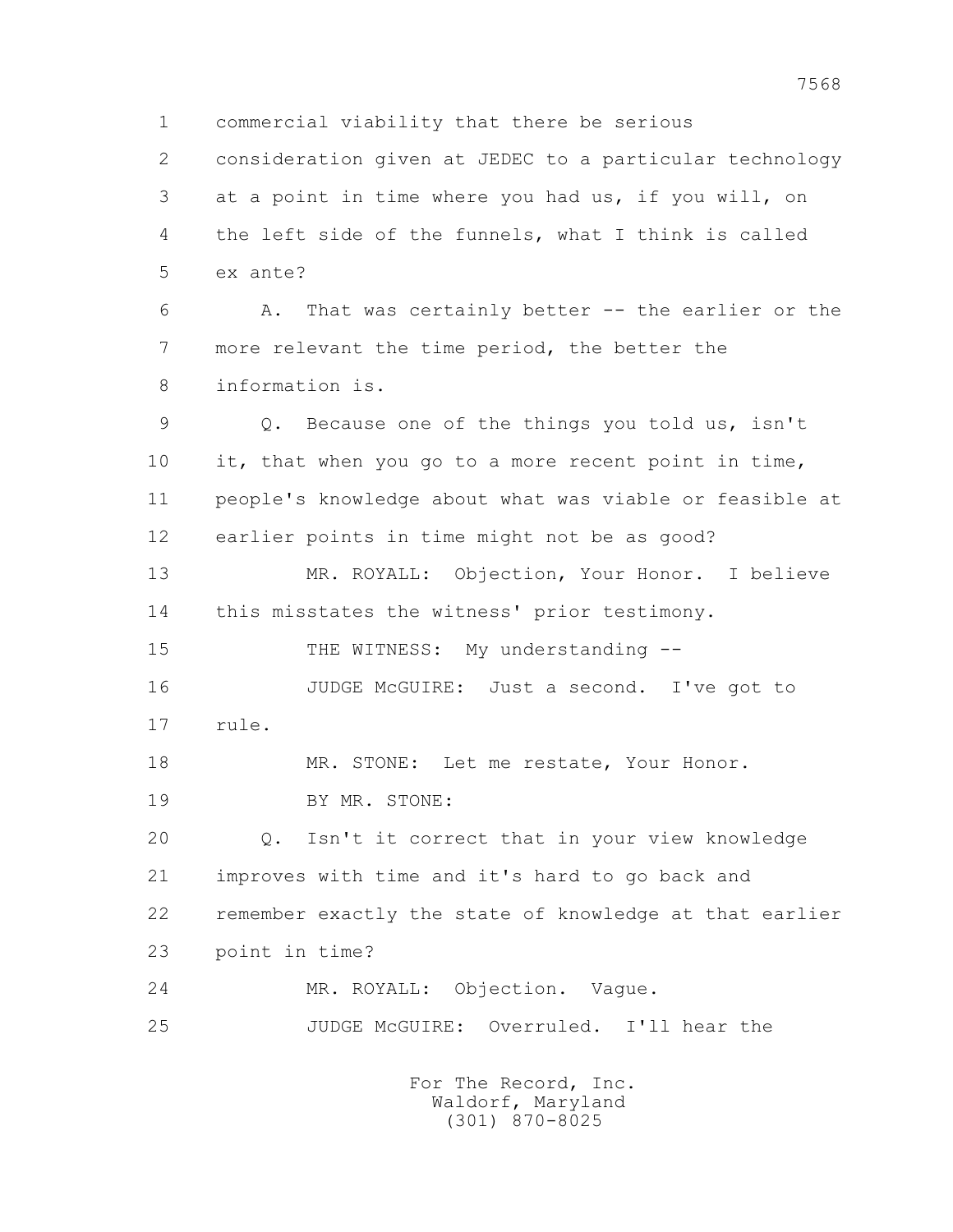1 commercial viability that there be serious 2 consideration given at JEDEC to a particular technology 3 at a point in time where you had us, if you will, on 4 the left side of the funnels, what I think is called 5 ex ante? 6 A. That was certainly better -- the earlier or the 7 more relevant the time period, the better the 8 information is. 9 Q. Because one of the things you told us, isn't 10 it, that when you go to a more recent point in time, 11 people's knowledge about what was viable or feasible at 12 earlier points in time might not be as good? 13 MR. ROYALL: Objection, Your Honor. I believe 14 this misstates the witness' prior testimony. 15 THE WITNESS: My understanding --16 JUDGE McGUIRE: Just a second. I've got to 17 rule. 18 MR. STONE: Let me restate, Your Honor. 19 BY MR. STONE: 20 Q. Isn't it correct that in your view knowledge 21 improves with time and it's hard to go back and 22 remember exactly the state of knowledge at that earlier 23 point in time? 24 MR. ROYALL: Objection. Vague. 25 JUDGE McGUIRE: Overruled. I'll hear the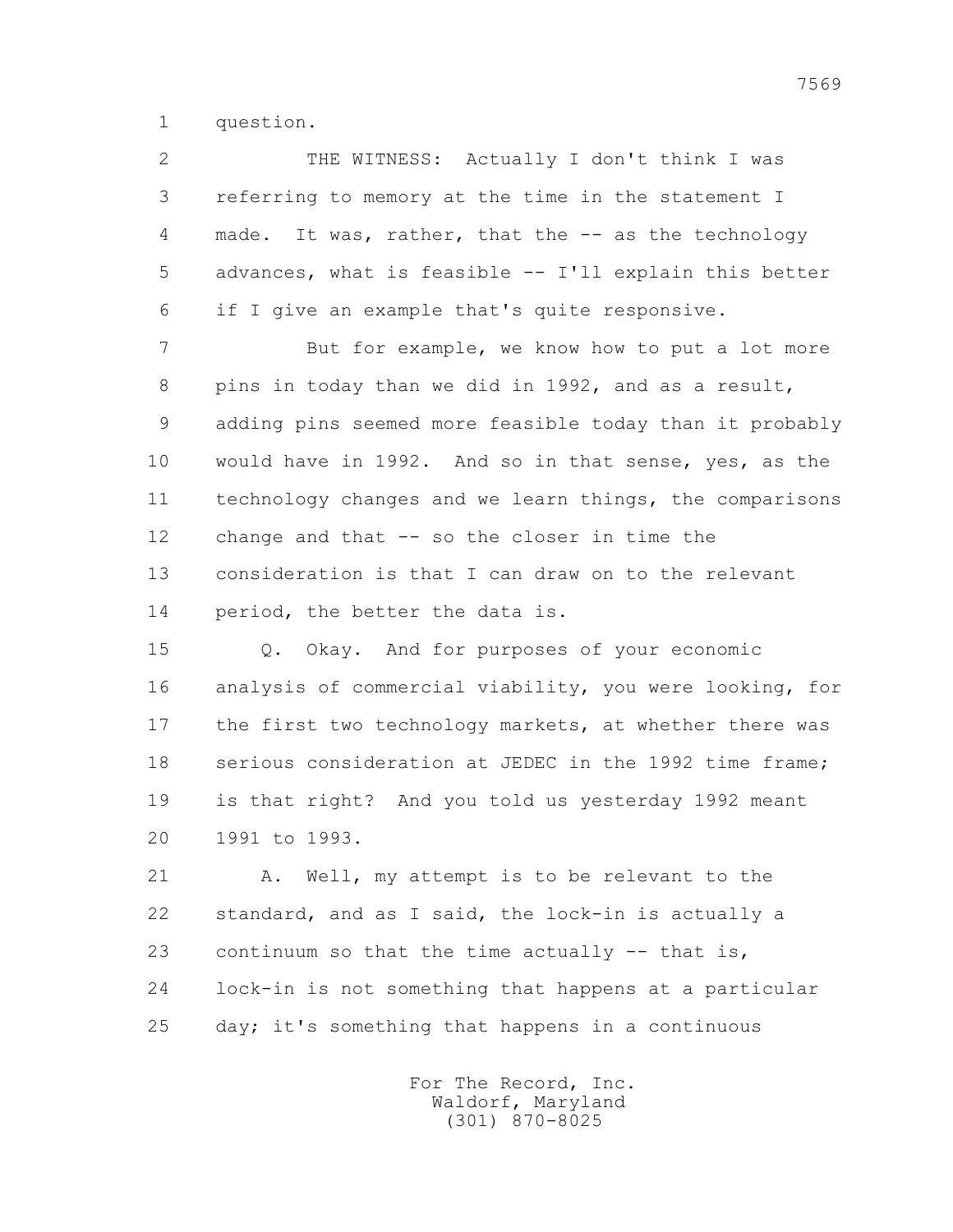1 question.

 2 THE WITNESS: Actually I don't think I was 3 referring to memory at the time in the statement I 4 made. It was, rather, that the -- as the technology 5 advances, what is feasible -- I'll explain this better 6 if I give an example that's quite responsive.

7 But for example, we know how to put a lot more 8 pins in today than we did in 1992, and as a result, 9 adding pins seemed more feasible today than it probably 10 would have in 1992. And so in that sense, yes, as the 11 technology changes and we learn things, the comparisons 12 change and that -- so the closer in time the 13 consideration is that I can draw on to the relevant 14 period, the better the data is.

 15 Q. Okay. And for purposes of your economic 16 analysis of commercial viability, you were looking, for 17 the first two technology markets, at whether there was 18 serious consideration at JEDEC in the 1992 time frame; 19 is that right? And you told us yesterday 1992 meant 20 1991 to 1993.

 21 A. Well, my attempt is to be relevant to the 22 standard, and as I said, the lock-in is actually a 23 continuum so that the time actually -- that is, 24 lock-in is not something that happens at a particular 25 day; it's something that happens in a continuous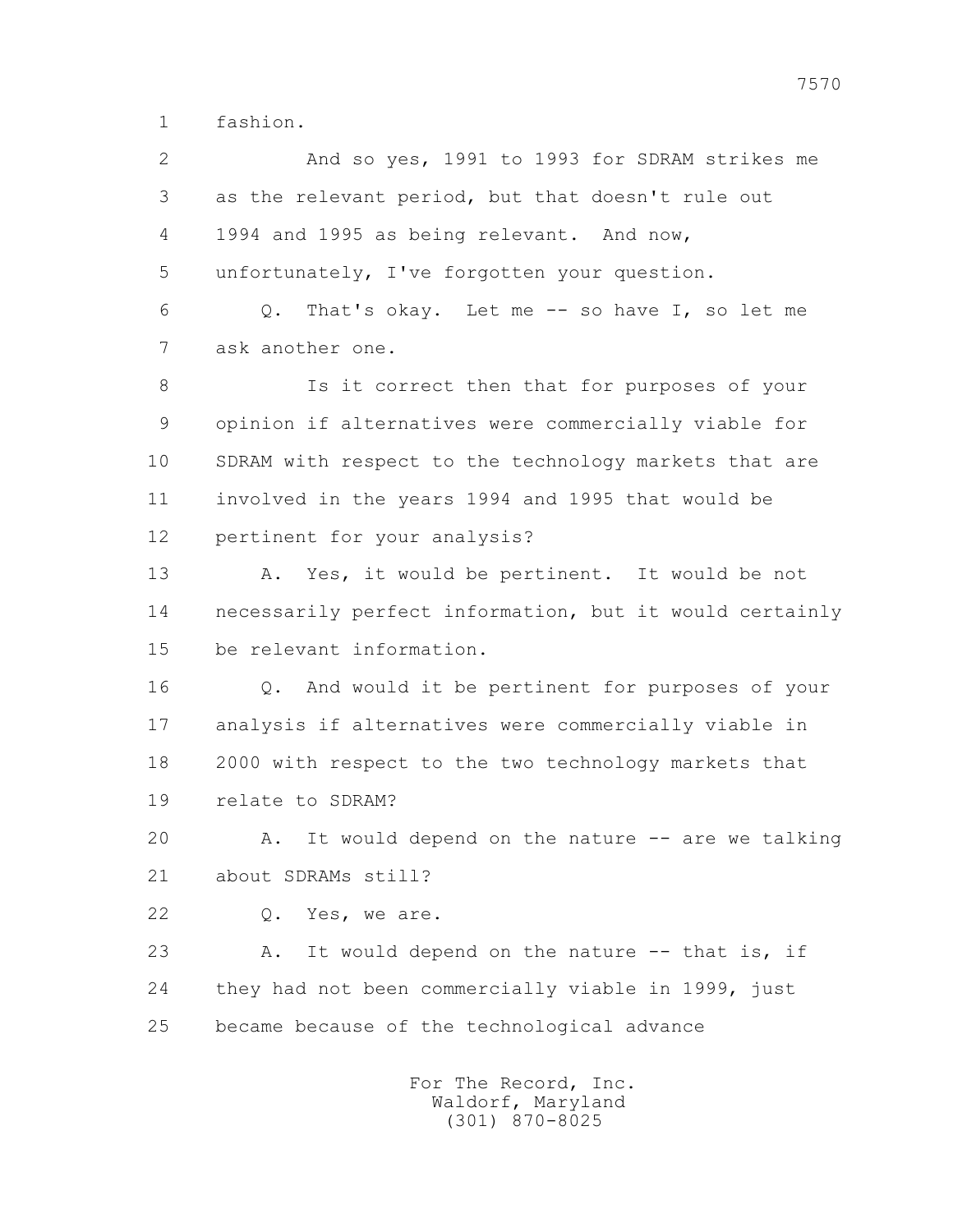1 fashion.

 2 And so yes, 1991 to 1993 for SDRAM strikes me 3 as the relevant period, but that doesn't rule out 4 1994 and 1995 as being relevant. And now, 5 unfortunately, I've forgotten your question. 6 Q. That's okay. Let me -- so have I, so let me 7 ask another one. 8 Is it correct then that for purposes of your 9 opinion if alternatives were commercially viable for 10 SDRAM with respect to the technology markets that are 11 involved in the years 1994 and 1995 that would be 12 pertinent for your analysis? 13 A. Yes, it would be pertinent. It would be not 14 necessarily perfect information, but it would certainly 15 be relevant information. 16 Q. And would it be pertinent for purposes of your 17 analysis if alternatives were commercially viable in 18 2000 with respect to the two technology markets that 19 relate to SDRAM? 20 A. It would depend on the nature -- are we talking 21 about SDRAMs still? 22 Q. Yes, we are. 23 A. It would depend on the nature -- that is, if 24 they had not been commercially viable in 1999, just 25 became because of the technological advance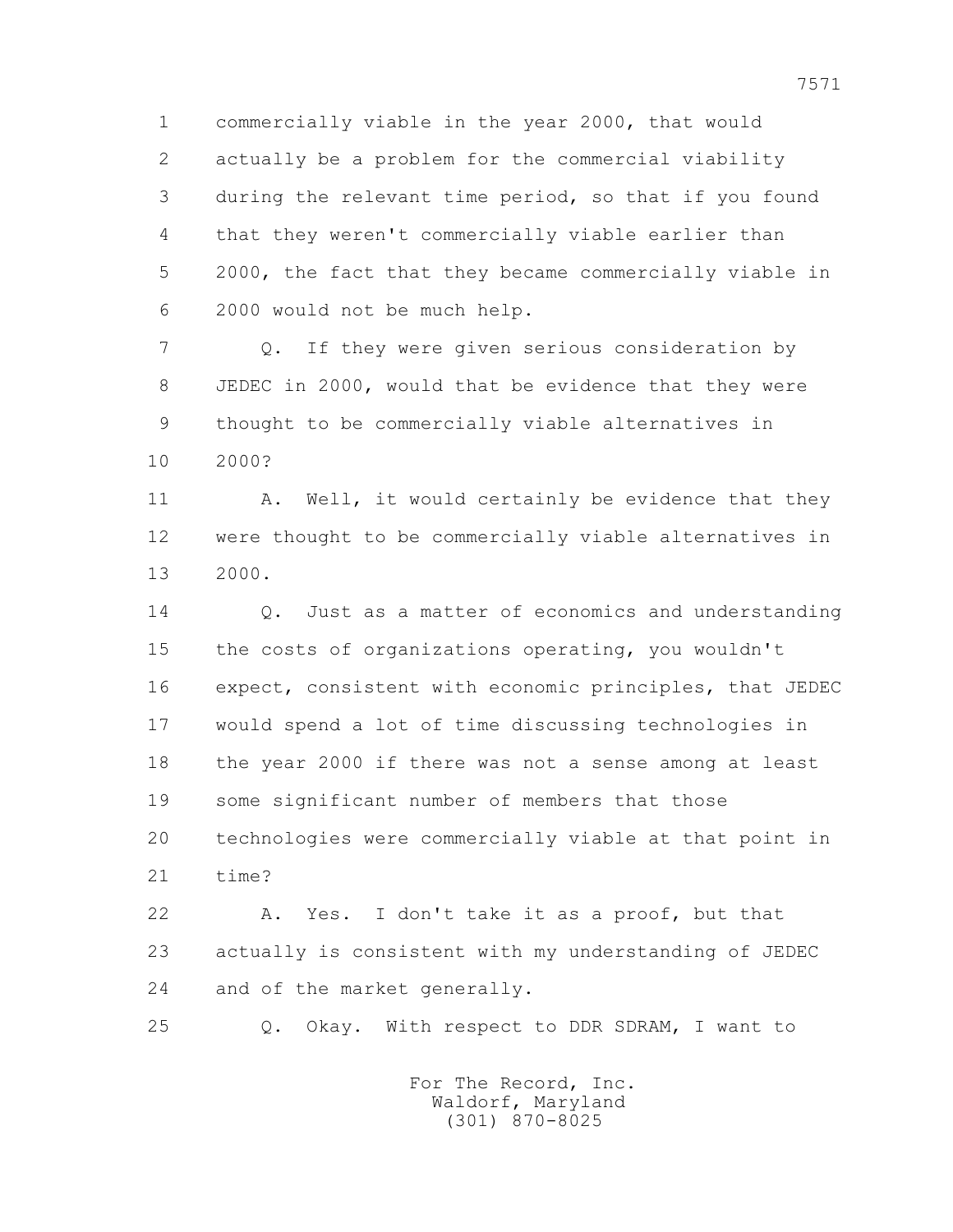1 commercially viable in the year 2000, that would 2 actually be a problem for the commercial viability 3 during the relevant time period, so that if you found 4 that they weren't commercially viable earlier than 5 2000, the fact that they became commercially viable in 6 2000 would not be much help.

 7 Q. If they were given serious consideration by 8 JEDEC in 2000, would that be evidence that they were 9 thought to be commercially viable alternatives in 10 2000?

11 A. Well, it would certainly be evidence that they 12 were thought to be commercially viable alternatives in 13 2000.

14 0. Just as a matter of economics and understanding 15 the costs of organizations operating, you wouldn't 16 expect, consistent with economic principles, that JEDEC 17 would spend a lot of time discussing technologies in 18 the year 2000 if there was not a sense among at least 19 some significant number of members that those 20 technologies were commercially viable at that point in 21 time?

 22 A. Yes. I don't take it as a proof, but that 23 actually is consistent with my understanding of JEDEC 24 and of the market generally.

25 Q. Okay. With respect to DDR SDRAM, I want to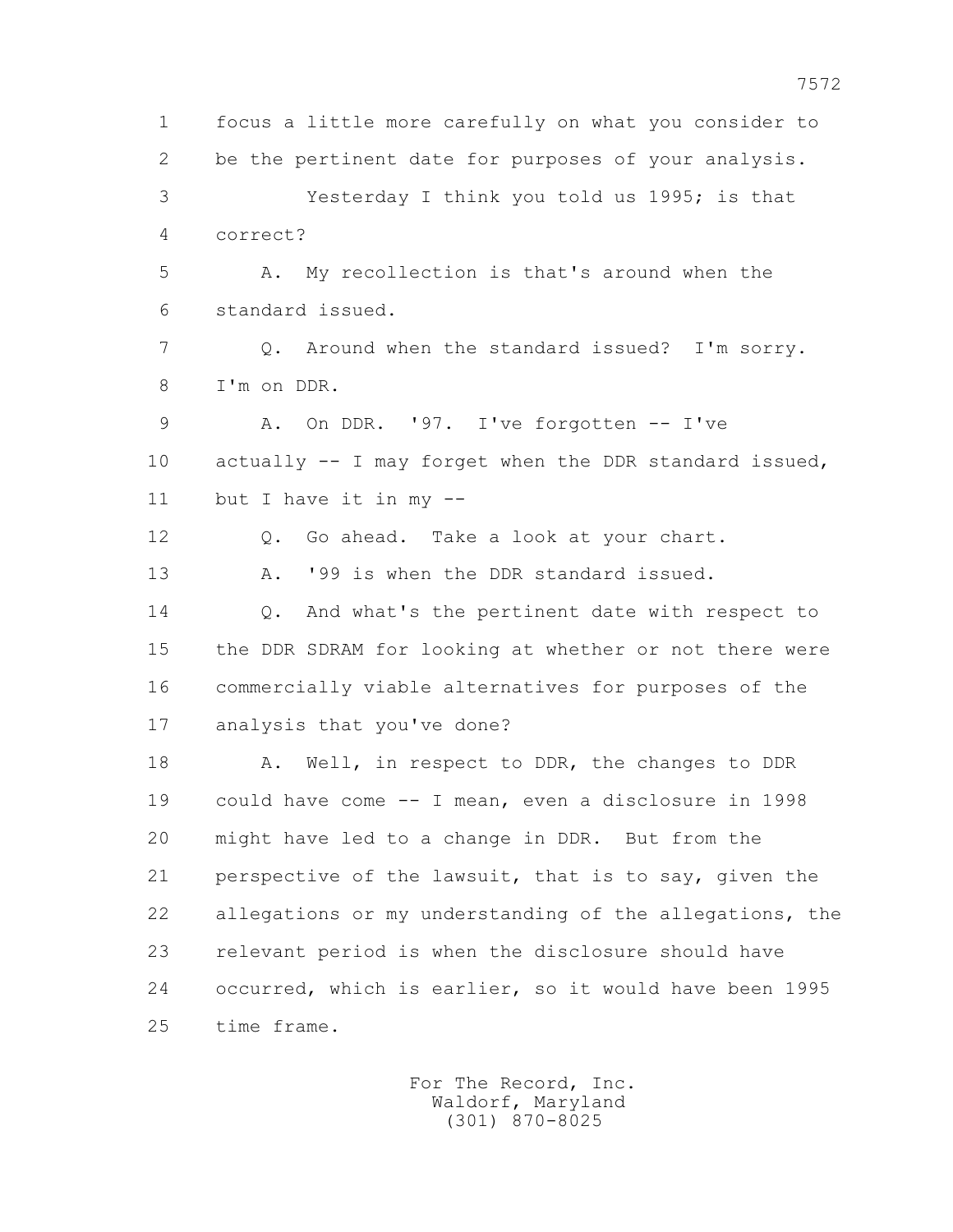1 focus a little more carefully on what you consider to 2 be the pertinent date for purposes of your analysis. 3 Yesterday I think you told us 1995; is that 4 correct? 5 A. My recollection is that's around when the 6 standard issued. 7 Q. Around when the standard issued? I'm sorry. 8 I'm on DDR. 9 A. On DDR. '97. I've forgotten -- I've 10 actually -- I may forget when the DDR standard issued, 11 but I have it in my -- 12 Q. Go ahead. Take a look at your chart. 13 A. '99 is when the DDR standard issued. 14 0. And what's the pertinent date with respect to 15 the DDR SDRAM for looking at whether or not there were 16 commercially viable alternatives for purposes of the 17 analysis that you've done? 18 A. Well, in respect to DDR, the changes to DDR 19 could have come -- I mean, even a disclosure in 1998 20 might have led to a change in DDR. But from the 21 perspective of the lawsuit, that is to say, given the 22 allegations or my understanding of the allegations, the 23 relevant period is when the disclosure should have 24 occurred, which is earlier, so it would have been 1995 25 time frame.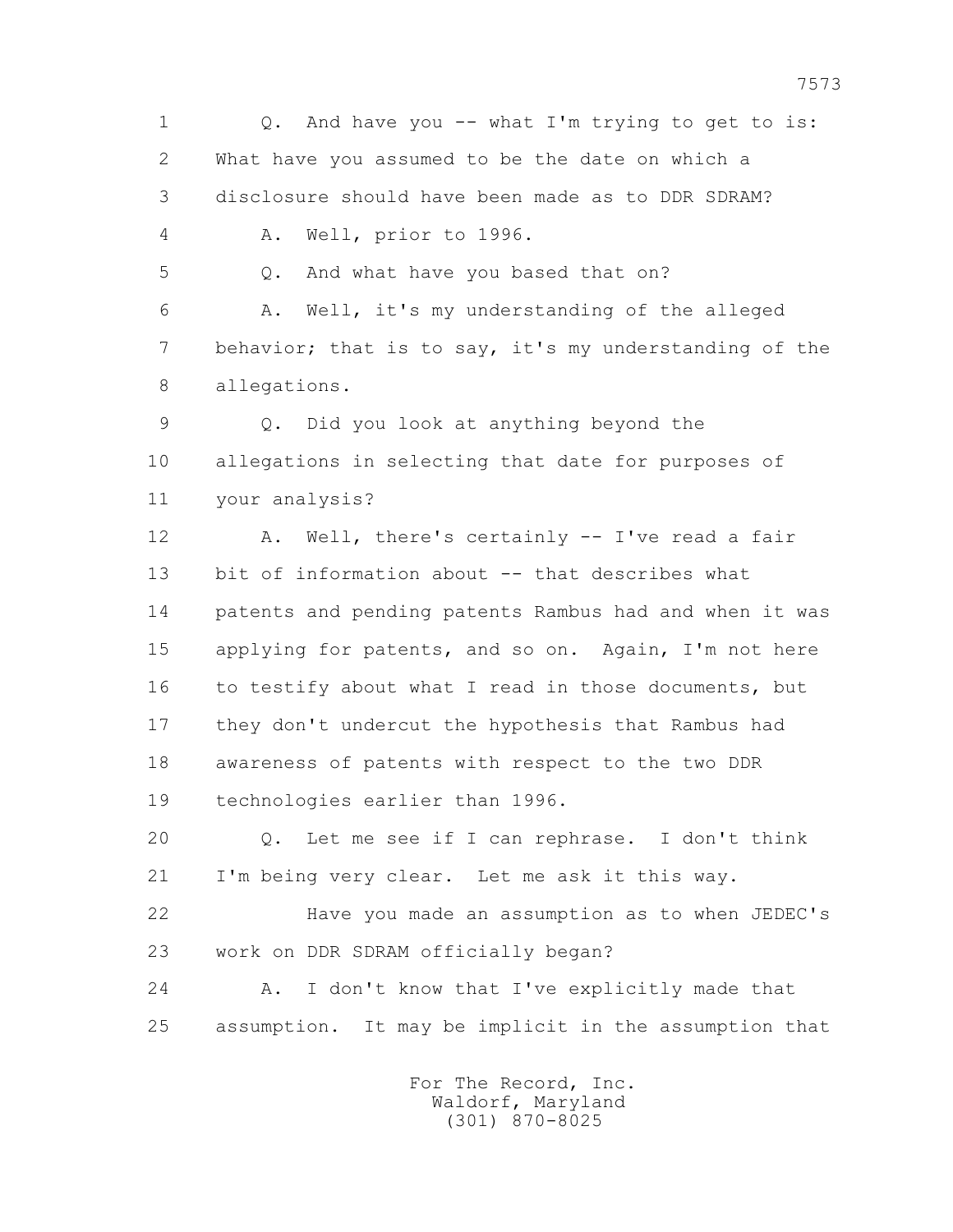1 Q. And have you -- what I'm trying to get to is: 2 What have you assumed to be the date on which a 3 disclosure should have been made as to DDR SDRAM? 4 A. Well, prior to 1996. 5 Q. And what have you based that on? 6 A. Well, it's my understanding of the alleged 7 behavior; that is to say, it's my understanding of the 8 allegations. 9 Q. Did you look at anything beyond the 10 allegations in selecting that date for purposes of 11 your analysis? 12 A. Well, there's certainly -- I've read a fair 13 bit of information about -- that describes what 14 patents and pending patents Rambus had and when it was 15 applying for patents, and so on. Again, I'm not here 16 to testify about what I read in those documents, but 17 they don't undercut the hypothesis that Rambus had 18 awareness of patents with respect to the two DDR 19 technologies earlier than 1996. 20 Q. Let me see if I can rephrase. I don't think 21 I'm being very clear. Let me ask it this way. 22 Have you made an assumption as to when JEDEC's 23 work on DDR SDRAM officially began? 24 A. I don't know that I've explicitly made that

> For The Record, Inc. Waldorf, Maryland (301) 870-8025

25 assumption. It may be implicit in the assumption that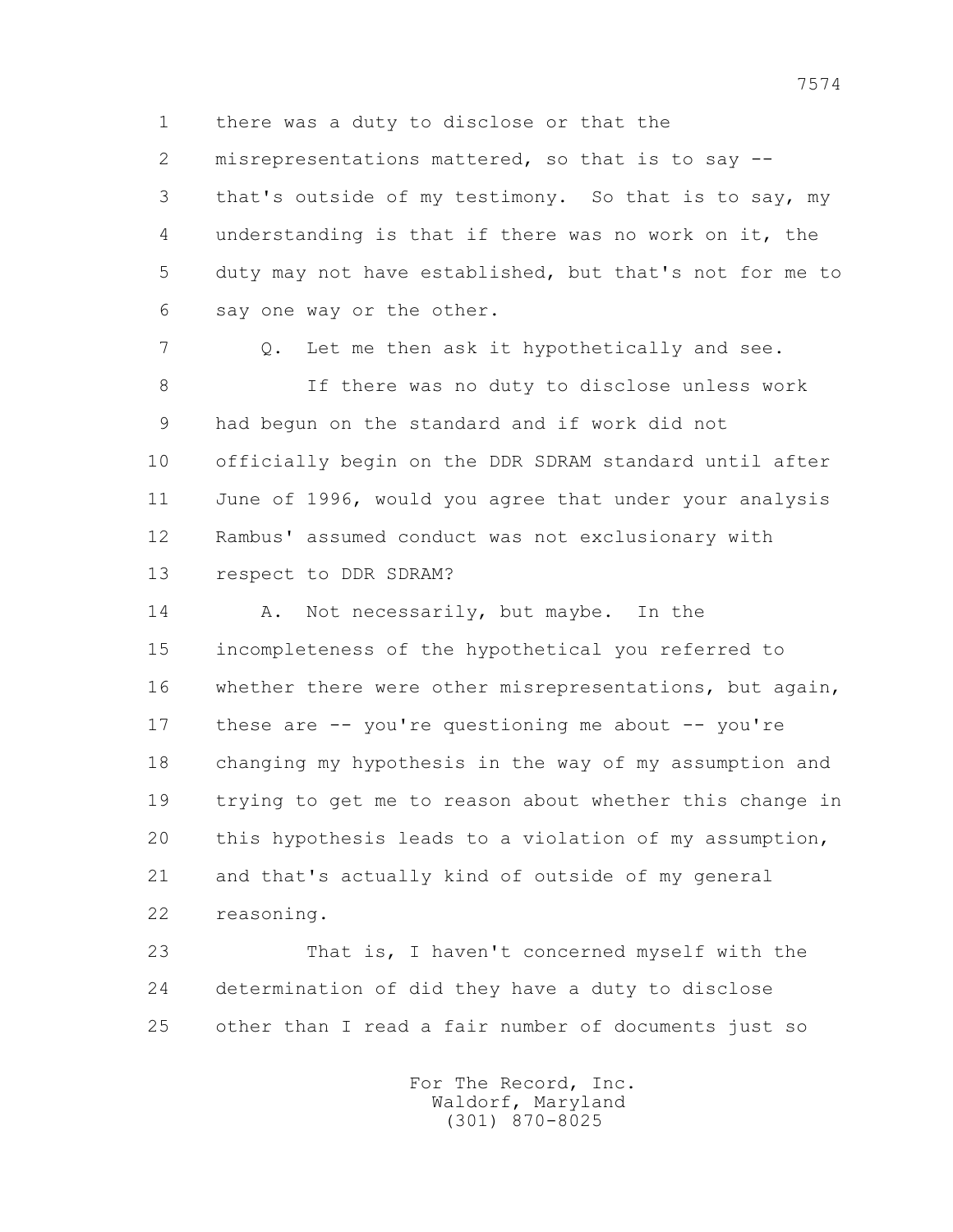1 there was a duty to disclose or that the

 2 misrepresentations mattered, so that is to say -- 3 that's outside of my testimony. So that is to say, my 4 understanding is that if there was no work on it, the 5 duty may not have established, but that's not for me to 6 say one way or the other.

7 Q. Let me then ask it hypothetically and see.

 8 If there was no duty to disclose unless work 9 had begun on the standard and if work did not 10 officially begin on the DDR SDRAM standard until after 11 June of 1996, would you agree that under your analysis 12 Rambus' assumed conduct was not exclusionary with 13 respect to DDR SDRAM?

14 A. Not necessarily, but maybe. In the 15 incompleteness of the hypothetical you referred to 16 whether there were other misrepresentations, but again, 17 these are -- you're questioning me about -- you're 18 changing my hypothesis in the way of my assumption and 19 trying to get me to reason about whether this change in 20 this hypothesis leads to a violation of my assumption, 21 and that's actually kind of outside of my general 22 reasoning.

 23 That is, I haven't concerned myself with the 24 determination of did they have a duty to disclose 25 other than I read a fair number of documents just so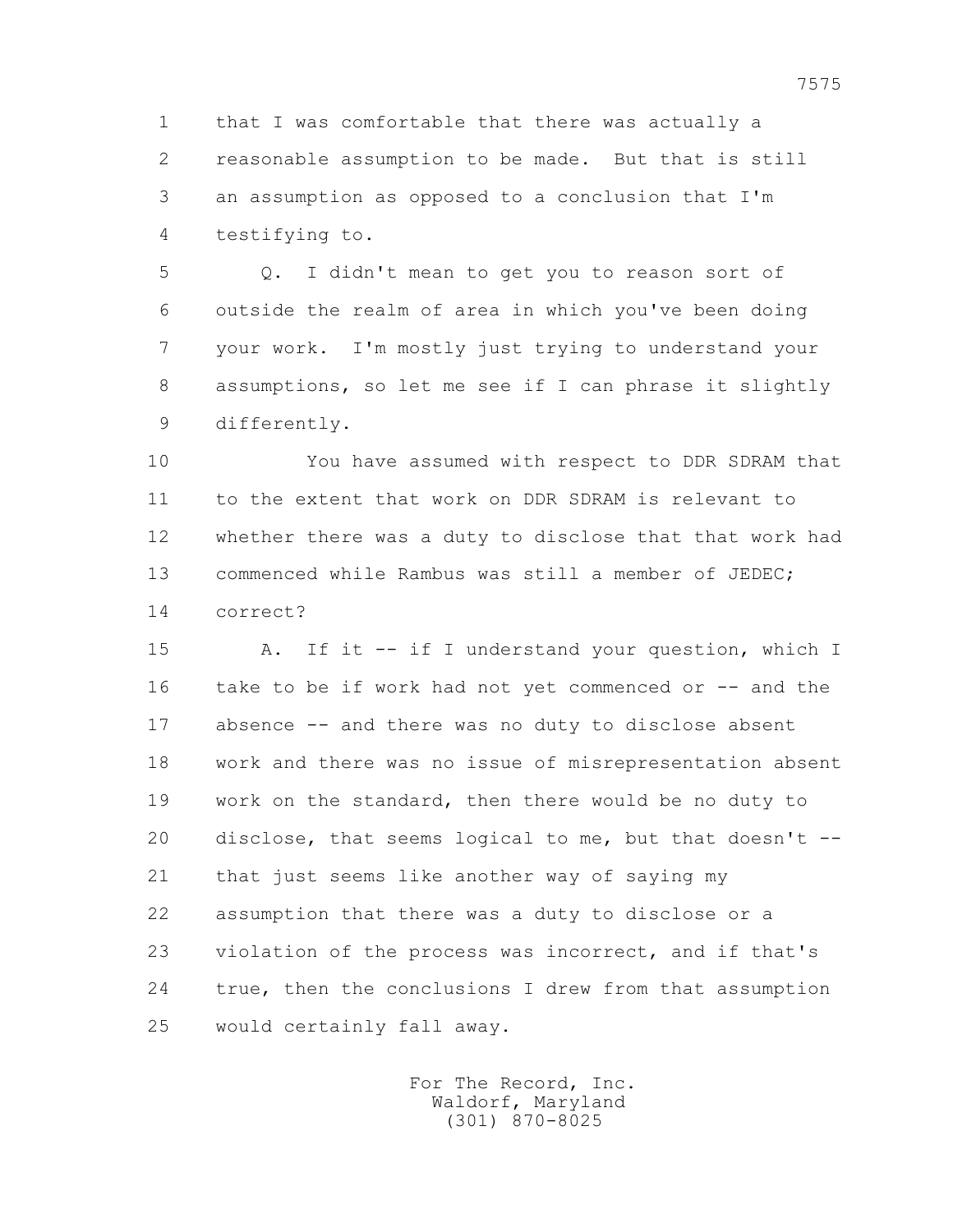1 that I was comfortable that there was actually a 2 reasonable assumption to be made. But that is still 3 an assumption as opposed to a conclusion that I'm 4 testifying to.

 5 Q. I didn't mean to get you to reason sort of 6 outside the realm of area in which you've been doing 7 your work. I'm mostly just trying to understand your 8 assumptions, so let me see if I can phrase it slightly 9 differently.

 10 You have assumed with respect to DDR SDRAM that 11 to the extent that work on DDR SDRAM is relevant to 12 whether there was a duty to disclose that that work had 13 commenced while Rambus was still a member of JEDEC; 14 correct?

 15 A. If it -- if I understand your question, which I 16 take to be if work had not yet commenced or -- and the 17 absence -- and there was no duty to disclose absent 18 work and there was no issue of misrepresentation absent 19 work on the standard, then there would be no duty to 20 disclose, that seems logical to me, but that doesn't -- 21 that just seems like another way of saying my 22 assumption that there was a duty to disclose or a 23 violation of the process was incorrect, and if that's 24 true, then the conclusions I drew from that assumption 25 would certainly fall away.

> For The Record, Inc. Waldorf, Maryland (301) 870-8025

7575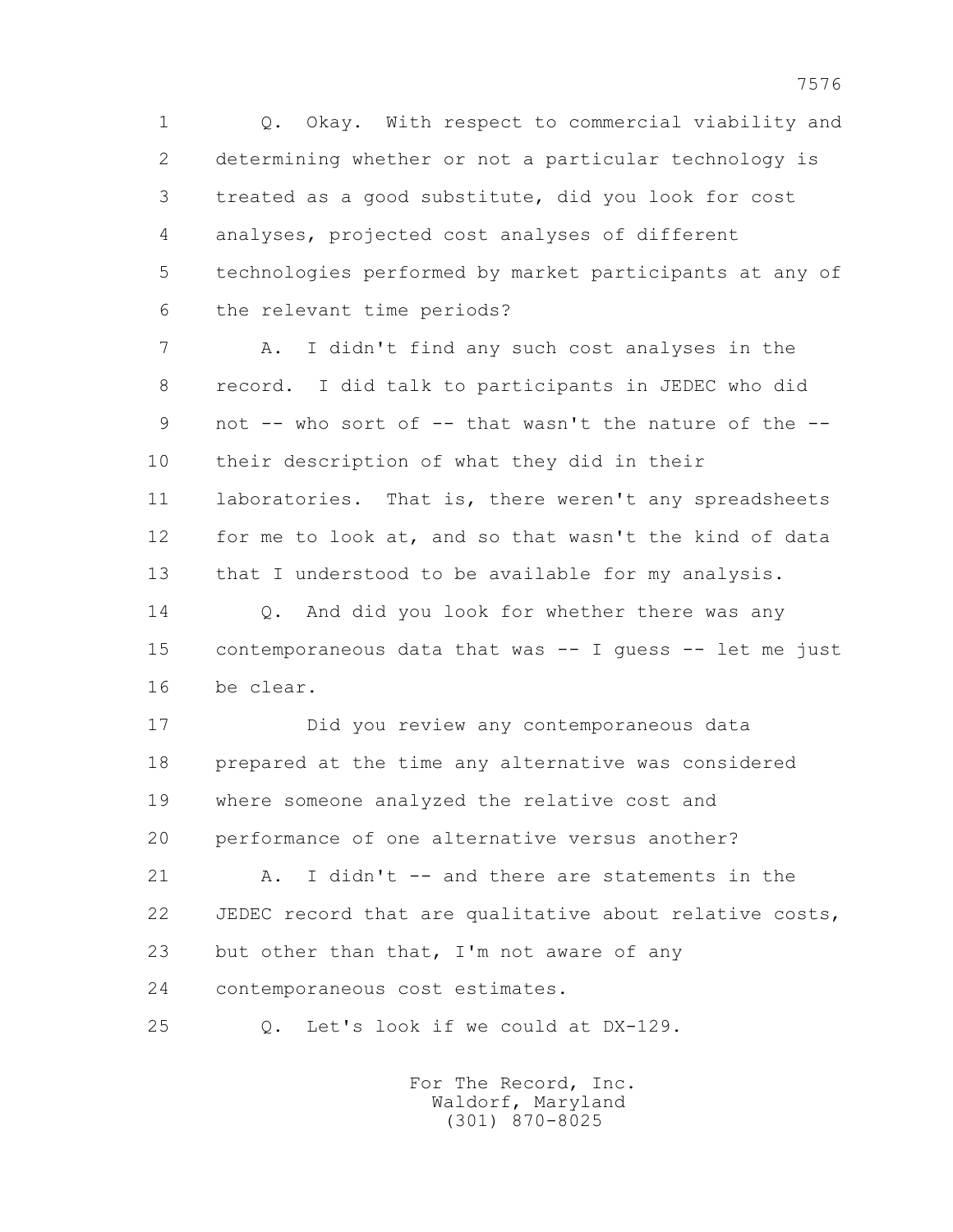1 Q. Okay. With respect to commercial viability and 2 determining whether or not a particular technology is 3 treated as a good substitute, did you look for cost 4 analyses, projected cost analyses of different 5 technologies performed by market participants at any of 6 the relevant time periods?

 7 A. I didn't find any such cost analyses in the 8 record. I did talk to participants in JEDEC who did 9 not -- who sort of -- that wasn't the nature of the -- 10 their description of what they did in their 11 laboratories. That is, there weren't any spreadsheets 12 for me to look at, and so that wasn't the kind of data 13 that I understood to be available for my analysis.

14 O. And did you look for whether there was any 15 contemporaneous data that was -- I guess -- let me just 16 be clear.

 17 Did you review any contemporaneous data 18 prepared at the time any alternative was considered 19 where someone analyzed the relative cost and 20 performance of one alternative versus another?

21 A. I didn't -- and there are statements in the 22 JEDEC record that are qualitative about relative costs, 23 but other than that, I'm not aware of any 24 contemporaneous cost estimates.

25 Q. Let's look if we could at DX-129.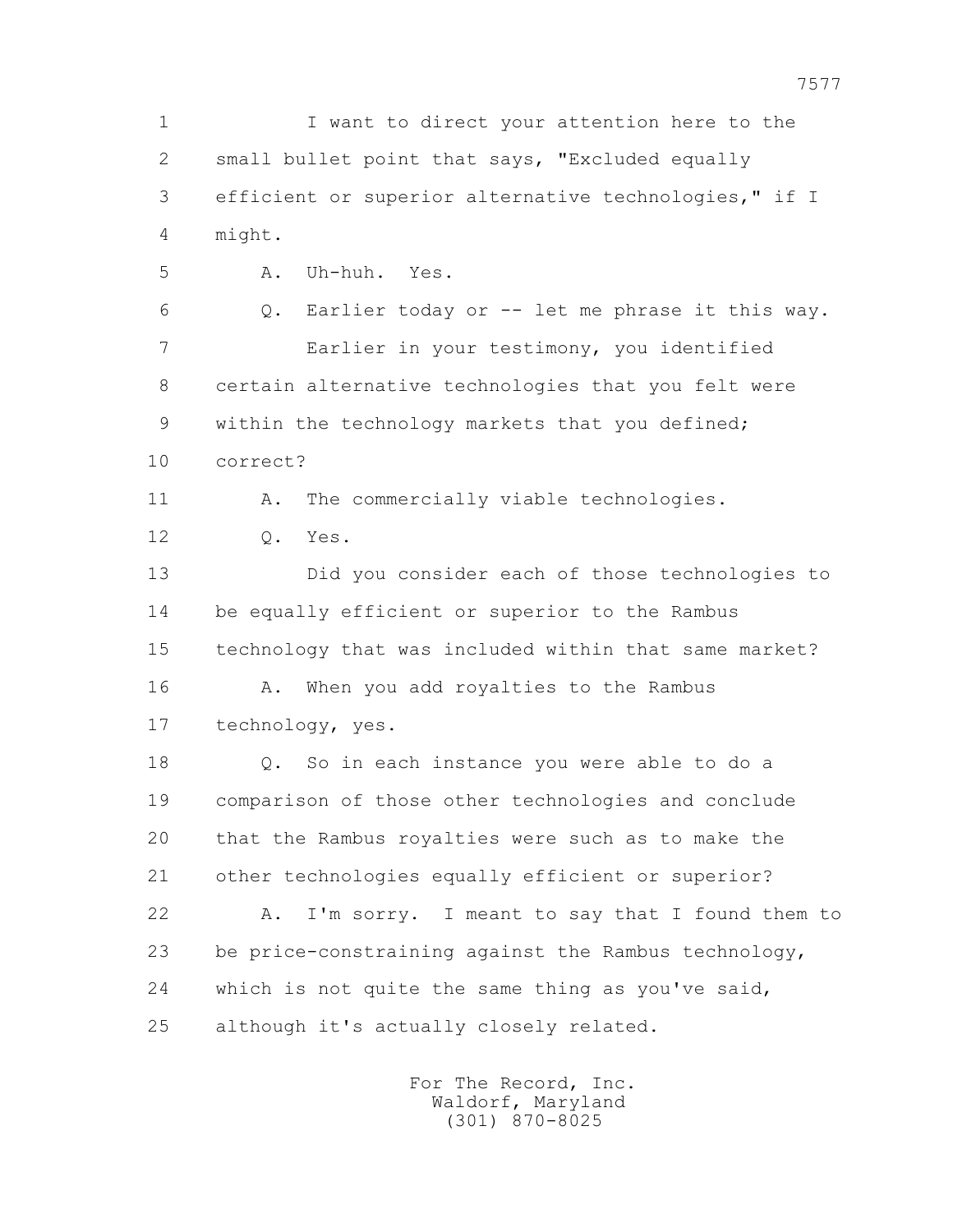1 I want to direct your attention here to the 2 small bullet point that says, "Excluded equally 3 efficient or superior alternative technologies," if I 4 might. 5 A. Uh-huh. Yes. 6 Q. Earlier today or -- let me phrase it this way. 7 Earlier in your testimony, you identified 8 certain alternative technologies that you felt were 9 within the technology markets that you defined; 10 correct? 11 A. The commercially viable technologies. 12 Q. Yes. 13 Did you consider each of those technologies to 14 be equally efficient or superior to the Rambus 15 technology that was included within that same market? 16 A. When you add royalties to the Rambus 17 technology, yes. 18 Q. So in each instance you were able to do a 19 comparison of those other technologies and conclude 20 that the Rambus royalties were such as to make the 21 other technologies equally efficient or superior? 22 A. I'm sorry. I meant to say that I found them to 23 be price-constraining against the Rambus technology, 24 which is not quite the same thing as you've said, 25 although it's actually closely related.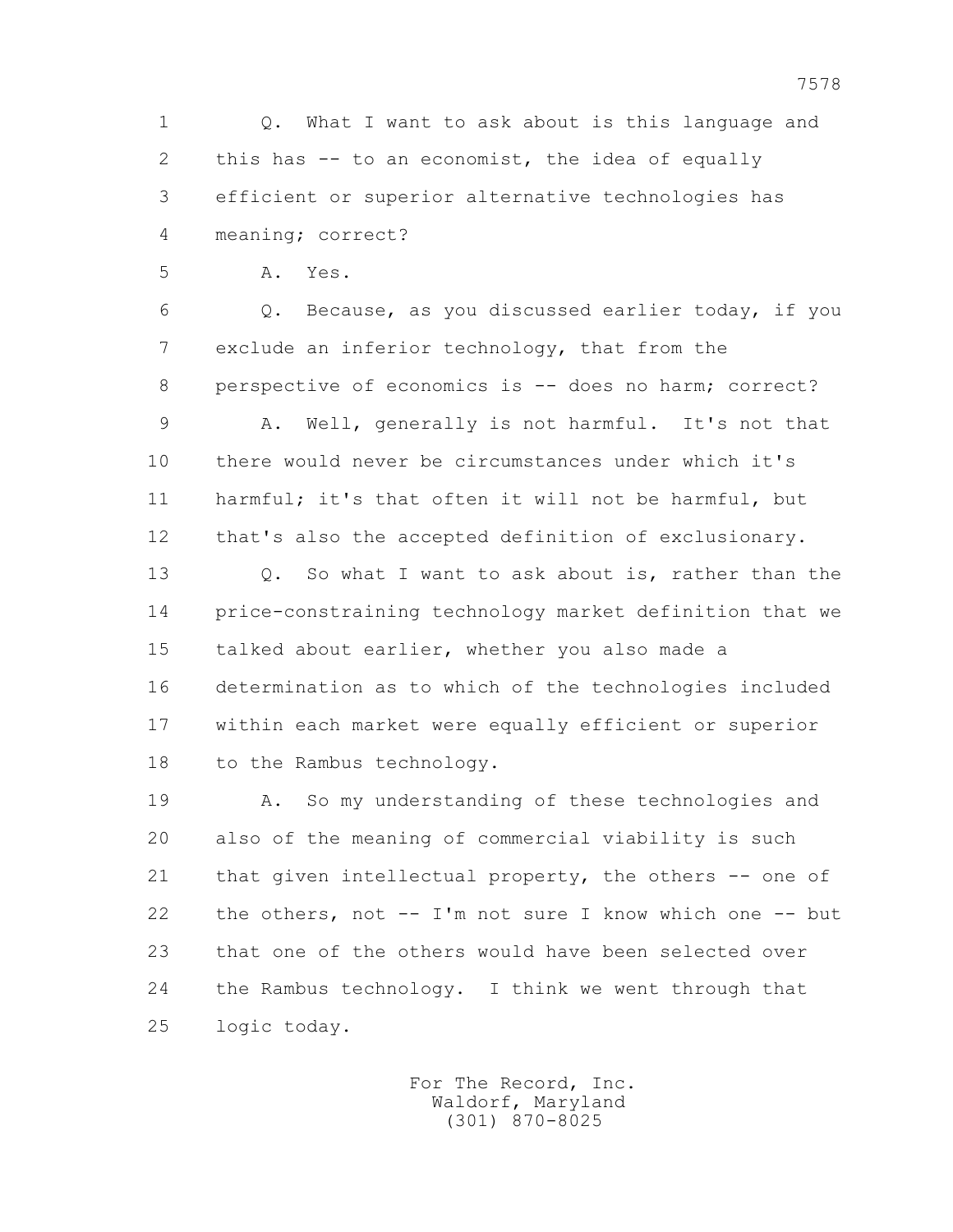1 Q. What I want to ask about is this language and 2 this has -- to an economist, the idea of equally 3 efficient or superior alternative technologies has 4 meaning; correct?

5 A. Yes.

 6 Q. Because, as you discussed earlier today, if you 7 exclude an inferior technology, that from the 8 perspective of economics is -- does no harm; correct?

 9 A. Well, generally is not harmful. It's not that 10 there would never be circumstances under which it's 11 harmful; it's that often it will not be harmful, but 12 that's also the accepted definition of exclusionary.

 13 Q. So what I want to ask about is, rather than the 14 price-constraining technology market definition that we 15 talked about earlier, whether you also made a 16 determination as to which of the technologies included 17 within each market were equally efficient or superior 18 to the Rambus technology.

 19 A. So my understanding of these technologies and 20 also of the meaning of commercial viability is such 21 that given intellectual property, the others -- one of 22 the others, not -- I'm not sure I know which one -- but 23 that one of the others would have been selected over 24 the Rambus technology. I think we went through that 25 logic today.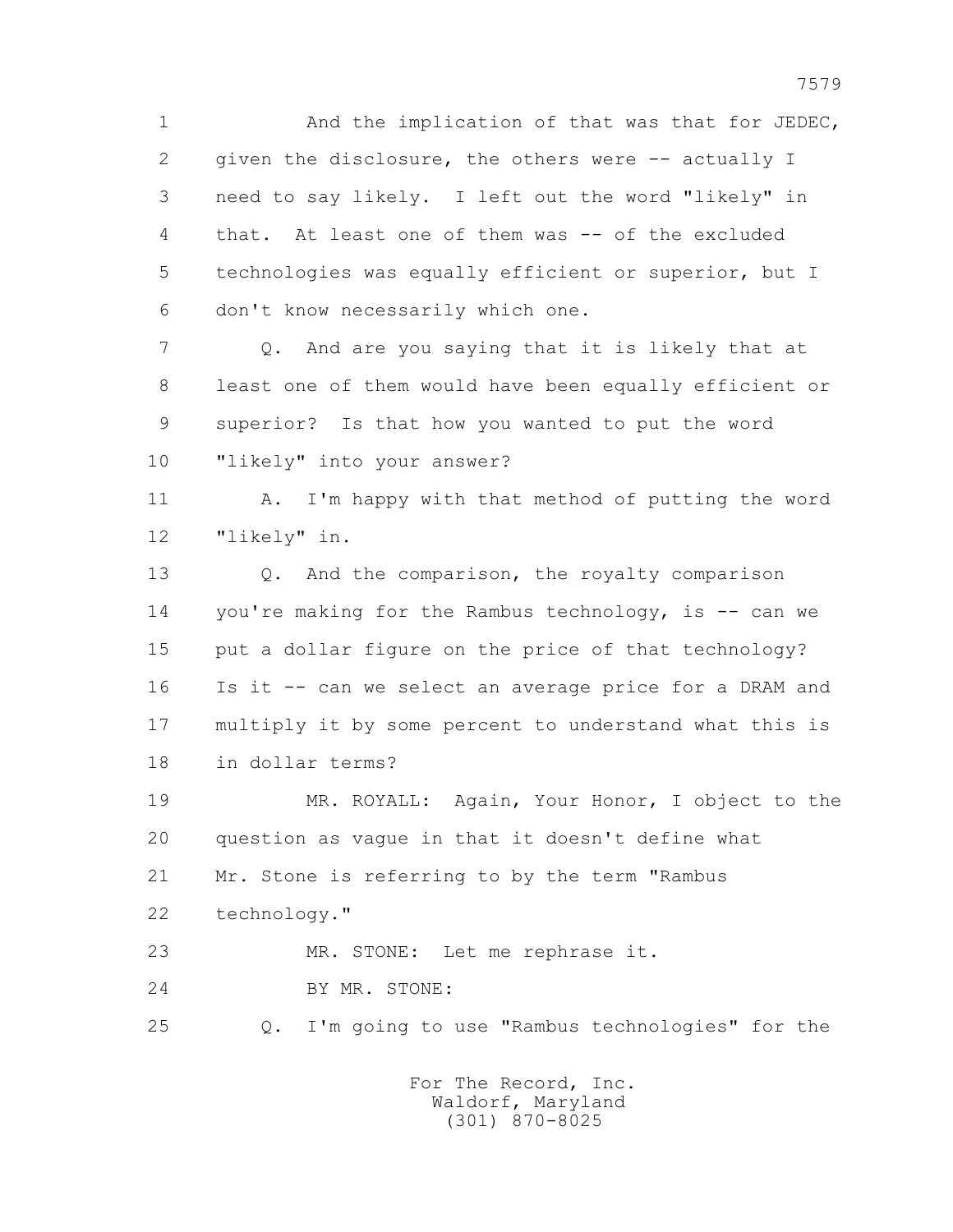1 And the implication of that was that for JEDEC, 2 given the disclosure, the others were -- actually I 3 need to say likely. I left out the word "likely" in 4 that. At least one of them was -- of the excluded 5 technologies was equally efficient or superior, but I 6 don't know necessarily which one.

 7 Q. And are you saying that it is likely that at 8 least one of them would have been equally efficient or 9 superior? Is that how you wanted to put the word 10 "likely" into your answer?

 11 A. I'm happy with that method of putting the word 12 "likely" in.

13 0. And the comparison, the royalty comparison 14 vou're making for the Rambus technology, is -- can we 15 put a dollar figure on the price of that technology? 16 Is it -- can we select an average price for a DRAM and 17 multiply it by some percent to understand what this is 18 in dollar terms?

 19 MR. ROYALL: Again, Your Honor, I object to the 20 question as vague in that it doesn't define what 21 Mr. Stone is referring to by the term "Rambus 22 technology."

23 MR. STONE: Let me rephrase it.

24 BY MR. STONE:

25 Q. I'm going to use "Rambus technologies" for the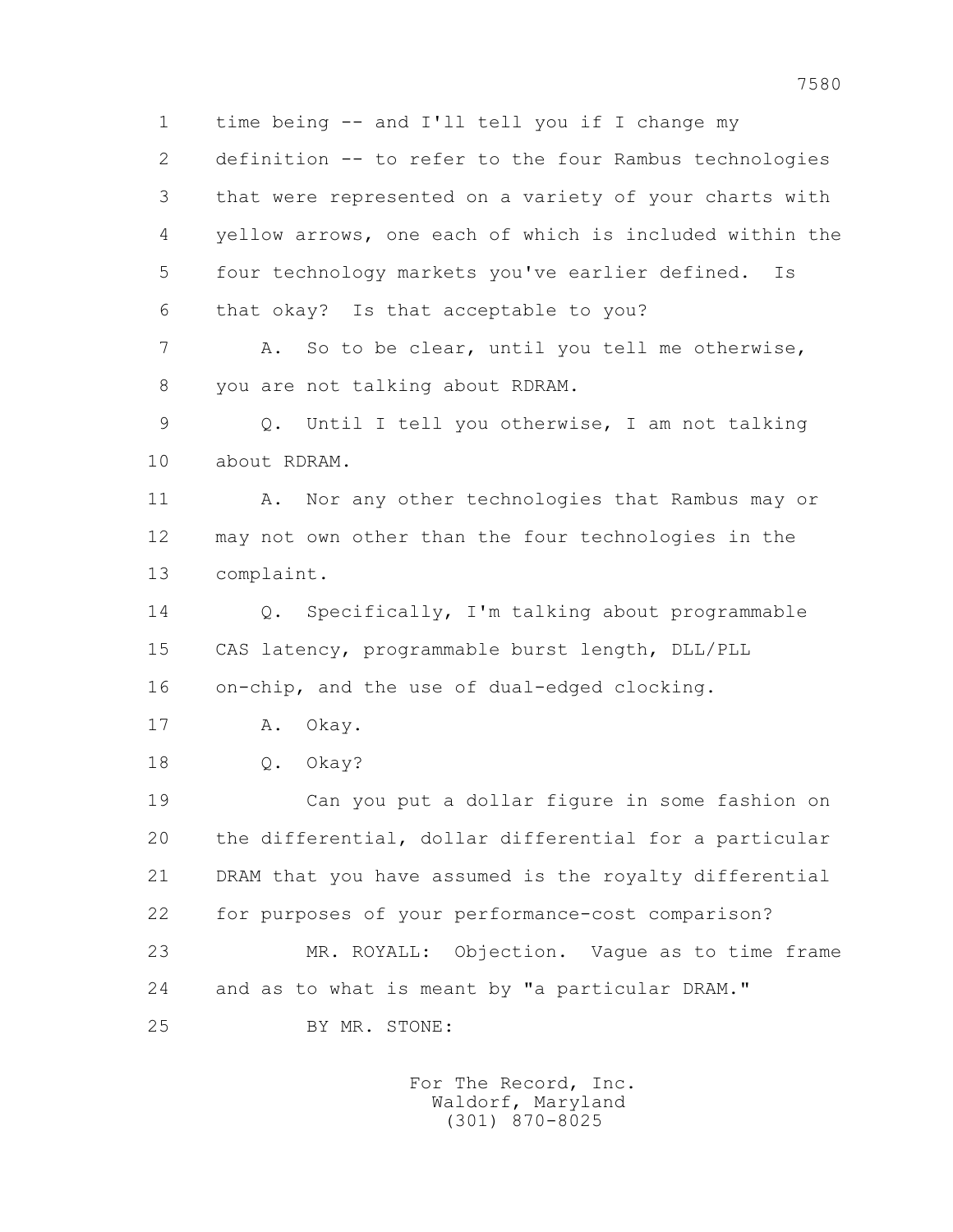1 time being -- and I'll tell you if I change my 2 definition -- to refer to the four Rambus technologies 3 that were represented on a variety of your charts with 4 yellow arrows, one each of which is included within the 5 four technology markets you've earlier defined. Is 6 that okay? Is that acceptable to you? 7 A. So to be clear, until you tell me otherwise, 8 you are not talking about RDRAM. 9 Q. Until I tell you otherwise, I am not talking 10 about RDRAM. 11 A. Nor any other technologies that Rambus may or 12 may not own other than the four technologies in the 13 complaint. 14 Q. Specifically, I'm talking about programmable 15 CAS latency, programmable burst length, DLL/PLL 16 on-chip, and the use of dual-edged clocking. 17 A. Okay. 18 Q. Okay? 19 Can you put a dollar figure in some fashion on 20 the differential, dollar differential for a particular 21 DRAM that you have assumed is the royalty differential 22 for purposes of your performance-cost comparison? 23 MR. ROYALL: Objection. Vague as to time frame 24 and as to what is meant by "a particular DRAM." 25 BY MR. STONE: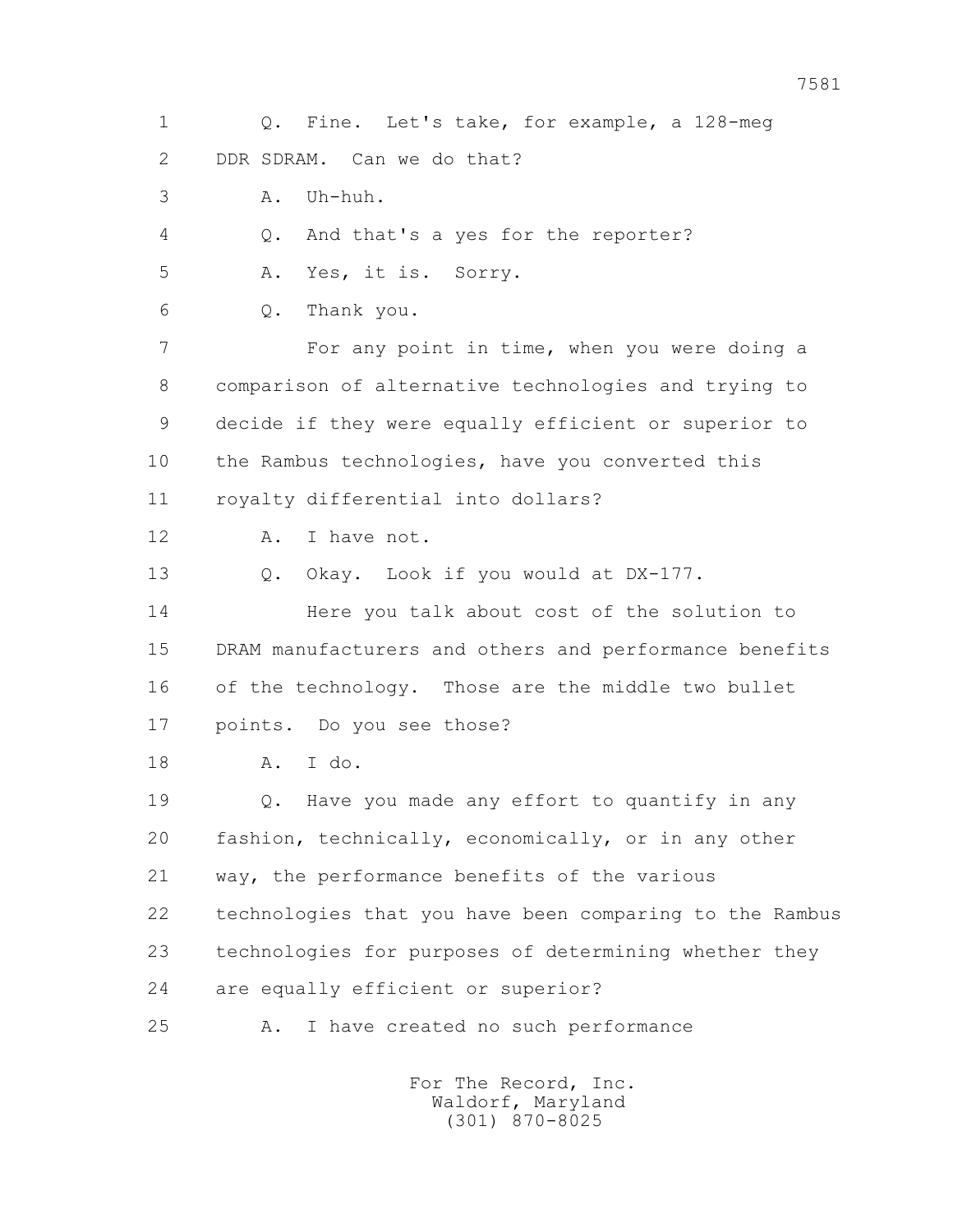1 Q. Fine. Let's take, for example, a 128-meg 2 DDR SDRAM. Can we do that? 3 A. Uh-huh. 4 Q. And that's a yes for the reporter? 5 A. Yes, it is. Sorry. 6 Q. Thank you. 7 For any point in time, when you were doing a 8 comparison of alternative technologies and trying to 9 decide if they were equally efficient or superior to 10 the Rambus technologies, have you converted this 11 royalty differential into dollars? 12 A. I have not. 13 Q. Okay. Look if you would at DX-177. 14 Here you talk about cost of the solution to 15 DRAM manufacturers and others and performance benefits 16 of the technology. Those are the middle two bullet 17 points. Do you see those? 18 A. I do. 19 Q. Have you made any effort to quantify in any 20 fashion, technically, economically, or in any other 21 way, the performance benefits of the various 22 technologies that you have been comparing to the Rambus 23 technologies for purposes of determining whether they 24 are equally efficient or superior? 25 A. I have created no such performance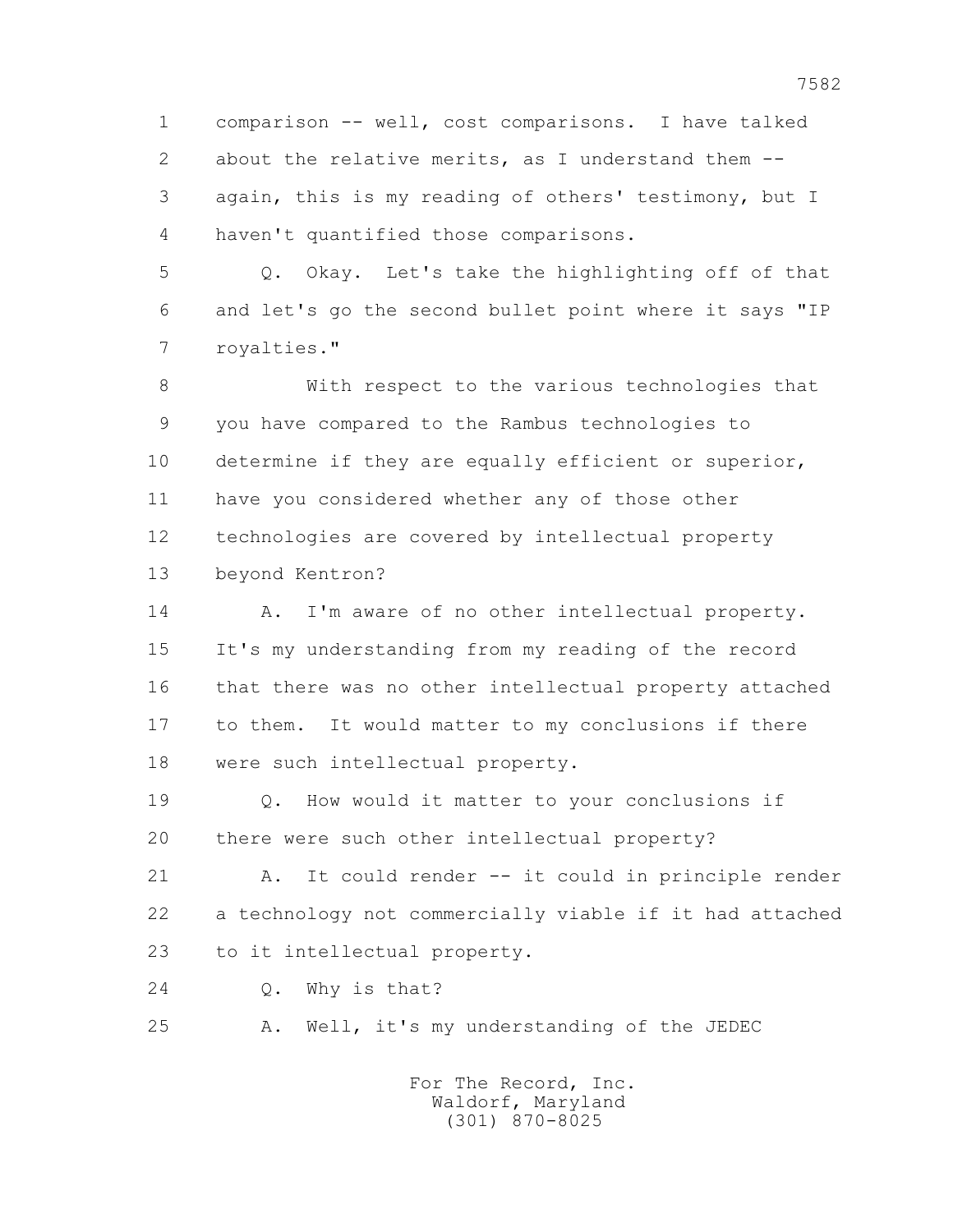1 comparison -- well, cost comparisons. I have talked 2 about the relative merits, as I understand them -- 3 again, this is my reading of others' testimony, but I 4 haven't quantified those comparisons.

 5 Q. Okay. Let's take the highlighting off of that 6 and let's go the second bullet point where it says "IP 7 royalties."

 8 With respect to the various technologies that 9 you have compared to the Rambus technologies to 10 determine if they are equally efficient or superior, 11 have you considered whether any of those other 12 technologies are covered by intellectual property 13 beyond Kentron?

 14 A. I'm aware of no other intellectual property. 15 It's my understanding from my reading of the record 16 that there was no other intellectual property attached 17 to them. It would matter to my conclusions if there 18 were such intellectual property.

 19 Q. How would it matter to your conclusions if 20 there were such other intellectual property?

 21 A. It could render -- it could in principle render 22 a technology not commercially viable if it had attached 23 to it intellectual property.

24 Q. Why is that?

25 A. Well, it's my understanding of the JEDEC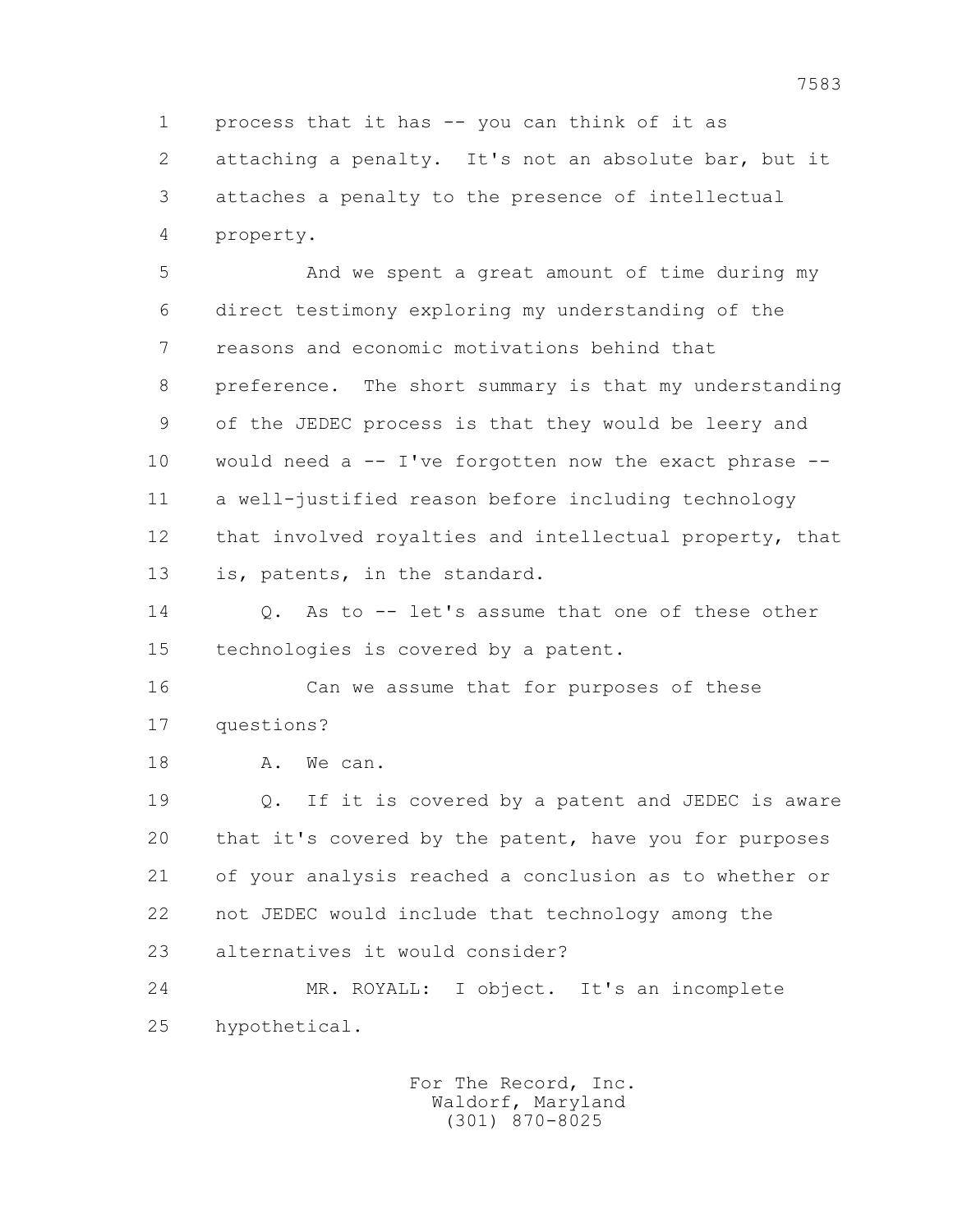1 process that it has -- you can think of it as 2 attaching a penalty. It's not an absolute bar, but it 3 attaches a penalty to the presence of intellectual 4 property.

 5 And we spent a great amount of time during my 6 direct testimony exploring my understanding of the 7 reasons and economic motivations behind that 8 preference. The short summary is that my understanding 9 of the JEDEC process is that they would be leery and 10 would need a -- I've forgotten now the exact phrase -- 11 a well-justified reason before including technology 12 that involved royalties and intellectual property, that 13 is, patents, in the standard.

14 0. As to -- let's assume that one of these other 15 technologies is covered by a patent.

 16 Can we assume that for purposes of these 17 questions?

18 A. We can.

 19 Q. If it is covered by a patent and JEDEC is aware 20 that it's covered by the patent, have you for purposes 21 of your analysis reached a conclusion as to whether or 22 not JEDEC would include that technology among the 23 alternatives it would consider?

 24 MR. ROYALL: I object. It's an incomplete 25 hypothetical.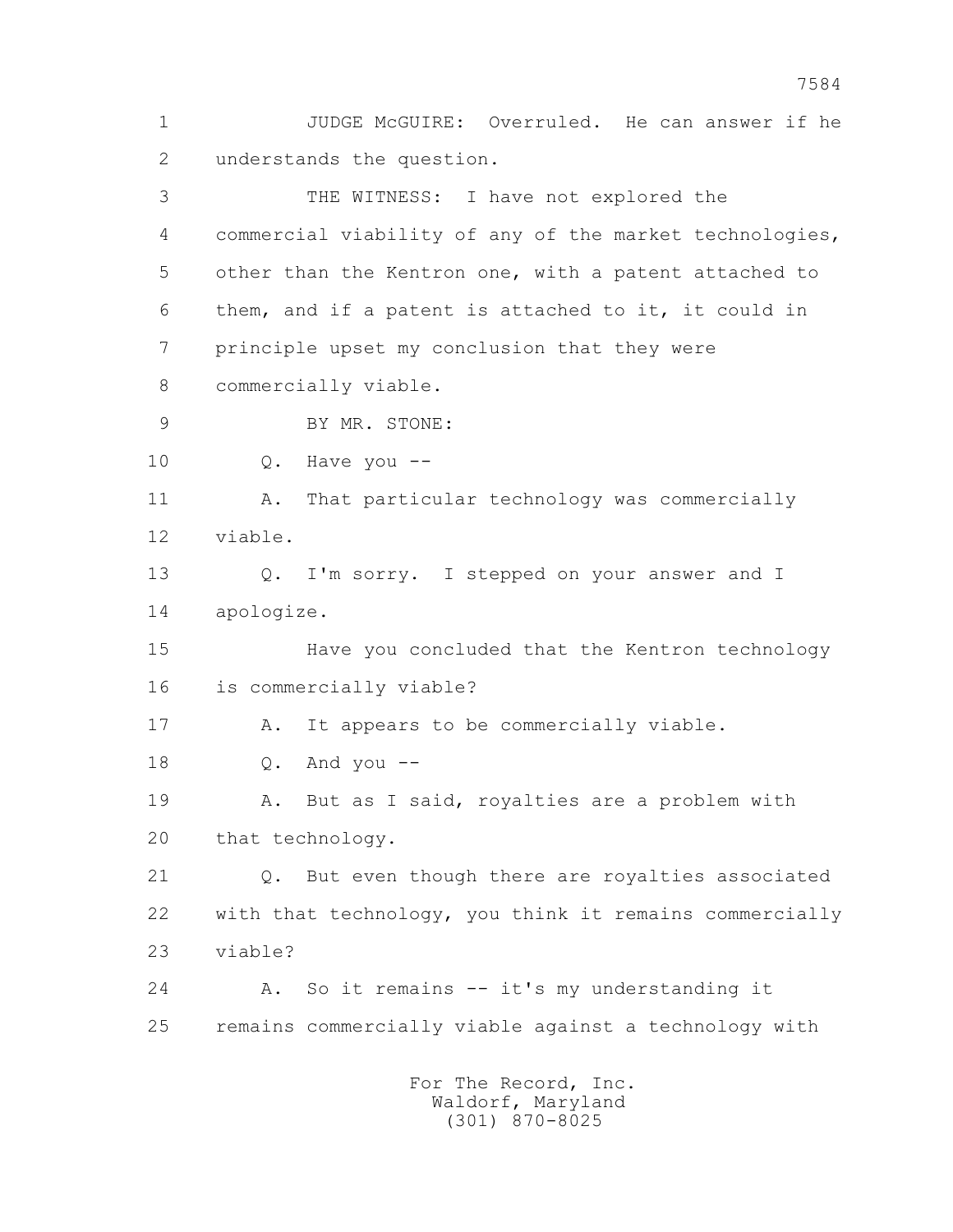1 JUDGE McGUIRE: Overruled. He can answer if he 2 understands the question.

 3 THE WITNESS: I have not explored the 4 commercial viability of any of the market technologies, 5 other than the Kentron one, with a patent attached to 6 them, and if a patent is attached to it, it could in 7 principle upset my conclusion that they were 8 commercially viable. 9 BY MR. STONE: 10 Q. Have you -- 11 A. That particular technology was commercially 12 viable. 13 Q. I'm sorry. I stepped on your answer and I 14 apologize. 15 Have you concluded that the Kentron technology 16 is commercially viable? 17 A. It appears to be commercially viable. 18 Q. And you -- 19 A. But as I said, royalties are a problem with 20 that technology. 21 Q. But even though there are royalties associated 22 with that technology, you think it remains commercially 23 viable? 24 A. So it remains -- it's my understanding it 25 remains commercially viable against a technology with For The Record, Inc.

 Waldorf, Maryland (301) 870-8025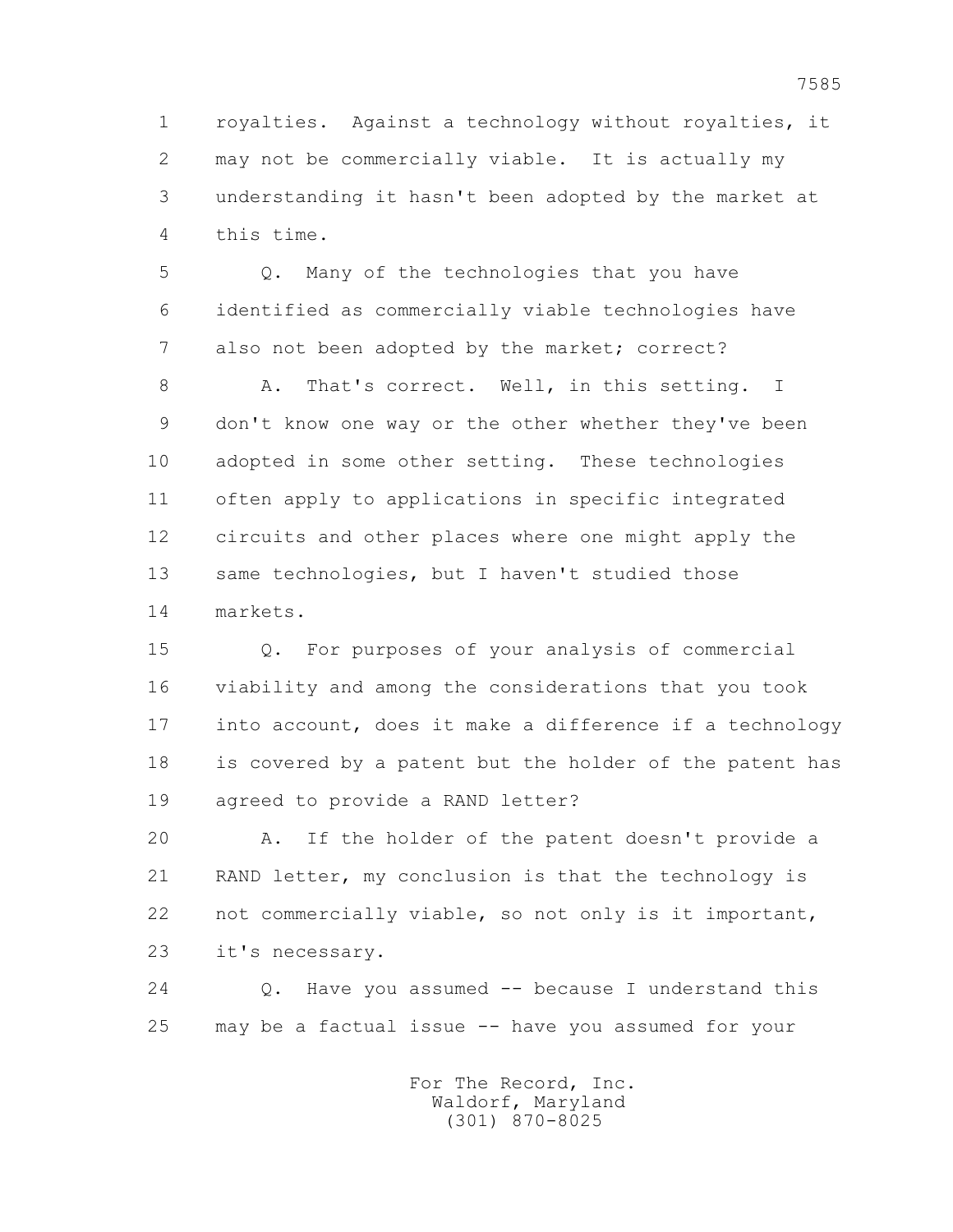1 royalties. Against a technology without royalties, it 2 may not be commercially viable. It is actually my 3 understanding it hasn't been adopted by the market at 4 this time.

 5 Q. Many of the technologies that you have 6 identified as commercially viable technologies have 7 also not been adopted by the market; correct?

8 A. That's correct. Well, in this setting. I 9 don't know one way or the other whether they've been 10 adopted in some other setting. These technologies 11 often apply to applications in specific integrated 12 circuits and other places where one might apply the 13 same technologies, but I haven't studied those 14 markets.

 15 Q. For purposes of your analysis of commercial 16 viability and among the considerations that you took 17 into account, does it make a difference if a technology 18 is covered by a patent but the holder of the patent has 19 agreed to provide a RAND letter?

 20 A. If the holder of the patent doesn't provide a 21 RAND letter, my conclusion is that the technology is 22 not commercially viable, so not only is it important, 23 it's necessary.

 24 Q. Have you assumed -- because I understand this 25 may be a factual issue -- have you assumed for your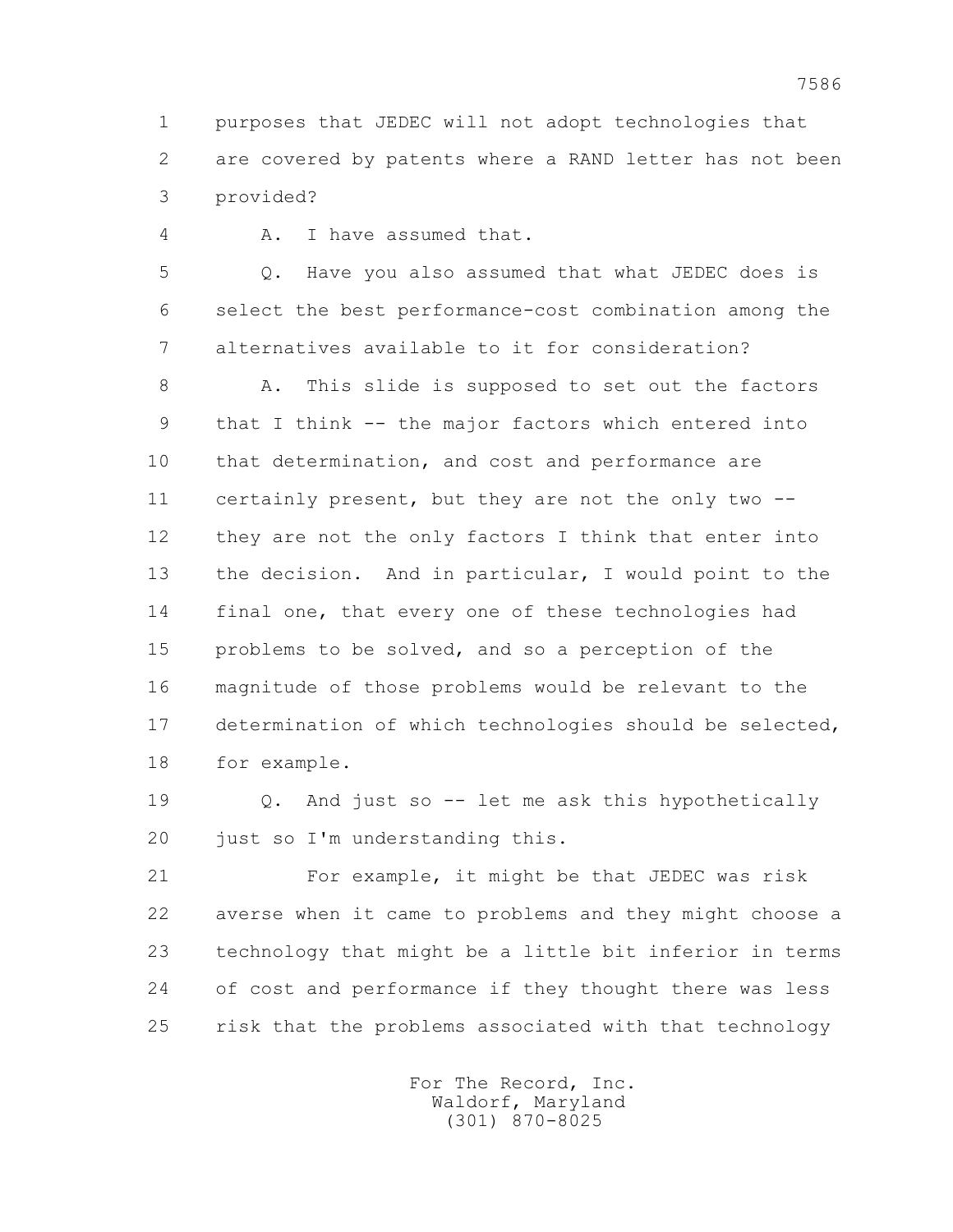1 purposes that JEDEC will not adopt technologies that 2 are covered by patents where a RAND letter has not been 3 provided?

4 A. I have assumed that.

 5 Q. Have you also assumed that what JEDEC does is 6 select the best performance-cost combination among the 7 alternatives available to it for consideration?

 8 A. This slide is supposed to set out the factors 9 that I think -- the major factors which entered into 10 that determination, and cost and performance are 11 certainly present, but they are not the only two -- 12 they are not the only factors I think that enter into 13 the decision. And in particular, I would point to the 14 final one, that every one of these technologies had 15 problems to be solved, and so a perception of the 16 magnitude of those problems would be relevant to the 17 determination of which technologies should be selected, 18 for example.

 19 Q. And just so -- let me ask this hypothetically 20 just so I'm understanding this.

 21 For example, it might be that JEDEC was risk 22 averse when it came to problems and they might choose a 23 technology that might be a little bit inferior in terms 24 of cost and performance if they thought there was less 25 risk that the problems associated with that technology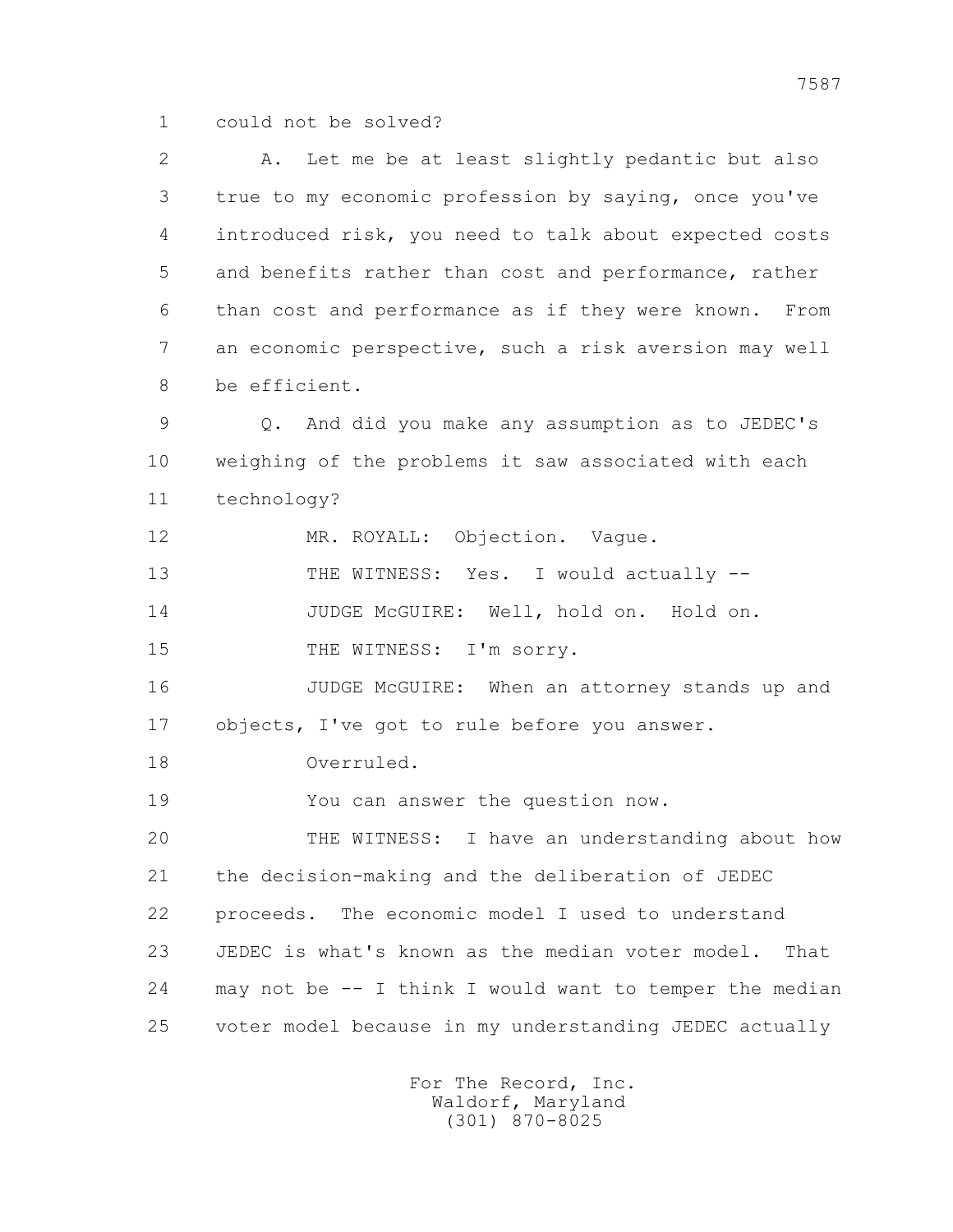1 could not be solved?

 2 A. Let me be at least slightly pedantic but also 3 true to my economic profession by saying, once you've 4 introduced risk, you need to talk about expected costs 5 and benefits rather than cost and performance, rather 6 than cost and performance as if they were known. From 7 an economic perspective, such a risk aversion may well 8 be efficient. 9 Q. And did you make any assumption as to JEDEC's 10 weighing of the problems it saw associated with each 11 technology? 12 MR. ROYALL: Objection. Vague. 13 THE WITNESS: Yes. I would actually -- 14 JUDGE McGUIRE: Well, hold on. Hold on. 15 THE WITNESS: I'm sorry. 16 JUDGE McGUIRE: When an attorney stands up and 17 objects, I've got to rule before you answer. 18 Overruled. 19 You can answer the question now. 20 THE WITNESS: I have an understanding about how 21 the decision-making and the deliberation of JEDEC 22 proceeds. The economic model I used to understand 23 JEDEC is what's known as the median voter model. That 24 may not be -- I think I would want to temper the median 25 voter model because in my understanding JEDEC actually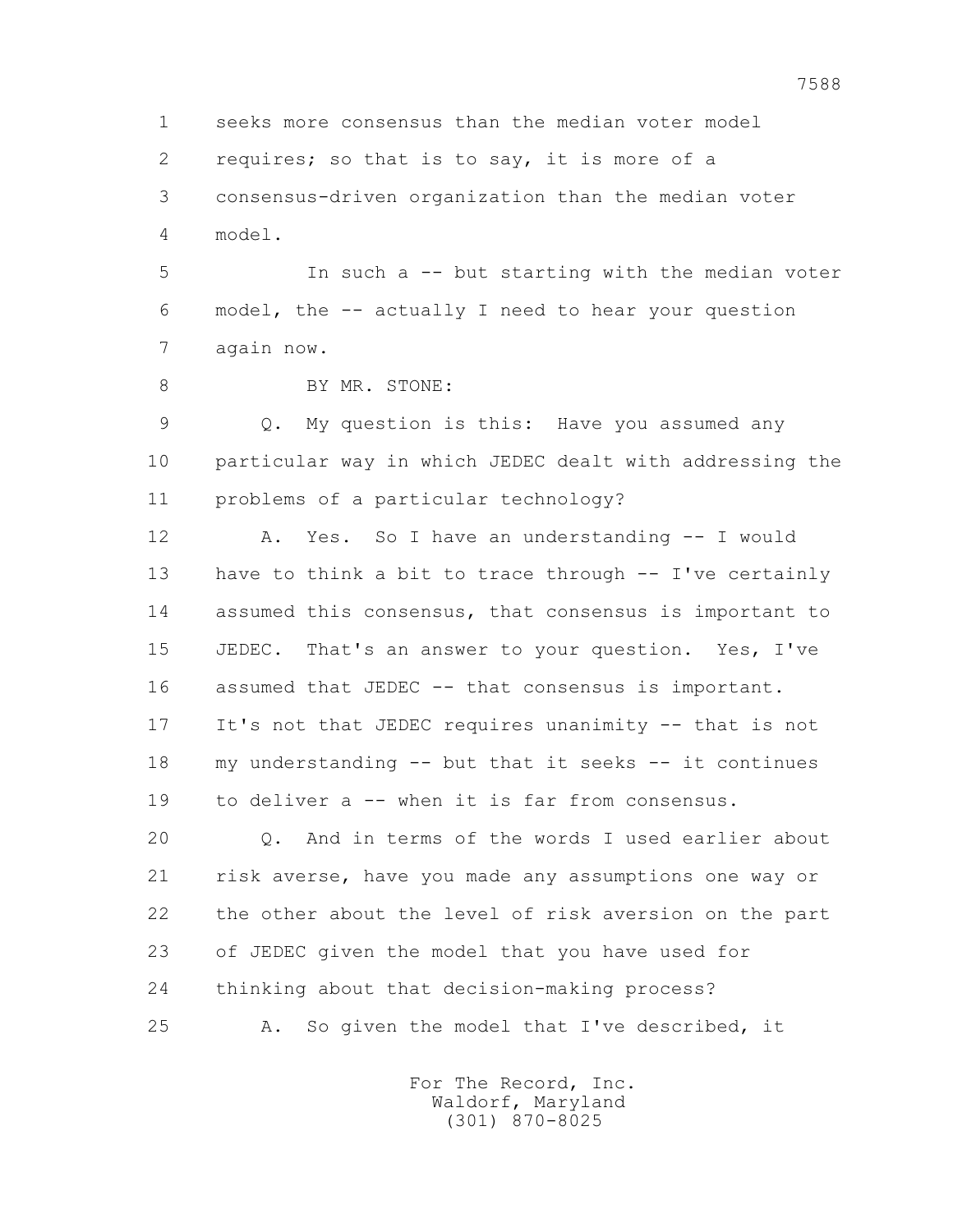1 seeks more consensus than the median voter model 2 requires; so that is to say, it is more of a 3 consensus-driven organization than the median voter 4 model.

 5 In such a -- but starting with the median voter 6 model, the -- actually I need to hear your question 7 again now.

8 BY MR. STONE:

 9 Q. My question is this: Have you assumed any 10 particular way in which JEDEC dealt with addressing the 11 problems of a particular technology?

 12 A. Yes. So I have an understanding -- I would 13 have to think a bit to trace through -- I've certainly 14 assumed this consensus, that consensus is important to 15 JEDEC. That's an answer to your question. Yes, I've 16 assumed that JEDEC -- that consensus is important. 17 It's not that JEDEC requires unanimity -- that is not 18 my understanding -- but that it seeks -- it continues 19 to deliver a -- when it is far from consensus.

 20 Q. And in terms of the words I used earlier about 21 risk averse, have you made any assumptions one way or 22 the other about the level of risk aversion on the part 23 of JEDEC given the model that you have used for 24 thinking about that decision-making process? 25 A. So given the model that I've described, it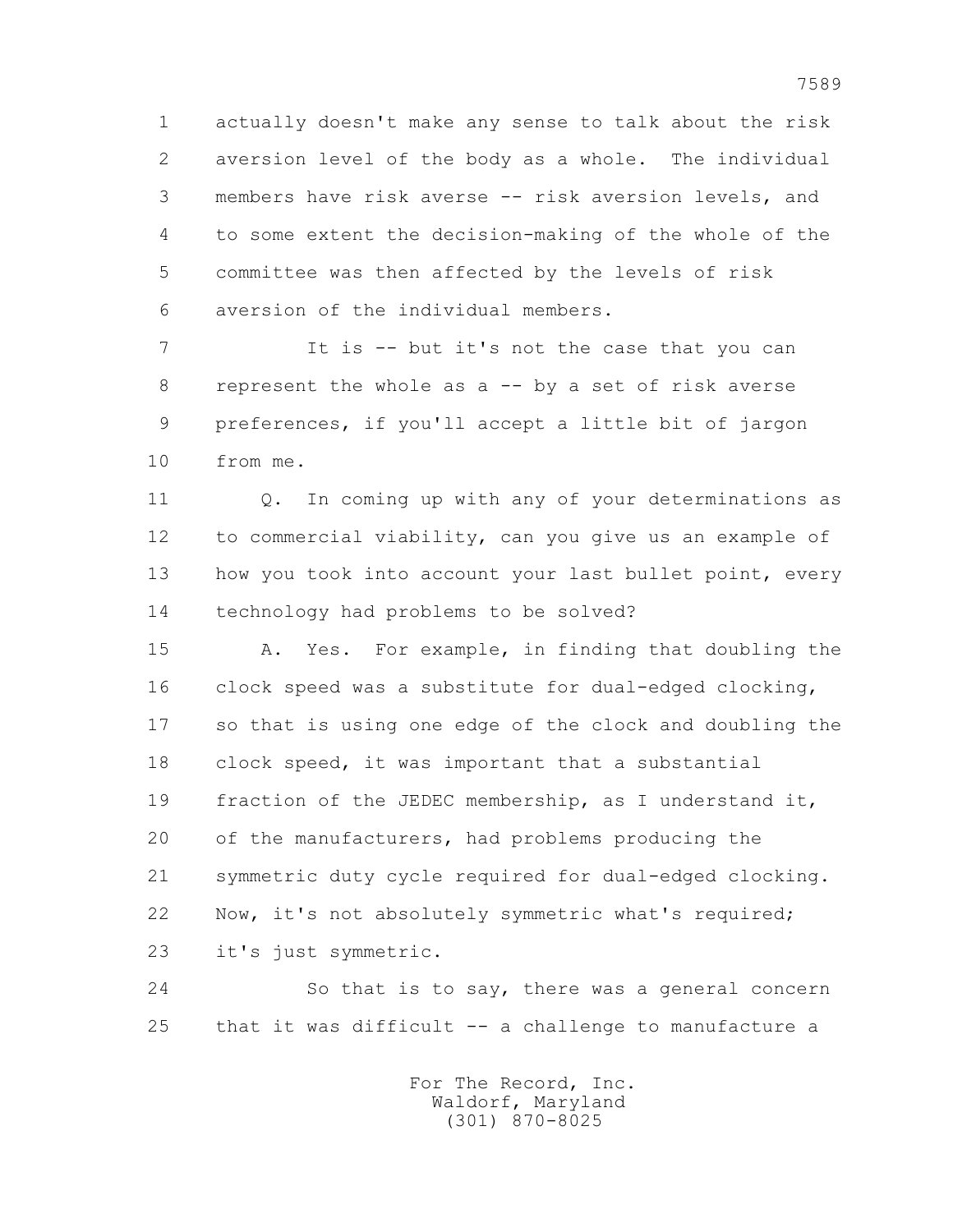1 actually doesn't make any sense to talk about the risk 2 aversion level of the body as a whole. The individual 3 members have risk averse -- risk aversion levels, and 4 to some extent the decision-making of the whole of the 5 committee was then affected by the levels of risk 6 aversion of the individual members.

 7 It is -- but it's not the case that you can 8 represent the whole as a -- by a set of risk averse 9 preferences, if you'll accept a little bit of jargon 10 from me.

 11 Q. In coming up with any of your determinations as 12 to commercial viability, can you give us an example of 13 how you took into account your last bullet point, every 14 technology had problems to be solved?

 15 A. Yes. For example, in finding that doubling the 16 clock speed was a substitute for dual-edged clocking, 17 so that is using one edge of the clock and doubling the 18 clock speed, it was important that a substantial 19 fraction of the JEDEC membership, as I understand it, 20 of the manufacturers, had problems producing the 21 symmetric duty cycle required for dual-edged clocking. 22 Now, it's not absolutely symmetric what's required; 23 it's just symmetric.

 24 So that is to say, there was a general concern 25 that it was difficult -- a challenge to manufacture a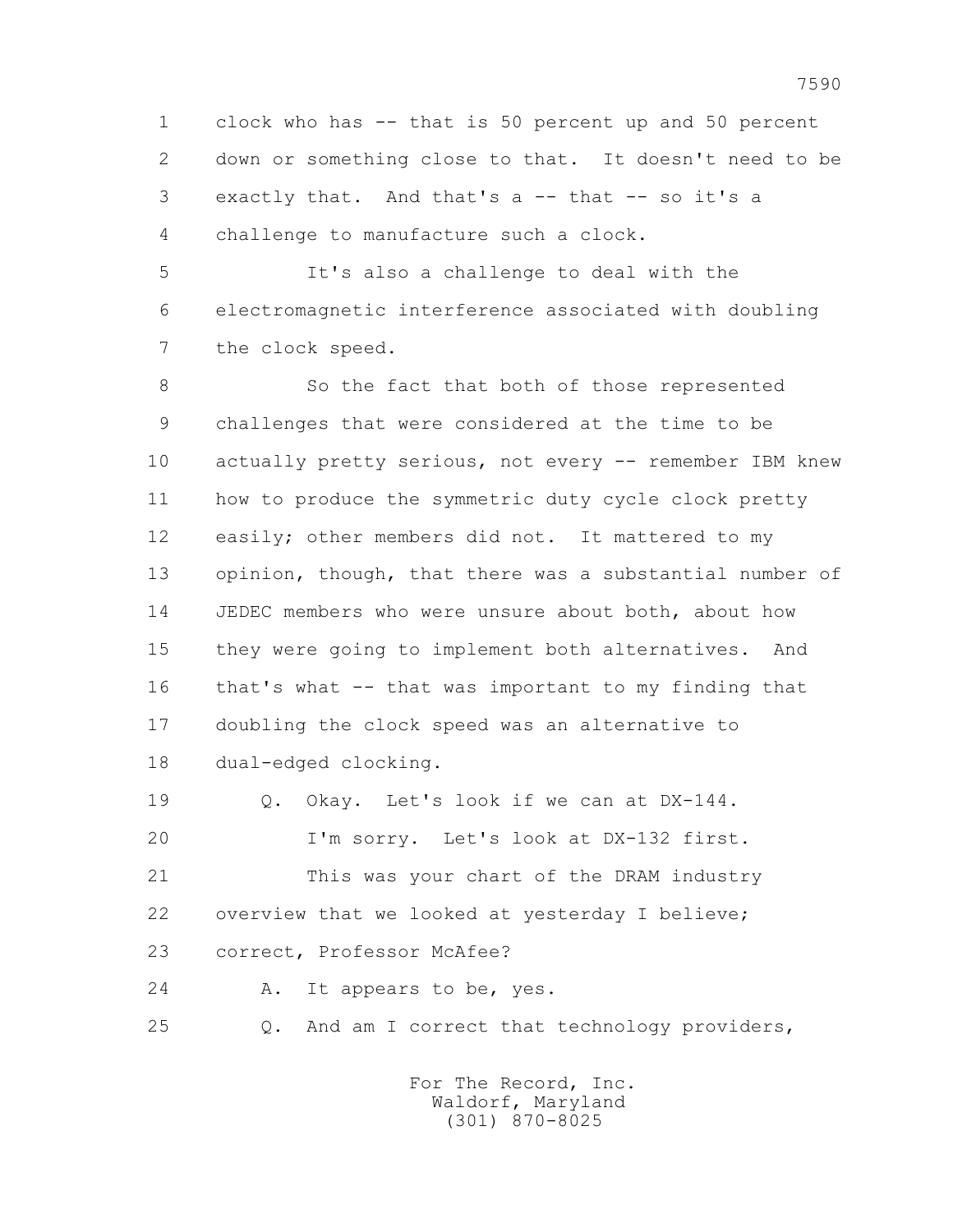1 clock who has -- that is 50 percent up and 50 percent 2 down or something close to that. It doesn't need to be 3 exactly that. And that's a -- that -- so it's a 4 challenge to manufacture such a clock.

 5 It's also a challenge to deal with the 6 electromagnetic interference associated with doubling 7 the clock speed.

8 So the fact that both of those represented 9 challenges that were considered at the time to be 10 actually pretty serious, not every -- remember IBM knew 11 how to produce the symmetric duty cycle clock pretty 12 easily; other members did not. It mattered to my 13 opinion, though, that there was a substantial number of 14 JEDEC members who were unsure about both, about how 15 they were going to implement both alternatives. And 16 that's what -- that was important to my finding that 17 doubling the clock speed was an alternative to 18 dual-edged clocking.

 19 Q. Okay. Let's look if we can at DX-144. 20 I'm sorry. Let's look at DX-132 first. 21 This was your chart of the DRAM industry 22 overview that we looked at yesterday I believe; 23 correct, Professor McAfee? 24 A. It appears to be, yes.

25 Q. And am I correct that technology providers,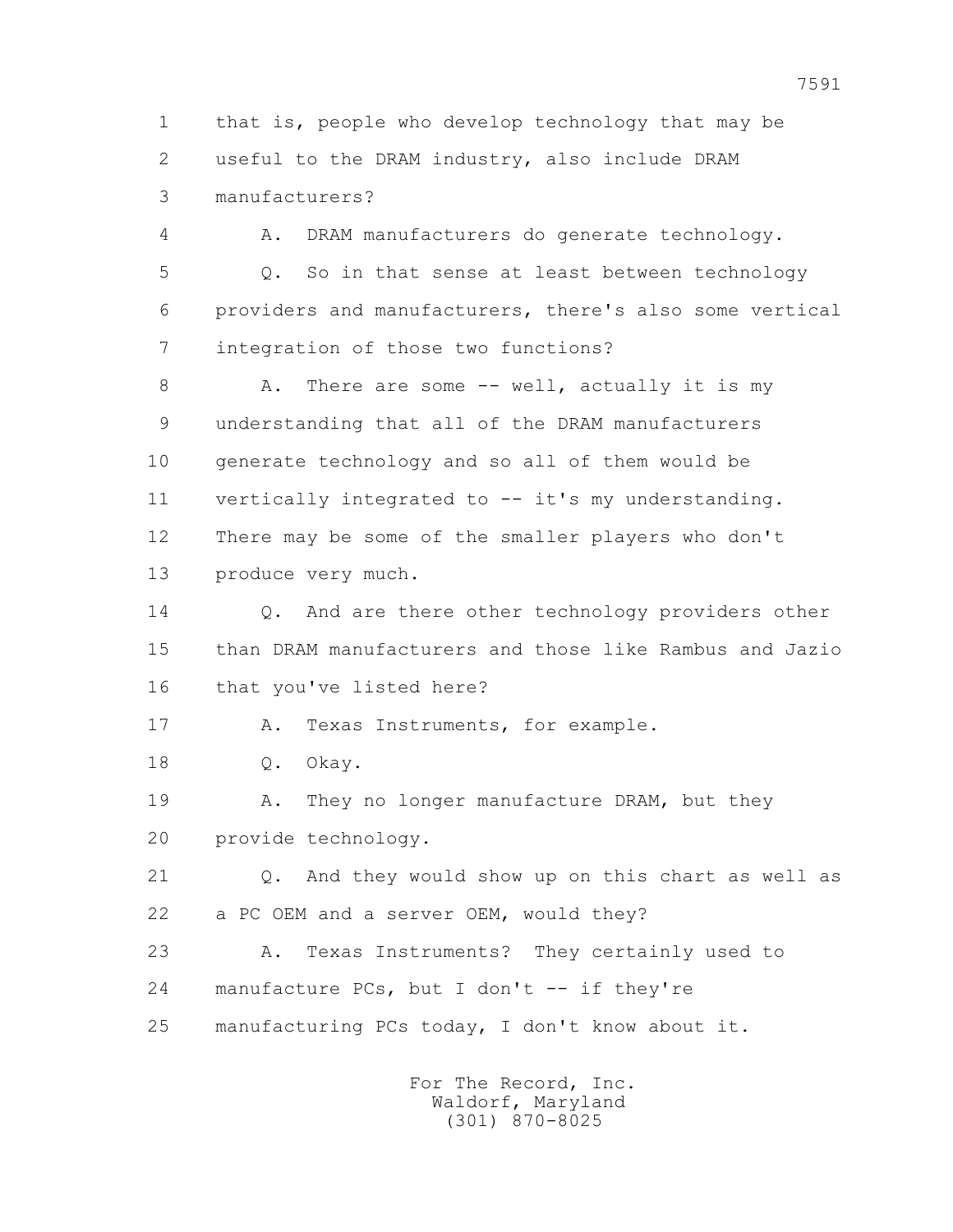1 that is, people who develop technology that may be 2 useful to the DRAM industry, also include DRAM 3 manufacturers?

 4 A. DRAM manufacturers do generate technology. 5 Q. So in that sense at least between technology 6 providers and manufacturers, there's also some vertical 7 integration of those two functions?

8 A. There are some -- well, actually it is my 9 understanding that all of the DRAM manufacturers 10 generate technology and so all of them would be 11 vertically integrated to -- it's my understanding. 12 There may be some of the smaller players who don't 13 produce very much.

14 0. And are there other technology providers other 15 than DRAM manufacturers and those like Rambus and Jazio 16 that you've listed here?

17 A. Texas Instruments, for example.

18 Q. Okay.

19 A. They no longer manufacture DRAM, but they 20 provide technology.

 21 Q. And they would show up on this chart as well as 22 a PC OEM and a server OEM, would they?

 23 A. Texas Instruments? They certainly used to 24 manufacture PCs, but I don't -- if they're 25 manufacturing PCs today, I don't know about it.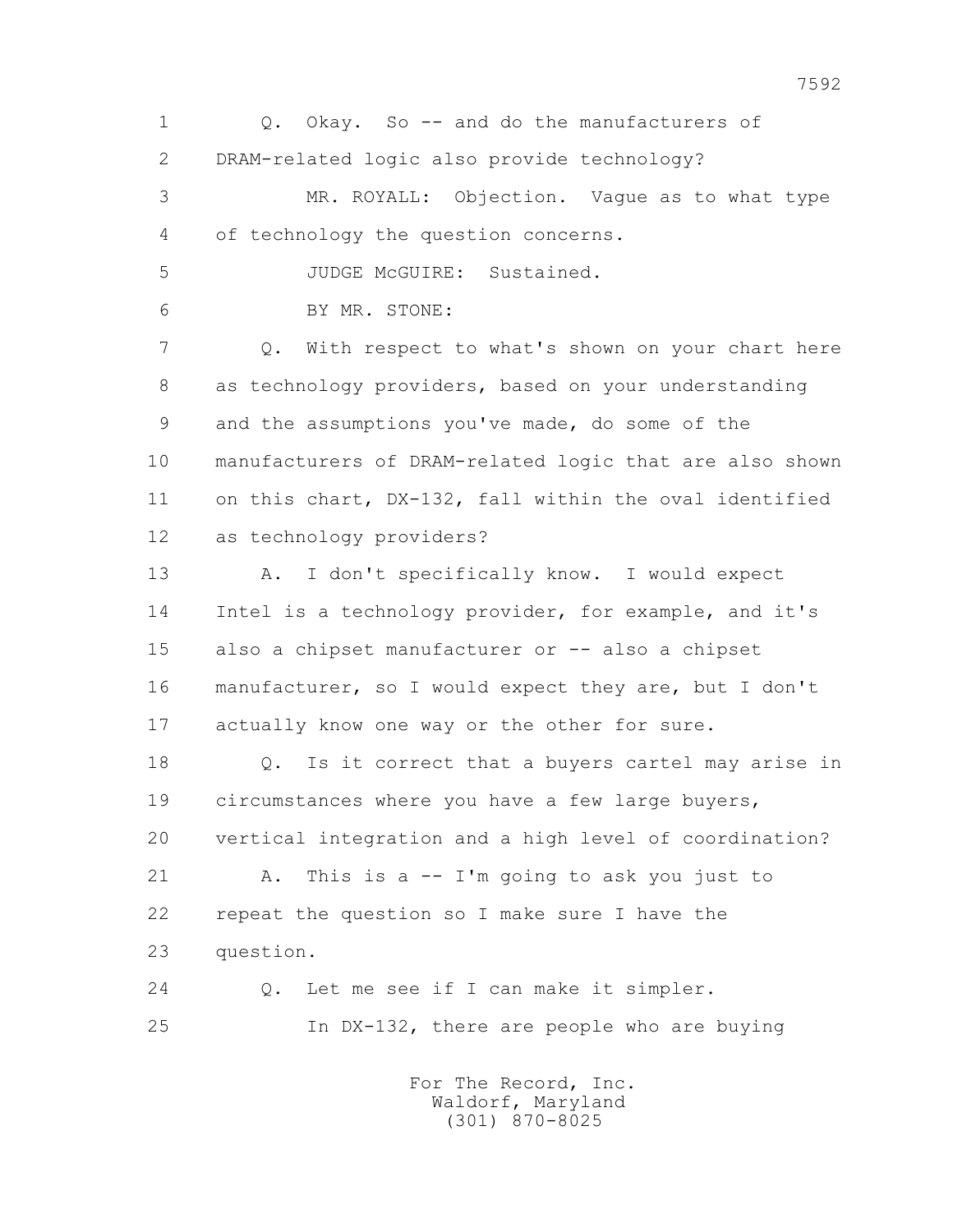1 Q. Okay. So -- and do the manufacturers of 2 DRAM-related logic also provide technology? 3 MR. ROYALL: Objection. Vague as to what type 4 of technology the question concerns. 5 JUDGE McGUIRE: Sustained. 6 BY MR. STONE: 7 Q. With respect to what's shown on your chart here 8 as technology providers, based on your understanding 9 and the assumptions you've made, do some of the 10 manufacturers of DRAM-related logic that are also shown 11 on this chart, DX-132, fall within the oval identified 12 as technology providers? 13 A. I don't specifically know. I would expect 14 Intel is a technology provider, for example, and it's 15 also a chipset manufacturer or -- also a chipset 16 manufacturer, so I would expect they are, but I don't 17 actually know one way or the other for sure. 18 Q. Is it correct that a buyers cartel may arise in 19 circumstances where you have a few large buyers, 20 vertical integration and a high level of coordination? 21 A. This is a -- I'm going to ask you just to 22 repeat the question so I make sure I have the 23 question. 24 Q. Let me see if I can make it simpler. 25 In DX-132, there are people who are buying For The Record, Inc. Waldorf, Maryland

(301) 870-8025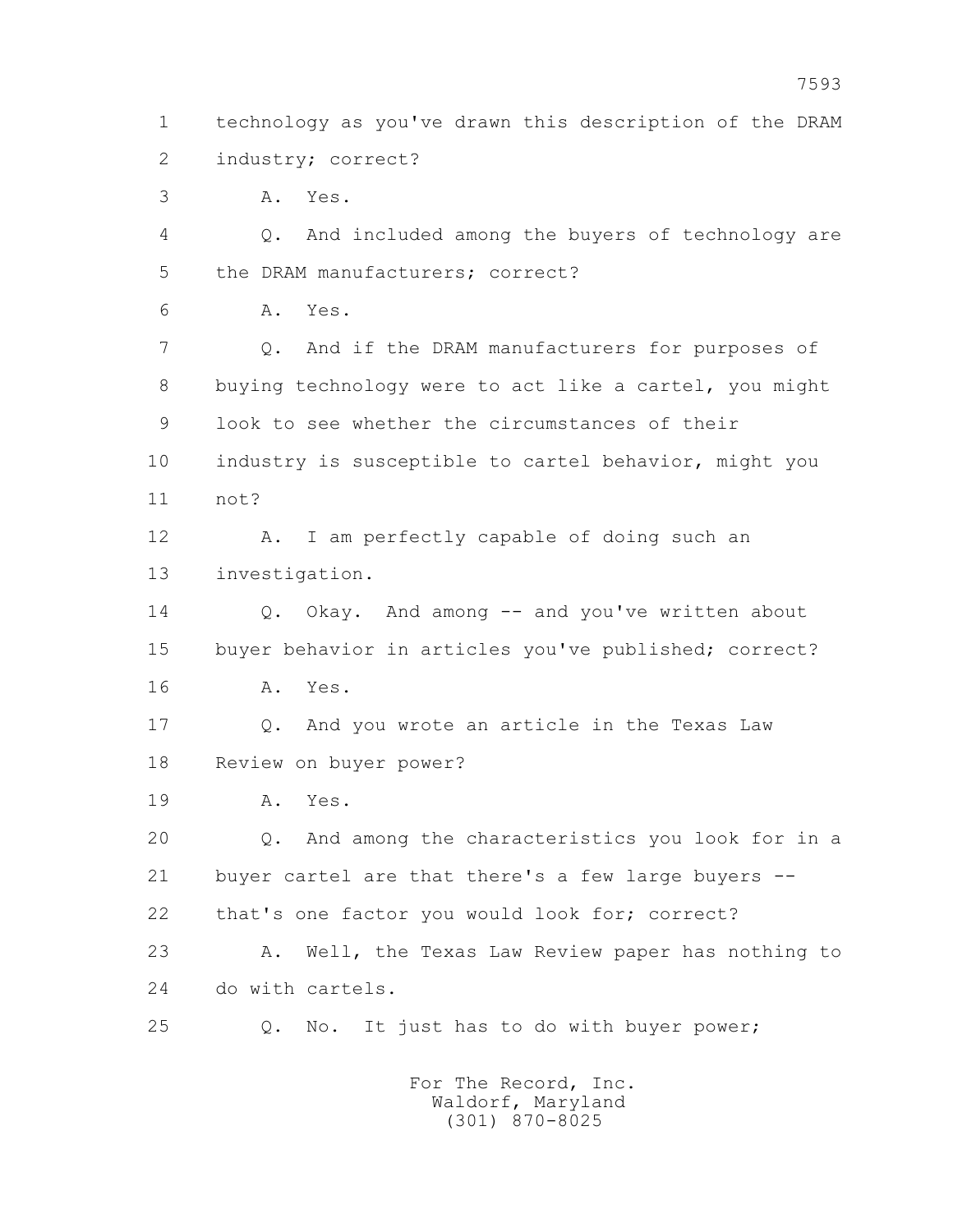1 technology as you've drawn this description of the DRAM 2 industry; correct?

3 A. Yes.

 4 Q. And included among the buyers of technology are 5 the DRAM manufacturers; correct?

6 A. Yes.

 7 Q. And if the DRAM manufacturers for purposes of 8 buying technology were to act like a cartel, you might 9 look to see whether the circumstances of their 10 industry is susceptible to cartel behavior, might you 11 not?

 12 A. I am perfectly capable of doing such an 13 investigation.

14 0. Okay. And among -- and you've written about 15 buyer behavior in articles you've published; correct? 16 A. Yes.

 17 Q. And you wrote an article in the Texas Law 18 Review on buyer power?

19 A. Yes.

 20 Q. And among the characteristics you look for in a 21 buyer cartel are that there's a few large buyers -- 22 that's one factor you would look for; correct?

 23 A. Well, the Texas Law Review paper has nothing to 24 do with cartels.

25 Q. No. It just has to do with buyer power;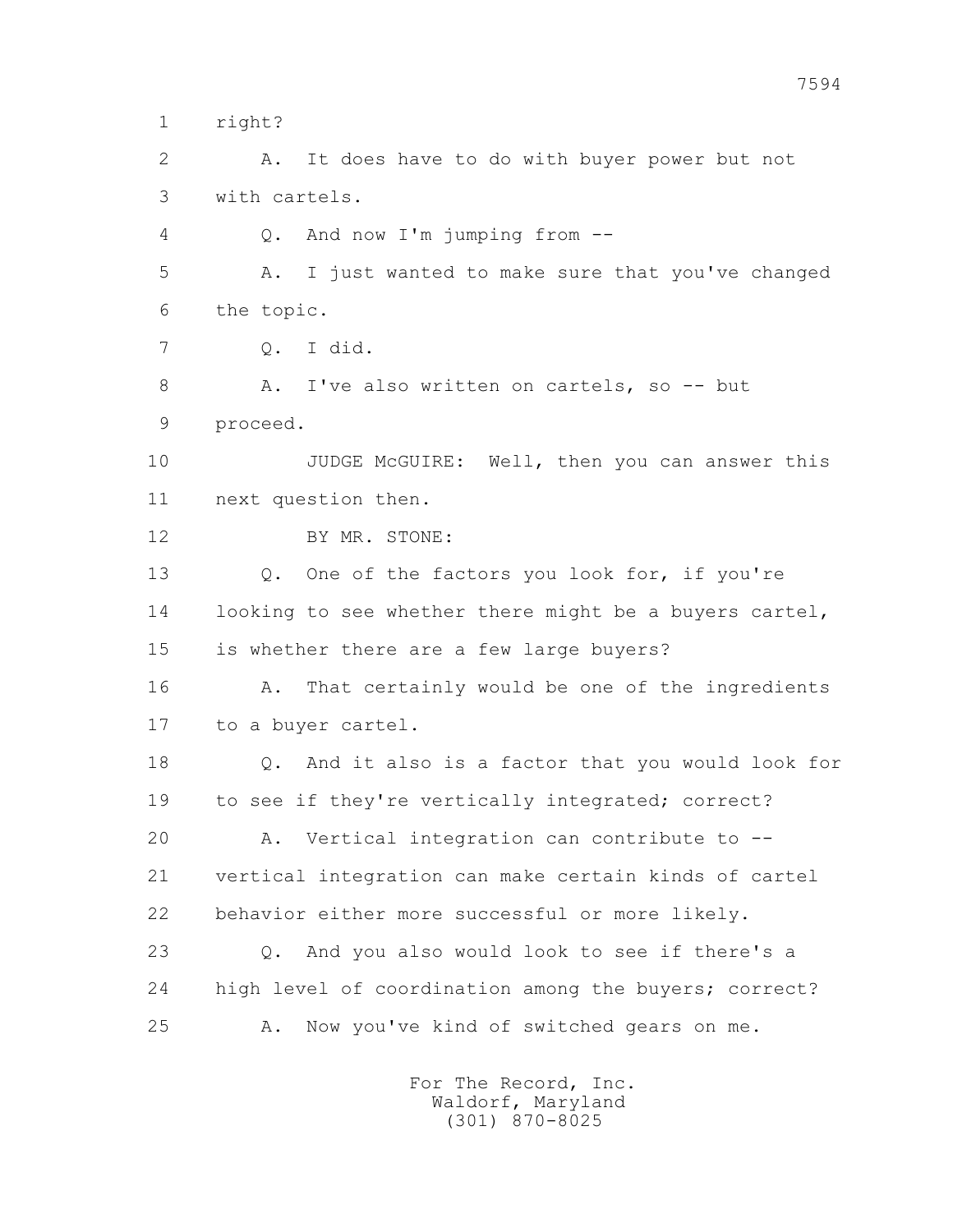1 right?

 2 A. It does have to do with buyer power but not 3 with cartels.

4 Q. And now I'm jumping from --

 5 A. I just wanted to make sure that you've changed 6 the topic.

7 Q. I did.

8 A. I've also written on cartels, so -- but 9 proceed.

10 JUDGE McGUIRE: Well, then you can answer this 11 next question then.

12 BY MR. STONE:

13 0. One of the factors you look for, if you're 14 looking to see whether there might be a buyers cartel, 15 is whether there are a few large buyers?

16 A. That certainly would be one of the ingredients 17 to a buyer cartel.

 18 Q. And it also is a factor that you would look for 19 to see if they're vertically integrated; correct? 20 A. Vertical integration can contribute to -- 21 vertical integration can make certain kinds of cartel 22 behavior either more successful or more likely.

 23 Q. And you also would look to see if there's a 24 high level of coordination among the buyers; correct? 25 A. Now you've kind of switched gears on me.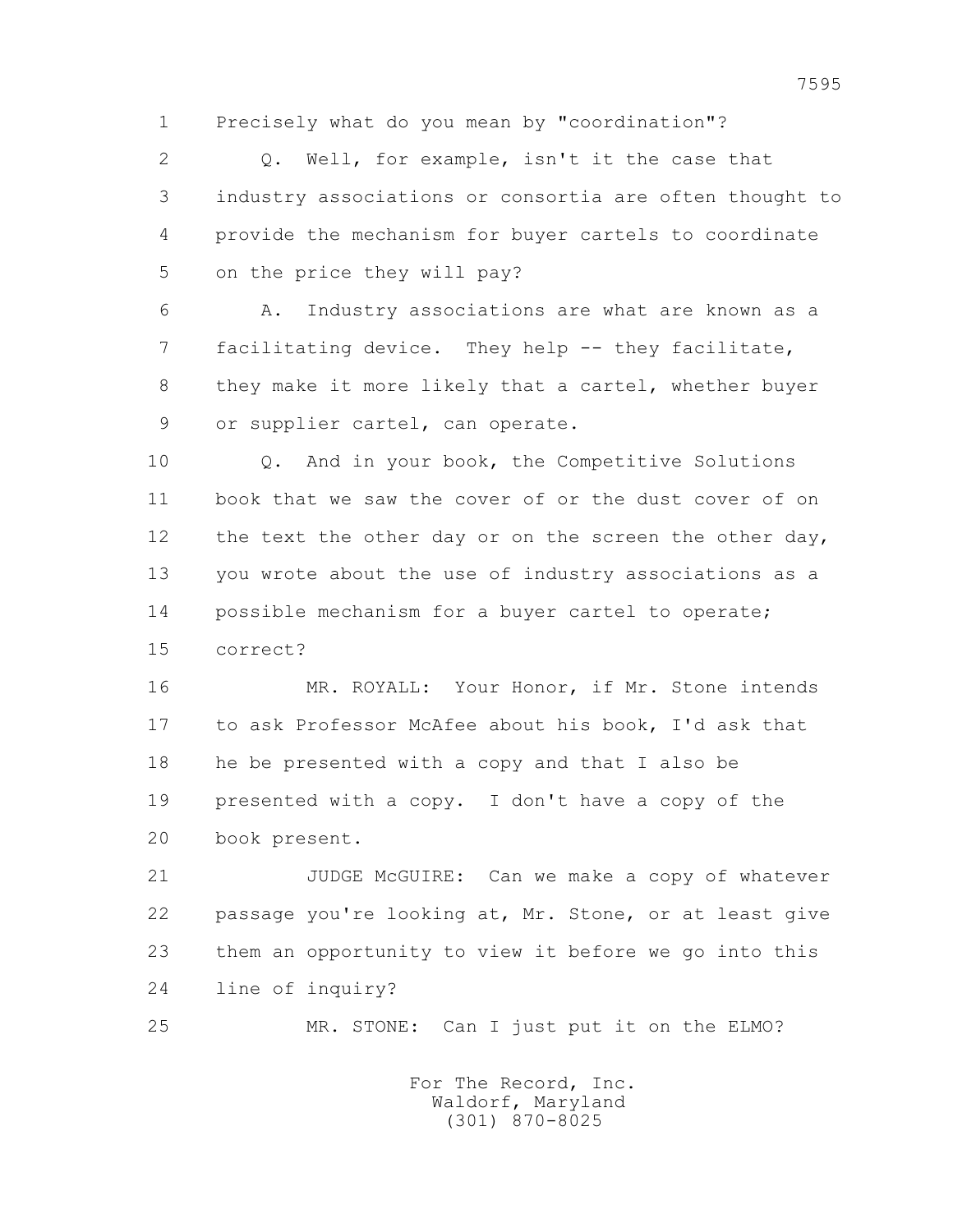1 Precisely what do you mean by "coordination"?

 2 Q. Well, for example, isn't it the case that 3 industry associations or consortia are often thought to 4 provide the mechanism for buyer cartels to coordinate 5 on the price they will pay?

 6 A. Industry associations are what are known as a 7 facilitating device. They help -- they facilitate, 8 they make it more likely that a cartel, whether buyer 9 or supplier cartel, can operate.

 10 Q. And in your book, the Competitive Solutions 11 book that we saw the cover of or the dust cover of on 12 the text the other day or on the screen the other day, 13 you wrote about the use of industry associations as a 14 possible mechanism for a buyer cartel to operate; 15 correct?

 16 MR. ROYALL: Your Honor, if Mr. Stone intends 17 to ask Professor McAfee about his book, I'd ask that 18 he be presented with a copy and that I also be 19 presented with a copy. I don't have a copy of the 20 book present.

 21 JUDGE McGUIRE: Can we make a copy of whatever 22 passage you're looking at, Mr. Stone, or at least give 23 them an opportunity to view it before we go into this 24 line of inquiry?

25 MR. STONE: Can I just put it on the ELMO?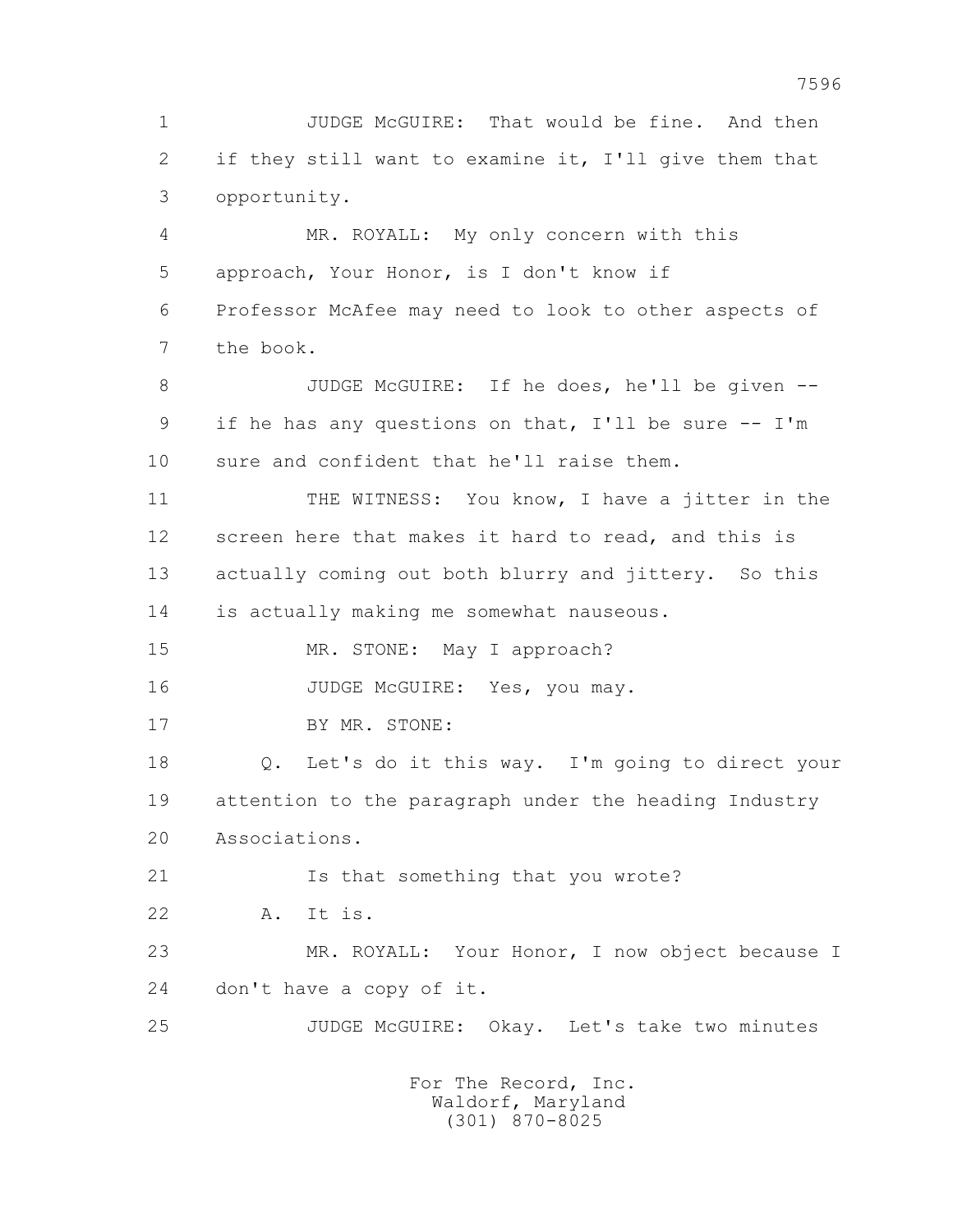1 JUDGE McGUIRE: That would be fine. And then 2 if they still want to examine it, I'll give them that 3 opportunity. 4 MR. ROYALL: My only concern with this 5 approach, Your Honor, is I don't know if 6 Professor McAfee may need to look to other aspects of 7 the book. 8 JUDGE McGUIRE: If he does, he'll be given -- 9 if he has any questions on that, I'll be sure -- I'm 10 sure and confident that he'll raise them. 11 THE WITNESS: You know, I have a jitter in the 12 screen here that makes it hard to read, and this is 13 actually coming out both blurry and jittery. So this 14 is actually making me somewhat nauseous. 15 MR. STONE: May I approach? 16 JUDGE McGUIRE: Yes, you may. 17 BY MR. STONE: 18 Q. Let's do it this way. I'm going to direct your 19 attention to the paragraph under the heading Industry 20 Associations. 21 Is that something that you wrote? 22 A. It is. 23 MR. ROYALL: Your Honor, I now object because I 24 don't have a copy of it. 25 JUDGE McGUIRE: Okay. Let's take two minutes For The Record, Inc.

 Waldorf, Maryland (301) 870-8025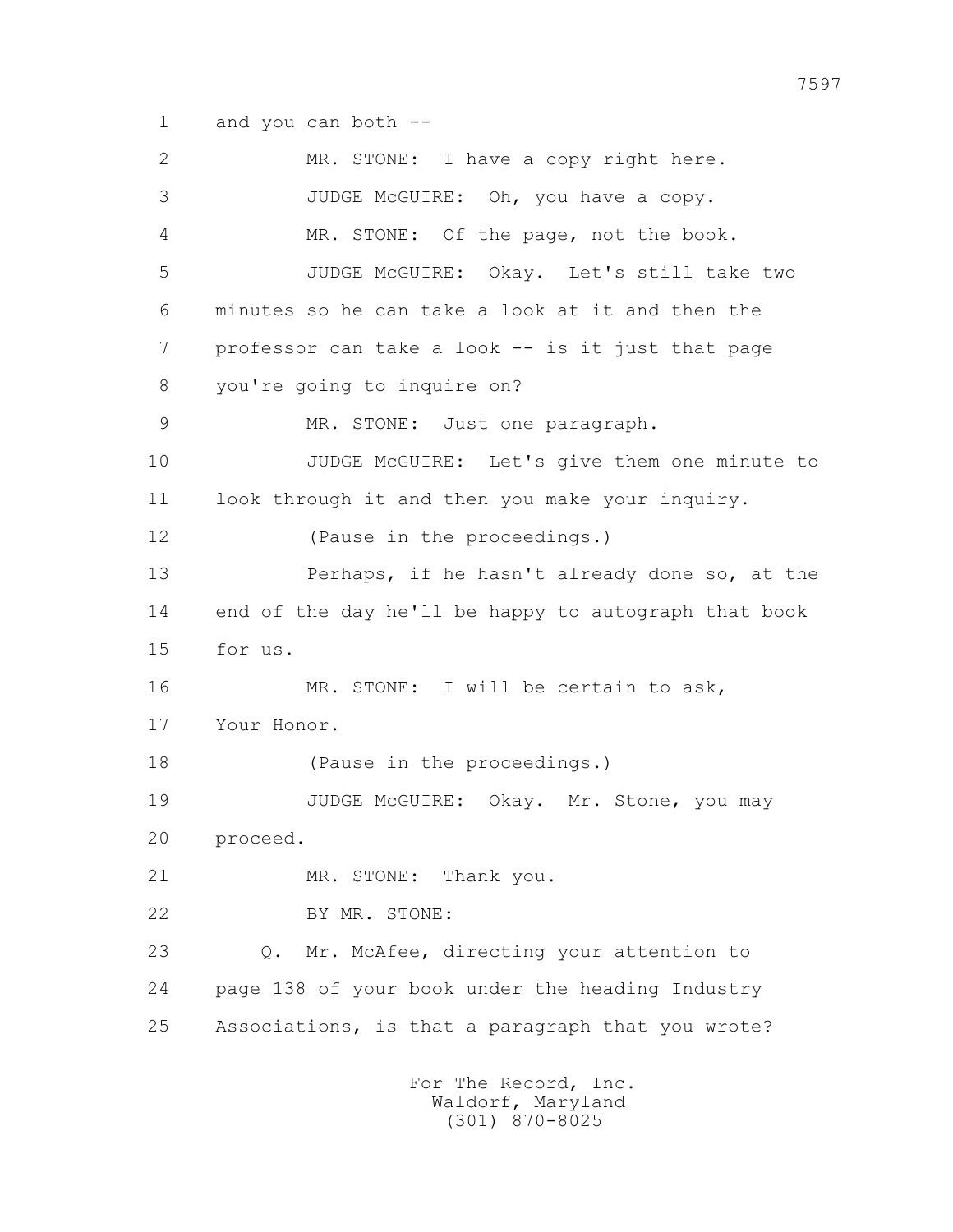1 and you can both --

 2 MR. STONE: I have a copy right here. 3 JUDGE McGUIRE: Oh, you have a copy. 4 MR. STONE: Of the page, not the book. 5 JUDGE McGUIRE: Okay. Let's still take two 6 minutes so he can take a look at it and then the 7 professor can take a look -- is it just that page 8 you're going to inquire on? 9 MR. STONE: Just one paragraph. 10 JUDGE McGUIRE: Let's give them one minute to 11 look through it and then you make your inquiry. 12 (Pause in the proceedings.) 13 Perhaps, if he hasn't already done so, at the 14 end of the day he'll be happy to autograph that book 15 for us. 16 MR. STONE: I will be certain to ask, 17 Your Honor. 18 (Pause in the proceedings.) 19 JUDGE McGUIRE: Okay. Mr. Stone, you may 20 proceed. 21 MR. STONE: Thank you. 22 BY MR. STONE: 23 Q. Mr. McAfee, directing your attention to 24 page 138 of your book under the heading Industry 25 Associations, is that a paragraph that you wrote? For The Record, Inc. Waldorf, Maryland (301) 870-8025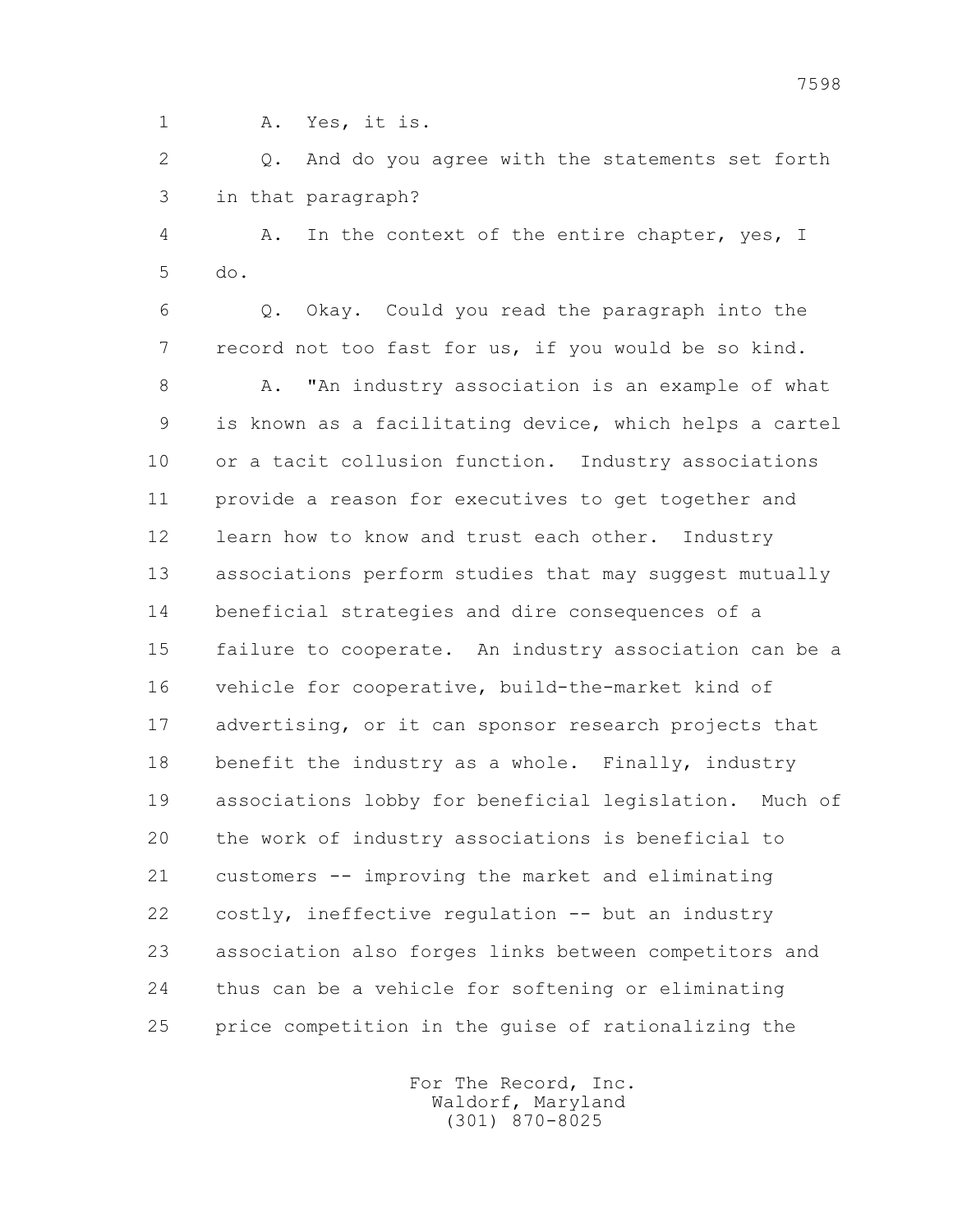1 A. Yes, it is.

 2 Q. And do you agree with the statements set forth 3 in that paragraph?

 4 A. In the context of the entire chapter, yes, I 5 do.

 6 Q. Okay. Could you read the paragraph into the 7 record not too fast for us, if you would be so kind.

 8 A. "An industry association is an example of what 9 is known as a facilitating device, which helps a cartel 10 or a tacit collusion function. Industry associations 11 provide a reason for executives to get together and 12 learn how to know and trust each other. Industry 13 associations perform studies that may suggest mutually 14 beneficial strategies and dire consequences of a 15 failure to cooperate. An industry association can be a 16 vehicle for cooperative, build-the-market kind of 17 advertising, or it can sponsor research projects that 18 benefit the industry as a whole. Finally, industry 19 associations lobby for beneficial legislation. Much of 20 the work of industry associations is beneficial to 21 customers -- improving the market and eliminating 22 costly, ineffective regulation -- but an industry 23 association also forges links between competitors and 24 thus can be a vehicle for softening or eliminating 25 price competition in the guise of rationalizing the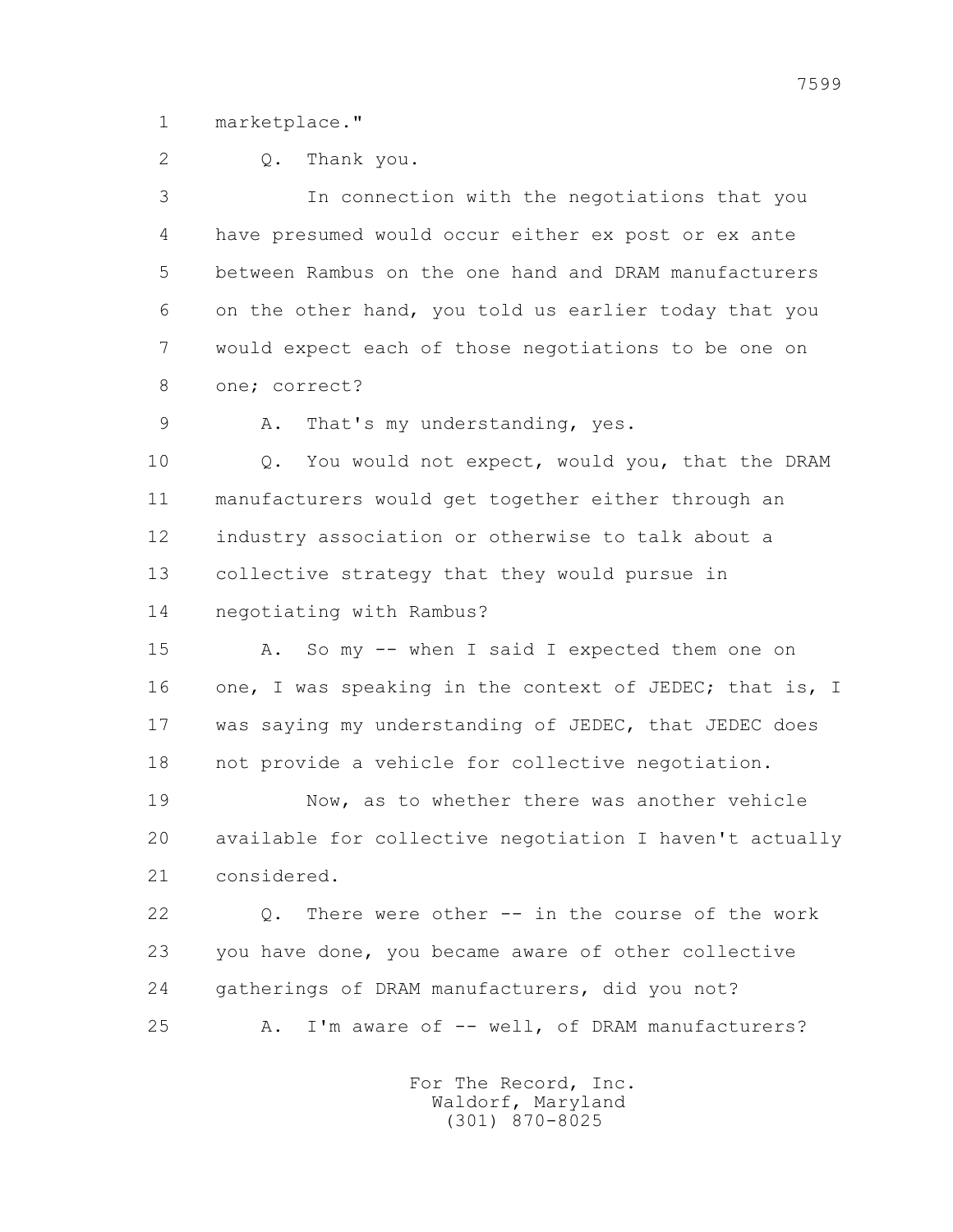1 marketplace."

2 Q. Thank you.

 3 In connection with the negotiations that you 4 have presumed would occur either ex post or ex ante 5 between Rambus on the one hand and DRAM manufacturers 6 on the other hand, you told us earlier today that you 7 would expect each of those negotiations to be one on 8 one; correct?

9 A. That's my understanding, yes.

 10 Q. You would not expect, would you, that the DRAM 11 manufacturers would get together either through an 12 industry association or otherwise to talk about a 13 collective strategy that they would pursue in 14 negotiating with Rambus?

 15 A. So my -- when I said I expected them one on 16 one, I was speaking in the context of JEDEC; that is, I 17 was saying my understanding of JEDEC, that JEDEC does 18 not provide a vehicle for collective negotiation.

 19 Now, as to whether there was another vehicle 20 available for collective negotiation I haven't actually 21 considered.

 22 Q. There were other -- in the course of the work 23 you have done, you became aware of other collective 24 gatherings of DRAM manufacturers, did you not? 25 A. I'm aware of -- well, of DRAM manufacturers?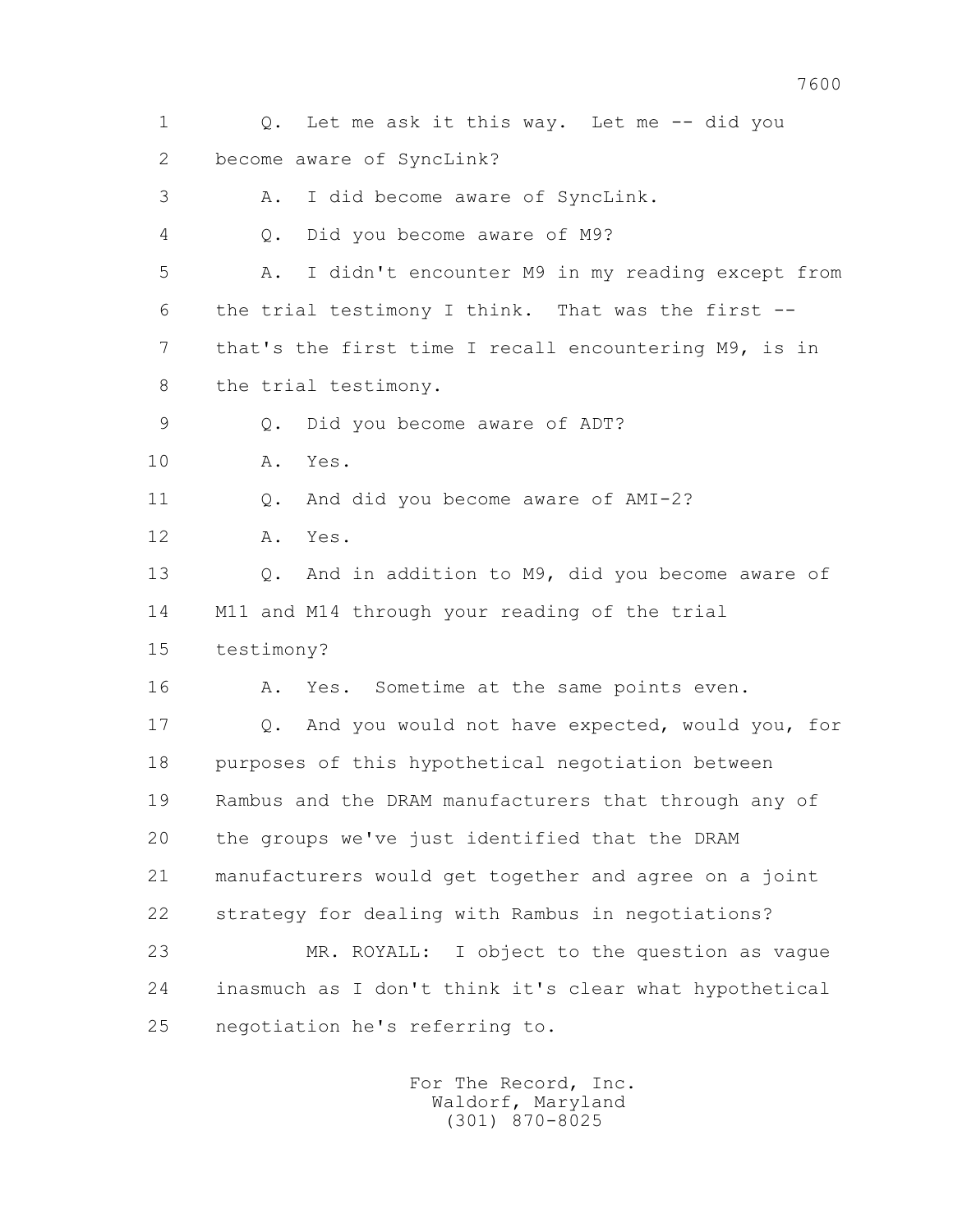1 Q. Let me ask it this way. Let me -- did you 2 become aware of SyncLink? 3 A. I did become aware of SyncLink. 4 Q. Did you become aware of M9? 5 A. I didn't encounter M9 in my reading except from 6 the trial testimony I think. That was the first -- 7 that's the first time I recall encountering M9, is in 8 the trial testimony. 9 Q. Did you become aware of ADT? 10 A. Yes. 11 0. And did you become aware of AMI-2? 12 A. Yes. 13 Q. And in addition to M9, did you become aware of 14 M11 and M14 through your reading of the trial 15 testimony? 16 A. Yes. Sometime at the same points even. 17 Q. And you would not have expected, would you, for 18 purposes of this hypothetical negotiation between 19 Rambus and the DRAM manufacturers that through any of 20 the groups we've just identified that the DRAM 21 manufacturers would get together and agree on a joint 22 strategy for dealing with Rambus in negotiations? 23 MR. ROYALL: I object to the question as vague 24 inasmuch as I don't think it's clear what hypothetical 25 negotiation he's referring to.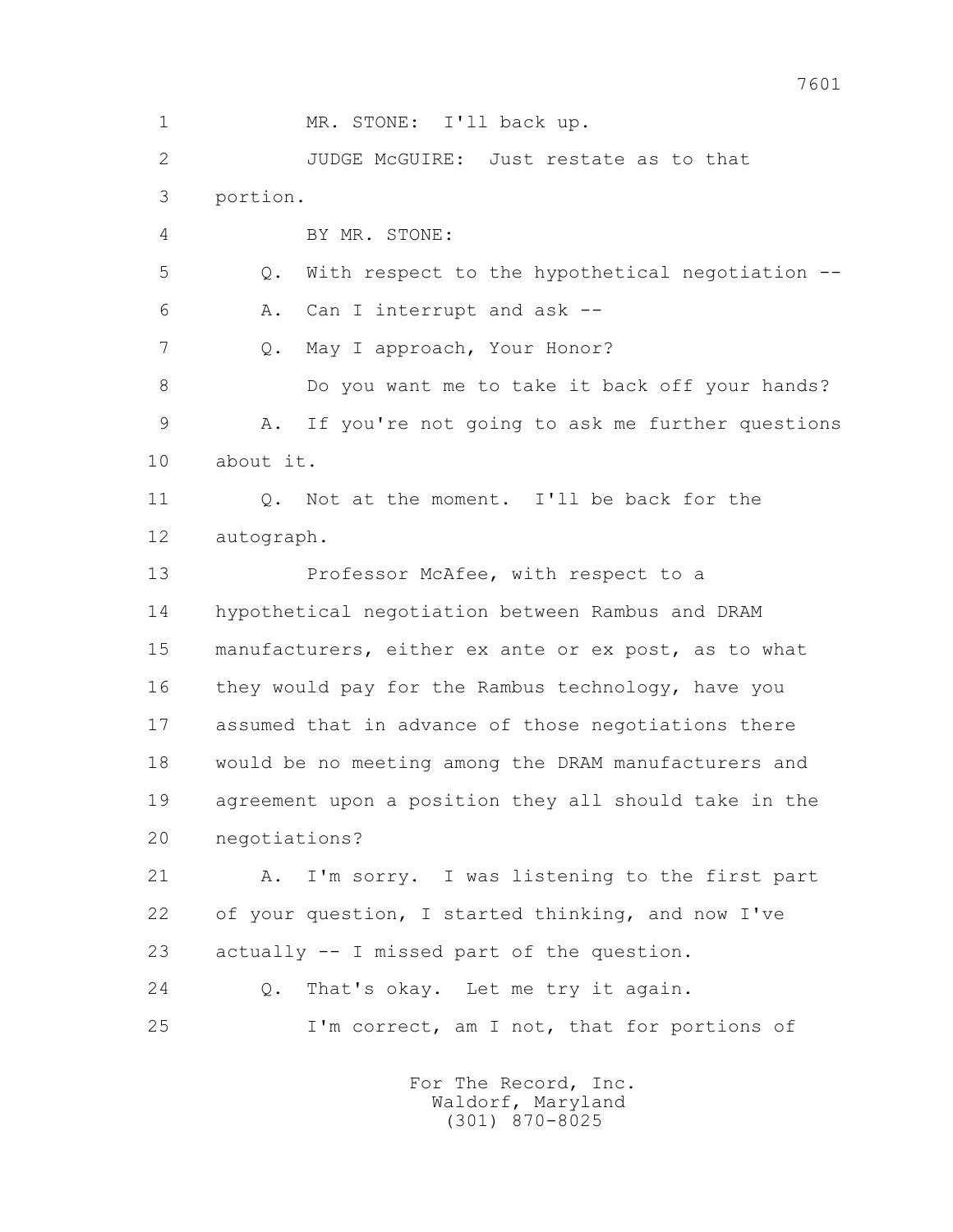1 MR. STONE: I'll back up. 2 JUDGE McGUIRE: Just restate as to that 3 portion. 4 BY MR. STONE: 5 Q. With respect to the hypothetical negotiation -- 6 A. Can I interrupt and ask -- 7 Q. May I approach, Your Honor? 8 Do you want me to take it back off your hands? 9 A. If you're not going to ask me further questions 10 about it. 11 0. Not at the moment. I'll be back for the 12 autograph. 13 Professor McAfee, with respect to a 14 hypothetical negotiation between Rambus and DRAM 15 manufacturers, either ex ante or ex post, as to what 16 they would pay for the Rambus technology, have you 17 assumed that in advance of those negotiations there 18 would be no meeting among the DRAM manufacturers and 19 agreement upon a position they all should take in the 20 negotiations? 21 A. I'm sorry. I was listening to the first part 22 of your question, I started thinking, and now I've 23 actually -- I missed part of the question. 24 0. That's okay. Let me try it again. 25 I'm correct, am I not, that for portions of For The Record, Inc.

 Waldorf, Maryland (301) 870-8025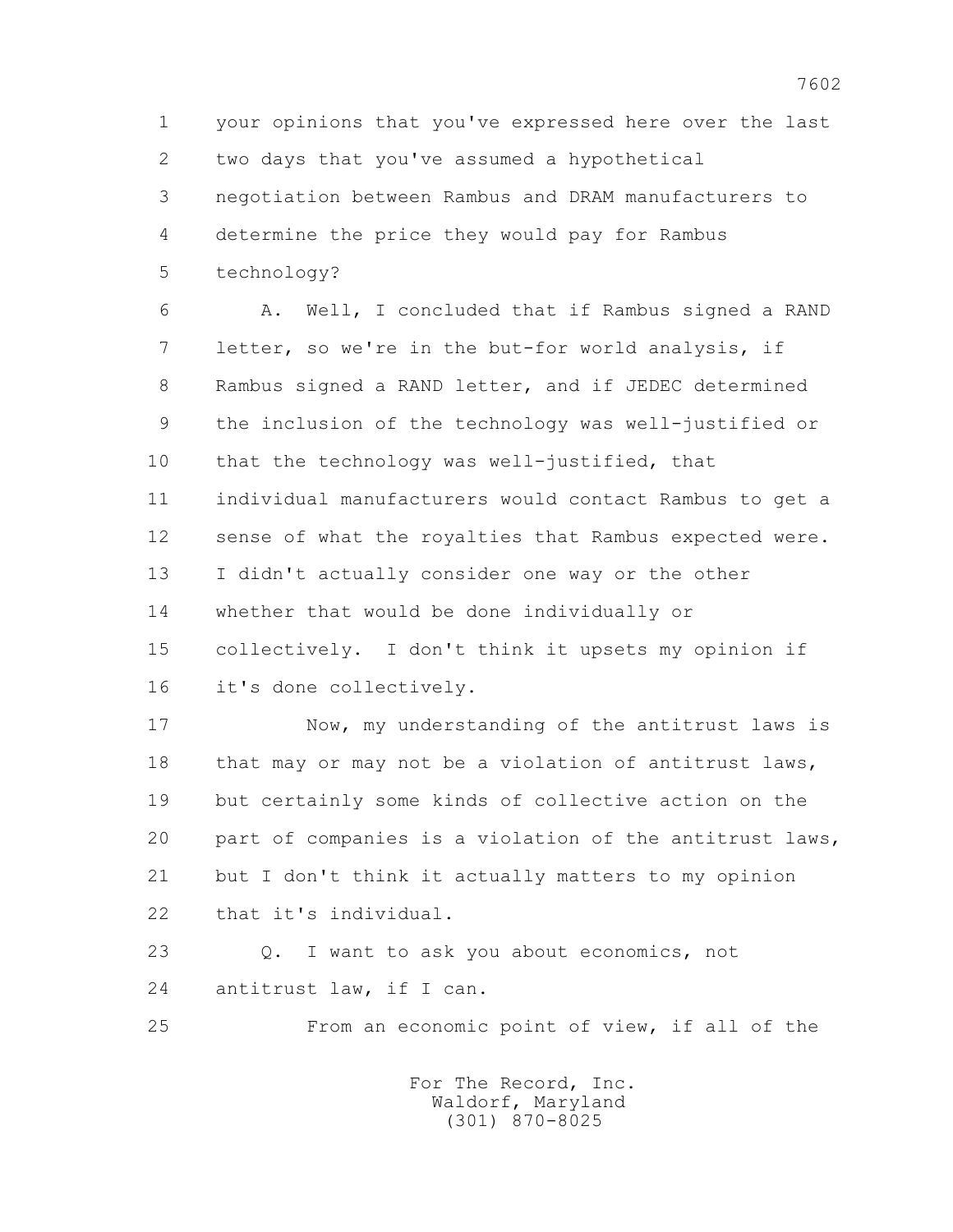1 your opinions that you've expressed here over the last 2 two days that you've assumed a hypothetical 3 negotiation between Rambus and DRAM manufacturers to 4 determine the price they would pay for Rambus 5 technology?

 6 A. Well, I concluded that if Rambus signed a RAND 7 letter, so we're in the but-for world analysis, if 8 Rambus signed a RAND letter, and if JEDEC determined 9 the inclusion of the technology was well-justified or 10 that the technology was well-justified, that 11 individual manufacturers would contact Rambus to get a 12 sense of what the royalties that Rambus expected were. 13 I didn't actually consider one way or the other 14 whether that would be done individually or 15 collectively. I don't think it upsets my opinion if 16 it's done collectively.

 17 Now, my understanding of the antitrust laws is 18 that may or may not be a violation of antitrust laws, 19 but certainly some kinds of collective action on the 20 part of companies is a violation of the antitrust laws, 21 but I don't think it actually matters to my opinion 22 that it's individual.

 23 Q. I want to ask you about economics, not 24 antitrust law, if I can.

25 From an economic point of view, if all of the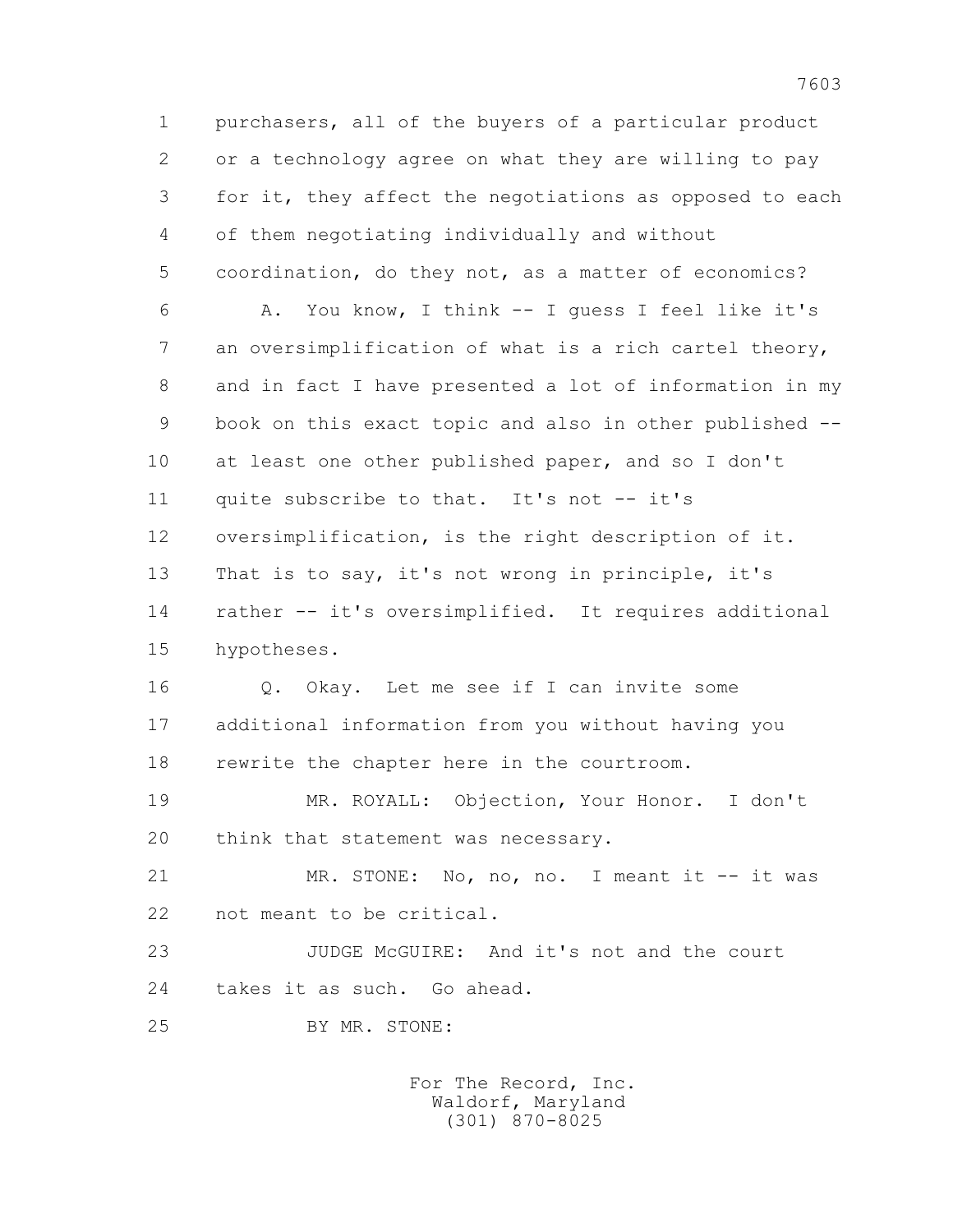1 purchasers, all of the buyers of a particular product 2 or a technology agree on what they are willing to pay 3 for it, they affect the negotiations as opposed to each 4 of them negotiating individually and without 5 coordination, do they not, as a matter of economics? 6 A. You know, I think -- I guess I feel like it's 7 an oversimplification of what is a rich cartel theory, 8 and in fact I have presented a lot of information in my 9 book on this exact topic and also in other published -- 10 at least one other published paper, and so I don't 11 quite subscribe to that. It's not -- it's 12 oversimplification, is the right description of it. 13 That is to say, it's not wrong in principle, it's 14 rather -- it's oversimplified. It requires additional 15 hypotheses. 16 0. Okay. Let me see if I can invite some 17 additional information from you without having you 18 rewrite the chapter here in the courtroom. 19 MR. ROYALL: Objection, Your Honor. I don't 20 think that statement was necessary. 21 MR. STONE: No, no, no. I meant it -- it was 22 not meant to be critical. 23 JUDGE McGUIRE: And it's not and the court 24 takes it as such. Go ahead. 25 BY MR. STONE: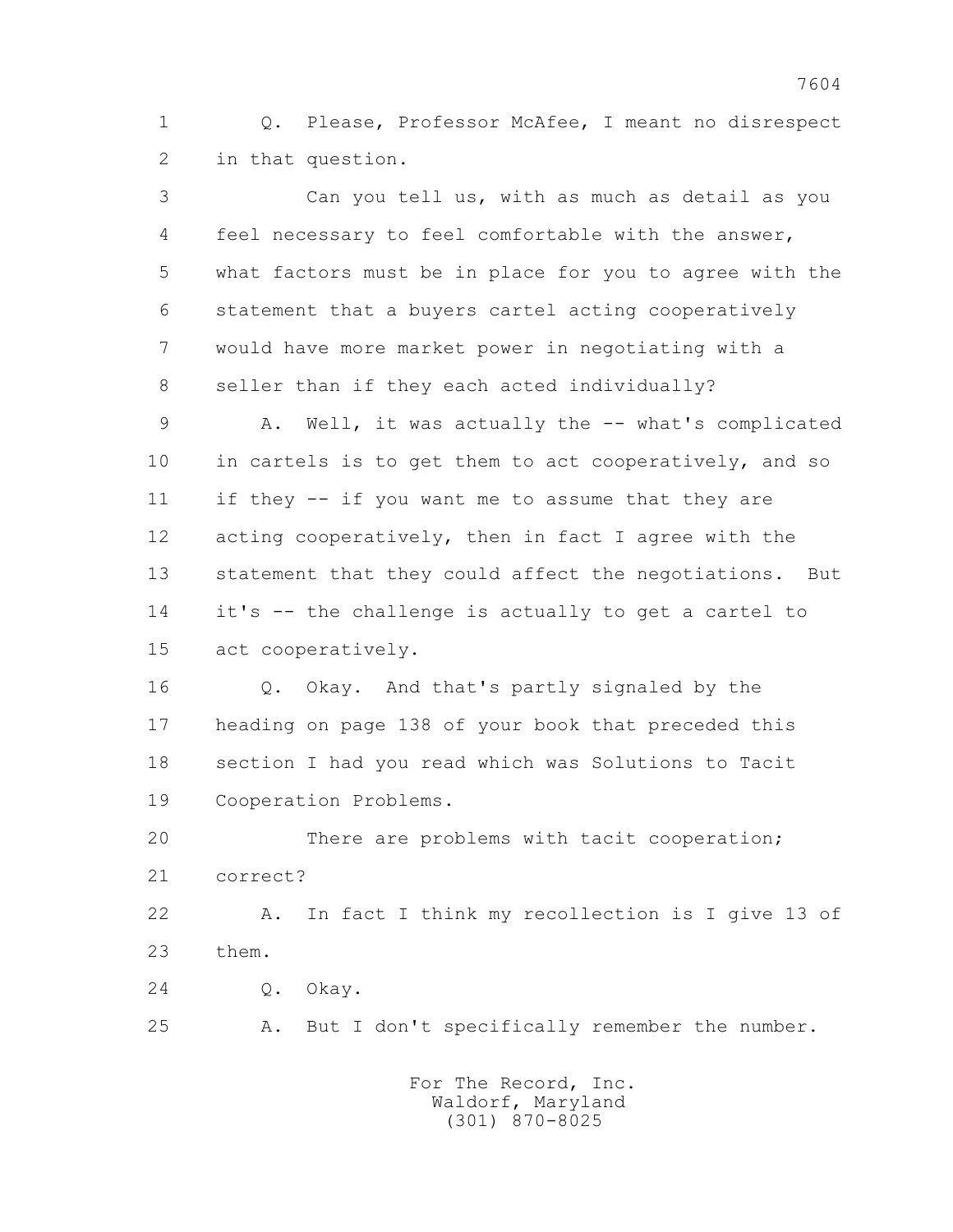1 Q. Please, Professor McAfee, I meant no disrespect 2 in that question.

 3 Can you tell us, with as much as detail as you 4 feel necessary to feel comfortable with the answer, 5 what factors must be in place for you to agree with the 6 statement that a buyers cartel acting cooperatively 7 would have more market power in negotiating with a 8 seller than if they each acted individually? 9 A. Well, it was actually the -- what's complicated 10 in cartels is to get them to act cooperatively, and so 11 if they -- if you want me to assume that they are 12 acting cooperatively, then in fact I agree with the 13 statement that they could affect the negotiations. But 14 it's -- the challenge is actually to get a cartel to 15 act cooperatively. 16 Q. Okay. And that's partly signaled by the 17 heading on page 138 of your book that preceded this 18 section I had you read which was Solutions to Tacit 19 Cooperation Problems. 20 There are problems with tacit cooperation; 21 correct? 22 A. In fact I think my recollection is I give 13 of 23 them. 24 Q. Okay. 25 A. But I don't specifically remember the number.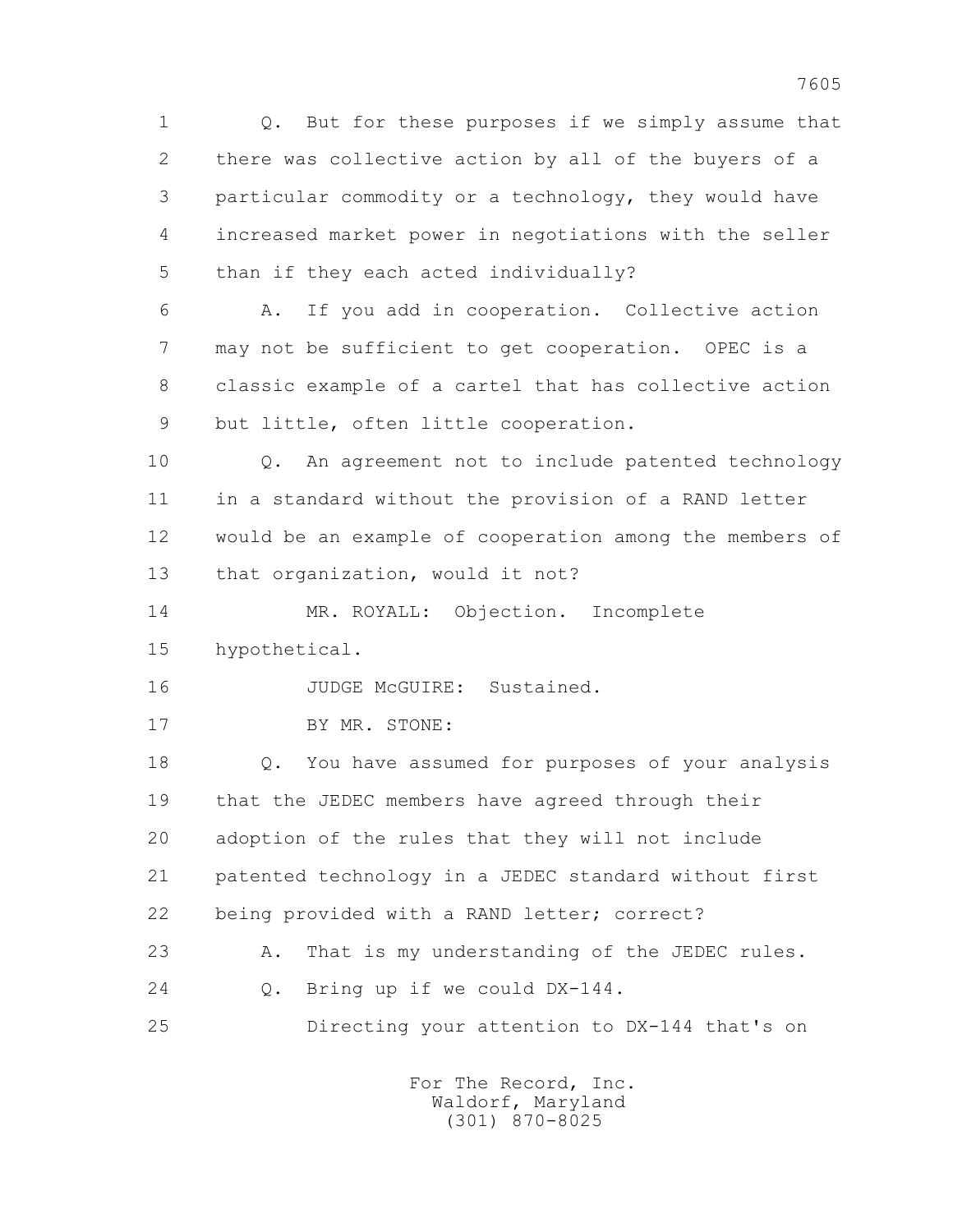1 Q. But for these purposes if we simply assume that 2 there was collective action by all of the buyers of a 3 particular commodity or a technology, they would have 4 increased market power in negotiations with the seller 5 than if they each acted individually? 6 A. If you add in cooperation. Collective action

 7 may not be sufficient to get cooperation. OPEC is a 8 classic example of a cartel that has collective action 9 but little, often little cooperation.

 10 Q. An agreement not to include patented technology 11 in a standard without the provision of a RAND letter 12 would be an example of cooperation among the members of 13 that organization, would it not?

 14 MR. ROYALL: Objection. Incomplete 15 hypothetical.

16 JUDGE McGUIRE: Sustained.

17 BY MR. STONE:

 18 Q. You have assumed for purposes of your analysis 19 that the JEDEC members have agreed through their 20 adoption of the rules that they will not include 21 patented technology in a JEDEC standard without first 22 being provided with a RAND letter; correct?

23 A. That is my understanding of the JEDEC rules.

24 Q. Bring up if we could DX-144.

25 Directing your attention to DX-144 that's on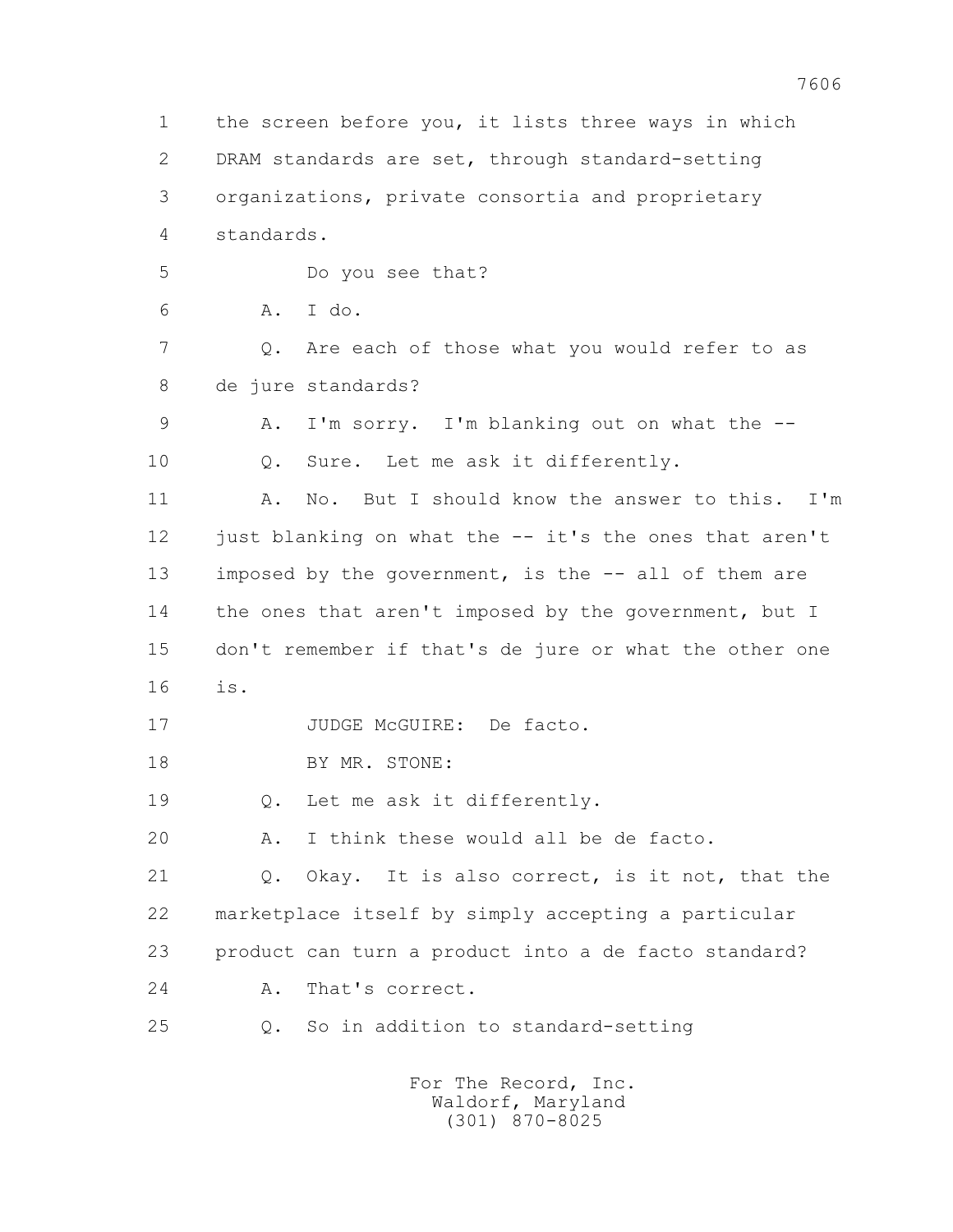1 the screen before you, it lists three ways in which 2 DRAM standards are set, through standard-setting 3 organizations, private consortia and proprietary 4 standards. 5 Do you see that? 6 A. I do. 7 Q. Are each of those what you would refer to as 8 de jure standards? 9 A. I'm sorry. I'm blanking out on what the -- 10 Q. Sure. Let me ask it differently. 11 A. No. But I should know the answer to this. I'm 12 just blanking on what the -- it's the ones that aren't 13 imposed by the government, is the -- all of them are 14 the ones that aren't imposed by the government, but I 15 don't remember if that's de jure or what the other one 16 is. 17 JUDGE McGUIRE: De facto. 18 BY MR. STONE: 19 Q. Let me ask it differently. 20 A. I think these would all be de facto. 21 Q. Okay. It is also correct, is it not, that the 22 marketplace itself by simply accepting a particular 23 product can turn a product into a de facto standard? 24 A. That's correct. 25 Q. So in addition to standard-setting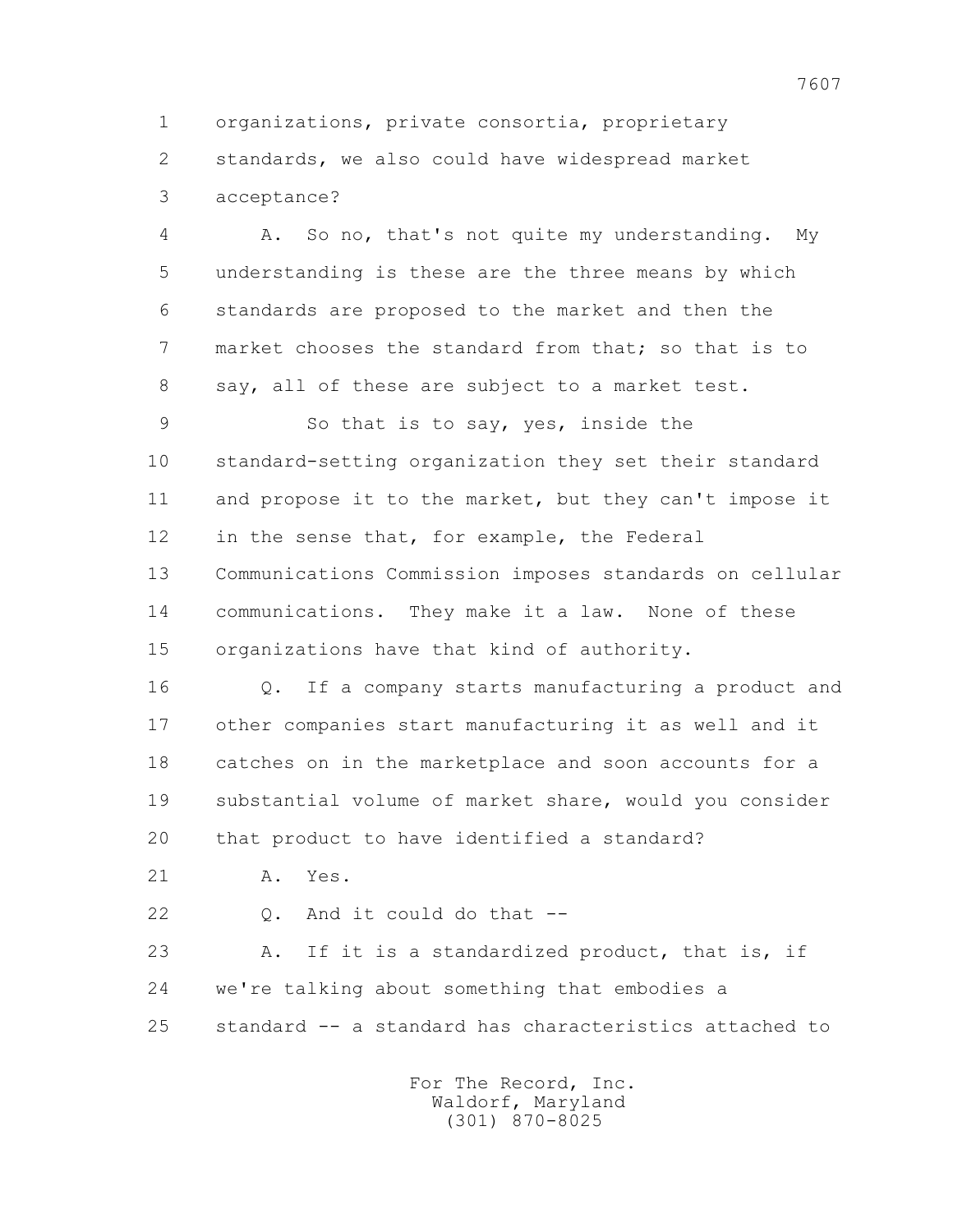1 organizations, private consortia, proprietary 2 standards, we also could have widespread market 3 acceptance?

 4 A. So no, that's not quite my understanding. My 5 understanding is these are the three means by which 6 standards are proposed to the market and then the 7 market chooses the standard from that; so that is to 8 say, all of these are subject to a market test.

 9 So that is to say, yes, inside the 10 standard-setting organization they set their standard 11 and propose it to the market, but they can't impose it 12 in the sense that, for example, the Federal 13 Communications Commission imposes standards on cellular 14 communications. They make it a law. None of these 15 organizations have that kind of authority.

 16 Q. If a company starts manufacturing a product and 17 other companies start manufacturing it as well and it 18 catches on in the marketplace and soon accounts for a 19 substantial volume of market share, would you consider 20 that product to have identified a standard?

21 A. Yes.

22 Q. And it could do that --

 23 A. If it is a standardized product, that is, if 24 we're talking about something that embodies a 25 standard -- a standard has characteristics attached to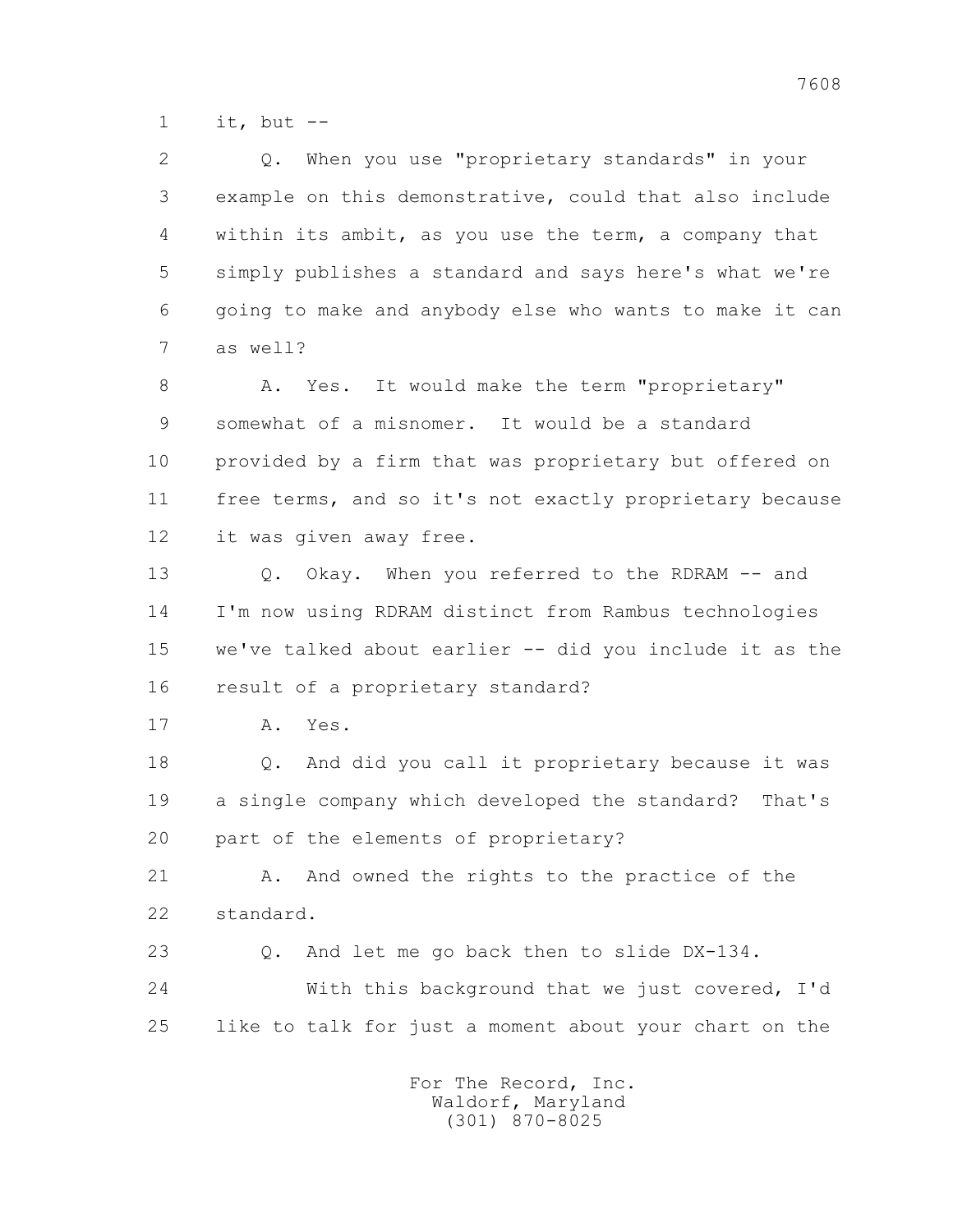$1$  it, but  $-$ 

 2 Q. When you use "proprietary standards" in your 3 example on this demonstrative, could that also include 4 within its ambit, as you use the term, a company that 5 simply publishes a standard and says here's what we're 6 going to make and anybody else who wants to make it can 7 as well? 8 A. Yes. It would make the term "proprietary" 9 somewhat of a misnomer. It would be a standard 10 provided by a firm that was proprietary but offered on 11 free terms, and so it's not exactly proprietary because 12 it was given away free. 13 Q. Okay. When you referred to the RDRAM -- and 14 I'm now using RDRAM distinct from Rambus technologies 15 we've talked about earlier -- did you include it as the 16 result of a proprietary standard? 17 A. Yes. 18 Q. And did you call it proprietary because it was 19 a single company which developed the standard? That's 20 part of the elements of proprietary? 21 A. And owned the rights to the practice of the 22 standard. 23 Q. And let me go back then to slide DX-134.

 24 With this background that we just covered, I'd 25 like to talk for just a moment about your chart on the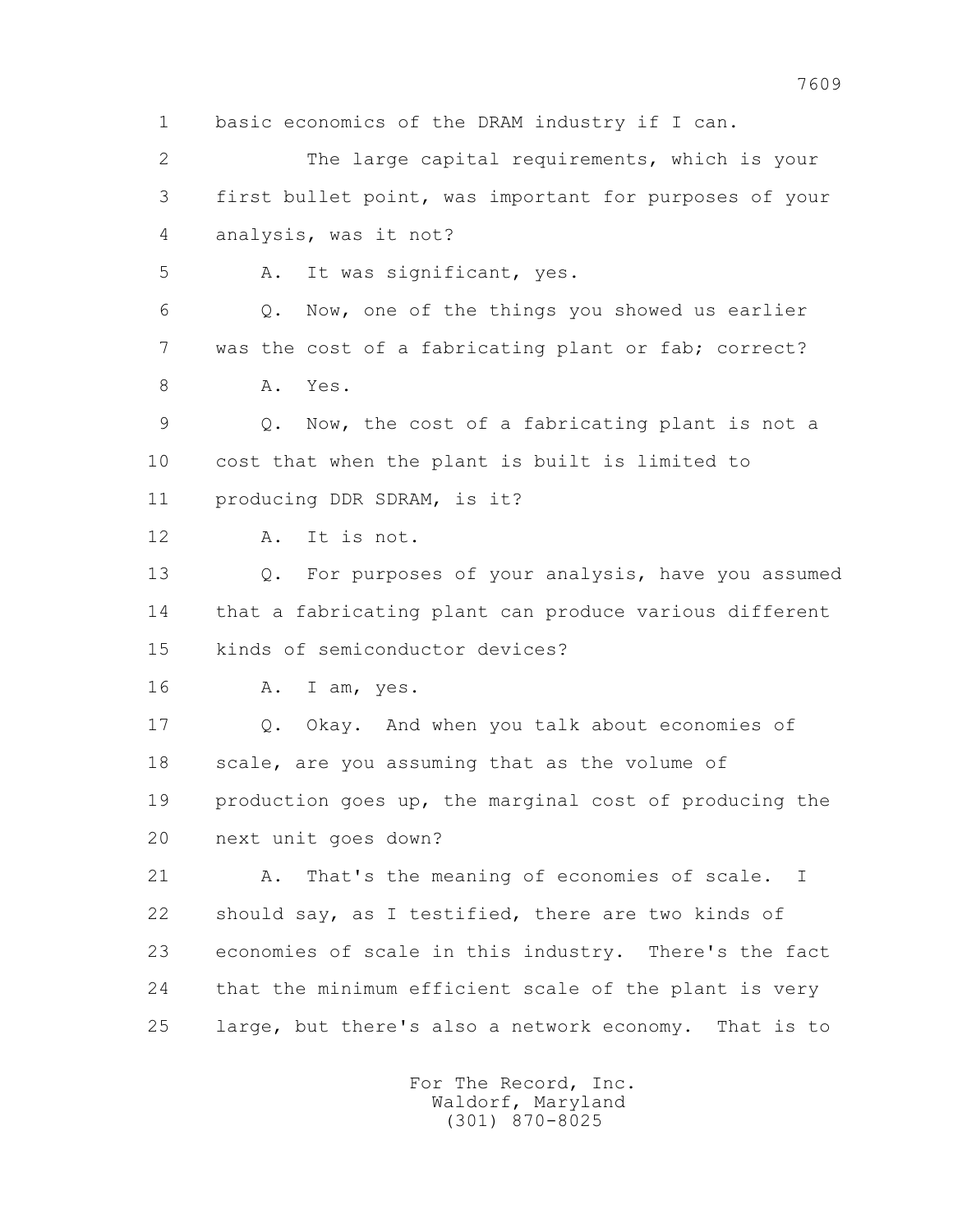1 basic economics of the DRAM industry if I can. 2 The large capital requirements, which is your 3 first bullet point, was important for purposes of your 4 analysis, was it not? 5 A. It was significant, yes. 6 Q. Now, one of the things you showed us earlier 7 was the cost of a fabricating plant or fab; correct? 8 A. Yes. 9 Q. Now, the cost of a fabricating plant is not a 10 cost that when the plant is built is limited to 11 producing DDR SDRAM, is it? 12 A. It is not. 13 Q. For purposes of your analysis, have you assumed 14 that a fabricating plant can produce various different 15 kinds of semiconductor devices? 16 A. I am, yes. 17 Q. Okay. And when you talk about economies of 18 scale, are you assuming that as the volume of 19 production goes up, the marginal cost of producing the 20 next unit goes down? 21 A. That's the meaning of economies of scale. I 22 should say, as I testified, there are two kinds of 23 economies of scale in this industry. There's the fact 24 that the minimum efficient scale of the plant is very 25 large, but there's also a network economy. That is to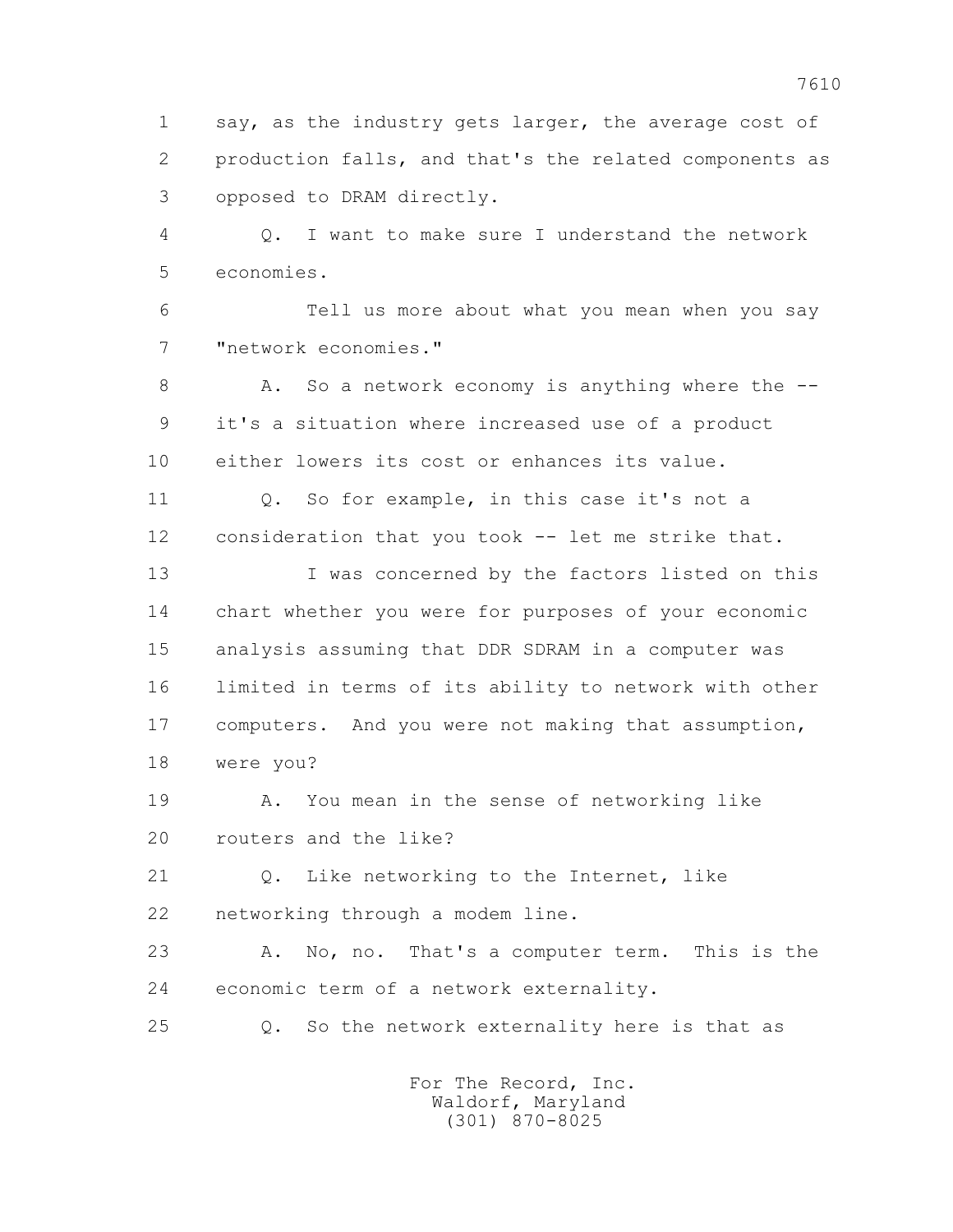1 say, as the industry gets larger, the average cost of 2 production falls, and that's the related components as 3 opposed to DRAM directly.

 4 Q. I want to make sure I understand the network 5 economies.

 6 Tell us more about what you mean when you say 7 "network economies."

8 A. So a network economy is anything where the -- 9 it's a situation where increased use of a product 10 either lowers its cost or enhances its value.

11 0. So for example, in this case it's not a 12 consideration that you took -- let me strike that.

 13 I was concerned by the factors listed on this 14 chart whether you were for purposes of your economic 15 analysis assuming that DDR SDRAM in a computer was 16 limited in terms of its ability to network with other 17 computers. And you were not making that assumption, 18 were you?

 19 A. You mean in the sense of networking like 20 routers and the like?

 21 Q. Like networking to the Internet, like 22 networking through a modem line.

 23 A. No, no. That's a computer term. This is the 24 economic term of a network externality.

25 Q. So the network externality here is that as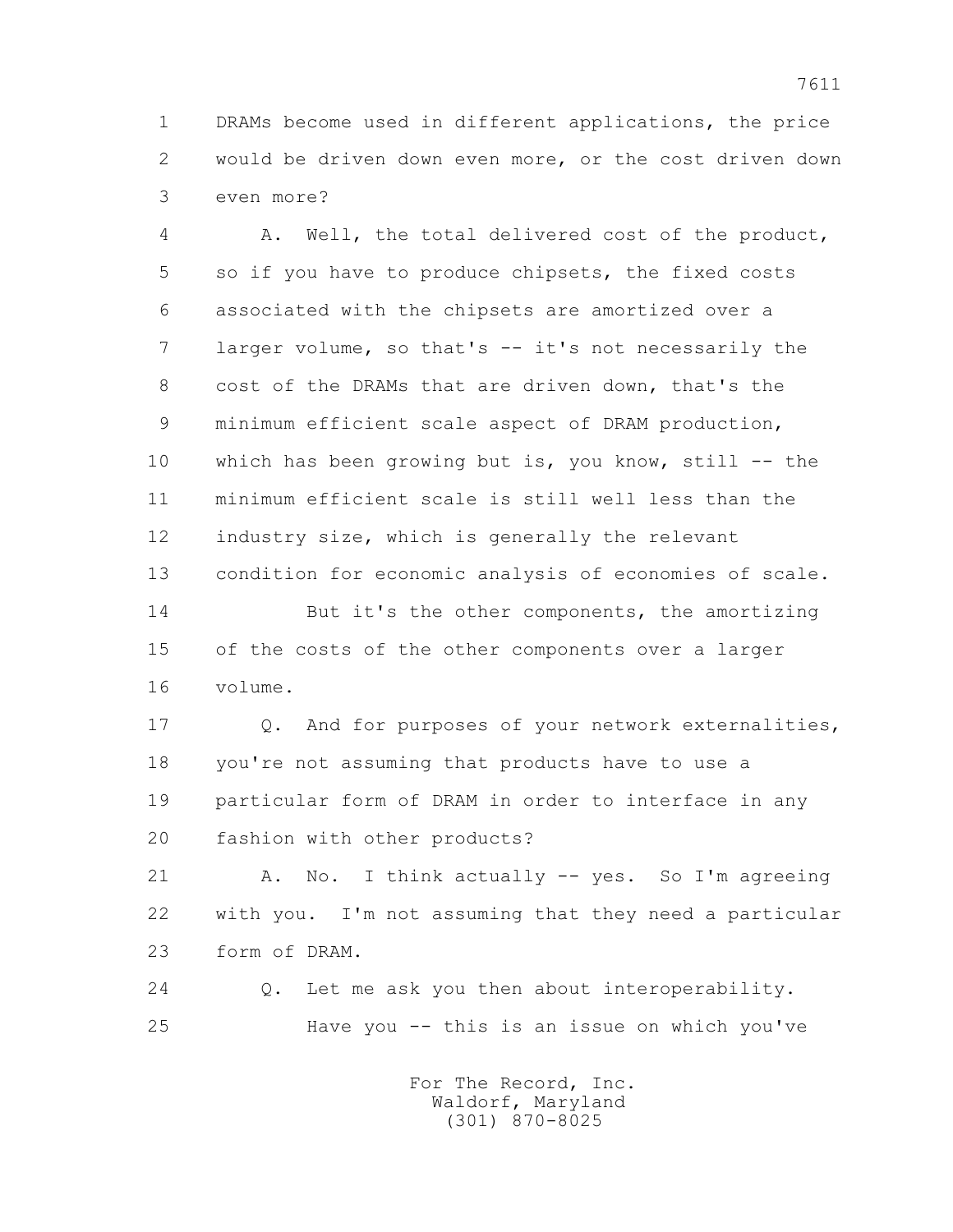1 DRAMs become used in different applications, the price 2 would be driven down even more, or the cost driven down 3 even more?

 4 A. Well, the total delivered cost of the product, 5 so if you have to produce chipsets, the fixed costs 6 associated with the chipsets are amortized over a 7 larger volume, so that's -- it's not necessarily the 8 cost of the DRAMs that are driven down, that's the 9 minimum efficient scale aspect of DRAM production, 10 which has been growing but is, you know, still -- the 11 minimum efficient scale is still well less than the 12 industry size, which is generally the relevant 13 condition for economic analysis of economies of scale.

 14 But it's the other components, the amortizing 15 of the costs of the other components over a larger 16 volume.

 17 Q. And for purposes of your network externalities, 18 you're not assuming that products have to use a 19 particular form of DRAM in order to interface in any 20 fashion with other products?

21 A. No. I think actually -- yes. So I'm agreeing 22 with you. I'm not assuming that they need a particular 23 form of DRAM.

 24 Q. Let me ask you then about interoperability. 25 Have you -- this is an issue on which you've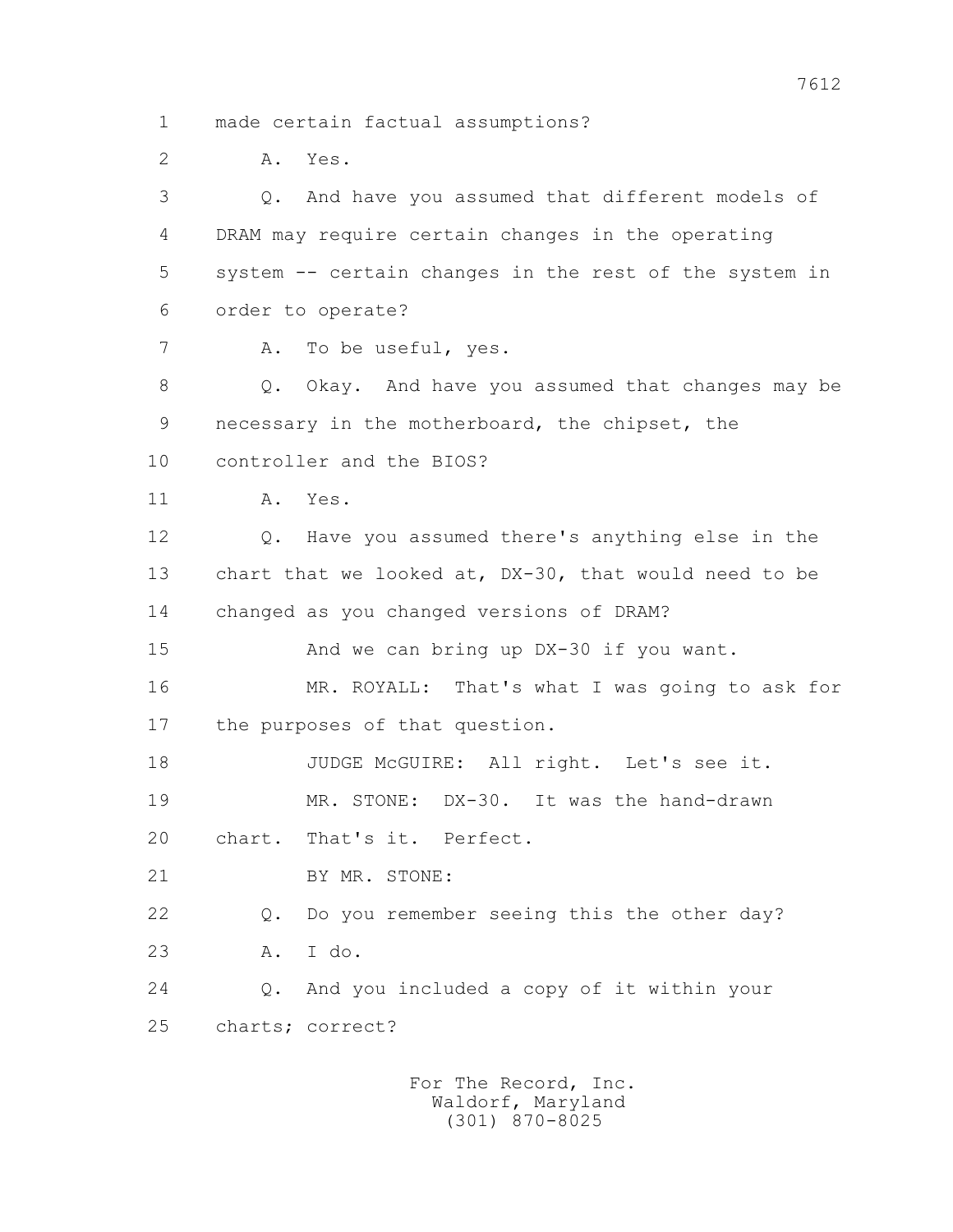1 made certain factual assumptions?

 2 A. Yes. 3 Q. And have you assumed that different models of 4 DRAM may require certain changes in the operating 5 system -- certain changes in the rest of the system in 6 order to operate? 7 A. To be useful, yes. 8 Q. Okay. And have you assumed that changes may be 9 necessary in the motherboard, the chipset, the 10 controller and the BIOS? 11 A. Yes. 12 Q. Have you assumed there's anything else in the 13 chart that we looked at, DX-30, that would need to be 14 changed as you changed versions of DRAM? 15 And we can bring up DX-30 if you want. 16 MR. ROYALL: That's what I was going to ask for 17 the purposes of that question. 18 JUDGE McGUIRE: All right. Let's see it. 19 MR. STONE: DX-30. It was the hand-drawn 20 chart. That's it. Perfect. 21 BY MR. STONE: 22 Q. Do you remember seeing this the other day? 23 A. I do. 24 Q. And you included a copy of it within your 25 charts; correct?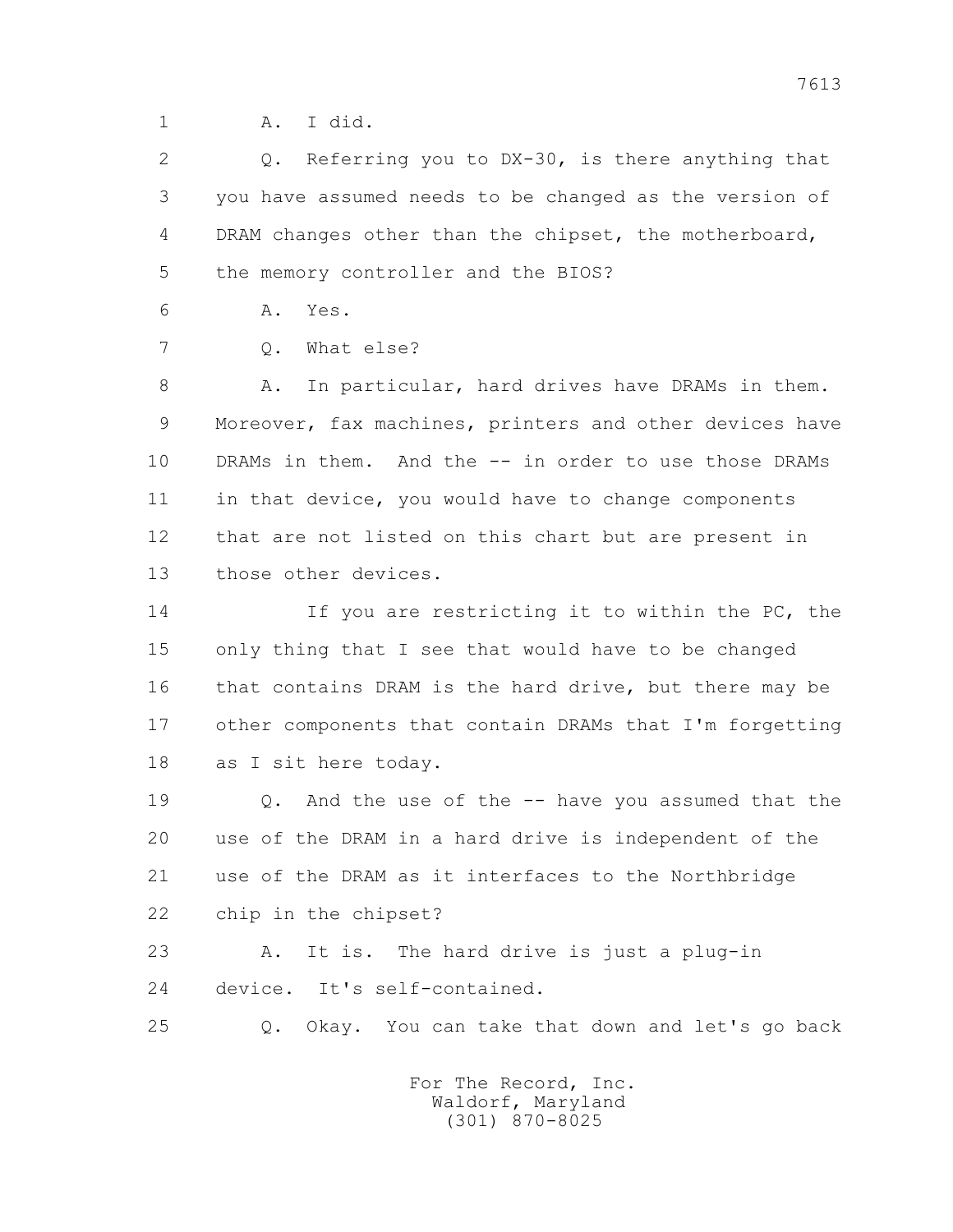1 A. I did.

 2 Q. Referring you to DX-30, is there anything that 3 you have assumed needs to be changed as the version of 4 DRAM changes other than the chipset, the motherboard, 5 the memory controller and the BIOS?

6 A. Yes.

7 0. What else?

8 A. In particular, hard drives have DRAMs in them. 9 Moreover, fax machines, printers and other devices have 10 DRAMs in them. And the -- in order to use those DRAMs 11 in that device, you would have to change components 12 that are not listed on this chart but are present in 13 those other devices.

 14 If you are restricting it to within the PC, the 15 only thing that I see that would have to be changed 16 that contains DRAM is the hard drive, but there may be 17 other components that contain DRAMs that I'm forgetting 18 as I sit here today.

 19 Q. And the use of the -- have you assumed that the 20 use of the DRAM in a hard drive is independent of the 21 use of the DRAM as it interfaces to the Northbridge 22 chip in the chipset?

 23 A. It is. The hard drive is just a plug-in 24 device. It's self-contained.

25 Q. Okay. You can take that down and let's go back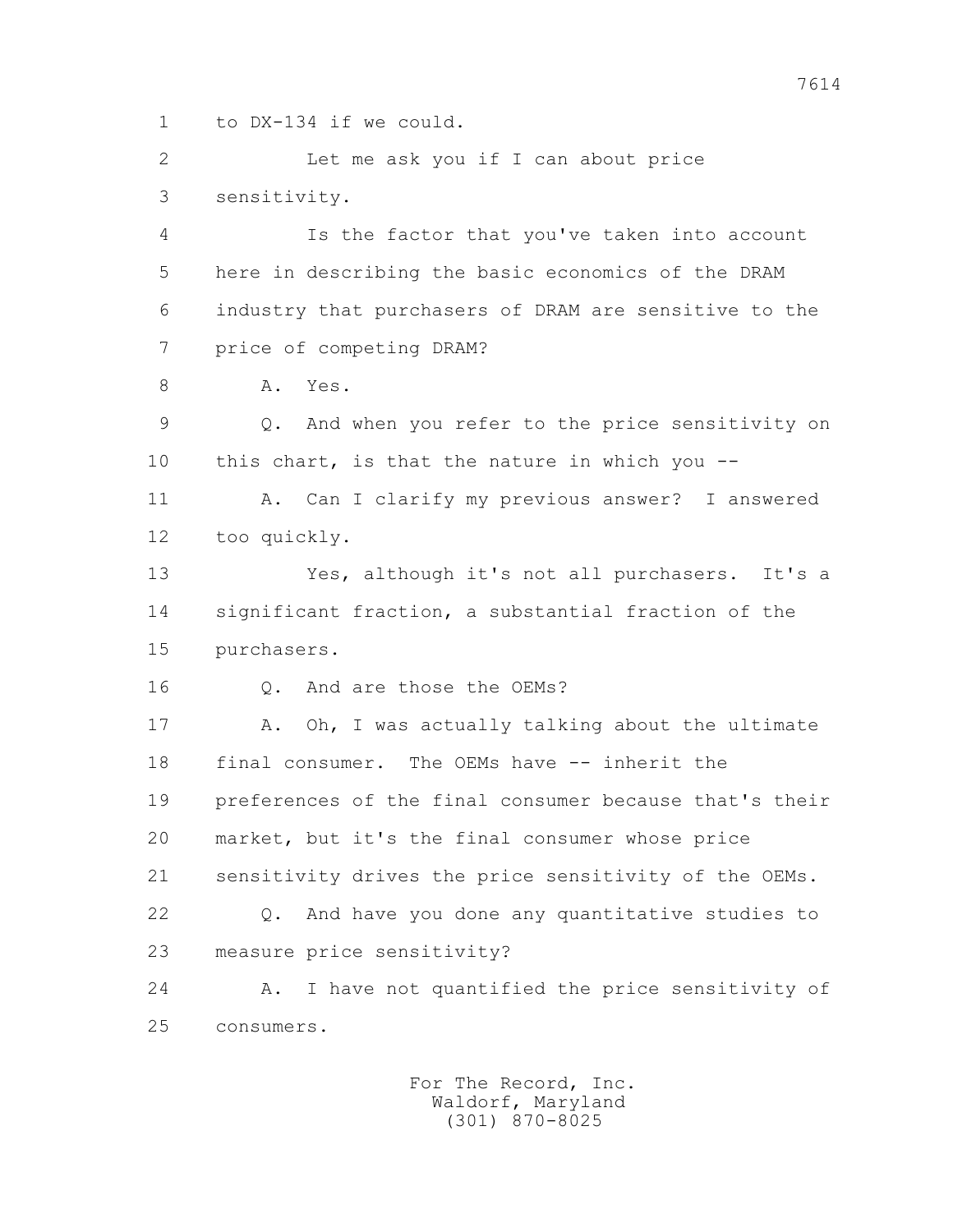1 to DX-134 if we could.

 2 Let me ask you if I can about price 3 sensitivity.

 4 Is the factor that you've taken into account 5 here in describing the basic economics of the DRAM 6 industry that purchasers of DRAM are sensitive to the 7 price of competing DRAM?

8 A. Yes.

 9 Q. And when you refer to the price sensitivity on 10 this chart, is that the nature in which you --

 11 A. Can I clarify my previous answer? I answered 12 too quickly.

 13 Yes, although it's not all purchasers. It's a 14 significant fraction, a substantial fraction of the 15 purchasers.

16 0. And are those the OEMs?

17 A. Oh, I was actually talking about the ultimate 18 final consumer. The OEMs have -- inherit the 19 preferences of the final consumer because that's their 20 market, but it's the final consumer whose price 21 sensitivity drives the price sensitivity of the OEMs. 22 Q. And have you done any quantitative studies to 23 measure price sensitivity?

 24 A. I have not quantified the price sensitivity of 25 consumers.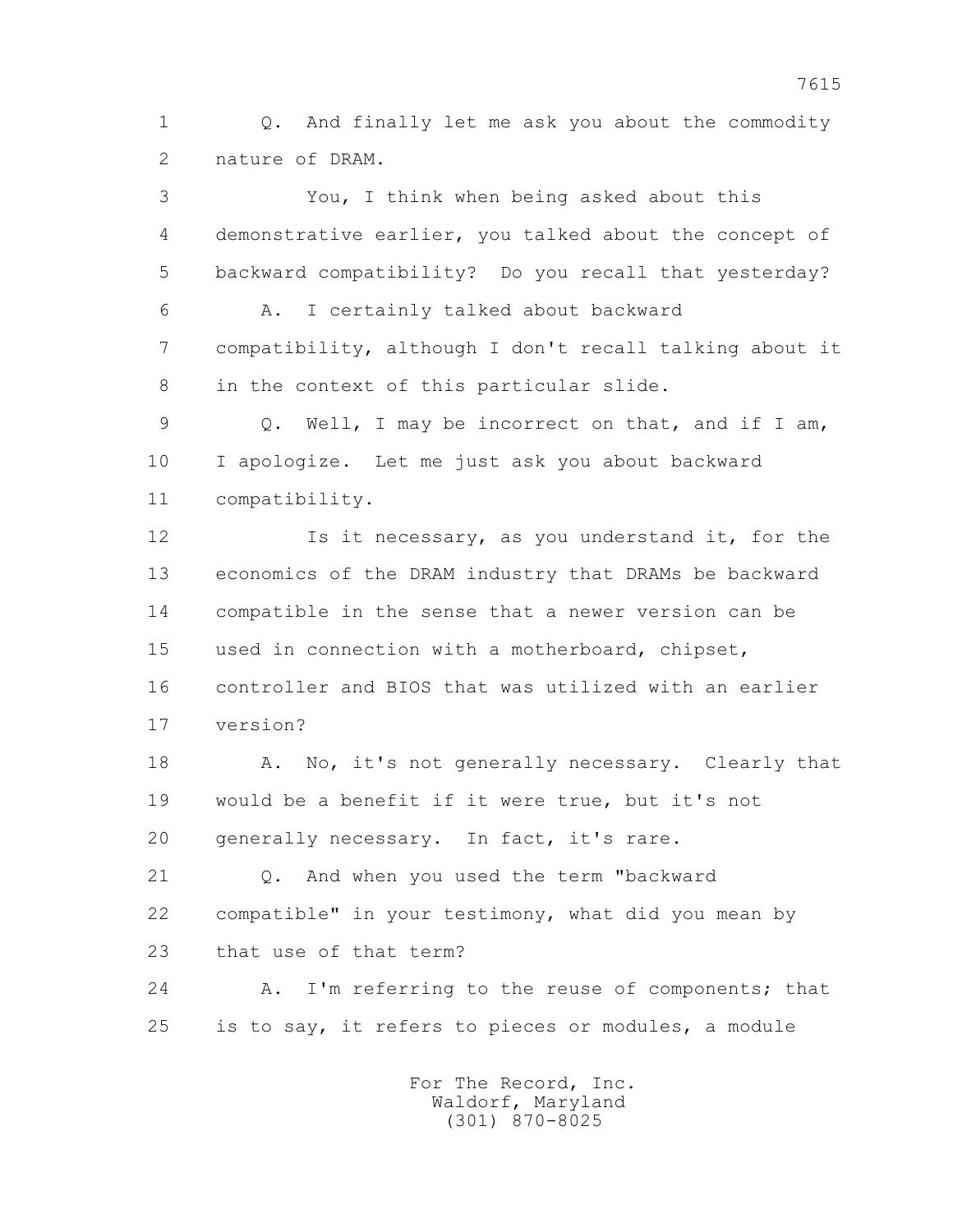1 Q. And finally let me ask you about the commodity 2 nature of DRAM.

 3 You, I think when being asked about this 4 demonstrative earlier, you talked about the concept of 5 backward compatibility? Do you recall that yesterday? 6 A. I certainly talked about backward 7 compatibility, although I don't recall talking about it 8 in the context of this particular slide. 9 Q. Well, I may be incorrect on that, and if I am, 10 I apologize. Let me just ask you about backward 11 compatibility. 12 Is it necessary, as you understand it, for the 13 economics of the DRAM industry that DRAMs be backward 14 compatible in the sense that a newer version can be 15 used in connection with a motherboard, chipset, 16 controller and BIOS that was utilized with an earlier 17 version? 18 A. No, it's not generally necessary. Clearly that 19 would be a benefit if it were true, but it's not 20 generally necessary. In fact, it's rare.

 21 Q. And when you used the term "backward 22 compatible" in your testimony, what did you mean by 23 that use of that term?

 24 A. I'm referring to the reuse of components; that 25 is to say, it refers to pieces or modules, a module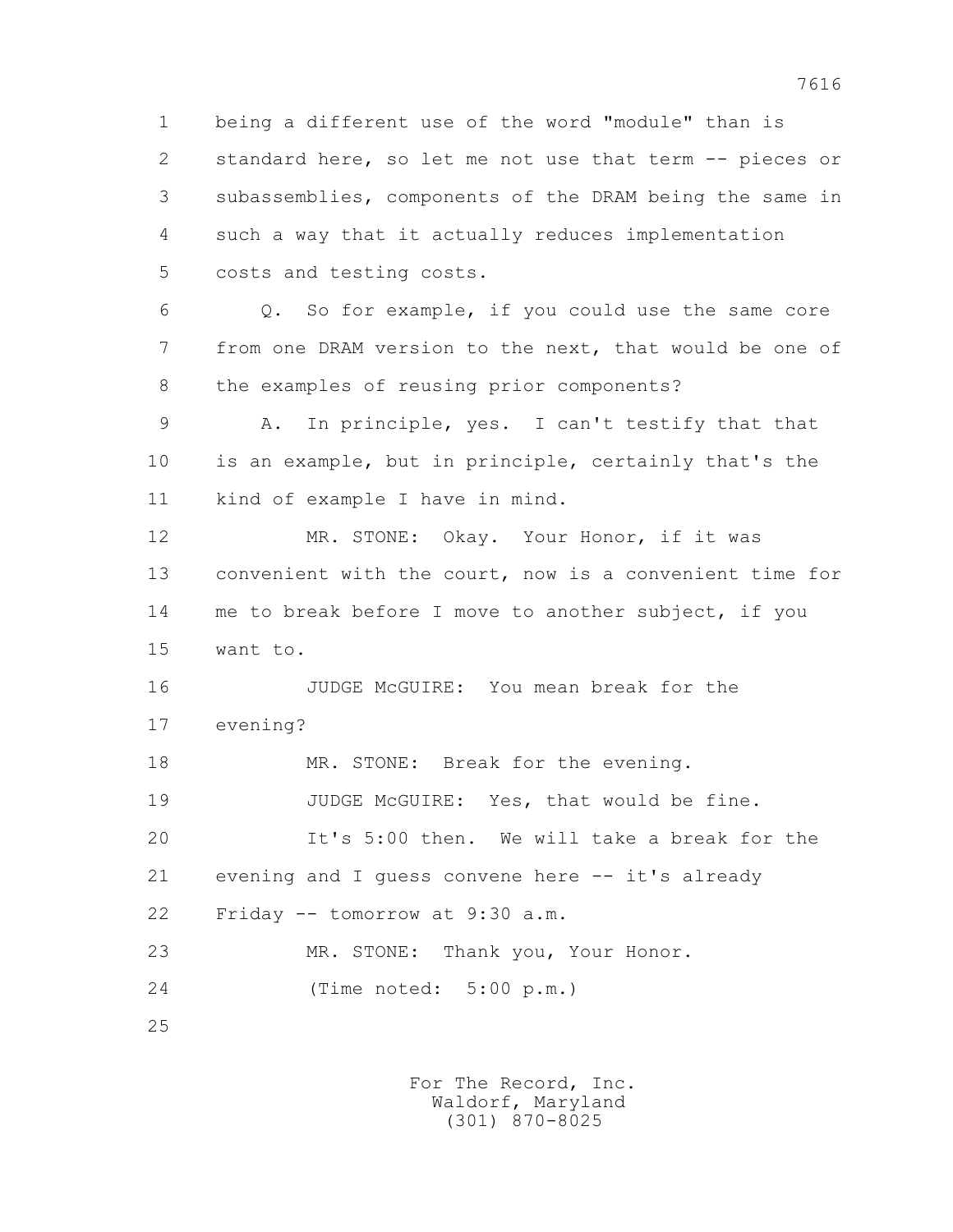1 being a different use of the word "module" than is 2 standard here, so let me not use that term -- pieces or 3 subassemblies, components of the DRAM being the same in 4 such a way that it actually reduces implementation 5 costs and testing costs.

 6 Q. So for example, if you could use the same core 7 from one DRAM version to the next, that would be one of 8 the examples of reusing prior components?

 9 A. In principle, yes. I can't testify that that 10 is an example, but in principle, certainly that's the 11 kind of example I have in mind.

12 MR. STONE: Okay. Your Honor, if it was 13 convenient with the court, now is a convenient time for 14 me to break before I move to another subject, if you 15 want to.

 16 JUDGE McGUIRE: You mean break for the 17 evening?

18 MR. STONE: Break for the evening. 19 JUDGE McGUIRE: Yes, that would be fine. 20 It's 5:00 then. We will take a break for the 21 evening and I guess convene here -- it's already 22 Friday -- tomorrow at 9:30 a.m. 23 MR. STONE: Thank you, Your Honor.

24 (Time noted: 5:00 p.m.)

25